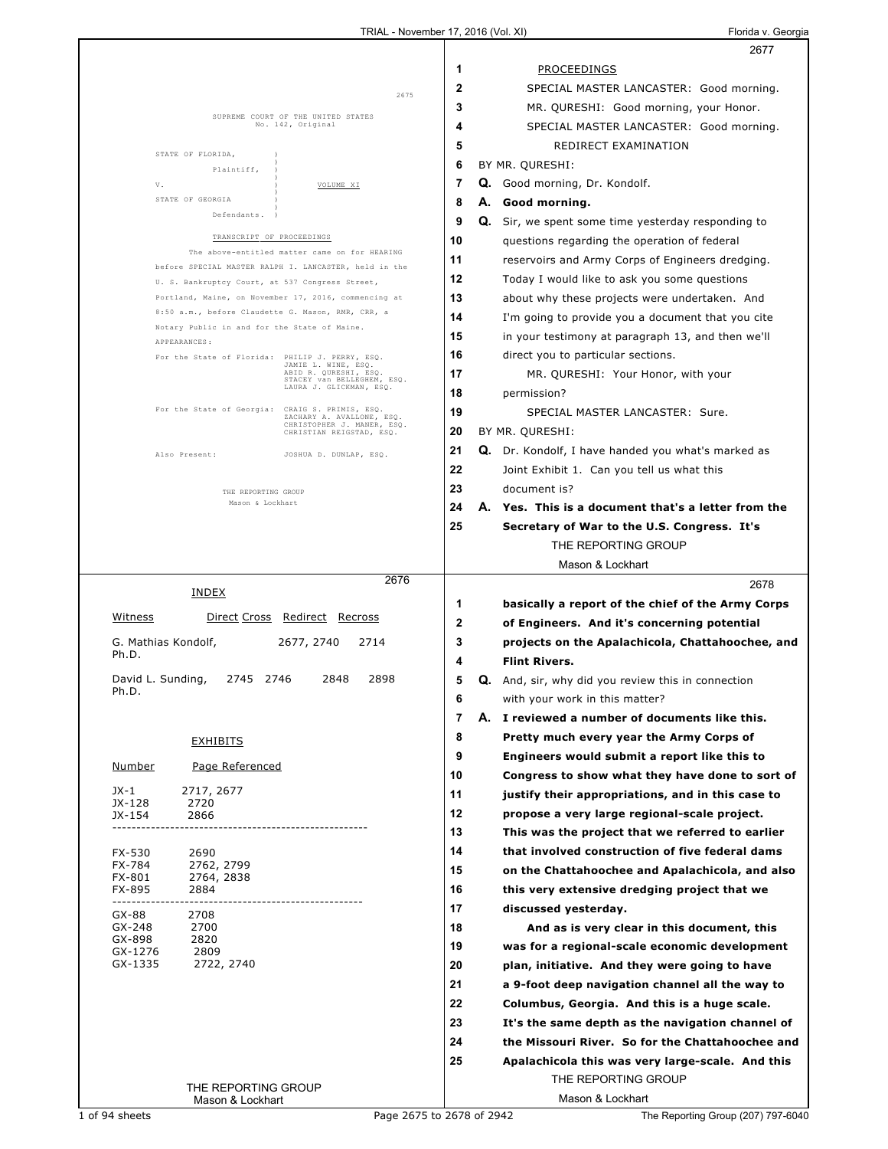|                                                                                                          | 2677                                                                                                       |
|----------------------------------------------------------------------------------------------------------|------------------------------------------------------------------------------------------------------------|
|                                                                                                          | 1<br><b>PROCEEDINGS</b>                                                                                    |
| 2675                                                                                                     | 2<br>SPECIAL MASTER LANCASTER: Good morning.                                                               |
|                                                                                                          | 3<br>MR. QURESHI: Good morning, your Honor.                                                                |
| SUPREME COURT OF THE UNITED STATES<br>No. 142, Original                                                  | 4<br>SPECIAL MASTER LANCASTER: Good morning.                                                               |
|                                                                                                          | 5<br>REDIRECT EXAMINATION                                                                                  |
| STATE OF FLORIDA,<br>Plaintiff,                                                                          | 6<br>BY MR. QURESHI:                                                                                       |
| V.<br>VOLUME XI                                                                                          | 7<br>Q. Good morning, Dr. Kondolf.                                                                         |
| STATE OF GEORGIA                                                                                         | 8<br>А.<br>Good morning.                                                                                   |
| Defendants.                                                                                              | 9<br>Q.<br>Sir, we spent some time yesterday responding to                                                 |
| TRANSCRIPT OF PROCEEDINGS                                                                                | 10<br>questions regarding the operation of federal                                                         |
| The above-entitled matter came on for HEARING                                                            | 11<br>reservoirs and Army Corps of Engineers dredging.                                                     |
| before SPECIAL MASTER RALPH I. LANCASTER, held in the<br>U. S. Bankruptcy Court, at 537 Congress Street, | 12<br>Today I would like to ask you some questions                                                         |
| Portland, Maine, on November 17, 2016, commencing at                                                     | 13<br>about why these projects were undertaken. And                                                        |
| 8:50 a.m., before Claudette G. Mason, RMR, CRR, a                                                        | 14<br>I'm going to provide you a document that you cite                                                    |
| Notary Public in and for the State of Maine.                                                             | 15<br>in your testimony at paragraph 13, and then we'll                                                    |
| APPEARANCES:<br>For the State of Florida: PHILIP J. PERRY, ESQ.                                          | 16<br>direct you to particular sections.                                                                   |
| JAMIE L. WINE, ESQ.<br>ABID R. QURESHI, ESQ.                                                             | 17<br>MR. QURESHI: Your Honor, with your                                                                   |
| STACEY van BELLEGHEM, ESQ.<br>LAURA J. GLICKMAN, ESQ.                                                    | 18<br>permission?                                                                                          |
| For the State of Georgia:<br>CRAIG S. PRIMIS, ESQ.                                                       | 19<br>SPECIAL MASTER LANCASTER: Sure.                                                                      |
| ZACHARY A. AVALLONE, ESQ.<br>CHRISTOPHER J. MANER, ESQ.<br>CHRISTIAN REIGSTAD, ESQ.                      | 20<br>BY MR. QURESHI:                                                                                      |
|                                                                                                          | 21<br>Q. Dr. Kondolf, I have handed you what's marked as                                                   |
| Also Present:<br>JOSHUA D. DUNLAP, ESQ.                                                                  | 22<br>Joint Exhibit 1. Can you tell us what this                                                           |
|                                                                                                          | 23<br>document is?                                                                                         |
| THE REPORTING GROUP<br>Mason & Lockhart                                                                  | 24<br>A. Yes. This is a document that's a letter from the                                                  |
|                                                                                                          | 25<br>Secretary of War to the U.S. Congress. It's                                                          |
|                                                                                                          | THE REPORTING GROUP                                                                                        |
|                                                                                                          | Mason & Lockhart                                                                                           |
|                                                                                                          |                                                                                                            |
| 2676                                                                                                     |                                                                                                            |
| <b>INDEX</b>                                                                                             | 2678                                                                                                       |
| Witness<br>Direct Cross Redirect Recross                                                                 | 1<br>basically a report of the chief of the Army Corps                                                     |
|                                                                                                          | $\mathbf{2}$<br>of Engineers. And it's concerning potential                                                |
| G. Mathias Kondolf,<br>2677, 2740<br>2714<br>Ph.D.                                                       | 3<br>projects on the Apalachicola, Chattahoochee, and                                                      |
|                                                                                                          | <b>Flint Rivers.</b><br>4                                                                                  |
| 2848<br>2898<br>David L. Sunding,<br>2745 2746<br>Ph.D.                                                  | 5<br><b>Q.</b> And, sir, why did you review this in connection                                             |
|                                                                                                          | with your work in this matter?<br>6                                                                        |
|                                                                                                          | $\overline{7}$<br>A. I reviewed a number of documents like this.                                           |
| <u>EXHIBITS</u>                                                                                          | 8<br>Pretty much every year the Army Corps of                                                              |
| Number<br>Page Referenced                                                                                | 9<br>Engineers would submit a report like this to                                                          |
| $JX-1$<br>2717, 2677                                                                                     | 10<br>Congress to show what they have done to sort of                                                      |
| JX-128<br>2720                                                                                           | 11<br>justify their appropriations, and in this case to                                                    |
| JX-154<br>2866                                                                                           | 12<br>propose a very large regional-scale project.                                                         |
|                                                                                                          | 13<br>This was the project that we referred to earlier                                                     |
| FX-530<br>2690<br>FX-784<br>2762, 2799                                                                   | 14<br>that involved construction of five federal dams                                                      |
| FX-801<br>2764, 2838                                                                                     | 15<br>on the Chattahoochee and Apalachicola, and also<br>16                                                |
| FX-895<br>2884                                                                                           | this very extensive dredging project that we<br>17                                                         |
| GX-88<br>2708                                                                                            | discussed yesterday.                                                                                       |
| GX-248<br>2700<br>GX-898<br>2820                                                                         | 18<br>And as is very clear in this document, this                                                          |
| 2809<br>GX-1276<br>GX-1335<br>2722, 2740                                                                 | 19<br>was for a regional-scale economic development<br>20<br>plan, initiative. And they were going to have |
|                                                                                                          | 21<br>a 9-foot deep navigation channel all the way to                                                      |
|                                                                                                          | 22<br>Columbus, Georgia. And this is a huge scale.                                                         |
|                                                                                                          | 23<br>It's the same depth as the navigation channel of                                                     |
|                                                                                                          | 24<br>the Missouri River. So for the Chattahoochee and                                                     |
|                                                                                                          | 25<br>Apalachicola this was very large-scale. And this                                                     |
| THE REPORTING GROUP                                                                                      | THE REPORTING GROUP                                                                                        |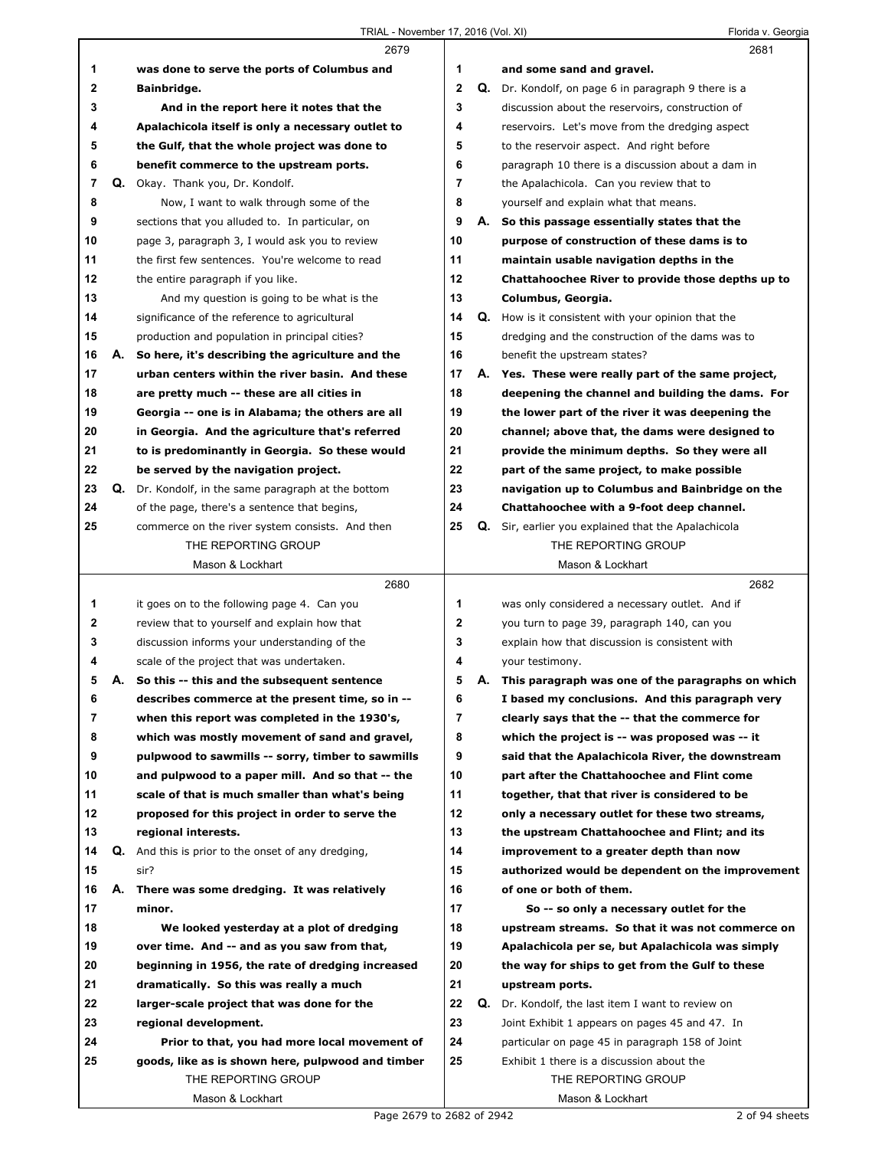|    |    | 2679                                               |              |    | 2681                                                      |
|----|----|----------------------------------------------------|--------------|----|-----------------------------------------------------------|
| 1  |    | was done to serve the ports of Columbus and        | 1            |    | and some sand and gravel.                                 |
| 2  |    | Bainbridge.                                        | $\mathbf{2}$ | Q. | Dr. Kondolf, on page 6 in paragraph 9 there is a          |
| 3  |    | And in the report here it notes that the           | 3            |    | discussion about the reservoirs, construction of          |
| 4  |    | Apalachicola itself is only a necessary outlet to  | 4            |    | reservoirs. Let's move from the dredging aspect           |
| 5  |    | the Gulf, that the whole project was done to       | 5            |    | to the reservoir aspect. And right before                 |
| 6  |    | benefit commerce to the upstream ports.            | 6            |    | paragraph 10 there is a discussion about a dam in         |
| 7  | Q. | Okay. Thank you, Dr. Kondolf.                      | 7            |    | the Apalachicola. Can you review that to                  |
| 8  |    | Now, I want to walk through some of the            | 8            |    | yourself and explain what that means.                     |
| 9  |    | sections that you alluded to. In particular, on    | 9            |    | A. So this passage essentially states that the            |
| 10 |    | page 3, paragraph 3, I would ask you to review     | 10           |    | purpose of construction of these dams is to               |
| 11 |    | the first few sentences. You're welcome to read    | 11           |    | maintain usable navigation depths in the                  |
| 12 |    | the entire paragraph if you like.                  | 12           |    | Chattahoochee River to provide those depths up to         |
| 13 |    | And my question is going to be what is the         | 13           |    | Columbus, Georgia.                                        |
| 14 |    | significance of the reference to agricultural      | 14           |    | <b>Q.</b> How is it consistent with your opinion that the |
| 15 |    | production and population in principal cities?     | 15           |    | dredging and the construction of the dams was to          |
| 16 | А. | So here, it's describing the agriculture and the   | 16           |    | benefit the upstream states?                              |
| 17 |    | urban centers within the river basin. And these    | 17           |    | A. Yes. These were really part of the same project,       |
| 18 |    | are pretty much -- these are all cities in         | 18           |    | deepening the channel and building the dams. For          |
| 19 |    | Georgia -- one is in Alabama; the others are all   | 19           |    | the lower part of the river it was deepening the          |
| 20 |    | in Georgia. And the agriculture that's referred    | 20           |    | channel; above that, the dams were designed to            |
| 21 |    | to is predominantly in Georgia. So these would     | 21           |    | provide the minimum depths. So they were all              |
| 22 |    |                                                    | 22           |    |                                                           |
| 23 |    | be served by the navigation project.               | 23           |    | part of the same project, to make possible                |
| 24 | Q. | Dr. Kondolf, in the same paragraph at the bottom   | 24           |    | navigation up to Columbus and Bainbridge on the           |
|    |    | of the page, there's a sentence that begins,       |              |    | Chattahoochee with a 9-foot deep channel.                 |
| 25 |    | commerce on the river system consists. And then    | 25           | Q. | Sir, earlier you explained that the Apalachicola          |
|    |    | THE REPORTING GROUP                                |              |    | THE REPORTING GROUP                                       |
|    |    | Mason & Lockhart                                   |              |    | Mason & Lockhart                                          |
|    |    | 2680                                               |              |    | 2682                                                      |
| 1  |    | it goes on to the following page 4. Can you        | 1            |    | was only considered a necessary outlet. And if            |
| 2  |    | review that to yourself and explain how that       | 2            |    | you turn to page 39, paragraph 140, can you               |
| 3  |    | discussion informs your understanding of the       | 3            |    | explain how that discussion is consistent with            |
| 4  |    | scale of the project that was undertaken.          | 4            |    | your testimony.                                           |
| 5  | А. | So this -- this and the subsequent sentence        | 5            |    | A. This paragraph was one of the paragraphs on which      |
| 6  |    | describes commerce at the present time, so in --   | 6            |    | I based my conclusions. And this paragraph very           |
| 7  |    | when this report was completed in the 1930's,      | 7            |    | clearly says that the -- that the commerce for            |
| 8  |    | which was mostly movement of sand and gravel,      | 8            |    | which the project is -- was proposed was -- it            |
| 9  |    | pulpwood to sawmills -- sorry, timber to sawmills  | 9            |    | said that the Apalachicola River, the downstream          |
| 10 |    | and pulpwood to a paper mill. And so that -- the   | 10           |    | part after the Chattahoochee and Flint come               |
| 11 |    | scale of that is much smaller than what's being    | 11           |    | together, that that river is considered to be             |
| 12 |    | proposed for this project in order to serve the    | 12           |    | only a necessary outlet for these two streams,            |
| 13 |    | regional interests.                                | 13           |    | the upstream Chattahoochee and Flint; and its             |
| 14 |    | Q. And this is prior to the onset of any dredging, | 14           |    | improvement to a greater depth than now                   |
| 15 |    | sir?                                               | 15           |    | authorized would be dependent on the improvement          |
| 16 | А. | There was some dredging. It was relatively         | 16           |    | of one or both of them.                                   |
| 17 |    | minor.                                             | 17           |    | So -- so only a necessary outlet for the                  |
| 18 |    | We looked yesterday at a plot of dredging          | 18           |    | upstream streams. So that it was not commerce on          |
| 19 |    | over time. And -- and as you saw from that,        | 19           |    | Apalachicola per se, but Apalachicola was simply          |
| 20 |    | beginning in 1956, the rate of dredging increased  | 20           |    | the way for ships to get from the Gulf to these           |
| 21 |    | dramatically. So this was really a much            | 21           |    | upstream ports.                                           |
| 22 |    | larger-scale project that was done for the         | 22           |    | Q. Dr. Kondolf, the last item I want to review on         |
| 23 |    | regional development.                              | 23           |    | Joint Exhibit 1 appears on pages 45 and 47. In            |
| 24 |    | Prior to that, you had more local movement of      | 24           |    | particular on page 45 in paragraph 158 of Joint           |
| 25 |    | goods, like as is shown here, pulpwood and timber  | 25           |    | Exhibit 1 there is a discussion about the                 |
|    |    | THE REPORTING GROUP                                |              |    | THE REPORTING GROUP                                       |
|    |    | Mason & Lockhart                                   |              |    | Mason & Lockhart                                          |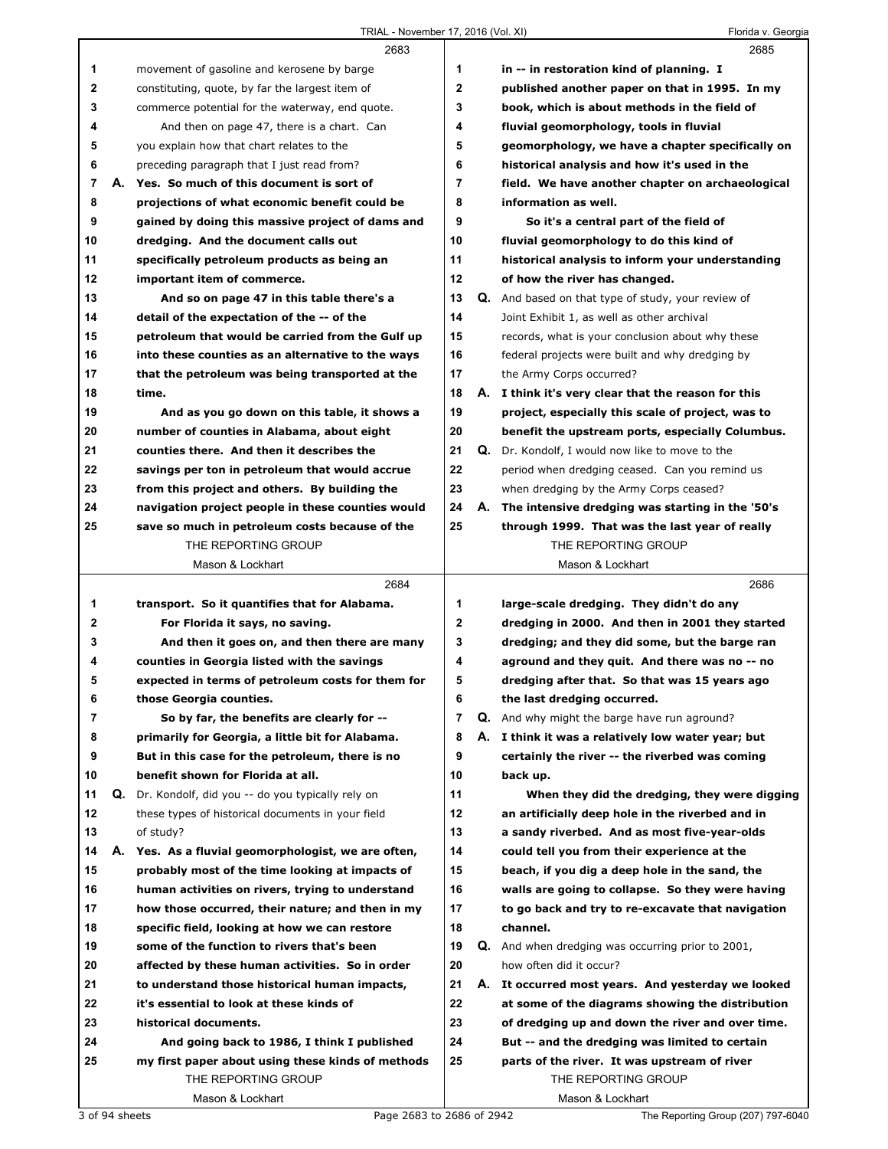|                   |    | 2683                                                                            |                   |    | 2685                                                                                              |
|-------------------|----|---------------------------------------------------------------------------------|-------------------|----|---------------------------------------------------------------------------------------------------|
| 1                 |    | movement of gasoline and kerosene by barge                                      | 1                 |    | in -- in restoration kind of planning. I                                                          |
| $\mathbf 2$       |    | constituting, quote, by far the largest item of                                 | 2                 |    | published another paper on that in 1995. In my                                                    |
| 3                 |    | commerce potential for the waterway, end quote.                                 | 3                 |    | book, which is about methods in the field of                                                      |
| 4                 |    | And then on page 47, there is a chart. Can                                      | 4                 |    | fluvial geomorphology, tools in fluvial                                                           |
| 5                 |    | you explain how that chart relates to the                                       | 5                 |    | geomorphology, we have a chapter specifically on                                                  |
| 6                 |    | preceding paragraph that I just read from?                                      | 6                 |    | historical analysis and how it's used in the                                                      |
| $\overline{7}$    |    | A. Yes. So much of this document is sort of                                     | $\overline{7}$    |    | field. We have another chapter on archaeological                                                  |
| 8                 |    | projections of what economic benefit could be                                   | 8                 |    | information as well.                                                                              |
| 9                 |    | gained by doing this massive project of dams and                                | 9                 |    | So it's a central part of the field of                                                            |
| 10                |    | dredging. And the document calls out                                            | 10                |    | fluvial geomorphology to do this kind of                                                          |
| 11                |    | specifically petroleum products as being an                                     | 11                |    | historical analysis to inform your understanding                                                  |
| 12                |    | important item of commerce.                                                     | 12                |    | of how the river has changed.                                                                     |
| 13                |    | And so on page 47 in this table there's a                                       | 13                |    | <b>Q.</b> And based on that type of study, your review of                                         |
| 14                |    | detail of the expectation of the -- of the                                      | 14                |    | Joint Exhibit 1, as well as other archival                                                        |
| 15                |    | petroleum that would be carried from the Gulf up                                | 15                |    | records, what is your conclusion about why these                                                  |
| 16                |    | into these counties as an alternative to the ways                               | 16                |    | federal projects were built and why dredging by                                                   |
| 17                |    | that the petroleum was being transported at the                                 | 17                |    | the Army Corps occurred?                                                                          |
| 18                |    | time.                                                                           | 18                |    | A. I think it's very clear that the reason for this                                               |
| 19                |    | And as you go down on this table, it shows a                                    | 19                |    | project, especially this scale of project, was to                                                 |
| 20                |    | number of counties in Alabama, about eight                                      | 20                |    | benefit the upstream ports, especially Columbus.                                                  |
| 21                |    | counties there. And then it describes the                                       | 21                |    | Q. Dr. Kondolf, I would now like to move to the                                                   |
| 22                |    | savings per ton in petroleum that would accrue                                  | 22                |    | period when dredging ceased. Can you remind us                                                    |
| 23                |    | from this project and others. By building the                                   | 23                |    | when dredging by the Army Corps ceased?                                                           |
| 24                |    | navigation project people in these counties would                               | 24                | А. | The intensive dredging was starting in the '50's                                                  |
| 25                |    | save so much in petroleum costs because of the                                  | 25                |    | through 1999. That was the last year of really                                                    |
|                   |    | THE REPORTING GROUP                                                             |                   |    | THE REPORTING GROUP                                                                               |
|                   |    | Mason & Lockhart                                                                |                   |    | Mason & Lockhart                                                                                  |
|                   |    |                                                                                 |                   |    |                                                                                                   |
|                   |    |                                                                                 |                   |    |                                                                                                   |
|                   |    | 2684                                                                            |                   |    | 2686                                                                                              |
| 1<br>$\mathbf{2}$ |    | transport. So it quantifies that for Alabama.                                   | 1<br>$\mathbf{2}$ |    | large-scale dredging. They didn't do any                                                          |
| 3                 |    | For Florida it says, no saving.<br>And then it goes on, and then there are many | 3                 |    | dredging in 2000. And then in 2001 they started<br>dredging; and they did some, but the barge ran |
| 4                 |    | counties in Georgia listed with the savings                                     | 4                 |    | aground and they quit. And there was no -- no                                                     |
| 5                 |    | expected in terms of petroleum costs for them for                               | 5                 |    | dredging after that. So that was 15 years ago                                                     |
| 6                 |    | those Georgia counties.                                                         | 6                 |    |                                                                                                   |
| 7                 |    | So by far, the benefits are clearly for --                                      | 7                 | Q. | the last dredging occurred.<br>And why might the barge have run aground?                          |
| 8                 |    | primarily for Georgia, a little bit for Alabama.                                | 8                 | А. | I think it was a relatively low water year; but                                                   |
| 9                 |    | But in this case for the petroleum, there is no                                 | 9                 |    | certainly the river -- the riverbed was coming                                                    |
| 10                |    | benefit shown for Florida at all.                                               | 10                |    | back up.                                                                                          |
| 11                | Q. | Dr. Kondolf, did you -- do you typically rely on                                | 11                |    | When they did the dredging, they were digging                                                     |
| 12                |    |                                                                                 | 12                |    | an artificially deep hole in the riverbed and in                                                  |
| 13                |    | these types of historical documents in your field<br>of study?                  | 13                |    | a sandy riverbed. And as most five-year-olds                                                      |
| 14                |    | A. Yes. As a fluvial geomorphologist, we are often,                             | 14                |    | could tell you from their experience at the                                                       |
| 15                |    | probably most of the time looking at impacts of                                 | 15                |    | beach, if you dig a deep hole in the sand, the                                                    |
| 16                |    | human activities on rivers, trying to understand                                | 16                |    | walls are going to collapse. So they were having                                                  |
| 17                |    | how those occurred, their nature; and then in my                                | 17                |    | to go back and try to re-excavate that navigation                                                 |
| 18                |    | specific field, looking at how we can restore                                   | 18                |    | channel.                                                                                          |
| 19                |    | some of the function to rivers that's been                                      | 19                |    | <b>Q.</b> And when dredging was occurring prior to 2001,                                          |
| 20                |    | affected by these human activities. So in order                                 | 20                |    | how often did it occur?                                                                           |
| 21                |    | to understand those historical human impacts,                                   | 21                | А. | It occurred most years. And yesterday we looked                                                   |
| 22                |    | it's essential to look at these kinds of                                        | 22                |    | at some of the diagrams showing the distribution                                                  |
| 23                |    | historical documents.                                                           | 23                |    | of dredging up and down the river and over time.                                                  |
| 24                |    | And going back to 1986, I think I published                                     | 24                |    | But -- and the dredging was limited to certain                                                    |
| 25                |    | my first paper about using these kinds of methods                               | 25                |    | parts of the river. It was upstream of river                                                      |
|                   |    | THE REPORTING GROUP                                                             |                   |    | THE REPORTING GROUP                                                                               |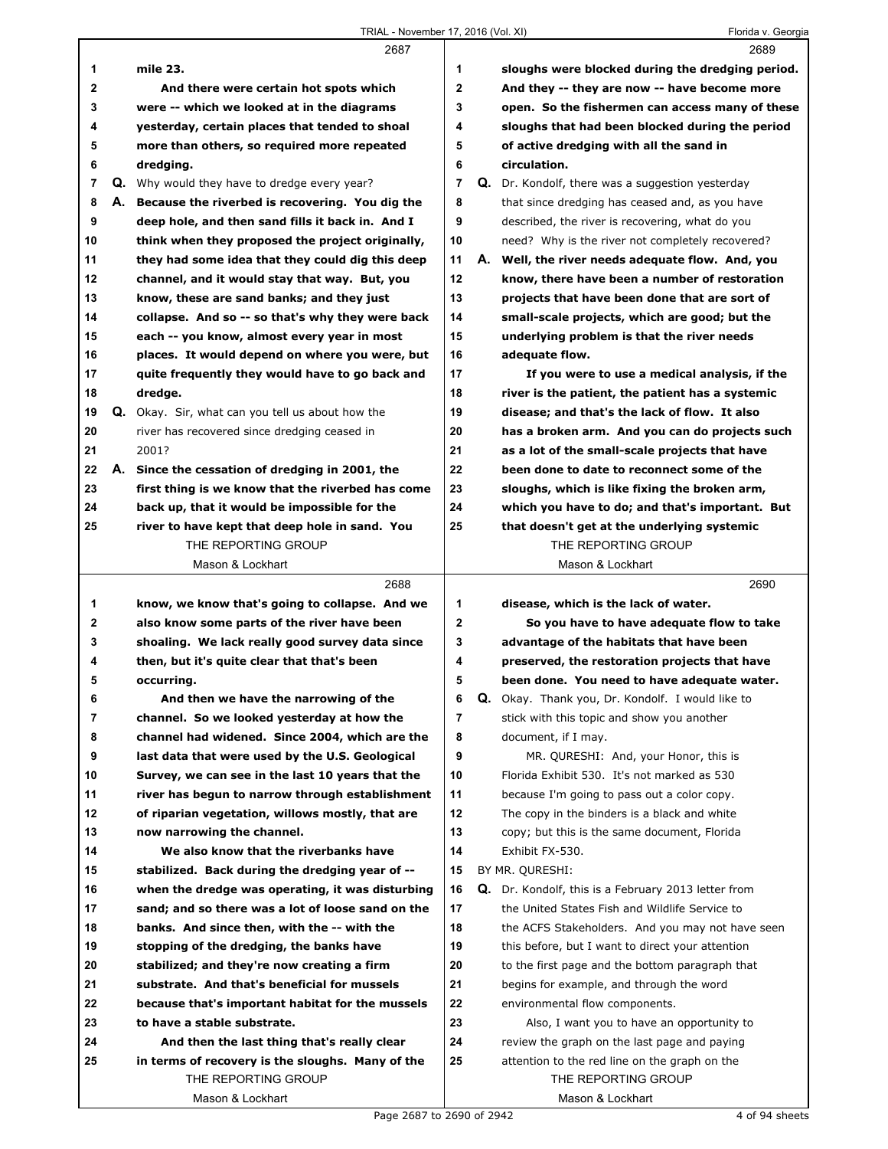|                | 2687                                                    |                | 2689                                                |
|----------------|---------------------------------------------------------|----------------|-----------------------------------------------------|
| 1              | mile 23.                                                | 1              | sloughs were blocked during the dredging period.    |
| $\mathbf{2}$   | And there were certain hot spots which                  | $\mathbf{2}$   | And they -- they are now -- have become more        |
| 3              | were -- which we looked at in the diagrams              | 3              | open. So the fishermen can access many of these     |
| 4              | yesterday, certain places that tended to shoal          | 4              | sloughs that had been blocked during the period     |
| 5              | more than others, so required more repeated             | 5              | of active dredging with all the sand in             |
| 6              | dredging.                                               | 6              | circulation.                                        |
| $\overline{7}$ | Q. Why would they have to dredge every year?            | $\overline{7}$ | Q. Dr. Kondolf, there was a suggestion yesterday    |
| 8              | A. Because the riverbed is recovering. You dig the      | 8              | that since dredging has ceased and, as you have     |
| 9              | deep hole, and then sand fills it back in. And I        | 9              | described, the river is recovering, what do you     |
| 10             | think when they proposed the project originally,        | 10             | need? Why is the river not completely recovered?    |
| 11             | they had some idea that they could dig this deep        | 11             | A. Well, the river needs adequate flow. And, you    |
| 12             | channel, and it would stay that way. But, you           | 12             | know, there have been a number of restoration       |
| 13             | know, these are sand banks; and they just               | 13             | projects that have been done that are sort of       |
| 14             | collapse. And so -- so that's why they were back        | 14             | small-scale projects, which are good; but the       |
| 15             | each -- you know, almost every year in most             | 15             | underlying problem is that the river needs          |
| 16             | places. It would depend on where you were, but          | 16             | adequate flow.                                      |
| 17             | quite frequently they would have to go back and         | 17             | If you were to use a medical analysis, if the       |
| 18             | dredge.                                                 | 18             | river is the patient, the patient has a systemic    |
| 19             | <b>Q.</b> Okay. Sir, what can you tell us about how the | 19             | disease; and that's the lack of flow. It also       |
| 20             | river has recovered since dredging ceased in            | 20             | has a broken arm. And you can do projects such      |
| 21             | 2001?                                                   | 21             | as a lot of the small-scale projects that have      |
| 22             | A. Since the cessation of dredging in 2001, the         | 22             | been done to date to reconnect some of the          |
| 23             | first thing is we know that the riverbed has come       | 23             | sloughs, which is like fixing the broken arm,       |
| 24             | back up, that it would be impossible for the            | 24             | which you have to do; and that's important. But     |
| 25             | river to have kept that deep hole in sand. You          | 25             | that doesn't get at the underlying systemic         |
|                | THE REPORTING GROUP                                     |                | THE REPORTING GROUP                                 |
|                |                                                         |                |                                                     |
|                | Mason & Lockhart                                        |                | Mason & Lockhart                                    |
|                | 2688                                                    |                | 2690                                                |
| 1              | know, we know that's going to collapse. And we          | 1              | disease, which is the lack of water.                |
| $\mathbf{2}$   | also know some parts of the river have been             | $\mathbf{2}$   | So you have to have adequate flow to take           |
| 3              | shoaling. We lack really good survey data since         | 3              | advantage of the habitats that have been            |
| 4              | then, but it's quite clear that that's been             | 4              | preserved, the restoration projects that have       |
| 5              | occurring.                                              | 5              | been done. You need to have adequate water.         |
| 6              | And then we have the narrowing of the                   | 6              | Q. Okay. Thank you, Dr. Kondolf. I would like to    |
| 7              | channel. So we looked yesterday at how the              | 7              | stick with this topic and show you another          |
| 8              | channel had widened. Since 2004, which are the          | 8              | document, if I may.                                 |
| 9              | last data that were used by the U.S. Geological         | 9              | MR. QURESHI: And, your Honor, this is               |
| 10             | Survey, we can see in the last 10 years that the        | 10             | Florida Exhibit 530. It's not marked as 530         |
| 11             | river has begun to narrow through establishment         | 11             | because I'm going to pass out a color copy.         |
| 12             | of riparian vegetation, willows mostly, that are        | 12             | The copy in the binders is a black and white        |
| 13             | now narrowing the channel.                              | 13             | copy; but this is the same document, Florida        |
| 14             | We also know that the riverbanks have                   | 14             | Exhibit FX-530.                                     |
| 15             | stabilized. Back during the dredging year of --         | 15             | BY MR. QURESHI:                                     |
| 16             | when the dredge was operating, it was disturbing        | 16             | Q. Dr. Kondolf, this is a February 2013 letter from |
| 17             | sand; and so there was a lot of loose sand on the       | 17             | the United States Fish and Wildlife Service to      |
| 18             | banks. And since then, with the -- with the             | 18             | the ACFS Stakeholders. And you may not have seen    |
| 19             | stopping of the dredging, the banks have                | 19             | this before, but I want to direct your attention    |
| 20             | stabilized; and they're now creating a firm             | 20             | to the first page and the bottom paragraph that     |
| 21             | substrate. And that's beneficial for mussels            | 21             | begins for example, and through the word            |
| 22             | because that's important habitat for the mussels        | 22             | environmental flow components.                      |
| 23             | to have a stable substrate.                             | 23             | Also, I want you to have an opportunity to          |
| 24             | And then the last thing that's really clear             | 24             | review the graph on the last page and paying        |
| 25             | in terms of recovery is the sloughs. Many of the        | 25             | attention to the red line on the graph on the       |
|                | THE REPORTING GROUP<br>Mason & Lockhart                 |                | THE REPORTING GROUP<br>Mason & Lockhart             |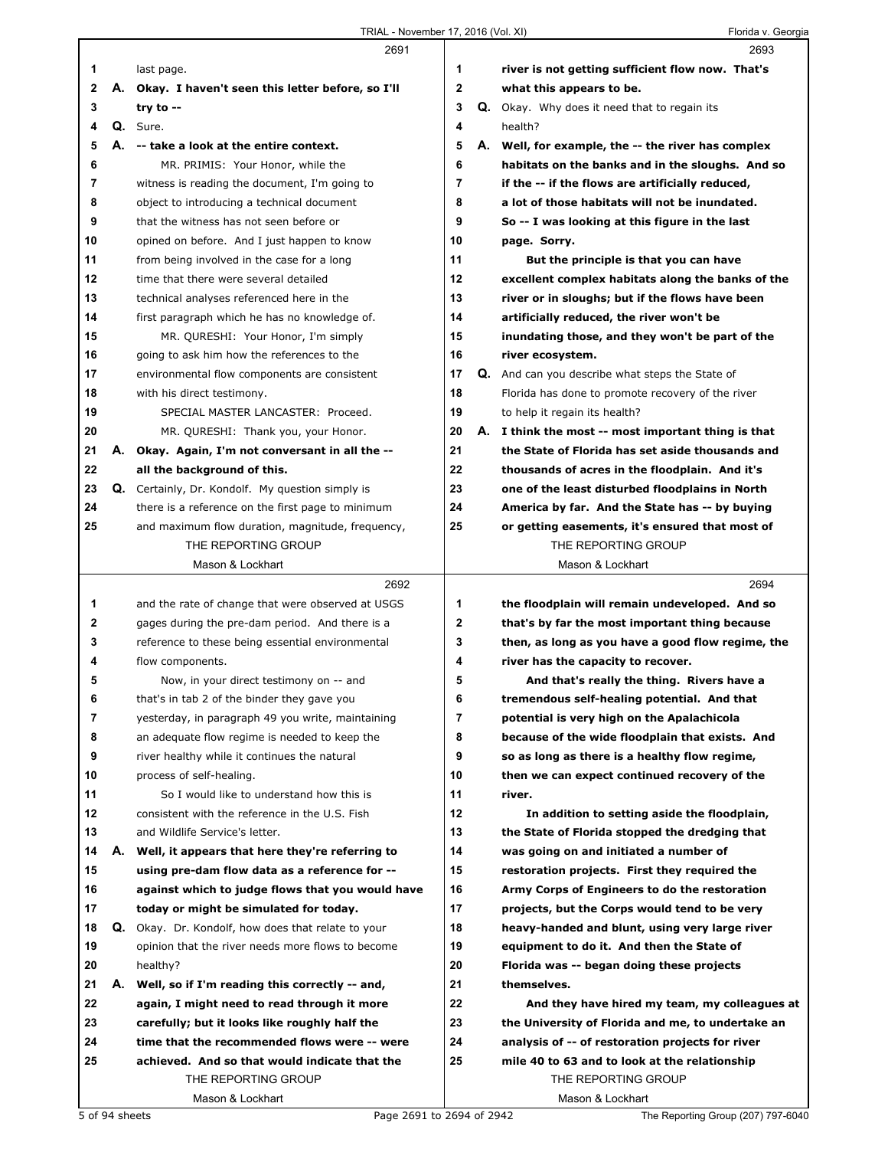|              |    | 2691                                                                                                 |                |    | 2693                                                                                             |
|--------------|----|------------------------------------------------------------------------------------------------------|----------------|----|--------------------------------------------------------------------------------------------------|
| 1            |    | last page.                                                                                           | 1              |    | river is not getting sufficient flow now. That's                                                 |
| $\mathbf{2}$ |    | A. Okay. I haven't seen this letter before, so I'll                                                  | $\mathbf{2}$   |    | what this appears to be.                                                                         |
| 3            |    | try to --                                                                                            | 3              |    | <b>Q.</b> Okay. Why does it need that to regain its                                              |
| 4            |    | Q. Sure.                                                                                             | 4              |    | health?                                                                                          |
| 5            |    | A. -- take a look at the entire context.                                                             | 5              | А. | Well, for example, the -- the river has complex                                                  |
| 6            |    | MR. PRIMIS: Your Honor, while the                                                                    | 6              |    | habitats on the banks and in the sloughs. And so                                                 |
| 7            |    | witness is reading the document, I'm going to                                                        | $\overline{7}$ |    | if the -- if the flows are artificially reduced,                                                 |
| 8            |    | object to introducing a technical document                                                           | 8              |    | a lot of those habitats will not be inundated.                                                   |
| 9            |    | that the witness has not seen before or                                                              | 9              |    | So -- I was looking at this figure in the last                                                   |
| 10           |    | opined on before. And I just happen to know                                                          | 10             |    | page. Sorry.                                                                                     |
| 11           |    | from being involved in the case for a long                                                           | 11             |    | But the principle is that you can have                                                           |
| 12           |    | time that there were several detailed                                                                | 12             |    | excellent complex habitats along the banks of the                                                |
| 13           |    | technical analyses referenced here in the                                                            | 13             |    | river or in sloughs; but if the flows have been                                                  |
| 14           |    | first paragraph which he has no knowledge of.                                                        | 14             |    | artificially reduced, the river won't be                                                         |
| 15           |    | MR. QURESHI: Your Honor, I'm simply                                                                  | 15             |    | inundating those, and they won't be part of the                                                  |
| 16           |    | going to ask him how the references to the                                                           | 16             |    | river ecosystem.                                                                                 |
| 17           |    | environmental flow components are consistent                                                         | 17             |    | <b>Q.</b> And can you describe what steps the State of                                           |
| 18           |    | with his direct testimony.                                                                           | 18             |    | Florida has done to promote recovery of the river                                                |
| 19           |    | SPECIAL MASTER LANCASTER: Proceed.                                                                   | 19             |    | to help it regain its health?                                                                    |
| 20           |    | MR. QURESHI: Thank you, your Honor.                                                                  | 20             |    | A. I think the most -- most important thing is that                                              |
| 21           | А. | Okay. Again, I'm not conversant in all the --                                                        | 21             |    | the State of Florida has set aside thousands and                                                 |
| 22           |    | all the background of this.                                                                          | 22             |    | thousands of acres in the floodplain. And it's                                                   |
| 23           |    | Q. Certainly, Dr. Kondolf. My question simply is                                                     | 23             |    | one of the least disturbed floodplains in North                                                  |
| 24           |    | there is a reference on the first page to minimum                                                    | 24             |    | America by far. And the State has -- by buying                                                   |
| 25           |    | and maximum flow duration, magnitude, frequency,                                                     | 25             |    | or getting easements, it's ensured that most of                                                  |
|              |    | THE REPORTING GROUP                                                                                  |                |    | THE REPORTING GROUP                                                                              |
|              |    | Mason & Lockhart                                                                                     |                |    | Mason & Lockhart                                                                                 |
|              |    |                                                                                                      |                |    |                                                                                                  |
|              |    | 2692                                                                                                 |                |    | 2694                                                                                             |
| 1            |    |                                                                                                      | 1              |    |                                                                                                  |
| $\mathbf{2}$ |    | and the rate of change that were observed at USGS<br>gages during the pre-dam period. And there is a | 2              |    | the floodplain will remain undeveloped. And so<br>that's by far the most important thing because |
| 3            |    | reference to these being essential environmental                                                     | 3              |    | then, as long as you have a good flow regime, the                                                |
| 4            |    | flow components.                                                                                     | 4              |    | river has the capacity to recover.                                                               |
| 5            |    | Now, in your direct testimony on -- and                                                              | 5              |    | And that's really the thing. Rivers have a                                                       |
|              |    |                                                                                                      |                |    |                                                                                                  |
| 6<br>7       |    | that's in tab 2 of the binder they gave you<br>yesterday, in paragraph 49 you write, maintaining     | 6<br>7         |    | tremendous self-healing potential. And that<br>potential is very high on the Apalachicola        |
| 8            |    | an adequate flow regime is needed to keep the                                                        | 8              |    | because of the wide floodplain that exists. And                                                  |
| 9            |    | river healthy while it continues the natural                                                         | 9              |    | so as long as there is a healthy flow regime,                                                    |
| 10           |    | process of self-healing.                                                                             | 10             |    | then we can expect continued recovery of the                                                     |
| 11           |    | So I would like to understand how this is                                                            | 11             |    | river.                                                                                           |
| 12           |    | consistent with the reference in the U.S. Fish                                                       | 12             |    | In addition to setting aside the floodplain,                                                     |
| 13           |    | and Wildlife Service's letter.                                                                       | 13             |    | the State of Florida stopped the dredging that                                                   |
| 14           |    | A. Well, it appears that here they're referring to                                                   | 14             |    | was going on and initiated a number of                                                           |
| 15           |    | using pre-dam flow data as a reference for --                                                        | 15             |    | restoration projects. First they required the                                                    |
| 16           |    | against which to judge flows that you would have                                                     | 16             |    | Army Corps of Engineers to do the restoration                                                    |
| 17           |    | today or might be simulated for today.                                                               | 17             |    | projects, but the Corps would tend to be very                                                    |
| 18           |    | Q. Okay. Dr. Kondolf, how does that relate to your                                                   | 18             |    | heavy-handed and blunt, using very large river                                                   |
| 19           |    | opinion that the river needs more flows to become                                                    | 19             |    | equipment to do it. And then the State of                                                        |
| 20           |    | healthy?                                                                                             | 20             |    | Florida was -- began doing these projects                                                        |
| 21           |    | A. Well, so if I'm reading this correctly -- and,                                                    | 21             |    | themselves.                                                                                      |
| 22           |    | again, I might need to read through it more                                                          | 22             |    | And they have hired my team, my colleagues at                                                    |
| 23           |    | carefully; but it looks like roughly half the                                                        | 23             |    | the University of Florida and me, to undertake an                                                |
| 24           |    | time that the recommended flows were -- were                                                         | 24             |    | analysis of -- of restoration projects for river                                                 |
| 25           |    | achieved. And so that would indicate that the                                                        | 25             |    | mile 40 to 63 and to look at the relationship                                                    |
|              |    | THE REPORTING GROUP                                                                                  |                |    | THE REPORTING GROUP                                                                              |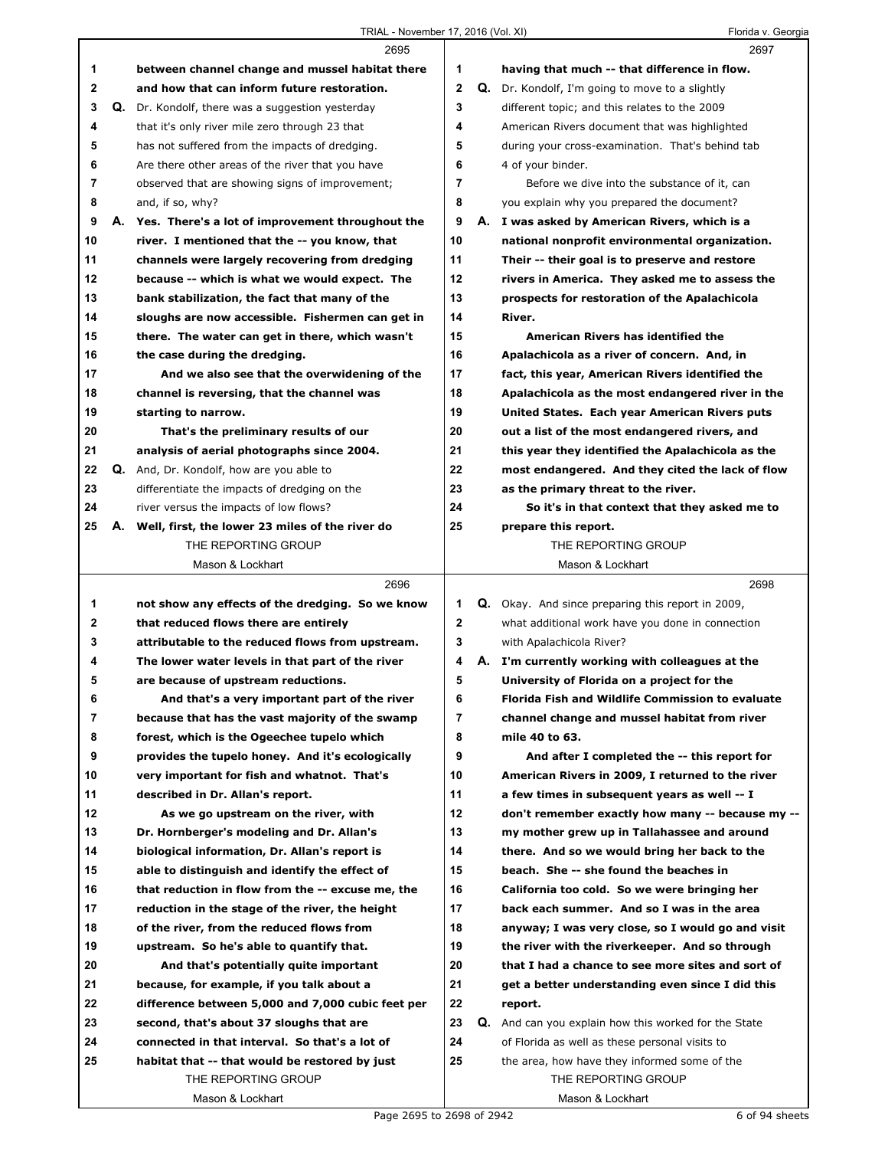|                | 2695                                                |                |    | 2697                                                    |
|----------------|-----------------------------------------------------|----------------|----|---------------------------------------------------------|
| 1              | between channel change and mussel habitat there     | 1              |    | having that much -- that difference in flow.            |
| $\mathbf{2}$   | and how that can inform future restoration.         | $\mathbf 2$    | Q. | Dr. Kondolf, I'm going to move to a slightly            |
| 3              | Q. Dr. Kondolf, there was a suggestion yesterday    | 3              |    | different topic; and this relates to the 2009           |
| 4              | that it's only river mile zero through 23 that      | 4              |    | American Rivers document that was highlighted           |
| 5              | has not suffered from the impacts of dredging.      | 5              |    | during your cross-examination. That's behind tab        |
| 6              | Are there other areas of the river that you have    | 6              |    | 4 of your binder.                                       |
| $\overline{7}$ | observed that are showing signs of improvement;     | $\overline{7}$ |    | Before we dive into the substance of it, can            |
| 8              | and, if so, why?                                    | 8              |    | you explain why you prepared the document?              |
| 9              | A. Yes. There's a lot of improvement throughout the | 9              |    | A. I was asked by American Rivers, which is a           |
| 10             | river. I mentioned that the -- you know, that       | 10             |    | national nonprofit environmental organization.          |
| 11             | channels were largely recovering from dredging      | 11             |    | Their -- their goal is to preserve and restore          |
| 12             | because -- which is what we would expect. The       | 12             |    | rivers in America. They asked me to assess the          |
| 13             | bank stabilization, the fact that many of the       | 13             |    | prospects for restoration of the Apalachicola           |
| 14             | sloughs are now accessible. Fishermen can get in    | 14             |    | River.                                                  |
| 15             | there. The water can get in there, which wasn't     | 15             |    | American Rivers has identified the                      |
| 16             | the case during the dredging.                       | 16             |    | Apalachicola as a river of concern. And, in             |
| 17             | And we also see that the overwidening of the        | 17             |    | fact, this year, American Rivers identified the         |
| 18             | channel is reversing, that the channel was          | 18             |    | Apalachicola as the most endangered river in the        |
| 19             | starting to narrow.                                 | 19             |    | United States. Each year American Rivers puts           |
| 20             | That's the preliminary results of our               | 20             |    | out a list of the most endangered rivers, and           |
| 21             | analysis of aerial photographs since 2004.          | 21             |    | this year they identified the Apalachicola as the       |
| 22             | Q. And, Dr. Kondolf, how are you able to            | 22             |    | most endangered. And they cited the lack of flow        |
| 23             | differentiate the impacts of dredging on the        | 23             |    | as the primary threat to the river.                     |
| 24             | river versus the impacts of low flows?              | 24             |    | So it's in that context that they asked me to           |
| 25             | A. Well, first, the lower 23 miles of the river do  | 25             |    | prepare this report.                                    |
|                | THE REPORTING GROUP                                 |                |    | THE REPORTING GROUP                                     |
|                | Mason & Lockhart                                    |                |    | Mason & Lockhart                                        |
|                | 2696                                                |                |    | 2698                                                    |
|                |                                                     |                |    |                                                         |
|                |                                                     |                |    |                                                         |
| 1              | not show any effects of the dredging. So we know    | 1              |    | Q. Okay. And since preparing this report in 2009,       |
| $\mathbf{2}$   | that reduced flows there are entirely               | $\mathbf{2}$   |    | what additional work have you done in connection        |
| 3              | attributable to the reduced flows from upstream.    | 3              |    | with Apalachicola River?                                |
| 4              | The lower water levels in that part of the river    | 4              |    | A. I'm currently working with colleagues at the         |
| 5              | are because of upstream reductions.                 | 5              |    | University of Florida on a project for the              |
| 6              | And that's a very important part of the river       | 6              |    | <b>Florida Fish and Wildlife Commission to evaluate</b> |
| 7              | because that has the vast majority of the swamp     | 7              |    | channel change and mussel habitat from river            |
| 8              | forest, which is the Ogeechee tupelo which          | 8              |    | mile 40 to 63.                                          |
| 9              | provides the tupelo honey. And it's ecologically    | 9              |    | And after I completed the -- this report for            |
| 10             | very important for fish and whatnot. That's         | 10             |    | American Rivers in 2009, I returned to the river        |
| 11             | described in Dr. Allan's report.                    | 11             |    | a few times in subsequent years as well -- I            |
| 12             | As we go upstream on the river, with                | 12             |    | don't remember exactly how many -- because my --        |
| 13             | Dr. Hornberger's modeling and Dr. Allan's           | 13             |    | my mother grew up in Tallahassee and around             |
| 14             | biological information, Dr. Allan's report is       | 14             |    | there. And so we would bring her back to the            |
| 15             | able to distinguish and identify the effect of      | 15             |    | beach. She -- she found the beaches in                  |
| 16             | that reduction in flow from the -- excuse me, the   | 16             |    | California too cold. So we were bringing her            |
| 17             | reduction in the stage of the river, the height     | 17             |    | back each summer. And so I was in the area              |
| 18             | of the river, from the reduced flows from           | 18             |    | anyway; I was very close, so I would go and visit       |
| 19             | upstream. So he's able to quantify that.            | 19             |    | the river with the riverkeeper. And so through          |
| 20             | And that's potentially quite important              | 20             |    | that I had a chance to see more sites and sort of       |
| 21             | because, for example, if you talk about a           | 21             |    | get a better understanding even since I did this        |
| 22             | difference between 5,000 and 7,000 cubic feet per   | 22             |    | report.                                                 |
| 23             | second, that's about 37 sloughs that are            | 23             |    | Q. And can you explain how this worked for the State    |
| 24             | connected in that interval. So that's a lot of      | 24             |    | of Florida as well as these personal visits to          |
| 25             | habitat that -- that would be restored by just      | 25             |    | the area, how have they informed some of the            |
|                | THE REPORTING GROUP<br>Mason & Lockhart             |                |    | THE REPORTING GROUP<br>Mason & Lockhart                 |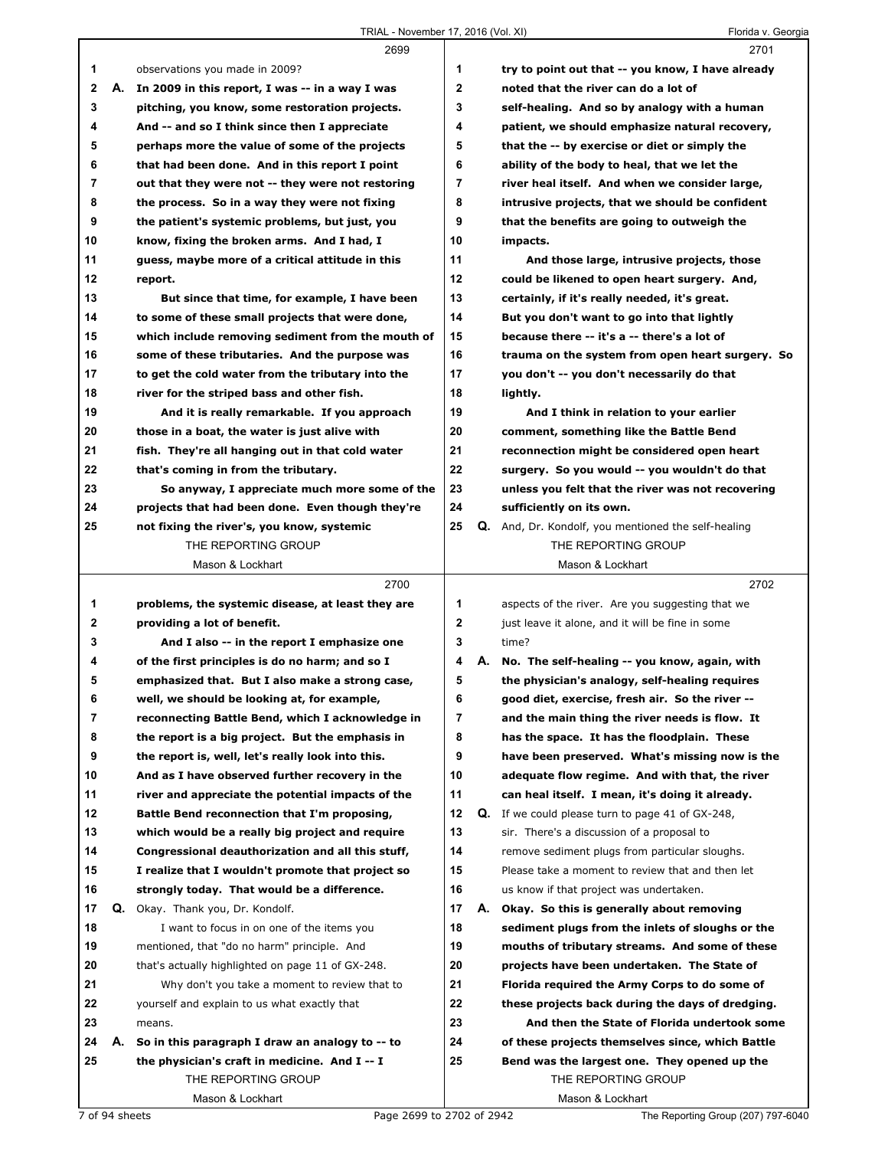| TRIAL - November 17, 2016 (Vol. XI) |  |  |  |
|-------------------------------------|--|--|--|
|                                     |  |  |  |

Florida v. Georgia

|    |    | 2699                                              |              |    | 2701                                                       |
|----|----|---------------------------------------------------|--------------|----|------------------------------------------------------------|
| 1  |    | observations you made in 2009?                    | 1            |    | try to point out that -- you know, I have already          |
| 2  | А. | In 2009 in this report, I was -- in a way I was   | $\mathbf{2}$ |    | noted that the river can do a lot of                       |
| 3  |    | pitching, you know, some restoration projects.    | 3            |    | self-healing. And so by analogy with a human               |
| 4  |    | And -- and so I think since then I appreciate     | 4            |    | patient, we should emphasize natural recovery,             |
| 5  |    | perhaps more the value of some of the projects    | 5            |    | that the -- by exercise or diet or simply the              |
| 6  |    | that had been done. And in this report I point    | 6            |    | ability of the body to heal, that we let the               |
| 7  |    | out that they were not -- they were not restoring | 7            |    | river heal itself. And when we consider large,             |
| 8  |    | the process. So in a way they were not fixing     | 8            |    | intrusive projects, that we should be confident            |
| 9  |    | the patient's systemic problems, but just, you    | 9            |    | that the benefits are going to outweigh the                |
| 10 |    | know, fixing the broken arms. And I had, I        | 10           |    | impacts.                                                   |
| 11 |    | guess, maybe more of a critical attitude in this  | 11           |    | And those large, intrusive projects, those                 |
| 12 |    | report.                                           | 12           |    | could be likened to open heart surgery. And,               |
| 13 |    | But since that time, for example, I have been     | 13           |    | certainly, if it's really needed, it's great.              |
| 14 |    | to some of these small projects that were done,   | 14           |    | But you don't want to go into that lightly                 |
| 15 |    | which include removing sediment from the mouth of | 15           |    | because there -- it's a -- there's a lot of                |
| 16 |    | some of these tributaries. And the purpose was    | 16           |    | trauma on the system from open heart surgery. So           |
| 17 |    | to get the cold water from the tributary into the | 17           |    | you don't -- you don't necessarily do that                 |
| 18 |    | river for the striped bass and other fish.        | 18           |    | lightly.                                                   |
| 19 |    | And it is really remarkable. If you approach      | 19           |    | And I think in relation to your earlier                    |
| 20 |    | those in a boat, the water is just alive with     | 20           |    | comment, something like the Battle Bend                    |
| 21 |    | fish. They're all hanging out in that cold water  | 21           |    | reconnection might be considered open heart                |
| 22 |    | that's coming in from the tributary.              | 22           |    | surgery. So you would -- you wouldn't do that              |
| 23 |    | So anyway, I appreciate much more some of the     | 23           |    | unless you felt that the river was not recovering          |
| 24 |    | projects that had been done. Even though they're  | 24           |    | sufficiently on its own.                                   |
| 25 |    | not fixing the river's, you know, systemic        | 25           |    | <b>Q.</b> And, Dr. Kondolf, you mentioned the self-healing |
|    |    | THE REPORTING GROUP                               |              |    | THE REPORTING GROUP                                        |
|    |    | Mason & Lockhart                                  |              |    | Mason & Lockhart                                           |
|    |    |                                                   |              |    |                                                            |
|    |    | 2700                                              |              |    | 2702                                                       |
| 1  |    | problems, the systemic disease, at least they are | 1            |    | aspects of the river. Are you suggesting that we           |
| 2  |    | providing a lot of benefit.                       | $\mathbf{2}$ |    | just leave it alone, and it will be fine in some           |
| 3  |    | And I also -- in the report I emphasize one       | 3            |    | time?                                                      |
| 4  |    | of the first principles is do no harm; and so I   | 4            | А. | No. The self-healing -- you know, again, with              |
| 5  |    | emphasized that. But I also make a strong case,   | 5            |    | the physician's analogy, self-healing requires             |
| 6  |    | well, we should be looking at, for example,       | 6            |    | good diet, exercise, fresh air. So the river --            |
| 7  |    | reconnecting Battle Bend, which I acknowledge in  | 7            |    | and the main thing the river needs is flow. It             |
| 8  |    | the report is a big project. But the emphasis in  | 8            |    | has the space. It has the floodplain. These                |
| 9  |    | the report is, well, let's really look into this. | 9            |    | have been preserved. What's missing now is the             |
| 10 |    | And as I have observed further recovery in the    | 10           |    | adequate flow regime. And with that, the river             |
| 11 |    | river and appreciate the potential impacts of the | 11           |    | can heal itself. I mean, it's doing it already.            |
| 12 |    | Battle Bend reconnection that I'm proposing,      | 12           | Q. | If we could please turn to page 41 of GX-248,              |
| 13 |    | which would be a really big project and require   | 13           |    | sir. There's a discussion of a proposal to                 |
| 14 |    | Congressional deauthorization and all this stuff, | 14           |    | remove sediment plugs from particular sloughs.             |
| 15 |    | I realize that I wouldn't promote that project so | 15           |    | Please take a moment to review that and then let           |
| 16 |    | strongly today. That would be a difference.       | 16           |    | us know if that project was undertaken.                    |
| 17 | Q. | Okay. Thank you, Dr. Kondolf.                     | 17           | А. | Okay. So this is generally about removing                  |
| 18 |    | I want to focus in on one of the items you        | 18           |    | sediment plugs from the inlets of sloughs or the           |
| 19 |    | mentioned, that "do no harm" principle. And       | 19           |    | mouths of tributary streams. And some of these             |
| 20 |    | that's actually highlighted on page 11 of GX-248. | 20           |    | projects have been undertaken. The State of                |
| 21 |    | Why don't you take a moment to review that to     | 21           |    | Florida required the Army Corps to do some of              |
| 22 |    | yourself and explain to us what exactly that      | 22           |    | these projects back during the days of dredging.           |
| 23 |    | means.                                            | 23           |    | And then the State of Florida undertook some               |
| 24 | А. | So in this paragraph I draw an analogy to -- to   | 24           |    | of these projects themselves since, which Battle           |
| 25 |    | the physician's craft in medicine. And I -- I     | 25           |    | Bend was the largest one. They opened up the               |
|    |    | THE REPORTING GROUP                               |              |    | THE REPORTING GROUP                                        |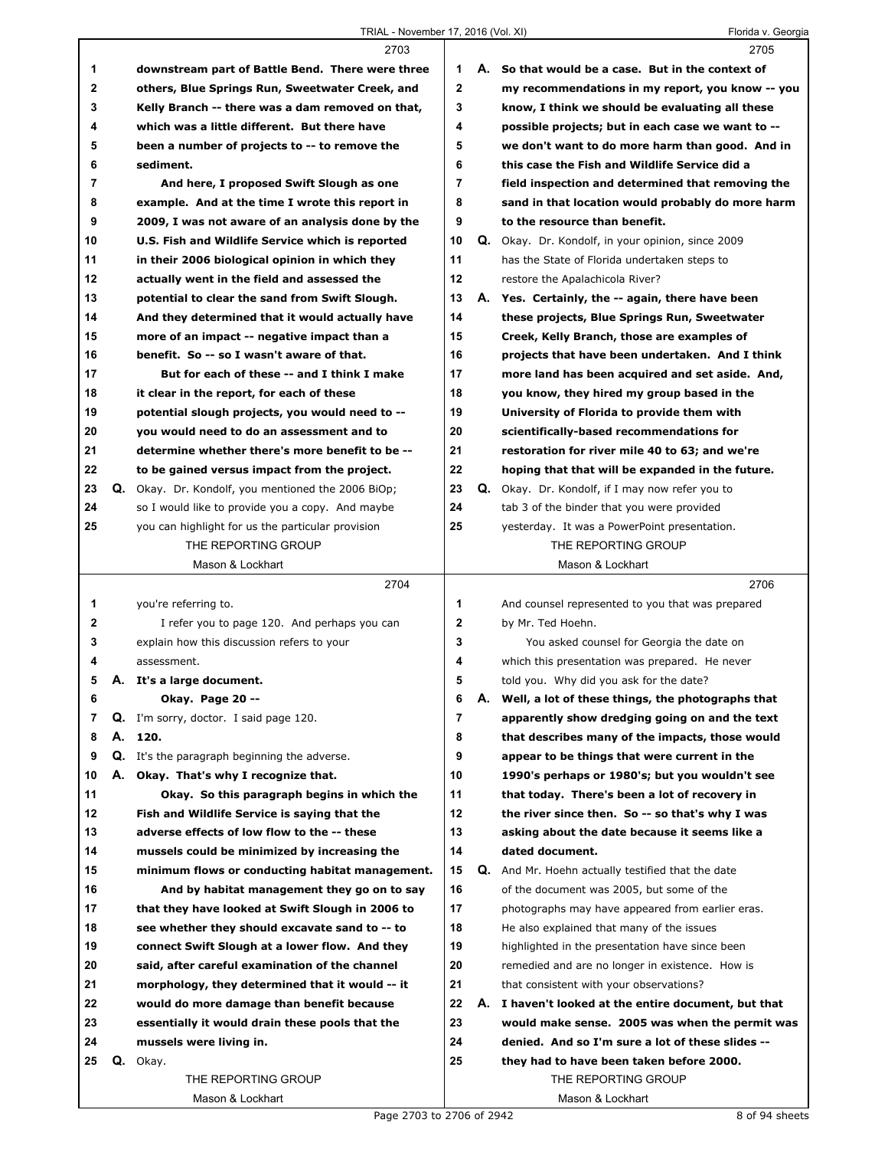|             |    | 2703                                                      |                | 2705                                                   |
|-------------|----|-----------------------------------------------------------|----------------|--------------------------------------------------------|
| 1           |    | downstream part of Battle Bend. There were three          | 1.             | A. So that would be a case. But in the context of      |
| $\mathbf 2$ |    | others, Blue Springs Run, Sweetwater Creek, and           | $\mathbf{2}$   | my recommendations in my report, you know -- you       |
| 3           |    | Kelly Branch -- there was a dam removed on that,          | 3              | know, I think we should be evaluating all these        |
| 4           |    | which was a little different. But there have              | 4              | possible projects; but in each case we want to --      |
| 5           |    | been a number of projects to -- to remove the             | 5              | we don't want to do more harm than good. And in        |
| 6           |    | sediment.                                                 | 6              | this case the Fish and Wildlife Service did a          |
| 7           |    | And here, I proposed Swift Slough as one                  | $\overline{7}$ | field inspection and determined that removing the      |
| 8           |    | example. And at the time I wrote this report in           | 8              | sand in that location would probably do more harm      |
| 9           |    | 2009, I was not aware of an analysis done by the          | 9              | to the resource than benefit.                          |
| 10          |    | U.S. Fish and Wildlife Service which is reported          | 10             | Q. Okay. Dr. Kondolf, in your opinion, since 2009      |
| 11          |    | in their 2006 biological opinion in which they            | 11             | has the State of Florida undertaken steps to           |
| 12          |    | actually went in the field and assessed the               | 12             | restore the Apalachicola River?                        |
| 13          |    | potential to clear the sand from Swift Slough.            | 13             | A. Yes. Certainly, the -- again, there have been       |
| 14          |    | And they determined that it would actually have           | 14             | these projects, Blue Springs Run, Sweetwater           |
| 15          |    | more of an impact -- negative impact than a               | 15             | Creek, Kelly Branch, those are examples of             |
| 16          |    | benefit. So -- so I wasn't aware of that.                 | 16             | projects that have been undertaken. And I think        |
| 17          |    | But for each of these -- and I think I make               | 17             | more land has been acquired and set aside. And,        |
| 18          |    | it clear in the report, for each of these                 | 18             | you know, they hired my group based in the             |
| 19          |    | potential slough projects, you would need to --           | 19             | University of Florida to provide them with             |
| 20          |    | you would need to do an assessment and to                 | 20             | scientifically-based recommendations for               |
| 21          |    | determine whether there's more benefit to be --           | 21             | restoration for river mile 40 to 63; and we're         |
| 22          |    | to be gained versus impact from the project.              | 22             | hoping that that will be expanded in the future.       |
| 23          |    | <b>Q.</b> Okay. Dr. Kondolf, you mentioned the 2006 BiOp; | 23             | <b>Q.</b> Okay. Dr. Kondolf, if I may now refer you to |
| 24          |    | so I would like to provide you a copy. And maybe          | 24             | tab 3 of the binder that you were provided             |
| 25          |    | you can highlight for us the particular provision         | 25             | yesterday. It was a PowerPoint presentation.           |
|             |    | THE REPORTING GROUP                                       |                | THE REPORTING GROUP                                    |
|             |    | Mason & Lockhart                                          |                | Mason & Lockhart                                       |
|             |    |                                                           |                |                                                        |
|             |    |                                                           |                |                                                        |
|             |    | 2704                                                      |                | 2706                                                   |
| 1           |    | you're referring to.                                      | 1              | And counsel represented to you that was prepared       |
| 2           |    | I refer you to page 120. And perhaps you can              | $\mathbf{2}$   | by Mr. Ted Hoehn.                                      |
| 3           |    | explain how this discussion refers to your                | 3              | You asked counsel for Georgia the date on              |
| 4           |    | assessment.                                               | 4              | which this presentation was prepared. He never         |
| 5           |    | A. It's a large document.                                 | 5              | told you. Why did you ask for the date?                |
| 6           |    | Okay. Page 20 --                                          | 6              | A. Well, a lot of these things, the photographs that   |
| 7           | Q. | I'm sorry, doctor. I said page 120.                       | 7              | apparently show dredging going on and the text         |
| 8           |    | A. 120.                                                   | 8              | that describes many of the impacts, those would        |
| 9           | Q. | It's the paragraph beginning the adverse.                 | 9              | appear to be things that were current in the           |
| 10          | А. | Okay. That's why I recognize that.                        | 10             | 1990's perhaps or 1980's; but you wouldn't see         |
| 11          |    | Okay. So this paragraph begins in which the               | 11             | that today. There's been a lot of recovery in          |
| 12          |    | Fish and Wildlife Service is saying that the              | 12             | the river since then. So -- so that's why I was        |
| 13          |    | adverse effects of low flow to the -- these               | 13             | asking about the date because it seems like a          |
| 14          |    | mussels could be minimized by increasing the              | 14             | dated document.                                        |
| 15          |    | minimum flows or conducting habitat management.           | 15             | Q. And Mr. Hoehn actually testified that the date      |
| 16          |    | And by habitat management they go on to say               | 16             | of the document was 2005, but some of the              |
| 17          |    | that they have looked at Swift Slough in 2006 to          | 17             | photographs may have appeared from earlier eras.       |
| 18          |    | see whether they should excavate sand to -- to            | 18             | He also explained that many of the issues              |
| 19          |    | connect Swift Slough at a lower flow. And they            | 19             | highlighted in the presentation have since been        |
| 20          |    | said, after careful examination of the channel            | 20             | remedied and are no longer in existence. How is        |
| 21          |    | morphology, they determined that it would -- it           | 21             | that consistent with your observations?                |
| 22          |    | would do more damage than benefit because                 | 22             | A. I haven't looked at the entire document, but that   |
| 23          |    | essentially it would drain these pools that the           | 23             | would make sense. 2005 was when the permit was         |
| 24          |    | mussels were living in.                                   | 24             | denied. And so I'm sure a lot of these slides --       |
| 25          |    | Q. Okay.                                                  | 25             | they had to have been taken before 2000.               |
|             |    | THE REPORTING GROUP<br>Mason & Lockhart                   |                | THE REPORTING GROUP<br>Mason & Lockhart                |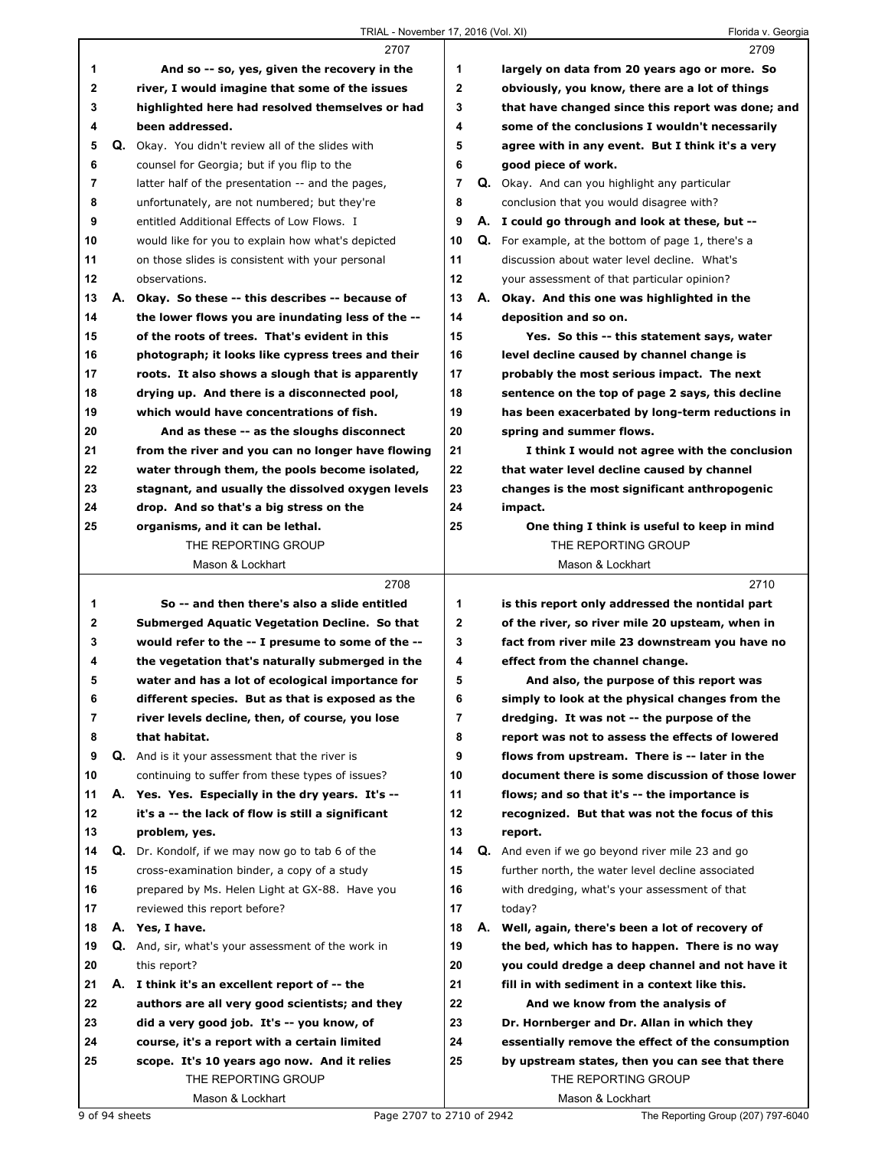|    |    | 2707                                                                                                  |                |    | 2709                                                                                          |
|----|----|-------------------------------------------------------------------------------------------------------|----------------|----|-----------------------------------------------------------------------------------------------|
| 1  |    | And so -- so, yes, given the recovery in the                                                          | 1              |    | largely on data from 20 years ago or more. So                                                 |
| 2  |    | river, I would imagine that some of the issues                                                        | $\mathbf 2$    |    | obviously, you know, there are a lot of things                                                |
| 3  |    | highlighted here had resolved themselves or had                                                       | 3              |    | that have changed since this report was done; and                                             |
| 4  |    | been addressed.                                                                                       | 4              |    | some of the conclusions I wouldn't necessarily                                                |
| 5  | Q. | Okay. You didn't review all of the slides with                                                        | 5              |    | agree with in any event. But I think it's a very                                              |
| 6  |    | counsel for Georgia; but if you flip to the                                                           | 6              |    | good piece of work.                                                                           |
| 7  |    | latter half of the presentation -- and the pages,                                                     | $\overline{7}$ |    | <b>Q.</b> Okay. And can you highlight any particular                                          |
| 8  |    | unfortunately, are not numbered; but they're                                                          | 8              |    | conclusion that you would disagree with?                                                      |
| 9  |    | entitled Additional Effects of Low Flows. I                                                           | 9              |    | A. I could go through and look at these, but --                                               |
| 10 |    | would like for you to explain how what's depicted                                                     | 10             |    | <b>Q.</b> For example, at the bottom of page 1, there's a                                     |
| 11 |    | on those slides is consistent with your personal                                                      | 11             |    | discussion about water level decline. What's                                                  |
| 12 |    | observations.                                                                                         | 12             |    | your assessment of that particular opinion?                                                   |
| 13 |    | A. Okay. So these -- this describes -- because of                                                     | 13             |    | A. Okay. And this one was highlighted in the                                                  |
| 14 |    | the lower flows you are inundating less of the --                                                     | 14             |    | deposition and so on.                                                                         |
| 15 |    | of the roots of trees. That's evident in this                                                         | 15             |    | Yes. So this -- this statement says, water                                                    |
| 16 |    | photograph; it looks like cypress trees and their                                                     | 16             |    | level decline caused by channel change is                                                     |
| 17 |    | roots. It also shows a slough that is apparently                                                      | 17             |    | probably the most serious impact. The next                                                    |
| 18 |    | drying up. And there is a disconnected pool,                                                          | 18             |    | sentence on the top of page 2 says, this decline                                              |
| 19 |    | which would have concentrations of fish.                                                              | 19             |    | has been exacerbated by long-term reductions in                                               |
| 20 |    | And as these -- as the sloughs disconnect                                                             | 20             |    | spring and summer flows.                                                                      |
| 21 |    | from the river and you can no longer have flowing                                                     | 21             |    | I think I would not agree with the conclusion                                                 |
| 22 |    | water through them, the pools become isolated,                                                        | 22             |    | that water level decline caused by channel                                                    |
| 23 |    | stagnant, and usually the dissolved oxygen levels                                                     | 23             |    | changes is the most significant anthropogenic                                                 |
| 24 |    | drop. And so that's a big stress on the                                                               | 24             |    | impact.                                                                                       |
| 25 |    | organisms, and it can be lethal.                                                                      | 25             |    | One thing I think is useful to keep in mind                                                   |
|    |    | THE REPORTING GROUP                                                                                   |                |    | THE REPORTING GROUP                                                                           |
|    |    | Mason & Lockhart                                                                                      |                |    | Mason & Lockhart                                                                              |
|    |    |                                                                                                       |                |    |                                                                                               |
|    |    | 2708                                                                                                  |                |    | 2710                                                                                          |
| 1  |    | So -- and then there's also a slide entitled                                                          | 1              |    |                                                                                               |
| 2  |    |                                                                                                       | $\mathbf 2$    |    | is this report only addressed the nontidal part                                               |
| 3  |    | Submerged Aquatic Vegetation Decline. So that                                                         | 3              |    | of the river, so river mile 20 upsteam, when in                                               |
| 4  |    | would refer to the -- I presume to some of the --<br>the vegetation that's naturally submerged in the | 4              |    | fact from river mile 23 downstream you have no<br>effect from the channel change.             |
| 5  |    | water and has a lot of ecological importance for                                                      | 5              |    | And also, the purpose of this report was                                                      |
| 6  |    |                                                                                                       | 6              |    |                                                                                               |
| 7  |    | different species. But as that is exposed as the<br>river levels decline, then, of course, you lose   | 7              |    | simply to look at the physical changes from the<br>dredging. It was not -- the purpose of the |
| 8  |    | that habitat.                                                                                         | 8              |    | report was not to assess the effects of lowered                                               |
| 9  |    | Q. And is it your assessment that the river is                                                        | 9              |    | flows from upstream. There is -- later in the                                                 |
| 10 |    | continuing to suffer from these types of issues?                                                      | 10             |    | document there is some discussion of those lower                                              |
| 11 |    | A. Yes. Yes. Especially in the dry years. It's --                                                     | 11             |    | flows; and so that it's -- the importance is                                                  |
| 12 |    | it's a -- the lack of flow is still a significant                                                     | 12             |    |                                                                                               |
| 13 |    | problem, yes.                                                                                         | 13             |    | recognized. But that was not the focus of this<br>report.                                     |
| 14 | Q. | Dr. Kondolf, if we may now go to tab 6 of the                                                         | 14             |    | <b>Q.</b> And even if we go beyond river mile 23 and go                                       |
| 15 |    | cross-examination binder, a copy of a study                                                           | 15             |    | further north, the water level decline associated                                             |
| 16 |    | prepared by Ms. Helen Light at GX-88. Have you                                                        | 16             |    | with dredging, what's your assessment of that                                                 |
| 17 |    | reviewed this report before?                                                                          | 17             |    | today?                                                                                        |
| 18 |    | A. Yes, I have.                                                                                       | 18             | А. | Well, again, there's been a lot of recovery of                                                |
| 19 |    | Q. And, sir, what's your assessment of the work in                                                    | 19             |    | the bed, which has to happen. There is no way                                                 |
| 20 |    | this report?                                                                                          | 20             |    | you could dredge a deep channel and not have it                                               |
| 21 |    | A. I think it's an excellent report of -- the                                                         | 21             |    | fill in with sediment in a context like this.                                                 |
| 22 |    | authors are all very good scientists; and they                                                        | 22             |    | And we know from the analysis of                                                              |
| 23 |    | did a very good job. It's -- you know, of                                                             | 23             |    | Dr. Hornberger and Dr. Allan in which they                                                    |
| 24 |    | course, it's a report with a certain limited                                                          | 24             |    | essentially remove the effect of the consumption                                              |
| 25 |    | scope. It's 10 years ago now. And it relies                                                           | 25             |    | by upstream states, then you can see that there                                               |
|    |    | THE REPORTING GROUP                                                                                   |                |    | THE REPORTING GROUP                                                                           |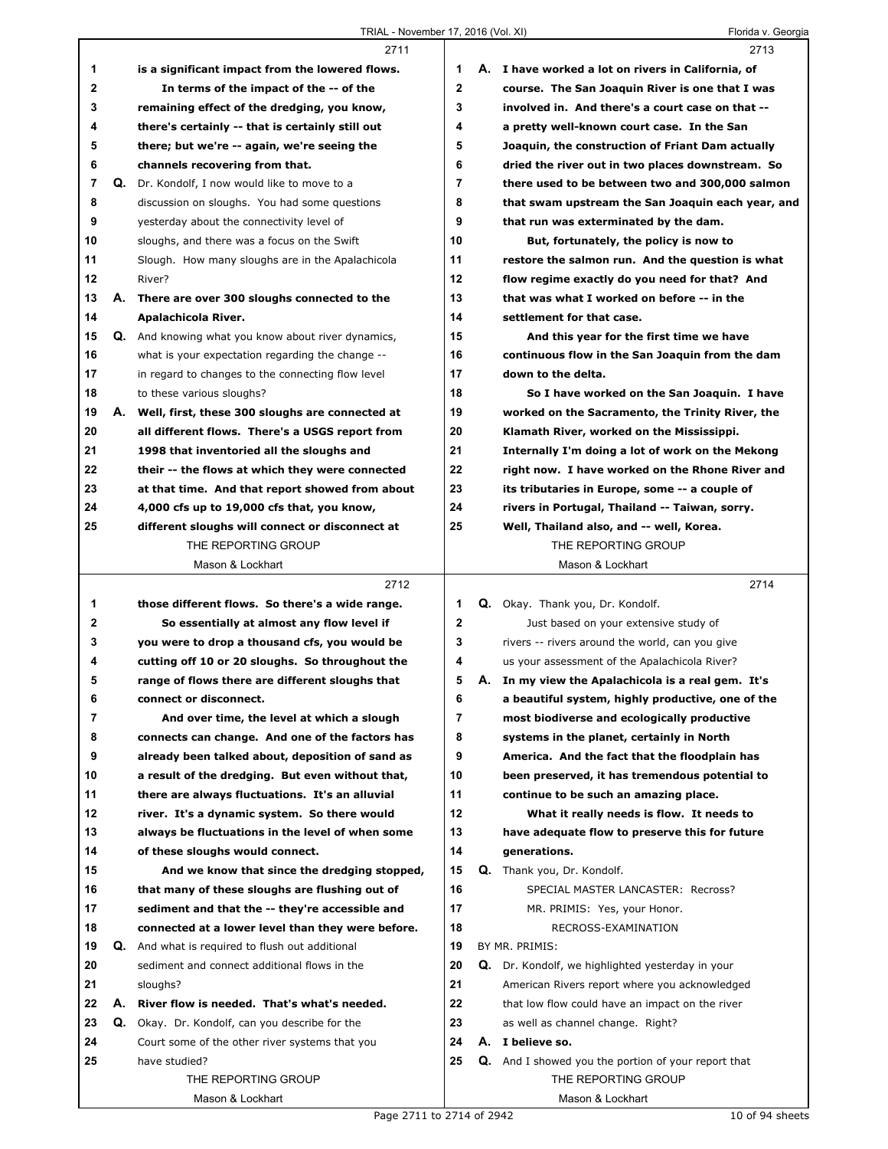|    |    | 2711                                                   |              | 2713                                                       |
|----|----|--------------------------------------------------------|--------------|------------------------------------------------------------|
| 1  |    | is a significant impact from the lowered flows.        | 1            | A. I have worked a lot on rivers in California, of         |
| 2  |    | In terms of the impact of the -- of the                | $\mathbf{2}$ | course. The San Joaquin River is one that I was            |
| 3  |    | remaining effect of the dredging, you know,            | 3            | involved in. And there's a court case on that --           |
| 4  |    | there's certainly -- that is certainly still out       | 4            | a pretty well-known court case. In the San                 |
| 5  |    | there; but we're -- again, we're seeing the            | 5            | Joaquin, the construction of Friant Dam actually           |
| 6  |    | channels recovering from that.                         | 6            | dried the river out in two places downstream. So           |
| 7  |    | Q. Dr. Kondolf, I now would like to move to a          | 7            | there used to be between two and 300,000 salmon            |
| 8  |    | discussion on sloughs. You had some questions          | 8            | that swam upstream the San Joaquin each year, and          |
| 9  |    | yesterday about the connectivity level of              | 9            | that run was exterminated by the dam.                      |
| 10 |    | sloughs, and there was a focus on the Swift            | 10           | But, fortunately, the policy is now to                     |
| 11 |    | Slough. How many sloughs are in the Apalachicola       | 11           | restore the salmon run. And the question is what           |
| 12 |    | River?                                                 | 12           | flow regime exactly do you need for that? And              |
| 13 |    | A. There are over 300 sloughs connected to the         | 13           | that was what I worked on before -- in the                 |
| 14 |    | Apalachicola River.                                    | 14           | settlement for that case.                                  |
| 15 |    | Q. And knowing what you know about river dynamics,     | 15           | And this year for the first time we have                   |
| 16 |    | what is your expectation regarding the change --       | 16           | continuous flow in the San Joaquin from the dam            |
| 17 |    | in regard to changes to the connecting flow level      | 17           | down to the delta.                                         |
| 18 |    | to these various sloughs?                              | 18           | So I have worked on the San Joaquin. I have                |
| 19 | А. | Well, first, these 300 sloughs are connected at        | 19           | worked on the Sacramento, the Trinity River, the           |
| 20 |    | all different flows. There's a USGS report from        | 20           | Klamath River, worked on the Mississippi.                  |
| 21 |    | 1998 that inventoried all the sloughs and              | 21           | Internally I'm doing a lot of work on the Mekong           |
| 22 |    | their -- the flows at which they were connected        | 22           | right now. I have worked on the Rhone River and            |
| 23 |    | at that time. And that report showed from about        | 23           | its tributaries in Europe, some -- a couple of             |
| 24 |    | 4,000 cfs up to 19,000 cfs that, you know,             | 24           | rivers in Portugal, Thailand -- Taiwan, sorry.             |
| 25 |    | different sloughs will connect or disconnect at        | 25           | Well, Thailand also, and -- well, Korea.                   |
|    |    | THE REPORTING GROUP                                    |              | THE REPORTING GROUP                                        |
|    |    | Mason & Lockhart                                       |              | Mason & Lockhart                                           |
|    |    | 2712                                                   |              | 2714                                                       |
| 1  |    | those different flows. So there's a wide range.        | 1            | Q. Okay. Thank you, Dr. Kondolf.                           |
| 2  |    | So essentially at almost any flow level if             | $\mathbf 2$  | Just based on your extensive study of                      |
| 3  |    | you were to drop a thousand cfs, you would be          | 3            | rivers -- rivers around the world, can you give            |
| 4  |    | cutting off 10 or 20 sloughs. So throughout the        | 4            | us your assessment of the Apalachicola River?              |
| 5  |    | range of flows there are different sloughs that        | 5            | A. In my view the Apalachicola is a real gem. It's         |
| 6  |    | connect or disconnect.                                 | 6            | a beautiful system, highly productive, one of the          |
| 7  |    | And over time, the level at which a slough             | 7            | most biodiverse and ecologically productive                |
| 8  |    | connects can change. And one of the factors has        | 8            | systems in the planet, certainly in North                  |
| 9  |    | already been talked about, deposition of sand as       | 9            | America. And the fact that the floodplain has              |
| 10 |    | a result of the dredging. But even without that,       | 10           | been preserved, it has tremendous potential to             |
| 11 |    | there are always fluctuations. It's an alluvial        | 11           | continue to be such an amazing place.                      |
| 12 |    | river. It's a dynamic system. So there would           | 12           | What it really needs is flow. It needs to                  |
| 13 |    | always be fluctuations in the level of when some       | 13           | have adequate flow to preserve this for future             |
| 14 |    | of these sloughs would connect.                        | 14           | generations.                                               |
| 15 |    | And we know that since the dredging stopped,           | 15           | Q. Thank you, Dr. Kondolf.                                 |
| 16 |    | that many of these sloughs are flushing out of         | 16           | SPECIAL MASTER LANCASTER: Recross?                         |
| 17 |    | sediment and that the -- they're accessible and        | 17           | MR. PRIMIS: Yes, your Honor.                               |
| 18 |    |                                                        | 18           | RECROSS-EXAMINATION                                        |
|    |    | connected at a lower level than they were before.      |              |                                                            |
| 19 |    | <b>Q.</b> And what is required to flush out additional | 19           | BY MR. PRIMIS:                                             |
| 20 |    | sediment and connect additional flows in the           | 20           | Q. Dr. Kondolf, we highlighted yesterday in your           |
| 21 |    | sloughs?                                               | 21           | American Rivers report where you acknowledged              |
| 22 | А. | River flow is needed. That's what's needed.            | 22           | that low flow could have an impact on the river            |
| 23 |    | Q. Okay. Dr. Kondolf, can you describe for the         | 23           | as well as channel change. Right?                          |
| 24 |    | Court some of the other river systems that you         | 24           | A. I believe so.                                           |
| 25 |    | have studied?                                          | 25           | <b>Q.</b> And I showed you the portion of your report that |
|    |    | THE REPORTING GROUP                                    |              | THE REPORTING GROUP                                        |
|    |    | Mason & Lockhart                                       |              | Mason & Lockhart                                           |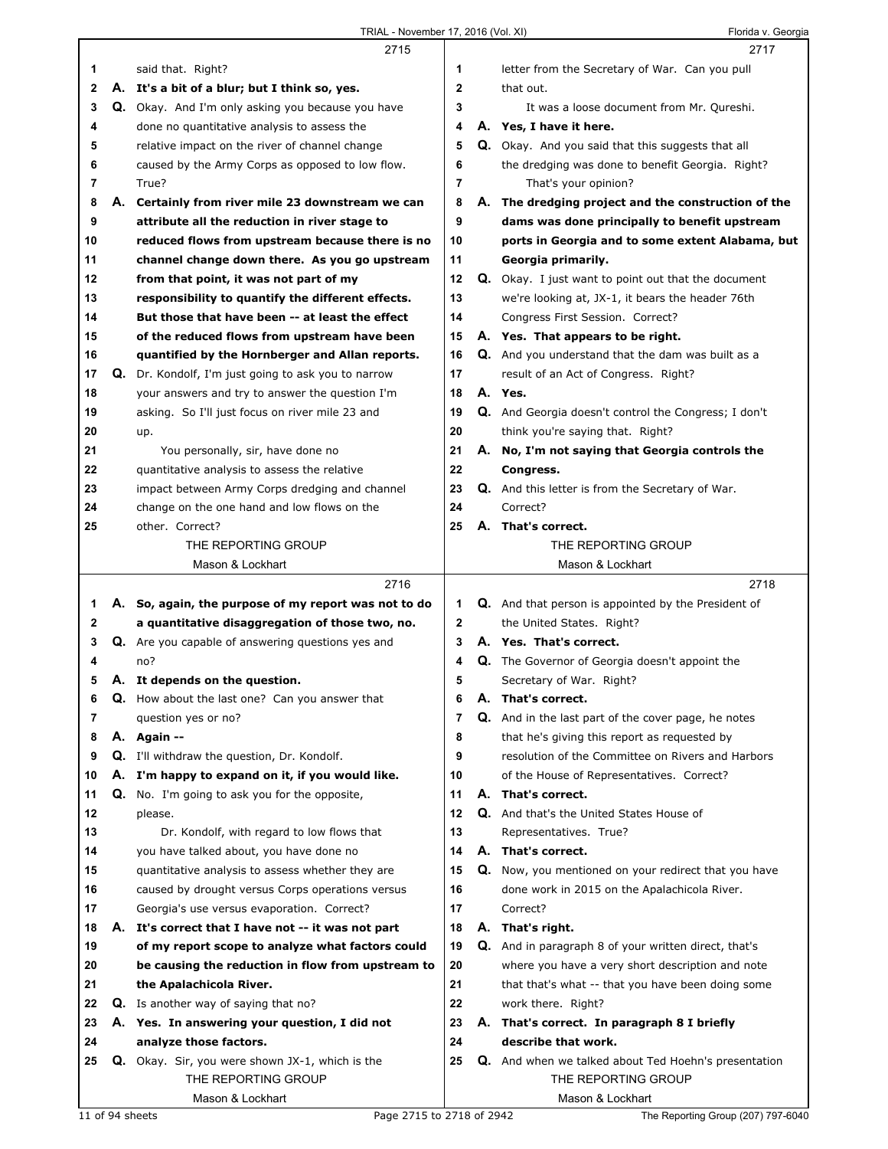|    |    | 2715                                                                                                    |              | 2717                                                                                    |
|----|----|---------------------------------------------------------------------------------------------------------|--------------|-----------------------------------------------------------------------------------------|
| 1  |    | said that. Right?                                                                                       | 1            | letter from the Secretary of War. Can you pull                                          |
| 2  |    | A. It's a bit of a blur; but I think so, yes.                                                           | 2            | that out.                                                                               |
| 3  |    | Q. Okay. And I'm only asking you because you have                                                       | 3            | It was a loose document from Mr. Qureshi.                                               |
| 4  |    | done no quantitative analysis to assess the                                                             | 4            | A. Yes, I have it here.                                                                 |
| 5  |    | relative impact on the river of channel change                                                          | 5            | <b>Q.</b> Okay. And you said that this suggests that all                                |
| 6  |    | caused by the Army Corps as opposed to low flow.                                                        | 6            | the dredging was done to benefit Georgia. Right?                                        |
| 7  |    | True?                                                                                                   | 7            | That's your opinion?                                                                    |
| 8  | А. | Certainly from river mile 23 downstream we can                                                          | 8            | A. The dredging project and the construction of the                                     |
| 9  |    | attribute all the reduction in river stage to                                                           | 9            | dams was done principally to benefit upstream                                           |
| 10 |    | reduced flows from upstream because there is no                                                         | 10           | ports in Georgia and to some extent Alabama, but                                        |
| 11 |    | channel change down there. As you go upstream                                                           | 11           | Georgia primarily.                                                                      |
| 12 |    | from that point, it was not part of my                                                                  | 12           | <b>Q.</b> Okay. I just want to point out that the document                              |
| 13 |    | responsibility to quantify the different effects.                                                       | 13           | we're looking at, JX-1, it bears the header 76th                                        |
| 14 |    | But those that have been -- at least the effect                                                         | 14           | Congress First Session. Correct?                                                        |
| 15 |    | of the reduced flows from upstream have been                                                            | 15           | A. Yes. That appears to be right.                                                       |
| 16 |    | quantified by the Hornberger and Allan reports.                                                         | 16           | Q. And you understand that the dam was built as a                                       |
| 17 |    | Q. Dr. Kondolf, I'm just going to ask you to narrow                                                     | 17           | result of an Act of Congress. Right?                                                    |
| 18 |    | your answers and try to answer the question I'm                                                         | 18           | A. Yes.                                                                                 |
| 19 |    | asking. So I'll just focus on river mile 23 and                                                         | 19           | Q. And Georgia doesn't control the Congress; I don't                                    |
| 20 |    | up.                                                                                                     | 20           | think you're saying that. Right?                                                        |
| 21 |    | You personally, sir, have done no                                                                       | 21           | A. No, I'm not saying that Georgia controls the                                         |
| 22 |    | quantitative analysis to assess the relative                                                            | 22           | Congress.                                                                               |
| 23 |    | impact between Army Corps dredging and channel                                                          | 23           | <b>Q.</b> And this letter is from the Secretary of War.                                 |
| 24 |    | change on the one hand and low flows on the                                                             | 24           | Correct?                                                                                |
| 25 |    | other. Correct?                                                                                         | 25           | A. That's correct.                                                                      |
|    |    | THE REPORTING GROUP                                                                                     |              | THE REPORTING GROUP                                                                     |
|    |    | Mason & Lockhart                                                                                        |              | Mason & Lockhart                                                                        |
|    |    |                                                                                                         |              |                                                                                         |
|    |    | 2716                                                                                                    |              | 2718                                                                                    |
| 1  |    |                                                                                                         | 1            |                                                                                         |
| 2  |    | A. So, again, the purpose of my report was not to do<br>a quantitative disaggregation of those two, no. | $\mathbf{2}$ | <b>Q.</b> And that person is appointed by the President of<br>the United States. Right? |
| 3  |    | Q. Are you capable of answering questions yes and                                                       | 3            | A. Yes. That's correct.                                                                 |
| 4  |    | no?                                                                                                     | 4            | <b>Q.</b> The Governor of Georgia doesn't appoint the                                   |
| 5  |    | A. It depends on the question.                                                                          | 5            | Secretary of War. Right?                                                                |
| 6  |    | Q. How about the last one? Can you answer that                                                          | 6            | A. That's correct.                                                                      |
| 7  |    | question yes or no?                                                                                     | 7            | Q. And in the last part of the cover page, he notes                                     |
| 8  |    | A. Again --                                                                                             | 8            | that he's giving this report as requested by                                            |
| 9  |    | Q. I'll withdraw the question, Dr. Kondolf.                                                             | 9            | resolution of the Committee on Rivers and Harbors                                       |
| 10 |    | A. I'm happy to expand on it, if you would like.                                                        | 10           | of the House of Representatives. Correct?                                               |
| 11 | Q. | No. I'm going to ask you for the opposite,                                                              | 11           | A. That's correct.                                                                      |
| 12 |    | please.                                                                                                 | 12           | Q. And that's the United States House of                                                |
| 13 |    | Dr. Kondolf, with regard to low flows that                                                              | 13           | Representatives. True?                                                                  |
| 14 |    | you have talked about, you have done no                                                                 | 14           | A. That's correct.                                                                      |
| 15 |    | quantitative analysis to assess whether they are                                                        | 15           | Q. Now, you mentioned on your redirect that you have                                    |
| 16 |    | caused by drought versus Corps operations versus                                                        | 16           | done work in 2015 on the Apalachicola River.                                            |
| 17 |    | Georgia's use versus evaporation. Correct?                                                              | 17           | Correct?                                                                                |
| 18 |    | A. It's correct that I have not -- it was not part                                                      | 18           | A. That's right.                                                                        |
| 19 |    | of my report scope to analyze what factors could                                                        | 19           | Q. And in paragraph 8 of your written direct, that's                                    |
| 20 |    | be causing the reduction in flow from upstream to                                                       | 20           | where you have a very short description and note                                        |
| 21 |    | the Apalachicola River.                                                                                 | 21           | that that's what -- that you have been doing some                                       |
| 22 |    | Q. Is another way of saying that no?                                                                    | 22           | work there. Right?                                                                      |
| 23 |    | A. Yes. In answering your question, I did not                                                           | 23           | A. That's correct. In paragraph 8 I briefly                                             |
| 24 |    | analyze those factors.                                                                                  | 24           | describe that work.                                                                     |
| 25 |    | Q. Okay. Sir, you were shown JX-1, which is the                                                         | 25           | Q. And when we talked about Ted Hoehn's presentation                                    |
|    |    | THE REPORTING GROUP                                                                                     |              | THE REPORTING GROUP                                                                     |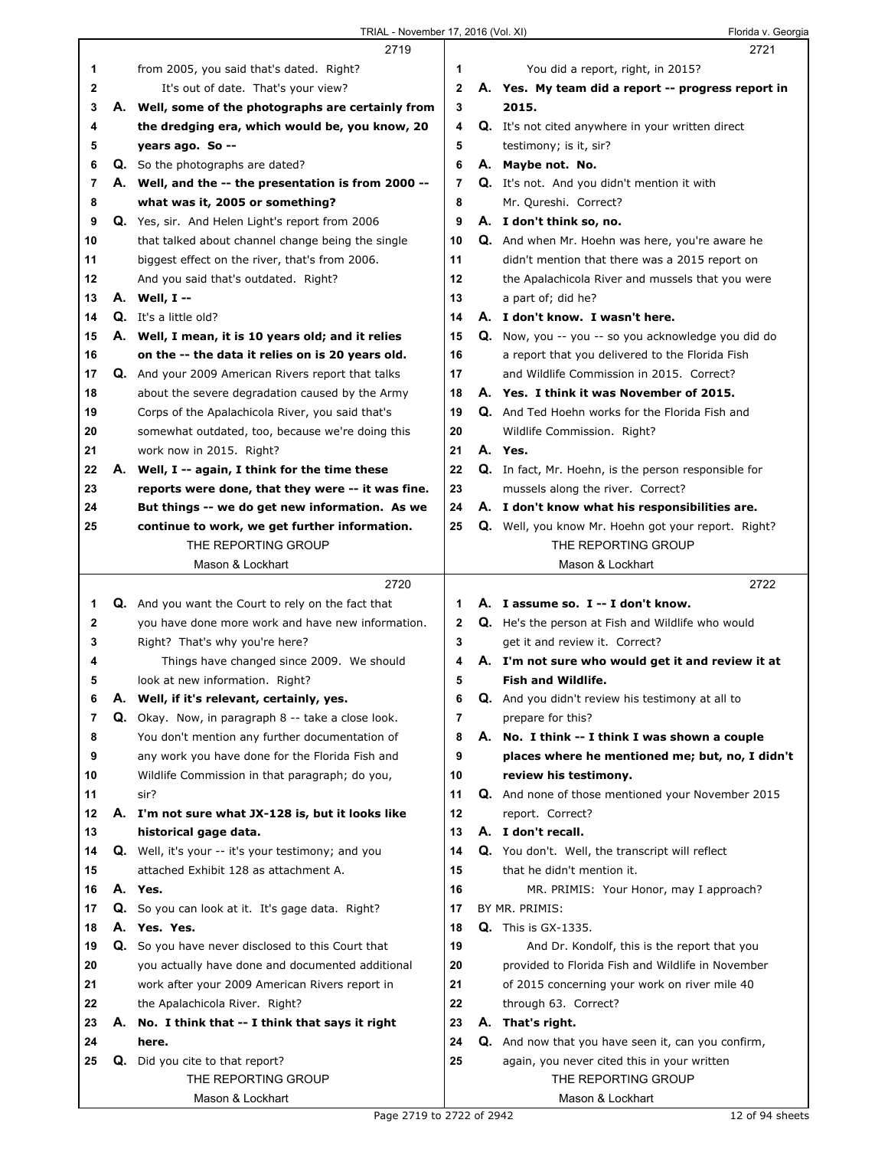|    |    | 2719                                                      |             | 2721                                                       |
|----|----|-----------------------------------------------------------|-------------|------------------------------------------------------------|
| 1  |    | from 2005, you said that's dated. Right?                  | 1           | You did a report, right, in 2015?                          |
| 2  |    | It's out of date. That's your view?                       | $\mathbf 2$ | A. Yes. My team did a report -- progress report in         |
| 3  |    | A. Well, some of the photographs are certainly from       | 3           | 2015.                                                      |
| 4  |    | the dredging era, which would be, you know, 20            | 4           | Q. It's not cited anywhere in your written direct          |
| 5  |    | years ago. So --                                          | 5           | testimony; is it, sir?                                     |
| 6  |    | <b>Q.</b> So the photographs are dated?                   | 6           | A. Maybe not. No.                                          |
| 7  |    | A. Well, and the -- the presentation is from 2000 --      | 7           | Q. It's not. And you didn't mention it with                |
| 8  |    | what was it, 2005 or something?                           | 8           | Mr. Qureshi. Correct?                                      |
| 9  |    | Q. Yes, sir. And Helen Light's report from 2006           | 9           | A. I don't think so, no.                                   |
| 10 |    | that talked about channel change being the single         | 10          | Q. And when Mr. Hoehn was here, you're aware he            |
| 11 |    | biggest effect on the river, that's from 2006.            | 11          | didn't mention that there was a 2015 report on             |
| 12 |    | And you said that's outdated. Right?                      | 12          | the Apalachicola River and mussels that you were           |
| 13 |    | A. Well, I --                                             | 13          | a part of; did he?                                         |
| 14 |    | <b>Q.</b> It's a little old?                              | 14          | A. I don't know. I wasn't here.                            |
| 15 |    | A. Well, I mean, it is 10 years old; and it relies        | 15          | Q. Now, you -- you -- so you acknowledge you did do        |
| 16 |    | on the -- the data it relies on is 20 years old.          | 16          | a report that you delivered to the Florida Fish            |
| 17 |    | <b>Q.</b> And your 2009 American Rivers report that talks | 17          | and Wildlife Commission in 2015. Correct?                  |
| 18 |    | about the severe degradation caused by the Army           | 18          | A. Yes. I think it was November of 2015.                   |
| 19 |    | Corps of the Apalachicola River, you said that's          | 19          | Q. And Ted Hoehn works for the Florida Fish and            |
| 20 |    | somewhat outdated, too, because we're doing this          | 20          | Wildlife Commission. Right?                                |
| 21 |    | work now in 2015. Right?                                  | 21          | A. Yes.                                                    |
| 22 |    | A. Well, I -- again, I think for the time these           | 22          | Q. In fact, Mr. Hoehn, is the person responsible for       |
| 23 |    | reports were done, that they were -- it was fine.         | 23          | mussels along the river. Correct?                          |
| 24 |    | But things -- we do get new information. As we            | 24          | A. I don't know what his responsibilities are.             |
| 25 |    | continue to work, we get further information.             | 25          | <b>Q.</b> Well, you know Mr. Hoehn got your report. Right? |
|    |    | THE REPORTING GROUP                                       |             | THE REPORTING GROUP                                        |
|    |    | Mason & Lockhart                                          |             | Mason & Lockhart                                           |
|    |    |                                                           |             |                                                            |
|    |    | 2720                                                      |             | 2722                                                       |
| 1  |    | <b>Q.</b> And you want the Court to rely on the fact that | 1           | A. I assume so. I -- I don't know.                         |
| 2  |    | you have done more work and have new information.         | 2           | <b>Q.</b> He's the person at Fish and Wildlife who would   |
| 3  |    | Right? That's why you're here?                            | 3           | get it and review it. Correct?                             |
| 4  |    | Things have changed since 2009. We should                 | 4           | A. I'm not sure who would get it and review it at          |
| 5  |    | look at new information. Right?                           | 5           | <b>Fish and Wildlife.</b>                                  |
| 6  | Α. | Well, if it's relevant, certainly, yes.                   | 6           | Q. And you didn't review his testimony at all to           |
| 7  |    | Q. Okay. Now, in paragraph 8 -- take a close look.        | 7           | prepare for this?                                          |
| 8  |    | You don't mention any further documentation of            | 8           | A. No. I think -- I think I was shown a couple             |
| 9  |    | any work you have done for the Florida Fish and           | 9           | places where he mentioned me; but, no, I didn't            |
| 10 |    | Wildlife Commission in that paragraph; do you,            | 10          | review his testimony.                                      |
| 11 |    | sir?                                                      | 11          | Q. And none of those mentioned your November 2015          |
| 12 |    | A. I'm not sure what JX-128 is, but it looks like         | 12          | report. Correct?                                           |
| 13 |    | historical gage data.                                     | 13          | A. I don't recall.                                         |
| 14 |    | <b>Q.</b> Well, it's your -- it's your testimony; and you | 14          | Q. You don't. Well, the transcript will reflect            |
| 15 |    | attached Exhibit 128 as attachment A.                     | 15          | that he didn't mention it.                                 |
| 16 |    | A. Yes.                                                   | 16          | MR. PRIMIS: Your Honor, may I approach?                    |
| 17 |    | Q. So you can look at it. It's gage data. Right?          | 17          | BY MR. PRIMIS:                                             |
| 18 |    | A. Yes. Yes.                                              | 18          | <b>Q.</b> This is GX-1335.                                 |
| 19 |    | Q. So you have never disclosed to this Court that         | 19          | And Dr. Kondolf, this is the report that you               |
| 20 |    | you actually have done and documented additional          | 20          | provided to Florida Fish and Wildlife in November          |
| 21 |    | work after your 2009 American Rivers report in            | 21          | of 2015 concerning your work on river mile 40              |
| 22 |    | the Apalachicola River. Right?                            | 22          | through 63. Correct?                                       |
| 23 | А. | No. I think that -- I think that says it right            | 23          | A. That's right.                                           |
| 24 |    | here.                                                     | 24          | Q. And now that you have seen it, can you confirm,         |
| 25 |    | <b>Q.</b> Did you cite to that report?                    | 25          | again, you never cited this in your written                |
|    |    | THE REPORTING GROUP<br>Mason & Lockhart                   |             | THE REPORTING GROUP<br>Mason & Lockhart                    |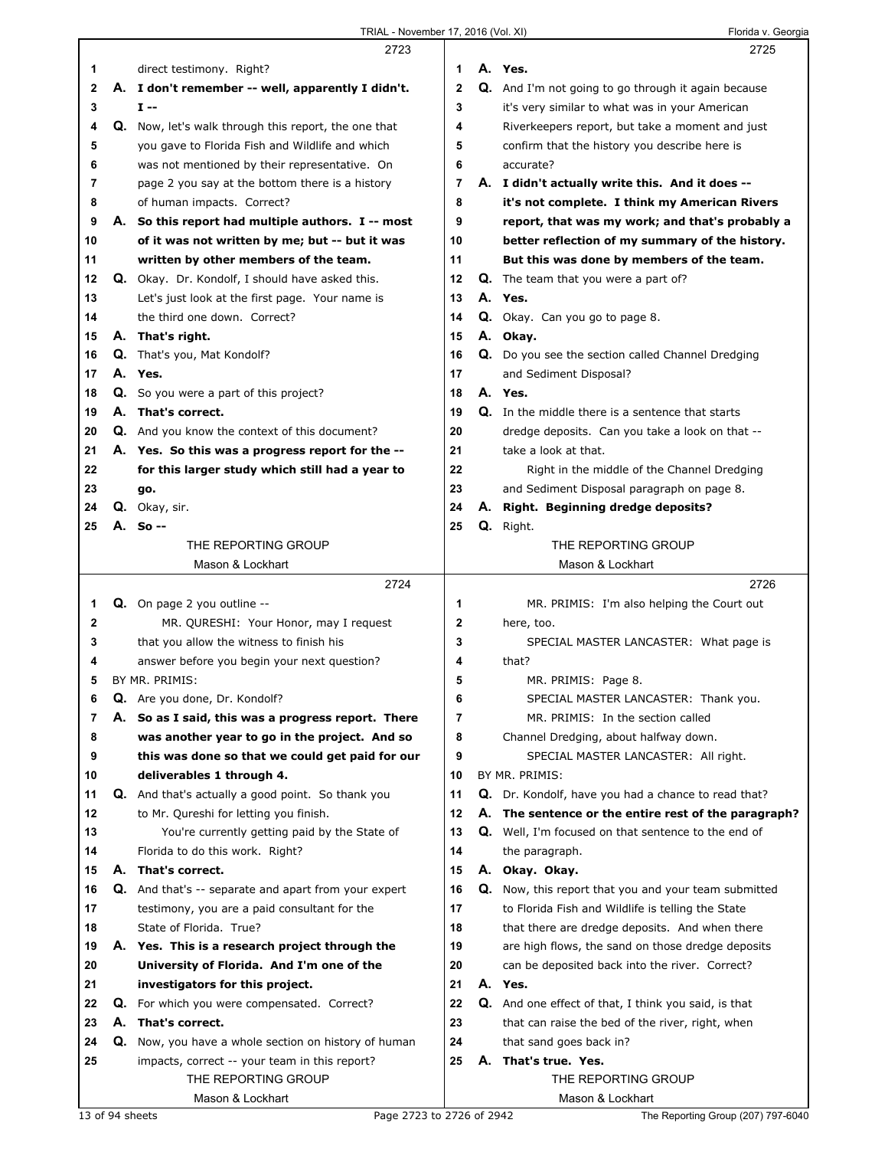|    |    | 2723                                                     |                | 2725                                                       |
|----|----|----------------------------------------------------------|----------------|------------------------------------------------------------|
| 1  |    | direct testimony. Right?                                 | 1              | A. Yes.                                                    |
| 2  |    | A. I don't remember -- well, apparently I didn't.        | $\mathbf{2}$   | Q. And I'm not going to go through it again because        |
| 3  |    | $I -$                                                    | 3              | it's very similar to what was in your American             |
| 4  |    | Q. Now, let's walk through this report, the one that     | 4              | Riverkeepers report, but take a moment and just            |
| 5  |    | you gave to Florida Fish and Wildlife and which          | 5              | confirm that the history you describe here is              |
| 6  |    | was not mentioned by their representative. On            | 6              | accurate?                                                  |
|    |    |                                                          |                |                                                            |
| 7  |    | page 2 you say at the bottom there is a history          | 7              | A. I didn't actually write this. And it does --            |
| 8  |    | of human impacts. Correct?                               | 8              | it's not complete. I think my American Rivers              |
| 9  |    | A. So this report had multiple authors. I -- most        | 9              | report, that was my work; and that's probably a            |
| 10 |    | of it was not written by me; but -- but it was           | 10             | better reflection of my summary of the history.            |
| 11 |    | written by other members of the team.                    | 11             | But this was done by members of the team.                  |
| 12 |    | <b>Q.</b> Okay. Dr. Kondolf, I should have asked this.   | 12             | <b>Q.</b> The team that you were a part of?                |
| 13 |    | Let's just look at the first page. Your name is          | 13             | A. Yes.                                                    |
| 14 |    | the third one down. Correct?                             | 14             | Q. Okay. Can you go to page 8.                             |
| 15 |    | A. That's right.                                         | 15             | A. Okay.                                                   |
| 16 |    | <b>Q.</b> That's you, Mat Kondolf?                       | 16             | Q. Do you see the section called Channel Dredging          |
| 17 | А. | Yes.                                                     | 17             | and Sediment Disposal?                                     |
| 18 |    | <b>Q.</b> So you were a part of this project?            | 18             | A. Yes.                                                    |
|    |    |                                                          |                |                                                            |
| 19 | А. | That's correct.                                          | 19             | Q. In the middle there is a sentence that starts           |
| 20 |    | <b>Q.</b> And you know the context of this document?     | 20             | dredge deposits. Can you take a look on that --            |
| 21 |    | A. Yes. So this was a progress report for the --         | 21             | take a look at that.                                       |
| 22 |    | for this larger study which still had a year to          | 22             | Right in the middle of the Channel Dredging                |
| 23 |    | go.                                                      | 23             | and Sediment Disposal paragraph on page 8.                 |
| 24 |    | Q. Okay, sir.                                            | 24             | A. Right. Beginning dredge deposits?                       |
| 25 |    | A. so --                                                 | 25             | Q. Right.                                                  |
|    |    | THE REPORTING GROUP                                      |                | THE REPORTING GROUP                                        |
|    |    | Mason & Lockhart                                         |                | Mason & Lockhart                                           |
|    |    |                                                          |                |                                                            |
|    |    | 2724                                                     |                | 2726                                                       |
| 1  |    | Q. On page 2 you outline --                              | 1              | MR. PRIMIS: I'm also helping the Court out                 |
| 2  |    |                                                          | 2              |                                                            |
|    |    | MR. QURESHI: Your Honor, may I request                   |                | here, too.                                                 |
| 3  |    | that you allow the witness to finish his                 | 3              | SPECIAL MASTER LANCASTER: What page is                     |
| 4  |    | answer before you begin your next question?              | 4              | that?                                                      |
| 5  |    | BY MR. PRIMIS:                                           | 5              | MR. PRIMIS: Page 8.                                        |
| 6  | Q. | Are you done, Dr. Kondolf?                               | 6              | SPECIAL MASTER LANCASTER: Thank you.                       |
| 7  |    | A. So as I said, this was a progress report. There       | $\overline{7}$ | MR. PRIMIS: In the section called                          |
| 8  |    | was another year to go in the project. And so            | 8              | Channel Dredging, about halfway down.                      |
| 9  |    | this was done so that we could get paid for our          | 9              | SPECIAL MASTER LANCASTER: All right.                       |
| 10 |    | deliverables 1 through 4.                                | 10             | BY MR. PRIMIS:                                             |
| 11 |    | <b>Q.</b> And that's actually a good point. So thank you | 11             | Q. Dr. Kondolf, have you had a chance to read that?        |
| 12 |    | to Mr. Qureshi for letting you finish.                   | 12             | A. The sentence or the entire rest of the paragraph?       |
| 13 |    | You're currently getting paid by the State of            | 13             | <b>Q.</b> Well, I'm focused on that sentence to the end of |
| 14 |    | Florida to do this work. Right?                          | 14             | the paragraph.                                             |
| 15 | Α. | That's correct.                                          | 15             | A. Okay. Okay.                                             |
| 16 |    | Q. And that's -- separate and apart from your expert     | 16             | Q. Now, this report that you and your team submitted       |
| 17 |    | testimony, you are a paid consultant for the             | 17             | to Florida Fish and Wildlife is telling the State          |
| 18 |    | State of Florida. True?                                  | 18             | that there are dredge deposits. And when there             |
| 19 |    | A. Yes. This is a research project through the           | 19             | are high flows, the sand on those dredge deposits          |
| 20 |    | University of Florida. And I'm one of the                | 20             | can be deposited back into the river. Correct?             |
| 21 |    | investigators for this project.                          | 21             | A. Yes.                                                    |
| 22 |    | <b>Q.</b> For which you were compensated. Correct?       | 22             | Q. And one effect of that, I think you said, is that       |
| 23 | А. | That's correct.                                          | 23             | that can raise the bed of the river, right, when           |
| 24 | Q. | Now, you have a whole section on history of human        | 24             | that sand goes back in?                                    |
| 25 |    | impacts, correct -- your team in this report?            | 25             | A. That's true. Yes.                                       |
|    |    | THE REPORTING GROUP                                      |                | THE REPORTING GROUP                                        |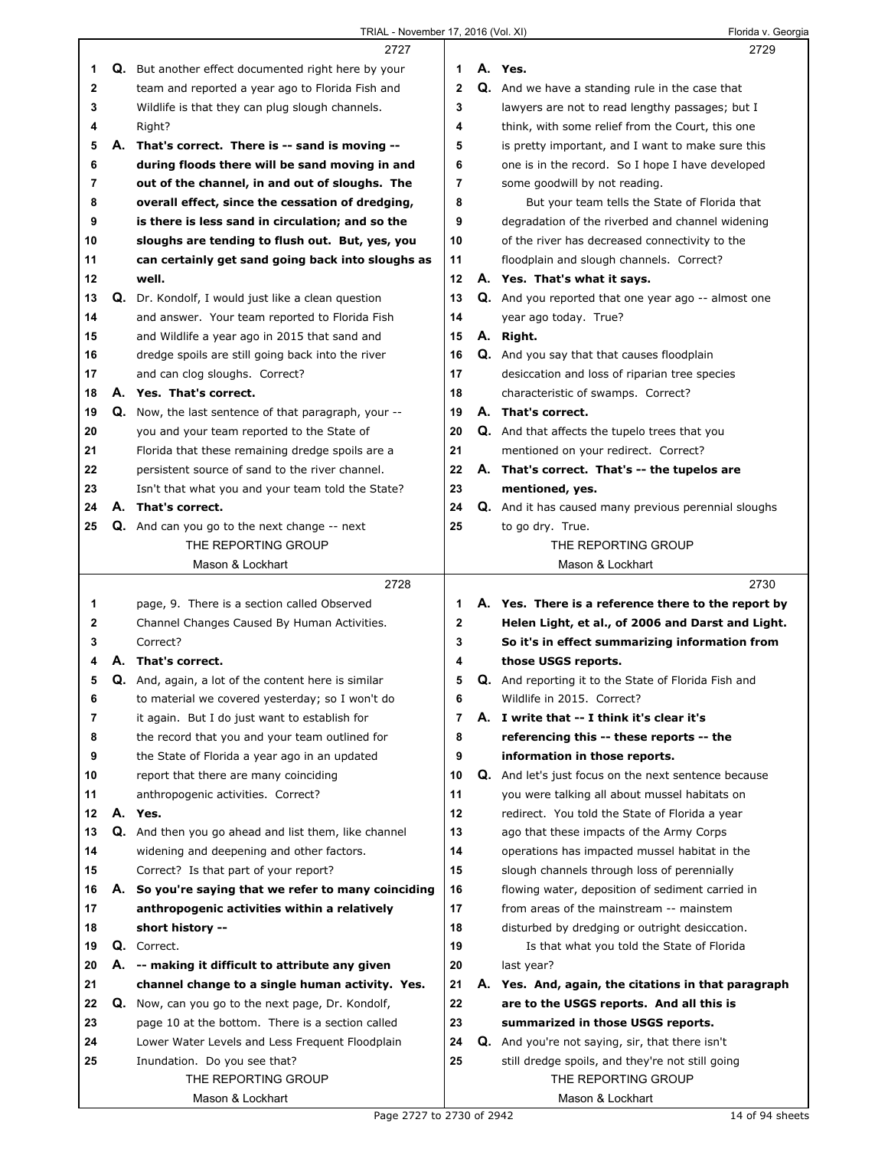|              |    | 2727                                                                                            |              | 2729                                                                                      |
|--------------|----|-------------------------------------------------------------------------------------------------|--------------|-------------------------------------------------------------------------------------------|
| 1            |    | Q. But another effect documented right here by your                                             | 1            | A. Yes.                                                                                   |
| 2            |    | team and reported a year ago to Florida Fish and                                                | $\mathbf{2}$ | Q. And we have a standing rule in the case that                                           |
| 3            |    | Wildlife is that they can plug slough channels.                                                 | 3            | lawyers are not to read lengthy passages; but I                                           |
| 4            |    | Right?                                                                                          | 4            | think, with some relief from the Court, this one                                          |
| 5            |    | A. That's correct. There is -- sand is moving --                                                | 5            | is pretty important, and I want to make sure this                                         |
| 6            |    | during floods there will be sand moving in and                                                  | 6            | one is in the record. So I hope I have developed                                          |
| 7            |    | out of the channel, in and out of sloughs. The                                                  | 7            | some goodwill by not reading.                                                             |
| 8            |    | overall effect, since the cessation of dredging,                                                | 8            | But your team tells the State of Florida that                                             |
| 9            |    | is there is less sand in circulation; and so the                                                | 9            | degradation of the riverbed and channel widening                                          |
| 10           |    | sloughs are tending to flush out. But, yes, you                                                 | 10           | of the river has decreased connectivity to the                                            |
| 11           |    | can certainly get sand going back into sloughs as                                               | 11           | floodplain and slough channels. Correct?                                                  |
| 12           |    | well.                                                                                           | 12           | A. Yes. That's what it says.                                                              |
| 13           |    | <b>Q.</b> Dr. Kondolf, I would just like a clean question                                       | 13           | <b>Q.</b> And you reported that one year ago -- almost one                                |
| 14           |    | and answer. Your team reported to Florida Fish                                                  | 14           | year ago today. True?                                                                     |
| 15           |    | and Wildlife a year ago in 2015 that sand and                                                   | 15           | A. Right.                                                                                 |
| 16           |    | dredge spoils are still going back into the river                                               | 16           | <b>Q.</b> And you say that that causes floodplain                                         |
| 17           |    | and can clog sloughs. Correct?                                                                  | 17           | desiccation and loss of riparian tree species                                             |
| 18           |    | A. Yes. That's correct.                                                                         | 18           | characteristic of swamps. Correct?                                                        |
| 19           |    | Q. Now, the last sentence of that paragraph, your --                                            | 19           | A. That's correct.                                                                        |
| 20           |    | you and your team reported to the State of                                                      | 20           | <b>Q.</b> And that affects the tupelo trees that you                                      |
| 21           |    | Florida that these remaining dredge spoils are a                                                | 21           | mentioned on your redirect. Correct?                                                      |
| 22           |    | persistent source of sand to the river channel.                                                 | 22           | A. That's correct. That's -- the tupelos are                                              |
| 23           |    | Isn't that what you and your team told the State?                                               | 23           | mentioned, yes.                                                                           |
| 24           |    | A. That's correct.                                                                              | 24           | Q. And it has caused many previous perennial sloughs                                      |
| 25           |    | <b>Q.</b> And can you go to the next change -- next                                             | 25           | to go dry. True.                                                                          |
|              |    | THE REPORTING GROUP                                                                             |              | THE REPORTING GROUP                                                                       |
|              |    | Mason & Lockhart                                                                                |              | Mason & Lockhart                                                                          |
|              |    | 2728                                                                                            |              | 2730                                                                                      |
|              |    |                                                                                                 |              |                                                                                           |
| 1            |    |                                                                                                 | 1            |                                                                                           |
| $\mathbf{2}$ |    | page, 9. There is a section called Observed                                                     | $\mathbf{2}$ | A. Yes. There is a reference there to the report by                                       |
| 3            |    | Channel Changes Caused By Human Activities.<br>Correct?                                         | 3            | Helen Light, et al., of 2006 and Darst and Light.                                         |
| 4            |    | A. That's correct.                                                                              | 4            | So it's in effect summarizing information from                                            |
| 5            |    |                                                                                                 | 5            | those USGS reports.                                                                       |
| 6            |    | Q. And, again, a lot of the content here is similar                                             | 6            | <b>Q.</b> And reporting it to the State of Florida Fish and<br>Wildlife in 2015. Correct? |
| 7            |    | to material we covered yesterday; so I won't do                                                 | 7            | A. I write that -- I think it's clear it's                                                |
| 8            |    | it again. But I do just want to establish for                                                   | 8            |                                                                                           |
| 9            |    | the record that you and your team outlined for<br>the State of Florida a year ago in an updated | 9            | referencing this -- these reports -- the<br>information in those reports.                 |
| 10           |    | report that there are many coinciding                                                           | 10           | Q. And let's just focus on the next sentence because                                      |
| 11           |    |                                                                                                 | 11           | you were talking all about mussel habitats on                                             |
| 12           |    | anthropogenic activities. Correct?<br>A. Yes.                                                   | 12           | redirect. You told the State of Florida a year                                            |
| 13           |    | Q. And then you go ahead and list them, like channel                                            | 13           | ago that these impacts of the Army Corps                                                  |
| 14           |    | widening and deepening and other factors.                                                       | 14           | operations has impacted mussel habitat in the                                             |
| 15           |    | Correct? Is that part of your report?                                                           | 15           | slough channels through loss of perennially                                               |
| 16           |    | A. So you're saying that we refer to many coinciding                                            | 16           | flowing water, deposition of sediment carried in                                          |
| 17           |    | anthropogenic activities within a relatively                                                    | 17           | from areas of the mainstream -- mainstem                                                  |
| 18           |    | short history --                                                                                | 18           | disturbed by dredging or outright desiccation.                                            |
| 19           |    | Q. Correct.                                                                                     | 19           | Is that what you told the State of Florida                                                |
| 20           | А. | -- making it difficult to attribute any given                                                   | 20           | last year?                                                                                |
| 21           |    | channel change to a single human activity. Yes.                                                 | 21           | A. Yes. And, again, the citations in that paragraph                                       |
| 22           |    | Q. Now, can you go to the next page, Dr. Kondolf,                                               | 22           | are to the USGS reports. And all this is                                                  |
| 23           |    | page 10 at the bottom. There is a section called                                                | 23           | summarized in those USGS reports.                                                         |
| 24           |    | Lower Water Levels and Less Frequent Floodplain                                                 | 24           | Q. And you're not saying, sir, that there isn't                                           |
| 25           |    | Inundation. Do you see that?                                                                    | 25           | still dredge spoils, and they're not still going                                          |
|              |    | THE REPORTING GROUP                                                                             |              | THE REPORTING GROUP                                                                       |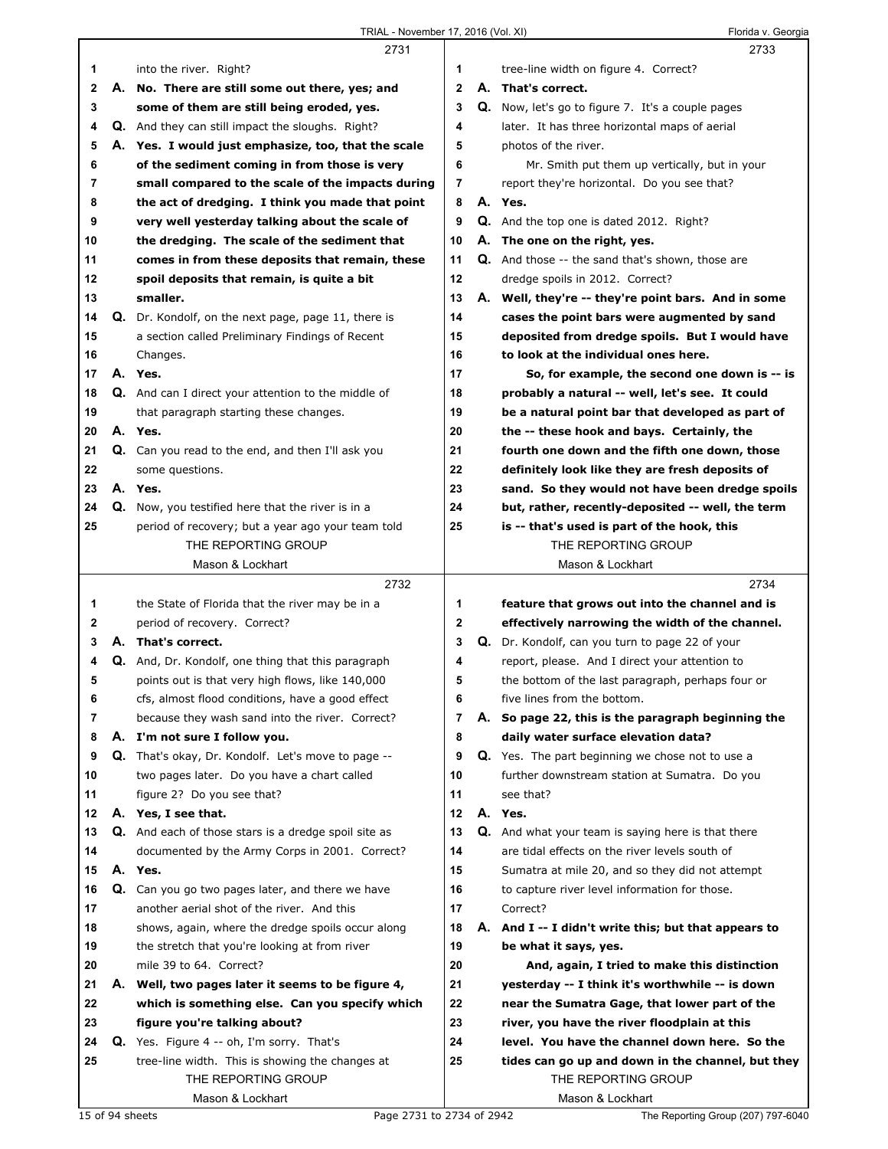|          |    | 2731                                                                   |              | 2733                                                                                                 |
|----------|----|------------------------------------------------------------------------|--------------|------------------------------------------------------------------------------------------------------|
| 1        |    | into the river. Right?                                                 | 1            | tree-line width on figure 4. Correct?                                                                |
| 2        | А. | No. There are still some out there, yes; and                           | $\mathbf{2}$ | A. That's correct.                                                                                   |
| 3        |    | some of them are still being eroded, yes.                              | 3            | <b>Q.</b> Now, let's go to figure 7. It's a couple pages                                             |
| 4        |    | <b>Q.</b> And they can still impact the sloughs. Right?                | 4            | later. It has three horizontal maps of aerial                                                        |
| 5        |    | A. Yes. I would just emphasize, too, that the scale                    | 5            | photos of the river.                                                                                 |
| 6        |    | of the sediment coming in from those is very                           | 6            | Mr. Smith put them up vertically, but in your                                                        |
| 7        |    | small compared to the scale of the impacts during                      | 7            | report they're horizontal. Do you see that?                                                          |
| 8        |    | the act of dredging. I think you made that point                       | 8            | A. Yes.                                                                                              |
| 9        |    | very well yesterday talking about the scale of                         | 9            | <b>Q.</b> And the top one is dated 2012. Right?                                                      |
| 10       |    | the dredging. The scale of the sediment that                           | 10           | A. The one on the right, yes.                                                                        |
| 11       |    | comes in from these deposits that remain, these                        | 11           | <b>Q.</b> And those -- the sand that's shown, those are                                              |
| 12       |    | spoil deposits that remain, is quite a bit                             | 12           | dredge spoils in 2012. Correct?                                                                      |
| 13       |    | smaller.                                                               | 13           | A. Well, they're -- they're point bars. And in some                                                  |
| 14       |    | Q. Dr. Kondolf, on the next page, page 11, there is                    | 14           | cases the point bars were augmented by sand                                                          |
| 15       |    | a section called Preliminary Findings of Recent                        | 15           | deposited from dredge spoils. But I would have                                                       |
| 16       |    | Changes.                                                               | 16           | to look at the individual ones here.                                                                 |
| 17       |    | A. Yes.                                                                | 17           | So, for example, the second one down is -- is                                                        |
| 18       |    | <b>Q.</b> And can I direct your attention to the middle of             | 18           | probably a natural -- well, let's see. It could                                                      |
| 19       |    | that paragraph starting these changes.                                 | 19           | be a natural point bar that developed as part of                                                     |
| 20       |    | A. Yes.                                                                | 20           | the -- these hook and bays. Certainly, the                                                           |
| 21       |    | Q. Can you read to the end, and then I'll ask you                      | 21           | fourth one down and the fifth one down, those                                                        |
| 22       |    | some questions.                                                        | 22           | definitely look like they are fresh deposits of                                                      |
| 23       |    | A. Yes.                                                                | 23           | sand. So they would not have been dredge spoils                                                      |
| 24       |    | Q. Now, you testified here that the river is in a                      | 24           | but, rather, recently-deposited -- well, the term                                                    |
| 25       |    | period of recovery; but a year ago your team told                      | 25           | is -- that's used is part of the hook, this                                                          |
|          |    | THE REPORTING GROUP                                                    |              | THE REPORTING GROUP                                                                                  |
|          |    | Mason & Lockhart                                                       |              | Mason & Lockhart                                                                                     |
|          |    |                                                                        |              |                                                                                                      |
|          |    |                                                                        |              |                                                                                                      |
|          |    | 2732                                                                   |              | 2734                                                                                                 |
| 1        |    | the State of Florida that the river may be in a                        | 1            | feature that grows out into the channel and is                                                       |
| 2        |    | period of recovery. Correct?                                           | $\mathbf{2}$ | effectively narrowing the width of the channel.                                                      |
| 3        |    | A. That's correct.                                                     | 3            | Q. Dr. Kondolf, can you turn to page 22 of your                                                      |
| 4        |    | <b>Q.</b> And, Dr. Kondolf, one thing that this paragraph              | 4            | report, please. And I direct your attention to                                                       |
| 5        |    | points out is that very high flows, like 140,000                       | 5            | the bottom of the last paragraph, perhaps four or                                                    |
| 6        |    | cfs, almost flood conditions, have a good effect                       | 6            | five lines from the bottom.                                                                          |
| 7        |    | because they wash sand into the river. Correct?                        | 7            | A. So page 22, this is the paragraph beginning the                                                   |
| 8        | А. | I'm not sure I follow you.                                             | 8            | daily water surface elevation data?                                                                  |
| 9        |    | <b>Q.</b> That's okay, Dr. Kondolf. Let's move to page --              | 9            | <b>Q.</b> Yes. The part beginning we chose not to use a                                              |
| 10       |    | two pages later. Do you have a chart called                            | 10           | further downstream station at Sumatra. Do you                                                        |
| 11       |    | figure 2? Do you see that?                                             | 11           | see that?                                                                                            |
| 12       |    | A. Yes, I see that.                                                    | 12           | A. Yes.                                                                                              |
| 13<br>14 |    | Q. And each of those stars is a dredge spoil site as                   | 13<br>14     | Q. And what your team is saying here is that there<br>are tidal effects on the river levels south of |
|          |    | documented by the Army Corps in 2001. Correct?                         |              |                                                                                                      |
| 15<br>16 |    | A. Yes.<br>Q. Can you go two pages later, and there we have            | 15<br>16     | Sumatra at mile 20, and so they did not attempt<br>to capture river level information for those.     |
|          |    |                                                                        |              |                                                                                                      |
| 17       |    | another aerial shot of the river. And this                             | 17           | Correct?                                                                                             |
| 18       |    | shows, again, where the dredge spoils occur along                      | 18<br>19     | A. And I -- I didn't write this; but that appears to                                                 |
| 19       |    | the stretch that you're looking at from river                          |              | be what it says, yes.                                                                                |
| 20       |    | mile 39 to 64. Correct?                                                | 20<br>21     | And, again, I tried to make this distinction                                                         |
| 21       | Α. | Well, two pages later it seems to be figure 4,                         |              | yesterday -- I think it's worthwhile -- is down                                                      |
| 22       |    | which is something else. Can you specify which                         | 22           | near the Sumatra Gage, that lower part of the                                                        |
| 23       |    | figure you're talking about?                                           | 23           | river, you have the river floodplain at this<br>level. You have the channel down here. So the        |
| 24<br>25 |    | Q. Yes. Figure 4 -- oh, I'm sorry. That's                              | 24<br>25     |                                                                                                      |
|          |    | tree-line width. This is showing the changes at<br>THE REPORTING GROUP |              | tides can go up and down in the channel, but they<br>THE REPORTING GROUP                             |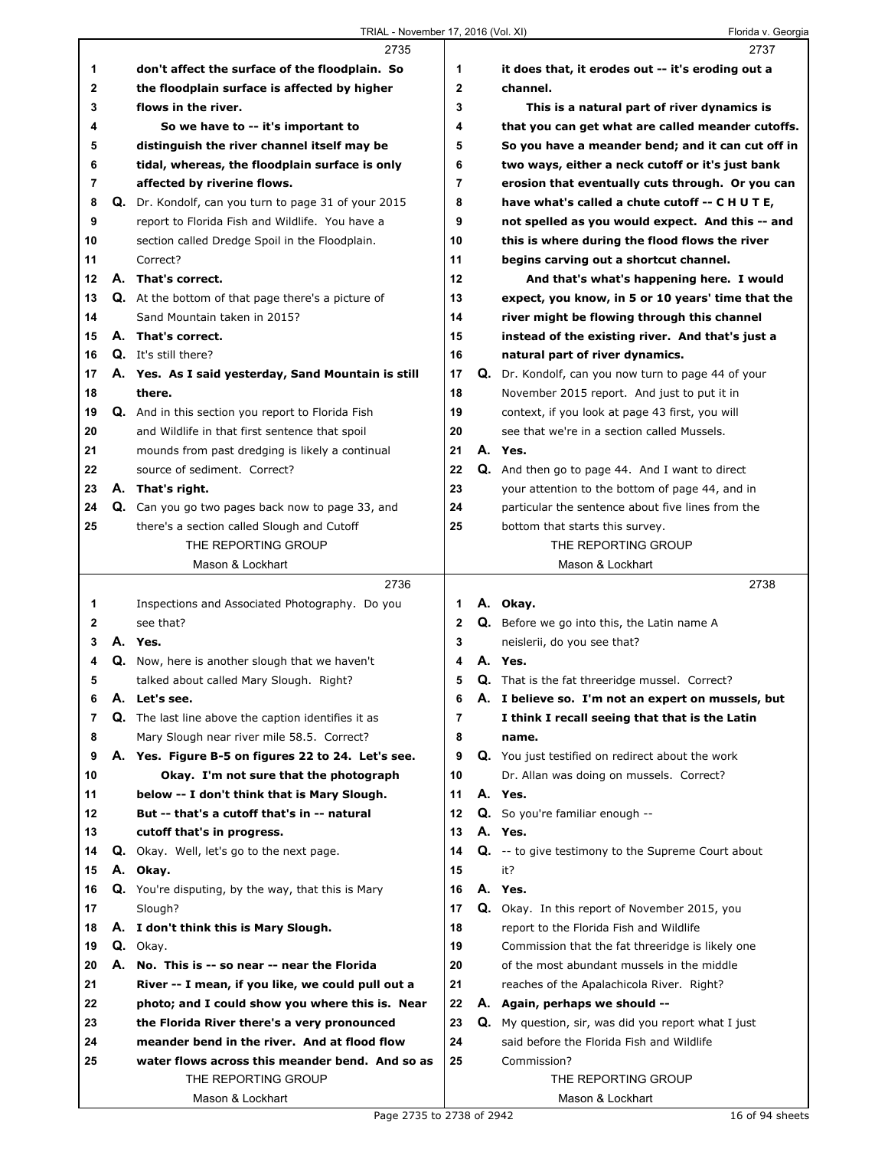|    |    | 2735                                                      |                | 2737                                                       |
|----|----|-----------------------------------------------------------|----------------|------------------------------------------------------------|
| 1  |    | don't affect the surface of the floodplain. So            | 1              | it does that, it erodes out -- it's eroding out a          |
| 2  |    | the floodplain surface is affected by higher              | 2              | channel.                                                   |
| 3  |    | flows in the river.                                       | 3              | This is a natural part of river dynamics is                |
| 4  |    | So we have to -- it's important to                        | 4              | that you can get what are called meander cutoffs.          |
| 5  |    | distinguish the river channel itself may be               | 5              | So you have a meander bend; and it can cut off in          |
| 6  |    | tidal, whereas, the floodplain surface is only            | 6              | two ways, either a neck cutoff or it's just bank           |
| 7  |    | affected by riverine flows.                               | $\overline{7}$ | erosion that eventually cuts through. Or you can           |
| 8  | Q. | Dr. Kondolf, can you turn to page 31 of your 2015         | 8              | have what's called a chute cutoff -- C H U T E,            |
| 9  |    | report to Florida Fish and Wildlife. You have a           | 9              | not spelled as you would expect. And this -- and           |
| 10 |    | section called Dredge Spoil in the Floodplain.            | 10             | this is where during the flood flows the river             |
| 11 |    | Correct?                                                  | 11             | begins carving out a shortcut channel.                     |
| 12 |    | A. That's correct.                                        | 12             | And that's what's happening here. I would                  |
| 13 |    | <b>Q.</b> At the bottom of that page there's a picture of | 13             | expect, you know, in 5 or 10 years' time that the          |
| 14 |    | Sand Mountain taken in 2015?                              | 14             | river might be flowing through this channel                |
| 15 |    | A. That's correct.                                        | 15             | instead of the existing river. And that's just a           |
| 16 |    | <b>Q.</b> It's still there?                               | 16             | natural part of river dynamics.                            |
| 17 |    | A. Yes. As I said yesterday, Sand Mountain is still       | 17             | Q. Dr. Kondolf, can you now turn to page 44 of your        |
| 18 |    | there.                                                    | 18             | November 2015 report. And just to put it in                |
| 19 |    | Q. And in this section you report to Florida Fish         | 19             | context, if you look at page 43 first, you will            |
| 20 |    | and Wildlife in that first sentence that spoil            | 20             | see that we're in a section called Mussels.                |
| 21 |    | mounds from past dredging is likely a continual           | 21             | A. Yes.                                                    |
| 22 |    | source of sediment. Correct?                              | 22             | Q. And then go to page 44. And I want to direct            |
| 23 |    | A. That's right.                                          | 23             | your attention to the bottom of page 44, and in            |
| 24 |    | Q. Can you go two pages back now to page 33, and          | 24             | particular the sentence about five lines from the          |
| 25 |    | there's a section called Slough and Cutoff                | 25             | bottom that starts this survey.                            |
|    |    | THE REPORTING GROUP                                       |                | THE REPORTING GROUP                                        |
|    |    | Mason & Lockhart                                          |                | Mason & Lockhart                                           |
|    |    |                                                           |                |                                                            |
|    |    | 2736                                                      |                | 2738                                                       |
| 1  |    | Inspections and Associated Photography. Do you            | 1              | A. Okay.                                                   |
| 2  |    | see that?                                                 | 2              | Q. Before we go into this, the Latin name A                |
| 3  |    | A. Yes.                                                   | 3              | neislerii, do you see that?                                |
| 4  |    | Q. Now, here is another slough that we haven't            | 4              | A. Yes.                                                    |
| 5  |    | talked about called Mary Slough. Right?                   | 5              | <b>Q.</b> That is the fat threeridge mussel. Correct?      |
| 6  |    | A. Let's see.                                             | 6              | A. I believe so. I'm not an expert on mussels, but         |
| 7  |    | Q. The last line above the caption identifies it as       | 7              | I think I recall seeing that that is the Latin             |
| 8  |    | Mary Slough near river mile 58.5. Correct?                | 8              | name.                                                      |
| 9  |    | A. Yes. Figure B-5 on figures 22 to 24. Let's see.        | 9              | Q. You just testified on redirect about the work           |
| 10 |    | Okay. I'm not sure that the photograph                    | 10             | Dr. Allan was doing on mussels. Correct?                   |
| 11 |    | below -- I don't think that is Mary Slough.               | 11             | A. Yes.                                                    |
| 12 |    | But -- that's a cutoff that's in -- natural               | 12             | Q. So you're familiar enough --                            |
| 13 |    | cutoff that's in progress.                                | 13             | A. Yes.                                                    |
| 14 |    | Q. Okay. Well, let's go to the next page.                 | 14             | <b>Q.</b> -- to give testimony to the Supreme Court about  |
| 15 |    | A. Okay.                                                  | 15             | it?                                                        |
| 16 |    | <b>Q.</b> You're disputing, by the way, that this is Mary | 16             | A. Yes.                                                    |
| 17 |    | Slough?                                                   | 17             | <b>Q.</b> Okay. In this report of November 2015, you       |
| 18 |    | A. I don't think this is Mary Slough.                     | 18             | report to the Florida Fish and Wildlife                    |
| 19 |    | Q. Okay.                                                  | 19             | Commission that the fat threeridge is likely one           |
| 20 | А. | No. This is -- so near -- near the Florida                | 20             | of the most abundant mussels in the middle                 |
| 21 |    | River -- I mean, if you like, we could pull out a         | 21             | reaches of the Apalachicola River. Right?                  |
| 22 |    | photo; and I could show you where this is. Near           | 22             | A. Again, perhaps we should --                             |
| 23 |    | the Florida River there's a very pronounced               | 23             | <b>Q.</b> My question, sir, was did you report what I just |
| 24 |    | meander bend in the river. And at flood flow              | 24             | said before the Florida Fish and Wildlife                  |
| 25 |    | water flows across this meander bend. And so as           | 25             | Commission?                                                |
|    |    | THE REPORTING GROUP                                       |                | THE REPORTING GROUP                                        |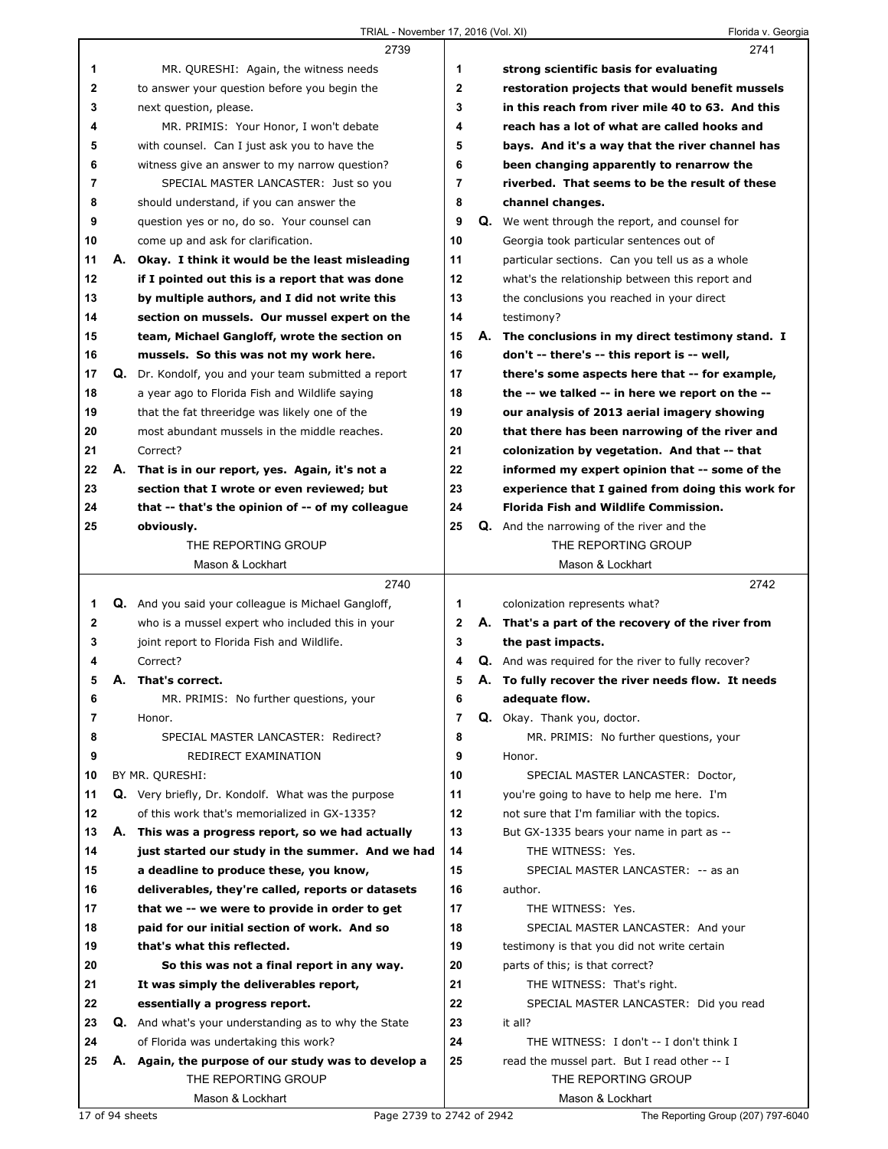|          |    | 2739                                                                       |                | 2741                                                               |
|----------|----|----------------------------------------------------------------------------|----------------|--------------------------------------------------------------------|
| 1        |    | MR. QURESHI: Again, the witness needs                                      | 1              | strong scientific basis for evaluating                             |
| 2        |    | to answer your question before you begin the                               | $\mathbf{2}$   | restoration projects that would benefit mussels                    |
| 3        |    | next question, please.                                                     | 3              | in this reach from river mile 40 to 63. And this                   |
| 4        |    | MR. PRIMIS: Your Honor, I won't debate                                     | 4              | reach has a lot of what are called hooks and                       |
| 5        |    | with counsel. Can I just ask you to have the                               | 5              | bays. And it's a way that the river channel has                    |
| 6        |    | witness give an answer to my narrow question?                              | 6              | been changing apparently to renarrow the                           |
| 7        |    | SPECIAL MASTER LANCASTER: Just so you                                      | $\overline{7}$ | riverbed. That seems to be the result of these                     |
| 8        |    | should understand, if you can answer the                                   | 8              | channel changes.                                                   |
| 9        |    | question yes or no, do so. Your counsel can                                | 9              | <b>Q.</b> We went through the report, and counsel for              |
| 10       |    | come up and ask for clarification.                                         | 10             | Georgia took particular sentences out of                           |
| 11       |    | A. Okay. I think it would be the least misleading                          | 11             | particular sections. Can you tell us as a whole                    |
| 12       |    | if I pointed out this is a report that was done                            | 12             | what's the relationship between this report and                    |
| 13       |    | by multiple authors, and I did not write this                              | 13             | the conclusions you reached in your direct                         |
| 14       |    | section on mussels. Our mussel expert on the                               | 14             | testimony?                                                         |
| 15       |    | team, Michael Gangloff, wrote the section on                               | 15             | A. The conclusions in my direct testimony stand. I                 |
| 16       |    | mussels. So this was not my work here.                                     | 16             | don't -- there's -- this report is -- well,                        |
| 17       |    | Q. Dr. Kondolf, you and your team submitted a report                       | 17             | there's some aspects here that -- for example,                     |
| 18       |    | a year ago to Florida Fish and Wildlife saying                             | 18             | the -- we talked -- in here we report on the --                    |
| 19       |    | that the fat threeridge was likely one of the                              | 19             | our analysis of 2013 aerial imagery showing                        |
| 20       |    | most abundant mussels in the middle reaches.                               | 20             | that there has been narrowing of the river and                     |
| 21       |    | Correct?                                                                   | 21             | colonization by vegetation. And that -- that                       |
| 22       |    | A. That is in our report, yes. Again, it's not a                           | 22             | informed my expert opinion that -- some of the                     |
| 23       |    | section that I wrote or even reviewed; but                                 | 23             | experience that I gained from doing this work for                  |
| 24       |    | that -- that's the opinion of -- of my colleague                           | 24             | <b>Florida Fish and Wildlife Commission.</b>                       |
| 25       |    | obviously.                                                                 | 25             | <b>Q.</b> And the narrowing of the river and the                   |
|          |    | THE REPORTING GROUP                                                        |                | THE REPORTING GROUP                                                |
|          |    | Mason & Lockhart                                                           |                | Mason & Lockhart                                                   |
|          |    |                                                                            |                |                                                                    |
|          |    | 2740                                                                       |                | 2742                                                               |
| 1        |    | <b>Q.</b> And you said your colleague is Michael Gangloff,                 | 1              | colonization represents what?                                      |
| 2        |    | who is a mussel expert who included this in your                           | $\mathbf{2}$   | A. That's a part of the recovery of the river from                 |
| 3        |    | joint report to Florida Fish and Wildlife.                                 | 3              | the past impacts.                                                  |
| 4        |    | Correct?                                                                   | 4              | <b>Q.</b> And was required for the river to fully recover?         |
| 5        |    | A. That's correct.                                                         | 5              | A. To fully recover the river needs flow. It needs                 |
| 6        |    | MR. PRIMIS: No further questions, your                                     | 6              | adequate flow.                                                     |
| 7        |    | Honor.                                                                     | $\overline{7}$ | <b>Q.</b> Okay. Thank you, doctor.                                 |
| 8        |    | SPECIAL MASTER LANCASTER: Redirect?                                        | 8              | MR. PRIMIS: No further questions, your                             |
| 9        |    | REDIRECT EXAMINATION                                                       | 9              | Honor.                                                             |
| 10       |    | BY MR. QURESHI:                                                            | 10             | SPECIAL MASTER LANCASTER: Doctor,                                  |
| 11       |    | Q. Very briefly, Dr. Kondolf. What was the purpose                         | 11             | you're going to have to help me here. I'm                          |
| 12       |    | of this work that's memorialized in GX-1335?                               | 12             | not sure that I'm familiar with the topics.                        |
| 13       | А. | This was a progress report, so we had actually                             | 13             | But GX-1335 bears your name in part as --                          |
| 14       |    | just started our study in the summer. And we had                           | 14             | THE WITNESS: Yes.                                                  |
| 15       |    | a deadline to produce these, you know,                                     | 15             | SPECIAL MASTER LANCASTER: -- as an                                 |
| 16       |    | deliverables, they're called, reports or datasets                          | 16             | author.                                                            |
| 17       |    | that we -- we were to provide in order to get                              | 17             | THE WITNESS: Yes.                                                  |
| 18       |    | paid for our initial section of work. And so                               | 18             | SPECIAL MASTER LANCASTER: And your                                 |
| 19       |    | that's what this reflected.                                                | 19             | testimony is that you did not write certain                        |
| 20       |    | So this was not a final report in any way.                                 | 20             | parts of this; is that correct?                                    |
| 21       |    | It was simply the deliverables report,                                     | 21             | THE WITNESS: That's right.                                         |
| 22       |    | essentially a progress report.                                             | 22             | SPECIAL MASTER LANCASTER: Did you read                             |
| 23       |    | <b>Q.</b> And what's your understanding as to why the State                | 23             | it all?                                                            |
| 24<br>25 |    | of Florida was undertaking this work?                                      | 24<br>25       | THE WITNESS: I don't -- I don't think I                            |
|          |    | A. Again, the purpose of our study was to develop a<br>THE REPORTING GROUP |                | read the mussel part. But I read other -- I<br>THE REPORTING GROUP |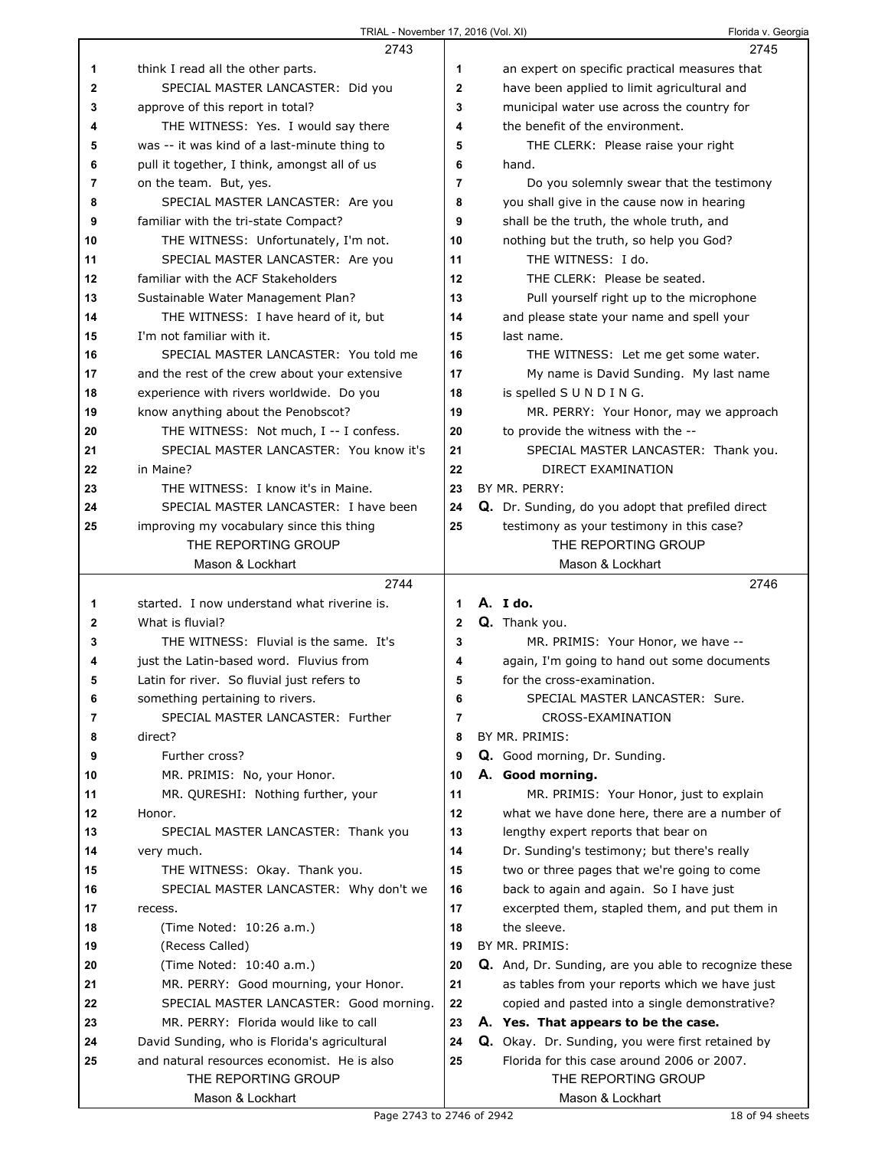|          | 2743                                                                                        |              | 2745                                                                                           |
|----------|---------------------------------------------------------------------------------------------|--------------|------------------------------------------------------------------------------------------------|
| 1        | think I read all the other parts.                                                           | 1            | an expert on specific practical measures that                                                  |
| 2        | SPECIAL MASTER LANCASTER: Did you                                                           | $\mathbf{2}$ | have been applied to limit agricultural and                                                    |
| 3        | approve of this report in total?                                                            | 3            | municipal water use across the country for                                                     |
| 4        | THE WITNESS: Yes. I would say there                                                         | 4            | the benefit of the environment.                                                                |
| 5        | was -- it was kind of a last-minute thing to                                                | 5            | THE CLERK: Please raise your right                                                             |
| 6        | pull it together, I think, amongst all of us                                                | 6            | hand.                                                                                          |
| 7        | on the team. But, yes.                                                                      | 7            | Do you solemnly swear that the testimony                                                       |
| 8        | SPECIAL MASTER LANCASTER: Are you                                                           | 8            | you shall give in the cause now in hearing                                                     |
| 9        | familiar with the tri-state Compact?                                                        | 9            | shall be the truth, the whole truth, and                                                       |
| 10       | THE WITNESS: Unfortunately, I'm not.                                                        | 10           | nothing but the truth, so help you God?                                                        |
| 11       | SPECIAL MASTER LANCASTER: Are you                                                           | 11           | THE WITNESS: I do.                                                                             |
| 12       | familiar with the ACF Stakeholders                                                          | 12           | THE CLERK: Please be seated.                                                                   |
| 13       | Sustainable Water Management Plan?                                                          | 13           | Pull yourself right up to the microphone                                                       |
| 14       | THE WITNESS: I have heard of it, but                                                        | 14           | and please state your name and spell your                                                      |
| 15       | I'm not familiar with it.                                                                   | 15           | last name.                                                                                     |
| 16       | SPECIAL MASTER LANCASTER: You told me                                                       | 16           | THE WITNESS: Let me get some water.                                                            |
| 17       | and the rest of the crew about your extensive                                               | 17           | My name is David Sunding. My last name                                                         |
| 18       | experience with rivers worldwide. Do you                                                    | 18           | is spelled SUNDING.                                                                            |
| 19       | know anything about the Penobscot?                                                          | 19           | MR. PERRY: Your Honor, may we approach                                                         |
| 20       | THE WITNESS: Not much, I -- I confess.                                                      | 20           | to provide the witness with the --                                                             |
| 21       | SPECIAL MASTER LANCASTER: You know it's                                                     | 21           | SPECIAL MASTER LANCASTER: Thank you.                                                           |
| 22       | in Maine?                                                                                   | 22           | DIRECT EXAMINATION                                                                             |
| 23       | THE WITNESS: I know it's in Maine.                                                          | 23           | BY MR. PERRY:                                                                                  |
| 24       | SPECIAL MASTER LANCASTER: I have been                                                       | 24           | Q. Dr. Sunding, do you adopt that prefiled direct                                              |
| 25       | improving my vocabulary since this thing                                                    | 25           | testimony as your testimony in this case?                                                      |
|          | THE REPORTING GROUP                                                                         |              | THE REPORTING GROUP                                                                            |
|          | Mason & Lockhart                                                                            |              | Mason & Lockhart                                                                               |
|          |                                                                                             |              |                                                                                                |
|          | 2744                                                                                        |              | 2746                                                                                           |
| 1        | started. I now understand what riverine is.                                                 | 1            | A. I do.                                                                                       |
| 2        | What is fluvial?                                                                            | 2            | Q. Thank you.                                                                                  |
| 3        | THE WITNESS: Fluvial is the same. It's                                                      | 3            | MR. PRIMIS: Your Honor, we have --                                                             |
| 4        | just the Latin-based word. Fluvius from                                                     | 4            | again, I'm going to hand out some documents                                                    |
| 5        | Latin for river. So fluvial just refers to                                                  | 5            | for the cross-examination.                                                                     |
| 6        | something pertaining to rivers.                                                             | 6            | SPECIAL MASTER LANCASTER: Sure.                                                                |
| 7        | SPECIAL MASTER LANCASTER: Further                                                           | 7            | CROSS-EXAMINATION                                                                              |
| 8        | direct?                                                                                     | 8            | BY MR. PRIMIS:                                                                                 |
| 9        | Further cross?                                                                              | 9            | Q. Good morning, Dr. Sunding.                                                                  |
| 10       | MR. PRIMIS: No, your Honor.                                                                 | 10           | A. Good morning.                                                                               |
| 11       | MR. QURESHI: Nothing further, your                                                          | 11           | MR. PRIMIS: Your Honor, just to explain                                                        |
| 12       | Honor.                                                                                      | 12           | what we have done here, there are a number of                                                  |
| 13       | SPECIAL MASTER LANCASTER: Thank you                                                         | 13           | lengthy expert reports that bear on                                                            |
| 14       | very much.                                                                                  | 14           | Dr. Sunding's testimony; but there's really                                                    |
| 15       | THE WITNESS: Okay. Thank you.                                                               | 15           | two or three pages that we're going to come                                                    |
| 16       | SPECIAL MASTER LANCASTER: Why don't we                                                      | 16           | back to again and again. So I have just                                                        |
| 17       | recess.                                                                                     | 17           | excerpted them, stapled them, and put them in                                                  |
| 18       | (Time Noted: 10:26 a.m.)                                                                    | 18           | the sleeve.                                                                                    |
| 19       | (Recess Called)                                                                             | 19           | BY MR. PRIMIS:                                                                                 |
| 20       | (Time Noted: 10:40 a.m.)                                                                    | 20           | Q. And, Dr. Sunding, are you able to recognize these                                           |
| 21<br>22 | MR. PERRY: Good mourning, your Honor.                                                       | 21<br>22     | as tables from your reports which we have just                                                 |
| 23       | SPECIAL MASTER LANCASTER: Good morning.<br>MR. PERRY: Florida would like to call            | 23           | copied and pasted into a single demonstrative?                                                 |
| 24       |                                                                                             | 24           | A. Yes. That appears to be the case.                                                           |
| 25       | David Sunding, who is Florida's agricultural<br>and natural resources economist. He is also | 25           | Q. Okay. Dr. Sunding, you were first retained by<br>Florida for this case around 2006 or 2007. |
|          | THE REPORTING GROUP                                                                         |              | THE REPORTING GROUP                                                                            |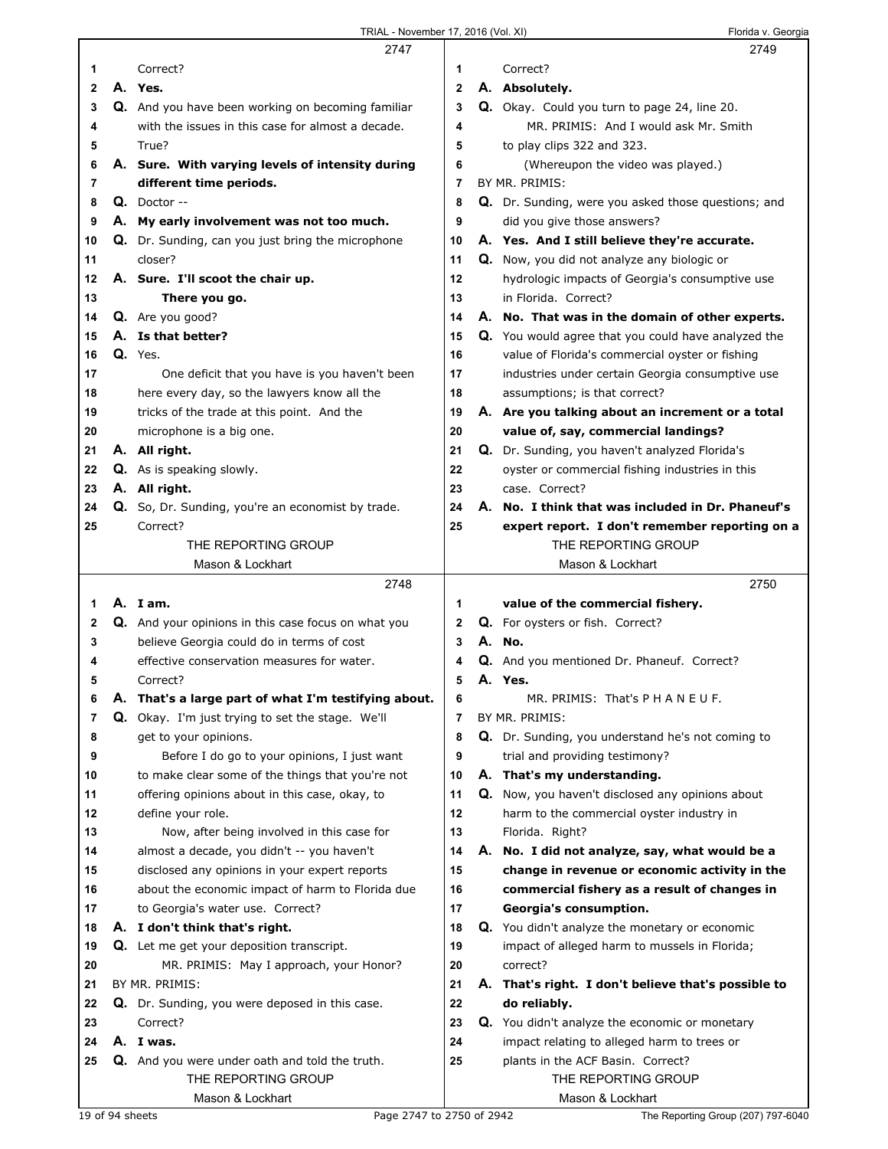|    |    | 2747                                                |                | 2749                                                |
|----|----|-----------------------------------------------------|----------------|-----------------------------------------------------|
| 1  |    | Correct?                                            | 1              | Correct?                                            |
| 2  |    | A. Yes.                                             | $\overline{2}$ | A. Absolutely.                                      |
| 3  |    | Q. And you have been working on becoming familiar   | 3              | Q. Okay. Could you turn to page 24, line 20.        |
| 4  |    | with the issues in this case for almost a decade.   | 4              | MR. PRIMIS: And I would ask Mr. Smith               |
| 5  |    | True?                                               | 5              | to play clips 322 and 323.                          |
| 6  |    | A. Sure. With varying levels of intensity during    | 6              | (Whereupon the video was played.)                   |
| 7  |    | different time periods.                             | 7              | BY MR. PRIMIS:                                      |
| 8  |    | $Q.$ Doctor --                                      | 8              | Q. Dr. Sunding, were you asked those questions; and |
| 9  |    | A. My early involvement was not too much.           | 9              | did you give those answers?                         |
| 10 |    | Q. Dr. Sunding, can you just bring the microphone   | 10             | A. Yes. And I still believe they're accurate.       |
| 11 |    | closer?                                             | 11             | Q. Now, you did not analyze any biologic or         |
| 12 |    | A. Sure. I'll scoot the chair up.                   | 12             | hydrologic impacts of Georgia's consumptive use     |
| 13 |    | There you go.                                       | 13             | in Florida. Correct?                                |
| 14 |    | Q. Are you good?                                    | 14             | A. No. That was in the domain of other experts.     |
| 15 |    | A. Is that better?                                  | 15             | Q. You would agree that you could have analyzed the |
| 16 |    | Q. Yes.                                             | 16             | value of Florida's commercial oyster or fishing     |
| 17 |    | One deficit that you have is you haven't been       | 17             | industries under certain Georgia consumptive use    |
| 18 |    | here every day, so the lawyers know all the         | 18             | assumptions; is that correct?                       |
| 19 |    | tricks of the trade at this point. And the          | 19             | A. Are you talking about an increment or a total    |
| 20 |    | microphone is a big one.                            | 20             | value of, say, commercial landings?                 |
| 21 |    | A. All right.                                       | 21             | Q. Dr. Sunding, you haven't analyzed Florida's      |
| 22 |    | Q. As is speaking slowly.                           | 22             | oyster or commercial fishing industries in this     |
| 23 |    | A. All right.                                       | 23             | case. Correct?                                      |
| 24 |    | Q. So, Dr. Sunding, you're an economist by trade.   | 24             | A. No. I think that was included in Dr. Phaneuf's   |
| 25 |    | Correct?                                            | 25             | expert report. I don't remember reporting on a      |
|    |    | THE REPORTING GROUP                                 |                | THE REPORTING GROUP                                 |
|    |    | Mason & Lockhart                                    |                | Mason & Lockhart                                    |
|    |    |                                                     |                |                                                     |
|    |    | 2748                                                |                | 2750                                                |
| 1  |    | A. Iam.                                             | 1              | value of the commercial fishery.                    |
| 2  |    | Q. And your opinions in this case focus on what you | 2              | Q. For oysters or fish. Correct?                    |
| 3  |    | believe Georgia could do in terms of cost           | 3              | A. No.                                              |
| 4  |    | effective conservation measures for water.          | 4              | Q. And you mentioned Dr. Phaneuf. Correct?          |
| 5  |    | Correct?                                            | 5              | A. Yes.                                             |
| 6  | Α. | That's a large part of what I'm testifying about.   | 6              | MR. PRIMIS: That's P H A N E U F.                   |
| 7  |    | Q. Okay. I'm just trying to set the stage. We'll    | 7              | BY MR. PRIMIS:                                      |
| 8  |    | get to your opinions.                               | 8              | Q. Dr. Sunding, you understand he's not coming to   |
| 9  |    | Before I do go to your opinions, I just want        | 9              | trial and providing testimony?                      |
| 10 |    | to make clear some of the things that you're not    | 10             | A. That's my understanding.                         |
| 11 |    | offering opinions about in this case, okay, to      | 11             | Q. Now, you haven't disclosed any opinions about    |
| 12 |    | define your role.                                   | 12             | harm to the commercial oyster industry in           |
| 13 |    | Now, after being involved in this case for          | 13             | Florida. Right?                                     |
| 14 |    | almost a decade, you didn't -- you haven't          | 14             | A. No. I did not analyze, say, what would be a      |
| 15 |    | disclosed any opinions in your expert reports       | 15             | change in revenue or economic activity in the       |
| 16 |    | about the economic impact of harm to Florida due    | 16             | commercial fishery as a result of changes in        |
| 17 |    | to Georgia's water use. Correct?                    | 17             | Georgia's consumption.                              |
| 18 |    | A. I don't think that's right.                      | 18             | Q. You didn't analyze the monetary or economic      |
| 19 |    | Q. Let me get your deposition transcript.           | 19             | impact of alleged harm to mussels in Florida;       |
| 20 |    | MR. PRIMIS: May I approach, your Honor?             | 20             | correct?                                            |
| 21 |    | BY MR. PRIMIS:                                      | 21             | A. That's right. I don't believe that's possible to |
| 22 |    | Q. Dr. Sunding, you were deposed in this case.      | 22             | do reliably.                                        |
| 23 |    | Correct?                                            | 23             | Q. You didn't analyze the economic or monetary      |
| 24 |    | A. I was.                                           | 24             | impact relating to alleged harm to trees or         |
| 25 |    | Q. And you were under oath and told the truth.      | 25             | plants in the ACF Basin. Correct?                   |
|    |    | THE REPORTING GROUP<br>Mason & Lockhart             |                | THE REPORTING GROUP<br>Mason & Lockhart             |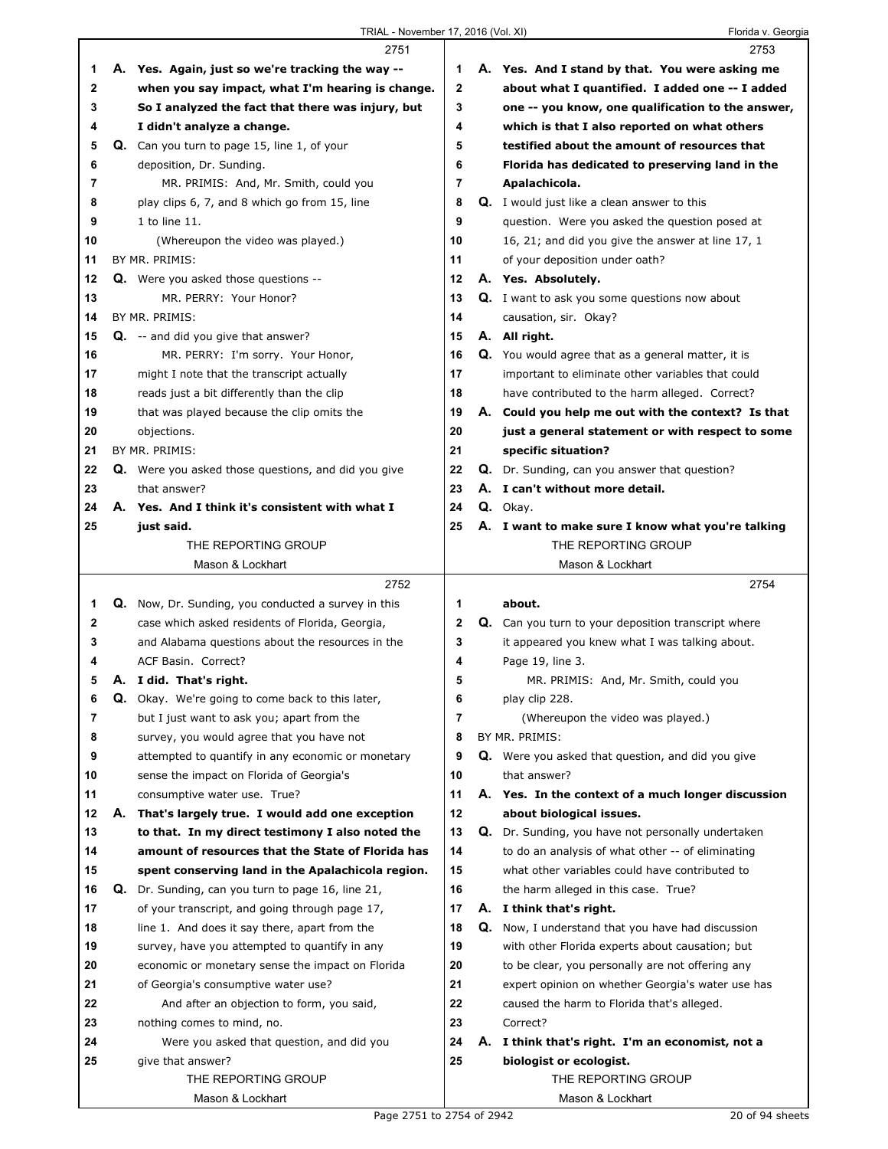|    |    | 2751                                                |              |    | 2753                                                     |
|----|----|-----------------------------------------------------|--------------|----|----------------------------------------------------------|
| 1  |    | A. Yes. Again, just so we're tracking the way --    | 1            |    | A. Yes. And I stand by that. You were asking me          |
| 2  |    | when you say impact, what I'm hearing is change.    | $\mathbf{2}$ |    | about what I quantified. I added one -- I added          |
| 3  |    | So I analyzed the fact that there was injury, but   | 3            |    | one -- you know, one qualification to the answer,        |
| 4  |    | I didn't analyze a change.                          | 4            |    | which is that I also reported on what others             |
| 5  |    | Q. Can you turn to page 15, line 1, of your         | 5            |    | testified about the amount of resources that             |
| 6  |    | deposition, Dr. Sunding.                            | 6            |    | Florida has dedicated to preserving land in the          |
| 7  |    | MR. PRIMIS: And, Mr. Smith, could you               | 7            |    | Apalachicola.                                            |
| 8  |    | play clips 6, 7, and 8 which go from 15, line       | 8            |    | <b>Q.</b> I would just like a clean answer to this       |
| 9  |    | 1 to line 11.                                       | 9            |    | question. Were you asked the question posed at           |
| 10 |    | (Whereupon the video was played.)                   | 10           |    | 16, 21; and did you give the answer at line 17, 1        |
| 11 |    | BY MR. PRIMIS:                                      | 11           |    | of your deposition under oath?                           |
| 12 |    | <b>Q.</b> Were you asked those questions --         | 12           |    | A. Yes. Absolutely.                                      |
| 13 |    | MR. PERRY: Your Honor?                              | 13           |    | <b>Q.</b> I want to ask you some questions now about     |
| 14 |    | BY MR. PRIMIS:                                      | 14           |    | causation, sir. Okay?                                    |
| 15 |    | Q. -- and did you give that answer?                 | 15           |    | A. All right.                                            |
| 16 |    | MR. PERRY: I'm sorry. Your Honor,                   | 16           |    | Q. You would agree that as a general matter, it is       |
| 17 |    | might I note that the transcript actually           | 17           |    | important to eliminate other variables that could        |
| 18 |    | reads just a bit differently than the clip          | 18           |    | have contributed to the harm alleged. Correct?           |
| 19 |    | that was played because the clip omits the          | 19           |    | A. Could you help me out with the context? Is that       |
| 20 |    | objections.                                         | 20           |    | just a general statement or with respect to some         |
| 21 |    | BY MR. PRIMIS:                                      | 21           |    | specific situation?                                      |
| 22 |    | Q. Were you asked those questions, and did you give | 22           |    | Q. Dr. Sunding, can you answer that question?            |
| 23 |    | that answer?                                        | 23           |    | A. I can't without more detail.                          |
| 24 |    | A. Yes. And I think it's consistent with what I     | 24           |    | Q. Okay.                                                 |
| 25 |    | just said.                                          | 25           |    | A. I want to make sure I know what you're talking        |
|    |    | THE REPORTING GROUP                                 |              |    | THE REPORTING GROUP                                      |
|    |    | Mason & Lockhart                                    |              |    | Mason & Lockhart                                         |
|    |    |                                                     |              |    |                                                          |
|    |    |                                                     |              |    |                                                          |
|    |    | 2752                                                |              |    | 2754                                                     |
| 1  |    | Q. Now, Dr. Sunding, you conducted a survey in this | 1            |    | about.                                                   |
| 2  |    | case which asked residents of Florida, Georgia,     | 2            |    | Q. Can you turn to your deposition transcript where      |
| 3  |    | and Alabama questions about the resources in the    | 3            |    | it appeared you knew what I was talking about.           |
| 4  |    | ACF Basin. Correct?                                 | 4            |    | Page 19, line 3.                                         |
| 5  |    | A. I did. That's right.                             | 5            |    | MR. PRIMIS: And, Mr. Smith, could you                    |
| 6  | Q. | Okay. We're going to come back to this later,       | 6            |    | play clip 228.                                           |
| 7  |    | but I just want to ask you; apart from the          | 7            |    | (Whereupon the video was played.)                        |
| 8  |    | survey, you would agree that you have not           | 8            |    | BY MR. PRIMIS:                                           |
| 9  |    | attempted to quantify in any economic or monetary   | 9            |    | <b>Q.</b> Were you asked that question, and did you give |
| 10 |    | sense the impact on Florida of Georgia's            | 10           |    | that answer?                                             |
| 11 |    | consumptive water use. True?                        | 11           |    | A. Yes. In the context of a much longer discussion       |
| 12 | А. | That's largely true. I would add one exception      | 12           |    | about biological issues.                                 |
| 13 |    | to that. In my direct testimony I also noted the    | 13           |    | Q. Dr. Sunding, you have not personally undertaken       |
| 14 |    | amount of resources that the State of Florida has   | 14           |    | to do an analysis of what other -- of eliminating        |
| 15 |    | spent conserving land in the Apalachicola region.   | 15           |    | what other variables could have contributed to           |
| 16 |    | Q. Dr. Sunding, can you turn to page 16, line 21,   | 16           |    | the harm alleged in this case. True?                     |
| 17 |    | of your transcript, and going through page 17,      | 17           |    | A. I think that's right.                                 |
| 18 |    | line 1. And does it say there, apart from the       | 18           | Q. | Now, I understand that you have had discussion           |
| 19 |    | survey, have you attempted to quantify in any       | 19           |    | with other Florida experts about causation; but          |
| 20 |    | economic or monetary sense the impact on Florida    | 20           |    | to be clear, you personally are not offering any         |
| 21 |    | of Georgia's consumptive water use?                 | 21           |    | expert opinion on whether Georgia's water use has        |
| 22 |    | And after an objection to form, you said,           | 22           |    | caused the harm to Florida that's alleged.               |
| 23 |    | nothing comes to mind, no.                          | 23           |    | Correct?                                                 |
| 24 |    | Were you asked that question, and did you           | 24           |    | A. I think that's right. I'm an economist, not a         |
| 25 |    | give that answer?                                   | 25           |    | biologist or ecologist.                                  |
|    |    | THE REPORTING GROUP<br>Mason & Lockhart             |              |    | THE REPORTING GROUP<br>Mason & Lockhart                  |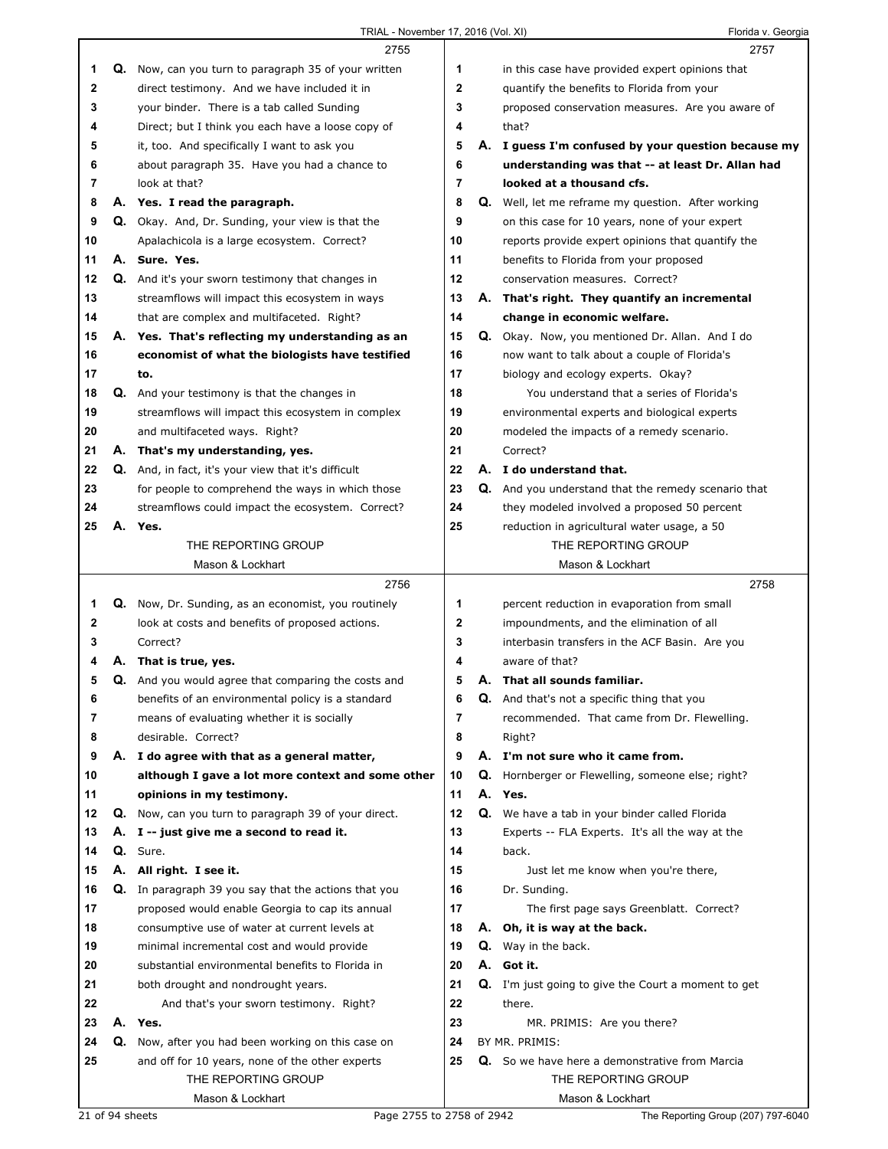|              |    | 2755                                                 |              |    | 2757                                                |
|--------------|----|------------------------------------------------------|--------------|----|-----------------------------------------------------|
| 1            |    | Q. Now, can you turn to paragraph 35 of your written | 1            |    | in this case have provided expert opinions that     |
| 2            |    | direct testimony. And we have included it in         | 2            |    | quantify the benefits to Florida from your          |
| 3            |    | your binder. There is a tab called Sunding           | 3            |    | proposed conservation measures. Are you aware of    |
| 4            |    | Direct; but I think you each have a loose copy of    | 4            |    | that?                                               |
| 5            |    | it, too. And specifically I want to ask you          | 5            |    | A. I quess I'm confused by your question because my |
| 6            |    | about paragraph 35. Have you had a chance to         | 6            |    | understanding was that -- at least Dr. Allan had    |
| 7            |    | look at that?                                        | 7            |    | looked at a thousand cfs.                           |
| 8            |    | A. Yes. I read the paragraph.                        | 8            |    | Q. Well, let me reframe my question. After working  |
| 9            |    | Q. Okay. And, Dr. Sunding, your view is that the     | 9            |    | on this case for 10 years, none of your expert      |
| 10           |    | Apalachicola is a large ecosystem. Correct?          | 10           |    | reports provide expert opinions that quantify the   |
| 11           |    | A. Sure. Yes.                                        | 11           |    | benefits to Florida from your proposed              |
| 12           |    | Q. And it's your sworn testimony that changes in     | 12           |    | conservation measures. Correct?                     |
| 13           |    | streamflows will impact this ecosystem in ways       | 13           | А. | That's right. They quantify an incremental          |
| 14           |    | that are complex and multifaceted. Right?            | 14           |    | change in economic welfare.                         |
| 15           |    | A. Yes. That's reflecting my understanding as an     | 15           |    | Q. Okay. Now, you mentioned Dr. Allan. And I do     |
| 16           |    | economist of what the biologists have testified      | 16           |    | now want to talk about a couple of Florida's        |
| 17           |    | to.                                                  | 17           |    | biology and ecology experts. Okay?                  |
| 18           |    | Q. And your testimony is that the changes in         | 18           |    | You understand that a series of Florida's           |
| 19           |    | streamflows will impact this ecosystem in complex    | 19           |    | environmental experts and biological experts        |
| 20           |    | and multifaceted ways. Right?                        | 20           |    | modeled the impacts of a remedy scenario.           |
| 21           |    | A. That's my understanding, yes.                     | 21           |    | Correct?                                            |
| 22           |    | Q. And, in fact, it's your view that it's difficult  | 22           |    | A. I do understand that.                            |
| 23           |    | for people to comprehend the ways in which those     | 23           |    | Q. And you understand that the remedy scenario that |
| 24           |    | streamflows could impact the ecosystem. Correct?     | 24           |    | they modeled involved a proposed 50 percent         |
| 25           |    | A. Yes.                                              | 25           |    | reduction in agricultural water usage, a 50         |
|              |    | THE REPORTING GROUP                                  |              |    | THE REPORTING GROUP                                 |
|              |    | Mason & Lockhart                                     |              |    | Mason & Lockhart                                    |
|              |    |                                                      |              |    |                                                     |
|              |    | 2756                                                 |              |    | 2758                                                |
| 1            |    | Q. Now, Dr. Sunding, as an economist, you routinely  | 1            |    | percent reduction in evaporation from small         |
| $\mathbf{2}$ |    | look at costs and benefits of proposed actions.      | $\mathbf{2}$ |    | impoundments, and the elimination of all            |
| 3            |    | Correct?                                             | 3            |    | interbasin transfers in the ACF Basin. Are you      |
| 4            |    | A. That is true, yes.                                | 4            |    | aware of that?                                      |
| 5            |    | Q. And you would agree that comparing the costs and  | 5            |    | A. That all sounds familiar.                        |
| 6            |    | benefits of an environmental policy is a standard    | 6            |    | <b>Q.</b> And that's not a specific thing that you  |
| 7            |    | means of evaluating whether it is socially           | 7            |    | recommended. That came from Dr. Flewelling.         |
| 8            |    | desirable. Correct?                                  | 8            |    | Right?                                              |
| 9            |    | A. I do agree with that as a general matter,         | 9            |    | A. I'm not sure who it came from.                   |
| 10           |    | although I gave a lot more context and some other    | 10           |    | Q. Hornberger or Flewelling, someone else; right?   |
| 11           |    | opinions in my testimony.                            | 11           |    | A. Yes.                                             |
| 12           | Q. | Now, can you turn to paragraph 39 of your direct.    | 12           | Q. | We have a tab in your binder called Florida         |
| 13           | А. | I -- just give me a second to read it.               | 13           |    | Experts -- FLA Experts. It's all the way at the     |
| 14           | Q. | Sure.                                                | 14           |    | back.                                               |
| 15           |    | A. All right. I see it.                              | 15           |    | Just let me know when you're there,                 |
| 16           |    | Q. In paragraph 39 you say that the actions that you | 16           |    | Dr. Sunding.                                        |
| 17           |    | proposed would enable Georgia to cap its annual      | 17           |    | The first page says Greenblatt. Correct?            |
| 18           |    | consumptive use of water at current levels at        | 18           |    | A. Oh, it is way at the back.                       |
| 19           |    | minimal incremental cost and would provide           | 19           |    | Q. Way in the back.                                 |
| 20           |    | substantial environmental benefits to Florida in     | 20           |    | A. Got it.                                          |
| 21           |    | both drought and nondrought years.                   | 21           |    | Q. I'm just going to give the Court a moment to get |
| 22           |    | And that's your sworn testimony. Right?              | 22           |    | there.                                              |
| 23           |    | A. Yes.                                              | 23           |    | MR. PRIMIS: Are you there?                          |
| 24           | Q. | Now, after you had been working on this case on      | 24           |    | BY MR. PRIMIS:                                      |
| 25           |    | and off for 10 years, none of the other experts      | 25           |    | Q. So we have here a demonstrative from Marcia      |
|              |    | THE REPORTING GROUP                                  |              |    | THE REPORTING GROUP                                 |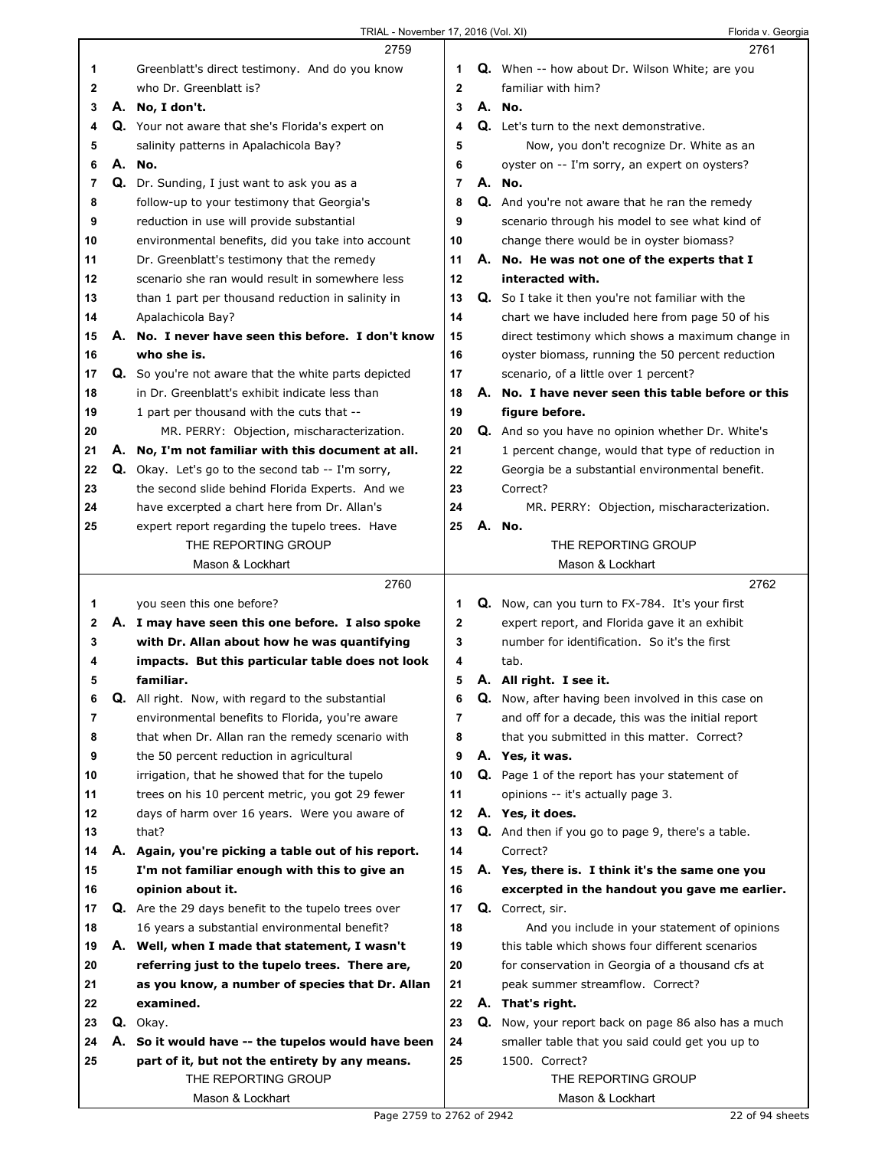|              |    | 2759                                                         |                | 2761                                                     |
|--------------|----|--------------------------------------------------------------|----------------|----------------------------------------------------------|
| 1            |    | Greenblatt's direct testimony. And do you know               | 1              | <b>Q.</b> When -- how about Dr. Wilson White; are you    |
| $\mathbf{2}$ |    | who Dr. Greenblatt is?                                       | $\mathbf{2}$   | familiar with him?                                       |
| 3            |    | A. No, I don't.                                              | 3              | A. No.                                                   |
| 4            |    | Q. Your not aware that she's Florida's expert on             | 4              | Q. Let's turn to the next demonstrative.                 |
| 5            |    | salinity patterns in Apalachicola Bay?                       | 5              | Now, you don't recognize Dr. White as an                 |
| 6            |    | A. No.                                                       | 6              | oyster on -- I'm sorry, an expert on oysters?            |
| 7            |    | Q. Dr. Sunding, I just want to ask you as a                  | $\overline{7}$ | A. No.                                                   |
| 8            |    | follow-up to your testimony that Georgia's                   | 8              | Q. And you're not aware that he ran the remedy           |
| 9            |    | reduction in use will provide substantial                    | 9              | scenario through his model to see what kind of           |
|              |    |                                                              | 10             |                                                          |
| 10           |    | environmental benefits, did you take into account            |                | change there would be in oyster biomass?                 |
| 11           |    | Dr. Greenblatt's testimony that the remedy                   | 11             | A. No. He was not one of the experts that I              |
| 12           |    | scenario she ran would result in somewhere less              | 12             | interacted with.                                         |
| 13           |    | than 1 part per thousand reduction in salinity in            | 13             | <b>Q.</b> So I take it then you're not familiar with the |
| 14           |    | Apalachicola Bay?                                            | 14             | chart we have included here from page 50 of his          |
| 15           |    | A. No. I never have seen this before. I don't know           | 15             | direct testimony which shows a maximum change in         |
| 16           |    | who she is.                                                  | 16             | oyster biomass, running the 50 percent reduction         |
| 17           |    | Q. So you're not aware that the white parts depicted         | 17             | scenario, of a little over 1 percent?                    |
| 18           |    | in Dr. Greenblatt's exhibit indicate less than               | 18             | A. No. I have never seen this table before or this       |
| 19           |    | 1 part per thousand with the cuts that --                    | 19             | figure before.                                           |
| 20           |    | MR. PERRY: Objection, mischaracterization.                   | 20             | Q. And so you have no opinion whether Dr. White's        |
| 21           | А. | No, I'm not familiar with this document at all.              | 21             | 1 percent change, would that type of reduction in        |
| 22           |    | Q. Okay. Let's go to the second tab -- I'm sorry,            | 22             | Georgia be a substantial environmental benefit.          |
| 23           |    | the second slide behind Florida Experts. And we              | 23             | Correct?                                                 |
| 24           |    | have excerpted a chart here from Dr. Allan's                 | 24             | MR. PERRY: Objection, mischaracterization.               |
| 25           |    | expert report regarding the tupelo trees. Have               | 25             | A. No.                                                   |
|              |    | THE REPORTING GROUP                                          |                | THE REPORTING GROUP                                      |
|              |    | Mason & Lockhart                                             |                | Mason & Lockhart                                         |
|              |    | 2760                                                         |                | 2762                                                     |
|              |    |                                                              |                |                                                          |
|              |    |                                                              |                |                                                          |
| 1            |    | you seen this one before?                                    | 1              | <b>Q.</b> Now, can you turn to FX-784. It's your first   |
| 2            |    | A. I may have seen this one before. I also spoke             | $\mathbf{2}$   | expert report, and Florida gave it an exhibit            |
| 3            |    | with Dr. Allan about how he was quantifying                  | 3              | number for identification. So it's the first             |
| 4            |    | impacts. But this particular table does not look             | 4              | tab.                                                     |
| 5            |    | familiar.                                                    | 5              | A. All right. I see it.                                  |
| 6            |    | Q. All right. Now, with regard to the substantial            | 6              | Q. Now, after having been involved in this case on       |
| 7            |    | environmental benefits to Florida, you're aware              | 7              | and off for a decade, this was the initial report        |
| 8            |    | that when Dr. Allan ran the remedy scenario with             | 8              | that you submitted in this matter. Correct?              |
| 9            |    | the 50 percent reduction in agricultural                     | 9              | A. Yes, it was.                                          |
| 10           |    | irrigation, that he showed that for the tupelo               | 10             | <b>Q.</b> Page 1 of the report has your statement of     |
| 11           |    | trees on his 10 percent metric, you got 29 fewer             | 11             | opinions -- it's actually page 3.                        |
| 12           |    | days of harm over 16 years. Were you aware of                | 12             | A. Yes, it does.                                         |
| 13           |    | that?                                                        | 13             | Q. And then if you go to page 9, there's a table.        |
| 14           |    | A. Again, you're picking a table out of his report.          | 14             | Correct?                                                 |
| 15           |    | I'm not familiar enough with this to give an                 | 15             | A. Yes, there is. I think it's the same one you          |
| 16           |    | opinion about it.                                            | 16             | excerpted in the handout you gave me earlier.            |
| 17           |    | Q. Are the 29 days benefit to the tupelo trees over          | 17             | Q. Correct, sir.                                         |
| 18           |    | 16 years a substantial environmental benefit?                | 18             | And you include in your statement of opinions            |
| 19           |    | A. Well, when I made that statement, I wasn't                | 19             | this table which shows four different scenarios          |
| 20           |    | referring just to the tupelo trees. There are,               | 20             | for conservation in Georgia of a thousand cfs at         |
| 21           |    |                                                              | 21             | peak summer streamflow. Correct?                         |
| 22           |    | as you know, a number of species that Dr. Allan<br>examined. | 22             |                                                          |
| 23           |    |                                                              |                | A. That's right.                                         |
|              |    | Q. Okay.                                                     | 23             | Q. Now, your report back on page 86 also has a much      |
| 24           | А. | So it would have -- the tupelos would have been              | 24             | smaller table that you said could get you up to          |
| 25           |    | part of it, but not the entirety by any means.               | 25             | 1500. Correct?                                           |
|              |    | THE REPORTING GROUP<br>Mason & Lockhart                      |                | THE REPORTING GROUP<br>Mason & Lockhart                  |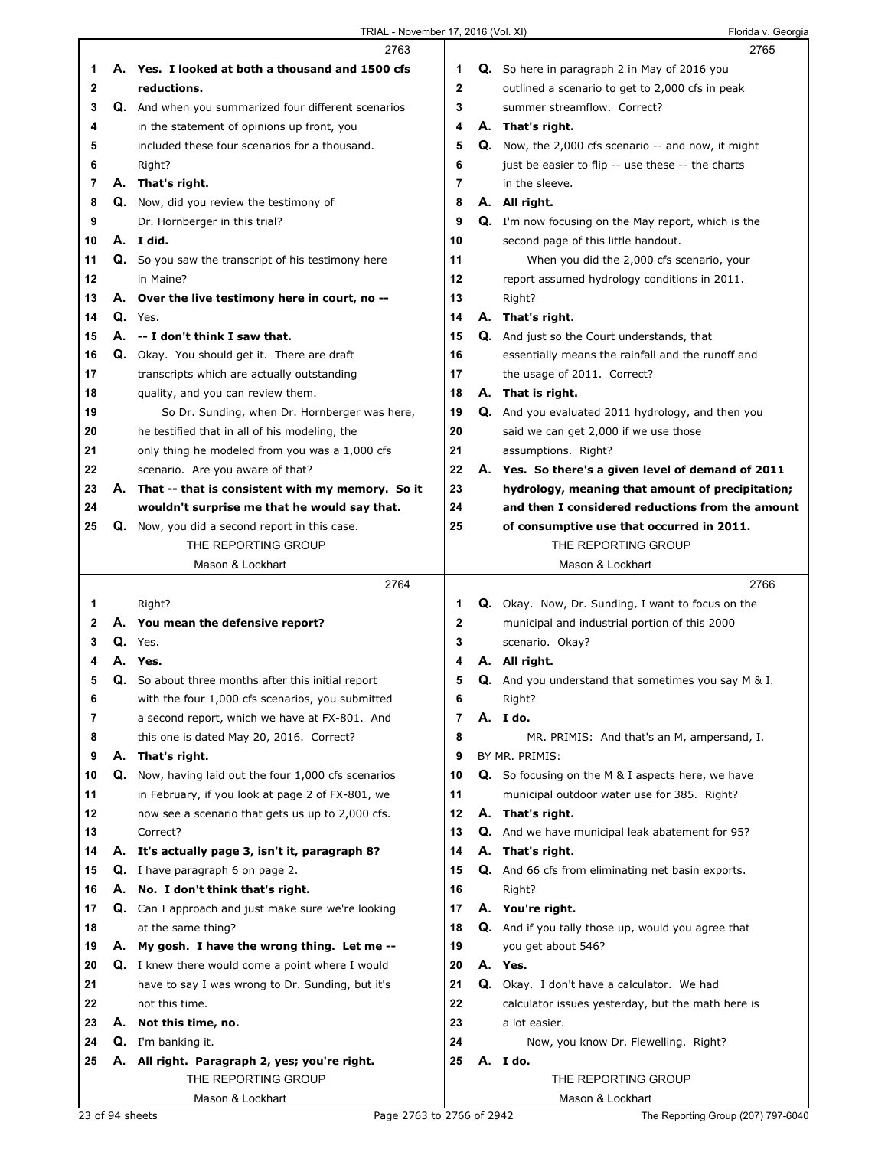|    |    | 2763                                                        |          | 2765                                                       |
|----|----|-------------------------------------------------------------|----------|------------------------------------------------------------|
| 1  |    | A. Yes. I looked at both a thousand and 1500 cfs            | 1        | Q. So here in paragraph 2 in May of 2016 you               |
| 2  |    | reductions.                                                 | 2        | outlined a scenario to get to 2,000 cfs in peak            |
| 3  |    | Q. And when you summarized four different scenarios         | 3        | summer streamflow. Correct?                                |
| 4  |    | in the statement of opinions up front, you                  | 4        | A. That's right.                                           |
| 5  |    | included these four scenarios for a thousand.               | 5        | <b>Q.</b> Now, the 2,000 cfs scenario -- and now, it might |
| 6  |    | Right?                                                      | 6        | just be easier to flip -- use these -- the charts          |
| 7  |    | A. That's right.                                            | 7        | in the sleeve.                                             |
| 8  |    | <b>Q.</b> Now, did you review the testimony of              | 8        | A. All right.                                              |
| 9  |    | Dr. Hornberger in this trial?                               | 9        | <b>Q.</b> I'm now focusing on the May report, which is the |
| 10 |    | A. I did.                                                   | 10       | second page of this little handout.                        |
| 11 |    | Q. So you saw the transcript of his testimony here          | 11       | When you did the 2,000 cfs scenario, your                  |
| 12 |    | in Maine?                                                   | 12       | report assumed hydrology conditions in 2011.               |
|    |    |                                                             | 13       |                                                            |
| 13 |    | A. Over the live testimony here in court, no --             |          | Right?                                                     |
| 14 | Q. | Yes.                                                        | 14       | A. That's right.                                           |
| 15 | А. | -- I don't think I saw that.                                | 15       | <b>Q.</b> And just so the Court understands, that          |
| 16 |    | Q. Okay. You should get it. There are draft                 | 16       | essentially means the rainfall and the runoff and          |
| 17 |    | transcripts which are actually outstanding                  | 17       | the usage of 2011. Correct?                                |
| 18 |    | quality, and you can review them.                           | 18       | A. That is right.                                          |
| 19 |    | So Dr. Sunding, when Dr. Hornberger was here,               | 19       | Q. And you evaluated 2011 hydrology, and then you          |
| 20 |    | he testified that in all of his modeling, the               | 20       | said we can get 2,000 if we use those                      |
| 21 |    | only thing he modeled from you was a 1,000 cfs              | 21       | assumptions. Right?                                        |
| 22 |    | scenario. Are you aware of that?                            | 22       | A. Yes. So there's a given level of demand of 2011         |
| 23 |    | A. That -- that is consistent with my memory. So it         | 23       | hydrology, meaning that amount of precipitation;           |
| 24 |    | wouldn't surprise me that he would say that.                | 24       | and then I considered reductions from the amount           |
| 25 |    | Q. Now, you did a second report in this case.               | 25       | of consumptive use that occurred in 2011.                  |
|    |    | THE REPORTING GROUP                                         |          | THE REPORTING GROUP                                        |
|    |    | Mason & Lockhart                                            |          | Mason & Lockhart                                           |
|    |    |                                                             |          |                                                            |
|    |    | 2764                                                        |          | 2766                                                       |
| 1  |    | Right?                                                      | 1        | Q. Okay. Now, Dr. Sunding, I want to focus on the          |
| 2  |    | A. You mean the defensive report?                           | 2        | municipal and industrial portion of this 2000              |
| 3  |    | Q. Yes.                                                     | 3        | scenario. Okay?                                            |
| 4  | А. | Yes.                                                        | 4        | A. All right.                                              |
| 5  |    | Q. So about three months after this initial report          | 5        | <b>Q.</b> And you understand that sometimes you say M & I. |
| ь  |    | with the four 1,000 cfs scenarios, you submitted            | 6        |                                                            |
| 7  |    | a second report, which we have at FX-801. And               | 7        | Right?<br>A. I do.                                         |
| 8  |    |                                                             | 8        | MR. PRIMIS: And that's an M, ampersand, I.                 |
| 9  |    | this one is dated May 20, 2016. Correct?                    | 9        | BY MR. PRIMIS:                                             |
| 10 |    | A. That's right.                                            | 10       |                                                            |
|    |    | <b>Q.</b> Now, having laid out the four 1,000 cfs scenarios |          | <b>Q.</b> So focusing on the M & I aspects here, we have   |
| 11 |    | in February, if you look at page 2 of FX-801, we            | 11<br>12 | municipal outdoor water use for 385. Right?                |
| 12 |    | now see a scenario that gets us up to 2,000 cfs.            |          | A. That's right.                                           |
| 13 |    | Correct?                                                    | 13       | <b>Q.</b> And we have municipal leak abatement for 95?     |
| 14 |    | A. It's actually page 3, isn't it, paragraph 8?             | 14       | A. That's right.                                           |
| 15 |    | <b>Q.</b> I have paragraph 6 on page 2.                     | 15       | Q. And 66 cfs from eliminating net basin exports.          |
| 16 |    | A. No. I don't think that's right.                          | 16       | Right?                                                     |
| 17 |    | Q. Can I approach and just make sure we're looking          | 17       | A. You're right.                                           |
| 18 |    | at the same thing?                                          | 18       | <b>Q.</b> And if you tally those up, would you agree that  |
| 19 |    | A. My gosh. I have the wrong thing. Let me --               | 19       | you get about 546?                                         |
| 20 |    | Q. I knew there would come a point where I would            | 20       | A. Yes.                                                    |
| 21 |    | have to say I was wrong to Dr. Sunding, but it's            | 21       | Q. Okay. I don't have a calculator. We had                 |
| 22 |    | not this time.                                              | 22       | calculator issues yesterday, but the math here is          |
| 23 | А. | Not this time, no.                                          | 23       | a lot easier.                                              |
| 24 |    | Q. I'm banking it.                                          | 24       | Now, you know Dr. Flewelling. Right?                       |
| 25 |    | A. All right. Paragraph 2, yes; you're right.               | 25       | A. Ido.                                                    |
|    |    | THE REPORTING GROUP<br>Mason & Lockhart                     |          | THE REPORTING GROUP<br>Mason & Lockhart                    |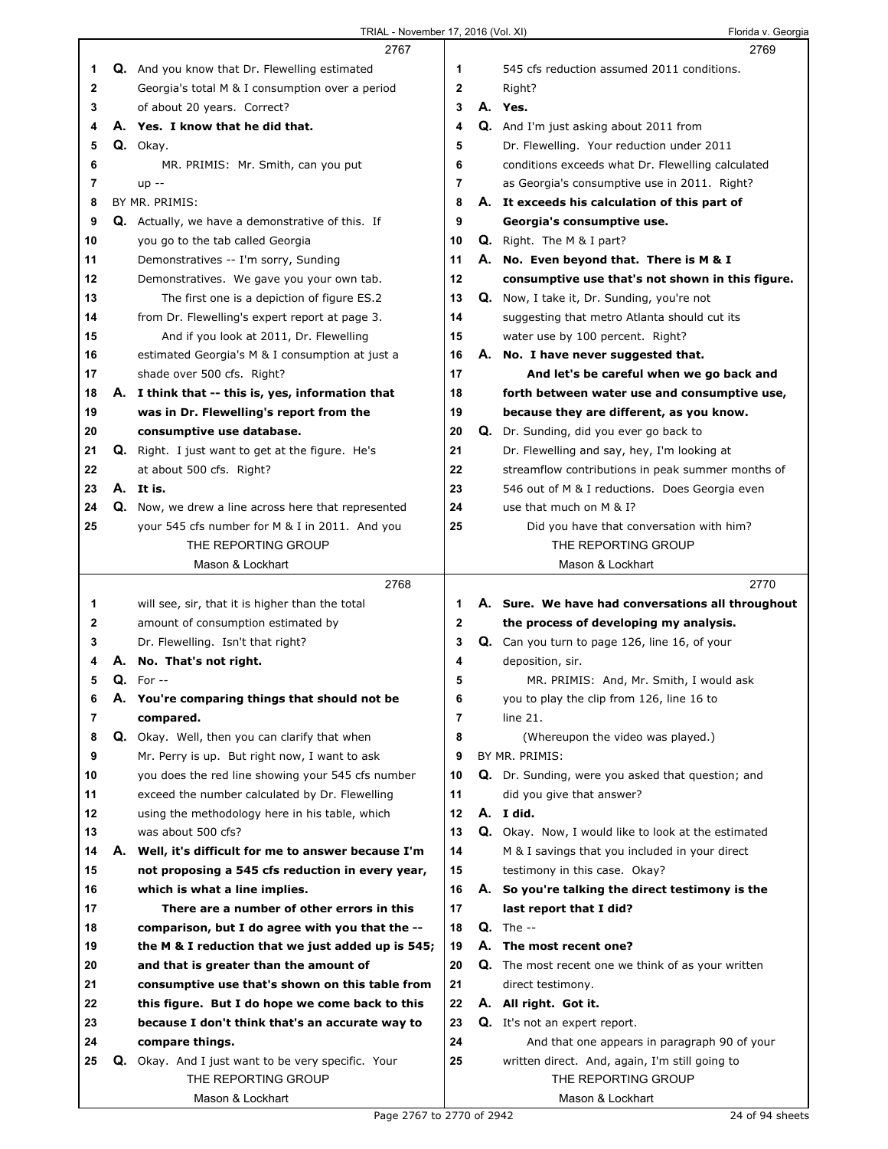|              |    | 2767                                                                                           |                | 2769                                                    |
|--------------|----|------------------------------------------------------------------------------------------------|----------------|---------------------------------------------------------|
| 1            |    | <b>Q.</b> And you know that Dr. Flewelling estimated                                           | 1              | 545 cfs reduction assumed 2011 conditions.              |
| $\mathbf{2}$ |    | Georgia's total M & I consumption over a period                                                | 2              | Right?                                                  |
| 3            |    | of about 20 years. Correct?                                                                    | 3              | A. Yes.                                                 |
| 4            |    | A. Yes. I know that he did that.                                                               | 4              | <b>Q.</b> And I'm just asking about 2011 from           |
| 5            |    | Q. Okay.                                                                                       | 5              | Dr. Flewelling. Your reduction under 2011               |
| 6            |    | MR. PRIMIS: Mr. Smith, can you put                                                             | 6              | conditions exceeds what Dr. Flewelling calculated       |
| 7            |    | up --                                                                                          | $\overline{7}$ | as Georgia's consumptive use in 2011. Right?            |
| 8            |    |                                                                                                | 8              | A. It exceeds his calculation of this part of           |
|              |    | BY MR. PRIMIS:                                                                                 |                |                                                         |
| 9            |    | <b>Q.</b> Actually, we have a demonstrative of this. If                                        | 9              | Georgia's consumptive use.                              |
| 10           |    | you go to the tab called Georgia                                                               | 10             | <b>Q.</b> Right. The M & I part?                        |
| 11           |    | Demonstratives -- I'm sorry, Sunding                                                           | 11             | A. No. Even beyond that. There is M & I                 |
| 12           |    | Demonstratives. We gave you your own tab.                                                      | 12             | consumptive use that's not shown in this figure.        |
| 13           |    | The first one is a depiction of figure ES.2                                                    | 13             | Q. Now, I take it, Dr. Sunding, you're not              |
| 14           |    | from Dr. Flewelling's expert report at page 3.                                                 | 14             | suggesting that metro Atlanta should cut its            |
| 15           |    | And if you look at 2011, Dr. Flewelling                                                        | 15             | water use by 100 percent. Right?                        |
| 16           |    | estimated Georgia's M & I consumption at just a                                                | 16             | A. No. I have never suggested that.                     |
| 17           |    | shade over 500 cfs. Right?                                                                     | 17             | And let's be careful when we go back and                |
| 18           |    | A. I think that -- this is, yes, information that                                              | 18             | forth between water use and consumptive use,            |
| 19           |    | was in Dr. Flewelling's report from the                                                        | 19             | because they are different, as you know.                |
| 20           |    | consumptive use database.                                                                      | 20             | Q. Dr. Sunding, did you ever go back to                 |
| 21           |    | <b>Q.</b> Right. I just want to get at the figure. He's                                        | 21             | Dr. Flewelling and say, hey, I'm looking at             |
| 22           |    | at about 500 cfs. Right?                                                                       | 22             | streamflow contributions in peak summer months of       |
| 23           |    | A. It is.                                                                                      | 23             | 546 out of M & I reductions. Does Georgia even          |
| 24           |    | Q. Now, we drew a line across here that represented                                            | 24             | use that much on M & I?                                 |
| 25           |    | your 545 cfs number for M & I in 2011. And you                                                 | 25             | Did you have that conversation with him?                |
|              |    | THE REPORTING GROUP                                                                            |                | THE REPORTING GROUP                                     |
|              |    | Mason & Lockhart                                                                               |                | Mason & Lockhart                                        |
|              |    |                                                                                                |                |                                                         |
|              |    | 2768                                                                                           |                | 2770                                                    |
| 1            |    | will see, sir, that it is higher than the total                                                | 1              | A. Sure. We have had conversations all throughout       |
| 2            |    | amount of consumption estimated by                                                             | 2              | the process of developing my analysis.                  |
| 3            |    | Dr. Flewelling. Isn't that right?                                                              | 3              | Q. Can you turn to page 126, line 16, of your           |
| 4            |    | A. No. That's not right.                                                                       | 4              | deposition, sir.                                        |
| 5            |    | $Q. For --$                                                                                    | 5              | MR. PRIMIS: And, Mr. Smith, I would ask                 |
| 6            | Α. |                                                                                                | 6              |                                                         |
| 7            |    | You're comparing things that should not be<br>compared.                                        | $\overline{7}$ | you to play the clip from 126, line 16 to<br>line $21.$ |
| 8            |    |                                                                                                | 8              |                                                         |
| 9            |    | Q. Okay. Well, then you can clarify that when<br>Mr. Perry is up. But right now, I want to ask | 9              | (Whereupon the video was played.)<br>BY MR. PRIMIS:     |
| 10           |    |                                                                                                | 10             |                                                         |
| 11           |    | you does the red line showing your 545 cfs number                                              | 11             | Q. Dr. Sunding, were you asked that question; and       |
| 12           |    | exceed the number calculated by Dr. Flewelling                                                 | 12             | did you give that answer?                               |
|              |    | using the methodology here in his table, which<br>was about 500 cfs?                           |                | A. I did.                                               |
| 13           |    |                                                                                                | 13<br>14       | Q. Okay. Now, I would like to look at the estimated     |
| 14           |    | A. Well, it's difficult for me to answer because I'm                                           |                | M & I savings that you included in your direct          |
| 15           |    | not proposing a 545 cfs reduction in every year,                                               | 15             | testimony in this case. Okay?                           |
| 16           |    | which is what a line implies.                                                                  | 16             | A. So you're talking the direct testimony is the        |
| 17           |    | There are a number of other errors in this                                                     | 17             | last report that I did?                                 |
| 18           |    | comparison, but I do agree with you that the --                                                | 18             | <b>Q.</b> The --                                        |
| 19           |    | the M & I reduction that we just added up is 545;                                              | 19             | A. The most recent one?                                 |
| 20           |    | and that is greater than the amount of                                                         | ${\bf 20}$     | Q. The most recent one we think of as your written      |
| 21           |    | consumptive use that's shown on this table from                                                | 21             | direct testimony.                                       |
| 22           |    | this figure. But I do hope we come back to this                                                | 22             | A. All right. Got it.                                   |
| 23           |    | because I don't think that's an accurate way to                                                | 23             | Q. It's not an expert report.                           |
| 24           |    | compare things.                                                                                | 24             | And that one appears in paragraph 90 of your            |
| 25           |    | Q. Okay. And I just want to be very specific. Your                                             | 25             | written direct. And, again, I'm still going to          |
|              |    | THE REPORTING GROUP<br>Mason & Lockhart                                                        |                | THE REPORTING GROUP<br>Mason & Lockhart                 |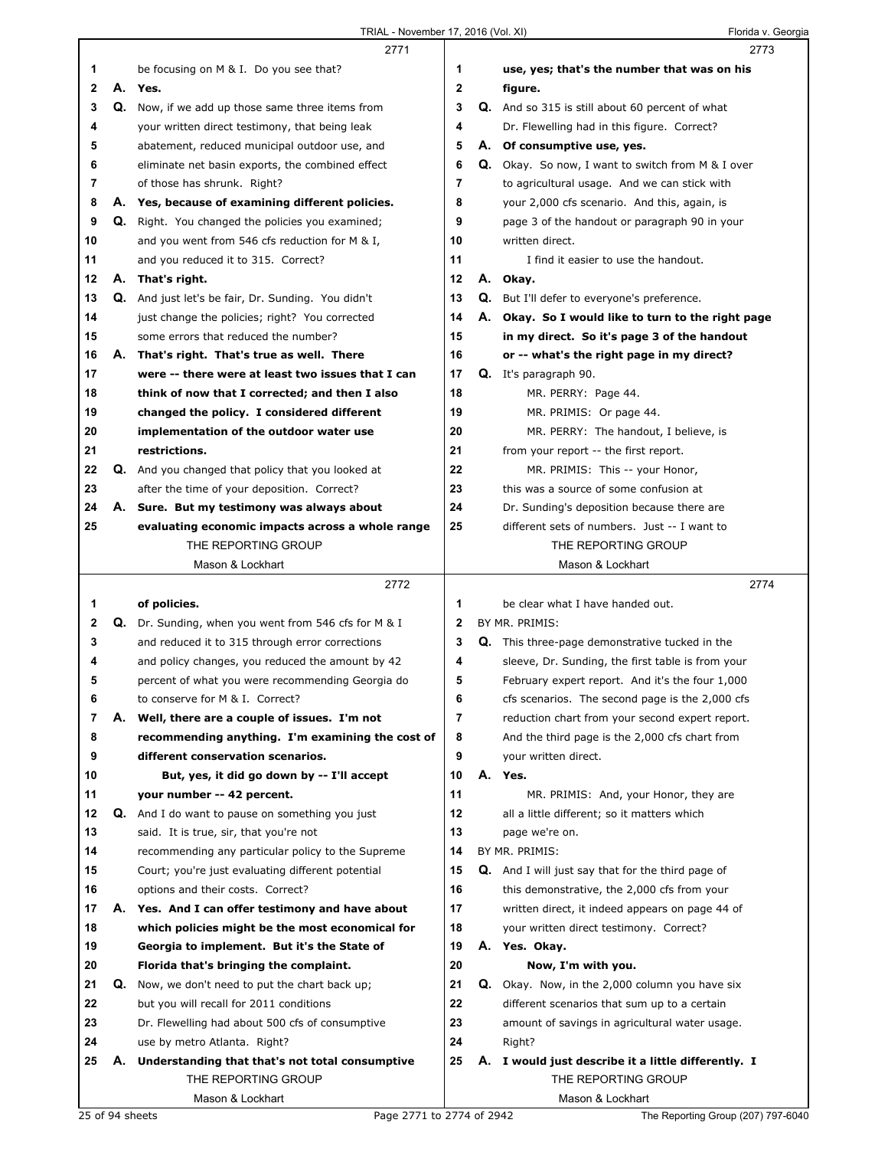|              |    | 2771                                                        |                | 2773                                                     |  |
|--------------|----|-------------------------------------------------------------|----------------|----------------------------------------------------------|--|
| 1            |    | be focusing on M & I. Do you see that?                      | 1              | use, yes; that's the number that was on his              |  |
| $\mathbf{2}$ | А. | Yes.                                                        | $\mathbf{2}$   | figure.                                                  |  |
| 3            | Q. | Now, if we add up those same three items from               | 3              | <b>Q.</b> And so 315 is still about 60 percent of what   |  |
| 4            |    | your written direct testimony, that being leak              | 4              | Dr. Flewelling had in this figure. Correct?              |  |
| 5            |    | abatement, reduced municipal outdoor use, and               | 5              | A. Of consumptive use, yes.                              |  |
| 6            |    | eliminate net basin exports, the combined effect            | 6              | <b>Q.</b> Okay. So now, I want to switch from M & I over |  |
| 7            |    | of those has shrunk. Right?                                 | $\overline{7}$ | to agricultural usage. And we can stick with             |  |
| 8            |    | A. Yes, because of examining different policies.            | 8              | your 2,000 cfs scenario. And this, again, is             |  |
| 9            |    | Q. Right. You changed the policies you examined;            | 9              | page 3 of the handout or paragraph 90 in your            |  |
| 10           |    | and you went from 546 cfs reduction for M & I,              | 10             | written direct.                                          |  |
| 11           |    | and you reduced it to 315. Correct?                         | 11             | I find it easier to use the handout.                     |  |
| 12           |    | A. That's right.                                            | 12             | A. Okay.                                                 |  |
| 13           |    | Q. And just let's be fair, Dr. Sunding. You didn't          | 13             | Q. But I'll defer to everyone's preference.              |  |
| 14           |    | just change the policies; right? You corrected              | 14             | A. Okay. So I would like to turn to the right page       |  |
| 15           |    | some errors that reduced the number?                        | 15             | in my direct. So it's page 3 of the handout              |  |
| 16           |    | A. That's right. That's true as well. There                 | 16             | or -- what's the right page in my direct?                |  |
| 17           |    | were -- there were at least two issues that I can           | 17             | Q. It's paragraph 90.                                    |  |
| 18           |    | think of now that I corrected; and then I also              | 18             | MR. PERRY: Page 44.                                      |  |
| 19           |    | changed the policy. I considered different                  | 19             | MR. PRIMIS: Or page 44.                                  |  |
| 20           |    | implementation of the outdoor water use                     | 20             | MR. PERRY: The handout, I believe, is                    |  |
| 21           |    | restrictions.                                               | 21             | from your report -- the first report.                    |  |
| 22           |    | <b>Q.</b> And you changed that policy that you looked at    | 22             | MR. PRIMIS: This -- your Honor,                          |  |
| 23           |    | after the time of your deposition. Correct?                 | 23             | this was a source of some confusion at                   |  |
| 24           |    | A. Sure. But my testimony was always about                  | 24             | Dr. Sunding's deposition because there are               |  |
| 25           |    | evaluating economic impacts across a whole range            | 25             | different sets of numbers. Just -- I want to             |  |
|              |    | THE REPORTING GROUP                                         |                | THE REPORTING GROUP                                      |  |
|              |    | Mason & Lockhart                                            |                | Mason & Lockhart                                         |  |
|              |    |                                                             |                |                                                          |  |
|              |    |                                                             |                |                                                          |  |
|              |    | 2772                                                        |                | 2774                                                     |  |
| 1            |    | of policies.                                                | 1              | be clear what I have handed out.                         |  |
| 2            |    | <b>Q.</b> Dr. Sunding, when you went from 546 cfs for M & I | 2              | BY MR. PRIMIS:                                           |  |
| 3            |    | and reduced it to 315 through error corrections             | 3              | Q. This three-page demonstrative tucked in the           |  |
| 4            |    | and policy changes, you reduced the amount by 42            | 4              | sleeve, Dr. Sunding, the first table is from your        |  |
| 5            |    | percent of what you were recommending Georgia do            | 5              | February expert report. And it's the four 1,000          |  |
| 6            |    | to conserve for M & I. Correct?                             | 6              | cfs scenarios. The second page is the 2,000 cfs          |  |
| 7            |    | A. Well, there are a couple of issues. I'm not              | 7              | reduction chart from your second expert report.          |  |
| 8            |    | recommending anything. I'm examining the cost of            | 8              | And the third page is the 2,000 cfs chart from           |  |
| 9            |    | different conservation scenarios.                           | 9              | your written direct.                                     |  |
| 10           |    | But, yes, it did go down by -- I'll accept                  | 10             | A. Yes.                                                  |  |
| 11           |    | your number -- 42 percent.                                  | 11             | MR. PRIMIS: And, your Honor, they are                    |  |
| 12           |    | <b>Q.</b> And I do want to pause on something you just      | 12             | all a little different; so it matters which              |  |
| 13           |    | said. It is true, sir, that you're not                      | 13             | page we're on.                                           |  |
| 14           |    | recommending any particular policy to the Supreme           | 14             | BY MR. PRIMIS:                                           |  |
| 15           |    | Court; you're just evaluating different potential           | 15             | <b>Q.</b> And I will just say that for the third page of |  |
| 16           |    | options and their costs. Correct?                           | 16             | this demonstrative, the 2,000 cfs from your              |  |
| 17           |    | A. Yes. And I can offer testimony and have about            | 17             | written direct, it indeed appears on page 44 of          |  |
| 18           |    | which policies might be the most economical for             | 18             | your written direct testimony. Correct?                  |  |
| 19           |    | Georgia to implement. But it's the State of                 | 19             | A. Yes. Okay.                                            |  |
| 20           |    | Florida that's bringing the complaint.                      | 20             | Now, I'm with you.                                       |  |
| 21           | Q. | Now, we don't need to put the chart back up;                | 21             | Q. Okay. Now, in the 2,000 column you have six           |  |
| 22           |    | but you will recall for 2011 conditions                     | 22             | different scenarios that sum up to a certain             |  |
| 23           |    | Dr. Flewelling had about 500 cfs of consumptive             | 23             | amount of savings in agricultural water usage.           |  |
| 24           |    | use by metro Atlanta. Right?                                | 24             | Right?                                                   |  |
| 25           | А. | Understanding that that's not total consumptive             | 25             | A. I would just describe it a little differently. I      |  |
|              |    | THE REPORTING GROUP                                         |                | THE REPORTING GROUP                                      |  |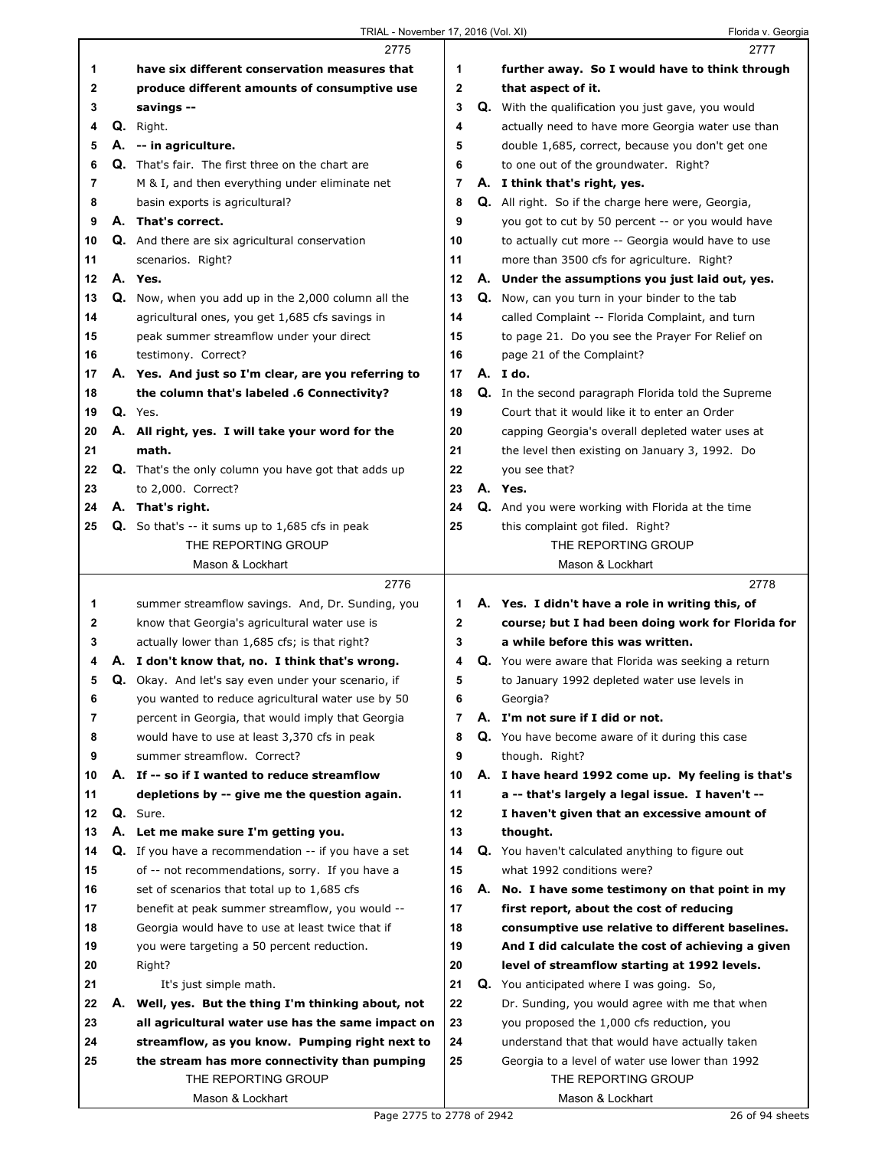$\mathsf I$ 

|    | 2775                                                                                             |    | 2777                                                                                  |
|----|--------------------------------------------------------------------------------------------------|----|---------------------------------------------------------------------------------------|
| 1  | have six different conservation measures that                                                    | 1  | further away. So I would have to think through                                        |
| 2  | produce different amounts of consumptive use                                                     | 2  | that aspect of it.                                                                    |
| 3  | savings --                                                                                       | 3  | Q. With the qualification you just gave, you would                                    |
| 4  | Q. Right.                                                                                        | 4  | actually need to have more Georgia water use than                                     |
| 5  | A. -- in agriculture.                                                                            | 5  | double 1,685, correct, because you don't get one                                      |
| 6  | <b>Q.</b> That's fair. The first three on the chart are                                          | 6  | to one out of the groundwater. Right?                                                 |
| 7  | M & I, and then everything under eliminate net                                                   | 7  | A. I think that's right, yes.                                                         |
| 8  | basin exports is agricultural?                                                                   | 8  | Q. All right. So if the charge here were, Georgia,                                    |
| 9  | A. That's correct.                                                                               | 9  | you got to cut by 50 percent -- or you would have                                     |
| 10 | Q. And there are six agricultural conservation                                                   | 10 | to actually cut more -- Georgia would have to use                                     |
| 11 | scenarios. Right?                                                                                | 11 | more than 3500 cfs for agriculture. Right?                                            |
| 12 | A. Yes.                                                                                          | 12 | A. Under the assumptions you just laid out, yes.                                      |
| 13 | Q. Now, when you add up in the 2,000 column all the                                              | 13 | Q. Now, can you turn in your binder to the tab                                        |
| 14 | agricultural ones, you get 1,685 cfs savings in                                                  | 14 | called Complaint -- Florida Complaint, and turn                                       |
| 15 | peak summer streamflow under your direct                                                         | 15 | to page 21. Do you see the Prayer For Relief on                                       |
| 16 | testimony. Correct?                                                                              | 16 | page 21 of the Complaint?                                                             |
| 17 | A. Yes. And just so I'm clear, are you referring to                                              | 17 | A. I do.                                                                              |
| 18 | the column that's labeled .6 Connectivity?                                                       | 18 | <b>Q.</b> In the second paragraph Florida told the Supreme                            |
| 19 | Q. Yes.                                                                                          | 19 | Court that it would like it to enter an Order                                         |
| 20 | A. All right, yes. I will take your word for the                                                 | 20 | capping Georgia's overall depleted water uses at                                      |
| 21 | math.                                                                                            | 21 | the level then existing on January 3, 1992. Do                                        |
| 22 | <b>Q.</b> That's the only column you have got that adds up                                       | 22 | you see that?                                                                         |
| 23 | to 2,000. Correct?                                                                               | 23 | A. Yes.                                                                               |
| 24 | A. That's right.                                                                                 | 24 | Q. And you were working with Florida at the time                                      |
| 25 | <b>Q.</b> So that's -- it sums up to 1,685 cfs in peak                                           | 25 | this complaint got filed. Right?                                                      |
|    | THE REPORTING GROUP                                                                              |    | THE REPORTING GROUP                                                                   |
|    | Mason & Lockhart                                                                                 |    | Mason & Lockhart                                                                      |
|    |                                                                                                  |    |                                                                                       |
|    | 2776                                                                                             |    | 2778                                                                                  |
| 1  |                                                                                                  | 1  |                                                                                       |
| 2  | summer streamflow savings. And, Dr. Sunding, you                                                 | 2  | A. Yes. I didn't have a role in writing this, of                                      |
| 3  | know that Georgia's agricultural water use is                                                    | 3  | course; but I had been doing work for Florida for<br>a while before this was written. |
| 4  | actually lower than 1,685 cfs; is that right?<br>A. I don't know that, no. I think that's wrong. | 4  | Q. You were aware that Florida was seeking a return                                   |
| 5  | Q. Okay. And let's say even under your scenario, if                                              | 5  | to January 1992 depleted water use levels in                                          |
| 6  | you wanted to reduce agricultural water use by 50                                                | 6  | Georgia?                                                                              |
| 7  | percent in Georgia, that would imply that Georgia                                                | 7  | A. I'm not sure if I did or not.                                                      |
| 8  |                                                                                                  | 8  |                                                                                       |
| 9  | would have to use at least 3,370 cfs in peak<br>summer streamflow. Correct?                      | 9  | Q. You have become aware of it during this case<br>though. Right?                     |
| 10 | A. If -- so if I wanted to reduce streamflow                                                     | 10 | A. I have heard 1992 come up. My feeling is that's                                    |
| 11 | depletions by -- give me the question again.                                                     | 11 | a -- that's largely a legal issue. I haven't --                                       |
| 12 | Q. Sure.                                                                                         | 12 | I haven't given that an excessive amount of                                           |
| 13 | A. Let me make sure I'm getting you.                                                             | 13 | thought.                                                                              |
| 14 | Q. If you have a recommendation -- if you have a set                                             | 14 | Q. You haven't calculated anything to figure out                                      |
| 15 | of -- not recommendations, sorry. If you have a                                                  | 15 | what 1992 conditions were?                                                            |
| 16 | set of scenarios that total up to 1,685 cfs                                                      | 16 | A. No. I have some testimony on that point in my                                      |
| 17 | benefit at peak summer streamflow, you would --                                                  | 17 | first report, about the cost of reducing                                              |
| 18 | Georgia would have to use at least twice that if                                                 | 18 | consumptive use relative to different baselines.                                      |
| 19 | you were targeting a 50 percent reduction.                                                       | 19 | And I did calculate the cost of achieving a given                                     |
| 20 | Right?                                                                                           | 20 | level of streamflow starting at 1992 levels.                                          |
| 21 | It's just simple math.                                                                           | 21 | Q. You anticipated where I was going. So,                                             |
| 22 | A. Well, yes. But the thing I'm thinking about, not                                              | 22 | Dr. Sunding, you would agree with me that when                                        |
| 23 | all agricultural water use has the same impact on                                                | 23 | you proposed the 1,000 cfs reduction, you                                             |
| 24 | streamflow, as you know. Pumping right next to                                                   | 24 | understand that that would have actually taken                                        |
| 25 |                                                                                                  | 25 | Georgia to a level of water use lower than 1992                                       |
|    | the stream has more connectivity than pumping<br>THE REPORTING GROUP                             |    | THE REPORTING GROUP                                                                   |
|    | Mason & Lockhart                                                                                 |    | Mason & Lockhart                                                                      |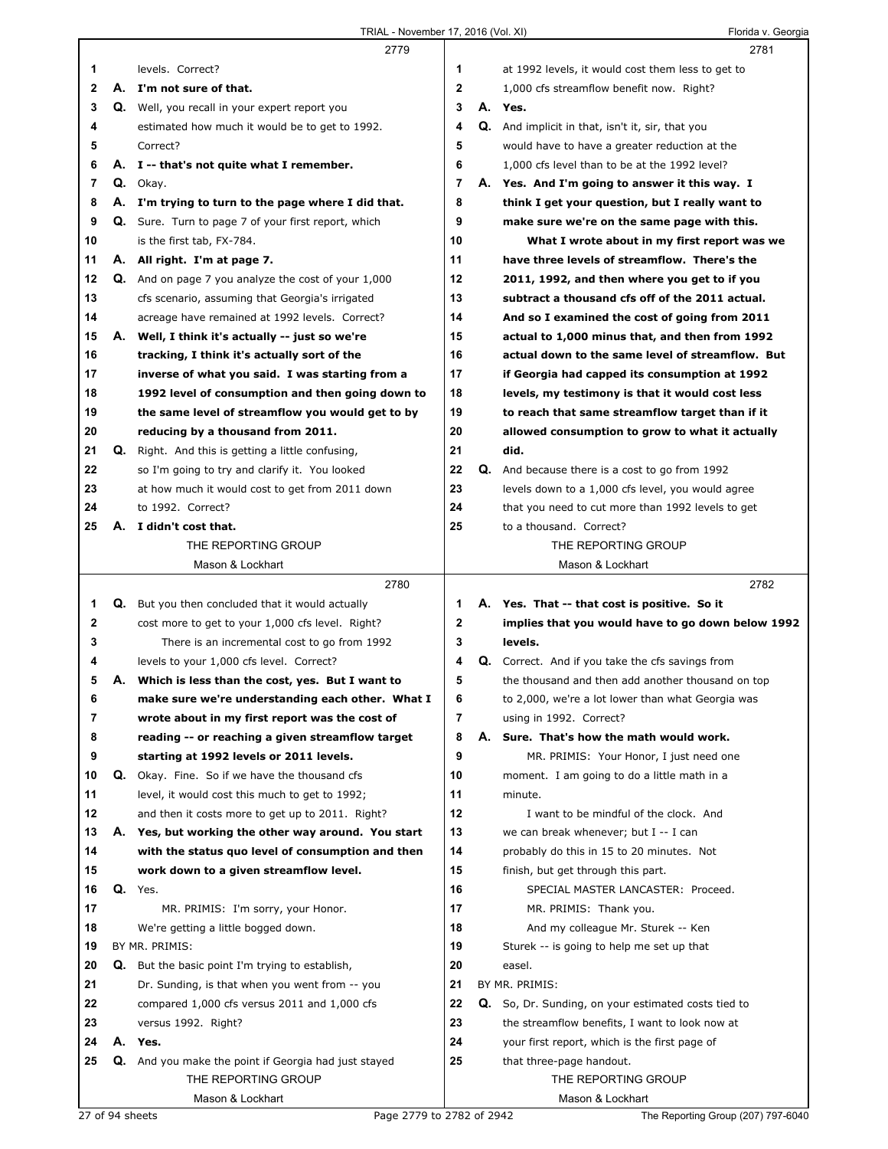|                |    | 2779                                                                                                 |                   |    | 2781                                                                                                         |
|----------------|----|------------------------------------------------------------------------------------------------------|-------------------|----|--------------------------------------------------------------------------------------------------------------|
| 1              |    | levels. Correct?                                                                                     | 1                 |    | at 1992 levels, it would cost them less to get to                                                            |
| $\mathbf{2}$   | А. | I'm not sure of that.                                                                                | $\mathbf{2}$      |    | 1,000 cfs streamflow benefit now. Right?                                                                     |
| 3              |    | Q. Well, you recall in your expert report you                                                        | 3                 |    | A. Yes.                                                                                                      |
| 4              |    | estimated how much it would be to get to 1992.                                                       | 4                 |    | Q. And implicit in that, isn't it, sir, that you                                                             |
| 5              |    | Correct?                                                                                             | 5                 |    | would have to have a greater reduction at the                                                                |
| 6              |    | A. I -- that's not quite what I remember.                                                            | 6                 |    | 1,000 cfs level than to be at the 1992 level?                                                                |
| $\overline{7}$ |    | Q. Okay.                                                                                             | 7                 |    | A. Yes. And I'm going to answer it this way. I                                                               |
| 8              |    | A. I'm trying to turn to the page where I did that.                                                  | 8                 |    | think I get your question, but I really want to                                                              |
| 9              |    | Q. Sure. Turn to page 7 of your first report, which                                                  | 9                 |    | make sure we're on the same page with this.                                                                  |
| 10             |    | is the first tab, FX-784.                                                                            | 10                |    | What I wrote about in my first report was we                                                                 |
| 11             |    | A. All right. I'm at page 7.                                                                         | 11                |    | have three levels of streamflow. There's the                                                                 |
| 12             |    | Q. And on page 7 you analyze the cost of your 1,000                                                  | 12                |    | 2011, 1992, and then where you get to if you                                                                 |
| 13             |    | cfs scenario, assuming that Georgia's irrigated                                                      | 13                |    | subtract a thousand cfs off of the 2011 actual.                                                              |
| 14             |    | acreage have remained at 1992 levels. Correct?                                                       | 14                |    | And so I examined the cost of going from 2011                                                                |
| 15             |    | A. Well, I think it's actually -- just so we're                                                      | 15                |    | actual to 1,000 minus that, and then from 1992                                                               |
| 16             |    | tracking, I think it's actually sort of the                                                          | 16                |    | actual down to the same level of streamflow. But                                                             |
| 17             |    | inverse of what you said. I was starting from a                                                      | 17                |    | if Georgia had capped its consumption at 1992                                                                |
| 18             |    | 1992 level of consumption and then going down to                                                     | 18                |    | levels, my testimony is that it would cost less                                                              |
| 19             |    | the same level of streamflow you would get to by                                                     | 19                |    | to reach that same streamflow target than if it                                                              |
| 20             |    | reducing by a thousand from 2011.                                                                    | 20                |    | allowed consumption to grow to what it actually                                                              |
| 21             |    | <b>Q.</b> Right. And this is getting a little confusing,                                             | 21                |    | did.                                                                                                         |
| 22             |    | so I'm going to try and clarify it. You looked                                                       | 22                |    | <b>Q.</b> And because there is a cost to go from 1992                                                        |
| 23             |    | at how much it would cost to get from 2011 down                                                      | 23                |    | levels down to a 1,000 cfs level, you would agree                                                            |
| 24             |    | to 1992. Correct?                                                                                    | 24                |    | that you need to cut more than 1992 levels to get                                                            |
| 25             |    | A. I didn't cost that.                                                                               | 25                |    | to a thousand. Correct?                                                                                      |
|                |    | THE REPORTING GROUP                                                                                  |                   |    | THE REPORTING GROUP                                                                                          |
|                |    | Mason & Lockhart                                                                                     |                   |    | Mason & Lockhart                                                                                             |
|                |    |                                                                                                      |                   |    |                                                                                                              |
|                |    |                                                                                                      |                   |    |                                                                                                              |
|                |    | 2780                                                                                                 |                   |    | 2782                                                                                                         |
| 1              |    | Q. But you then concluded that it would actually                                                     | 1<br>$\mathbf{2}$ |    | A. Yes. That -- that cost is positive. So it                                                                 |
| 2              |    | cost more to get to your 1,000 cfs level. Right?                                                     | 3                 |    | implies that you would have to go down below 1992<br>levels.                                                 |
| 3<br>4         |    | There is an incremental cost to go from 1992                                                         | 4                 |    |                                                                                                              |
| 5              |    | levels to your 1,000 cfs level. Correct?                                                             | 5                 |    | <b>Q.</b> Correct. And if you take the cfs savings from<br>the thousand and then add another thousand on top |
|                |    | A. Which is less than the cost, yes. But I want to                                                   |                   |    |                                                                                                              |
| 6<br>7         |    | make sure we're understanding each other. What I                                                     | 6<br>7            |    | to 2,000, we're a lot lower than what Georgia was                                                            |
|                |    | wrote about in my first report was the cost of                                                       | 8                 | А. | using in 1992. Correct?                                                                                      |
| 8<br>9         |    | reading -- or reaching a given streamflow target<br>starting at 1992 levels or 2011 levels.          | 9                 |    | Sure. That's how the math would work.                                                                        |
| 10             |    | <b>Q.</b> Okay. Fine. So if we have the thousand cfs                                                 | 10                |    | MR. PRIMIS: Your Honor, I just need one                                                                      |
|                |    |                                                                                                      | 11                |    | moment. I am going to do a little math in a<br>minute.                                                       |
| 11<br>12       |    | level, it would cost this much to get to 1992;                                                       | 12                |    | I want to be mindful of the clock. And                                                                       |
| 13             | А. | and then it costs more to get up to 2011. Right?<br>Yes, but working the other way around. You start | 13                |    | we can break whenever; but I -- I can                                                                        |
| 14             |    | with the status quo level of consumption and then                                                    | 14                |    | probably do this in 15 to 20 minutes. Not                                                                    |
|                |    |                                                                                                      | 15                |    | finish, but get through this part.                                                                           |
| 15<br>16       |    | work down to a given streamflow level.                                                               | 16                |    | SPECIAL MASTER LANCASTER: Proceed.                                                                           |
| 17             |    | Q. Yes.                                                                                              | 17                |    | MR. PRIMIS: Thank you.                                                                                       |
|                |    | MR. PRIMIS: I'm sorry, your Honor.                                                                   | 18                |    |                                                                                                              |
| 18<br>19       |    | We're getting a little bogged down.<br>BY MR. PRIMIS:                                                | 19                |    | And my colleague Mr. Sturek -- Ken<br>Sturek -- is going to help me set up that                              |
| 20             |    | <b>Q.</b> But the basic point I'm trying to establish,                                               | 20                |    | easel.                                                                                                       |
| 21             |    | Dr. Sunding, is that when you went from -- you                                                       | 21                |    | BY MR. PRIMIS:                                                                                               |
| 22             |    |                                                                                                      | 22                |    |                                                                                                              |
|                |    | compared 1,000 cfs versus 2011 and 1,000 cfs                                                         | 23                |    | Q. So, Dr. Sunding, on your estimated costs tied to                                                          |
| 23<br>24       |    | versus 1992. Right?<br>A. Yes.                                                                       | 24                |    | the streamflow benefits, I want to look now at                                                               |
| 25             | Q. |                                                                                                      | 25                |    | your first report, which is the first page of                                                                |
|                |    | And you make the point if Georgia had just stayed<br>THE REPORTING GROUP                             |                   |    | that three-page handout.<br>THE REPORTING GROUP                                                              |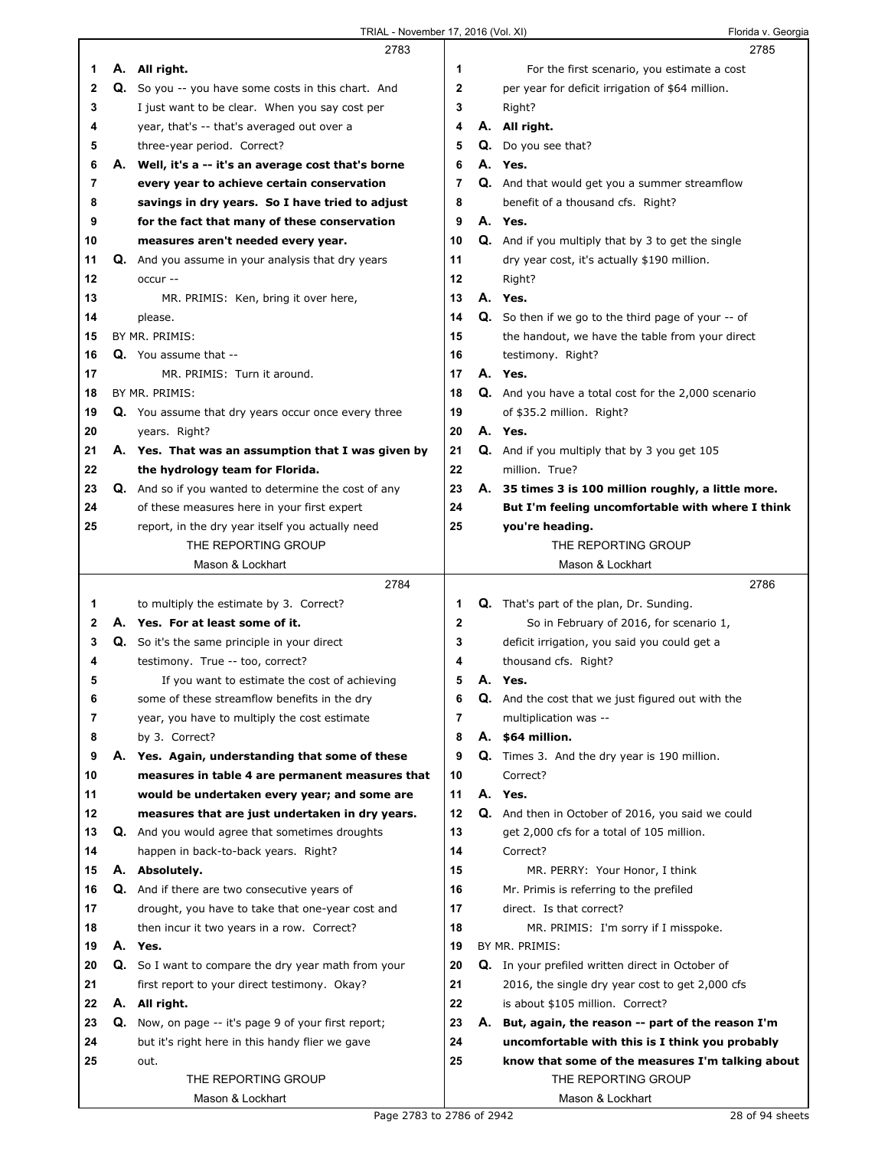|    |    | 2783                                                        |    |    | 2785                                                       |
|----|----|-------------------------------------------------------------|----|----|------------------------------------------------------------|
| 1  |    | A. All right.                                               | 1  |    | For the first scenario, you estimate a cost                |
| 2  |    | Q. So you -- you have some costs in this chart. And         | 2  |    | per year for deficit irrigation of \$64 million.           |
| 3  |    | I just want to be clear. When you say cost per              | 3  |    | Right?                                                     |
| 4  |    | year, that's -- that's averaged out over a                  | 4  |    | A. All right.                                              |
|    |    |                                                             | 5  |    |                                                            |
| 5  |    | three-year period. Correct?                                 |    |    | Q. Do you see that?                                        |
| 6  |    | A. Well, it's a -- it's an average cost that's borne        | 6  | А. | Yes.                                                       |
| 7  |    | every year to achieve certain conservation                  | 7  |    | Q. And that would get you a summer streamflow              |
| 8  |    | savings in dry years. So I have tried to adjust             | 8  |    | benefit of a thousand cfs. Right?                          |
| 9  |    | for the fact that many of these conservation                | 9  |    | A. Yes.                                                    |
| 10 |    | measures aren't needed every year.                          | 10 |    | Q. And if you multiply that by 3 to get the single         |
| 11 |    | Q. And you assume in your analysis that dry years           | 11 |    | dry year cost, it's actually \$190 million.                |
| 12 |    | occur --                                                    | 12 |    | Right?                                                     |
| 13 |    | MR. PRIMIS: Ken, bring it over here,                        | 13 |    | A. Yes.                                                    |
| 14 |    | please.                                                     | 14 |    | <b>Q.</b> So then if we go to the third page of your -- of |
| 15 |    | BY MR. PRIMIS:                                              | 15 |    | the handout, we have the table from your direct            |
| 16 |    | <b>Q.</b> You assume that --                                | 16 |    | testimony. Right?                                          |
| 17 |    | MR. PRIMIS: Turn it around.                                 | 17 |    | A. Yes.                                                    |
| 18 |    | BY MR. PRIMIS:                                              | 18 |    | Q. And you have a total cost for the 2,000 scenario        |
|    |    |                                                             |    |    | of \$35.2 million. Right?                                  |
| 19 |    | Q. You assume that dry years occur once every three         | 19 |    |                                                            |
| 20 |    | years. Right?                                               | 20 |    | A. Yes.                                                    |
| 21 |    | A. Yes. That was an assumption that I was given by          | 21 |    | Q. And if you multiply that by 3 you get 105               |
| 22 |    | the hydrology team for Florida.                             | 22 |    | million. True?                                             |
| 23 |    | <b>Q.</b> And so if you wanted to determine the cost of any | 23 |    | A. 35 times 3 is 100 million roughly, a little more.       |
| 24 |    | of these measures here in your first expert                 | 24 |    | But I'm feeling uncomfortable with where I think           |
| 25 |    | report, in the dry year itself you actually need            | 25 |    | you're heading.                                            |
|    |    | THE REPORTING GROUP                                         |    |    | THE REPORTING GROUP                                        |
|    |    | Mason & Lockhart                                            |    |    | Mason & Lockhart                                           |
|    |    |                                                             |    |    |                                                            |
|    |    | 2784                                                        |    |    | 2786                                                       |
| 1  |    | to multiply the estimate by 3. Correct?                     | 1  |    | Q. That's part of the plan, Dr. Sunding.                   |
| 2  |    | A. Yes. For at least some of it.                            | 2  |    | So in February of 2016, for scenario 1,                    |
| 3  |    | <b>Q.</b> So it's the same principle in your direct         | 3  |    | deficit irrigation, you said you could get a               |
| 4  |    |                                                             | 4  |    | thousand cfs. Right?                                       |
|    |    | testimony. True -- too, correct?                            | 5  |    |                                                            |
| 5  |    | If you want to estimate the cost of achieving               |    |    | A. Yes.                                                    |
| 6  |    | some of these streamflow benefits in the dry                | 6  |    | Q. And the cost that we just figured out with the          |
| 7  |    | year, you have to multiply the cost estimate                | 7  |    | multiplication was --                                      |
| 8  |    | by 3. Correct?                                              | 8  |    | A. \$64 million.                                           |
| 9  |    | A. Yes. Again, understanding that some of these             | 9  |    | Q. Times 3. And the dry year is 190 million.               |
| 10 |    | measures in table 4 are permanent measures that             | 10 |    | Correct?                                                   |
| 11 |    | would be undertaken every year; and some are                | 11 | А. | Yes.                                                       |
| 12 |    | measures that are just undertaken in dry years.             | 12 |    | Q. And then in October of 2016, you said we could          |
| 13 |    | Q. And you would agree that sometimes droughts              | 13 |    | get 2,000 cfs for a total of 105 million.                  |
| 14 |    | happen in back-to-back years. Right?                        | 14 |    | Correct?                                                   |
| 15 |    | A. Absolutely.                                              | 15 |    | MR. PERRY: Your Honor, I think                             |
| 16 |    | Q. And if there are two consecutive years of                | 16 |    | Mr. Primis is referring to the prefiled                    |
| 17 |    | drought, you have to take that one-year cost and            | 17 |    | direct. Is that correct?                                   |
| 18 |    | then incur it two years in a row. Correct?                  | 18 |    | MR. PRIMIS: I'm sorry if I misspoke.                       |
| 19 |    | A. Yes.                                                     | 19 |    | BY MR. PRIMIS:                                             |
| 20 |    | <b>Q.</b> So I want to compare the dry year math from your  | 20 |    | Q. In your prefiled written direct in October of           |
| 21 |    | first report to your direct testimony. Okay?                | 21 |    | 2016, the single dry year cost to get 2,000 cfs            |
| 22 | А. |                                                             | 22 |    | is about \$105 million. Correct?                           |
|    |    | All right.                                                  |    |    |                                                            |
| 23 |    | Q. Now, on page -- it's page 9 of your first report;        | 23 |    | A. But, again, the reason -- part of the reason I'm        |
| 24 |    | but it's right here in this handy flier we gave             | 24 |    | uncomfortable with this is I think you probably            |
| 25 |    | out.                                                        | 25 |    | know that some of the measures I'm talking about           |
|    |    | THE REPORTING GROUP<br>Mason & Lockhart                     |    |    | THE REPORTING GROUP<br>Mason & Lockhart                    |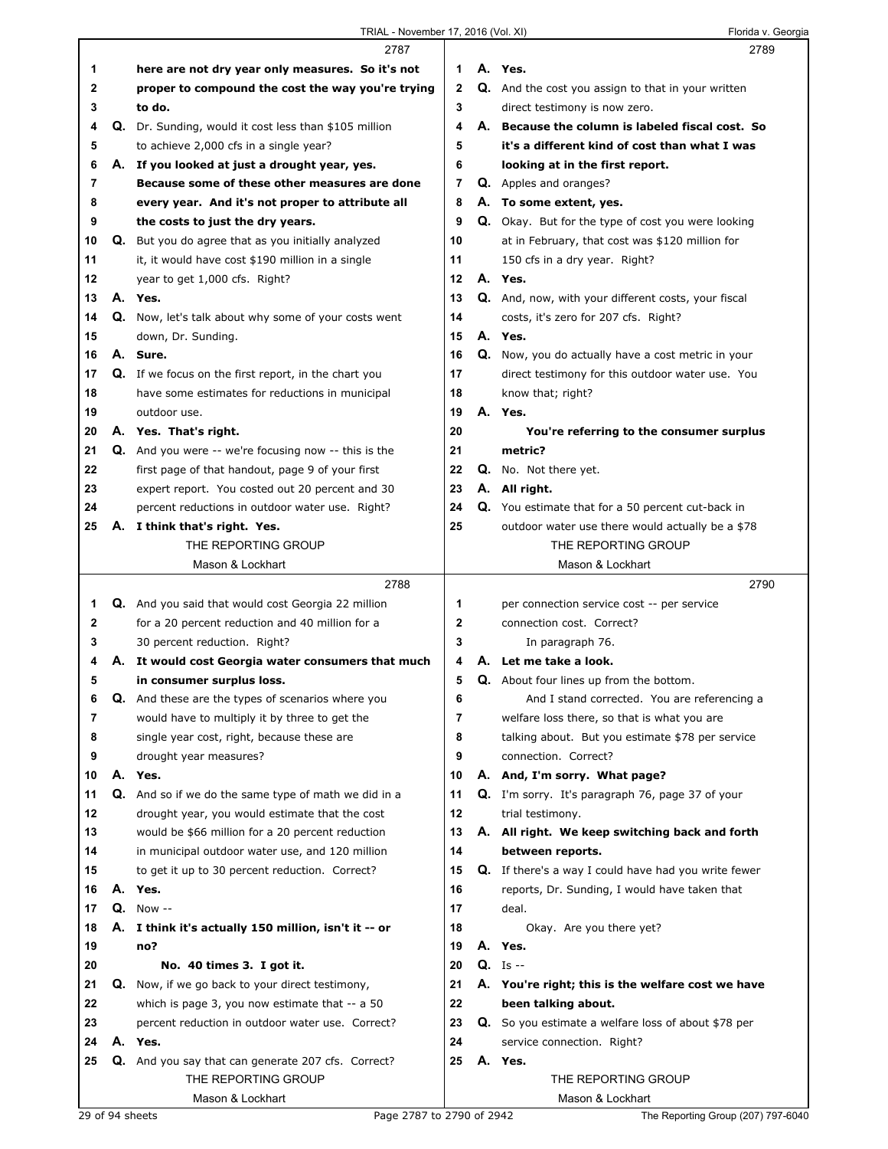|    |    | 2787                                                          |                | 2789                                                     |  |
|----|----|---------------------------------------------------------------|----------------|----------------------------------------------------------|--|
| 1  |    | here are not dry year only measures. So it's not              | 1              | A. Yes.                                                  |  |
| 2  |    | proper to compound the cost the way you're trying             | $\overline{2}$ | Q. And the cost you assign to that in your written       |  |
| 3  |    | to do.                                                        | 3              | direct testimony is now zero.                            |  |
| 4  | Q. | Dr. Sunding, would it cost less than \$105 million            | 4              | A. Because the column is labeled fiscal cost. So         |  |
| 5  |    | to achieve 2,000 cfs in a single year?                        | 5              | it's a different kind of cost than what I was            |  |
| 6  | А. | If you looked at just a drought year, yes.                    | 6              | looking at in the first report.                          |  |
| 7  |    | Because some of these other measures are done                 | 7              | <b>Q.</b> Apples and oranges?                            |  |
| 8  |    | every year. And it's not proper to attribute all              | 8              | A. To some extent, yes.                                  |  |
|    |    |                                                               | 9              |                                                          |  |
| 9  |    | the costs to just the dry years.                              |                | Q. Okay. But for the type of cost you were looking       |  |
| 10 |    | Q. But you do agree that as you initially analyzed            | 10             | at in February, that cost was \$120 million for          |  |
| 11 |    | it, it would have cost \$190 million in a single              | 11             | 150 cfs in a dry year. Right?                            |  |
| 12 |    | year to get 1,000 cfs. Right?                                 | 12             | A. Yes.                                                  |  |
| 13 |    | A. Yes.                                                       | 13             | Q. And, now, with your different costs, your fiscal      |  |
| 14 |    | Q. Now, let's talk about why some of your costs went          | 14             | costs, it's zero for 207 cfs. Right?                     |  |
| 15 |    | down, Dr. Sunding.                                            | 15             | A. Yes.                                                  |  |
| 16 |    | A. Sure.                                                      | 16             | Q. Now, you do actually have a cost metric in your       |  |
| 17 |    | Q. If we focus on the first report, in the chart you          | 17             | direct testimony for this outdoor water use. You         |  |
| 18 |    | have some estimates for reductions in municipal               | 18             | know that; right?                                        |  |
| 19 |    | outdoor use.                                                  | 19             | A. Yes.                                                  |  |
| 20 |    | A. Yes. That's right.                                         | 20             | You're referring to the consumer surplus                 |  |
| 21 |    | <b>Q.</b> And you were $-$ we're focusing now $-$ this is the | 21             | metric?                                                  |  |
| 22 |    | first page of that handout, page 9 of your first              | 22             | Q. No. Not there yet.                                    |  |
|    |    |                                                               |                |                                                          |  |
| 23 |    | expert report. You costed out 20 percent and 30               | 23             | A. All right.                                            |  |
| 24 |    | percent reductions in outdoor water use. Right?               | 24             | <b>Q.</b> You estimate that for a 50 percent cut-back in |  |
| 25 |    | A. I think that's right. Yes.                                 | 25             | outdoor water use there would actually be a \$78         |  |
|    |    | THE REPORTING GROUP                                           |                | THE REPORTING GROUP                                      |  |
|    |    | Mason & Lockhart                                              |                | Mason & Lockhart                                         |  |
|    |    |                                                               |                |                                                          |  |
|    |    | 2788                                                          |                | 2790                                                     |  |
| 1  |    | Q. And you said that would cost Georgia 22 million            | 1              | per connection service cost -- per service               |  |
| 2  |    | for a 20 percent reduction and 40 million for a               | $\mathbf{2}$   | connection cost. Correct?                                |  |
| 3  |    | 30 percent reduction. Right?                                  | 3              | In paragraph 76.                                         |  |
| 4  |    | A. It would cost Georgia water consumers that much            | 4              | A. Let me take a look.                                   |  |
| 5  |    | in consumer surplus loss.                                     | 5              | Q. About four lines up from the bottom.                  |  |
| 6  | Q. |                                                               | 6              |                                                          |  |
| 7  |    | And these are the types of scenarios where you                | 7              | And I stand corrected. You are referencing a             |  |
|    |    | would have to multiply it by three to get the                 |                | welfare loss there, so that is what you are              |  |
| 8  |    | single year cost, right, because these are                    | 8              | talking about. But you estimate \$78 per service         |  |
| 9  |    | drought year measures?                                        | 9              | connection. Correct?                                     |  |
| 10 |    | A. Yes.                                                       | 10             | A. And, I'm sorry. What page?                            |  |
| 11 |    | Q. And so if we do the same type of math we did in a          | 11             | Q. I'm sorry. It's paragraph 76, page 37 of your         |  |
| 12 |    | drought year, you would estimate that the cost                | 12             | trial testimony.                                         |  |
| 13 |    | would be \$66 million for a 20 percent reduction              | 13             | A. All right. We keep switching back and forth           |  |
| 14 |    | in municipal outdoor water use, and 120 million               | 14             | between reports.                                         |  |
| 15 |    | to get it up to 30 percent reduction. Correct?                | 15             | Q. If there's a way I could have had you write fewer     |  |
| 16 | А. | Yes.                                                          | 16             | reports, Dr. Sunding, I would have taken that            |  |
| 17 | Q. | Now --                                                        | 17             | deal.                                                    |  |
| 18 |    | A. I think it's actually 150 million, isn't it -- or          | 18             | Okay. Are you there yet?                                 |  |
| 19 |    | no?                                                           | 19             | A. Yes.                                                  |  |
| 20 |    | No. 40 times 3. I got it.                                     | 20             | $Q.$ Is $-$                                              |  |
| 21 | Q. | Now, if we go back to your direct testimony,                  | 21             | A. You're right; this is the welfare cost we have        |  |
| 22 |    | which is page 3, you now estimate that -- a 50                | 22             | been talking about.                                      |  |
|    |    |                                                               | 23             |                                                          |  |
| 23 |    | percent reduction in outdoor water use. Correct?              |                | Q. So you estimate a welfare loss of about \$78 per      |  |
| 24 |    | A. Yes.                                                       | 24             | service connection. Right?                               |  |
| 25 |    | Q. And you say that can generate 207 cfs. Correct?            | 25             | A. Yes.                                                  |  |
|    |    | THE REPORTING GROUP<br>Mason & Lockhart                       |                | THE REPORTING GROUP<br>Mason & Lockhart                  |  |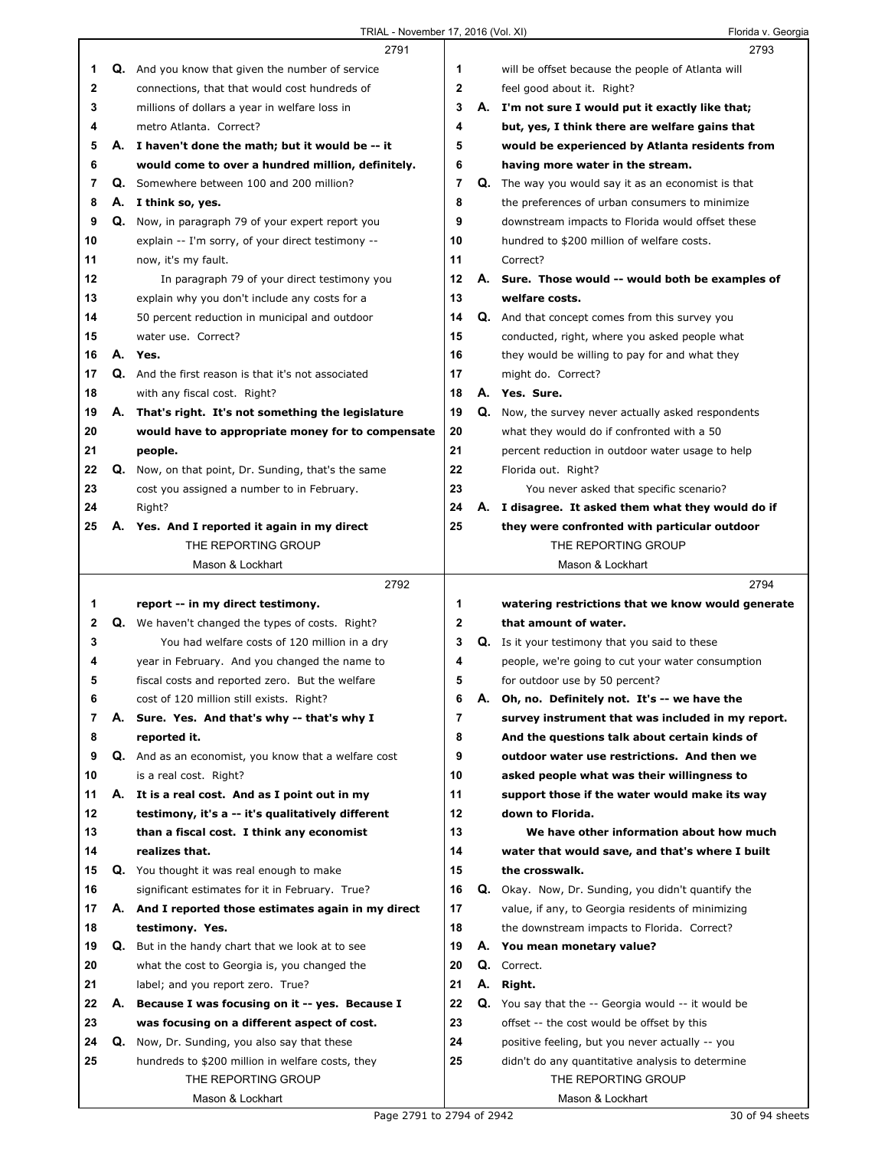|              |    | 2791                                                                                                |                     |    | 2793                                                                                         |
|--------------|----|-----------------------------------------------------------------------------------------------------|---------------------|----|----------------------------------------------------------------------------------------------|
| 1            |    | Q. And you know that given the number of service                                                    | 1                   |    | will be offset because the people of Atlanta will                                            |
| $\mathbf{2}$ |    | connections, that that would cost hundreds of                                                       | $\mathbf{2}$        |    | feel good about it. Right?                                                                   |
| 3            |    | millions of dollars a year in welfare loss in                                                       | 3                   |    | A. I'm not sure I would put it exactly like that;                                            |
| 4            |    | metro Atlanta, Correct?                                                                             | 4                   |    | but, yes, I think there are welfare gains that                                               |
| 5            |    | A. I haven't done the math; but it would be -- it                                                   | 5                   |    | would be experienced by Atlanta residents from                                               |
| 6            |    | would come to over a hundred million, definitely.                                                   | 6                   |    | having more water in the stream.                                                             |
| 7            |    | Q. Somewhere between 100 and 200 million?                                                           | $\overline{7}$      |    | Q. The way you would say it as an economist is that                                          |
| 8            |    | A. I think so, yes.                                                                                 | 8                   |    | the preferences of urban consumers to minimize                                               |
| 9            |    | Q. Now, in paragraph 79 of your expert report you                                                   | 9                   |    | downstream impacts to Florida would offset these                                             |
| 10           |    | explain -- I'm sorry, of your direct testimony --                                                   | 10                  |    | hundred to \$200 million of welfare costs.                                                   |
| 11           |    | now, it's my fault.                                                                                 | 11                  |    | Correct?                                                                                     |
| 12           |    | In paragraph 79 of your direct testimony you                                                        | 12                  |    | A. Sure. Those would -- would both be examples of                                            |
| 13           |    | explain why you don't include any costs for a                                                       | 13                  |    | welfare costs.                                                                               |
| 14           |    | 50 percent reduction in municipal and outdoor                                                       | 14                  |    | <b>Q.</b> And that concept comes from this survey you                                        |
| 15           |    | water use. Correct?                                                                                 | 15                  |    | conducted, right, where you asked people what                                                |
| 16           |    | A. Yes.                                                                                             | 16                  |    | they would be willing to pay for and what they                                               |
| 17           |    | Q. And the first reason is that it's not associated                                                 | 17                  |    | might do. Correct?                                                                           |
| 18           |    | with any fiscal cost. Right?                                                                        | 18                  |    | A. Yes. Sure.                                                                                |
| 19           |    | A. That's right. It's not something the legislature                                                 | 19                  |    | <b>Q.</b> Now, the survey never actually asked respondents                                   |
| 20           |    | would have to appropriate money for to compensate                                                   | 20                  |    | what they would do if confronted with a 50                                                   |
| 21           |    | people.                                                                                             | 21                  |    | percent reduction in outdoor water usage to help                                             |
| 22           |    | <b>Q.</b> Now, on that point, Dr. Sunding, that's the same                                          | 22                  |    | Florida out. Right?                                                                          |
| 23           |    | cost you assigned a number to in February.                                                          | 23                  |    | You never asked that specific scenario?                                                      |
| 24           |    | Right?                                                                                              | 24                  |    | A. I disagree. It asked them what they would do if                                           |
| 25           |    | A. Yes. And I reported it again in my direct                                                        | 25                  |    | they were confronted with particular outdoor                                                 |
|              |    | THE REPORTING GROUP                                                                                 |                     |    | THE REPORTING GROUP                                                                          |
|              |    | Mason & Lockhart                                                                                    |                     |    | Mason & Lockhart                                                                             |
|              |    |                                                                                                     |                     |    |                                                                                              |
|              |    |                                                                                                     |                     |    |                                                                                              |
|              |    | 2792                                                                                                |                     |    | 2794                                                                                         |
| 1            |    | report -- in my direct testimony.                                                                   | 1                   |    | watering restrictions that we know would generate                                            |
| 2<br>3       |    | Q. We haven't changed the types of costs. Right?                                                    | 2<br>3              |    | that amount of water.                                                                        |
| 4            |    | You had welfare costs of 120 million in a dry                                                       | 4                   |    | <b>Q.</b> Is it your testimony that you said to these                                        |
| 5            |    | year in February. And you changed the name to                                                       | 5                   |    | people, we're going to cut your water consumption                                            |
|              |    | fiscal costs and reported zero. But the welfare                                                     |                     |    | for outdoor use by 50 percent?                                                               |
| 6<br>7       |    | cost of 120 million still exists. Right?                                                            | 6<br>$\overline{7}$ | А. | Oh, no. Definitely not. It's -- we have the                                                  |
|              |    | A. Sure. Yes. And that's why -- that's why I<br>reported it.                                        |                     |    | survey instrument that was included in my report.                                            |
| 8<br>9       |    | Q. And as an economist, you know that a welfare cost                                                | 8<br>9              |    | And the questions talk about certain kinds of<br>outdoor water use restrictions. And then we |
| 10           |    | is a real cost. Right?                                                                              | 10                  |    | asked people what was their willingness to                                                   |
| 11           |    |                                                                                                     | 11                  |    |                                                                                              |
| 12           |    | A. It is a real cost. And as I point out in my<br>testimony, it's a -- it's qualitatively different | 12                  |    | support those if the water would make its way<br>down to Florida.                            |
| 13           |    | than a fiscal cost. I think any economist                                                           | 13                  |    | We have other information about how much                                                     |
| 14           |    | realizes that.                                                                                      | 14                  |    | water that would save, and that's where I built                                              |
| 15           |    | Q. You thought it was real enough to make                                                           | 15                  |    | the crosswalk.                                                                               |
| 16           |    | significant estimates for it in February. True?                                                     | 16                  |    | Q. Okay. Now, Dr. Sunding, you didn't quantify the                                           |
| 17           |    | A. And I reported those estimates again in my direct                                                | 17                  |    | value, if any, to Georgia residents of minimizing                                            |
| 18           |    | testimony. Yes.                                                                                     | 18                  |    | the downstream impacts to Florida. Correct?                                                  |
| 19           |    | <b>Q.</b> But in the handy chart that we look at to see                                             | 19                  |    | A. You mean monetary value?                                                                  |
| 20           |    | what the cost to Georgia is, you changed the                                                        | 20                  |    | Q. Correct.                                                                                  |
| 21           |    | label; and you report zero. True?                                                                   | 21                  | А. | Right.                                                                                       |
| 22           | А. | Because I was focusing on it -- yes. Because I                                                      | 22                  |    | <b>Q.</b> You say that the -- Georgia would -- it would be                                   |
| 23           |    | was focusing on a different aspect of cost.                                                         | 23                  |    | offset -- the cost would be offset by this                                                   |
| 24           |    | <b>Q.</b> Now, Dr. Sunding, you also say that these                                                 | 24                  |    | positive feeling, but you never actually -- you                                              |
| 25           |    | hundreds to \$200 million in welfare costs, they                                                    | 25                  |    | didn't do any quantitative analysis to determine                                             |
|              |    | THE REPORTING GROUP                                                                                 |                     |    | THE REPORTING GROUP                                                                          |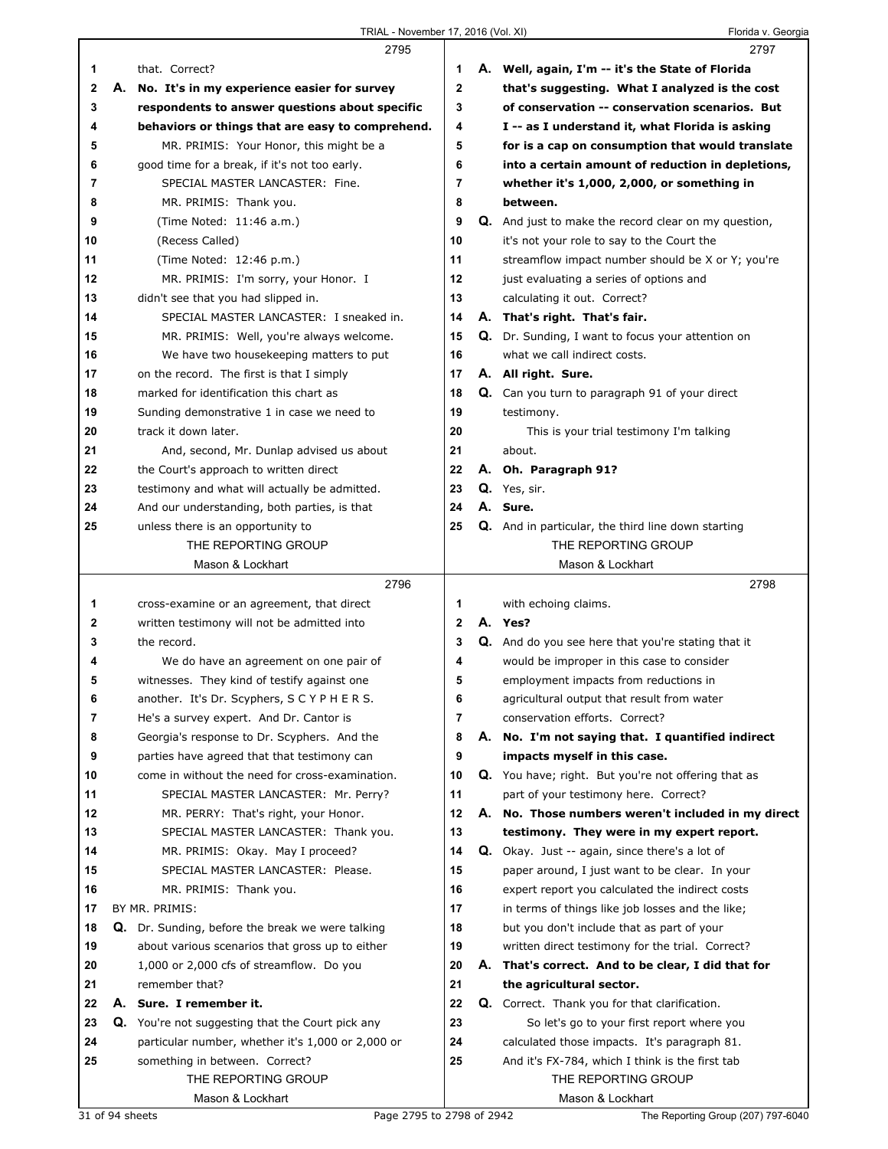|              |    | 2795                                                                             |                | 2797                                                                             |
|--------------|----|----------------------------------------------------------------------------------|----------------|----------------------------------------------------------------------------------|
| 1            |    | that. Correct?                                                                   | 1              | A. Well, again, I'm -- it's the State of Florida                                 |
| $\mathbf{2}$ |    | A. No. It's in my experience easier for survey                                   | $\overline{2}$ | that's suggesting. What I analyzed is the cost                                   |
| 3            |    | respondents to answer questions about specific                                   | 3              | of conservation -- conservation scenarios. But                                   |
| 4            |    | behaviors or things that are easy to comprehend.                                 | 4              | I -- as I understand it, what Florida is asking                                  |
| 5            |    | MR. PRIMIS: Your Honor, this might be a                                          | 5              | for is a cap on consumption that would translate                                 |
| 6            |    | good time for a break, if it's not too early.                                    | 6              | into a certain amount of reduction in depletions,                                |
| 7            |    | SPECIAL MASTER LANCASTER: Fine.                                                  | 7              | whether it's 1,000, 2,000, or something in                                       |
| 8            |    | MR. PRIMIS: Thank you.                                                           | 8              | between.                                                                         |
| 9            |    | (Time Noted: 11:46 a.m.)                                                         | 9              | <b>Q.</b> And just to make the record clear on my question,                      |
| 10           |    | (Recess Called)                                                                  | 10             | it's not your role to say to the Court the                                       |
| 11           |    | (Time Noted: 12:46 p.m.)                                                         | 11             | streamflow impact number should be X or Y; you're                                |
| 12           |    | MR. PRIMIS: I'm sorry, your Honor. I                                             | 12             | just evaluating a series of options and                                          |
| 13           |    | didn't see that you had slipped in.                                              | 13             | calculating it out. Correct?                                                     |
| 14           |    | SPECIAL MASTER LANCASTER: I sneaked in.                                          | 14             | A. That's right. That's fair.                                                    |
| 15           |    | MR. PRIMIS: Well, you're always welcome.                                         | 15             | Q. Dr. Sunding, I want to focus your attention on                                |
| 16           |    | We have two housekeeping matters to put                                          | 16             | what we call indirect costs.                                                     |
| 17           |    | on the record. The first is that I simply                                        | 17             | A. All right. Sure.                                                              |
| 18           |    | marked for identification this chart as                                          | 18             | Q. Can you turn to paragraph 91 of your direct                                   |
| 19           |    | Sunding demonstrative 1 in case we need to                                       | 19             | testimony.                                                                       |
| 20           |    | track it down later.                                                             | 20             | This is your trial testimony I'm talking                                         |
| 21           |    | And, second, Mr. Dunlap advised us about                                         | 21             | about.                                                                           |
| 22           |    | the Court's approach to written direct                                           | 22             | A. Oh. Paragraph 91?                                                             |
| 23<br>24     |    | testimony and what will actually be admitted.                                    | 23<br>24       | Q. Yes, sir.<br>A. Sure.                                                         |
|              |    | And our understanding, both parties, is that                                     | 25             |                                                                                  |
| 25           |    | unless there is an opportunity to<br>THE REPORTING GROUP                         |                | <b>Q.</b> And in particular, the third line down starting<br>THE REPORTING GROUP |
|              |    | Mason & Lockhart                                                                 |                | Mason & Lockhart                                                                 |
|              |    | 2796                                                                             |                | 2798                                                                             |
| 1            |    | cross-examine or an agreement, that direct                                       | 1              | with echoing claims.                                                             |
| $\mathbf{2}$ |    | written testimony will not be admitted into                                      | $\mathbf{2}$   | A. Yes?                                                                          |
| 3            |    | the record.                                                                      | 3              | <b>Q.</b> And do you see here that you're stating that it                        |
| 4            |    | We do have an agreement on one pair of                                           | 4              | would be improper in this case to consider                                       |
| 5            |    |                                                                                  |                |                                                                                  |
| 6            |    |                                                                                  |                |                                                                                  |
|              |    | witnesses. They kind of testify against one                                      | 5              | employment impacts from reductions in                                            |
| 7            |    | another. It's Dr. Scyphers, SCYPHERS.<br>He's a survey expert. And Dr. Cantor is | 6<br>7         | agricultural output that result from water<br>conservation efforts. Correct?     |
| 8            |    | Georgia's response to Dr. Scyphers. And the                                      | 8              | A. No. I'm not saying that. I quantified indirect                                |
| 9            |    | parties have agreed that that testimony can                                      | 9              | impacts myself in this case.                                                     |
| 10           |    | come in without the need for cross-examination.                                  | 10             | Q. You have; right. But you're not offering that as                              |
| 11           |    | SPECIAL MASTER LANCASTER: Mr. Perry?                                             | 11             | part of your testimony here. Correct?                                            |
| 12           |    | MR. PERRY: That's right, your Honor.                                             | 12             | A. No. Those numbers weren't included in my direct                               |
| 13           |    | SPECIAL MASTER LANCASTER: Thank you.                                             | 13             | testimony. They were in my expert report.                                        |
| 14           |    | MR. PRIMIS: Okay. May I proceed?                                                 | 14             | <b>Q.</b> Okay. Just -- again, since there's a lot of                            |
| 15           |    | SPECIAL MASTER LANCASTER: Please.                                                | 15             | paper around, I just want to be clear. In your                                   |
| 16           |    | MR. PRIMIS: Thank you.                                                           | 16             | expert report you calculated the indirect costs                                  |
| 17           |    | BY MR. PRIMIS:                                                                   | 17             | in terms of things like job losses and the like;                                 |
| 18           | Q. | Dr. Sunding, before the break we were talking                                    | 18             | but you don't include that as part of your                                       |
| 19           |    | about various scenarios that gross up to either                                  | 19             | written direct testimony for the trial. Correct?                                 |
| 20           |    | 1,000 or 2,000 cfs of streamflow. Do you                                         | 20             | A. That's correct. And to be clear, I did that for                               |
| 21           |    | remember that?                                                                   | 21             | the agricultural sector.                                                         |
| 22           |    | A. Sure. I remember it.                                                          | 22             | Q. Correct. Thank you for that clarification.                                    |
| 23           |    | <b>Q.</b> You're not suggesting that the Court pick any                          | 23             | So let's go to your first report where you                                       |
| 24           |    | particular number, whether it's 1,000 or 2,000 or                                | 24             | calculated those impacts. It's paragraph 81.                                     |
| 25           |    | something in between. Correct?                                                   | 25             | And it's FX-784, which I think is the first tab                                  |
|              |    | THE REPORTING GROUP                                                              |                | THE REPORTING GROUP                                                              |
|              |    | Mason & Lockhart<br>Page 2795 to 2798 of 2942<br>31 of 94 sheets                 |                | Mason & Lockhart<br>The Reporting Group (207) 797-6040                           |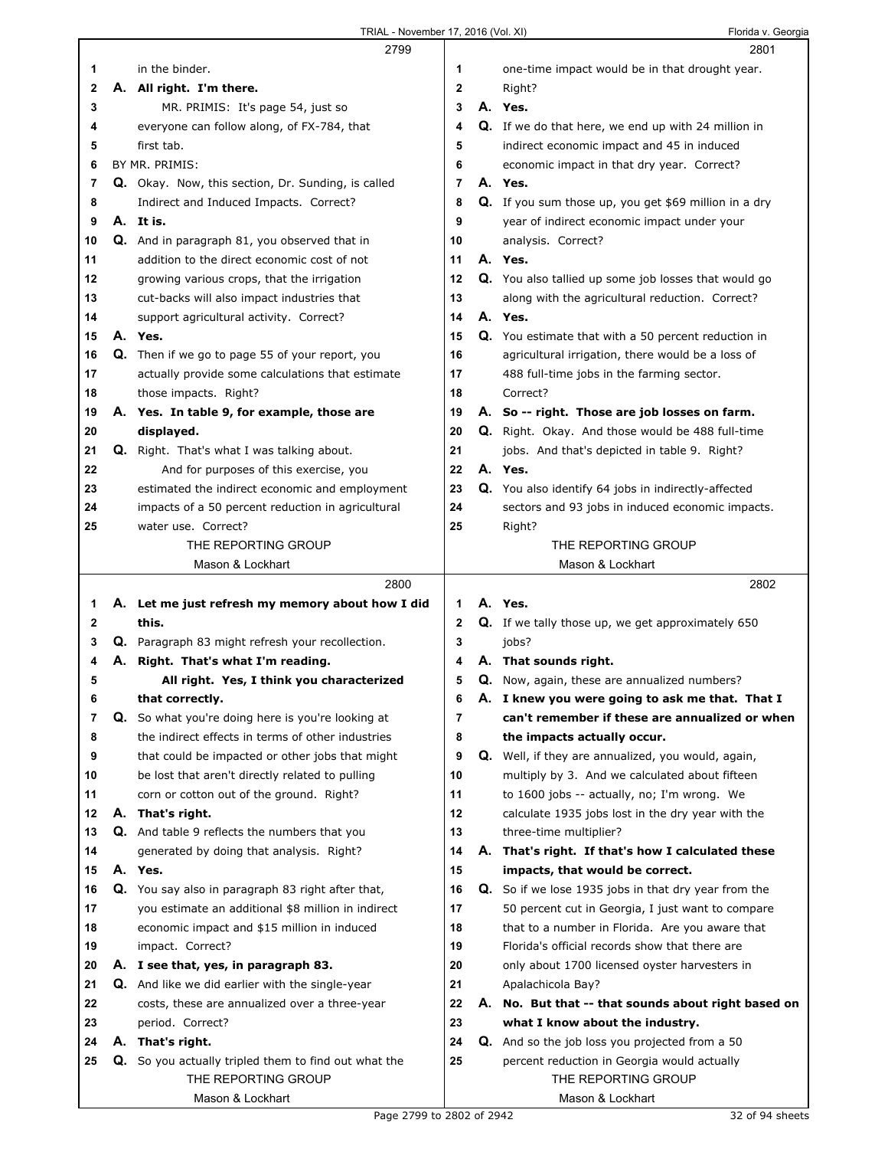|                         |    | 2799                                                      |             | 2801                                                          |
|-------------------------|----|-----------------------------------------------------------|-------------|---------------------------------------------------------------|
| 1                       |    | in the binder.                                            | 1           | one-time impact would be in that drought year.                |
| 2                       |    | A. All right. I'm there.                                  | $\mathbf 2$ | Right?                                                        |
| 3                       |    | MR. PRIMIS: It's page 54, just so                         | 3           | A. Yes.                                                       |
| 4                       |    | everyone can follow along, of FX-784, that                | 4           | <b>Q.</b> If we do that here, we end up with 24 million in    |
| 5                       |    | first tab.                                                | 5           | indirect economic impact and 45 in induced                    |
| 6                       |    | BY MR. PRIMIS:                                            | 6           | economic impact in that dry year. Correct?                    |
| 7                       |    | <b>Q.</b> Okay. Now, this section, Dr. Sunding, is called | 7           | A. Yes.                                                       |
| 8                       |    | Indirect and Induced Impacts. Correct?                    | 8           | <b>Q.</b> If you sum those up, you get $$69$ million in a dry |
| 9                       |    | A. It is.                                                 | 9           | year of indirect economic impact under your                   |
| 10                      |    | <b>Q.</b> And in paragraph 81, you observed that in       | 10          | analysis. Correct?                                            |
| 11                      |    | addition to the direct economic cost of not               | 11          | A. Yes.                                                       |
| 12                      |    |                                                           | 12          |                                                               |
|                         |    | growing various crops, that the irrigation                |             | <b>Q.</b> You also tallied up some job losses that would go   |
| 13                      |    | cut-backs will also impact industries that                | 13          | along with the agricultural reduction. Correct?               |
| 14                      |    | support agricultural activity. Correct?                   | 14          | A. Yes.                                                       |
| 15                      |    | A. Yes.                                                   | 15          | <b>Q.</b> You estimate that with a 50 percent reduction in    |
| 16                      |    | Q. Then if we go to page 55 of your report, you           | 16          | agricultural irrigation, there would be a loss of             |
| 17                      |    | actually provide some calculations that estimate          | 17          | 488 full-time jobs in the farming sector.                     |
| 18                      |    | those impacts. Right?                                     | 18          | Correct?                                                      |
| 19                      |    | A. Yes. In table 9, for example, those are                | 19          | A. So -- right. Those are job losses on farm.                 |
| 20                      |    | displayed.                                                | 20          | Q. Right. Okay. And those would be 488 full-time              |
| 21                      |    | Q. Right. That's what I was talking about.                | 21          | jobs. And that's depicted in table 9. Right?                  |
| 22                      |    | And for purposes of this exercise, you                    | 22          | A. Yes.                                                       |
| 23                      |    | estimated the indirect economic and employment            | 23          | Q. You also identify 64 jobs in indirectly-affected           |
| 24                      |    | impacts of a 50 percent reduction in agricultural         | 24          | sectors and 93 jobs in induced economic impacts.              |
| 25                      |    | water use. Correct?                                       | 25          | Right?                                                        |
|                         |    | THE REPORTING GROUP                                       |             | THE REPORTING GROUP                                           |
|                         |    | Mason & Lockhart                                          |             | Mason & Lockhart                                              |
|                         |    |                                                           |             |                                                               |
|                         |    | 2800                                                      |             | 2802                                                          |
| 1                       |    | A. Let me just refresh my memory about how I did          | 1           | A. Yes.                                                       |
| 2                       |    | this.                                                     | $\mathbf 2$ | <b>Q.</b> If we tally those up, we get approximately 650      |
| 3                       |    | <b>Q.</b> Paragraph 83 might refresh your recollection.   | 3           | jobs?                                                         |
| 4                       |    | A. Right. That's what I'm reading.                        | 4           | A. That sounds right.                                         |
| 5                       |    | All right. Yes, I think you characterized                 | 5           | Q. Now, again, these are annualized numbers?                  |
| 6                       |    | that correctly.                                           | 6           | A. I knew you were going to ask me that. That I               |
| $\overline{\mathbf{r}}$ |    | Q. So what you're doing here is you're looking at         | 7           | can't remember if these are annualized or when                |
| 8                       |    | the indirect effects in terms of other industries         | 8           | the impacts actually occur.                                   |
| 9                       |    | that could be impacted or other jobs that might           | 9           | Q. Well, if they are annualized, you would, again,            |
| 10                      |    | be lost that aren't directly related to pulling           | 10          | multiply by 3. And we calculated about fifteen                |
| 11                      |    | corn or cotton out of the ground. Right?                  | 11          | to 1600 jobs -- actually, no; I'm wrong. We                   |
| 12                      |    | A. That's right.                                          | 12          | calculate 1935 jobs lost in the dry year with the             |
| 13                      |    | Q. And table 9 reflects the numbers that you              | 13          | three-time multiplier?                                        |
| 14                      |    | generated by doing that analysis. Right?                  | 14          | A. That's right. If that's how I calculated these             |
| 15                      |    | A. Yes.                                                   | 15          | impacts, that would be correct.                               |
| 16                      |    | Q. You say also in paragraph 83 right after that,         | 16          | Q. So if we lose 1935 jobs in that dry year from the          |
| 17                      |    | you estimate an additional \$8 million in indirect        | 17          | 50 percent cut in Georgia, I just want to compare             |
| 18                      |    | economic impact and \$15 million in induced               | 18          | that to a number in Florida. Are you aware that               |
| 19                      |    | impact. Correct?                                          | 19          | Florida's official records show that there are                |
| 20                      |    | A. I see that, yes, in paragraph 83.                      | 20          | only about 1700 licensed oyster harvesters in                 |
| 21                      |    | Q. And like we did earlier with the single-year           | 21          | Apalachicola Bay?                                             |
| 22                      |    | costs, these are annualized over a three-year             | 22          | A. No. But that -- that sounds about right based on           |
| 23                      |    | period. Correct?                                          | 23          | what I know about the industry.                               |
| 24                      |    | A. That's right.                                          | 24          | Q. And so the job loss you projected from a 50                |
| 25                      | Q. | So you actually tripled them to find out what the         | 25          | percent reduction in Georgia would actually                   |
|                         |    | THE REPORTING GROUP                                       |             | THE REPORTING GROUP                                           |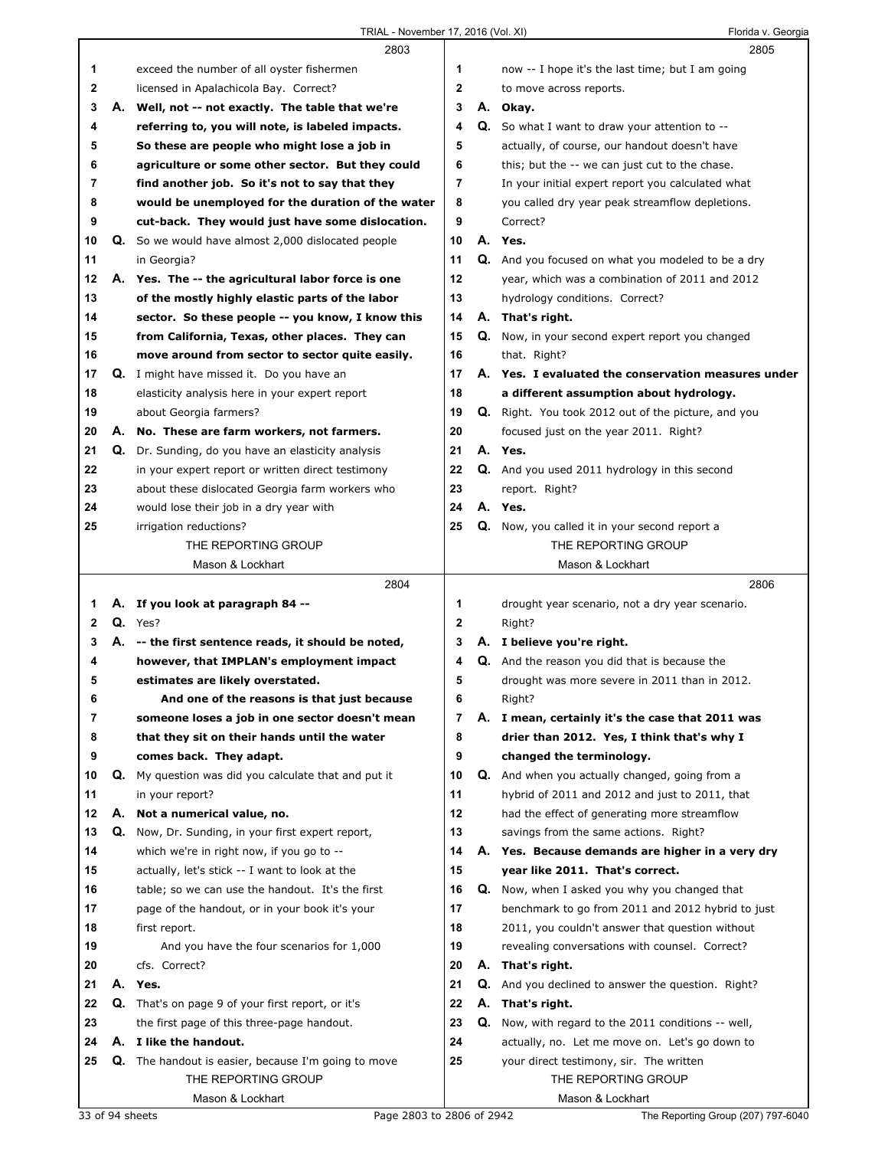## TRIAL - November 17, 2016 (Vol. XI) Florida v. Georgia

|    |    | 2803                                                       |                |    | 2805                                                      |
|----|----|------------------------------------------------------------|----------------|----|-----------------------------------------------------------|
| 1  |    | exceed the number of all oyster fishermen                  | 1              |    | now -- I hope it's the last time; but I am going          |
| 2  |    | licensed in Apalachicola Bay. Correct?                     | $\overline{2}$ |    | to move across reports.                                   |
| 3  | А. | Well, not -- not exactly. The table that we're             | 3              |    | A. Okay.                                                  |
| 4  |    | referring to, you will note, is labeled impacts.           | 4              |    | <b>Q.</b> So what I want to draw your attention to --     |
| 5  |    | So these are people who might lose a job in                | 5              |    | actually, of course, our handout doesn't have             |
| 6  |    | agriculture or some other sector. But they could           | 6              |    | this; but the -- we can just cut to the chase.            |
| 7  |    | find another job. So it's not to say that they             | $\overline{7}$ |    | In your initial expert report you calculated what         |
| 8  |    | would be unemployed for the duration of the water          | 8              |    | you called dry year peak streamflow depletions.           |
| 9  |    | cut-back. They would just have some dislocation.           | 9              |    | Correct?                                                  |
| 10 |    | Q. So we would have almost 2,000 dislocated people         | 10             |    | A. Yes.                                                   |
| 11 |    | in Georgia?                                                | 11             |    | Q. And you focused on what you modeled to be a dry        |
| 12 |    | A. Yes. The -- the agricultural labor force is one         | 12             |    | year, which was a combination of 2011 and 2012            |
| 13 |    | of the mostly highly elastic parts of the labor            | 13             |    | hydrology conditions. Correct?                            |
| 14 |    | sector. So these people -- you know, I know this           | 14             |    | A. That's right.                                          |
| 15 |    | from California, Texas, other places. They can             | 15             |    | Q. Now, in your second expert report you changed          |
| 16 |    | move around from sector to sector quite easily.            | 16             |    | that. Right?                                              |
| 17 |    | Q. I might have missed it. Do you have an                  | 17             |    | A. Yes. I evaluated the conservation measures under       |
| 18 |    | elasticity analysis here in your expert report             | 18             |    | a different assumption about hydrology.                   |
| 19 |    | about Georgia farmers?                                     | 19             |    | Q. Right. You took 2012 out of the picture, and you       |
| 20 |    | A. No. These are farm workers, not farmers.                | 20             |    | focused just on the year 2011. Right?                     |
| 21 |    | Q. Dr. Sunding, do you have an elasticity analysis         | 21             |    | A. Yes.                                                   |
| 22 |    | in your expert report or written direct testimony          | 22             |    | Q. And you used 2011 hydrology in this second             |
| 23 |    | about these dislocated Georgia farm workers who            | 23             |    | report. Right?                                            |
| 24 |    | would lose their job in a dry year with                    | 24             |    | A. Yes.                                                   |
| 25 |    | irrigation reductions?                                     | 25             |    | Q. Now, you called it in your second report a             |
|    |    | THE REPORTING GROUP                                        |                |    | THE REPORTING GROUP                                       |
|    |    | Mason & Lockhart                                           |                |    | Mason & Lockhart                                          |
|    |    |                                                            |                |    |                                                           |
|    |    | 2804                                                       |                |    | 2806                                                      |
| 1  |    | A. If you look at paragraph 84 --                          | 1              |    | drought year scenario, not a dry year scenario.           |
| 2  |    | $Q.$ Yes?                                                  | $\mathbf{2}$   |    | Right?                                                    |
| 3  |    | A. -- the first sentence reads, it should be noted,        | 3              |    | A. I believe you're right.                                |
| 4  |    | however, that IMPLAN's employment impact                   | 4              |    | <b>Q.</b> And the reason you did that is because the      |
| 5  |    | estimates are likely overstated.                           | 5              |    | drought was more severe in 2011 than in 2012.             |
| 6  |    | And one of the reasons is that just because                | 6              |    | Right?                                                    |
| 7  |    | someone loses a job in one sector doesn't mean             | 7              |    | A. I mean, certainly it's the case that 2011 was          |
| 8  |    | that they sit on their hands until the water               | 8              |    | drier than 2012. Yes, I think that's why I                |
| 9  |    | comes back. They adapt.                                    | 9              |    | changed the terminology.                                  |
| 10 | Q. | My question was did you calculate that and put it          | 10             |    | Q. And when you actually changed, going from a            |
| 11 |    | in your report?                                            | 11             |    | hybrid of 2011 and 2012 and just to 2011, that            |
| 12 | А. | Not a numerical value, no.                                 | 12             |    | had the effect of generating more streamflow              |
| 13 | Q. | Now, Dr. Sunding, in your first expert report,             | 13             |    | savings from the same actions. Right?                     |
| 14 |    | which we're in right now, if you go to --                  | 14             |    | A. Yes. Because demands are higher in a very dry          |
| 15 |    | actually, let's stick -- I want to look at the             | 15             |    | year like 2011. That's correct.                           |
| 16 |    | table; so we can use the handout. It's the first           | 16             |    | Q. Now, when I asked you why you changed that             |
| 17 |    | page of the handout, or in your book it's your             | 17             |    | benchmark to go from 2011 and 2012 hybrid to just         |
| 18 |    | first report.                                              | 18             |    | 2011, you couldn't answer that question without           |
| 19 |    | And you have the four scenarios for 1,000                  | 19             |    | revealing conversations with counsel. Correct?            |
| 20 |    | cfs. Correct?                                              | 20             |    | A. That's right.                                          |
| 21 | А. | Yes.                                                       | 21             |    | <b>Q.</b> And you declined to answer the question. Right? |
| 22 | Q. | That's on page 9 of your first report, or it's             | 22             |    | A. That's right.                                          |
| 23 |    | the first page of this three-page handout.                 | 23             | Q. | Now, with regard to the 2011 conditions -- well,          |
| 24 |    | A. I like the handout.                                     | 24             |    | actually, no. Let me move on. Let's go down to            |
| 25 |    | <b>Q.</b> The handout is easier, because I'm going to move | 25             |    | your direct testimony, sir. The written                   |
|    |    | THE REPORTING GROUP<br>Mason & Lockhart                    |                |    | THE REPORTING GROUP<br>Mason & Lockhart                   |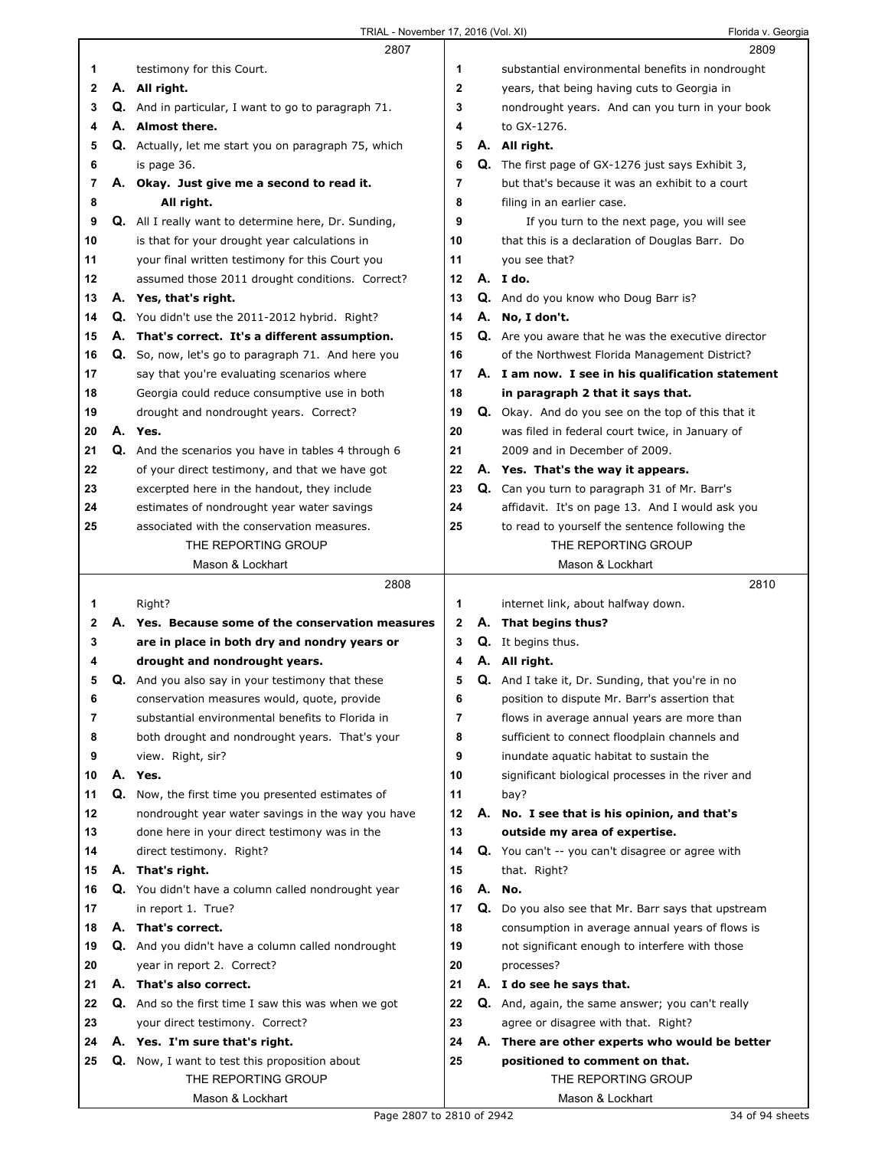|              |    | 2807                                                        |                |    | 2809                                                |  |
|--------------|----|-------------------------------------------------------------|----------------|----|-----------------------------------------------------|--|
| 1            |    | testimony for this Court.                                   | 1              |    | substantial environmental benefits in nondrought    |  |
| 2            |    | A. All right.                                               | 2              |    | years, that being having cuts to Georgia in         |  |
| 3            |    | Q. And in particular, I want to go to paragraph 71.         | 3              |    | nondrought years. And can you turn in your book     |  |
| 4            |    | A. Almost there.                                            | 4              |    | to GX-1276.                                         |  |
| 5            | Q. | Actually, let me start you on paragraph 75, which           | 5              |    | A. All right.                                       |  |
| 6            |    | is page 36.                                                 | 6              | Q. | The first page of GX-1276 just says Exhibit 3,      |  |
| 7            |    | A. Okay. Just give me a second to read it.                  | $\overline{7}$ |    | but that's because it was an exhibit to a court     |  |
| 8            |    | All right.                                                  | 8              |    | filing in an earlier case.                          |  |
| 9            |    | <b>Q.</b> All I really want to determine here, Dr. Sunding, | 9              |    | If you turn to the next page, you will see          |  |
| 10           |    | is that for your drought year calculations in               | 10             |    | that this is a declaration of Douglas Barr. Do      |  |
| 11           |    | your final written testimony for this Court you             | 11             |    | you see that?                                       |  |
| 12           |    | assumed those 2011 drought conditions. Correct?             | 12             |    | A. I do.                                            |  |
| 13           |    | A. Yes, that's right.                                       | 13             |    | <b>Q.</b> And do you know who Doug Barr is?         |  |
| 14           |    | Q. You didn't use the 2011-2012 hybrid. Right?              | 14             |    | A. No, I don't.                                     |  |
| 15           |    | A. That's correct. It's a different assumption.             | 15             |    | Q. Are you aware that he was the executive director |  |
| 16           |    | Q. So, now, let's go to paragraph 71. And here you          | 16             |    | of the Northwest Florida Management District?       |  |
| 17           |    | say that you're evaluating scenarios where                  | 17             |    | A. I am now. I see in his qualification statement   |  |
| 18           |    | Georgia could reduce consumptive use in both                | 18             |    | in paragraph 2 that it says that.                   |  |
| 19           |    | drought and nondrought years. Correct?                      | 19             |    | Q. Okay. And do you see on the top of this that it  |  |
| 20           |    | A. Yes.                                                     | 20             |    | was filed in federal court twice, in January of     |  |
| 21           |    | Q. And the scenarios you have in tables 4 through 6         | 21             |    | 2009 and in December of 2009.                       |  |
| 22           |    | of your direct testimony, and that we have got              | 22             |    | A. Yes. That's the way it appears.                  |  |
| 23           |    | excerpted here in the handout, they include                 | 23             |    | Q. Can you turn to paragraph 31 of Mr. Barr's       |  |
| 24           |    | estimates of nondrought year water savings                  | 24             |    | affidavit. It's on page 13. And I would ask you     |  |
| 25           |    | associated with the conservation measures.                  | 25             |    | to read to yourself the sentence following the      |  |
|              |    | THE REPORTING GROUP                                         |                |    | THE REPORTING GROUP                                 |  |
|              |    |                                                             |                |    |                                                     |  |
|              |    | Mason & Lockhart                                            |                |    | Mason & Lockhart                                    |  |
|              |    | 2808                                                        |                |    | 2810                                                |  |
| 1            |    | Right?                                                      | 1              |    | internet link, about halfway down.                  |  |
| $\mathbf{2}$ |    | A. Yes. Because some of the conservation measures           | 2              |    | A. That begins thus?                                |  |
| 3            |    | are in place in both dry and nondry years or                | 3              |    | Q. It begins thus.                                  |  |
| 4            |    | drought and nondrought years.                               | 4              |    | A. All right.                                       |  |
| 5            |    | <b>Q.</b> And you also say in your testimony that these     | 5              |    | Q. And I take it, Dr. Sunding, that you're in no    |  |
| 6            |    | conservation measures would, quote, provide                 | 6              |    | position to dispute Mr. Barr's assertion that       |  |
| 7            |    | substantial environmental benefits to Florida in            | 7              |    | flows in average annual years are more than         |  |
| 8            |    | both drought and nondrought years. That's your              | 8              |    | sufficient to connect floodplain channels and       |  |
| 9            |    | view. Right, sir?                                           | 9              |    | inundate aquatic habitat to sustain the             |  |
| 10           |    | A. Yes.                                                     | 10             |    | significant biological processes in the river and   |  |
| 11           |    | Q. Now, the first time you presented estimates of           | 11             |    | bay?                                                |  |
| 12           |    | nondrought year water savings in the way you have           | 12             |    | A. No. I see that is his opinion, and that's        |  |
| 13           |    | done here in your direct testimony was in the               | 13             |    | outside my area of expertise.                       |  |
| 14           |    | direct testimony. Right?                                    | 14             |    | Q. You can't -- you can't disagree or agree with    |  |
| 15           |    | A. That's right.                                            | 15             |    | that. Right?                                        |  |
| 16           |    | Q. You didn't have a column called nondrought year          | 16             |    | A. No.                                              |  |
| 17           |    | in report 1. True?                                          | 17             | Q. | Do you also see that Mr. Barr says that upstream    |  |
| 18           |    | A. That's correct.                                          | 18             |    | consumption in average annual years of flows is     |  |
| 19           |    | Q. And you didn't have a column called nondrought           | 19             |    | not significant enough to interfere with those      |  |
| 20           |    | year in report 2. Correct?                                  | 20             |    | processes?                                          |  |
| 21           |    | A. That's also correct.                                     | 21             |    | A. I do see he says that.                           |  |
| 22           |    | Q. And so the first time I saw this was when we got         | 22             |    | Q. And, again, the same answer; you can't really    |  |
| 23           |    | your direct testimony. Correct?                             | 23             |    | agree or disagree with that. Right?                 |  |
| 24           |    | A. Yes. I'm sure that's right.                              | 24             |    | A. There are other experts who would be better      |  |
| 25           |    | <b>Q.</b> Now, I want to test this proposition about        | 25             |    | positioned to comment on that.                      |  |
|              |    | THE REPORTING GROUP<br>Mason & Lockhart                     |                |    | THE REPORTING GROUP<br>Mason & Lockhart             |  |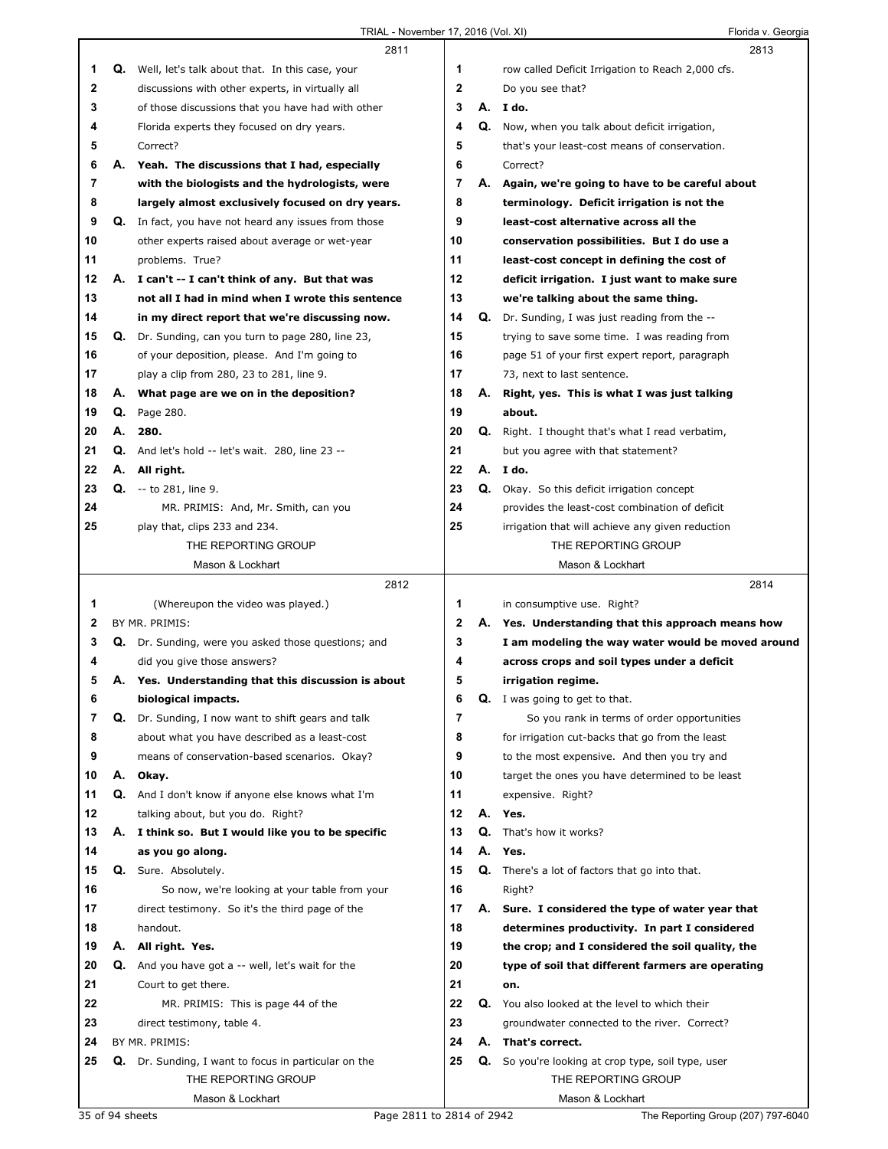|    |    | 2811                                                |              |    | 2813                                                    |
|----|----|-----------------------------------------------------|--------------|----|---------------------------------------------------------|
| 1  | Q. | Well, let's talk about that. In this case, your     | 1            |    | row called Deficit Irrigation to Reach 2,000 cfs.       |
| 2  |    | discussions with other experts, in virtually all    | $\mathbf{2}$ |    | Do you see that?                                        |
| 3  |    | of those discussions that you have had with other   | 3            |    | A. Ido.                                                 |
| 4  |    | Florida experts they focused on dry years.          | 4            | Q. | Now, when you talk about deficit irrigation,            |
| 5  |    | Correct?                                            | 5            |    | that's your least-cost means of conservation.           |
| 6  | А. | Yeah. The discussions that I had, especially        | 6            |    | Correct?                                                |
| 7  |    | with the biologists and the hydrologists, were      | 7            |    | A. Again, we're going to have to be careful about       |
| 8  |    | largely almost exclusively focused on dry years.    | 8            |    | terminology. Deficit irrigation is not the              |
| 9  | Q. | In fact, you have not heard any issues from those   | 9            |    | least-cost alternative across all the                   |
| 10 |    | other experts raised about average or wet-year      | 10           |    | conservation possibilities. But I do use a              |
| 11 |    | problems. True?                                     | 11           |    | least-cost concept in defining the cost of              |
| 12 | А. | I can't -- I can't think of any. But that was       | 12           |    |                                                         |
| 13 |    |                                                     | 13           |    | deficit irrigation. I just want to make sure            |
|    |    | not all I had in mind when I wrote this sentence    |              |    | we're talking about the same thing.                     |
| 14 |    | in my direct report that we're discussing now.      | 14           |    | <b>Q.</b> Dr. Sunding, I was just reading from the --   |
| 15 | Q. | Dr. Sunding, can you turn to page 280, line 23,     | 15           |    | trying to save some time. I was reading from            |
| 16 |    | of your deposition, please. And I'm going to        | 16           |    | page 51 of your first expert report, paragraph          |
| 17 |    | play a clip from 280, 23 to 281, line 9.            | 17           |    | 73, next to last sentence.                              |
| 18 | А. | What page are we on in the deposition?              | 18           |    | A. Right, yes. This is what I was just talking          |
| 19 | Q. | Page 280.                                           | 19           |    | about.                                                  |
| 20 | А. | 280.                                                | 20           |    | <b>Q.</b> Right. I thought that's what I read verbatim, |
| 21 | Q. | And let's hold -- let's wait. 280, line 23 --       | 21           |    | but you agree with that statement?                      |
| 22 | А. | All right.                                          | 22           |    | A. I do.                                                |
| 23 | Q. | -- to 281, line 9.                                  | 23           |    | Q. Okay. So this deficit irrigation concept             |
| 24 |    | MR. PRIMIS: And, Mr. Smith, can you                 | 24           |    | provides the least-cost combination of deficit          |
| 25 |    | play that, clips 233 and 234.                       | 25           |    | irrigation that will achieve any given reduction        |
|    |    | THE REPORTING GROUP                                 |              |    | THE REPORTING GROUP                                     |
|    |    | Mason & Lockhart                                    |              |    | Mason & Lockhart                                        |
|    |    |                                                     |              |    |                                                         |
|    |    | 2812                                                |              |    | 2814                                                    |
| 1  |    | (Whereupon the video was played.)                   | 1            |    | in consumptive use. Right?                              |
| 2  |    | BY MR. PRIMIS:                                      | $\mathbf{2}$ |    | A. Yes. Understanding that this approach means how      |
| 3  |    | Q. Dr. Sunding, were you asked those questions; and | 3            |    | I am modeling the way water would be moved around       |
| 4  |    | did you give those answers?                         | 4            |    | across crops and soil types under a deficit             |
| 5  |    | A. Yes. Understanding that this discussion is about | 5            |    | irrigation regime.                                      |
| 6  |    | biological impacts.                                 | 6            | Q. | I was going to get to that.                             |
| 7  | Q. | Dr. Sunding, I now want to shift gears and talk     | 7            |    | So you rank in terms of order opportunities             |
| 8  |    | about what you have described as a least-cost       | 8            |    | for irrigation cut-backs that go from the least         |
| 9  |    | means of conservation-based scenarios. Okay?        | 9            |    | to the most expensive. And then you try and             |
| 10 | А. | Okay.                                               | 10           |    | target the ones you have determined to be least         |
| 11 | Q. | And I don't know if anyone else knows what I'm      | 11           |    | expensive. Right?                                       |
| 12 |    | talking about, but you do. Right?                   | 12           | А. | Yes.                                                    |
| 13 | А. | I think so. But I would like you to be specific     | 13           | Q. | That's how it works?                                    |
| 14 |    | as you go along.                                    | 14           | А. | Yes.                                                    |
| 15 | Q. | Sure. Absolutely.                                   | 15           | Q. | There's a lot of factors that go into that.             |
| 16 |    | So now, we're looking at your table from your       | 16           |    | Right?                                                  |
| 17 |    | direct testimony. So it's the third page of the     | 17           |    | A. Sure. I considered the type of water year that       |
| 18 |    | handout.                                            | 18           |    | determines productivity. In part I considered           |
| 19 | А. | All right. Yes.                                     | 19           |    | the crop; and I considered the soil quality, the        |
| 20 | Q. | And you have got a -- well, let's wait for the      | 20           |    | type of soil that different farmers are operating       |
| 21 |    | Court to get there.                                 | 21           |    | on.                                                     |
| 22 |    | MR. PRIMIS: This is page 44 of the                  | 22           | Q. | You also looked at the level to which their             |
| 23 |    | direct testimony, table 4.                          | 23           |    | groundwater connected to the river. Correct?            |
| 24 |    | BY MR. PRIMIS:                                      | 24           |    | A. That's correct.                                      |
| 25 | Q. | Dr. Sunding, I want to focus in particular on the   | 25           | Q. | So you're looking at crop type, soil type, user         |
|    |    | THE REPORTING GROUP                                 |              |    | THE REPORTING GROUP                                     |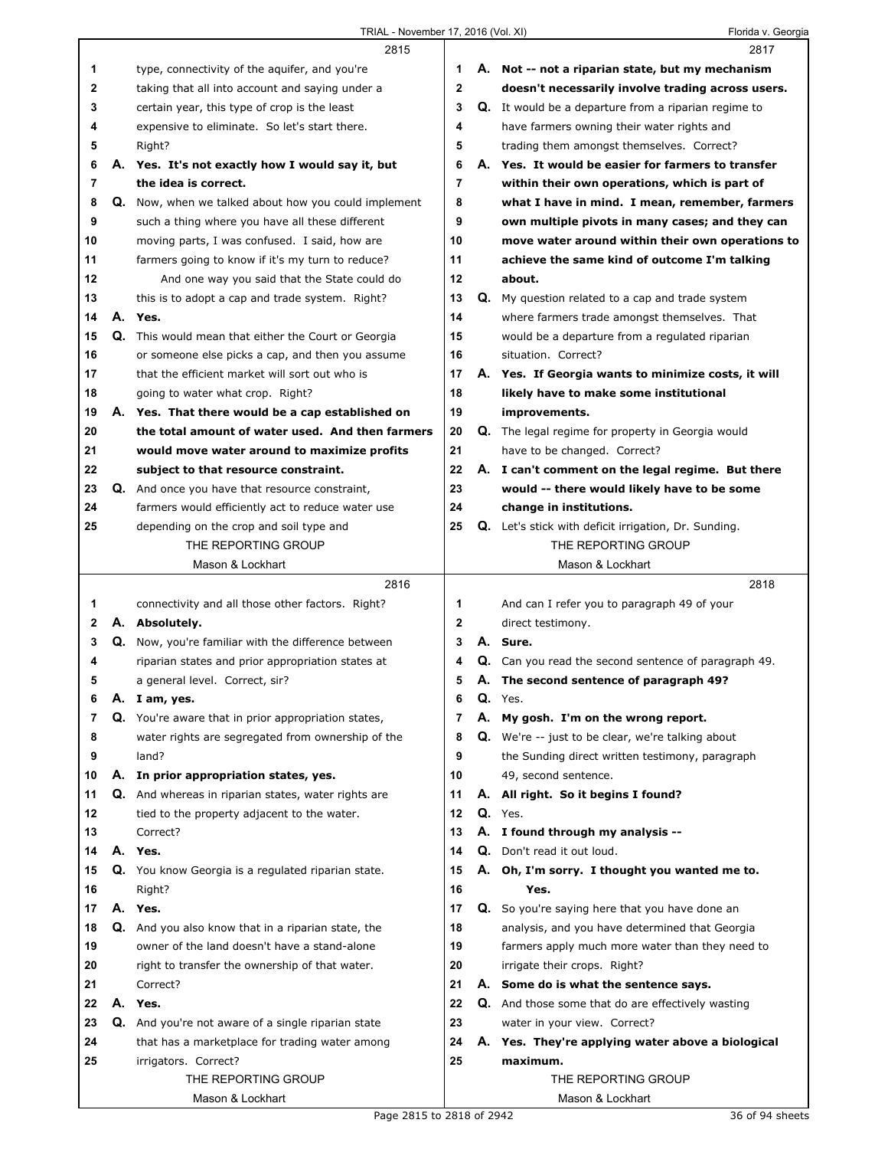|             |    | 2815                                                  |              |    | 2817                                                        |
|-------------|----|-------------------------------------------------------|--------------|----|-------------------------------------------------------------|
| 1           |    | type, connectivity of the aquifer, and you're         | 1            |    | A. Not -- not a riparian state, but my mechanism            |
| $\mathbf 2$ |    | taking that all into account and saying under a       | $\mathbf{2}$ |    | doesn't necessarily involve trading across users.           |
| 3           |    | certain year, this type of crop is the least          | 3            |    | Q. It would be a departure from a riparian regime to        |
| 4           |    | expensive to eliminate. So let's start there.         | 4            |    | have farmers owning their water rights and                  |
| 5           |    | Right?                                                | 5            |    | trading them amongst themselves. Correct?                   |
| 6           |    | A. Yes. It's not exactly how I would say it, but      | 6            |    | A. Yes. It would be easier for farmers to transfer          |
| 7           |    | the idea is correct.                                  | 7            |    | within their own operations, which is part of               |
| 8           |    | Q. Now, when we talked about how you could implement  | 8            |    | what I have in mind. I mean, remember, farmers              |
| 9           |    | such a thing where you have all these different       | 9            |    | own multiple pivots in many cases; and they can             |
| 10          |    | moving parts, I was confused. I said, how are         | 10           |    | move water around within their own operations to            |
| 11          |    | farmers going to know if it's my turn to reduce?      | 11           |    | achieve the same kind of outcome I'm talking                |
| 12          |    | And one way you said that the State could do          | 12           |    | about.                                                      |
| 13          |    | this is to adopt a cap and trade system. Right?       | 13           |    | <b>Q.</b> My question related to a cap and trade system     |
| 14          |    | A. Yes.                                               | 14           |    | where farmers trade amongst themselves. That                |
| 15          |    | Q. This would mean that either the Court or Georgia   | 15           |    | would be a departure from a regulated riparian              |
| 16          |    | or someone else picks a cap, and then you assume      | 16           |    | situation. Correct?                                         |
| 17          |    | that the efficient market will sort out who is        | 17           |    | A. Yes. If Georgia wants to minimize costs, it will         |
| 18          |    | going to water what crop. Right?                      | 18           |    | likely have to make some institutional                      |
| 19          |    | A. Yes. That there would be a cap established on      | 19           |    | improvements.                                               |
| 20          |    | the total amount of water used. And then farmers      | 20           |    | Q. The legal regime for property in Georgia would           |
| 21          |    | would move water around to maximize profits           | 21           |    | have to be changed. Correct?                                |
| 22          |    | subject to that resource constraint.                  | 22           |    | A. I can't comment on the legal regime. But there           |
| 23          |    | <b>Q.</b> And once you have that resource constraint, | 23           |    | would -- there would likely have to be some                 |
| 24          |    | farmers would efficiently act to reduce water use     | 24           |    | change in institutions.                                     |
| 25          |    | depending on the crop and soil type and               | 25           |    | <b>Q.</b> Let's stick with deficit irrigation, Dr. Sunding. |
|             |    | THE REPORTING GROUP                                   |              |    | THE REPORTING GROUP                                         |
|             |    | Mason & Lockhart                                      |              |    | Mason & Lockhart                                            |
|             |    | 2816                                                  |              |    | 2818                                                        |
|             |    |                                                       |              |    |                                                             |
|             |    |                                                       |              |    |                                                             |
| 1           |    | connectivity and all those other factors. Right?      | 1            |    | And can I refer you to paragraph 49 of your                 |
| 2           |    | A. Absolutely.                                        | $\mathbf{2}$ |    | direct testimony.                                           |
| 3           | Q. | Now, you're familiar with the difference between      | 3            |    | A. Sure.                                                    |
| 4           |    | riparian states and prior appropriation states at     | 4            |    | <b>Q.</b> Can you read the second sentence of paragraph 49. |
| 5           |    | a general level. Correct, sir?                        | 5            |    | A. The second sentence of paragraph 49?                     |
| 6           | Α. | I am, yes.                                            | 6            | Q. | Yes.                                                        |
| 7           |    | Q. You're aware that in prior appropriation states,   | 7            | А. | My gosh. I'm on the wrong report.                           |
| 8           |    | water rights are segregated from ownership of the     | 8            | Q. | We're -- just to be clear, we're talking about              |
| 9           |    | land?                                                 | 9            |    | the Sunding direct written testimony, paragraph             |
| 10          |    | A. In prior appropriation states, yes.                | 10           |    | 49, second sentence.                                        |
| 11          |    | Q. And whereas in riparian states, water rights are   | 11           |    | A. All right. So it begins I found?                         |
| 12          |    | tied to the property adjacent to the water.           | 12           |    | $Q.$ Yes.                                                   |
| 13          |    | Correct?                                              | 13           |    | A. I found through my analysis --                           |
| 14          |    | A. Yes.                                               | 14           | Q. | Don't read it out loud.                                     |
| 15          |    | Q. You know Georgia is a regulated riparian state.    | 15           |    | A. Oh, I'm sorry. I thought you wanted me to.               |
| 16          |    | Right?                                                | 16           |    | Yes.                                                        |
| 17          |    | A. Yes.                                               | 17           | Q. | So you're saying here that you have done an                 |
| 18          |    | Q. And you also know that in a riparian state, the    | 18           |    | analysis, and you have determined that Georgia              |
| 19          |    | owner of the land doesn't have a stand-alone          | 19           |    | farmers apply much more water than they need to             |
| 20          |    | right to transfer the ownership of that water.        | 20           |    | irrigate their crops. Right?                                |
| 21          |    | Correct?                                              | 21           |    | A. Some do is what the sentence says.                       |
| 22          | А. | Yes.                                                  | 22           |    | Q. And those some that do are effectively wasting           |
| 23          | Q. | And you're not aware of a single riparian state       | 23           |    | water in your view. Correct?                                |
| 24          |    | that has a marketplace for trading water among        | 24           | А. | Yes. They're applying water above a biological              |
| 25          |    | irrigators. Correct?                                  | 25           |    | maximum.                                                    |
|             |    | THE REPORTING GROUP<br>Mason & Lockhart               |              |    | THE REPORTING GROUP<br>Mason & Lockhart                     |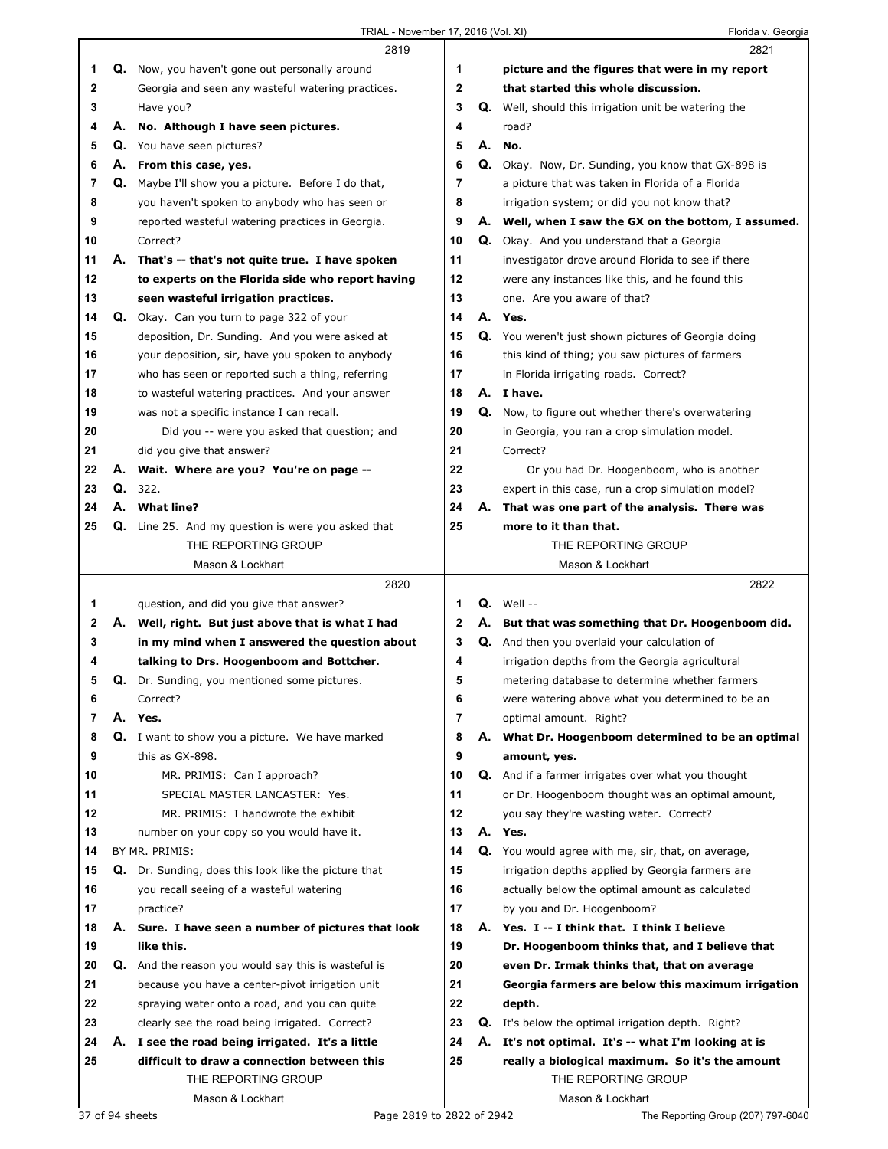|              |    | 2819                                                      |              |    | 2821                                                        |
|--------------|----|-----------------------------------------------------------|--------------|----|-------------------------------------------------------------|
| 1            |    | Q. Now, you haven't gone out personally around            | 1            |    | picture and the figures that were in my report              |
| $\mathbf{2}$ |    | Georgia and seen any wasteful watering practices.         | $\mathbf{2}$ |    | that started this whole discussion.                         |
| 3            |    | Have you?                                                 | 3            |    | <b>Q.</b> Well, should this irrigation unit be watering the |
| 4            | А. | No. Although I have seen pictures.                        | 4            |    | road?                                                       |
| 5            | Q. | You have seen pictures?                                   | 5            | А. | No.                                                         |
| 6            | А. | From this case, yes.                                      | 6            |    | Q. Okay. Now, Dr. Sunding, you know that GX-898 is          |
| 7            |    | Q. Maybe I'll show you a picture. Before I do that,       | 7            |    | a picture that was taken in Florida of a Florida            |
| 8            |    | you haven't spoken to anybody who has seen or             | 8            |    | irrigation system; or did you not know that?                |
| 9            |    | reported wasteful watering practices in Georgia.          | 9            |    | A. Well, when I saw the GX on the bottom, I assumed.        |
| 10           |    | Correct?                                                  | 10           |    | Q. Okay. And you understand that a Georgia                  |
| 11           | А. | That's -- that's not quite true. I have spoken            | 11           |    | investigator drove around Florida to see if there           |
| 12           |    | to experts on the Florida side who report having          | 12           |    | were any instances like this, and he found this             |
| 13           |    | seen wasteful irrigation practices.                       | 13           |    | one. Are you aware of that?                                 |
| 14           |    | Q. Okay. Can you turn to page 322 of your                 | 14           |    | A. Yes.                                                     |
| 15           |    | deposition, Dr. Sunding. And you were asked at            | 15           |    | Q. You weren't just shown pictures of Georgia doing         |
| 16           |    | your deposition, sir, have you spoken to anybody          | 16           |    | this kind of thing; you saw pictures of farmers             |
| 17           |    | who has seen or reported such a thing, referring          | 17           |    | in Florida irrigating roads. Correct?                       |
| 18           |    | to wasteful watering practices. And your answer           | 18           |    | A. I have.                                                  |
| 19           |    | was not a specific instance I can recall.                 | 19           | Q. | Now, to figure out whether there's overwatering             |
| 20           |    | Did you -- were you asked that question; and              | 20           |    | in Georgia, you ran a crop simulation model.                |
| 21           |    | did you give that answer?                                 | 21           |    | Correct?                                                    |
| 22           |    | A. Wait. Where are you? You're on page --                 | 22           |    | Or you had Dr. Hoogenboom, who is another                   |
| 23           |    | Q.322.                                                    | 23           |    | expert in this case, run a crop simulation model?           |
| 24           |    | A. What line?                                             | 24           | А. | That was one part of the analysis. There was                |
| 25           |    | <b>Q.</b> Line 25. And my question is were you asked that | 25           |    | more to it than that.                                       |
|              |    | THE REPORTING GROUP                                       |              |    | THE REPORTING GROUP                                         |
|              |    | Mason & Lockhart                                          |              |    | Mason & Lockhart                                            |
|              |    |                                                           |              |    |                                                             |
|              |    | 2820                                                      |              |    | 2822                                                        |
| 1            |    | question, and did you give that answer?                   | 1            |    | $Q.$ Well --                                                |
| 2            |    | A. Well, right. But just above that is what I had         | 2            | А. | But that was something that Dr. Hoogenboom did.             |
| 3            |    | in my mind when I answered the question about             | 3            | Q. | And then you overlaid your calculation of                   |
| 4            |    | talking to Drs. Hoogenboom and Bottcher.                  | 4            |    | irrigation depths from the Georgia agricultural             |
| 5            | Q. | Dr. Sunding, you mentioned some pictures.                 | 5            |    | metering database to determine whether farmers              |
| 6            |    | Correct?                                                  | 6            |    | were watering above what you determined to be an            |
| 7            |    | A. Yes.                                                   | 7            |    | optimal amount. Right?                                      |
| 8            |    | Q. I want to show you a picture. We have marked           | 8            |    | A. What Dr. Hoogenboom determined to be an optimal          |
| 9            |    | this as GX-898.                                           | 9            |    | amount, yes.                                                |
| 10           |    | MR. PRIMIS: Can I approach?                               | 10           |    | Q. And if a farmer irrigates over what you thought          |
| 11           |    | SPECIAL MASTER LANCASTER: Yes.                            | 11           |    | or Dr. Hoogenboom thought was an optimal amount,            |
| 12           |    | MR. PRIMIS: I handwrote the exhibit                       | 12           |    | you say they're wasting water. Correct?                     |
| 13           |    | number on your copy so you would have it.                 | 13           |    | A. Yes.                                                     |
| 14           |    | BY MR. PRIMIS:                                            | 14           |    | Q. You would agree with me, sir, that, on average,          |
| 15           |    | Q. Dr. Sunding, does this look like the picture that      | 15           |    | irrigation depths applied by Georgia farmers are            |
| 16           |    | you recall seeing of a wasteful watering                  | 16           |    | actually below the optimal amount as calculated             |
| 17           |    | practice?                                                 | 17           |    | by you and Dr. Hoogenboom?                                  |
| 18           |    | A. Sure. I have seen a number of pictures that look       | 18           |    | A. Yes. I -- I think that. I think I believe                |
| 19           |    | like this.                                                | 19           |    | Dr. Hoogenboom thinks that, and I believe that              |
| 20           |    | Q. And the reason you would say this is wasteful is       | 20           |    | even Dr. Irmak thinks that, that on average                 |
| 21           |    | because you have a center-pivot irrigation unit           | 21           |    | Georgia farmers are below this maximum irrigation           |
| 22           |    | spraying water onto a road, and you can quite             | 22           |    | depth.                                                      |
| 23           |    | clearly see the road being irrigated. Correct?            | 23           |    | <b>Q.</b> It's below the optimal irrigation depth. Right?   |
| 24           | А. | I see the road being irrigated. It's a little             | 24           | А. | It's not optimal. It's -- what I'm looking at is            |
| 25           |    | difficult to draw a connection between this               | 25           |    | really a biological maximum. So it's the amount             |
|              |    | THE REPORTING GROUP                                       |              |    | THE REPORTING GROUP                                         |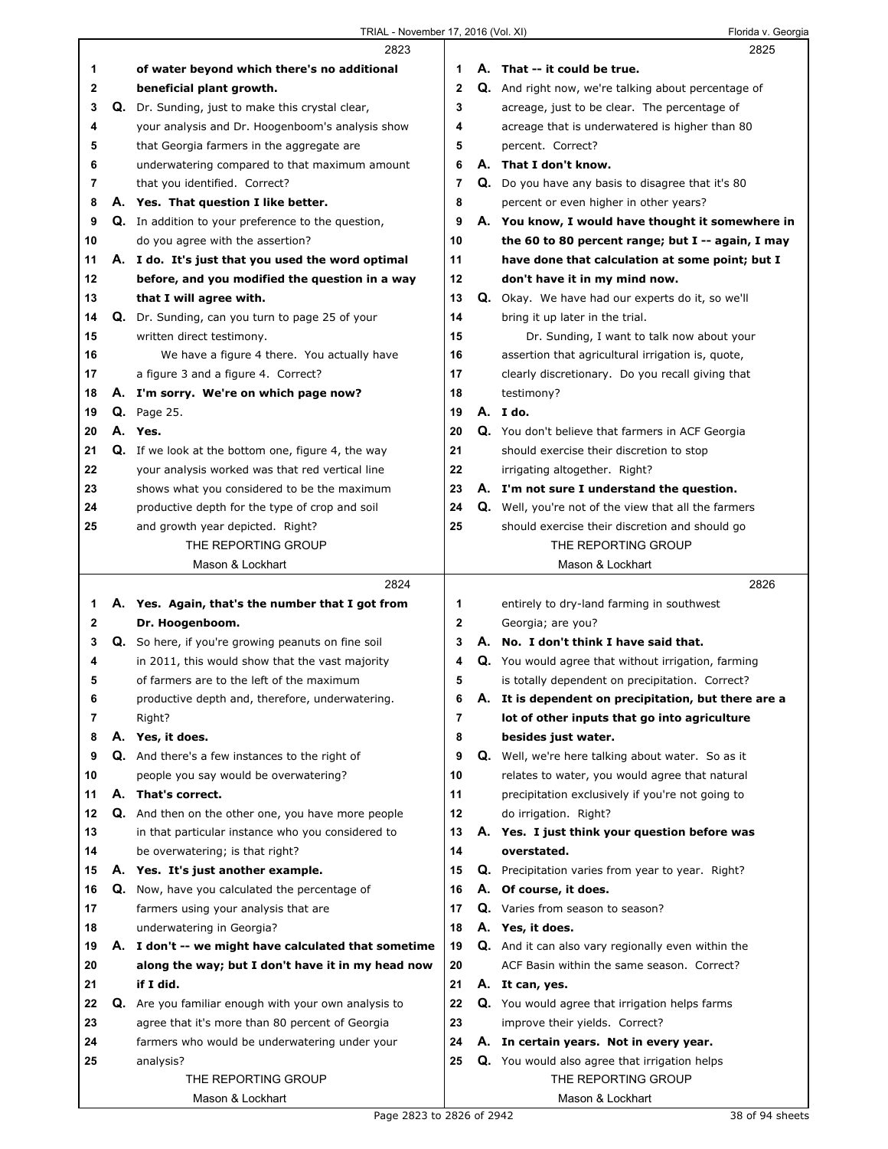|    |    | 2823                                                      |              | 2825                                                        |
|----|----|-----------------------------------------------------------|--------------|-------------------------------------------------------------|
| 1  |    | of water beyond which there's no additional               | 1            | A. That -- it could be true.                                |
| 2  |    | beneficial plant growth.                                  | $\mathbf{2}$ | <b>Q.</b> And right now, we're talking about percentage of  |
| 3  |    | Q. Dr. Sunding, just to make this crystal clear,          | 3            | acreage, just to be clear. The percentage of                |
| 4  |    | your analysis and Dr. Hoogenboom's analysis show          | 4            | acreage that is underwatered is higher than 80              |
| 5  |    | that Georgia farmers in the aggregate are                 | 5            | percent. Correct?                                           |
| 6  |    | underwatering compared to that maximum amount             | 6            | A. That I don't know.                                       |
| 7  |    | that you identified. Correct?                             | 7            | <b>Q.</b> Do you have any basis to disagree that it's 80    |
| 8  |    | A. Yes. That question I like better.                      | 8            | percent or even higher in other years?                      |
| 9  |    | <b>Q.</b> In addition to your preference to the question, | 9            | A. You know, I would have thought it somewhere in           |
| 10 |    | do you agree with the assertion?                          | 10           | the 60 to 80 percent range; but I -- again, I may           |
| 11 |    | A. I do. It's just that you used the word optimal         | 11           | have done that calculation at some point; but I             |
| 12 |    | before, and you modified the question in a way            | 12           | don't have it in my mind now.                               |
| 13 |    | that I will agree with.                                   | 13           | Q. Okay. We have had our experts do it, so we'll            |
| 14 |    | Q. Dr. Sunding, can you turn to page 25 of your           | 14           | bring it up later in the trial.                             |
| 15 |    | written direct testimony.                                 | 15           | Dr. Sunding, I want to talk now about your                  |
| 16 |    | We have a figure 4 there. You actually have               | 16           | assertion that agricultural irrigation is, quote,           |
| 17 |    | a figure 3 and a figure 4. Correct?                       | 17           | clearly discretionary. Do you recall giving that            |
| 18 |    | A. I'm sorry. We're on which page now?                    | 18           | testimony?                                                  |
| 19 |    | <b>Q.</b> Page 25.                                        | 19           | A. I do.                                                    |
| 20 |    | A. Yes.                                                   | 20           | Q. You don't believe that farmers in ACF Georgia            |
| 21 |    | Q. If we look at the bottom one, figure 4, the way        | 21           | should exercise their discretion to stop                    |
| 22 |    | your analysis worked was that red vertical line           | 22           | irrigating altogether. Right?                               |
| 23 |    | shows what you considered to be the maximum               | 23           | A. I'm not sure I understand the question.                  |
| 24 |    | productive depth for the type of crop and soil            | 24           | <b>Q.</b> Well, you're not of the view that all the farmers |
| 25 |    |                                                           | 25           |                                                             |
|    |    | and growth year depicted. Right?                          |              | should exercise their discretion and should go              |
|    |    | THE REPORTING GROUP                                       |              | THE REPORTING GROUP                                         |
|    |    | Mason & Lockhart<br>2824                                  |              | Mason & Lockhart<br>2826                                    |
| 1  |    | A. Yes. Again, that's the number that I got from          | 1            | entirely to dry-land farming in southwest                   |
|    |    |                                                           |              |                                                             |
|    |    |                                                           |              |                                                             |
| 2  |    | Dr. Hoogenboom.                                           | $\mathbf{2}$ | Georgia; are you?                                           |
| 3  |    | <b>Q.</b> So here, if you're growing peanuts on fine soil | 3            | A. No. I don't think I have said that.                      |
| 4  |    | in 2011, this would show that the vast majority           | 4            | Q. You would agree that without irrigation, farming         |
| 5  |    | of farmers are to the left of the maximum                 | 5            | is totally dependent on precipitation. Correct?             |
| 6  |    | productive depth and, therefore, underwatering.           | 6            | A. It is dependent on precipitation, but there are a        |
| 7  |    | Right?                                                    | 7            | lot of other inputs that go into agriculture                |
| 8  |    | A. Yes, it does.                                          | 8            | besides just water.                                         |
| 9  |    | Q. And there's a few instances to the right of            | 9            | <b>Q.</b> Well, we're here talking about water. So as it    |
| 10 |    | people you say would be overwatering?                     | 10           | relates to water, you would agree that natural              |
| 11 | А. | That's correct.                                           | 11           | precipitation exclusively if you're not going to            |
| 12 |    | Q. And then on the other one, you have more people        | 12           | do irrigation. Right?                                       |
| 13 |    | in that particular instance who you considered to         | 13           | A. Yes. I just think your question before was               |
| 14 |    | be overwatering; is that right?                           | 14           | overstated.                                                 |
| 15 |    | A. Yes. It's just another example.                        | 15           | Q. Precipitation varies from year to year. Right?           |
| 16 |    | <b>Q.</b> Now, have you calculated the percentage of      | 16           | A. Of course, it does.                                      |
| 17 |    | farmers using your analysis that are                      | 17           | Q. Varies from season to season?                            |
| 18 |    | underwatering in Georgia?                                 | 18           | A. Yes, it does.                                            |
| 19 |    | A. I don't -- we might have calculated that sometime      | 19           | <b>Q.</b> And it can also vary regionally even within the   |
| 20 |    | along the way; but I don't have it in my head now         | 20           | ACF Basin within the same season. Correct?                  |
| 21 |    | if I did.                                                 | 21           | A. It can, yes.                                             |
| 22 |    | Q. Are you familiar enough with your own analysis to      | 22           | <b>Q.</b> You would agree that irrigation helps farms       |
| 23 |    | agree that it's more than 80 percent of Georgia           | 23           | improve their yields. Correct?                              |
| 24 |    | farmers who would be underwatering under your             | 24           | A. In certain years. Not in every year.                     |
| 25 |    | analysis?                                                 | 25           | <b>Q.</b> You would also agree that irrigation helps        |
|    |    | THE REPORTING GROUP                                       |              | THE REPORTING GROUP                                         |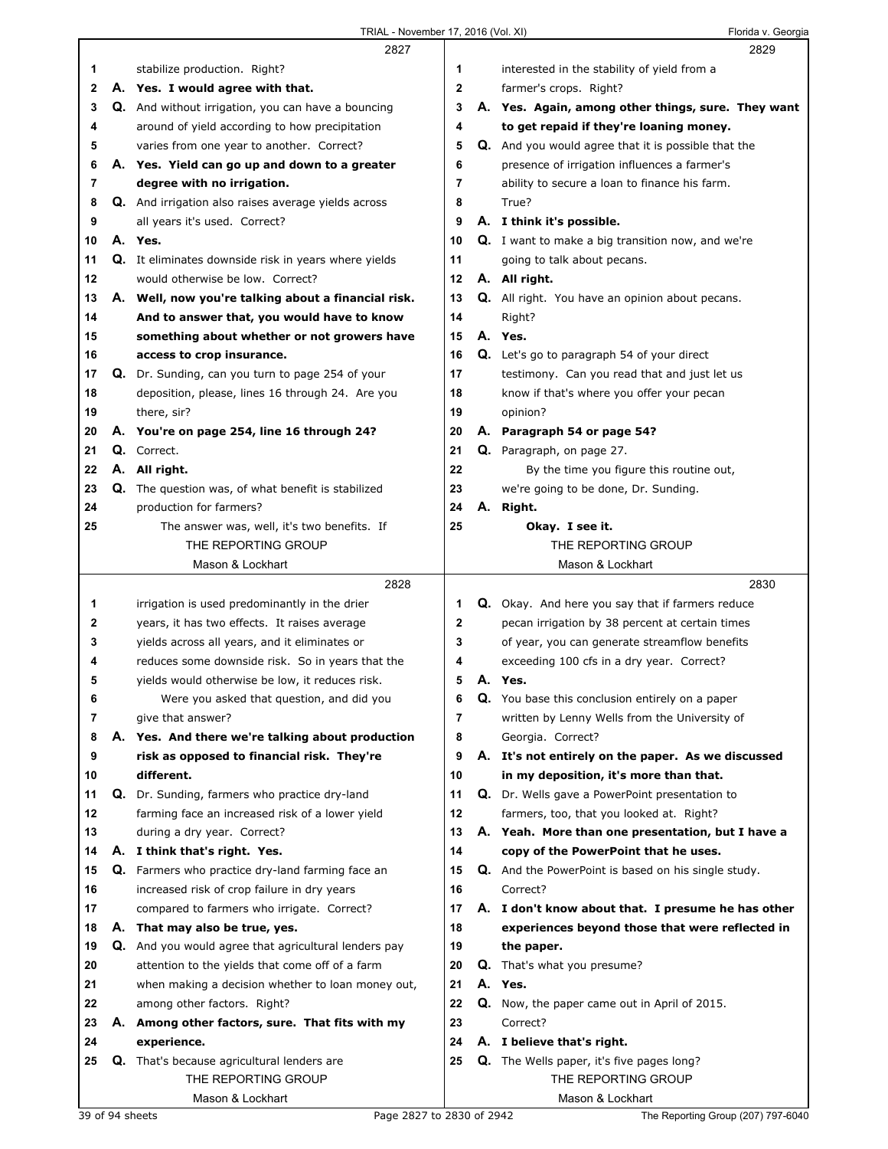|    |    | 2827                                                        |             |    | 2829                                                       |
|----|----|-------------------------------------------------------------|-------------|----|------------------------------------------------------------|
| 1  |    | stabilize production. Right?                                | 1           |    | interested in the stability of yield from a                |
| 2  |    | A. Yes. I would agree with that.                            | $\mathbf 2$ |    | farmer's crops. Right?                                     |
| 3  |    | Q. And without irrigation, you can have a bouncing          | 3           |    | A. Yes. Again, among other things, sure. They want         |
| 4  |    | around of yield according to how precipitation              | 4           |    | to get repaid if they're loaning money.                    |
| 5  |    | varies from one year to another. Correct?                   | 5           |    | <b>Q.</b> And you would agree that it is possible that the |
| 6  |    |                                                             | 6           |    |                                                            |
|    |    | A. Yes. Yield can go up and down to a greater               |             |    | presence of irrigation influences a farmer's               |
| 7  |    | degree with no irrigation.                                  | 7           |    | ability to secure a loan to finance his farm.              |
| 8  |    | Q. And irrigation also raises average yields across         | 8           |    | True?                                                      |
| 9  |    | all years it's used. Correct?                               | 9           |    | A. I think it's possible.                                  |
| 10 |    | A. Yes.                                                     | 10          |    | <b>Q.</b> I want to make a big transition now, and we're   |
| 11 |    | Q. It eliminates downside risk in years where yields        | 11          |    | going to talk about pecans.                                |
| 12 |    | would otherwise be low. Correct?                            | 12          |    | A. All right.                                              |
| 13 |    | A. Well, now you're talking about a financial risk.         | 13          |    | <b>Q.</b> All right. You have an opinion about pecans.     |
| 14 |    | And to answer that, you would have to know                  | 14          |    | Right?                                                     |
| 15 |    | something about whether or not growers have                 | 15          |    | A. Yes.                                                    |
| 16 |    | access to crop insurance.                                   | 16          |    | <b>Q.</b> Let's go to paragraph 54 of your direct          |
| 17 |    | Q. Dr. Sunding, can you turn to page 254 of your            | 17          |    | testimony. Can you read that and just let us               |
| 18 |    | deposition, please, lines 16 through 24. Are you            | 18          |    | know if that's where you offer your pecan                  |
| 19 |    | there, sir?                                                 | 19          |    | opinion?                                                   |
| 20 |    | A. You're on page 254, line 16 through 24?                  | 20          |    | A. Paragraph 54 or page 54?                                |
|    |    |                                                             |             |    |                                                            |
| 21 |    | Q. Correct.                                                 | 21          |    | Q. Paragraph, on page 27.                                  |
| 22 |    | A. All right.                                               | 22          |    | By the time you figure this routine out,                   |
| 23 |    | <b>Q.</b> The question was, of what benefit is stabilized   | 23          |    | we're going to be done, Dr. Sunding.                       |
| 24 |    | production for farmers?                                     | 24          |    | A. Right.                                                  |
| 25 |    | The answer was, well, it's two benefits. If                 | 25          |    | Okay. I see it.                                            |
|    |    | THE REPORTING GROUP                                         |             |    | THE REPORTING GROUP                                        |
|    |    | Mason & Lockhart                                            |             |    | Mason & Lockhart                                           |
|    |    |                                                             |             |    |                                                            |
|    |    | 2828                                                        |             |    | 2830                                                       |
| 1  |    | irrigation is used predominantly in the drier               | 1           |    | <b>Q.</b> Okay. And here you say that if farmers reduce    |
| 2  |    | years, it has two effects. It raises average                | $\mathbf 2$ |    | pecan irrigation by 38 percent at certain times            |
| 3  |    | yields across all years, and it eliminates or               | 3           |    | of year, you can generate streamflow benefits              |
| 4  |    | reduces some downside risk. So in years that the            | 4           |    | exceeding 100 cfs in a dry year. Correct?                  |
| 5  |    | yields would otherwise be low, it reduces risk.             | 5           |    | A. Yes.                                                    |
|    |    |                                                             |             |    |                                                            |
| 6  |    | Were you asked that question, and did you                   | 6           | Q. | You base this conclusion entirely on a paper               |
| 7  |    | give that answer?                                           | 7           |    | written by Lenny Wells from the University of              |
| 8  |    | A. Yes. And there we're talking about production            | 8           |    | Georgia. Correct?                                          |
| 9  |    | risk as opposed to financial risk. They're                  | 9           |    | A. It's not entirely on the paper. As we discussed         |
| 10 |    | different.                                                  | 10          |    | in my deposition, it's more than that.                     |
| 11 |    | Q. Dr. Sunding, farmers who practice dry-land               | 11          |    | Q. Dr. Wells gave a PowerPoint presentation to             |
| 12 |    | farming face an increased risk of a lower yield             | 12          |    | farmers, too, that you looked at. Right?                   |
| 13 |    | during a dry year. Correct?                                 | 13          |    | A. Yeah. More than one presentation, but I have a          |
| 14 |    | A. I think that's right. Yes.                               | 14          |    | copy of the PowerPoint that he uses.                       |
| 15 |    | <b>Q.</b> Farmers who practice dry-land farming face an     | 15          |    | Q. And the PowerPoint is based on his single study.        |
| 16 |    | increased risk of crop failure in dry years                 | 16          |    | Correct?                                                   |
| 17 |    | compared to farmers who irrigate. Correct?                  | 17          |    | A. I don't know about that. I presume he has other         |
| 18 |    | A. That may also be true, yes.                              | 18          |    | experiences beyond those that were reflected in            |
| 19 |    | <b>Q.</b> And you would agree that agricultural lenders pay | 19          |    | the paper.                                                 |
| 20 |    | attention to the yields that come off of a farm             | 20          |    | Q. That's what you presume?                                |
| 21 |    | when making a decision whether to loan money out,           | 21          |    | A. Yes.                                                    |
| 22 |    | among other factors. Right?                                 | 22          |    | Q. Now, the paper came out in April of 2015.               |
| 23 | А. | Among other factors, sure. That fits with my                | 23          |    | Correct?                                                   |
| 24 |    | experience.                                                 | 24          |    | A. I believe that's right.                                 |
| 25 | Q. | That's because agricultural lenders are                     | 25          |    | <b>Q.</b> The Wells paper, it's five pages long?           |
|    |    | THE REPORTING GROUP                                         |             |    | THE REPORTING GROUP                                        |

Г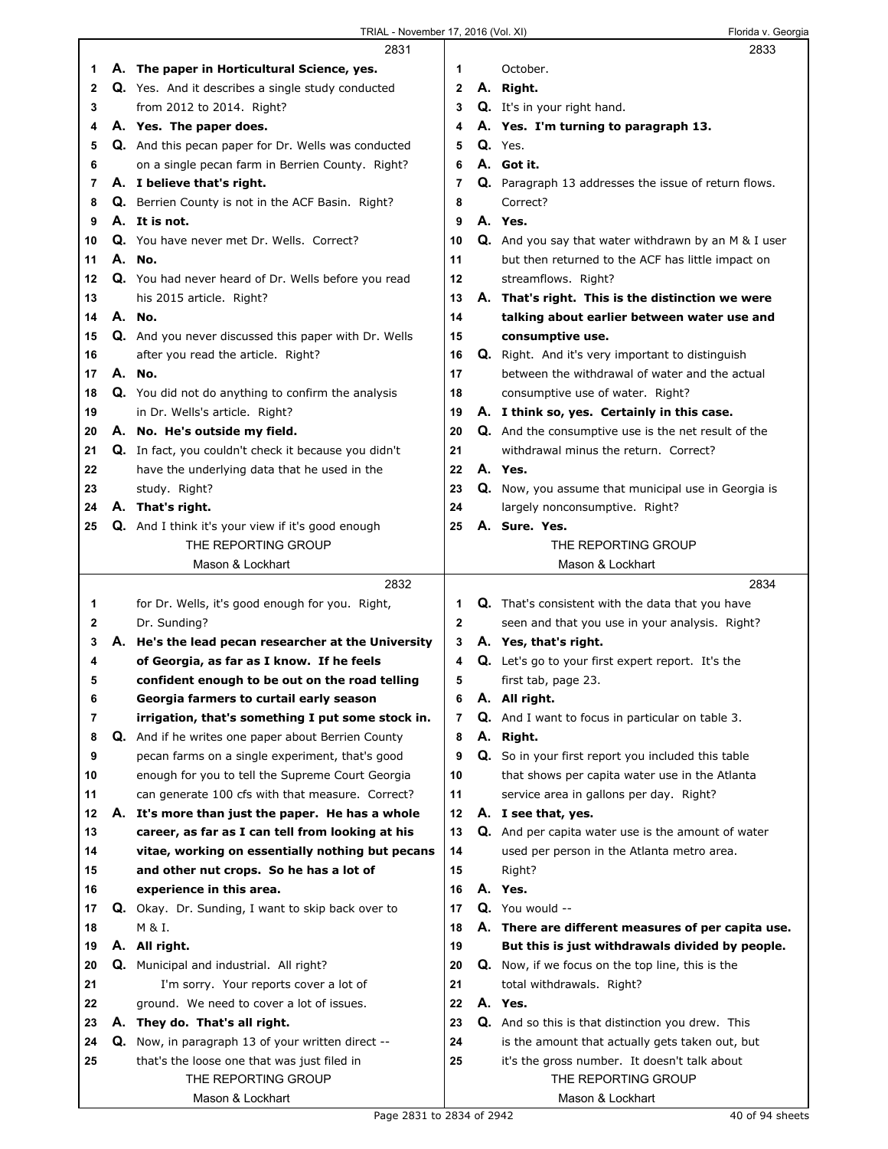Г

|    | 2831                                                      |                     | 2833                                                     |
|----|-----------------------------------------------------------|---------------------|----------------------------------------------------------|
| 1  | A. The paper in Horticultural Science, yes.               | 1                   | October.                                                 |
| 2  | Q. Yes. And it describes a single study conducted         | $\mathbf{2}$        | A. Right.                                                |
| 3  | from 2012 to 2014. Right?                                 | 3                   | Q. It's in your right hand.                              |
| 4  | A. Yes. The paper does.                                   | 4                   | A. Yes. I'm turning to paragraph 13.                     |
| 5  | Q. And this pecan paper for Dr. Wells was conducted       | 5                   | Q. Yes.                                                  |
| 6  | on a single pecan farm in Berrien County. Right?          | 6                   | A. Got it.                                               |
| 7  | A. I believe that's right.                                | 7                   | Q. Paragraph 13 addresses the issue of return flows.     |
| 8  | Q. Berrien County is not in the ACF Basin. Right?         | 8                   | Correct?                                                 |
| 9  | A. It is not.                                             | 9                   | A. Yes.                                                  |
| 10 | Q. You have never met Dr. Wells. Correct?                 | 10                  | Q. And you say that water withdrawn by an M & I user     |
| 11 | A. No.                                                    | 11                  | but then returned to the ACF has little impact on        |
| 12 | Q. You had never heard of Dr. Wells before you read       | 12                  | streamflows. Right?                                      |
| 13 | his 2015 article. Right?                                  | 13                  | A. That's right. This is the distinction we were         |
| 14 | A. No.                                                    | 14                  | talking about earlier between water use and              |
| 15 | Q. And you never discussed this paper with Dr. Wells      | 15                  | consumptive use.                                         |
| 16 | after you read the article. Right?                        | 16                  | <b>Q.</b> Right. And it's very important to distinguish  |
| 17 | A. No.                                                    | 17                  | between the withdrawal of water and the actual           |
| 18 | Q. You did not do anything to confirm the analysis        | 18                  | consumptive use of water. Right?                         |
| 19 | in Dr. Wells's article. Right?                            | 19                  | A. I think so, yes. Certainly in this case.              |
| 20 | A. No. He's outside my field.                             | 20                  | Q. And the consumptive use is the net result of the      |
| 21 | Q. In fact, you couldn't check it because you didn't      | 21                  | withdrawal minus the return. Correct?                    |
| 22 | have the underlying data that he used in the              | 22                  | A. Yes.                                                  |
| 23 | study. Right?                                             | 23                  | Q. Now, you assume that municipal use in Georgia is      |
| 24 | A. That's right.                                          | 24                  | largely nonconsumptive. Right?                           |
| 25 | Q. And I think it's your view if it's good enough         | 25                  | A. Sure. Yes.                                            |
|    | THE REPORTING GROUP                                       |                     | THE REPORTING GROUP                                      |
|    | Mason & Lockhart                                          |                     | Mason & Lockhart                                         |
|    |                                                           |                     |                                                          |
|    |                                                           |                     |                                                          |
|    | 2832                                                      |                     | 2834                                                     |
| 1  | for Dr. Wells, it's good enough for you. Right,           | 1                   | <b>Q.</b> That's consistent with the data that you have  |
| 2  | Dr. Sunding?                                              | $\overline{2}$      | seen and that you use in your analysis. Right?           |
| 3  | A. He's the lead pecan researcher at the University       | 3                   | A. Yes, that's right.                                    |
| 4  | of Georgia, as far as I know. If he feels                 | 4                   | <b>Q.</b> Let's go to your first expert report. It's the |
| 5  | confident enough to be out on the road telling            | 5                   | first tab, page 23.                                      |
| 6  | Georgia farmers to curtail early season                   | 6<br>$\overline{7}$ | A. All right.                                            |
| 7  | irrigation, that's something I put some stock in.         |                     | Q. And I want to focus in particular on table 3.         |
| 8  | <b>Q.</b> And if he writes one paper about Berrien County | 8<br>9              | A. Right.                                                |
| 9  | pecan farms on a single experiment, that's good           |                     | Q. So in your first report you included this table       |
| 10 | enough for you to tell the Supreme Court Georgia          | 10                  | that shows per capita water use in the Atlanta           |
| 11 | can generate 100 cfs with that measure. Correct?          | 11                  | service area in gallons per day. Right?                  |
| 12 | A. It's more than just the paper. He has a whole          | 12                  | A. I see that, yes.                                      |
| 13 | career, as far as I can tell from looking at his          | 13                  | Q. And per capita water use is the amount of water       |
| 14 | vitae, working on essentially nothing but pecans          | 14                  | used per person in the Atlanta metro area.               |
| 15 | and other nut crops. So he has a lot of                   | 15                  | Right?                                                   |
| 16 | experience in this area.                                  | 16                  | A. Yes.                                                  |
| 17 | Q. Okay. Dr. Sunding, I want to skip back over to         | 17                  | Q. You would --                                          |
| 18 | M & I.                                                    | 18                  | A. There are different measures of per capita use.       |
| 19 | A. All right.                                             | 19                  | But this is just withdrawals divided by people.          |
| 20 | <b>Q.</b> Municipal and industrial. All right?            | 20                  | Q. Now, if we focus on the top line, this is the         |
| 21 | I'm sorry. Your reports cover a lot of                    | 21                  | total withdrawals. Right?                                |
| 22 | ground. We need to cover a lot of issues.                 | 22                  | A. Yes.                                                  |
| 23 | A. They do. That's all right.                             | 23                  | Q. And so this is that distinction you drew. This        |
| 24 | Q. Now, in paragraph 13 of your written direct --         | 24                  | is the amount that actually gets taken out, but          |
| 25 | that's the loose one that was just filed in               | 25                  | it's the gross number. It doesn't talk about             |
|    | THE REPORTING GROUP<br>Mason & Lockhart                   |                     | THE REPORTING GROUP<br>Mason & Lockhart                  |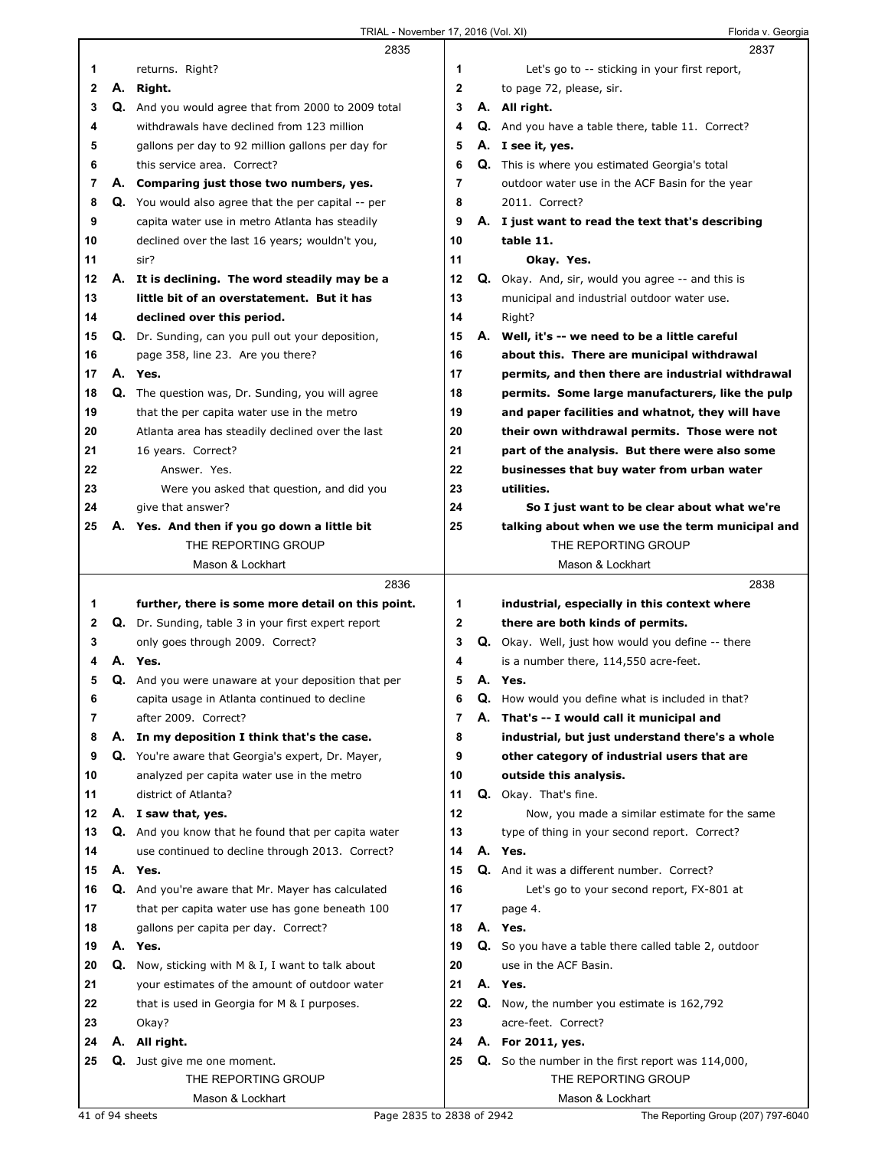|    |    | 2835                                                       |                |    | 2837                                                  |
|----|----|------------------------------------------------------------|----------------|----|-------------------------------------------------------|
| 1  |    | returns. Right?                                            | 1              |    | Let's go to -- sticking in your first report,         |
| 2  |    | A. Right.                                                  | $\overline{2}$ |    | to page 72, please, sir.                              |
| 3  |    | Q. And you would agree that from 2000 to 2009 total        | 3              |    | A. All right.                                         |
| 4  |    | withdrawals have declined from 123 million                 | 4              |    | Q. And you have a table there, table 11. Correct?     |
| 5  |    | gallons per day to 92 million gallons per day for          | 5              |    | A. I see it, yes.                                     |
| 6  |    | this service area. Correct?                                | 6              |    | <b>Q.</b> This is where you estimated Georgia's total |
| 7  |    | A. Comparing just those two numbers, yes.                  | 7              |    | outdoor water use in the ACF Basin for the year       |
| 8  |    | <b>Q.</b> You would also agree that the per capital -- per | 8              |    | 2011. Correct?                                        |
| 9  |    | capita water use in metro Atlanta has steadily             | 9              |    | A. I just want to read the text that's describing     |
| 10 |    | declined over the last 16 years; wouldn't you,             | 10             |    | table 11.                                             |
| 11 |    | sir?                                                       | 11             |    | Okay. Yes.                                            |
| 12 |    | A. It is declining. The word steadily may be a             | 12             |    | Q. Okay. And, sir, would you agree -- and this is     |
| 13 |    | little bit of an overstatement. But it has                 | 13             |    | municipal and industrial outdoor water use.           |
| 14 |    | declined over this period.                                 | 14             |    | Right?                                                |
| 15 | Q. | Dr. Sunding, can you pull out your deposition,             | 15             |    | A. Well, it's -- we need to be a little careful       |
| 16 |    | page 358, line 23. Are you there?                          | 16             |    | about this. There are municipal withdrawal            |
| 17 |    | A. Yes.                                                    | 17             |    | permits, and then there are industrial withdrawal     |
| 18 |    | Q. The question was, Dr. Sunding, you will agree           | 18             |    | permits. Some large manufacturers, like the pulp      |
| 19 |    | that the per capita water use in the metro                 | 19             |    | and paper facilities and whatnot, they will have      |
| 20 |    | Atlanta area has steadily declined over the last           | 20             |    | their own withdrawal permits. Those were not          |
| 21 |    | 16 years. Correct?                                         | 21             |    | part of the analysis. But there were also some        |
| 22 |    | Answer. Yes.                                               | 22             |    | businesses that buy water from urban water            |
| 23 |    | Were you asked that question, and did you                  | 23             |    | utilities.                                            |
| 24 |    | give that answer?                                          | 24             |    | So I just want to be clear about what we're           |
| 25 |    | A. Yes. And then if you go down a little bit               | 25             |    | talking about when we use the term municipal and      |
|    |    | THE REPORTING GROUP                                        |                |    | THE REPORTING GROUP                                   |
|    |    | Mason & Lockhart                                           |                |    | Mason & Lockhart                                      |
|    |    | 2836                                                       |                |    | 2838                                                  |
| 1. |    | further, there is some more detail on this point.          | 1              |    | industrial, especially in this context where          |
|    |    |                                                            |                |    |                                                       |
| 2  |    | Q. Dr. Sunding, table 3 in your first expert report        | 2              |    | there are both kinds of permits.                      |
| 3  |    | only goes through 2009. Correct?                           | 3              |    | Q. Okay. Well, just how would you define -- there     |
| 4  |    | A. Yes.                                                    | 4              |    | is a number there, 114,550 acre-feet.                 |
| 5  |    | Q. And you were unaware at your deposition that per        | 5              |    | A. Yes.                                               |
| 6  |    | capita usage in Atlanta continued to decline               | 6              | Q. | How would you define what is included in that?        |
| 7  |    | after 2009. Correct?                                       | 7              |    | A. That's -- I would call it municipal and            |
| 8  |    | A. In my deposition I think that's the case.               | 8              |    | industrial, but just understand there's a whole       |
| 9  |    | Q. You're aware that Georgia's expert, Dr. Mayer,          | 9              |    | other category of industrial users that are           |
| 10 |    | analyzed per capita water use in the metro                 | 10             |    | outside this analysis.                                |
| 11 |    | district of Atlanta?                                       | 11             |    | Q. Okay. That's fine.                                 |
| 12 |    | A. I saw that, yes.                                        | 12             |    | Now, you made a similar estimate for the same         |
| 13 |    | Q. And you know that he found that per capita water        | 13             |    | type of thing in your second report. Correct?         |
| 14 |    | use continued to decline through 2013. Correct?            | 14             |    | A. Yes.                                               |
| 15 |    | A. Yes.                                                    | 15             |    | Q. And it was a different number. Correct?            |
| 16 |    | Q. And you're aware that Mr. Mayer has calculated          | 16             |    | Let's go to your second report, FX-801 at             |
| 17 |    | that per capita water use has gone beneath 100             | 17             |    | page 4.                                               |
| 18 |    | gallons per capita per day. Correct?                       | 18             |    | A. Yes.                                               |
| 19 |    | A. Yes.                                                    | 19             |    | Q. So you have a table there called table 2, outdoor  |
| 20 |    | <b>Q.</b> Now, sticking with M & I, I want to talk about   | 20             |    | use in the ACF Basin.                                 |
| 21 |    | your estimates of the amount of outdoor water              | 21             |    | A. Yes.                                               |
| 22 |    | that is used in Georgia for M & I purposes.                | 22             |    | Q. Now, the number you estimate is 162,792            |
| 23 |    | Okay?                                                      | 23             |    | acre-feet. Correct?                                   |
| 24 |    | A. All right.                                              | 24             |    | A. For 2011, yes.                                     |
| 25 |    | Q. Just give me one moment.                                | 25             |    | Q. So the number in the first report was 114,000,     |
|    |    | THE REPORTING GROUP<br>Mason & Lockhart                    |                |    | THE REPORTING GROUP<br>Mason & Lockhart               |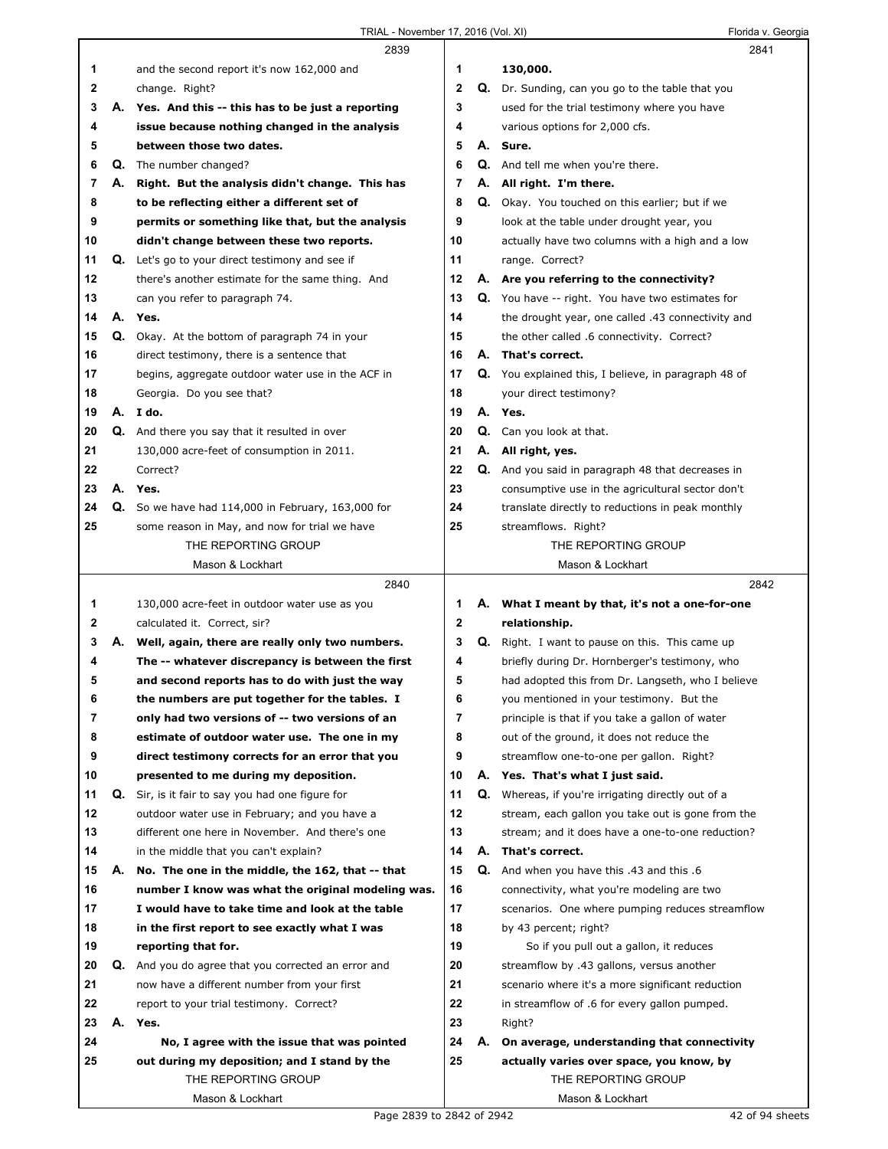|    |    | 2839                                                   |                |    | 2841                                                    |  |
|----|----|--------------------------------------------------------|----------------|----|---------------------------------------------------------|--|
| 1  |    | and the second report it's now 162,000 and             | 1              |    | 130,000.                                                |  |
| 2  |    | change. Right?                                         | $\mathbf 2$    |    | <b>Q.</b> Dr. Sunding, can you go to the table that you |  |
| 3  |    | A. Yes. And this -- this has to be just a reporting    | 3              |    | used for the trial testimony where you have             |  |
| 4  |    | issue because nothing changed in the analysis          | 4              |    | various options for 2,000 cfs.                          |  |
| 5  |    | between those two dates.                               | 5              | А. | Sure.                                                   |  |
| 6  | Q. | The number changed?                                    | 6              | Q. | And tell me when you're there.                          |  |
| 7  | А. | Right. But the analysis didn't change. This has        | 7              |    | A. All right. I'm there.                                |  |
| 8  |    | to be reflecting either a different set of             | 8              |    | <b>Q.</b> Okay. You touched on this earlier; but if we  |  |
| 9  |    | permits or something like that, but the analysis       | 9              |    | look at the table under drought year, you               |  |
| 10 |    | didn't change between these two reports.               | 10             |    | actually have two columns with a high and a low         |  |
| 11 |    | <b>Q.</b> Let's go to your direct testimony and see if | 11             |    | range. Correct?                                         |  |
| 12 |    | there's another estimate for the same thing. And       | 12             |    | A. Are you referring to the connectivity?               |  |
| 13 |    | can you refer to paragraph 74.                         | 13             |    | <b>Q.</b> You have -- right. You have two estimates for |  |
| 14 | А. | Yes.                                                   | 14             |    | the drought year, one called .43 connectivity and       |  |
| 15 | Q. | Okay. At the bottom of paragraph 74 in your            | 15             |    | the other called .6 connectivity. Correct?              |  |
| 16 |    | direct testimony, there is a sentence that             | 16             |    | A. That's correct.                                      |  |
| 17 |    | begins, aggregate outdoor water use in the ACF in      | 17             | Q. | You explained this, I believe, in paragraph 48 of       |  |
| 18 |    | Georgia. Do you see that?                              | 18             |    | your direct testimony?                                  |  |
| 19 |    | A. Ido.                                                | 19             |    | A. Yes.                                                 |  |
| 20 |    | Q. And there you say that it resulted in over          | 20             |    | Q. Can you look at that.                                |  |
| 21 |    | 130,000 acre-feet of consumption in 2011.              | 21             |    | A. All right, yes.                                      |  |
| 22 |    | Correct?                                               | 22             | Q. | And you said in paragraph 48 that decreases in          |  |
| 23 |    | A. Yes.                                                | 23             |    | consumptive use in the agricultural sector don't        |  |
| 24 | Q. | So we have had 114,000 in February, 163,000 for        | 24             |    | translate directly to reductions in peak monthly        |  |
| 25 |    | some reason in May, and now for trial we have          | 25             |    | streamflows. Right?                                     |  |
|    |    | THE REPORTING GROUP                                    |                |    | THE REPORTING GROUP                                     |  |
|    |    | Mason & Lockhart                                       |                |    | Mason & Lockhart                                        |  |
|    |    |                                                        |                |    |                                                         |  |
|    |    | 2840                                                   |                |    | 2842                                                    |  |
| 1  |    | 130,000 acre-feet in outdoor water use as you          | 1              |    | A. What I meant by that, it's not a one-for-one         |  |
| 2  |    | calculated it. Correct, sir?                           | $\mathbf 2$    |    | relationship.                                           |  |
| 3  |    | A. Well, again, there are really only two numbers.     | 3              | Q. | Right. I want to pause on this. This came up            |  |
| 4  |    | The -- whatever discrepancy is between the first       | 4              |    | briefly during Dr. Hornberger's testimony, who          |  |
| 5  |    | and second reports has to do with just the way         | 5              |    | had adopted this from Dr. Langseth, who I believe       |  |
| 6  |    | the numbers are put together for the tables. I         | 6              |    | you mentioned in your testimony. But the                |  |
| 7  |    | only had two versions of -- two versions of an         | $\overline{7}$ |    | principle is that if you take a gallon of water         |  |
| 8  |    | estimate of outdoor water use. The one in my           | 8              |    | out of the ground, it does not reduce the               |  |
| 9  |    | direct testimony corrects for an error that you        | 9              |    | streamflow one-to-one per gallon. Right?                |  |
| 10 |    | presented to me during my deposition.                  | 10             |    | A. Yes. That's what I just said.                        |  |
| 11 |    | Q. Sir, is it fair to say you had one figure for       | 11             | Q. | Whereas, if you're irrigating directly out of a         |  |
| 12 |    | outdoor water use in February; and you have a          | 12             |    | stream, each gallon you take out is gone from the       |  |
| 13 |    | different one here in November. And there's one        | 13             |    | stream; and it does have a one-to-one reduction?        |  |
| 14 |    | in the middle that you can't explain?                  | 14             | А. | That's correct.                                         |  |
| 15 | А. | No. The one in the middle, the 162, that -- that       | 15             | Q. | 6. And when you have this .43 and this                  |  |
| 16 |    | number I know was what the original modeling was.      | 16             |    | connectivity, what you're modeling are two              |  |
| 17 |    | I would have to take time and look at the table        | 17             |    | scenarios. One where pumping reduces streamflow         |  |
| 18 |    | in the first report to see exactly what I was          | 18             |    | by 43 percent; right?                                   |  |
| 19 |    | reporting that for.                                    | 19             |    | So if you pull out a gallon, it reduces                 |  |
| 20 |    | Q. And you do agree that you corrected an error and    | 20             |    | streamflow by .43 gallons, versus another               |  |
| 21 |    | now have a different number from your first            | 21             |    | scenario where it's a more significant reduction        |  |
| 22 |    | report to your trial testimony. Correct?               | 22             |    | in streamflow of .6 for every gallon pumped.            |  |
| 23 |    | A. Yes.                                                | 23             |    | Right?                                                  |  |
| 24 |    | No, I agree with the issue that was pointed            | 24             | А. | On average, understanding that connectivity             |  |
| 25 |    | out during my deposition; and I stand by the           | 25             |    | actually varies over space, you know, by                |  |
|    |    | THE REPORTING GROUP                                    |                |    | THE REPORTING GROUP                                     |  |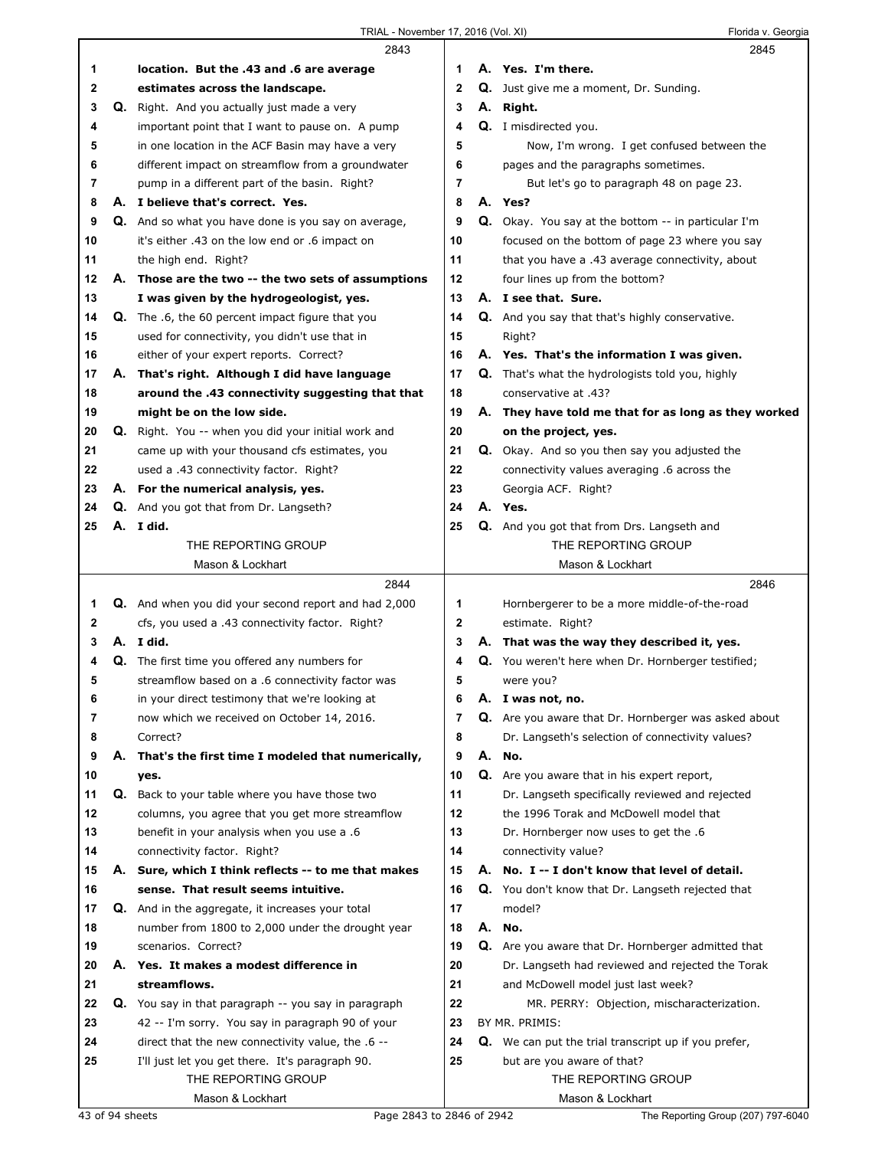|    |    | 2843                                                                    |                | 2845                                                                                           |
|----|----|-------------------------------------------------------------------------|----------------|------------------------------------------------------------------------------------------------|
| 1  |    | location. But the .43 and .6 are average                                | 1              | A. Yes. I'm there.                                                                             |
| 2  |    | estimates across the landscape.                                         | $\mathbf{2}$   | <b>Q.</b> Just give me a moment, Dr. Sunding.                                                  |
| 3  |    | Q. Right. And you actually just made a very                             | 3              | A. Right.                                                                                      |
| 4  |    | important point that I want to pause on. A pump                         | 4              | Q. I misdirected you.                                                                          |
| 5  |    | in one location in the ACF Basin may have a very                        | 5              | Now, I'm wrong. I get confused between the                                                     |
| 6  |    | different impact on streamflow from a groundwater                       | 6              | pages and the paragraphs sometimes.                                                            |
| 7  |    | pump in a different part of the basin. Right?                           | 7              | But let's go to paragraph 48 on page 23.                                                       |
| 8  |    | A. I believe that's correct. Yes.                                       | 8              | A. Yes?                                                                                        |
| 9  |    | Q. And so what you have done is you say on average,                     | 9              | <b>Q.</b> Okay. You say at the bottom -- in particular I'm                                     |
| 10 |    | it's either .43 on the low end or .6 impact on                          | 10             | focused on the bottom of page 23 where you say                                                 |
| 11 |    | the high end. Right?                                                    | 11             | that you have a .43 average connectivity, about                                                |
| 12 | А. | Those are the two -- the two sets of assumptions                        | 12             | four lines up from the bottom?                                                                 |
| 13 |    | I was given by the hydrogeologist, yes.                                 | 13             | A. I see that. Sure.                                                                           |
| 14 |    | <b>Q.</b> The .6, the 60 percent impact figure that you                 | 14             | Q. And you say that that's highly conservative.                                                |
| 15 |    | used for connectivity, you didn't use that in                           | 15             | Right?                                                                                         |
| 16 |    | either of your expert reports. Correct?                                 | 16             | A. Yes. That's the information I was given.                                                    |
| 17 |    | A. That's right. Although I did have language                           | 17             | <b>Q.</b> That's what the hydrologists told you, highly                                        |
| 18 |    | around the .43 connectivity suggesting that that                        | 18             | conservative at .43?                                                                           |
| 19 |    | might be on the low side.                                               | 19             | A. They have told me that for as long as they worked                                           |
| 20 |    | Q. Right. You -- when you did your initial work and                     | 20             | on the project, yes.                                                                           |
| 21 |    | came up with your thousand cfs estimates, you                           | 21             | Q. Okay. And so you then say you adjusted the                                                  |
| 22 |    | used a .43 connectivity factor. Right?                                  | 22             | connectivity values averaging .6 across the                                                    |
| 23 |    | A. For the numerical analysis, yes.                                     | 23             | Georgia ACF. Right?                                                                            |
| 24 |    | <b>Q.</b> And you got that from Dr. Langseth?                           | 24             | A. Yes.                                                                                        |
| 25 |    | A. I did.                                                               | 25             | <b>Q.</b> And you got that from Drs. Langseth and                                              |
|    |    | THE REPORTING GROUP                                                     |                | THE REPORTING GROUP                                                                            |
|    |    | Mason & Lockhart                                                        |                | Mason & Lockhart                                                                               |
|    |    |                                                                         |                |                                                                                                |
|    |    | 2844                                                                    |                | 2846                                                                                           |
| 1  |    | <b>Q.</b> And when you did your second report and had 2,000             | 1              | Hornbergerer to be a more middle-of-the-road                                                   |
| 2  |    | cfs, you used a .43 connectivity factor. Right?                         | $\mathbf 2$    | estimate. Right?                                                                               |
| 3  |    | A. I did.                                                               | 3              | A. That was the way they described it, yes.                                                    |
| 4  |    | <b>Q.</b> The first time you offered any numbers for                    | 4              | Q. You weren't here when Dr. Hornberger testified;                                             |
| 5  |    | streamflow based on a .6 connectivity factor was                        | 5              | were you?                                                                                      |
| 6  |    | in your direct testimony that we're looking at                          | 6              |                                                                                                |
| 7  |    | now which we received on October 14, 2016.                              | $\overline{7}$ | A. I was not, no.<br>Q. Are you aware that Dr. Hornberger was asked about                      |
| 8  |    | Correct?                                                                | 8              | Dr. Langseth's selection of connectivity values?                                               |
| 9  |    | A. That's the first time I modeled that numerically,                    | 9              | A. No.                                                                                         |
| 10 |    | yes.                                                                    | 10             |                                                                                                |
| 11 |    | Back to your table where you have those two                             | 11             | Q. Are you aware that in his expert report,<br>Dr. Langseth specifically reviewed and rejected |
| 12 | Q. | columns, you agree that you get more streamflow                         | 12             | the 1996 Torak and McDowell model that                                                         |
| 13 |    | benefit in your analysis when you use a .6                              | 13             | Dr. Hornberger now uses to get the .6                                                          |
| 14 |    | connectivity factor. Right?                                             | 14             | connectivity value?                                                                            |
| 15 |    | A. Sure, which I think reflects -- to me that makes                     | 15             | A. No. I -- I don't know that level of detail.                                                 |
| 16 |    | sense. That result seems intuitive.                                     | 16             | <b>Q.</b> You don't know that Dr. Langseth rejected that                                       |
| 17 |    | Q. And in the aggregate, it increases your total                        | 17             | model?                                                                                         |
| 18 |    |                                                                         | 18             | A. No.                                                                                         |
| 19 |    | number from 1800 to 2,000 under the drought year<br>scenarios. Correct? | 19             | <b>Q.</b> Are you aware that Dr. Hornberger admitted that                                      |
| 20 |    | A. Yes. It makes a modest difference in                                 | 20             | Dr. Langseth had reviewed and rejected the Torak                                               |
| 21 |    | streamflows.                                                            | 21             | and McDowell model just last week?                                                             |
| 22 |    |                                                                         | 22             |                                                                                                |
| 23 |    | Q. You say in that paragraph -- you say in paragraph                    | 23             | MR. PERRY: Objection, mischaracterization.<br>BY MR. PRIMIS:                                   |
| 24 |    | 42 -- I'm sorry. You say in paragraph 90 of your                        | 24             |                                                                                                |
|    |    | direct that the new connectivity value, the .6 --                       |                | <b>Q.</b> We can put the trial transcript up if you prefer,                                    |
| 25 |    | I'll just let you get there. It's paragraph 90.<br>THE REPORTING GROUP  | 25             | but are you aware of that?<br>THE REPORTING GROUP                                              |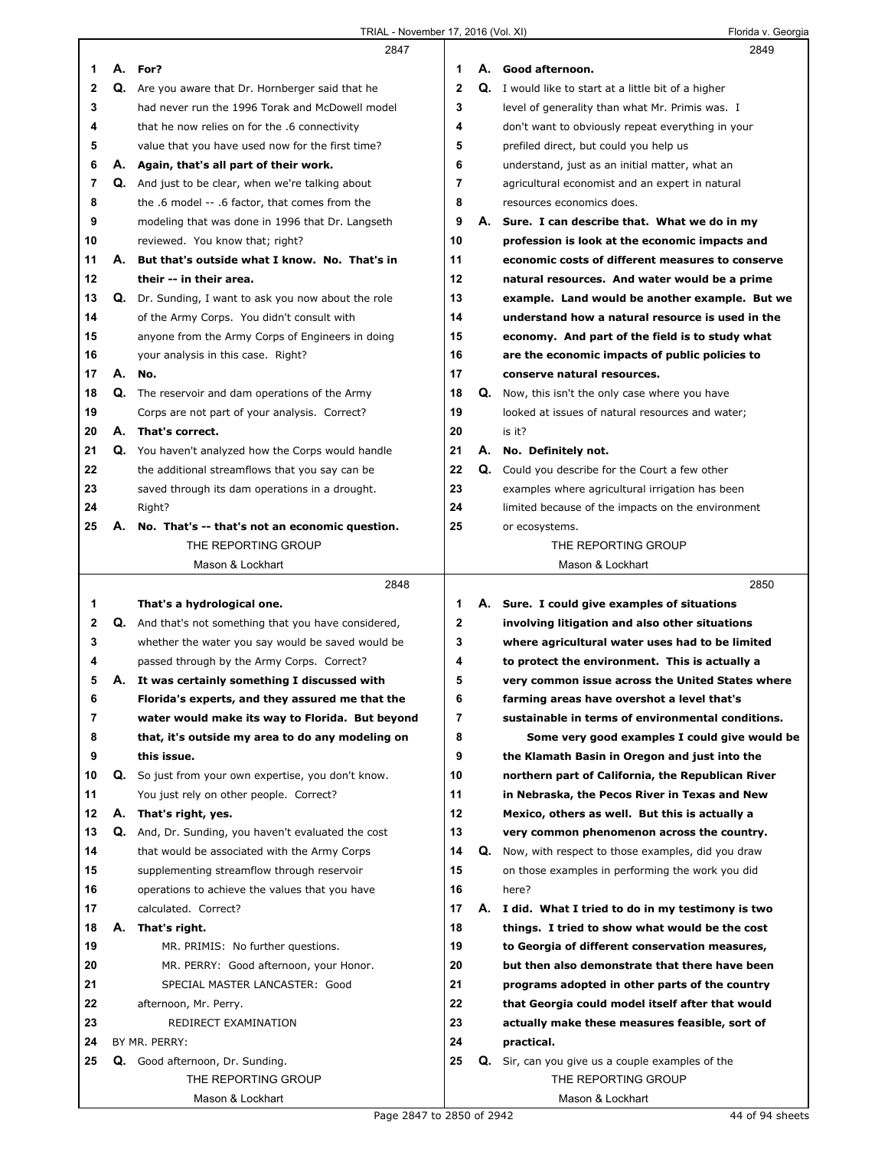|              |    | 2847                                                       |              |    | 2849                                                        |
|--------------|----|------------------------------------------------------------|--------------|----|-------------------------------------------------------------|
| 1            |    | A. For?                                                    | 1            |    | A. Good afternoon.                                          |
| $\mathbf{2}$ |    | Q. Are you aware that Dr. Hornberger said that he          | $\mathbf{2}$ |    | Q. I would like to start at a little bit of a higher        |
| 3            |    | had never run the 1996 Torak and McDowell model            | 3            |    | level of generality than what Mr. Primis was. I             |
| 4            |    | that he now relies on for the .6 connectivity              | 4            |    | don't want to obviously repeat everything in your           |
| 5            |    | value that you have used now for the first time?           | 5            |    | prefiled direct, but could you help us                      |
| 6            | А. | Again, that's all part of their work.                      | 6            |    | understand, just as an initial matter, what an              |
| 7            |    | Q. And just to be clear, when we're talking about          | 7            |    | agricultural economist and an expert in natural             |
| 8            |    |                                                            | 8            |    | resources economics does.                                   |
|              |    | the .6 model -- .6 factor, that comes from the             |              |    |                                                             |
| 9            |    | modeling that was done in 1996 that Dr. Langseth           | 9            |    | A. Sure. I can describe that. What we do in my              |
| 10           |    | reviewed. You know that; right?                            | 10           |    | profession is look at the economic impacts and              |
| 11           |    | A. But that's outside what I know. No. That's in           | 11           |    | economic costs of different measures to conserve            |
| 12           |    | their -- in their area.                                    | 12           |    | natural resources. And water would be a prime               |
| 13           | Q. | Dr. Sunding, I want to ask you now about the role          | 13           |    | example. Land would be another example. But we              |
| 14           |    | of the Army Corps. You didn't consult with                 | 14           |    | understand how a natural resource is used in the            |
| 15           |    | anyone from the Army Corps of Engineers in doing           | 15           |    | economy. And part of the field is to study what             |
| 16           |    | your analysis in this case. Right?                         | 16           |    | are the economic impacts of public policies to              |
| 17           | А. | No.                                                        | 17           |    | conserve natural resources.                                 |
| 18           |    | Q. The reservoir and dam operations of the Army            | 18           |    | Q. Now, this isn't the only case where you have             |
| 19           |    | Corps are not part of your analysis. Correct?              | 19           |    | looked at issues of natural resources and water;            |
| 20           |    | A. That's correct.                                         | 20           |    | is it?                                                      |
| 21           | Q. | You haven't analyzed how the Corps would handle            | 21           | А. | No. Definitely not.                                         |
| 22           |    | the additional streamflows that you say can be             | 22           |    | <b>Q.</b> Could you describe for the Court a few other      |
| 23           |    | saved through its dam operations in a drought.             | 23           |    | examples where agricultural irrigation has been             |
| 24           |    | Right?                                                     | 24           |    | limited because of the impacts on the environment           |
| 25           | А. | No. That's -- that's not an economic question.             | 25           |    | or ecosystems.                                              |
|              |    | THE REPORTING GROUP                                        |              |    | THE REPORTING GROUP                                         |
|              |    | Mason & Lockhart                                           |              |    | Mason & Lockhart                                            |
|              |    |                                                            |              |    |                                                             |
|              |    |                                                            |              |    |                                                             |
|              |    | 2848                                                       |              |    | 2850                                                        |
| 1            |    | That's a hydrological one.                                 | 1            |    | A. Sure. I could give examples of situations                |
| $\mathbf{2}$ |    | Q. And that's not something that you have considered,      | 2            |    | involving litigation and also other situations              |
| 3            |    | whether the water you say would be saved would be          | 3            |    | where agricultural water uses had to be limited             |
| 4            |    | passed through by the Army Corps. Correct?                 | 4            |    | to protect the environment. This is actually a              |
| 5            |    | A. It was certainly something I discussed with             | 5            |    | very common issue across the United States where            |
| 6            |    | Florida's experts, and they assured me that the            | 6            |    | farming areas have overshot a level that's                  |
| 7            |    | water would make its way to Florida. But beyond            | 7            |    | sustainable in terms of environmental conditions.           |
| 8            |    | that, it's outside my area to do any modeling on           | 8            |    | Some very good examples I could give would be               |
| 9            |    | this issue.                                                | 9            |    | the Klamath Basin in Oregon and just into the               |
| 10           |    | <b>Q.</b> So just from your own expertise, you don't know. | 10           |    | northern part of California, the Republican River           |
| 11           |    | You just rely on other people. Correct?                    | 11           |    | in Nebraska, the Pecos River in Texas and New               |
| 12           | А. | That's right, yes.                                         | 12           |    | Mexico, others as well. But this is actually a              |
| 13           | Q. | And, Dr. Sunding, you haven't evaluated the cost           | 13           |    | very common phenomenon across the country.                  |
| 14           |    | that would be associated with the Army Corps               | 14           |    | <b>Q.</b> Now, with respect to those examples, did you draw |
| 15           |    | supplementing streamflow through reservoir                 | 15           |    | on those examples in performing the work you did            |
| 16           |    | operations to achieve the values that you have             | 16           |    | here?                                                       |
| 17           |    | calculated. Correct?                                       | 17           |    | A. I did. What I tried to do in my testimony is two         |
| 18           | А. | That's right.                                              | 18           |    | things. I tried to show what would be the cost              |
| 19           |    | MR. PRIMIS: No further questions.                          | 19           |    | to Georgia of different conservation measures,              |
| 20           |    | MR. PERRY: Good afternoon, your Honor.                     | 20           |    | but then also demonstrate that there have been              |
| 21           |    | SPECIAL MASTER LANCASTER: Good                             | 21           |    |                                                             |
|              |    |                                                            |              |    | programs adopted in other parts of the country              |
| 22           |    | afternoon, Mr. Perry.                                      | 22           |    | that Georgia could model itself after that would            |
| 23           |    | REDIRECT EXAMINATION                                       | 23           |    | actually make these measures feasible, sort of              |
| 24           |    | BY MR. PERRY:                                              | 24           |    | practical.                                                  |
| 25           | Q. | Good afternoon, Dr. Sunding.                               | 25           |    | Q. Sir, can you give us a couple examples of the            |
|              |    | THE REPORTING GROUP<br>Mason & Lockhart                    |              |    | THE REPORTING GROUP<br>Mason & Lockhart                     |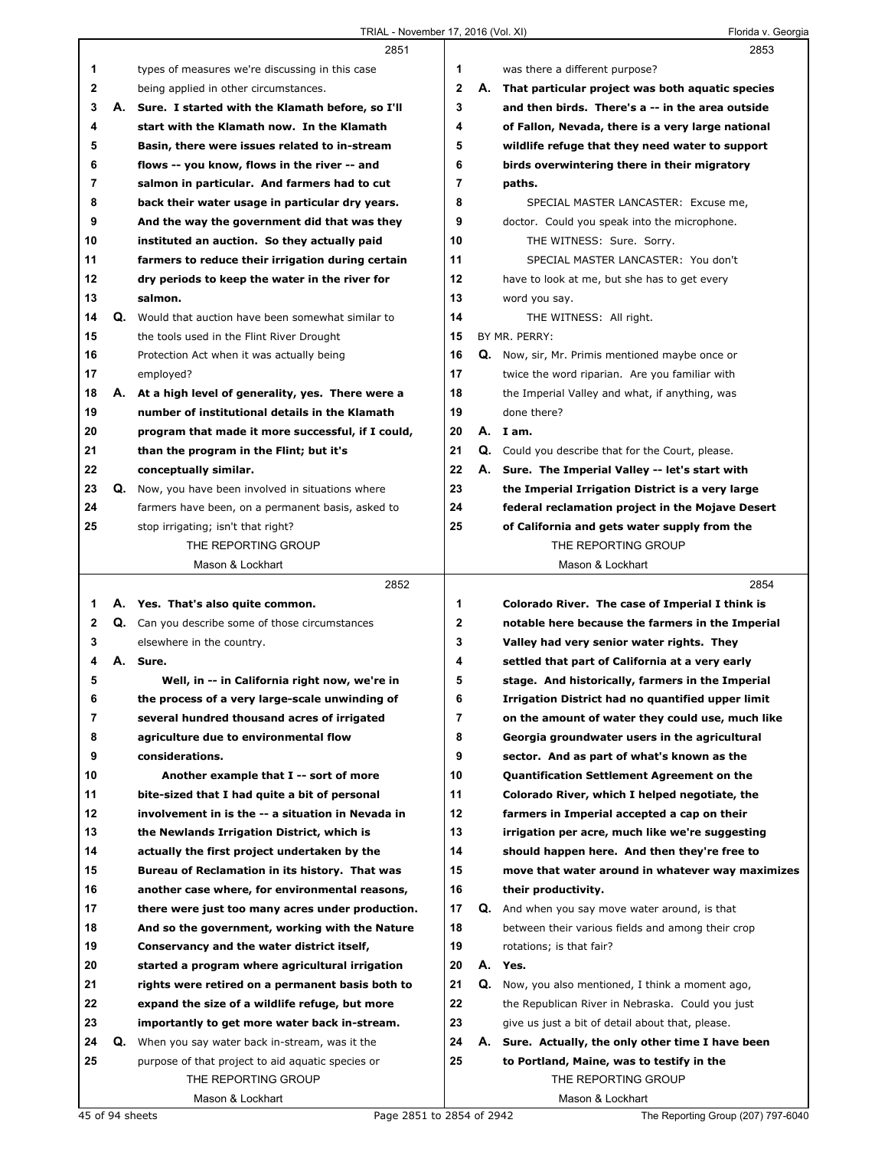|                   |    | 2851                                                                                          |                |    | 2853                                                                                                         |
|-------------------|----|-----------------------------------------------------------------------------------------------|----------------|----|--------------------------------------------------------------------------------------------------------------|
| 1                 |    | types of measures we're discussing in this case                                               | 1              |    | was there a different purpose?                                                                               |
| 2                 |    | being applied in other circumstances.                                                         | $\overline{2}$ | А. | That particular project was both aquatic species                                                             |
| 3                 | А. | Sure. I started with the Klamath before, so I'll                                              | 3              |    | and then birds. There's a -- in the area outside                                                             |
| 4                 |    | start with the Klamath now. In the Klamath                                                    | 4              |    | of Fallon, Nevada, there is a very large national                                                            |
| 5                 |    | Basin, there were issues related to in-stream                                                 | 5              |    | wildlife refuge that they need water to support                                                              |
| 6                 |    | flows -- you know, flows in the river -- and                                                  | 6              |    | birds overwintering there in their migratory                                                                 |
| 7                 |    | salmon in particular. And farmers had to cut                                                  | 7              |    | paths.                                                                                                       |
| 8                 |    | back their water usage in particular dry years.                                               | 8              |    | SPECIAL MASTER LANCASTER: Excuse me,                                                                         |
| 9                 |    | And the way the government did that was they                                                  | 9              |    | doctor. Could you speak into the microphone.                                                                 |
| 10                |    | instituted an auction. So they actually paid                                                  | 10             |    | THE WITNESS: Sure, Sorry,                                                                                    |
| 11                |    | farmers to reduce their irrigation during certain                                             | 11             |    | SPECIAL MASTER LANCASTER: You don't                                                                          |
| 12                |    | dry periods to keep the water in the river for                                                | 12             |    | have to look at me, but she has to get every                                                                 |
| 13                |    | salmon.                                                                                       | 13             |    | word you say.                                                                                                |
| 14                |    | Q. Would that auction have been somewhat similar to                                           | 14             |    | THE WITNESS: All right.                                                                                      |
| 15                |    | the tools used in the Flint River Drought                                                     | 15             |    | BY MR. PERRY:                                                                                                |
| 16                |    | Protection Act when it was actually being                                                     | 16             |    | <b>Q.</b> Now, sir, Mr. Primis mentioned maybe once or                                                       |
| 17                |    | employed?                                                                                     | 17             |    | twice the word riparian. Are you familiar with                                                               |
| 18                |    | A. At a high level of generality, yes. There were a                                           | 18             |    | the Imperial Valley and what, if anything, was                                                               |
| 19                |    | number of institutional details in the Klamath                                                | 19             |    | done there?                                                                                                  |
| 20                |    | program that made it more successful, if I could,                                             | 20             |    | A. I am.                                                                                                     |
| 21                |    | than the program in the Flint; but it's                                                       | 21             |    | <b>Q.</b> Could you describe that for the Court, please.                                                     |
| 22                |    | conceptually similar.                                                                         | 22             | А. | Sure. The Imperial Valley -- let's start with                                                                |
| 23                |    | Q. Now, you have been involved in situations where                                            | 23             |    | the Imperial Irrigation District is a very large                                                             |
| 24                |    | farmers have been, on a permanent basis, asked to                                             | 24             |    | federal reclamation project in the Mojave Desert                                                             |
| 25                |    | stop irrigating; isn't that right?                                                            | 25             |    | of California and gets water supply from the                                                                 |
|                   |    | THE REPORTING GROUP                                                                           |                |    | THE REPORTING GROUP                                                                                          |
|                   |    | Mason & Lockhart                                                                              |                |    | Mason & Lockhart                                                                                             |
|                   |    |                                                                                               |                |    |                                                                                                              |
|                   |    |                                                                                               |                |    |                                                                                                              |
|                   |    | 2852                                                                                          |                |    | 2854                                                                                                         |
| 1                 |    | A. Yes. That's also quite common.                                                             | 1              |    | Colorado River. The case of Imperial I think is                                                              |
| $\mathbf{2}$<br>3 |    | <b>Q.</b> Can you describe some of those circumstances                                        | 2              |    | notable here because the farmers in the Imperial                                                             |
| 4                 |    | elsewhere in the country.<br>A. Sure.                                                         | 3<br>4         |    | Valley had very senior water rights. They                                                                    |
| 5                 |    |                                                                                               | 5              |    | settled that part of California at a very early                                                              |
| 6                 |    | Well, in -- in California right now, we're in                                                 | 6              |    | stage. And historically, farmers in the Imperial<br><b>Irrigation District had no quantified upper limit</b> |
| 7                 |    | the process of a very large-scale unwinding of<br>several hundred thousand acres of irrigated | $\overline{7}$ |    | on the amount of water they could use, much like                                                             |
| 8                 |    | agriculture due to environmental flow                                                         | 8              |    | Georgia groundwater users in the agricultural                                                                |
| 9                 |    | considerations.                                                                               | 9              |    | sector. And as part of what's known as the                                                                   |
| 10                |    | Another example that I -- sort of more                                                        | 10             |    | <b>Quantification Settlement Agreement on the</b>                                                            |
| 11                |    | bite-sized that I had quite a bit of personal                                                 | 11             |    | Colorado River, which I helped negotiate, the                                                                |
| 12                |    | involvement in is the -- a situation in Nevada in                                             | $12 \,$        |    | farmers in Imperial accepted a cap on their                                                                  |
| 13                |    | the Newlands Irrigation District, which is                                                    | 13             |    | irrigation per acre, much like we're suggesting                                                              |
| 14                |    | actually the first project undertaken by the                                                  | 14             |    | should happen here. And then they're free to                                                                 |
| 15                |    | Bureau of Reclamation in its history. That was                                                | 15             |    | move that water around in whatever way maximizes                                                             |
| 16                |    | another case where, for environmental reasons,                                                | 16             |    | their productivity.                                                                                          |
| 17                |    | there were just too many acres under production.                                              | 17             |    | Q. And when you say move water around, is that                                                               |
| 18                |    | And so the government, working with the Nature                                                | 18             |    | between their various fields and among their crop                                                            |
| 19                |    | Conservancy and the water district itself,                                                    | 19             |    | rotations; is that fair?                                                                                     |
| 20                |    | started a program where agricultural irrigation                                               | 20             |    | A. Yes.                                                                                                      |
| 21                |    | rights were retired on a permanent basis both to                                              | 21             | Q. | Now, you also mentioned, I think a moment ago,                                                               |
| 22                |    | expand the size of a wildlife refuge, but more                                                | 22             |    | the Republican River in Nebraska. Could you just                                                             |
| 23                |    | importantly to get more water back in-stream.                                                 | 23             |    | give us just a bit of detail about that, please.                                                             |
| 24                |    | Q. When you say water back in-stream, was it the                                              | 24             |    | A. Sure. Actually, the only other time I have been                                                           |
| 25                |    | purpose of that project to aid aquatic species or                                             | 25             |    | to Portland, Maine, was to testify in the                                                                    |
|                   |    | THE REPORTING GROUP                                                                           |                |    | THE REPORTING GROUP                                                                                          |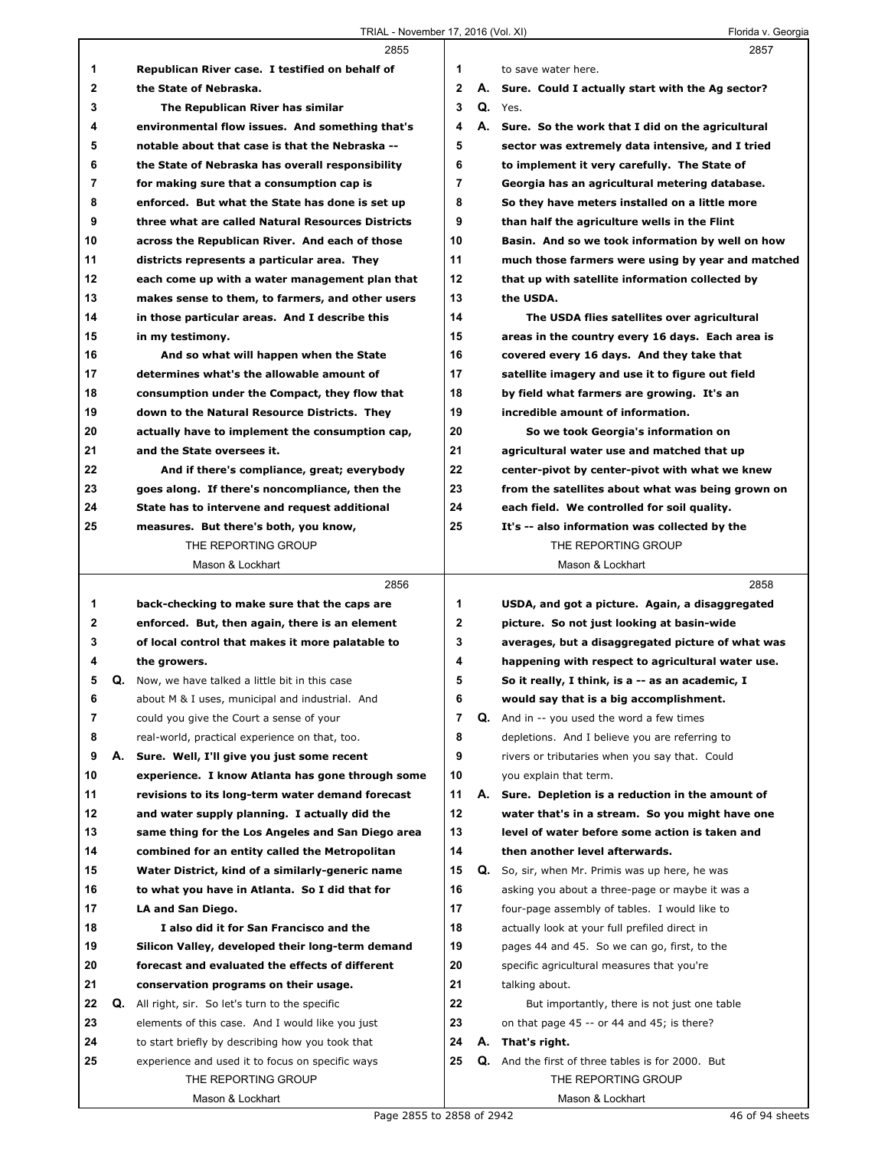|    |    | 2855                                              |             | 2857                                                |
|----|----|---------------------------------------------------|-------------|-----------------------------------------------------|
| 1  |    | Republican River case. I testified on behalf of   | 1           | to save water here.                                 |
| 2  |    | the State of Nebraska.                            | 2           | A. Sure. Could I actually start with the Ag sector? |
| 3  |    | The Republican River has similar                  | 3           | Q. Yes.                                             |
| 4  |    | environmental flow issues. And something that's   | 4           | A. Sure. So the work that I did on the agricultural |
| 5  |    | notable about that case is that the Nebraska --   | 5           | sector was extremely data intensive, and I tried    |
| 6  |    | the State of Nebraska has overall responsibility  | 6           | to implement it very carefully. The State of        |
| 7  |    | for making sure that a consumption cap is         | 7           | Georgia has an agricultural metering database.      |
| 8  |    | enforced. But what the State has done is set up   | 8           | So they have meters installed on a little more      |
| 9  |    | three what are called Natural Resources Districts | 9           | than half the agriculture wells in the Flint        |
| 10 |    | across the Republican River. And each of those    | 10          | Basin. And so we took information by well on how    |
| 11 |    | districts represents a particular area. They      | 11          | much those farmers were using by year and matched   |
| 12 |    | each come up with a water management plan that    | 12          | that up with satellite information collected by     |
| 13 |    | makes sense to them, to farmers, and other users  | 13          | the USDA.                                           |
| 14 |    | in those particular areas. And I describe this    | 14          | The USDA flies satellites over agricultural         |
| 15 |    | in my testimony.                                  | 15          | areas in the country every 16 days. Each area is    |
| 16 |    | And so what will happen when the State            | 16          | covered every 16 days. And they take that           |
| 17 |    | determines what's the allowable amount of         | 17          | satellite imagery and use it to figure out field    |
| 18 |    | consumption under the Compact, they flow that     | 18          | by field what farmers are growing. It's an          |
| 19 |    | down to the Natural Resource Districts. They      | 19          | incredible amount of information.                   |
| 20 |    | actually have to implement the consumption cap,   | 20          | So we took Georgia's information on                 |
| 21 |    | and the State oversees it.                        | 21          | agricultural water use and matched that up          |
| 22 |    | And if there's compliance, great; everybody       | 22          | center-pivot by center-pivot with what we knew      |
| 23 |    | goes along. If there's noncompliance, then the    | 23          | from the satellites about what was being grown on   |
| 24 |    | State has to intervene and request additional     | 24          | each field. We controlled for soil quality.         |
| 25 |    | measures. But there's both, you know,             | 25          | It's -- also information was collected by the       |
|    |    | THE REPORTING GROUP                               |             | THE REPORTING GROUP                                 |
|    |    | Mason & Lockhart                                  |             | Mason & Lockhart                                    |
|    |    |                                                   |             |                                                     |
|    |    |                                                   |             |                                                     |
|    |    | 2856                                              |             | 2858                                                |
| 1  |    | back-checking to make sure that the caps are      | 1           | USDA, and got a picture. Again, a disaggregated     |
| 2  |    | enforced. But, then again, there is an element    | $\mathbf 2$ | picture. So not just looking at basin-wide          |
| 3  |    | of local control that makes it more palatable to  | 3           | averages, but a disaggregated picture of what was   |
| 4  |    | the growers.                                      | 4           | happening with respect to agricultural water use.   |
| 5  | Q. | Now, we have talked a little bit in this case     | 5           | So it really, I think, is a -- as an academic, I    |
| 6  |    | about M & I uses, municipal and industrial. And   | 6           | would say that is a big accomplishment.             |
| 7  |    | could you give the Court a sense of your          | 7           | <b>Q.</b> And in -- you used the word a few times   |
| 8  |    | real-world, practical experience on that, too.    | 8           | depletions. And I believe you are referring to      |
| 9  | А. | Sure. Well, I'll give you just some recent        | 9           | rivers or tributaries when you say that. Could      |
| 10 |    | experience. I know Atlanta has gone through some  | 10          | you explain that term.                              |
| 11 |    | revisions to its long-term water demand forecast  | 11          | A. Sure. Depletion is a reduction in the amount of  |
| 12 |    | and water supply planning. I actually did the     | 12          | water that's in a stream. So you might have one     |
| 13 |    | same thing for the Los Angeles and San Diego area | 13          | level of water before some action is taken and      |
| 14 |    | combined for an entity called the Metropolitan    | 14          | then another level afterwards.                      |
| 15 |    | Water District, kind of a similarly-generic name  | 15          | Q. So, sir, when Mr. Primis was up here, he was     |
| 16 |    | to what you have in Atlanta. So I did that for    | 16          | asking you about a three-page or maybe it was a     |
| 17 |    | LA and San Diego.                                 | 17          | four-page assembly of tables. I would like to       |
| 18 |    | I also did it for San Francisco and the           | 18          | actually look at your full prefiled direct in       |
| 19 |    | Silicon Valley, developed their long-term demand  | 19          | pages 44 and 45. So we can go, first, to the        |
| 20 |    | forecast and evaluated the effects of different   | 20          | specific agricultural measures that you're          |
| 21 |    | conservation programs on their usage.             | 21          | talking about.                                      |
| 22 |    | Q. All right, sir. So let's turn to the specific  | 22          | But importantly, there is not just one table        |
| 23 |    | elements of this case. And I would like you just  | 23          | on that page 45 -- or 44 and 45; is there?          |
| 24 |    | to start briefly by describing how you took that  | 24          | A. That's right.                                    |
| 25 |    | experience and used it to focus on specific ways  | 25          | Q. And the first of three tables is for 2000. But   |
|    |    | THE REPORTING GROUP                               |             | THE REPORTING GROUP                                 |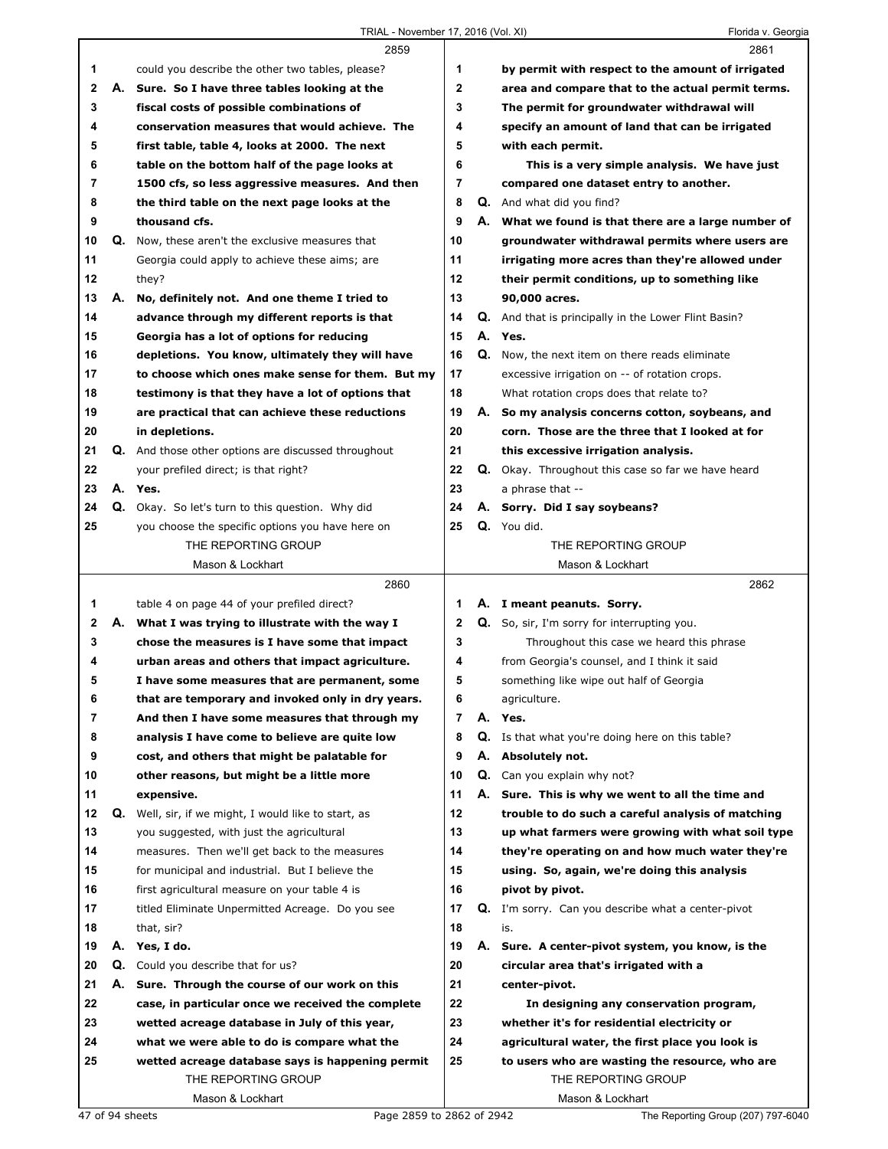|             |    | 2859                                                        |                |    | 2861                                                        |
|-------------|----|-------------------------------------------------------------|----------------|----|-------------------------------------------------------------|
| 1           |    | could you describe the other two tables, please?            | 1              |    | by permit with respect to the amount of irrigated           |
| $\mathbf 2$ |    | A. Sure. So I have three tables looking at the              | $\mathbf 2$    |    | area and compare that to the actual permit terms.           |
| 3           |    | fiscal costs of possible combinations of                    | 3              |    | The permit for groundwater withdrawal will                  |
| 4           |    | conservation measures that would achieve. The               | 4              |    | specify an amount of land that can be irrigated             |
| 5           |    | first table, table 4, looks at 2000. The next               | 5              |    | with each permit.                                           |
| 6           |    | table on the bottom half of the page looks at               | 6              |    | This is a very simple analysis. We have just                |
| 7           |    | 1500 cfs, so less aggressive measures. And then             | 7              |    | compared one dataset entry to another.                      |
| 8           |    | the third table on the next page looks at the               | 8              |    | <b>Q.</b> And what did you find?                            |
| 9           |    | thousand cfs.                                               | 9              | А. | What we found is that there are a large number of           |
| 10          | Q. | Now, these aren't the exclusive measures that               | 10             |    | groundwater withdrawal permits where users are              |
| 11          |    | Georgia could apply to achieve these aims; are              | 11             |    | irrigating more acres than they're allowed under            |
| 12          |    | they?                                                       | 12             |    | their permit conditions, up to something like               |
| 13          | А. | No, definitely not. And one theme I tried to                | 13             |    | 90,000 acres.                                               |
| 14          |    | advance through my different reports is that                | 14             |    | <b>Q.</b> And that is principally in the Lower Flint Basin? |
| 15          |    | Georgia has a lot of options for reducing                   | 15             |    | A. Yes.                                                     |
| 16          |    | depletions. You know, ultimately they will have             | 16             | Q. | Now, the next item on there reads eliminate                 |
| 17          |    |                                                             | 17             |    | excessive irrigation on -- of rotation crops.               |
|             |    | to choose which ones make sense for them. But my            | 18             |    |                                                             |
| 18          |    | testimony is that they have a lot of options that           |                |    | What rotation crops does that relate to?                    |
| 19          |    | are practical that can achieve these reductions             | 19             |    | A. So my analysis concerns cotton, soybeans, and            |
| 20          |    | in depletions.                                              | 20             |    | corn. Those are the three that I looked at for              |
| 21          |    | <b>Q.</b> And those other options are discussed throughout  | 21             |    | this excessive irrigation analysis.                         |
| 22          |    | your prefiled direct; is that right?                        | 22             |    | <b>Q.</b> Okay. Throughout this case so far we have heard   |
| 23          |    | A. Yes.                                                     | 23             |    | a phrase that --                                            |
| 24          |    | Q. Okay. So let's turn to this question. Why did            | 24             |    | A. Sorry. Did I say soybeans?                               |
| 25          |    | you choose the specific options you have here on            | 25             |    | Q. You did.                                                 |
|             |    | THE REPORTING GROUP                                         |                |    | THE REPORTING GROUP                                         |
|             |    | Mason & Lockhart                                            |                |    | Mason & Lockhart                                            |
|             |    |                                                             |                |    |                                                             |
|             |    | 2860                                                        |                |    | 2862                                                        |
| 1           |    | table 4 on page 44 of your prefiled direct?                 | 1              |    | A. I meant peanuts. Sorry.                                  |
| 2           |    | A. What I was trying to illustrate with the way I           | 2              |    | Q. So, sir, I'm sorry for interrupting you.                 |
| 3           |    | chose the measures is I have some that impact               | 3              |    | Throughout this case we heard this phrase                   |
| 4           |    | urban areas and others that impact agriculture.             | 4              |    | from Georgia's counsel, and I think it said                 |
| 5           |    | I have some measures that are permanent, some               | 5              |    | something like wipe out half of Georgia                     |
| ь           |    | that are temporary and invoked only in dry years.           | 6              |    | agriculture.                                                |
| 7           |    | And then I have some measures that through my               | $\overline{7}$ | А. | Yes.                                                        |
| 8           |    | analysis I have come to believe are quite low               | 8              | Q. | Is that what you're doing here on this table?               |
| 9           |    | cost, and others that might be palatable for                | 9              |    | A. Absolutely not.                                          |
| 10          |    | other reasons, but might be a little more                   | 10             |    | <b>Q.</b> Can you explain why not?                          |
| 11          |    | expensive.                                                  | 11             |    | A. Sure. This is why we went to all the time and            |
| 12          |    | <b>Q.</b> Well, sir, if we might, I would like to start, as | 12             |    | trouble to do such a careful analysis of matching           |
| 13          |    | you suggested, with just the agricultural                   | 13             |    | up what farmers were growing with what soil type            |
| 14          |    | measures. Then we'll get back to the measures               | 14             |    | they're operating on and how much water they're             |
| 15          |    | for municipal and industrial. But I believe the             | 15             |    | using. So, again, we're doing this analysis                 |
| 16          |    | first agricultural measure on your table 4 is               | 16             |    | pivot by pivot.                                             |
| 17          |    | titled Eliminate Unpermitted Acreage. Do you see            | 17             |    | Q. I'm sorry. Can you describe what a center-pivot          |
| 18          |    | that, sir?                                                  | 18             |    | is.                                                         |
| 19          |    | A. Yes, I do.                                               | 19             |    | A. Sure. A center-pivot system, you know, is the            |
| 20          | Q. | Could you describe that for us?                             | 20             |    | circular area that's irrigated with a                       |
| 21          | А. | Sure. Through the course of our work on this                | 21             |    | center-pivot.                                               |
| 22          |    | case, in particular once we received the complete           | 22             |    | In designing any conservation program,                      |
| 23          |    | wetted acreage database in July of this year,               | 23             |    | whether it's for residential electricity or                 |
| 24          |    | what we were able to do is compare what the                 | 24             |    | agricultural water, the first place you look is             |
| 25          |    | wetted acreage database says is happening permit            | 25             |    | to users who are wasting the resource, who are              |
|             |    | THE REPORTING GROUP<br>Mason & Lockhart                     |                |    | THE REPORTING GROUP<br>Mason & Lockhart                     |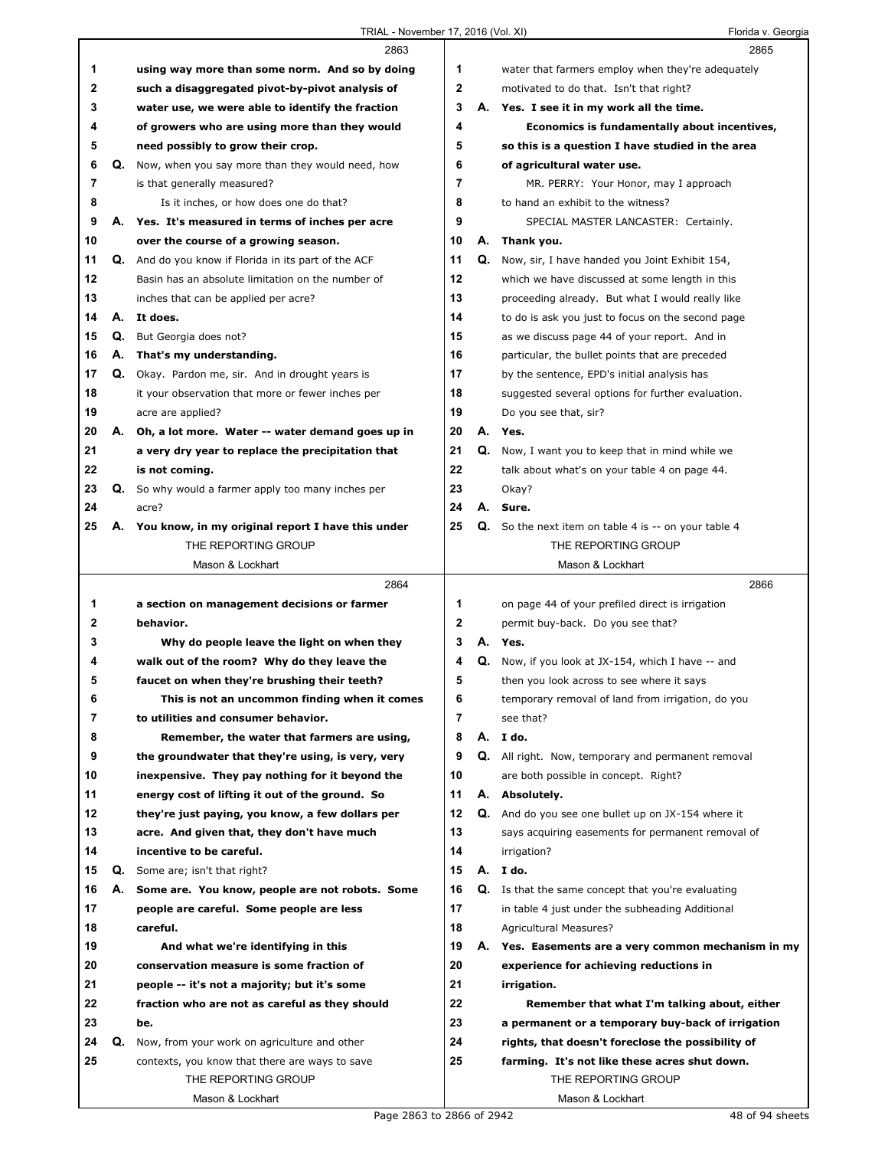Г

|              |    | 2863                                                                        |    |    | 2865                                                                                |
|--------------|----|-----------------------------------------------------------------------------|----|----|-------------------------------------------------------------------------------------|
| 1            |    | using way more than some norm. And so by doing                              | 1  |    | water that farmers employ when they're adequately                                   |
| 2            |    | such a disaggregated pivot-by-pivot analysis of                             | 2  |    | motivated to do that. Isn't that right?                                             |
| 3            |    | water use, we were able to identify the fraction                            | 3  |    | A. Yes. I see it in my work all the time.                                           |
| 4            |    | of growers who are using more than they would                               | 4  |    | Economics is fundamentally about incentives,                                        |
| 5            |    | need possibly to grow their crop.                                           | 5  |    | so this is a question I have studied in the area                                    |
| 6            | Q. | Now, when you say more than they would need, how                            | 6  |    | of agricultural water use.                                                          |
| 7            |    | is that generally measured?                                                 | 7  |    | MR. PERRY: Your Honor, may I approach                                               |
| 8            |    | Is it inches, or how does one do that?                                      | 8  |    | to hand an exhibit to the witness?                                                  |
| 9            | А. | Yes. It's measured in terms of inches per acre                              | 9  |    | SPECIAL MASTER LANCASTER: Certainly.                                                |
| 10           |    | over the course of a growing season.                                        | 10 | А. | Thank you.                                                                          |
| 11           |    | Q. And do you know if Florida in its part of the ACF                        | 11 | Q. | Now, sir, I have handed you Joint Exhibit 154,                                      |
| 12           |    | Basin has an absolute limitation on the number of                           | 12 |    | which we have discussed at some length in this                                      |
| 13           |    | inches that can be applied per acre?                                        | 13 |    | proceeding already. But what I would really like                                    |
| 14           | А. | It does.                                                                    | 14 |    | to do is ask you just to focus on the second page                                   |
| 15           | Q. | But Georgia does not?                                                       | 15 |    | as we discuss page 44 of your report. And in                                        |
| 16           | А. | That's my understanding.                                                    | 16 |    | particular, the bullet points that are preceded                                     |
| 17           | Q. | Okay. Pardon me, sir. And in drought years is                               | 17 |    | by the sentence, EPD's initial analysis has                                         |
| 18           |    | it your observation that more or fewer inches per                           | 18 |    | suggested several options for further evaluation.                                   |
| 19           |    | acre are applied?                                                           | 19 |    | Do you see that, sir?                                                               |
| 20           |    | A. Oh, a lot more. Water -- water demand goes up in                         | 20 | А. | Yes.                                                                                |
| 21           |    | a very dry year to replace the precipitation that                           | 21 | Q. | Now, I want you to keep that in mind while we                                       |
| 22           |    | is not coming.                                                              | 22 |    | talk about what's on your table 4 on page 44.                                       |
| 23           | Q. | So why would a farmer apply too many inches per                             | 23 |    | Okay?                                                                               |
| 24           |    | acre?                                                                       | 24 |    | A. Sure.                                                                            |
| 25           |    |                                                                             | 25 |    |                                                                                     |
|              |    | A. You know, in my original report I have this under<br>THE REPORTING GROUP |    |    | <b>Q.</b> So the next item on table 4 is $-$ on your table 4<br>THE REPORTING GROUP |
|              |    | Mason & Lockhart                                                            |    |    | Mason & Lockhart                                                                    |
|              |    |                                                                             |    |    |                                                                                     |
|              |    |                                                                             |    |    |                                                                                     |
|              |    | 2864                                                                        |    |    | 2866                                                                                |
| 1            |    | a section on management decisions or farmer                                 | 1  |    | on page 44 of your prefiled direct is irrigation                                    |
| $\mathbf{2}$ |    | behavior.                                                                   | 2  |    | permit buy-back. Do you see that?                                                   |
| 3            |    | Why do people leave the light on when they                                  | 3  |    | A. Yes.                                                                             |
| 4            |    | walk out of the room? Why do they leave the                                 | 4  | Q. | Now, if you look at JX-154, which I have -- and                                     |
| 5            |    | faucet on when they're brushing their teeth?                                | 5  |    | then you look across to see where it says                                           |
| 6            |    | This is not an uncommon finding when it comes                               | 6  |    | temporary removal of land from irrigation, do you                                   |
| 7            |    | to utilities and consumer behavior.                                         | 7  |    | see that?                                                                           |
| 8            |    | Remember, the water that farmers are using,                                 | 8  |    | A. Ido.                                                                             |
| 9            |    | the groundwater that they're using, is very, very                           | 9  |    | Q. All right. Now, temporary and permanent removal                                  |
| 10           |    | inexpensive. They pay nothing for it beyond the                             | 10 |    | are both possible in concept. Right?                                                |
| 11           |    | enerav cost of lifting it out of the ground. So                             | 11 |    | A. Absolutely.                                                                      |
| 12           |    | they're just paying, you know, a few dollars per                            | 12 |    | Q. And do you see one bullet up on JX-154 where it                                  |
| 13           |    | acre. And given that, they don't have much                                  | 13 |    | says acquiring easements for permanent removal of                                   |
| 14           |    | incentive to be careful.                                                    | 14 |    | irrigation?                                                                         |
| 15           | Q. | Some are; isn't that right?                                                 | 15 |    | A. Ido.                                                                             |
| 16           | А. | Some are. You know, people are not robots. Some                             | 16 |    | Q. Is that the same concept that you're evaluating                                  |
| 17           |    | people are careful. Some people are less                                    | 17 |    | in table 4 just under the subheading Additional                                     |
| 18           |    | careful.                                                                    | 18 |    | <b>Agricultural Measures?</b>                                                       |
| 19           |    | And what we're identifying in this                                          | 19 |    | A. Yes. Easements are a very common mechanism in my                                 |
| 20           |    | conservation measure is some fraction of                                    | 20 |    | experience for achieving reductions in                                              |
| 21           |    | people -- it's not a majority; but it's some                                | 21 |    | irrigation.                                                                         |
| 22           |    | fraction who are not as careful as they should                              | 22 |    | Remember that what I'm talking about, either                                        |
| 23           |    | be.                                                                         | 23 |    | a permanent or a temporary buy-back of irrigation                                   |
| 24           | Q. | Now, from your work on agriculture and other                                | 24 |    | rights, that doesn't foreclose the possibility of                                   |
| 25           |    | contexts, you know that there are ways to save                              | 25 |    | farming. It's not like these acres shut down.                                       |
|              |    | THE REPORTING GROUP                                                         |    |    | THE REPORTING GROUP                                                                 |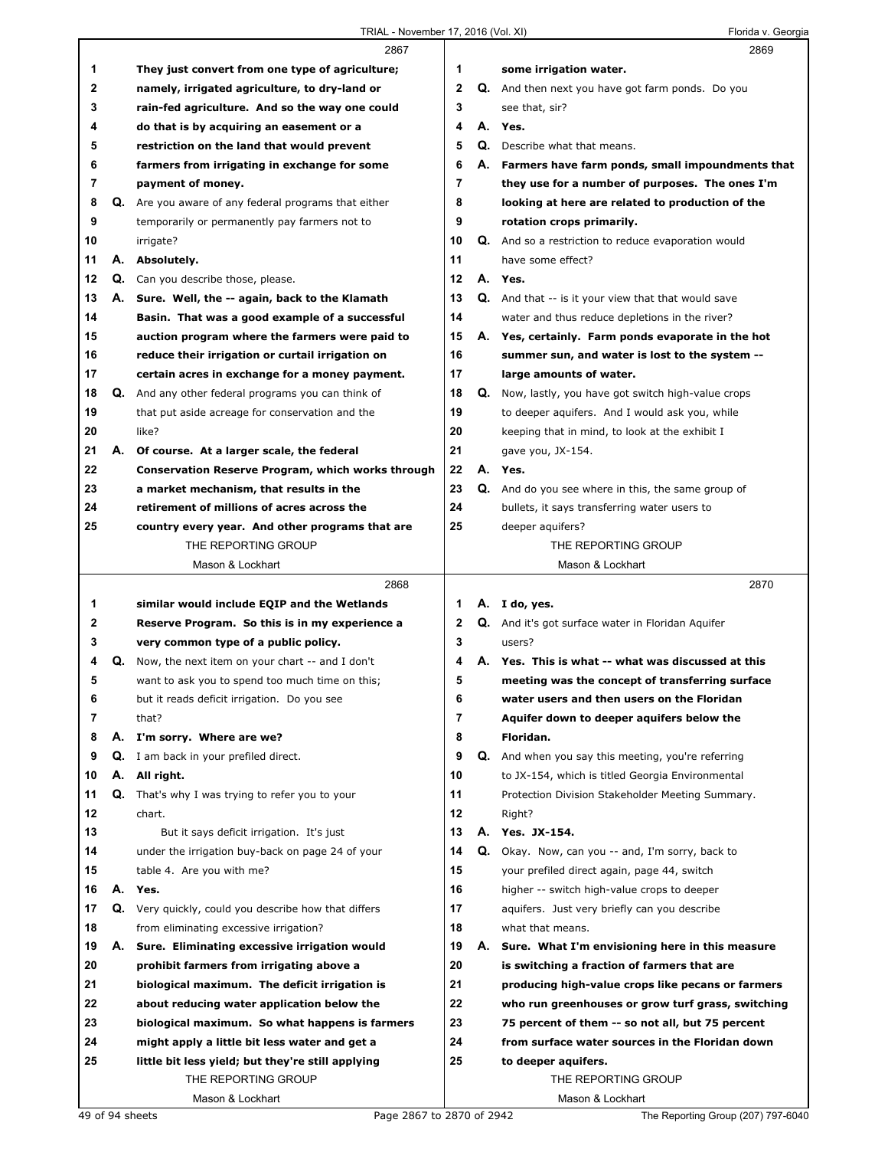|    |    | 2867                                                                                           |    |    | 2869                                                        |
|----|----|------------------------------------------------------------------------------------------------|----|----|-------------------------------------------------------------|
| 1  |    | They just convert from one type of agriculture;                                                | 1  |    | some irrigation water.                                      |
| 2  |    | namely, irrigated agriculture, to dry-land or                                                  | 2  |    | <b>Q.</b> And then next you have got farm ponds. Do you     |
| 3  |    | rain-fed agriculture. And so the way one could                                                 | 3  |    | see that, sir?                                              |
| 4  |    | do that is by acquiring an easement or a                                                       | 4  | А. | Yes.                                                        |
| 5  |    | restriction on the land that would prevent                                                     | 5  | Q. | Describe what that means.                                   |
| 6  |    | farmers from irrigating in exchange for some                                                   | 6  | А. | Farmers have farm ponds, small impoundments that            |
| 7  |    | payment of money.                                                                              | 7  |    | they use for a number of purposes. The ones I'm             |
| 8  |    | <b>Q.</b> Are you aware of any federal programs that either                                    | 8  |    | looking at here are related to production of the            |
| 9  |    | temporarily or permanently pay farmers not to                                                  | 9  |    | rotation crops primarily.                                   |
|    |    |                                                                                                |    |    |                                                             |
| 10 |    | irrigate?                                                                                      | 10 |    | <b>Q.</b> And so a restriction to reduce evaporation would  |
| 11 | А. | Absolutely.                                                                                    | 11 |    | have some effect?                                           |
| 12 | Q. | Can you describe those, please.                                                                | 12 |    | A. Yes.                                                     |
| 13 |    | A. Sure. Well, the -- again, back to the Klamath                                               | 13 |    | <b>Q.</b> And that -- is it your view that that would save  |
| 14 |    | Basin. That was a good example of a successful                                                 | 14 |    | water and thus reduce depletions in the river?              |
| 15 |    | auction program where the farmers were paid to                                                 | 15 |    | A. Yes, certainly. Farm ponds evaporate in the hot          |
| 16 |    | reduce their irrigation or curtail irrigation on                                               | 16 |    | summer sun, and water is lost to the system --              |
| 17 |    | certain acres in exchange for a money payment.                                                 | 17 |    | large amounts of water.                                     |
| 18 | Q. | And any other federal programs you can think of                                                | 18 |    | <b>Q.</b> Now, lastly, you have got switch high-value crops |
| 19 |    | that put aside acreage for conservation and the                                                | 19 |    | to deeper aquifers. And I would ask you, while              |
| 20 |    | like?                                                                                          | 20 |    | keeping that in mind, to look at the exhibit I              |
| 21 | А. | Of course. At a larger scale, the federal                                                      | 21 |    | gave you, JX-154.                                           |
| 22 |    | Conservation Reserve Program, which works through                                              | 22 |    | A. Yes.                                                     |
| 23 |    | a market mechanism, that results in the                                                        | 23 |    | Q. And do you see where in this, the same group of          |
| 24 |    | retirement of millions of acres across the                                                     | 24 |    | bullets, it says transferring water users to                |
| 25 |    | country every year. And other programs that are                                                | 25 |    | deeper aquifers?                                            |
|    |    | THE REPORTING GROUP                                                                            |    |    | THE REPORTING GROUP                                         |
|    |    | Mason & Lockhart                                                                               |    |    | Mason & Lockhart                                            |
|    |    |                                                                                                |    |    |                                                             |
|    |    |                                                                                                |    |    |                                                             |
|    |    | 2868                                                                                           |    |    | 2870                                                        |
| 1  |    | similar would include EQIP and the Wetlands                                                    | 1  |    | A. I do, yes.                                               |
| 2  |    | Reserve Program. So this is in my experience a                                                 | 2  |    | Q. And it's got surface water in Floridan Aquifer           |
| 3  |    | very common type of a public policy.                                                           | 3  |    | users?                                                      |
| 4  | Q. | Now, the next item on your chart -- and I don't                                                | 4  | А. | Yes. This is what -- what was discussed at this             |
| 5  |    | want to ask you to spend too much time on this;                                                | 5  |    | meeting was the concept of transferring surface             |
| ь  |    | but it reads deficit irrigation. Do you see                                                    | b  |    | water users and then users on the Floridan                  |
| 7  |    | that?                                                                                          | 7  |    | Aquifer down to deeper aquifers below the                   |
| 8  |    | A. I'm sorry. Where are we?                                                                    | 8  |    | Floridan.                                                   |
| 9  | Q. | I am back in your prefiled direct.                                                             | 9  |    | Q. And when you say this meeting, you're referring          |
| 10 | А. | All right.                                                                                     | 10 |    | to JX-154, which is titled Georgia Environmental            |
| 11 | Q. | That's why I was trying to refer you to your                                                   | 11 |    | Protection Division Stakeholder Meeting Summary.            |
| 12 |    | chart.                                                                                         | 12 |    | Right?                                                      |
| 13 |    | But it says deficit irrigation. It's just                                                      | 13 |    | A. Yes. JX-154.                                             |
| 14 |    | under the irrigation buy-back on page 24 of your                                               | 14 | Q. | Okay. Now, can you -- and, I'm sorry, back to               |
| 15 |    | table 4. Are you with me?                                                                      | 15 |    | your prefiled direct again, page 44, switch                 |
| 16 |    | A. Yes.                                                                                        | 16 |    | higher -- switch high-value crops to deeper                 |
| 17 |    |                                                                                                | 17 |    | aquifers. Just very briefly can you describe                |
| 18 |    | Q. Very quickly, could you describe how that differs<br>from eliminating excessive irrigation? | 18 |    | what that means.                                            |
| 19 |    | A. Sure. Eliminating excessive irrigation would                                                | 19 |    | A. Sure. What I'm envisioning here in this measure          |
|    |    |                                                                                                | 20 |    |                                                             |
| 20 |    | prohibit farmers from irrigating above a                                                       |    |    | is switching a fraction of farmers that are                 |
| 21 |    | biological maximum. The deficit irrigation is                                                  | 21 |    | producing high-value crops like pecans or farmers           |
| 22 |    | about reducing water application below the                                                     | 22 |    | who run greenhouses or grow turf grass, switching           |
| 23 |    | biological maximum. So what happens is farmers                                                 | 23 |    | 75 percent of them -- so not all, but 75 percent            |
| 24 |    | might apply a little bit less water and get a                                                  | 24 |    | from surface water sources in the Floridan down             |
| 25 |    | little bit less yield; but they're still applying                                              | 25 |    | to deeper aquifers.                                         |
|    |    | THE REPORTING GROUP<br>Mason & Lockhart                                                        |    |    | THE REPORTING GROUP<br>Mason & Lockhart                     |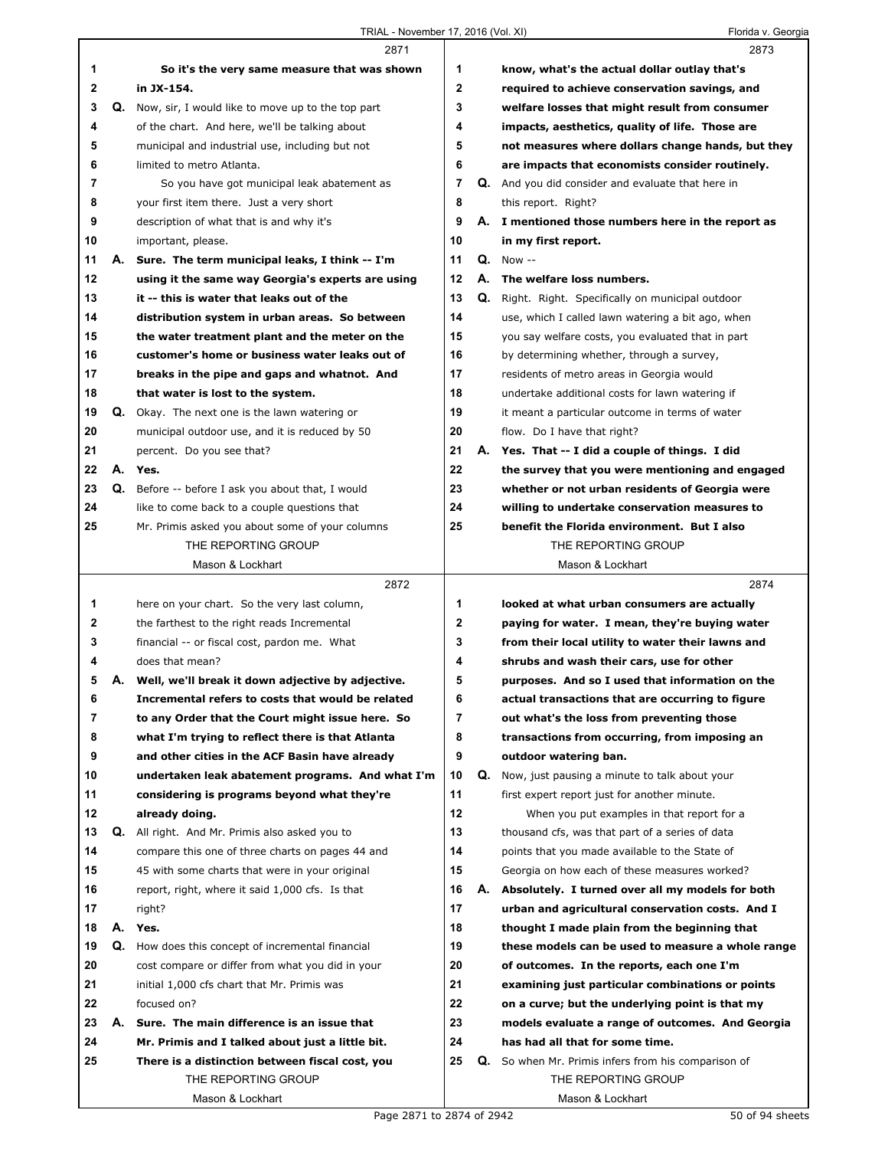$\Gamma$ 

|              |    | 2871                                                 |                |    | 2873                                                      |
|--------------|----|------------------------------------------------------|----------------|----|-----------------------------------------------------------|
| 1            |    | So it's the very same measure that was shown         | 1              |    | know, what's the actual dollar outlay that's              |
| 2            |    | in JX-154.                                           | $\mathbf 2$    |    | required to achieve conservation savings, and             |
| 3            |    | Q. Now, sir, I would like to move up to the top part | 3              |    | welfare losses that might result from consumer            |
| 4            |    | of the chart. And here, we'll be talking about       | 4              |    | impacts, aesthetics, quality of life. Those are           |
| 5            |    | municipal and industrial use, including but not      | 5              |    | not measures where dollars change hands, but they         |
| 6            |    | limited to metro Atlanta.                            | 6              |    | are impacts that economists consider routinely.           |
| 7            |    | So you have got municipal leak abatement as          | 7              |    | Q. And you did consider and evaluate that here in         |
| 8            |    | your first item there. Just a very short             | 8              |    | this report. Right?                                       |
| 9            |    | description of what that is and why it's             | 9              |    | A. I mentioned those numbers here in the report as        |
| 10           |    | important, please.                                   | 10             |    | in my first report.                                       |
| 11           | А. | Sure. The term municipal leaks, I think -- I'm       | 11             |    | $Q.$ Now $-$                                              |
| 12           |    | using it the same way Georgia's experts are using    | 12             |    | A. The welfare loss numbers.                              |
| 13           |    | it -- this is water that leaks out of the            | 13             |    | <b>Q.</b> Right. Right. Specifically on municipal outdoor |
| 14           |    | distribution system in urban areas. So between       | 14             |    | use, which I called lawn watering a bit ago, when         |
| 15           |    | the water treatment plant and the meter on the       | 15             |    | you say welfare costs, you evaluated that in part         |
| 16           |    | customer's home or business water leaks out of       | 16             |    | by determining whether, through a survey,                 |
| 17           |    | breaks in the pipe and gaps and whatnot. And         | 17             |    | residents of metro areas in Georgia would                 |
| 18           |    | that water is lost to the system.                    | 18             |    | undertake additional costs for lawn watering if           |
| 19           |    | <b>Q.</b> Okay. The next one is the lawn watering or | 19             |    | it meant a particular outcome in terms of water           |
| 20           |    | municipal outdoor use, and it is reduced by 50       | 20             |    | flow. Do I have that right?                               |
| 21           |    | percent. Do you see that?                            | 21             |    | A. Yes. That -- I did a couple of things. I did           |
| 22           |    | A. Yes.                                              | 22             |    | the survey that you were mentioning and engaged           |
| 23           | Q. | Before -- before I ask you about that, I would       | 23             |    | whether or not urban residents of Georgia were            |
| 24           |    | like to come back to a couple questions that         | 24             |    | willing to undertake conservation measures to             |
| 25           |    | Mr. Primis asked you about some of your columns      | 25             |    | benefit the Florida environment. But I also               |
|              |    | THE REPORTING GROUP                                  |                |    | THE REPORTING GROUP                                       |
|              |    | Mason & Lockhart                                     |                |    | Mason & Lockhart                                          |
|              |    | 2872                                                 |                |    | 2874                                                      |
| 1            |    | here on your chart. So the very last column,         | 1              |    | looked at what urban consumers are actually               |
| $\mathbf{2}$ |    | the farthest to the right reads Incremental          | $\overline{2}$ |    | paying for water. I mean, they're buying water            |
| 3            |    | financial -- or fiscal cost, pardon me. What         | 3              |    | from their local utility to water their lawns and         |
| 4            |    | does that mean?                                      | 4              |    | shrubs and wash their cars, use for other                 |
| 5            | А. | Well, we'll break it down adjective by adjective.    | 5              |    | purposes. And so I used that information on the           |
| 6            |    | Incremental refers to costs that would be related    | 6              |    | actual transactions that are occurring to figure          |
| 7            |    | to any Order that the Court might issue here. So     | 7              |    | out what's the loss from preventing those                 |
| 8            |    | what I'm trying to reflect there is that Atlanta     | 8              |    | transactions from occurring, from imposing an             |
| 9            |    | and other cities in the ACF Basin have already       | 9              |    | outdoor watering ban.                                     |
| 10           |    | undertaken leak abatement programs. And what I'm     | 10             | Q. | Now, just pausing a minute to talk about your             |
| 11           |    | considering is programs beyond what they're          | 11             |    | first expert report just for another minute.              |
|              |    |                                                      |                |    |                                                           |
| 12           |    | already doing.                                       | 12             |    | When you put examples in that report for a                |
| 13           | Q. | All right. And Mr. Primis also asked you to          | 13             |    | thousand cfs, was that part of a series of data           |
| 14           |    | compare this one of three charts on pages 44 and     | 14             |    | points that you made available to the State of            |
| 15           |    | 45 with some charts that were in your original       | 15             |    | Georgia on how each of these measures worked?             |
| 16           |    | report, right, where it said 1,000 cfs. Is that      | 16             |    | A. Absolutely. I turned over all my models for both       |
| 17           |    | right?                                               | 17             |    | urban and agricultural conservation costs. And I          |
| 18           | А. | Yes.                                                 | 18             |    | thought I made plain from the beginning that              |
| 19           | Q. | How does this concept of incremental financial       | 19             |    | these models can be used to measure a whole range         |
| 20           |    | cost compare or differ from what you did in your     | 20             |    | of outcomes. In the reports, each one I'm                 |
| 21           |    | initial 1,000 cfs chart that Mr. Primis was          | 21             |    | examining just particular combinations or points          |
| 22           |    | focused on?                                          | 22             |    | on a curve; but the underlying point is that my           |
| 23           | А. | Sure. The main difference is an issue that           | 23             |    | models evaluate a range of outcomes. And Georgia          |
| 24           |    | Mr. Primis and I talked about just a little bit.     | 24             |    | has had all that for some time.                           |
| 25           |    | There is a distinction between fiscal cost, you      | 25             |    | Q. So when Mr. Primis infers from his comparison of       |
|              |    | THE REPORTING GROUP                                  |                |    | THE REPORTING GROUP                                       |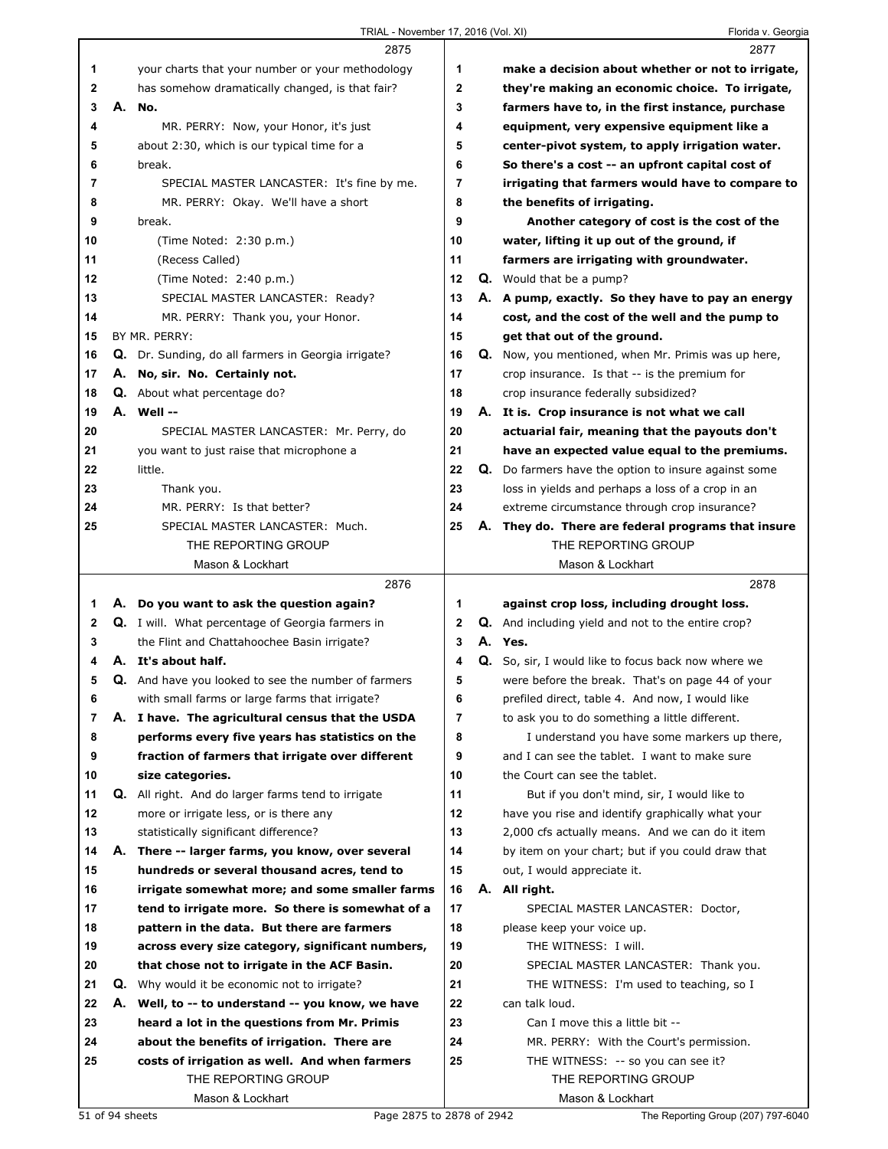|    |    | 2875                                                      |    | 2877                                                 |
|----|----|-----------------------------------------------------------|----|------------------------------------------------------|
| 1  |    | your charts that your number or your methodology          | 1  | make a decision about whether or not to irrigate,    |
| 2  |    | has somehow dramatically changed, is that fair?           | 2  | they're making an economic choice. To irrigate,      |
| 3  |    | A. No.                                                    | 3  | farmers have to, in the first instance, purchase     |
| 4  |    | MR. PERRY: Now, your Honor, it's just                     | 4  | equipment, very expensive equipment like a           |
| 5  |    | about 2:30, which is our typical time for a               | 5  | center-pivot system, to apply irrigation water.      |
| 6  |    | break.                                                    | 6  | So there's a cost -- an upfront capital cost of      |
| 7  |    | SPECIAL MASTER LANCASTER: It's fine by me.                | 7  | irrigating that farmers would have to compare to     |
| 8  |    | MR. PERRY: Okay. We'll have a short                       | 8  | the benefits of irrigating.                          |
| 9  |    | break.                                                    | 9  | Another category of cost is the cost of the          |
| 10 |    | (Time Noted: 2:30 p.m.)                                   | 10 | water, lifting it up out of the ground, if           |
| 11 |    | (Recess Called)                                           | 11 | farmers are irrigating with groundwater.             |
| 12 |    | (Time Noted: 2:40 p.m.)                                   | 12 | <b>Q.</b> Would that be a pump?                      |
| 13 |    | SPECIAL MASTER LANCASTER: Ready?                          | 13 | A. A pump, exactly. So they have to pay an energy    |
| 14 |    | MR. PERRY: Thank you, your Honor.                         | 14 | cost, and the cost of the well and the pump to       |
| 15 |    | BY MR. PERRY:                                             | 15 | get that out of the ground.                          |
| 16 |    | Q. Dr. Sunding, do all farmers in Georgia irrigate?       | 16 | Q. Now, you mentioned, when Mr. Primis was up here,  |
| 17 |    | A. No, sir. No. Certainly not.                            | 17 | crop insurance. Is that -- is the premium for        |
| 18 |    | <b>Q.</b> About what percentage do?                       | 18 | crop insurance federally subsidized?                 |
| 19 |    | A. Well --                                                | 19 | A. It is. Crop insurance is not what we call         |
| 20 |    | SPECIAL MASTER LANCASTER: Mr. Perry, do                   | 20 | actuarial fair, meaning that the payouts don't       |
| 21 |    | you want to just raise that microphone a                  | 21 | have an expected value equal to the premiums.        |
| 22 |    | little.                                                   | 22 | Q. Do farmers have the option to insure against some |
| 23 |    | Thank you.                                                | 23 | loss in yields and perhaps a loss of a crop in an    |
| 24 |    | MR. PERRY: Is that better?                                | 24 | extreme circumstance through crop insurance?         |
| 25 |    | SPECIAL MASTER LANCASTER: Much.                           | 25 | A. They do. There are federal programs that insure   |
|    |    | THE REPORTING GROUP                                       |    | THE REPORTING GROUP                                  |
|    |    | Mason & Lockhart                                          |    | Mason & Lockhart                                     |
|    |    |                                                           |    |                                                      |
|    |    | 2876                                                      |    | 2878                                                 |
| 1  |    | A. Do you want to ask the question again?                 | 1  | against crop loss, including drought loss.           |
| 2  |    | Q. I will. What percentage of Georgia farmers in          | 2  | Q. And including yield and not to the entire crop?   |
| 3  |    | the Flint and Chattahoochee Basin irrigate?               | 3  | A. Yes.                                              |
| 4  |    | A. It's about half.                                       | 4  | Q. So, sir, I would like to focus back now where we  |
| 5  |    | Q. And have you looked to see the number of farmers       | 5  | were before the break. That's on page 44 of your     |
| 6  |    | with small farms or large farms that irrigate?            | 6  | prefiled direct, table 4. And now, I would like      |
| 7  |    | A. I have. The agricultural census that the USDA          | 7  | to ask you to do something a little different.       |
| 8  |    | performs every five years has statistics on the           | 8  | I understand you have some markers up there,         |
| 9  |    | fraction of farmers that irrigate over different          | 9  | and I can see the tablet. I want to make sure        |
| 10 |    | size categories.                                          | 10 | the Court can see the tablet.                        |
| 11 |    | <b>Q.</b> All right. And do larger farms tend to irrigate | 11 | But if you don't mind, sir, I would like to          |
| 12 |    | more or irrigate less, or is there any                    | 12 | have you rise and identify graphically what your     |
| 13 |    | statistically significant difference?                     | 13 | 2,000 cfs actually means. And we can do it item      |
| 14 | А. | There -- larger farms, you know, over several             | 14 | by item on your chart; but if you could draw that    |
| 15 |    | hundreds or several thousand acres, tend to               | 15 | out, I would appreciate it.                          |
| 16 |    | irrigate somewhat more; and some smaller farms            | 16 | A. All right.                                        |
| 17 |    | tend to irrigate more. So there is somewhat of a          | 17 | SPECIAL MASTER LANCASTER: Doctor,                    |
| 18 |    | pattern in the data. But there are farmers                | 18 | please keep your voice up.                           |
| 19 |    | across every size category, significant numbers,          | 19 | THE WITNESS: I will.                                 |
| 20 |    | that chose not to irrigate in the ACF Basin.              | 20 | SPECIAL MASTER LANCASTER: Thank you.                 |
| 21 |    | <b>Q.</b> Why would it be economic not to irrigate?       | 21 | THE WITNESS: I'm used to teaching, so I              |
| 22 |    | A. Well, to -- to understand -- you know, we have         | 22 | can talk loud.                                       |
| 23 |    | heard a lot in the questions from Mr. Primis              | 23 | Can I move this a little bit --                      |
| 24 |    | about the benefits of irrigation. There are               | 24 | MR. PERRY: With the Court's permission.              |
| 25 |    | costs of irrigation as well. And when farmers             | 25 | THE WITNESS: -- so you can see it?                   |
|    |    | THE REPORTING GROUP                                       |    | THE REPORTING GROUP                                  |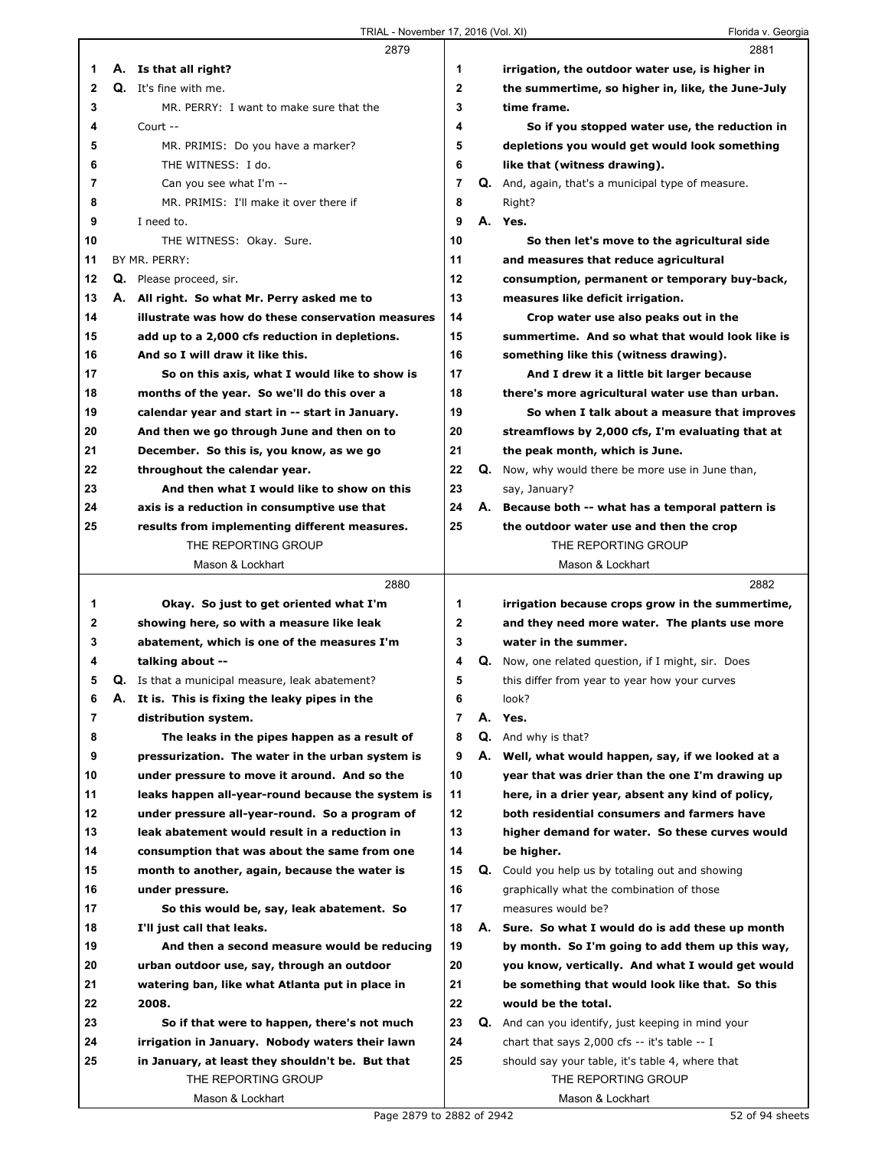TRIAL - November 17, 2016 (Vol. XI) Florida v. Georgia

|              | 2879                                              |                     |    | 2881                                               |
|--------------|---------------------------------------------------|---------------------|----|----------------------------------------------------|
| 1            | A. Is that all right?                             | 1                   |    | irrigation, the outdoor water use, is higher in    |
| $\mathbf{2}$ | Q. It's fine with me.                             | $\overline{2}$      |    | the summertime, so higher in, like, the June-July  |
| 3            | MR. PERRY: I want to make sure that the           | 3                   |    | time frame.                                        |
| 4            | Court --                                          | 4                   |    | So if you stopped water use, the reduction in      |
| 5            | MR. PRIMIS: Do you have a marker?                 | 5                   |    | depletions you would get would look something      |
| 6            | THE WITNESS: I do.                                | 6                   |    | like that (witness drawing).                       |
| 7            | Can you see what I'm --                           | $\overline{7}$      |    | Q. And, again, that's a municipal type of measure. |
| 8            | MR. PRIMIS: I'll make it over there if            | 8                   |    | Right?                                             |
| 9            | I need to.                                        | 9                   |    | A. Yes.                                            |
| 10           | THE WITNESS: Okay. Sure.                          | 10                  |    | So then let's move to the agricultural side        |
| 11           | BY MR. PERRY:                                     | 11                  |    | and measures that reduce agricultural              |
| 12           | Q. Please proceed, sir.                           | 12                  |    | consumption, permanent or temporary buy-back,      |
| 13           | A. All right. So what Mr. Perry asked me to       | 13                  |    | measures like deficit irrigation.                  |
| 14           | illustrate was how do these conservation measures | 14                  |    | Crop water use also peaks out in the               |
| 15           | add up to a 2,000 cfs reduction in depletions.    | 15                  |    | summertime. And so what that would look like is    |
| 16           | And so I will draw it like this.                  | 16                  |    | something like this (witness drawing).             |
| 17           | So on this axis, what I would like to show is     | 17                  |    | And I drew it a little bit larger because          |
| 18           | months of the year. So we'll do this over a       | 18                  |    | there's more agricultural water use than urban.    |
| 19           | calendar year and start in -- start in January.   | 19                  |    | So when I talk about a measure that improves       |
| 20           | And then we go through June and then on to        | 20                  |    | streamflows by 2,000 cfs, I'm evaluating that at   |
| 21           | December. So this is, you know, as we go          | 21                  |    | the peak month, which is June.                     |
| 22           | throughout the calendar year.                     | 22                  | Q. | Now, why would there be more use in June than,     |
| 23           | And then what I would like to show on this        | 23                  |    | say, January?                                      |
| 24           | axis is a reduction in consumptive use that       | 24                  | А. | Because both -- what has a temporal pattern is     |
| 25           | results from implementing different measures.     | 25                  |    | the outdoor water use and then the crop            |
|              | THE REPORTING GROUP                               |                     |    | THE REPORTING GROUP                                |
|              | Mason & Lockhart                                  |                     |    | Mason & Lockhart                                   |
|              | 2880                                              |                     |    | 2882                                               |
| 1            | Okay. So just to get oriented what I'm            | 1.                  |    |                                                    |
|              |                                                   |                     |    |                                                    |
|              |                                                   |                     |    | irrigation because crops grow in the summertime,   |
| 2            | showing here, so with a measure like leak         | $\mathbf{2}$        |    | and they need more water. The plants use more      |
| 3<br>4       | abatement, which is one of the measures I'm       | 3<br>4              | Q. | water in the summer.                               |
|              | talking about --                                  |                     |    | Now, one related question, if I might, sir. Does   |
| 5            | Q. Is that a municipal measure, leak abatement?   | 5                   |    | this differ from year to year how your curves      |
| 6            | A. It is. This is fixing the leaky pipes in the   | 6<br>$\overline{7}$ |    | look?                                              |
| 7            | distribution system.                              |                     | А. | Yes.                                               |
| 8            | The leaks in the pipes happen as a result of      | 8                   |    | Q. And why is that?                                |
| 9            | pressurization. The water in the urban system is  | 9                   | А. | Well, what would happen, say, if we looked at a    |
| 10           | under pressure to move it around. And so the      | 10                  |    | year that was drier than the one I'm drawing up    |
| 11           | leaks happen all-vear-round because the system is | 11                  |    | here, in a drier year, absent any kind of policy,  |
| 12           | under pressure all-year-round. So a program of    | 12                  |    | both residential consumers and farmers have        |
| 13           | leak abatement would result in a reduction in     | 13                  |    | higher demand for water. So these curves would     |
| 14           | consumption that was about the same from one      | 14                  |    | be higher.                                         |
| 15           | month to another, again, because the water is     | 15                  | Q. | Could you help us by totaling out and showing      |
| 16           | under pressure.                                   | 16                  |    | graphically what the combination of those          |
| 17           | So this would be, say, leak abatement. So         | 17                  |    | measures would be?                                 |
| 18           | I'll just call that leaks.                        | 18                  | А. | Sure. So what I would do is add these up month     |
| 19           | And then a second measure would be reducing       | 19                  |    | by month. So I'm going to add them up this way,    |
| 20           | urban outdoor use, say, through an outdoor        | 20                  |    | you know, vertically. And what I would get would   |
| 21           | watering ban, like what Atlanta put in place in   | 21                  |    | be something that would look like that. So this    |
| 22           | 2008.                                             | 22                  |    | would be the total.                                |
| 23           | So if that were to happen, there's not much       | 23                  | Q. | And can you identify, just keeping in mind your    |
| 24           | irrigation in January. Nobody waters their lawn   | 24                  |    | chart that says $2,000$ cfs -- it's table -- I     |
| 25           | in January, at least they shouldn't be. But that  | 25                  |    | should say your table, it's table 4, where that    |
|              | THE REPORTING GROUP<br>Mason & Lockhart           |                     |    | THE REPORTING GROUP<br>Mason & Lockhart            |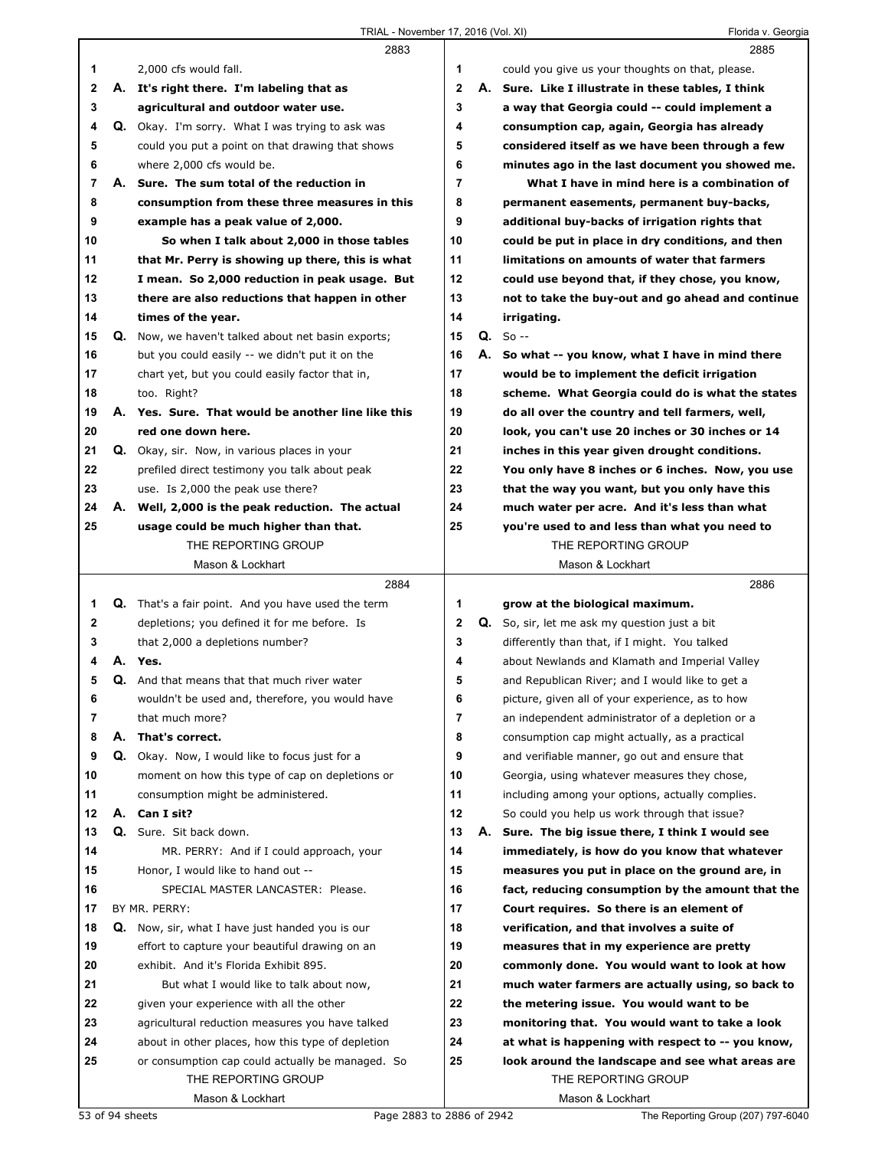|              |    | 2883                                                    |                |    | 2885                                                 |
|--------------|----|---------------------------------------------------------|----------------|----|------------------------------------------------------|
| 1            |    | 2,000 cfs would fall.                                   | 1              |    | could you give us your thoughts on that, please.     |
| $\mathbf{2}$ |    | A. It's right there. I'm labeling that as               | $\mathbf{2}$   |    | A. Sure. Like I illustrate in these tables, I think  |
| 3            |    | agricultural and outdoor water use.                     | 3              |    | a way that Georgia could -- could implement a        |
| 4            |    | <b>Q.</b> Okay. I'm sorry. What I was trying to ask was | 4              |    | consumption cap, again, Georgia has already          |
| 5            |    | could you put a point on that drawing that shows        | 5              |    | considered itself as we have been through a few      |
| 6            |    | where 2,000 cfs would be.                               | 6              |    | minutes ago in the last document you showed me.      |
| 7            | А. | Sure. The sum total of the reduction in                 | $\overline{7}$ |    | What I have in mind here is a combination of         |
| 8            |    | consumption from these three measures in this           | 8              |    | permanent easements, permanent buy-backs,            |
| 9            |    | example has a peak value of 2,000.                      | 9              |    | additional buy-backs of irrigation rights that       |
| 10           |    | So when I talk about 2,000 in those tables              | 10             |    | could be put in place in dry conditions, and then    |
| 11           |    | that Mr. Perry is showing up there, this is what        | 11             |    | limitations on amounts of water that farmers         |
| 12           |    | I mean. So 2,000 reduction in peak usage. But           | 12             |    | could use beyond that, if they chose, you know,      |
|              |    |                                                         | 13             |    |                                                      |
| 13           |    | there are also reductions that happen in other          |                |    | not to take the buy-out and go ahead and continue    |
| 14           |    | times of the year.                                      | 14             |    | irrigating.                                          |
| 15           |    | Q. Now, we haven't talked about net basin exports;      | 15             |    | $Q. So --$                                           |
| 16           |    | but you could easily -- we didn't put it on the         | 16             | А. | So what -- you know, what I have in mind there       |
| 17           |    | chart yet, but you could easily factor that in,         | 17             |    | would be to implement the deficit irrigation         |
| 18           |    | too. Right?                                             | 18             |    | scheme. What Georgia could do is what the states     |
| 19           |    | A. Yes. Sure. That would be another line like this      | 19             |    | do all over the country and tell farmers, well,      |
| 20           |    | red one down here.                                      | 20             |    | look, you can't use 20 inches or 30 inches or 14     |
| 21           |    | Q. Okay, sir. Now, in various places in your            | 21             |    | inches in this year given drought conditions.        |
| 22           |    | prefiled direct testimony you talk about peak           | 22             |    | You only have 8 inches or 6 inches. Now, you use     |
| 23           |    | use. Is 2,000 the peak use there?                       | 23             |    | that the way you want, but you only have this        |
| 24           |    | A. Well, 2,000 is the peak reduction. The actual        | 24             |    | much water per acre. And it's less than what         |
| 25           |    | usage could be much higher than that.                   | 25             |    | you're used to and less than what you need to        |
|              |    | THE REPORTING GROUP                                     |                |    | THE REPORTING GROUP                                  |
|              |    | Mason & Lockhart                                        |                |    | Mason & Lockhart                                     |
|              |    |                                                         |                |    |                                                      |
|              |    | 2884                                                    |                |    | 2886                                                 |
| 1            |    | Q. That's a fair point. And you have used the term      | 1              |    | grow at the biological maximum.                      |
| 2            |    | depletions; you defined it for me before. Is            | $\mathbf 2$    |    | <b>Q.</b> So, sir, let me ask my question just a bit |
| 3            |    | that 2,000 a depletions number?                         | 3              |    | differently than that, if I might. You talked        |
| 4            |    | A. Yes.                                                 | 4              |    | about Newlands and Klamath and Imperial Valley       |
| 5            |    | Q. And that means that that much river water            | 5              |    | and Republican River; and I would like to get a      |
| b            |    | wouldn't be used and, therefore, you would have         | 6              |    | picture, given all of your experience, as to how     |
| 7            |    | that much more?                                         | 7              |    | an independent administrator of a depletion or a     |
| 8            | А. | That's correct.                                         | 8              |    | consumption cap might actually, as a practical       |
| 9            | Q. |                                                         | 9              |    |                                                      |
| 10           |    | Okay. Now, I would like to focus just for a             | 10             |    | and verifiable manner, go out and ensure that        |
|              |    | moment on how this type of cap on depletions or         |                |    | Georgia, using whatever measures they chose,         |
| 11           |    | consumption might be administered.                      | 11             |    | including among your options, actually complies.     |
| 12           | А. | Can I sit?                                              | 12             |    | So could you help us work through that issue?        |
| 13           |    | Q. Sure. Sit back down.                                 | 13             | А. | Sure. The big issue there, I think I would see       |
| 14           |    | MR. PERRY: And if I could approach, your                | 14             |    | immediately, is how do you know that whatever        |
| 15           |    | Honor, I would like to hand out --                      | 15             |    | measures you put in place on the ground are, in      |
| 16           |    | SPECIAL MASTER LANCASTER: Please.                       | 16             |    | fact, reducing consumption by the amount that the    |
| 17           |    | BY MR. PERRY:                                           | 17             |    | Court requires. So there is an element of            |
| 18           |    | <b>Q.</b> Now, sir, what I have just handed you is our  | 18             |    | verification, and that involves a suite of           |
| 19           |    | effort to capture your beautiful drawing on an          | 19             |    | measures that in my experience are pretty            |
| 20           |    | exhibit. And it's Florida Exhibit 895.                  | 20             |    | commonly done. You would want to look at how         |
| 21           |    | But what I would like to talk about now,                | 21             |    | much water farmers are actually using, so back to    |
| 22           |    | given your experience with all the other                | 22             |    | the metering issue. You would want to be             |
| 23           |    | agricultural reduction measures you have talked         | 23             |    | monitoring that. You would want to take a look       |
| 24           |    | about in other places, how this type of depletion       | 24             |    | at what is happening with respect to -- you know,    |
| 25           |    | or consumption cap could actually be managed. So        | 25             |    | look around the landscape and see what areas are     |
|              |    | THE REPORTING GROUP<br>Mason & Lockhart                 |                |    | THE REPORTING GROUP<br>Mason & Lockhart              |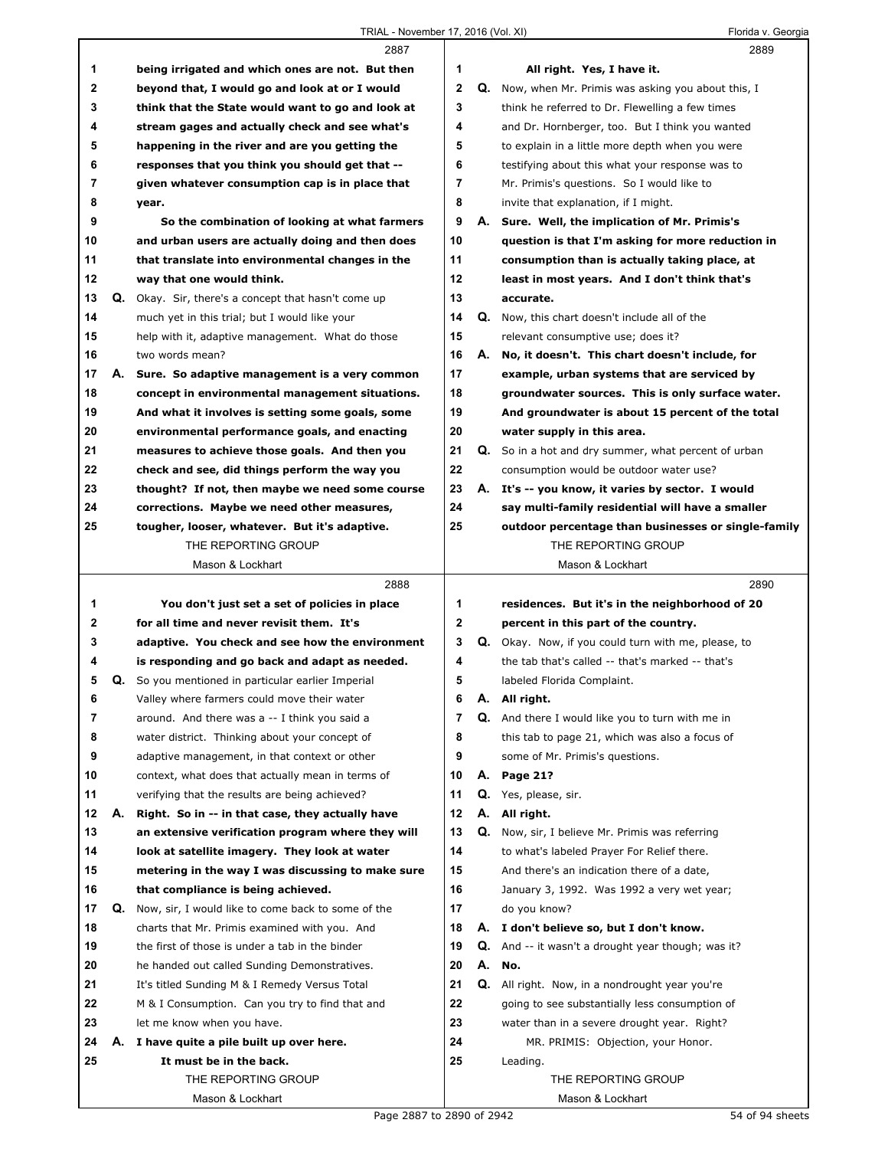## TRIAL - November 17, 2016 (Vol. XI) Florida v. Georgia

|                |    | 2887                                                |                |    | 2889                                                      |
|----------------|----|-----------------------------------------------------|----------------|----|-----------------------------------------------------------|
| 1              |    | being irrigated and which ones are not. But then    | 1              |    | All right. Yes, I have it.                                |
| $\mathbf{2}$   |    | beyond that, I would go and look at or I would      | $\mathbf{2}$   | Q. | Now, when Mr. Primis was asking you about this, I         |
| 3              |    | think that the State would want to go and look at   | 3              |    | think he referred to Dr. Flewelling a few times           |
| 4              |    | stream gages and actually check and see what's      | 4              |    | and Dr. Hornberger, too. But I think you wanted           |
| 5              |    | happening in the river and are you getting the      | 5              |    | to explain in a little more depth when you were           |
| 6              |    | responses that you think you should get that --     | 6              |    | testifying about this what your response was to           |
| $\overline{7}$ |    | given whatever consumption cap is in place that     | $\overline{7}$ |    | Mr. Primis's questions. So I would like to                |
| 8              |    | year.                                               | 8              |    | invite that explanation, if I might.                      |
| 9              |    | So the combination of looking at what farmers       | 9              |    | A. Sure. Well, the implication of Mr. Primis's            |
| 10             |    | and urban users are actually doing and then does    | 10             |    | question is that I'm asking for more reduction in         |
| 11             |    | that translate into environmental changes in the    | 11             |    | consumption than is actually taking place, at             |
| 12             |    | way that one would think.                           | 12             |    | least in most years. And I don't think that's             |
| 13             |    | Q. Okay. Sir, there's a concept that hasn't come up | 13             |    | accurate.                                                 |
| 14             |    | much yet in this trial; but I would like your       | 14             |    | <b>Q.</b> Now, this chart doesn't include all of the      |
| 15             |    | help with it, adaptive management. What do those    | 15             |    | relevant consumptive use; does it?                        |
| 16             |    | two words mean?                                     | 16             | А. | No, it doesn't. This chart doesn't include, for           |
| 17             |    | A. Sure. So adaptive management is a very common    | 17             |    | example, urban systems that are serviced by               |
| 18             |    | concept in environmental management situations.     | 18             |    | groundwater sources. This is only surface water.          |
| 19             |    | And what it involves is setting some goals, some    | 19             |    | And groundwater is about 15 percent of the total          |
| 20             |    | environmental performance goals, and enacting       | 20             |    | water supply in this area.                                |
| 21             |    | measures to achieve those goals. And then you       | 21             |    | Q. So in a hot and dry summer, what percent of urban      |
| 22             |    | check and see, did things perform the way you       | 22             |    | consumption would be outdoor water use?                   |
| 23             |    | thought? If not, then maybe we need some course     | 23             | А. | It's -- you know, it varies by sector. I would            |
| 24             |    | corrections. Maybe we need other measures,          | 24             |    | say multi-family residential will have a smaller          |
| 25             |    | tougher, looser, whatever. But it's adaptive.       | 25             |    | outdoor percentage than businesses or single-family       |
|                |    | THE REPORTING GROUP                                 |                |    | THE REPORTING GROUP                                       |
|                |    | Mason & Lockhart                                    |                |    | Mason & Lockhart                                          |
|                |    |                                                     |                |    |                                                           |
|                |    | 2888                                                |                |    | 2890                                                      |
| 1              |    | You don't just set a set of policies in place       | 1              |    | residences. But it's in the neighborhood of 20            |
| $\mathbf{2}$   |    | for all time and never revisit them. It's           | $\mathbf{2}$   |    | percent in this part of the country.                      |
| 3              |    | adaptive. You check and see how the environment     | 3              |    | Q. Okay. Now, if you could turn with me, please, to       |
| 4              |    | is responding and go back and adapt as needed.      | 4              |    | the tab that's called -- that's marked -- that's          |
| 5              | Q. | So you mentioned in particular earlier Imperial     | 5              |    | labeled Florida Complaint.                                |
| 6              |    | Valley where farmers could move their water         | 6              |    | A. All right.                                             |
| 7              |    | around. And there was a -- I think you said a       | 7              |    | Q. And there I would like you to turn with me in          |
| 8              |    | water district. Thinking about your concept of      | 8              |    | this tab to page 21, which was also a focus of            |
| 9              |    | adaptive management, in that context or other       | 9              |    | some of Mr. Primis's questions.                           |
| 10             |    | context, what does that actually mean in terms of   | 10             | А. | Page 21?                                                  |
| 11             |    | verifying that the results are being achieved?      | 11             |    | Q. Yes, please, sir.                                      |
| 12             | А. | Right. So in -- in that case, they actually have    | 12             |    | A. All right.                                             |
| 13             |    | an extensive verification program where they will   | 13             | Q. | Now, sir, I believe Mr. Primis was referring              |
| 14             |    | look at satellite imagery. They look at water       | 14             |    | to what's labeled Prayer For Relief there.                |
| 15             |    | metering in the way I was discussing to make sure   | 15             |    | And there's an indication there of a date,                |
| 16             |    | that compliance is being achieved.                  | 16             |    | January 3, 1992. Was 1992 a very wet year;                |
| 17             | Q. | Now, sir, I would like to come back to some of the  | 17             |    | do you know?                                              |
| 18             |    | charts that Mr. Primis examined with you. And       | 18             | А. | I don't believe so, but I don't know.                     |
| 19             |    | the first of those is under a tab in the binder     | 19             |    | <b>Q.</b> And -- it wasn't a drought year though; was it? |
| 20             |    |                                                     | 20             | А. | No.                                                       |
| 21             |    | he handed out called Sunding Demonstratives.        | 21             | Q. |                                                           |
| 22             |    | It's titled Sunding M & I Remedy Versus Total       | 22             |    | All right. Now, in a nondrought year you're               |
| 23             |    | M & I Consumption. Can you try to find that and     | 23             |    | going to see substantially less consumption of            |
|                |    | let me know when you have.                          |                |    | water than in a severe drought year. Right?               |
| 24             | А. | I have quite a pile built up over here.             | 24<br>25       |    | MR. PRIMIS: Objection, your Honor.                        |
| 25             |    | It must be in the back.<br>THE REPORTING GROUP      |                |    | Leading.<br>THE REPORTING GROUP                           |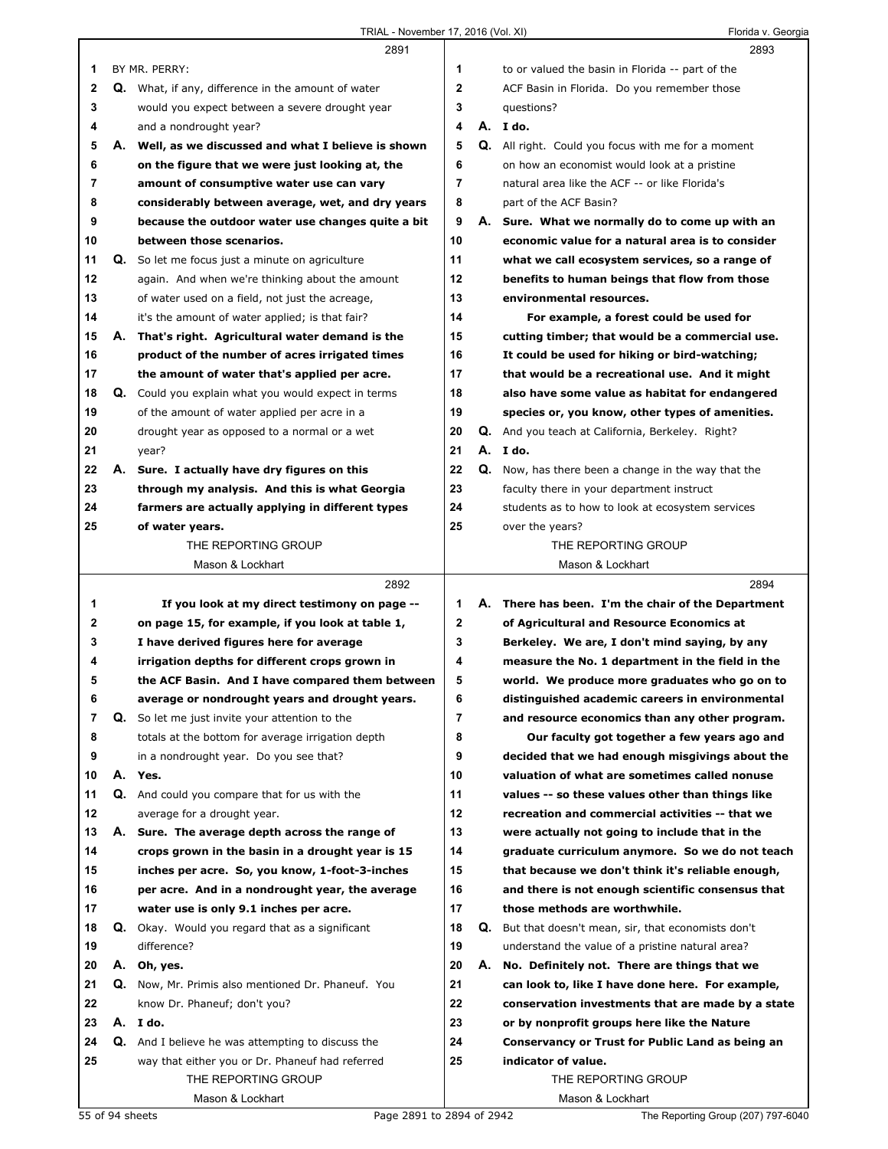| TRIAL - November 17, 2016 (Vol. XI) |  |  |
|-------------------------------------|--|--|
|                                     |  |  |

|              |    | 2891                                                     |    |    | 2893                                               |
|--------------|----|----------------------------------------------------------|----|----|----------------------------------------------------|
| 1            |    | BY MR. PERRY:                                            | 1  |    | to or valued the basin in Florida -- part of the   |
| $\mathbf{2}$ |    | Q. What, if any, difference in the amount of water       | 2  |    | ACF Basin in Florida. Do you remember those        |
| 3            |    | would you expect between a severe drought year           | 3  |    | questions?                                         |
| 4            |    | and a nondrought year?                                   | 4  |    | A. I do.                                           |
| 5            |    | A. Well, as we discussed and what I believe is shown     | 5  |    | Q. All right. Could you focus with me for a moment |
| 6            |    | on the figure that we were just looking at, the          | 6  |    | on how an economist would look at a pristine       |
| 7            |    | amount of consumptive water use can vary                 | 7  |    | natural area like the ACF -- or like Florida's     |
| 8            |    | considerably between average, wet, and dry years         | 8  |    | part of the ACF Basin?                             |
| 9            |    | because the outdoor water use changes quite a bit        | 9  | А. | Sure. What we normally do to come up with an       |
| 10           |    | between those scenarios.                                 | 10 |    | economic value for a natural area is to consider   |
| 11           |    | Q. So let me focus just a minute on agriculture          | 11 |    | what we call ecosystem services, so a range of     |
| 12           |    | again. And when we're thinking about the amount          | 12 |    | benefits to human beings that flow from those      |
| 13           |    | of water used on a field, not just the acreage,          | 13 |    | environmental resources.                           |
| 14           |    | it's the amount of water applied; is that fair?          | 14 |    | For example, a forest could be used for            |
| 15           | А. | That's right. Agricultural water demand is the           | 15 |    | cutting timber; that would be a commercial use.    |
| 16           |    | product of the number of acres irrigated times           | 16 |    | It could be used for hiking or bird-watching;      |
| 17           |    | the amount of water that's applied per acre.             | 17 |    | that would be a recreational use. And it might     |
| 18           |    | Q. Could you explain what you would expect in terms      | 18 |    | also have some value as habitat for endangered     |
| 19           |    | of the amount of water applied per acre in a             | 19 |    | species or, you know, other types of amenities.    |
| 20           |    | drought year as opposed to a normal or a wet             | 20 |    | Q. And you teach at California, Berkeley. Right?   |
| 21           |    | year?                                                    | 21 |    | A. I do.                                           |
| 22           |    | A. Sure. I actually have dry figures on this             | 22 | Q. | Now, has there been a change in the way that the   |
| 23           |    | through my analysis. And this is what Georgia            | 23 |    | faculty there in your department instruct          |
| 24           |    | farmers are actually applying in different types         | 24 |    | students as to how to look at ecosystem services   |
| 25           |    | of water years.                                          | 25 |    | over the years?                                    |
|              |    | THE REPORTING GROUP                                      |    |    | THE REPORTING GROUP                                |
|              |    | Mason & Lockhart                                         |    |    | Mason & Lockhart                                   |
|              |    |                                                          |    |    |                                                    |
|              |    | 2892                                                     |    |    | 2894                                               |
| 1            |    | If you look at my direct testimony on page --            | 1  |    | A. There has been. I'm the chair of the Department |
| $\mathbf{2}$ |    | on page 15, for example, if you look at table 1,         | 2  |    | of Agricultural and Resource Economics at          |
| 3            |    | I have derived figures here for average                  | 3  |    | Berkeley. We are, I don't mind saying, by any      |
| 4            |    | irrigation depths for different crops grown in           | 4  |    | measure the No. 1 department in the field in the   |
| 5            |    | the ACF Basin. And I have compared them between          | 5  |    | world. We produce more graduates who go on to      |
| 6            |    | average or nondrought years and drought years.           | 6  |    | distinguished academic careers in environmental    |
| 7            |    | Q. So let me just invite your attention to the           | 7  |    | and resource economics than any other program.     |
| 8            |    | totals at the bottom for average irrigation depth        | 8  |    | Our faculty got together a few years ago and       |
| 9            |    | in a nondrought year. Do you see that?                   | 9  |    | decided that we had enough misgivings about the    |
| 10           |    | A. Yes.                                                  | 10 |    | valuation of what are sometimes called nonuse      |
| 11           |    | Q. And could you compare that for us with the            | 11 |    | values -- so these values other than things like   |
| 12           |    | average for a drought year.                              | 12 |    | recreation and commercial activities -- that we    |
| 13           |    | A. Sure. The average depth across the range of           | 13 |    | were actually not going to include that in the     |
| 14           |    | crops grown in the basin in a drought year is 15         | 14 |    | graduate curriculum anymore. So we do not teach    |
| 15           |    | inches per acre. So, you know, 1-foot-3-inches           | 15 |    | that because we don't think it's reliable enough,  |
| 16           |    | per acre. And in a nondrought year, the average          | 16 |    | and there is not enough scientific consensus that  |
| 17           |    | water use is only 9.1 inches per acre.                   | 17 |    | those methods are worthwhile.                      |
| 18           |    | Q. Okay. Would you regard that as a significant          | 18 | Q. | But that doesn't mean, sir, that economists don't  |
| 19           |    | difference?                                              | 19 |    | understand the value of a pristine natural area?   |
| 20           |    | A. Oh, yes.                                              | 20 | А. | No. Definitely not. There are things that we       |
| 21           |    | Q. Now, Mr. Primis also mentioned Dr. Phaneuf. You       | 21 |    | can look to, like I have done here. For example,   |
| 22           |    | know Dr. Phaneuf; don't you?                             | 22 |    | conservation investments that are made by a state  |
| 23           |    | A. I do.                                                 | 23 |    | or by nonprofit groups here like the Nature        |
| 24           |    | <b>Q.</b> And I believe he was attempting to discuss the | 24 |    | Conservancy or Trust for Public Land as being an   |
| 25           |    | way that either you or Dr. Phaneuf had referred          | 25 |    | indicator of value.                                |
|              |    | THE REPORTING GROUP                                      |    |    | THE REPORTING GROUP                                |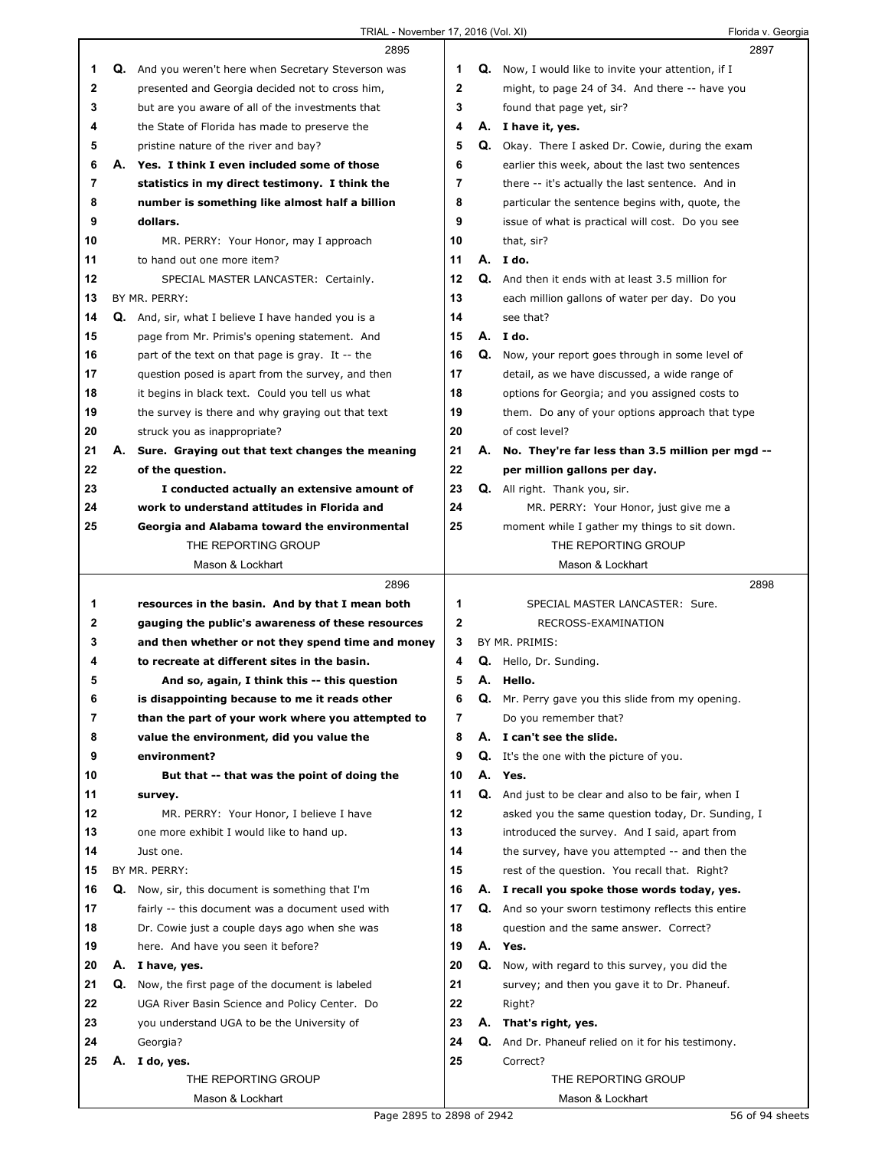## TRIAL - November 17, 2016 (Vol. XI) Florida v. Georgia

|          |    | 2895                                                      |              |    | 2897                                                       |  |
|----------|----|-----------------------------------------------------------|--------------|----|------------------------------------------------------------|--|
| 1        |    | Q. And you weren't here when Secretary Steverson was      | 1            |    | <b>Q.</b> Now, I would like to invite your attention, if I |  |
| 2        |    | presented and Georgia decided not to cross him,           | 2            |    | might, to page 24 of 34. And there -- have you             |  |
| 3        |    | but are you aware of all of the investments that          | 3            |    | found that page yet, sir?                                  |  |
| 4        |    | the State of Florida has made to preserve the             | 4            |    | A. I have it, yes.                                         |  |
| 5        |    | pristine nature of the river and bay?                     | 5            |    | Q. Okay. There I asked Dr. Cowie, during the exam          |  |
| 6        |    | A. Yes. I think I even included some of those             | 6            |    | earlier this week, about the last two sentences            |  |
| 7        |    | statistics in my direct testimony. I think the            | 7            |    | there -- it's actually the last sentence. And in           |  |
| 8        |    | number is something like almost half a billion            | 8            |    | particular the sentence begins with, quote, the            |  |
| 9        |    | dollars.                                                  | 9            |    | issue of what is practical will cost. Do you see           |  |
| 10       |    | MR. PERRY: Your Honor, may I approach                     | 10           |    | that, sir?                                                 |  |
| 11       |    | to hand out one more item?                                | 11           |    | A. I do.                                                   |  |
| 12       |    | SPECIAL MASTER LANCASTER: Certainly.                      | 12           |    | Q. And then it ends with at least 3.5 million for          |  |
| 13       |    | BY MR. PERRY:                                             | 13           |    | each million gallons of water per day. Do you              |  |
| 14       |    | <b>Q.</b> And, sir, what I believe I have handed you is a | 14           |    | see that?                                                  |  |
| 15       |    | page from Mr. Primis's opening statement. And             | 15           | А. | I do.                                                      |  |
| 16       |    | part of the text on that page is gray. It -- the          | 16           | Q. | Now, your report goes through in some level of             |  |
| 17       |    | question posed is apart from the survey, and then         | 17           |    | detail, as we have discussed, a wide range of              |  |
| 18       |    | it begins in black text. Could you tell us what           | 18           |    | options for Georgia; and you assigned costs to             |  |
| 19       |    | the survey is there and why graying out that text         | 19           |    | them. Do any of your options approach that type            |  |
| 20       |    | struck you as inappropriate?                              | 20           |    | of cost level?                                             |  |
| 21       | А. | Sure. Graying out that text changes the meaning           | 21           | А. | No. They're far less than 3.5 million per mgd --           |  |
| 22       |    | of the question.                                          | 22           |    | per million gallons per day.                               |  |
| 23       |    | I conducted actually an extensive amount of               | 23           |    | Q. All right. Thank you, sir.                              |  |
| 24       |    | work to understand attitudes in Florida and               | 24           |    | MR. PERRY: Your Honor, just give me a                      |  |
| 25       |    | Georgia and Alabama toward the environmental              | 25           |    | moment while I gather my things to sit down.               |  |
|          |    | THE REPORTING GROUP                                       |              |    | THE REPORTING GROUP                                        |  |
|          |    | Mason & Lockhart                                          |              |    | Mason & Lockhart                                           |  |
|          |    |                                                           |              |    |                                                            |  |
|          |    |                                                           |              |    |                                                            |  |
|          |    | 2896                                                      |              |    | 2898                                                       |  |
| 1        |    | resources in the basin. And by that I mean both           | 1            |    | SPECIAL MASTER LANCASTER: Sure.                            |  |
| 2        |    | gauging the public's awareness of these resources         | $\mathbf{2}$ |    | RECROSS-EXAMINATION                                        |  |
| 3<br>4   |    | and then whether or not they spend time and money         | 3            |    | BY MR. PRIMIS:                                             |  |
|          |    | to recreate at different sites in the basin.              | 4            |    | Q. Hello, Dr. Sunding.                                     |  |
| 5        |    | And so, again, I think this -- this question              | 5            |    | A. Hello.                                                  |  |
| 6        |    | is disappointing because to me it reads other             | 6<br>7       |    | <b>Q.</b> Mr. Perry gave you this slide from my opening.   |  |
| 7        |    | than the part of your work where you attempted to         |              |    | Do you remember that?                                      |  |
| 8        |    | value the environment, did you value the                  | 8            |    | A. I can't see the slide.                                  |  |
| 9        |    | environment?                                              | 9            |    | <b>Q.</b> It's the one with the picture of you.            |  |
| 10       |    | But that -- that was the point of doing the               | 10           |    | A. Yes.                                                    |  |
| 11       |    | survey.                                                   | 11           |    | Q. And just to be clear and also to be fair, when I        |  |
| 12       |    | MR. PERRY: Your Honor, I believe I have                   | 12<br>13     |    | asked you the same question today, Dr. Sunding, I          |  |
| 13       |    | one more exhibit I would like to hand up.                 |              |    | introduced the survey. And I said, apart from              |  |
| 14<br>15 |    | Just one.<br>BY MR. PERRY:                                | 14<br>15     |    | the survey, have you attempted -- and then the             |  |
| 16       | Q. |                                                           | 16           |    | rest of the question. You recall that. Right?              |  |
|          |    | Now, sir, this document is something that I'm             |              |    | A. I recall you spoke those words today, yes.              |  |
| 17       |    | fairly -- this document was a document used with          | 17           |    | <b>Q.</b> And so your sworn testimony reflects this entire |  |
| 18       |    | Dr. Cowie just a couple days ago when she was             | 18<br>19     |    | question and the same answer. Correct?                     |  |
| 19       |    | here. And have you seen it before?                        | 20           | Q. | A. Yes.                                                    |  |
| 20       |    | A. I have, yes.                                           |              |    | Now, with regard to this survey, you did the               |  |
| 21       | Q. | Now, the first page of the document is labeled            | 21           |    | survey; and then you gave it to Dr. Phaneuf.               |  |
| 22       |    | UGA River Basin Science and Policy Center. Do             | 22           |    | Right?                                                     |  |
| 23       |    | you understand UGA to be the University of                | 23<br>24     |    | A. That's right, yes.                                      |  |
| 24<br>25 |    | Georgia?                                                  | 25           |    | Q. And Dr. Phaneuf relied on it for his testimony.         |  |
|          |    | A. I do, yes.<br>THE REPORTING GROUP                      |              |    | Correct?<br>THE REPORTING GROUP                            |  |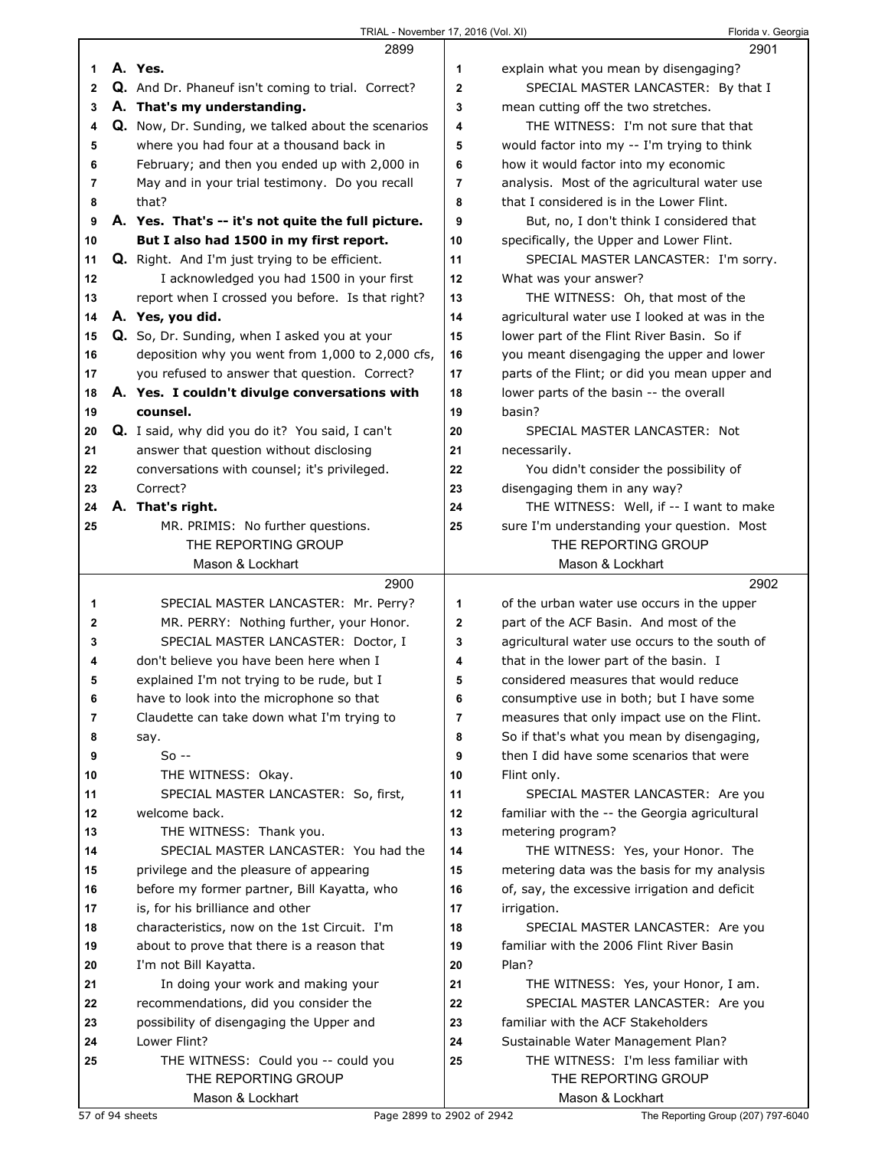|              | 2899                                                                                       |                         | 2901                                                                                   |
|--------------|--------------------------------------------------------------------------------------------|-------------------------|----------------------------------------------------------------------------------------|
| 1            | A. Yes.                                                                                    | 1                       | explain what you mean by disengaging?                                                  |
| $\mathbf{2}$ | Q. And Dr. Phaneuf isn't coming to trial. Correct?                                         | $\overline{2}$          | SPECIAL MASTER LANCASTER: By that I                                                    |
| 3            | A. That's my understanding.                                                                | 3                       | mean cutting off the two stretches.                                                    |
| 4            | Q. Now, Dr. Sunding, we talked about the scenarios                                         | $\overline{\mathbf{4}}$ | THE WITNESS: I'm not sure that that                                                    |
| 5            | where you had four at a thousand back in                                                   | 5                       | would factor into my -- I'm trying to think                                            |
| 6            | February; and then you ended up with 2,000 in                                              | 6                       | how it would factor into my economic                                                   |
| 7            | May and in your trial testimony. Do you recall                                             | $\overline{7}$          | analysis. Most of the agricultural water use                                           |
| 8            | that?                                                                                      | 8                       | that I considered is in the Lower Flint.                                               |
| 9            | A. Yes. That's -- it's not quite the full picture.                                         | 9                       | But, no, I don't think I considered that                                               |
| 10           | But I also had 1500 in my first report.                                                    | 10                      | specifically, the Upper and Lower Flint.                                               |
| 11           | Q. Right. And I'm just trying to be efficient.                                             | 11                      | SPECIAL MASTER LANCASTER: I'm sorry.                                                   |
| 12           | I acknowledged you had 1500 in your first                                                  | 12                      | What was your answer?                                                                  |
| 13           | report when I crossed you before. Is that right?                                           | 13                      | THE WITNESS: Oh, that most of the                                                      |
| 14           | A. Yes, you did.                                                                           | 14                      | agricultural water use I looked at was in the                                          |
| 15           | Q. So, Dr. Sunding, when I asked you at your                                               | 15                      | lower part of the Flint River Basin. So if                                             |
| 16           | deposition why you went from 1,000 to 2,000 cfs,                                           | 16                      | you meant disengaging the upper and lower                                              |
| 17           | you refused to answer that question. Correct?                                              | 17                      | parts of the Flint; or did you mean upper and                                          |
| 18           | A. Yes. I couldn't divulge conversations with                                              | 18                      | lower parts of the basin -- the overall                                                |
| 19           | counsel.                                                                                   | 19                      | basin?                                                                                 |
| 20           | Q. I said, why did you do it? You said, I can't                                            | 20                      | SPECIAL MASTER LANCASTER: Not                                                          |
| 21           | answer that question without disclosing                                                    | 21                      | necessarily.                                                                           |
| 22           | conversations with counsel; it's privileged.                                               | 22                      | You didn't consider the possibility of                                                 |
| 23           | Correct?                                                                                   | 23                      | disengaging them in any way?                                                           |
| 24           | A. That's right.                                                                           | 24                      | THE WITNESS: Well, if -- I want to make                                                |
| 25           | MR. PRIMIS: No further questions.                                                          | 25                      | sure I'm understanding your question. Most                                             |
|              | THE REPORTING GROUP                                                                        |                         | THE REPORTING GROUP                                                                    |
|              | Mason & Lockhart                                                                           |                         | Mason & Lockhart                                                                       |
|              |                                                                                            |                         |                                                                                        |
|              | 2900                                                                                       |                         |                                                                                        |
|              |                                                                                            |                         | 2902                                                                                   |
| 1            | SPECIAL MASTER LANCASTER: Mr. Perry?                                                       | 1                       | of the urban water use occurs in the upper                                             |
| 2            | MR. PERRY: Nothing further, your Honor.                                                    | $\mathbf{2}$            | part of the ACF Basin. And most of the                                                 |
| 3<br>4       | SPECIAL MASTER LANCASTER: Doctor, I                                                        | 3<br>4                  | agricultural water use occurs to the south of                                          |
| 5            | don't believe you have been here when I                                                    | 5                       | that in the lower part of the basin. I<br>considered measures that would reduce        |
|              | explained I'm not trying to be rude, but I                                                 |                         |                                                                                        |
| 6<br>7       | have to look into the microphone so that                                                   | 6<br>7                  | consumptive use in both; but I have some                                               |
| 8            | Claudette can take down what I'm trying to                                                 | 8                       | measures that only impact use on the Flint.                                            |
| 9            | say.<br>$So -$                                                                             | 9                       | So if that's what you mean by disengaging,<br>then I did have some scenarios that were |
| 10           |                                                                                            | 10                      | Flint only.                                                                            |
| 11           | THE WITNESS: Okay.                                                                         | 11                      | SPECIAL MASTER LANCASTER: Are you                                                      |
| 12           | SPECIAL MASTER LANCASTER: So, first,<br>welcome back.                                      | 12                      |                                                                                        |
| 13           | THE WITNESS: Thank you.                                                                    | 13                      | familiar with the -- the Georgia agricultural<br>metering program?                     |
| 14           | SPECIAL MASTER LANCASTER: You had the                                                      | 14                      | THE WITNESS: Yes, your Honor. The                                                      |
| 15           |                                                                                            | 15                      | metering data was the basis for my analysis                                            |
| 16           | privilege and the pleasure of appearing<br>before my former partner, Bill Kayatta, who     | 16                      | of, say, the excessive irrigation and deficit                                          |
| 17           | is, for his brilliance and other                                                           | 17                      | irrigation.                                                                            |
| 18           |                                                                                            | 18                      |                                                                                        |
| 19           | characteristics, now on the 1st Circuit. I'm<br>about to prove that there is a reason that | 19                      | SPECIAL MASTER LANCASTER: Are you<br>familiar with the 2006 Flint River Basin          |
| 20           | I'm not Bill Kayatta.                                                                      | 20                      | Plan?                                                                                  |
| 21           | In doing your work and making your                                                         | 21                      | THE WITNESS: Yes, your Honor, I am.                                                    |
| 22           | recommendations, did you consider the                                                      | 22                      | SPECIAL MASTER LANCASTER: Are you                                                      |
| 23           | possibility of disengaging the Upper and                                                   | 23                      | familiar with the ACF Stakeholders                                                     |
| 24           | Lower Flint?                                                                               | 24                      |                                                                                        |
| 25           | THE WITNESS: Could you -- could you                                                        | 25                      | Sustainable Water Management Plan?<br>THE WITNESS: I'm less familiar with              |
|              | THE REPORTING GROUP                                                                        |                         | THE REPORTING GROUP                                                                    |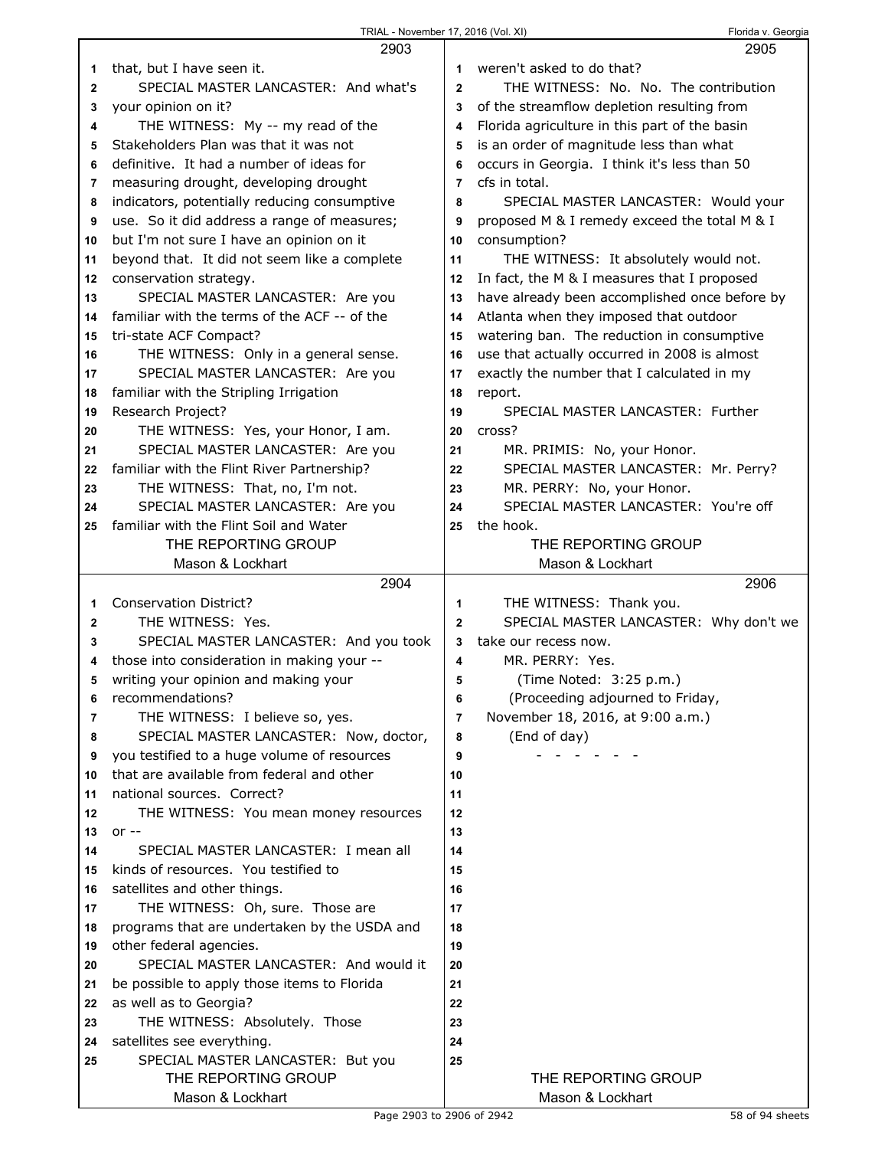|              | 2903                                                                                     |                | 2905                                                           |
|--------------|------------------------------------------------------------------------------------------|----------------|----------------------------------------------------------------|
| 1            | that, but I have seen it.                                                                | 1              | weren't asked to do that?                                      |
| $\mathbf{2}$ | SPECIAL MASTER LANCASTER: And what's                                                     | $\overline{2}$ | THE WITNESS: No. No. The contribution                          |
| 3            | your opinion on it?                                                                      | 3              | of the streamflow depletion resulting from                     |
| 4            | THE WITNESS: My -- my read of the                                                        | 4              | Florida agriculture in this part of the basin                  |
| 5            | Stakeholders Plan was that it was not                                                    | 5              | is an order of magnitude less than what                        |
| 6            | definitive. It had a number of ideas for                                                 | 6              | occurs in Georgia. I think it's less than 50                   |
| 7            | measuring drought, developing drought                                                    | $\overline{7}$ | cfs in total.                                                  |
| 8            | indicators, potentially reducing consumptive                                             | 8              | SPECIAL MASTER LANCASTER: Would your                           |
| 9            | use. So it did address a range of measures;                                              | 9              | proposed M & I remedy exceed the total M & I                   |
| 10           | but I'm not sure I have an opinion on it                                                 | 10             | consumption?                                                   |
| 11           | beyond that. It did not seem like a complete                                             | 11             | THE WITNESS: It absolutely would not.                          |
| 12           | conservation strategy.                                                                   | 12             | In fact, the M & I measures that I proposed                    |
| 13           | SPECIAL MASTER LANCASTER: Are you                                                        | 13             | have already been accomplished once before by                  |
| 14           | familiar with the terms of the ACF -- of the                                             | 14             | Atlanta when they imposed that outdoor                         |
| 15           | tri-state ACF Compact?                                                                   | 15             | watering ban. The reduction in consumptive                     |
| 16           | THE WITNESS: Only in a general sense.                                                    | 16             | use that actually occurred in 2008 is almost                   |
| 17           | SPECIAL MASTER LANCASTER: Are you                                                        | 17             | exactly the number that I calculated in my                     |
| 18           | familiar with the Stripling Irrigation                                                   | 18             | report.                                                        |
| 19           | Research Project?                                                                        | 19             | SPECIAL MASTER LANCASTER: Further                              |
| 20           | THE WITNESS: Yes, your Honor, I am.                                                      | 20             | cross?                                                         |
| 21           | SPECIAL MASTER LANCASTER: Are you                                                        | 21             | MR. PRIMIS: No, your Honor.                                    |
| 22           | familiar with the Flint River Partnership?                                               | 22             | SPECIAL MASTER LANCASTER: Mr. Perry?                           |
| 23           | THE WITNESS: That, no, I'm not.                                                          | 23             | MR. PERRY: No, your Honor.                                     |
| 24           | SPECIAL MASTER LANCASTER: Are you                                                        | 24             | SPECIAL MASTER LANCASTER: You're off                           |
| 25           | familiar with the Flint Soil and Water                                                   | 25             | the hook.                                                      |
|              | THE REPORTING GROUP                                                                      |                | THE REPORTING GROUP                                            |
|              | Mason & Lockhart                                                                         |                | Mason & Lockhart                                               |
|              |                                                                                          |                |                                                                |
|              | 2904                                                                                     |                | 2906                                                           |
| 1            | <b>Conservation District?</b>                                                            | 1              |                                                                |
| 2            |                                                                                          | $\overline{2}$ | THE WITNESS: Thank you.                                        |
| 3            | THE WITNESS: Yes.                                                                        | 3              | SPECIAL MASTER LANCASTER: Why don't we<br>take our recess now. |
| 4            | SPECIAL MASTER LANCASTER: And you took                                                   | 4              | MR. PERRY: Yes.                                                |
| 5            | those into consideration in making your --                                               | 5              |                                                                |
| 6            | writing your opinion and making your<br>recommendations?                                 | 6              | (Time Noted: 3:25 p.m.)                                        |
| 7            |                                                                                          | $\overline{7}$ | (Proceeding adjourned to Friday,                               |
| 8            | THE WITNESS: I believe so, yes.                                                          | 8              | November 18, 2016, at 9:00 a.m.)                               |
| 9            | SPECIAL MASTER LANCASTER: Now, doctor,                                                   | 9              | (End of day)                                                   |
| 10           | you testified to a huge volume of resources<br>that are available from federal and other | 10             |                                                                |
| 11           | national sources. Correct?                                                               | 11             |                                                                |
| 12           |                                                                                          | 12             |                                                                |
| 13           | THE WITNESS: You mean money resources<br>$or -$                                          | 13             |                                                                |
| 14           | SPECIAL MASTER LANCASTER: I mean all                                                     | 14             |                                                                |
| 15           | kinds of resources. You testified to                                                     | 15             |                                                                |
| 16           | satellites and other things.                                                             | 16             |                                                                |
| 17           | THE WITNESS: Oh, sure. Those are                                                         | 17             |                                                                |
| 18           | programs that are undertaken by the USDA and                                             | 18             |                                                                |
| 19           | other federal agencies.                                                                  | 19             |                                                                |
| 20           | SPECIAL MASTER LANCASTER: And would it                                                   | 20             |                                                                |
| 21           | be possible to apply those items to Florida                                              | 21             |                                                                |
| 22           | as well as to Georgia?                                                                   | 22             |                                                                |
| 23           | THE WITNESS: Absolutely. Those                                                           | 23             |                                                                |
| 24           | satellites see everything.                                                               | 24             |                                                                |
| 25           | SPECIAL MASTER LANCASTER: But you                                                        | 25             |                                                                |
|              | THE REPORTING GROUP                                                                      |                | THE REPORTING GROUP                                            |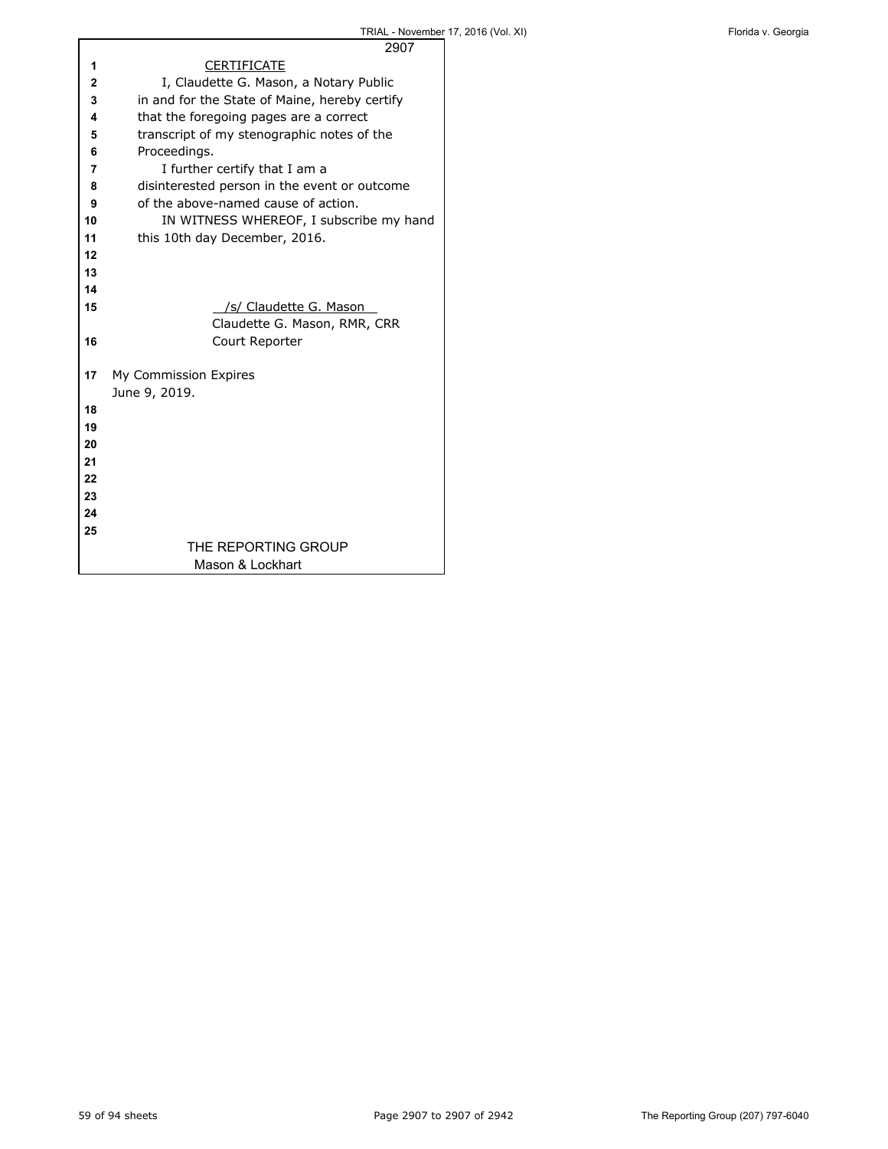|    | 2907                                          |
|----|-----------------------------------------------|
| 1  | <b>CERTIFICATE</b>                            |
| 2  | I, Claudette G. Mason, a Notary Public        |
| 3  | in and for the State of Maine, hereby certify |
| 4  | that the foregoing pages are a correct        |
| 5  | transcript of my stenographic notes of the    |
| 6  | Proceedings.                                  |
| 7  | I further certify that I am a                 |
| 8  | disinterested person in the event or outcome  |
| 9  | of the above-named cause of action.           |
| 10 | IN WITNESS WHEREOF, I subscribe my hand       |
| 11 | this 10th day December, 2016.                 |
| 12 |                                               |
| 13 |                                               |
| 14 |                                               |
| 15 | /s/ Claudette G. Mason                        |
|    | Claudette G. Mason, RMR, CRR                  |
| 16 | Court Reporter                                |
|    |                                               |
| 17 | My Commission Expires                         |
|    | June 9, 2019.                                 |
| 18 |                                               |
| 19 |                                               |
| 20 |                                               |
| 21 |                                               |
| 22 |                                               |
| 23 |                                               |
| 24 |                                               |
| 25 |                                               |
|    | THE REPORTING GROUP                           |
|    | Mason & Lockhart                              |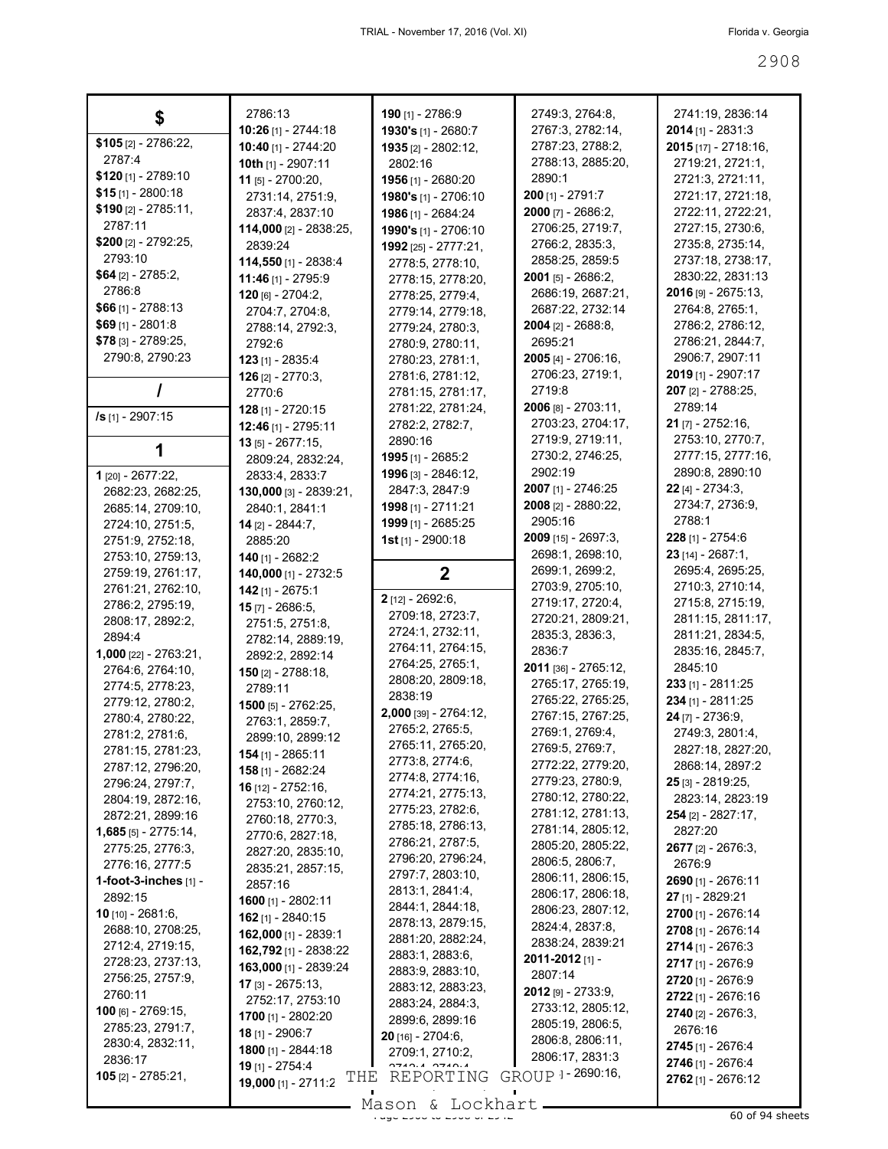|                                        | 2786:13                                    | 190 [1] - 2786:9                           | 2749:3, 2764:8,<br>2767:3, 2782:14,    | 2741:19, 2836:14<br>2014 [1] - 2831:3    |
|----------------------------------------|--------------------------------------------|--------------------------------------------|----------------------------------------|------------------------------------------|
| \$105 <sub>[2]</sub> - 2786:22,        | 10:26 [1] - 2744:18<br>10:40 [1] - 2744:20 | 1930's [1] - 2680:7<br>1935 [2] - 2802:12, | 2787:23, 2788:2,                       | $2015$ [17] - 2718:16,                   |
| 2787:4                                 | 10th [1] - 2907:11                         | 2802:16                                    | 2788:13, 2885:20,                      | 2719:21, 2721:1,                         |
| \$120 [1] - 2789:10                    | 11 [5] - 2700:20,                          | 1956 [1] - 2680:20                         | 2890:1                                 | 2721:3, 2721:11,                         |
| $$15$ [1] - 2800:18                    | 2731:14, 2751:9,                           | 1980's [1] - 2706:10                       | 200 [1] - 2791:7                       | 2721:17, 2721:18,                        |
| $$190$ [2] - 2785:11,                  | 2837:4, 2837:10                            | 1986 [1] - 2684:24                         | $2000$ [7] - 2686:2,                   | 2722:11, 2722:21,                        |
| 2787:11                                | 114,000 [2] - 2838:25,                     | 1990's [1] - 2706:10                       | 2706:25, 2719:7,                       | 2727:15, 2730:6,                         |
| \$200 [2] - 2792:25,                   | 2839:24                                    | 1992 [25] - 2777:21,                       | 2766:2, 2835:3,                        | 2735:8, 2735:14,                         |
| 2793:10                                | 114,550 [1] - 2838:4                       | 2778:5, 2778:10,                           | 2858:25, 2859:5                        | 2737:18, 2738:17,                        |
| $$64$ [2] - 2785:2,                    | 11:46 [1] - 2795:9                         | 2778:15, 2778:20,                          | $2001$ [5] - 2686:2,                   | 2830:22, 2831:13                         |
| 2786:8                                 | 120 [6] - 2704:2,                          | 2778:25, 2779:4,                           | 2686:19, 2687:21,                      | $2016$ [9] - 2675:13,                    |
| $$66$ [1] - 2788:13                    | 2704:7, 2704:8,                            | 2779:14, 2779:18,                          | 2687:22, 2732:14                       | 2764:8, 2765:1,                          |
| $$69$ [1] - 2801:8                     | 2788:14, 2792:3,                           | 2779:24, 2780:3,                           | <b>2004</b> [2] - 2688:8,              | 2786:2, 2786:12,                         |
| $$78$ [3] - 2789:25,                   | 2792:6                                     | 2780:9, 2780:11,                           | 2695:21                                | 2786:21, 2844:7,                         |
| 2790:8, 2790:23                        | 123 [1] - 2835:4                           | 2780:23, 2781:1,                           | <b>2005</b> [4] - 2706:16,             | 2906:7, 2907:11                          |
|                                        | 126 [2] - 2770:3,                          | 2781:6, 2781:12,                           | 2706:23, 2719:1,                       | 2019 [1] - 2907:17                       |
|                                        | 2770:6                                     | 2781:15, 2781:17,                          | 2719:8                                 | 207 [2] - 2788:25,                       |
|                                        | $128$ [1] - 2720:15                        | 2781:22, 2781:24,                          | 2006 [8] - 2703:11,                    | 2789:14                                  |
| /s [1] - 2907:15                       | 12:46 [1] - 2795:11                        | 2782:2, 2782:7,                            | 2703:23, 2704:17,                      | $21$ [7] - 2752:16,                      |
|                                        | $13$ [5] - 2677:15,                        | 2890:16                                    | 2719:9, 2719:11,                       | 2753:10, 2770:7,                         |
| 1                                      | 2809:24, 2832:24,                          | 1995 [1] - 2685:2                          | 2730:2, 2746:25,                       | 2777:15, 2777:16,                        |
| 1 [20] - 2677:22,                      | 2833:4, 2833:7                             | 1996 [3] - 2846:12,                        | 2902:19                                | 2890:8, 2890:10                          |
| 2682:23, 2682:25,                      | 130,000 [3] - 2839:21,                     | 2847:3, 2847:9                             | 2007 [1] - 2746:25                     | $22$ [4] - 2734:3,                       |
| 2685:14, 2709:10,                      | 2840:1, 2841:1                             | 1998 [1] - 2711:21                         | 2008 [2] - 2880:22,                    | 2734:7, 2736:9,                          |
| 2724:10, 2751:5,                       | 14 $[2] - 2844$ : 7,                       | 1999 [1] - 2685:25                         | 2905:16                                | 2788:1                                   |
| 2751:9, 2752:18,                       | 2885:20                                    | $1st$ [1] - 2900:18                        | 2009 [15] - 2697:3,                    | 228 [1] - 2754:6                         |
| 2753:10, 2759:13,                      | 140 [1] - 2682:2                           |                                            | 2698:1, 2698:10,                       | 23 [14] - 2687:1,                        |
| 2759:19, 2761:17,                      | 140,000 [1] - 2732:5                       | $\mathbf 2$                                | 2699:1, 2699:2,                        | 2695:4, 2695:25,                         |
| 2761:21, 2762:10,                      | 142 [1] - 2675:1                           |                                            | 2703:9, 2705:10,                       | 2710:3, 2710:14,                         |
| 2786:2, 2795:19,                       | 15 $[7] - 2686:5,$                         | 2 [12] - 2692:6,                           | 2719:17, 2720:4,                       | 2715:8, 2715:19,                         |
| 2808:17, 2892:2,                       | 2751:5, 2751:8,                            | 2709:18, 2723:7,                           | 2720:21, 2809:21,                      | 2811:15, 2811:17,                        |
| 2894:4                                 | 2782:14, 2889:19,                          | 2724:1, 2732:11,                           | 2835:3, 2836:3,                        | 2811:21, 2834:5,                         |
| 1,000 [22] - 2763:21,                  | 2892:2, 2892:14                            | 2764:11, 2764:15,                          | 2836:7                                 | 2835:16, 2845:7,                         |
| 2764:6, 2764:10,                       | $150$ [2] - 2788:18,                       | 2764:25, 2765:1,                           | 2011 [36] - 2765:12,                   | 2845:10                                  |
| 2774:5, 2778:23,                       | 2789:11                                    | 2808:20, 2809:18,                          | 2765:17, 2765:19,                      | $233$ [1] - 2811:25                      |
| 2779:12, 2780:2,                       | 1500 [5] - 2762:25,                        | 2838:19                                    | 2765:22, 2765:25,                      | 234 [1] - 2811:25                        |
| 2780:4, 2780:22,                       | 2763:1, 2859:7,                            | 2,000 [39] - 2764:12,                      | 2767:15, 2767:25,                      | $24$ [7] - 2736:9,                       |
| 2781:2, 2781:6,                        | 2899:10, 2899:12                           | 2765:2, 2765:5,                            | 2769:1, 2769:4,                        | 2749:3, 2801:4,                          |
| 2781:15, 2781:23,                      | 154 [1] - 2865:11                          | 2765:11, 2765:20,<br>2773:8, 2774:6,       | 2769:5, 2769:7,                        | 2827:18, 2827:20,                        |
| 2787:12, 2796:20,                      | 158 [1] - 2682:24                          | 2774:8, 2774:16,                           | 2772:22, 2779:20,                      | 2868:14, 2897:2                          |
| 2796:24, 2797:7,                       | 16 [12] - 2752:16,                         | 2774:21, 2775:13,                          | 2779:23, 2780:9,                       | $25$ [3] - 2819:25,                      |
| 2804:19, 2872:16,                      | 2753:10, 2760:12,                          | 2775:23, 2782:6,                           | 2780:12, 2780:22,                      | 2823:14, 2823:19                         |
| 2872:21, 2899:16                       | 2760:18, 2770:3,                           | 2785:18, 2786:13,                          | 2781:12, 2781:13,<br>2781:14, 2805:12, | $254$ [2] - 2827:17,                     |
| $1,685$ [5] - 2775:14,                 | 2770:6, 2827:18,                           | 2786:21, 2787:5,                           | 2805:20, 2805:22,                      | 2827:20                                  |
| 2775:25, 2776:3,                       | 2827:20, 2835:10,                          | 2796:20, 2796:24,                          | 2806:5, 2806:7,                        | 2677 [2] - 2676:3,                       |
| 2776:16, 2777:5                        | 2835:21, 2857:15,                          | 2797:7, 2803:10,                           | 2806:11, 2806:15,                      | 2676:9                                   |
| 1-foot-3-inches [1] -                  | 2857:16                                    | 2813:1, 2841:4,                            | 2806:17, 2806:18,                      | 2690 [1] - 2676:11                       |
| 2892:15                                | 1600 [1] - 2802:11                         | 2844:1, 2844:18,                           | 2806:23, 2807:12,                      | 27 [1] - 2829:21                         |
| 10 [10] - 2681:6,<br>2688:10, 2708:25, | 162 [1] - 2840:15                          | 2878:13, 2879:15,                          | 2824:4, 2837:8,                        | 2700 [1] - 2676:14<br>2708 [1] - 2676:14 |
| 2712:4, 2719:15,                       | 162,000 [1] - 2839:1                       | 2881:20, 2882:24,                          | 2838:24, 2839:21                       |                                          |
| 2728:23, 2737:13,                      | 162,792 [1] - 2838:22                      | 2883:1, 2883:6,                            | 2011-2012 [1] -                        | $2714$ [1] - 2676:3                      |
| 2756:25, 2757:9,                       | 163,000 [1] - 2839:24                      | 2883:9, 2883:10,                           | 2807:14                                | 2717 [1] - 2676:9<br>2720 [1] - 2676:9   |
| 2760:11                                | $17$ [3] - 2675:13,                        | 2883:12, 2883:23,                          | 2012 [9] - 2733:9,                     | 2722 [1] - 2676:16                       |
| 100 [6] - 2769:15,                     | 2752:17, 2753:10                           | 2883:24, 2884:3,                           | 2733:12, 2805:12,                      | $2740$ [2] - 2676:3,                     |
| 2785:23, 2791:7,                       | 1700 [1] - 2802:20                         | 2899:6, 2899:16                            | 2805:19, 2806:5,                       | 2676:16                                  |
| 2830:4, 2832:11,                       | <b>18</b> [1] - 2906:7                     | $20$ [16] - 2704:6,                        | 2806:8, 2806:11,                       | 2745 [1] - 2676:4                        |
| 2836:17                                | 1800 [1] - 2844:18                         | 2709:1, 2710:2,                            | 2806:17, 2831:3                        |                                          |
| $105$ [2] - 2785:21,                   | 19 [1] - 2754:4<br>THE                     | $0740.4$ $0740.4$<br>REPORTING             | GROUP 1-2690:16,                       | 2746 [1] - 2676:4<br>2762 [1] - 2676:12  |
|                                        | 19,000 [1] - 2711:2                        |                                            |                                        |                                          |

Mason & Lockhart 11, 1998 of 94 sheets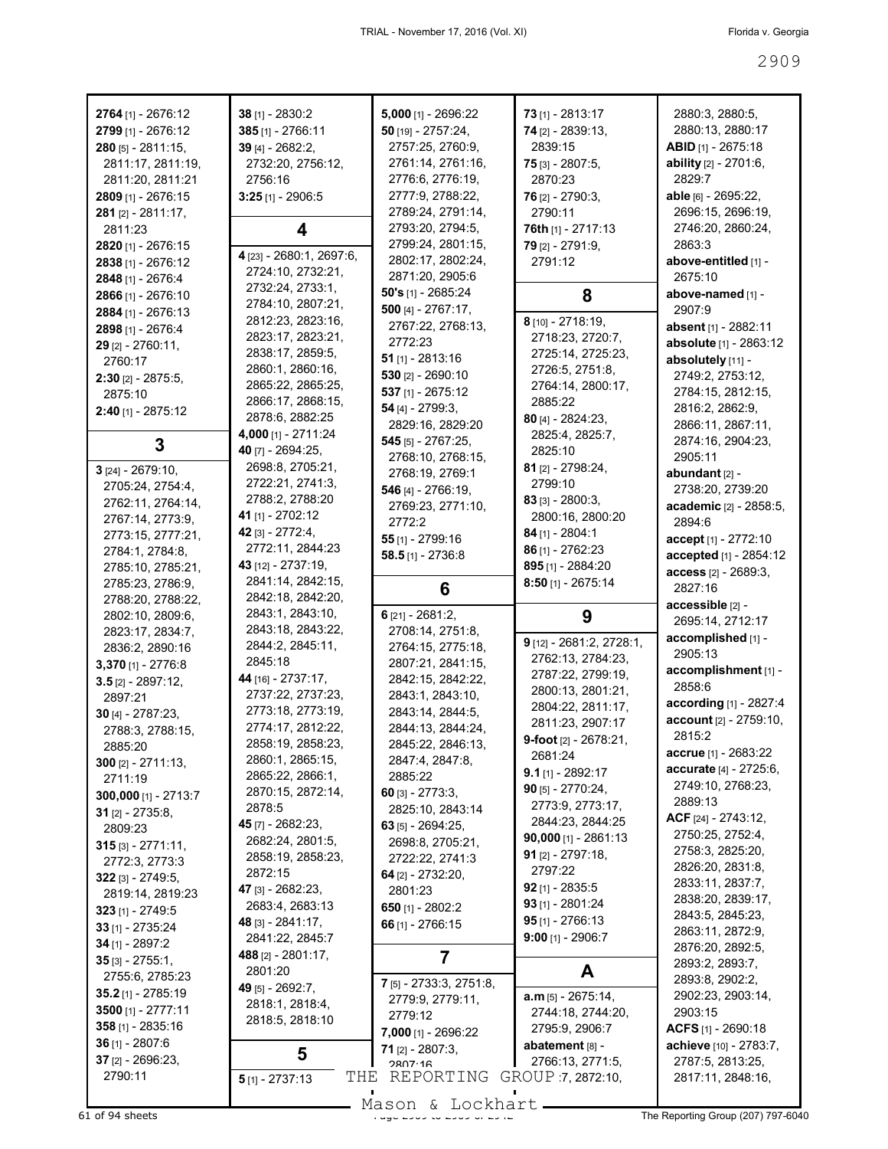| 2764 [1] - 2676:12      | 38 [1] - 2830:2          | 5,000 [1] - 2696:22     | $73$ [1] - 2813:17            | 2880:3, 2880:5,                    |
|-------------------------|--------------------------|-------------------------|-------------------------------|------------------------------------|
|                         |                          |                         |                               | 2880:13, 2880:17                   |
| 2799 [1] - 2676:12      | 385 [1] - 2766:11        | 50 [19] - $2757:24$ ,   | $74$ [2] - 2839:13,           |                                    |
| $280$ [5] - $2811:15$ , | 39 [4] - 2682:2,         | 2757:25, 2760:9,        | 2839:15                       | <b>ABID</b> [1] - 2675:18          |
| 2811:17, 2811:19,       | 2732:20, 2756:12,        | 2761:14, 2761:16,       | $75$ [3] - 2807:5,            | ability [2] - 2701:6,              |
| 2811:20, 2811:21        | 2756:16                  | 2776:6, 2776:19,        | 2870:23                       | 2829:7                             |
| 2809 [1] - 2676:15      | $3:25$ [1] - 2906:5      | 2777:9, 2788:22,        | 76 [2] - 2790:3,              | able [6] - 2695:22,                |
| 281 [2] - 2811:17,      |                          | 2789:24, 2791:14,       | 2790:11                       | 2696:15, 2696:19,                  |
| 2811:23                 | 4                        | 2793:20, 2794:5,        | 76th [1] - 2717:13            | 2746:20, 2860:24,                  |
| 2820 [1] - 2676:15      |                          | 2799:24, 2801:15,       | 79 [2] - 2791:9,              | 2863:3                             |
|                         | 4 [23] - 2680:1, 2697:6, | 2802:17, 2802:24,       |                               |                                    |
| 2838 [1] - 2676:12      | 2724:10, 2732:21,        |                         | 2791:12                       | above-entitled [1] -               |
| 2848 [1] - 2676:4       | 2732:24, 2733:1,         | 2871:20, 2905:6         |                               | 2675:10                            |
| 2866 [1] - 2676:10      | 2784:10, 2807:21,        | $50's$ [1] - 2685:24    | 8                             | above-named [1] -                  |
| 2884 [1] - 2676:13      |                          | 500 [4] - 2767:17,      |                               | 2907:9                             |
| 2898 [1] - 2676:4       | 2812:23, 2823:16,        | 2767:22, 2768:13,       | 8 [10] - 2718:19,             | absent [1] - 2882:11               |
| 29 [2] - 2760:11,       | 2823:17, 2823:21,        | 2772:23                 | 2718:23, 2720:7,              | absolute [1] - 2863:12             |
| 2760:17                 | 2838:17, 2859:5,         | $51$ [1] - 2813:16      | 2725:14, 2725:23,             | absolutely [11] -                  |
|                         | 2860:1, 2860:16,         | $530$ [2] - 2690:10     | 2726:5, 2751:8,               | 2749:2, 2753:12,                   |
| $2:30$ [2] - 2875:5,    | 2865:22, 2865:25,        | 537 $[1] - 2675:12$     | 2764:14, 2800:17,             | 2784:15, 2812:15,                  |
| 2875:10                 | 2866:17, 2868:15,        |                         | 2885:22                       |                                    |
| $2:40$ [1] - 2875:12    | 2878:6, 2882:25          | 54 [4] - 2799:3,        | $80$ [4] - 2824:23,           | 2816:2, 2862:9,                    |
|                         | 4,000 [1] - 2711:24      | 2829:16, 2829:20        | 2825:4, 2825:7,               | 2866:11, 2867:11,                  |
| 3                       | 40 [7] - 2694:25,        | $545$ [5] - 2767:25,    | 2825:10                       | 2874:16, 2904:23,                  |
|                         |                          | 2768:10, 2768:15,       |                               | 2905:11                            |
| $3$ [24] - 2679:10,     | 2698:8, 2705:21,         | 2768:19, 2769:1         | 81 [2] - 2798:24,             | abundant [2] -                     |
| 2705:24, 2754:4,        | 2722:21, 2741:3,         | 546 [4] - 2766:19,      | 2799:10                       | 2738:20, 2739:20                   |
| 2762:11, 2764:14,       | 2788:2, 2788:20          | 2769:23, 2771:10,       | $83$ [3] - 2800:3,            | academic [2] - 2858:5,             |
| 2767:14, 2773:9,        | 41 [1] - 2702:12         | 2772:2                  | 2800:16, 2800:20              | 2894:6                             |
| 2773:15, 2777:21,       | 42 [3] - 2772:4,         | 55 [1] - 2799:16        | $84$ [1] - 2804:1             | accept [1] - 2772:10               |
| 2784:1, 2784:8,         | 2772:11, 2844:23         |                         | $86$ [1] - 2762:23            |                                    |
| 2785:10, 2785:21,       | 43 [12] - 2737:19,       | 58.5 $[1] - 2736.8$     | 895 [1] - 2884:20             | accepted [1] - 2854:12             |
|                         | 2841:14, 2842:15,        |                         | $8:50$ [1] - 2675:14          | access [2] - 2689:3,               |
| 2785:23, 2786:9,        | 2842:18, 2842:20,        | 6                       |                               | 2827:16                            |
| 2788:20, 2788:22,       | 2843:1, 2843:10,         |                         |                               | accessible [2] -                   |
|                         |                          |                         |                               |                                    |
| 2802:10, 2809:6,        |                          | 6 $[21] - 2681:2,$      | 9                             | 2695:14, 2712:17                   |
| 2823:17, 2834:7,        | 2843:18, 2843:22,        | 2708:14, 2751:8,        |                               |                                    |
| 2836:2, 2890:16         | 2844:2, 2845:11,         | 2764:15, 2775:18,       | 9 [12] - 2681:2, 2728:1,      | accomplished [1] -                 |
| $3,370$ [1] - 2776:8    | 2845:18                  | 2807:21, 2841:15,       | 2762:13, 2784:23,             | 2905:13                            |
|                         | 44 [16] - 2737:17,       | 2842:15, 2842:22,       | 2787:22, 2799:19,             | accomplishment [1] -               |
| $3.5$ [2] - 2897:12,    | 2737:22, 2737:23,        | 2843:1, 2843:10,        | 2800:13, 2801:21,             | 2858:6                             |
| 2897:21                 |                          |                         | 2804:22, 2811:17,             | according [1] - 2827:4             |
| $30$ [4] - 2787:23,     | 2773:18, 2773:19,        | 2843:14, 2844:5,        | 2811:23, 2907:17              | account [2] - 2759:10,             |
| 2788:3, 2788:15,        | 2774:17, 2812:22,        | 2844:13, 2844:24,       |                               | 2815:2                             |
| 2885:20                 | 2858:19, 2858:23,        | 2845:22, 2846:13,       | 9-foot [2] - 2678:21,         | accrue [1] - 2683:22               |
| $300$ [2] - 2711:13,    | 2860:1, 2865:15,         | 2847:4, 2847:8,         | 2681:24                       | accurate [4] - 2725:6,             |
| 2711:19                 | 2865:22, 2866:1,         | 2885:22                 | $9.1$ [1] - 2892:17           |                                    |
| 300,000 [1] - 2713:7    | 2870:15, 2872:14,        | 60 $[3] - 2773:3$       | $90$ [5] - 2770:24,           | 2749:10, 2768:23,                  |
| $31$ [2] - 2735:8,      | 2878:5                   | 2825:10, 2843:14        | 2773:9, 2773:17,              | 2889:13                            |
| 2809:23                 | 45 [7] - 2682:23,        | 63 $[5] - 2694:25$      | 2844:23, 2844:25              | ACF [24] - 2743:12,                |
|                         | 2682:24, 2801:5,         | 2698:8, 2705:21,        | 90,000 [1] - 2861:13          | 2750:25, 2752:4,                   |
| $315$ [3] - 2771:11,    | 2858:19, 2858:23,        | 2722:22, 2741:3         | 91 $[2] - 2797:18$            | 2758:3, 2825:20,                   |
| 2772:3, 2773:3          | 2872:15                  |                         | 2797:22                       | 2826:20, 2831:8,                   |
| $322$ [3] - 2749:5,     |                          | 64 $[2] - 2732:20,$     | $92$ [1] - 2835:5             | 2833:11, 2837:7,                   |
| 2819:14, 2819:23        | 47 [3] - 2682:23,        | 2801:23                 |                               | 2838:20, 2839:17,                  |
| 323 [1] - 2749:5        | 2683:4, 2683:13          | 650 [1] - 2802:2        | $93$ [1] - 2801:24            | 2843:5, 2845:23,                   |
| 33 [1] - 2735:24        | 48 [3] - 2841:17,        | 66 [1] - 2766:15        | $95$ <sub>[1]</sub> - 2766:13 | 2863:11, 2872:9,                   |
| 34 [1] - 2897:2         | 2841:22, 2845:7          |                         | $9:00$ [1] - 2906:7           | 2876:20, 2892:5,                   |
| $35$ [3] - 2755:1,      | 488 [2] - 2801:17,       | 7                       |                               |                                    |
| 2755:6, 2785:23         | 2801:20                  |                         | A                             | 2893:2, 2893:7,                    |
|                         | 49 [5] - 2692:7,         | 7 [5] - 2733:3, 2751:8, |                               | 2893:8, 2902:2,                    |
| $35.2$ [1] - 2785:19    | 2818:1, 2818:4,          | 2779:9, 2779:11,        | $a.m$ [5] - 2675:14,          | 2902:23, 2903:14,                  |
| 3500 $[1] - 2777$ :11   | 2818:5, 2818:10          | 2779:12                 | 2744:18, 2744:20,             | 2903:15                            |
| $358$ [1] - 2835:16     |                          | 7,000 [1] - 2696:22     | 2795:9, 2906:7                | ACFS $[1]$ - 2690:18               |
| 36 [1] - 2807:6         |                          | 71 $[2] - 2807:3$ ,     | abatement [8] -               | achieve [10] - 2783:7,             |
| 37 [2] - 2696:23,       | 5                        | 2807.16                 | 2766:13, 2771:5,              | 2787:5, 2813:25,                   |
| 2790:11                 | $5$ [1] - 2737:13        | THE REPORTING           | GROUP 7, 2872:10,             | 2817:11, 2848:16,                  |
|                         |                          |                         |                               |                                    |
| 61 of 94 sheets         |                          | Mason & Lockhart_       |                               | The Reporting Group (207) 797-6040 |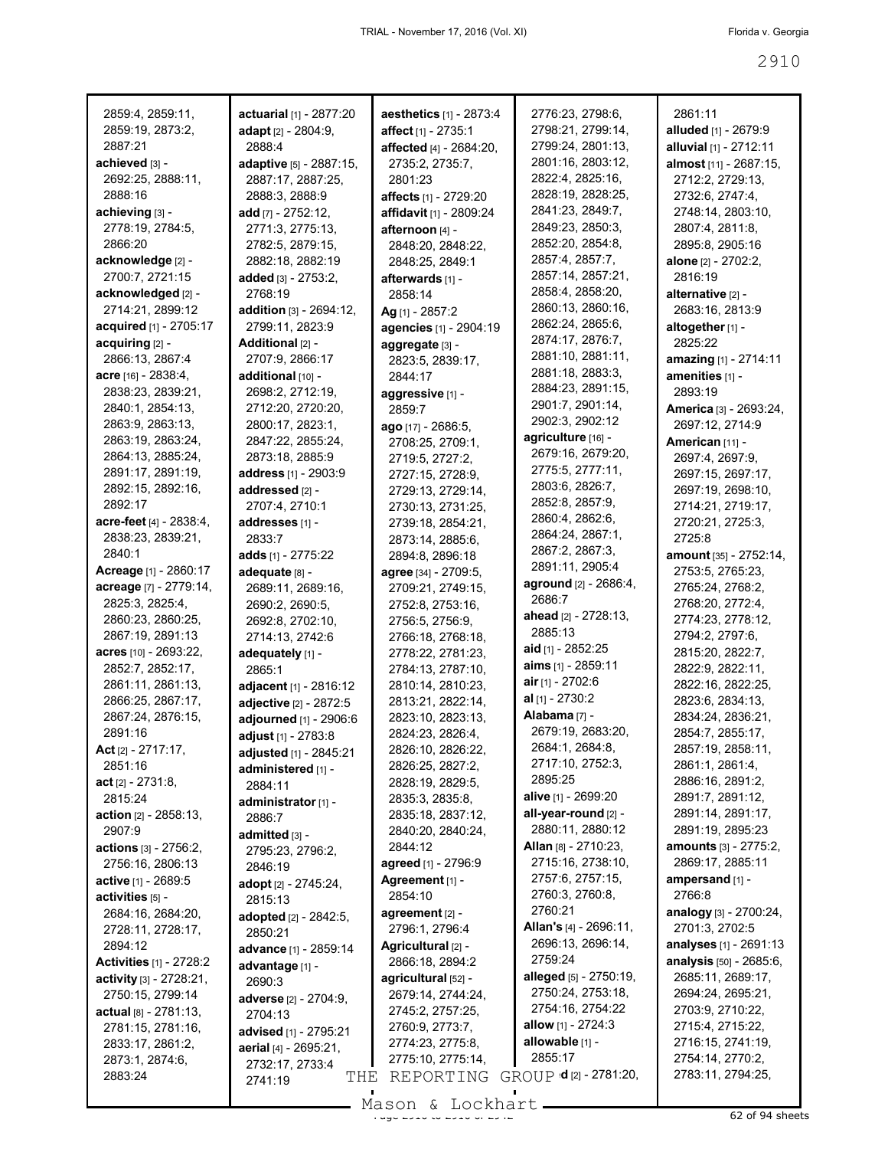| 2859:4, 2859:11,                                  | actuarial [1] - 2877:20             | aesthetics [1] - 2873:4                   | 2776:23, 2798:6,                        | 2861:11                                    |
|---------------------------------------------------|-------------------------------------|-------------------------------------------|-----------------------------------------|--------------------------------------------|
| 2859:19, 2873:2,                                  | adapt $[2] - 2804:9$ ,              | affect [1] - 2735:1                       | 2798:21, 2799:14,                       | alluded [1] - 2679:9                       |
| 2887:21                                           | 2888:4                              | affected [4] - 2684:20,                   | 2799:24, 2801:13,                       | alluvial [1] - 2712:11                     |
| achieved [3] -                                    | adaptive [5] - 2887:15,             | 2735:2, 2735:7,                           | 2801:16, 2803:12,                       | almost [11] - 2687:15,                     |
| 2692:25, 2888:11,                                 | 2887:17, 2887:25,                   | 2801:23                                   | 2822:4, 2825:16,                        | 2712:2, 2729:13,                           |
| 2888:16                                           | 2888:3, 2888:9                      | affects [1] - 2729:20                     | 2828:19, 2828:25,                       | 2732:6, 2747:4,                            |
| achieving [3] -                                   | add [7] - 2752:12,                  | affidavit [1] - 2809:24                   | 2841:23, 2849:7,                        | 2748:14, 2803:10,                          |
| 2778:19, 2784:5,                                  | 2771:3, 2775:13,                    | afternoon [4] -                           | 2849:23, 2850:3,                        | 2807:4, 2811:8,                            |
| 2866:20                                           | 2782:5, 2879:15,                    | 2848:20, 2848:22,                         | 2852:20, 2854:8,                        | 2895:8, 2905:16                            |
| acknowledge [2] -                                 | 2882:18, 2882:19                    | 2848:25, 2849:1                           | 2857:4, 2857:7,                         | alone [2] - 2702:2,                        |
| 2700:7, 2721:15                                   | added [3] - 2753:2,                 | afterwards [1] -                          | 2857:14, 2857:21,                       | 2816:19                                    |
| acknowledged [2] -                                | 2768:19                             | 2858:14                                   | 2858:4, 2858:20,                        | alternative [2] -                          |
| 2714:21, 2899:12                                  | addition [3] - 2694:12,             | Ag [1] - 2857:2                           | 2860:13, 2860:16,                       | 2683:16, 2813:9                            |
| acquired [1] - 2705:17                            | 2799:11, 2823:9                     | agencies [1] - 2904:19                    | 2862:24, 2865:6,                        | altogether [1] -                           |
| acquiring [2] -                                   | Additional [2] -                    | aggregate [3] -                           | 2874:17, 2876:7,                        | 2825:22                                    |
| 2866:13, 2867:4                                   | 2707:9, 2866:17                     | 2823:5, 2839:17,                          | 2881:10, 2881:11,                       | amazing [1] - 2714:11                      |
| acre [16] - 2838:4,                               | additional [10] -                   | 2844:17                                   | 2881:18, 2883:3,                        | amenities [1] -                            |
| 2838:23, 2839:21,                                 | 2698:2, 2712:19,                    | aggressive [1] -                          | 2884:23, 2891:15,                       | 2893:19                                    |
| 2840:1, 2854:13,                                  | 2712:20, 2720:20,                   | 2859:7                                    | 2901:7, 2901:14,                        | <b>America</b> [3] - 2693:24,              |
| 2863:9, 2863:13,                                  | 2800:17, 2823:1,                    | ago [17] - 2686:5,                        | 2902:3, 2902:12                         | 2697:12, 2714:9                            |
| 2863:19, 2863:24,                                 | 2847:22, 2855:24,                   | 2708:25, 2709:1,                          | agriculture [16] -<br>2679:16, 2679:20, | American [11] -                            |
| 2864:13, 2885:24,                                 | 2873:18, 2885:9                     | 2719:5, 2727:2,                           | 2775:5, 2777:11,                        | 2697:4, 2697:9,                            |
| 2891:17, 2891:19,                                 | address [1] - 2903:9                | 2727:15, 2728:9,                          | 2803:6, 2826:7,                         | 2697:15, 2697:17,                          |
| 2892:15, 2892:16,                                 | addressed [2] -                     | 2729:13, 2729:14,                         | 2852:8, 2857:9,                         | 2697:19, 2698:10,                          |
| 2892:17                                           | 2707:4, 2710:1                      | 2730:13, 2731:25,                         | 2860:4, 2862:6,                         | 2714:21, 2719:17,                          |
| acre-feet [4] - 2838:4,                           | addresses [1] -                     | 2739:18, 2854:21,                         | 2864:24, 2867:1,                        | 2720:21, 2725:3,                           |
| 2838:23, 2839:21,<br>2840:1                       | 2833:7                              | 2873:14, 2885:6,                          | 2867:2, 2867:3,                         | 2725:8                                     |
| Acreage [1] - 2860:17                             | adds [1] - 2775:22                  | 2894:8, 2896:18                           | 2891:11, 2905:4                         | amount [35] - 2752:14,<br>2753:5, 2765:23, |
| acreage [7] - 2779:14,                            | adequate [8] -<br>2689:11, 2689:16, | agree [34] - 2709:5,<br>2709:21, 2749:15, | aground [2] - 2686:4,                   | 2765:24, 2768:2,                           |
| 2825:3, 2825:4,                                   | 2690:2, 2690:5,                     | 2752:8, 2753:16,                          | 2686:7                                  | 2768:20, 2772:4,                           |
| 2860:23, 2860:25,                                 | 2692:8, 2702:10,                    | 2756:5, 2756:9,                           | <b>ahead</b> [2] - 2728:13,             | 2774:23, 2778:12,                          |
| 2867:19, 2891:13                                  | 2714:13, 2742:6                     | 2766:18, 2768:18,                         | 2885:13                                 | 2794:2, 2797:6,                            |
| acres [10] - 2693:22,                             | adequately [1] -                    | 2778:22, 2781:23,                         | aid $[1]$ - 2852:25                     | 2815:20, 2822:7,                           |
| 2852:7, 2852:17,                                  | 2865:1                              | 2784:13, 2787:10,                         | aims [1] - 2859:11                      | 2822:9, 2822:11,                           |
| 2861:11, 2861:13,                                 | adjacent [1] - 2816:12              | 2810:14, 2810:23,                         | air $[1] - 2702:6$                      | 2822:16, 2822:25,                          |
| 2866:25, 2867:17,                                 | adjective [2] - 2872:5              | 2813:21, 2822:14,                         | al [1] - 2730:2                         | 2823:6, 2834:13,                           |
| 2867:24, 2876:15,                                 | adjourned [1] - 2906:6              | 2823:10, 2823:13,                         | Alabama <sub>[7]</sub> -                | 2834:24, 2836:21,                          |
| 2891:16                                           | adjust [1] - 2783:8                 | 2824:23, 2826:4,                          | 2679:19, 2683:20,                       | 2854:7, 2855:17,                           |
| Act $[2] - 2717:17$ ,                             | adjusted [1] - 2845:21              | 2826:10, 2826:22,                         | 2684:1, 2684:8,                         | 2857:19, 2858:11,                          |
| 2851:16                                           | administered [1] -                  | 2826:25, 2827:2,                          | 2717:10, 2752:3,                        | 2861:1, 2861:4,                            |
| $act_{[2]} - 2731:8,$                             | 2884:11                             | 2828:19, 2829:5,                          | 2895:25                                 | 2886:16, 2891:2,                           |
| 2815:24                                           | administrator [1] -                 | 2835:3, 2835:8,                           | <b>alive</b> [1] - 2699:20              | 2891:7, 2891:12,                           |
| action [2] - 2858:13,                             | 2886:7                              | 2835:18, 2837:12,                         | all-year-round [2] -                    | 2891:14, 2891:17,                          |
| 2907:9                                            | admitted [3] -                      | 2840:20, 2840:24,                         | 2880:11, 2880:12                        | 2891:19, 2895:23                           |
| actions [3] - 2756:2,                             | 2795:23, 2796:2,                    | 2844:12                                   | Allan [8] - 2710:23,                    | <b>amounts</b> [3] - 2775:2,               |
| 2756:16, 2806:13                                  | 2846:19                             | agreed [1] - 2796:9                       | 2715:16, 2738:10,                       | 2869:17, 2885:11                           |
| <b>active</b> [1] - 2689:5                        | adopt [2] - 2745:24,                | Agreement [1] -                           | 2757:6, 2757:15,                        | ampersand [1] -                            |
| activities [5] -                                  | 2815:13                             | 2854:10                                   | 2760:3, 2760:8,<br>2760:21              | 2766:8                                     |
| 2684:16, 2684:20,                                 | adopted [2] - 2842:5,               | agreement [2] -                           | <b>Allan's</b> $[4] - 2696:11$ ,        | analogy [3] - 2700:24,                     |
| 2728:11, 2728:17,                                 | 2850:21                             | 2796:1, 2796:4                            | 2696:13, 2696:14,                       | 2701:3, 2702:5<br>analyses [1] - 2691:13   |
| 2894:12                                           | advance [1] - 2859:14               | Agricultural [2] -                        | 2759:24                                 | analysis [50] - 2685:6,                    |
| <b>Activities [1] - 2728:2</b>                    | advantage [1] -                     | 2866:18, 2894:2<br>agricultural [52] -    | alleged [5] - 2750:19,                  | 2685:11, 2689:17,                          |
| activity [3] - 2728:21,                           | 2690:3                              | 2679:14, 2744:24,                         | 2750:24, 2753:18,                       | 2694:24, 2695:21,                          |
| 2750:15, 2799:14<br><b>actual</b> $[8] - 2781:13$ | <b>adverse</b> [2] - 2704:9,        | 2745:2, 2757:25,                          | 2754:16, 2754:22                        | 2703:9, 2710:22,                           |
| 2781:15, 2781:16,                                 | 2704:13                             | 2760:9, 2773:7,                           | allow [1] - 2724:3                      | 2715:4, 2715:22,                           |
| 2833:17, 2861:2,                                  | advised [1] - 2795:21               | 2774:23, 2775:8,                          | allowable [1] -                         | 2716:15, 2741:19,                          |
| 2873:1, 2874:6,                                   | aerial [4] - 2695:21,               | 2775:10, 2775:14,                         | 2855:17                                 | 2754:14, 2770:2,                           |
| 2883:24                                           | 2732:17, 2733:4<br>THE<br>2741:19   | REPORTING                                 | GROUP <b>d</b> [2] - 2781:20,           | 2783:11, 2794:25,                          |
|                                                   |                                     |                                           |                                         |                                            |

 $\frac{200011}{x}$  to  $\frac{20011101}{x}$  of  $\frac{200011101}{x}$  62 of 94 sheets Mason & Lockhart.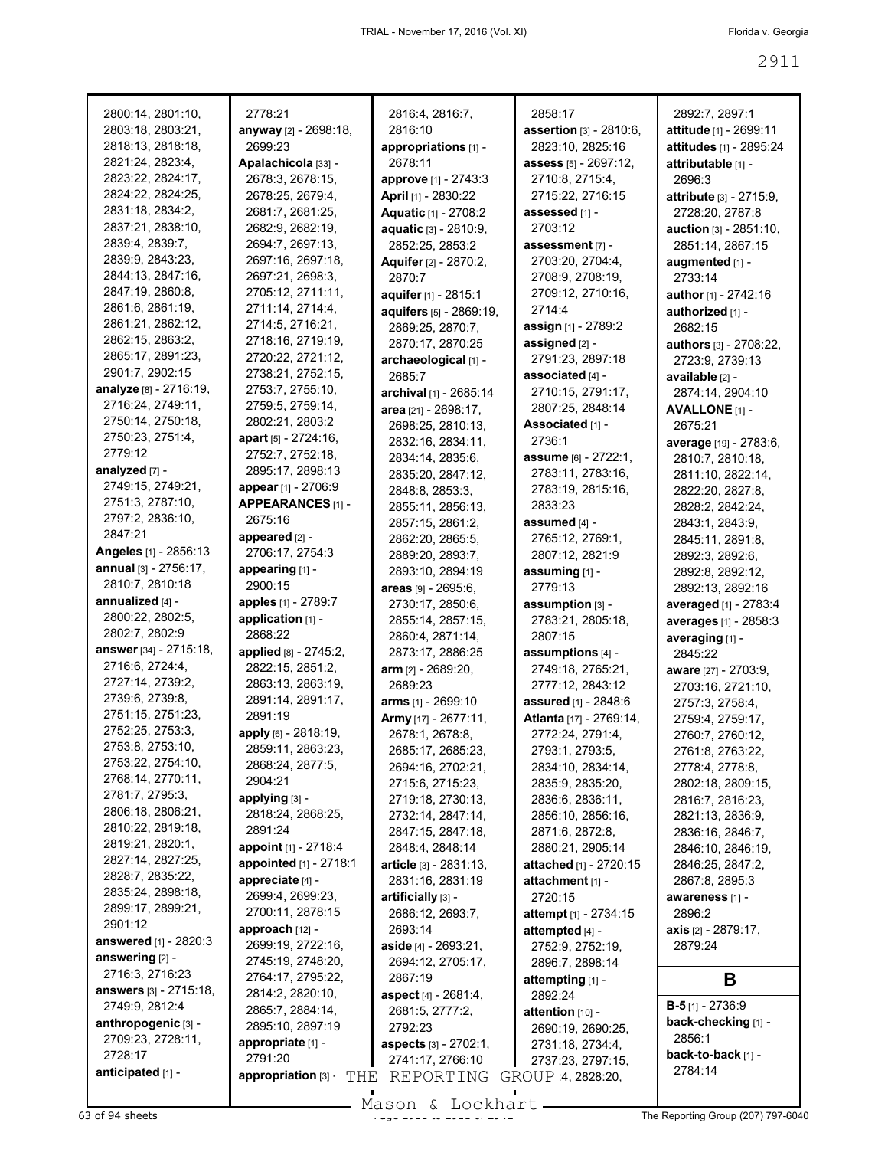| 2800:14, 2801:10,             | 2778:21                                  | 2816:4, 2816:7,              | 2858:17                               | 2892:7, 2897:1                |
|-------------------------------|------------------------------------------|------------------------------|---------------------------------------|-------------------------------|
| 2803:18, 2803:21,             | <b>anyway</b> [2] - 2698:18,             | 2816:10                      | assertion [3] - 2810:6,               | attitude [1] - 2699:11        |
| 2818:13, 2818:18,             | 2699:23                                  | appropriations [1] -         | 2823:10, 2825:16                      | attitudes [1] - 2895:24       |
| 2821:24, 2823:4,              | Apalachicola [33] -                      | 2678:11                      | assess [5] - 2697:12,                 | attributable [1] -            |
| 2823:22, 2824:17,             | 2678:3, 2678:15,                         | approve [1] - 2743:3         | 2710:8, 2715:4,                       | 2696:3                        |
| 2824:22, 2824:25,             | 2678:25, 2679:4,                         | April [1] - 2830:22          | 2715:22, 2716:15                      | attribute [3] - 2715:9,       |
| 2831:18, 2834:2,              | 2681:7, 2681:25,                         | Aquatic [1] - 2708:2         | assessed [1] -                        | 2728:20, 2787:8               |
| 2837:21, 2838:10,             | 2682:9, 2682:19,                         | aquatic [3] - 2810:9,        | 2703:12                               | <b>auction</b> [3] - 2851:10, |
| 2839:4, 2839:7,               | 2694:7, 2697:13,                         | 2852:25, 2853:2              | assessment אז -                       | 2851:14, 2867:15              |
| 2839:9, 2843:23,              | 2697:16, 2697:18,                        | Aquifer [2] - 2870:2,        | 2703:20, 2704:4,                      | augmented [1] -               |
| 2844:13, 2847:16,             | 2697:21, 2698:3,                         | 2870:7                       | 2708:9, 2708:19,                      | 2733:14                       |
| 2847:19, 2860:8,              | 2705:12, 2711:11,                        | aquifer [1] - 2815:1         | 2709:12, 2710:16,                     | <b>author</b> [1] - 2742:16   |
| 2861:6, 2861:19,              | 2711:14, 2714:4,                         | aquifers [5] - 2869:19,      | 2714:4                                | authorized [1] -              |
| 2861:21, 2862:12,             | 2714:5, 2716:21,                         | 2869:25, 2870:7,             | <b>assign</b> [1] - 2789:2            | 2682:15                       |
| 2862:15, 2863:2,              | 2718:16, 2719:19,                        | 2870:17, 2870:25             | assigned [2] -                        |                               |
| 2865:17, 2891:23,             | 2720:22, 2721:12,                        |                              | 2791:23, 2897:18                      | <b>authors</b> [3] - 2708:22, |
| 2901:7, 2902:15               | 2738:21, 2752:15,                        | archaeological [1] -         | associated [4] -                      | 2723:9, 2739:13               |
| analyze [8] - 2716:19,        | 2753:7, 2755:10,                         | 2685:7                       |                                       | available [2] -               |
| 2716:24, 2749:11,             | 2759:5, 2759:14,                         | archival [1] - 2685:14       | 2710:15, 2791:17,<br>2807:25, 2848:14 | 2874:14, 2904:10              |
| 2750:14, 2750:18,             | 2802:21, 2803:2                          | area [21] - 2698:17,         | Associated [1] -                      | <b>AVALLONE [1] -</b>         |
| 2750:23, 2751:4,              | apart [5] - 2724:16,                     | 2698:25, 2810:13,            | 2736:1                                | 2675:21                       |
| 2779:12                       | 2752:7, 2752:18,                         | 2832:16, 2834:11,            |                                       | average [19] - 2783:6,        |
| analyzed [7] -                | 2895:17, 2898:13                         | 2834:14, 2835:6,             | assume [6] - 2722:1,                  | 2810:7, 2810:18,              |
| 2749:15, 2749:21,             | appear [1] - 2706:9                      | 2835:20, 2847:12,            | 2783:11, 2783:16,                     | 2811:10, 2822:14,             |
| 2751:3, 2787:10,              | APPEARANCES [1] -                        | 2848:8, 2853:3,              | 2783:19, 2815:16,                     | 2822:20, 2827:8,              |
| 2797:2, 2836:10,              | 2675:16                                  | 2855:11, 2856:13,            | 2833:23                               | 2828:2, 2842:24,              |
| 2847:21                       | appeared [2] -                           | 2857:15, 2861:2,             | assumed [4] -                         | 2843:1, 2843:9,               |
| Angeles [1] - 2856:13         | 2706:17, 2754:3                          | 2862:20, 2865:5,             | 2765:12, 2769:1,                      | 2845:11, 2891:8,              |
| annual [3] - 2756:17,         |                                          | 2889:20, 2893:7,             | 2807:12, 2821:9                       | 2892:3, 2892:6,               |
| 2810:7, 2810:18               | appearing [1] -<br>2900:15               | 2893:10, 2894:19             | assuming [1] -                        | 2892:8, 2892:12,              |
| annualized [4] -              |                                          | areas [9] - 2695:6,          | 2779:13                               | 2892:13, 2892:16              |
| 2800:22, 2802:5,              | apples [1] - 2789:7<br>application [1] - | 2730:17, 2850:6,             | assumption [3] -                      | averaged [1] - 2783:4         |
| 2802:7, 2802:9                | 2868:22                                  | 2855:14, 2857:15,            | 2783:21, 2805:18,                     | averages [1] - 2858:3         |
| answer [34] - 2715:18,        |                                          | 2860:4, 2871:14,             | 2807:15                               | averaging [1] -               |
| 2716:6, 2724:4,               | applied [8] - 2745:2,                    | 2873:17, 2886:25             | assumptions [4] -                     | 2845:22                       |
| 2727:14, 2739:2,              | 2822:15, 2851:2,                         | $arm$ [2] - 2689:20,         | 2749:18, 2765:21,                     | aware [27] - 2703:9,          |
|                               | 2863:13, 2863:19,                        | 2689:23                      | 2777:12, 2843:12                      | 2703:16, 2721:10,             |
|                               |                                          |                              |                                       |                               |
| 2739:6, 2739:8,               | 2891:14, 2891:17,                        | arms [1] - 2699:10           | assured [1] - 2848:6                  | 2757:3, 2758:4,               |
| 2751:15, 2751:23,             | 2891:19                                  | <b>Army</b> [17] - 2677:11,  | Atlanta [17] - 2769:14,               | 2759:4, 2759:17,              |
| 2752:25, 2753:3,              | apply [6] - 2818:19,                     | 2678:1, 2678:8,              | 2772:24, 2791:4,                      | 2760:7, 2760:12,              |
| 2753:8, 2753:10,              | 2859:11, 2863:23,                        | 2685:17, 2685:23,            | 2793:1, 2793:5,                       | 2761:8, 2763:22,              |
| 2753:22, 2754:10,             | 2868:24, 2877:5,                         | 2694:16, 2702:21,            | 2834:10, 2834:14,                     | 2778:4, 2778:8,               |
| 2768:14, 2770:11,             | 2904:21                                  | 2715:6, 2715:23,             | 2835:9, 2835:20,                      | 2802:18, 2809:15,             |
| 2781:7, 2795:3,               | applying [3] -                           | 2719:18, 2730:13,            | 2836:6, 2836:11,                      | 2816:7, 2816:23,              |
| 2806:18, 2806:21,             | 2818:24, 2868:25,                        | 2732:14, 2847:14,            | 2856:10, 2856:16,                     | 2821:13, 2836:9,              |
| 2810:22, 2819:18,             | 2891:24                                  | 2847:15, 2847:18,            | 2871:6, 2872:8,                       | 2836:16, 2846:7,              |
| 2819:21, 2820:1,              | appoint [1] - 2718:4                     | 2848:4, 2848:14              | 2880:21, 2905:14                      | 2846:10, 2846:19,             |
| 2827:14, 2827:25,             | appointed [1] - 2718:1                   | article [3] - 2831:13,       | attached [1] - 2720:15                | 2846:25, 2847:2,              |
| 2828:7, 2835:22,              | appreciate [4] -                         | 2831:16, 2831:19             | attachment [1] -                      | 2867:8, 2895:3                |
| 2835:24, 2898:18,             | 2699:4, 2699:23,                         | artificially [3] -           | 2720:15                               | awareness [1] -               |
| 2899:17, 2899:21,             | 2700:11, 2878:15                         | 2686:12, 2693:7,             | attempt [1] - 2734:15                 | 2896:2                        |
| 2901:12                       | approach [12] -                          | 2693:14                      | attempted [4] -                       | axis [2] - 2879:17,           |
| answered [1] - 2820:3         | 2699:19, 2722:16,                        | aside $[4] - 2693:21$ ,      | 2752:9, 2752:19,                      | 2879:24                       |
| answering [2] -               | 2745:19, 2748:20,                        | 2694:12, 2705:17,            | 2896:7, 2898:14                       |                               |
| 2716:3, 2716:23               | 2764:17, 2795:22,                        | 2867:19                      | attempting [1] -                      | B                             |
| <b>answers</b> [3] - 2715:18, | 2814:2, 2820:10,                         | aspect [4] - 2681:4,         | 2892:24                               |                               |
| 2749:9, 2812:4                | 2865:7, 2884:14,                         | 2681:5, 2777:2,              | attention [10] -                      | $B-5$ [1] - 2736:9            |
| anthropogenic [3] -           | 2895:10, 2897:19                         | 2792:23                      | 2690:19, 2690:25,                     | back-checking [1] -           |
| 2709:23, 2728:11,             | appropriate [1] -                        | <b>aspects</b> [3] - 2702:1, | 2731:18, 2734:4,                      | 2856:1                        |
| 2728:17                       | 2791:20                                  | 2741:17, 2766:10             | 2737:23, 2797:15,                     | back-to-back [1] -            |
| anticipated [1] -             | appropriation [3]<br>THE                 | REPORTING                    | GROUP 4, 2828:20,                     | 2784:14                       |

Mason & Lockhart **Page 2011** Mason & Lockhart **Page 2011** The Reporting Group (207) 797-6040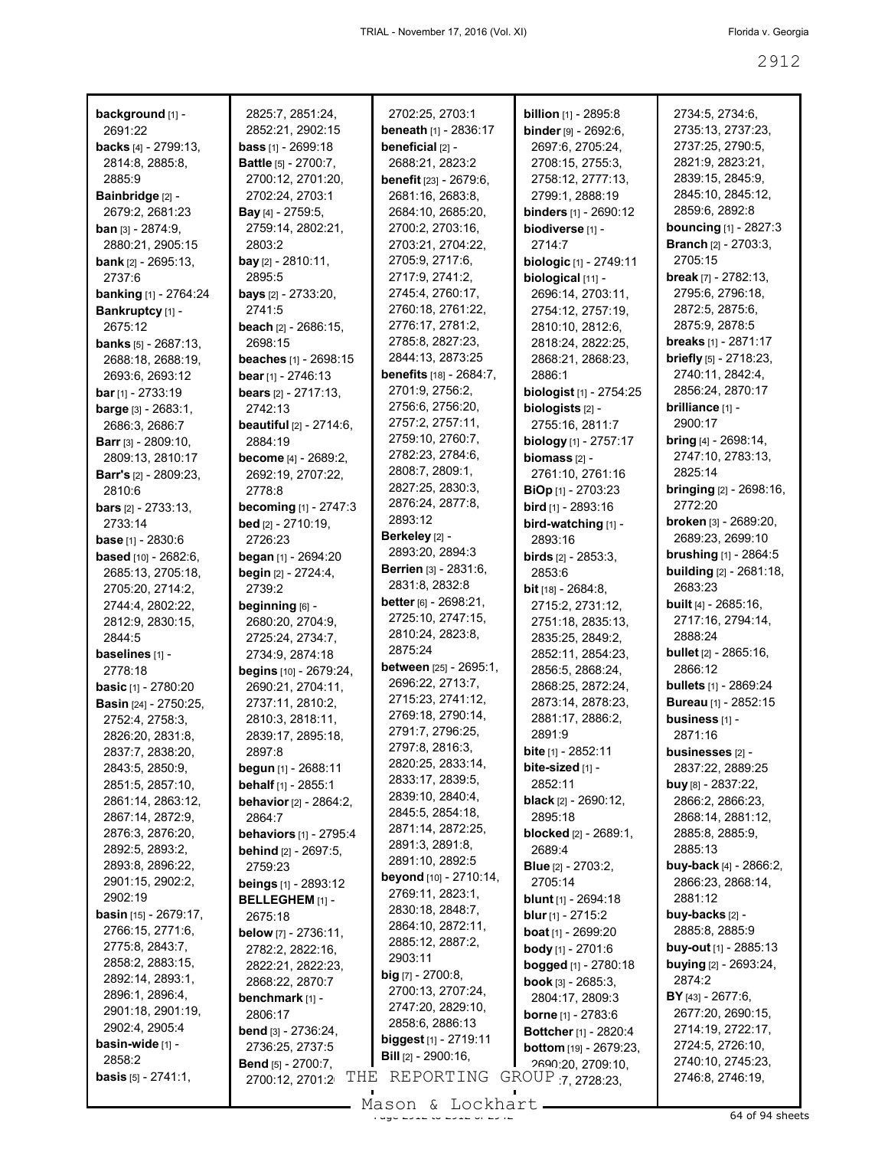| background [1] -                          | 2825:7, 2851:24,                    | 2702:25, 2703:1                | <b>billion</b> $[1]$ - 2895:8           | 2734:5, 2734:6,                |
|-------------------------------------------|-------------------------------------|--------------------------------|-----------------------------------------|--------------------------------|
| 2691:22                                   | 2852:21, 2902:15                    | <b>beneath</b> [1] - 2836:17   | binder [9] - 2692:6,                    | 2735:13, 2737:23,              |
| <b>backs</b> $[4] - 2799:13$ ,            | <b>bass</b> $[1]$ - 2699:18         | beneficial [2] -               | 2697:6, 2705:24,                        | 2737:25, 2790:5,               |
| 2814:8, 2885:8,                           | <b>Battle</b> [5] - 2700:7,         | 2688:21, 2823:2                | 2708:15, 2755:3,                        | 2821:9, 2823:21,               |
| 2885:9                                    | 2700:12, 2701:20,                   | <b>benefit</b> [23] - 2679:6,  | 2758:12, 2777:13,                       | 2839:15, 2845:9,               |
| Bainbridge [2] -                          | 2702:24, 2703:1                     | 2681:16, 2683:8,               | 2799:1, 2888:19                         | 2845:10, 2845:12,              |
| 2679:2, 2681:23                           | <b>Bay</b> [4] - 2759:5,            | 2684:10, 2685:20,              | <b>binders</b> $[1]$ - 2690:12          | 2859:6, 2892:8                 |
| <b>ban</b> [3] - $2874:9$ ,               | 2759:14, 2802:21,                   | 2700:2, 2703:16,               | biodiverse [1] -                        | <b>bouncing</b> [1] - 2827:3   |
| 2880:21, 2905:15                          | 2803:2                              | 2703:21, 2704:22,              | 2714:7                                  | <b>Branch</b> [2] - 2703:3,    |
| bank [2] - 2695:13,                       | bay [2] - 2810:11,                  | 2705:9, 2717:6,                | biologic [1] - 2749:11                  | 2705:15                        |
| 2737:6                                    | 2895:5                              | 2717:9, 2741:2,                | biological [11] -                       | break [7] - 2782:13,           |
| <b>banking</b> [1] - 2764:24              | <b>bays</b> [2] - 2733:20,          | 2745:4, 2760:17,               | 2696:14, 2703:11,                       | 2795:6, 2796:18,               |
| Bankruptcy [1] -                          | 2741:5                              | 2760:18, 2761:22,              | 2754:12, 2757:19,                       | 2872:5, 2875:6,                |
| 2675:12                                   | <b>beach</b> $[2] - 2686:15$ ,      | 2776:17, 2781:2,               | 2810:10, 2812:6,                        | 2875:9, 2878:5                 |
| <b>banks</b> $[5] - 2687:13$ ,            | 2698:15                             | 2785:8, 2827:23,               | 2818:24, 2822:25,                       | <b>breaks</b> [1] - 2871:17    |
| 2688:18, 2688:19,                         | beaches [1] - 2698:15               | 2844:13, 2873:25               | 2868:21, 2868:23,                       | briefly [5] - 2718:23,         |
| 2693:6, 2693:12                           | bear $[1]$ - 2746:13                | <b>benefits</b> [18] - 2684:7, | 2886:1                                  | 2740:11, 2842:4,               |
| $bar$ [1] - 2733:19                       | bears [2] - 2717:13,                | 2701:9, 2756:2,                | biologist [1] - 2754:25                 | 2856:24, 2870:17               |
| <b>barge</b> $[3] - 2683:1$ ,             | 2742:13                             | 2756:6, 2756:20,               | biologists [2] -                        | brilliance [1] -               |
| 2686:3, 2686:7                            | <b>beautiful</b> [2] - 2714:6,      | 2757:2, 2757:11,               | 2755:16, 2811:7                         | 2900:17                        |
| <b>Barr</b> [3] - $2809:10$ ,             | 2884:19                             | 2759:10, 2760:7,               | biology [1] - 2757:17                   | <b>bring</b> $[4]$ - 2698:14,  |
| 2809:13, 2810:17                          | <b>become</b> [4] - 2689:2,         | 2782:23, 2784:6,               | biomass [2] -                           | 2747:10, 2783:13,              |
| <b>Barr's</b> $[2] - 2809:23$ ,           | 2692:19, 2707:22,                   | 2808:7, 2809:1,                | 2761:10, 2761:16                        | 2825:14                        |
| 2810:6                                    | 2778:8                              | 2827:25, 2830:3,               | <b>BiOp</b> [1] - 2703:23               | bringing [2] - 2698:16,        |
| <b>bars</b> $[2] - 2733:13$               | <b>becoming</b> [1] - 2747:3        | 2876:24, 2877:8,               | <b>bird</b> [1] - 2893:16               | 2772:20                        |
| 2733:14                                   | <b>bed</b> $[2] - 2710:19$ ,        | 2893:12                        | bird-watching [1] -                     | <b>broken</b> [3] - 2689:20,   |
|                                           | 2726:23                             | Berkeley [2] -                 | 2893:16                                 | 2689:23, 2699:10               |
| <b>base</b> $[1] - 2830:6$                | began $[1]$ - 2694:20               | 2893:20, 2894:3                |                                         | brushing [1] - 2864:5          |
| based [10] - 2682:6,<br>2685:13, 2705:18, | begin [2] - 2724:4,                 | <b>Berrien [3] - 2831:6,</b>   | <b>birds</b> $[2] - 2853:3$ ,<br>2853:6 | building [2] - 2681:18,        |
|                                           | 2739:2                              | 2831:8, 2832:8                 | <b>bit</b> $[18] - 2684:8$ ,            | 2683:23                        |
| 2705:20, 2714:2,<br>2744:4, 2802:22,      | beginning [6] -                     | <b>better</b> [6] - 2698:21,   | 2715:2, 2731:12,                        | <b>built</b> $[4] - 2685:16$ , |
|                                           | 2680:20, 2704:9,                    | 2725:10, 2747:15,              | 2751:18, 2835:13,                       | 2717:16, 2794:14,              |
| 2812:9, 2830:15,<br>2844:5                |                                     | 2810:24, 2823:8,               | 2835:25, 2849:2,                        | 2888:24                        |
| baselines [1] -                           | 2725:24, 2734:7,<br>2734:9, 2874:18 | 2875:24                        | 2852:11, 2854:23,                       | <b>bullet</b> [2] - 2865:16,   |
| 2778:18                                   | begins [10] - 2679:24,              | between [25] - 2695:1,         | 2856:5, 2868:24,                        | 2866:12                        |
| <b>basic</b> $[1] - 2780:20$              | 2690:21, 2704:11,                   | 2696:22, 2713:7,               | 2868:25, 2872:24,                       | <b>bullets</b> [1] - 2869:24   |
| <b>Basin</b> [24] - 2750:25,              | 2737:11, 2810:2,                    | 2715:23, 2741:12,              | 2873:14, 2878:23,                       | Bureau [1] - 2852:15           |
| 2752:4, 2758:3,                           | 2810:3, 2818:11,                    | 2769:18, 2790:14,              | 2881:17, 2886:2,                        | business [1] -                 |
| 2826:20, 2831:8,                          | 2839:17, 2895:18,                   | 2791:7, 2796:25,               | 2891:9                                  | 2871:16                        |
| 2837:7, 2838:20,                          | 2897:8                              | 2797:8, 2816:3,                | bite [1] - 2852:11                      | businesses <sub>[2]</sub> -    |
| 2843:5, 2850:9,                           | begun [1] - 2688:11                 | 2820:25, 2833:14,              | bite-sized [1] -                        | 2837:22, 2889:25               |
| 2851:5, 2857:10,                          | behalf [1] - 2855:1                 | 2833:17, 2839:5,               | 2852:11                                 | $buy$ [8] - 2837:22.           |
| 2861:14, 2863:12,                         | <b>behavior</b> [2] - 2864:2,       | 2839:10, 2840:4,               | <b>black</b> $[2] - 2690:12$ ,          | 2866:2, 2866:23,               |
| 2867:14, 2872:9,                          | 2864:7                              | 2845:5, 2854:18,               | 2895:18                                 | 2868:14, 2881:12,              |
| 2876:3, 2876:20,                          | <b>behaviors</b> [1] - 2795:4       | 2871:14, 2872:25,              | <b>blocked</b> [2] - 2689:1,            | 2885:8, 2885:9,                |
| 2892:5, 2893:2,                           | <b>behind</b> [2] - 2697:5,         | 2891:3, 2891:8,                | 2689:4                                  | 2885:13                        |
| 2893:8, 2896:22,                          | 2759:23                             | 2891:10, 2892:5                | <b>Blue</b> [2] - 2703:2,               | buy-back [4] - 2866:2,         |
| 2901:15, 2902:2,                          | <b>beings</b> [1] - 2893:12         | beyond [10] - 2710:14,         | 2705:14                                 | 2866:23, 2868:14,              |
| 2902:19                                   | BELLEGHEM [1] -                     | 2769:11, 2823:1,               | <b>blunt</b> $[1]$ - 2694:18            | 2881:12                        |
| <b>basin</b> [15] - 2679:17,              | 2675:18                             | 2830:18, 2848:7,               | blur [1] - 2715:2                       | buy-backs [2] -                |
| 2766:15, 2771:6,                          | <b>below</b> [7] - 2736:11,         | 2864:10, 2872:11,              | boat [1] - 2699:20                      | 2885:8, 2885:9                 |
| 2775:8, 2843:7,                           | 2782:2, 2822:16,                    | 2885:12, 2887:2,               | body [1] - 2701:6                       | buy-out [1] - 2885:13          |
| 2858:2, 2883:15,                          | 2822:21, 2822:23,                   | 2903:11                        | <b>bogged</b> [1] - 2780:18             | buying [2] - 2693:24,          |
| 2892:14, 2893:1,                          | 2868:22, 2870:7                     | <b>big</b> $[7] - 2700:8$ ,    | <b>book</b> $[3] - 2685:3$ ,            | 2874:2                         |
| 2896:1, 2896:4,                           | benchmark [1] -                     | 2700:13, 2707:24,              | 2804:17, 2809:3                         | <b>BY</b> [43] - 2677:6,       |
| 2901:18, 2901:19,                         | 2806:17                             | 2747:20, 2829:10,              | <b>borne</b> $[1] - 2783.6$             | 2677:20, 2690:15,              |
| 2902:4, 2905:4                            | <b>bend</b> [3] - 2736:24,          | 2858:6, 2886:13                | <b>Bottcher</b> [1] - 2820:4            | 2714:19, 2722:17,              |
| basin-wide [1] -                          | 2736:25, 2737:5                     | <b>biggest</b> $[1]$ - 2719:11 | <b>bottom</b> [19] - 2679:23,           | 2724:5, 2726:10,               |
| 2858:2                                    | <b>Bend</b> [5] - 2700:7,           | <b>Bill</b> $[2] - 2900:16$ ,  | 2690:20, 2709:10,                       | 2740:10, 2745:23,              |
| <b>basis</b> $[5] - 2741:1$ ,             | THE<br>2700:12, 2701:2              | REPORTING                      | GROUP 7, 2728:23,                       | 2746:8, 2746:19,               |
|                                           |                                     |                                |                                         |                                |

 $\frac{200011}{200011}$  to  $\frac{200011}{200}$  of 94 sheets Mason & Lockhart.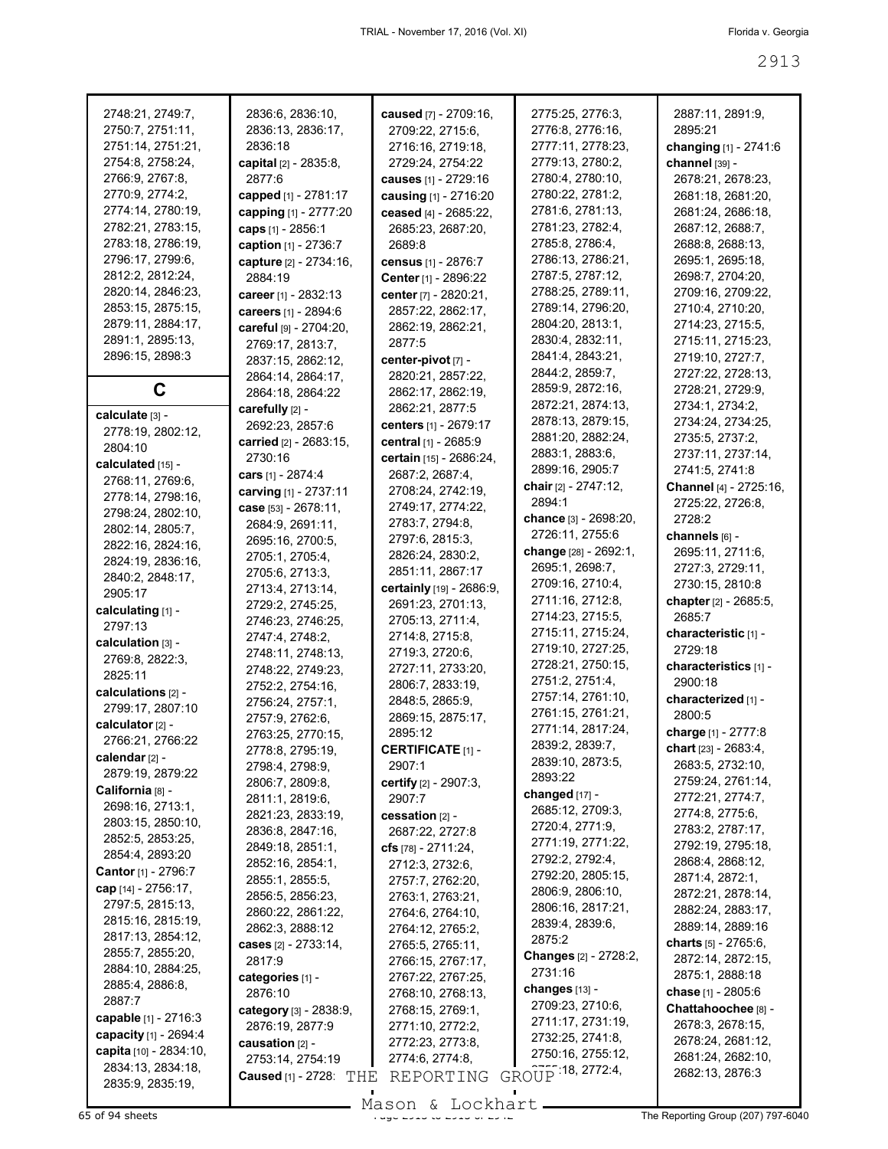| 2748:21, 2749:7,            | 2836:6, 2836:10,                 | caused [7] - 2709:16,    | 2775:25, 2776:3,             | 2887:11, 2891:9,            |
|-----------------------------|----------------------------------|--------------------------|------------------------------|-----------------------------|
| 2750:7, 2751:11,            | 2836:13, 2836:17,                | 2709:22, 2715:6,         | 2776:8, 2776:16,             | 2895:21                     |
| 2751:14, 2751:21,           | 2836:18                          | 2716:16, 2719:18,        | 2777:11, 2778:23,            | changing [1] - 2741:6       |
| 2754:8, 2758:24,            | capital [2] - 2835:8,            | 2729:24, 2754:22         | 2779:13, 2780:2,             | channel [39] -              |
| 2766:9, 2767:8,             | 2877:6                           | causes [1] - 2729:16     | 2780:4, 2780:10,             | 2678:21, 2678:23,           |
| 2770:9, 2774:2,             | capped [1] - 2781:17             | causing [1] - 2716:20    | 2780:22, 2781:2,             | 2681:18, 2681:20,           |
| 2774:14, 2780:19,           |                                  |                          | 2781:6, 2781:13,             |                             |
|                             | capping [1] - 2777:20            | ceased [4] - 2685:22,    |                              | 2681:24, 2686:18,           |
| 2782:21, 2783:15,           | caps [1] - 2856:1                | 2685:23, 2687:20,        | 2781:23, 2782:4,             | 2687:12, 2688:7,            |
| 2783:18, 2786:19,           | caption [1] - 2736:7             | 2689:8                   | 2785:8, 2786:4,              | 2688:8, 2688:13,            |
| 2796:17, 2799:6,            | capture [2] - 2734:16,           | census [1] - 2876:7      | 2786:13, 2786:21,            | 2695:1, 2695:18,            |
| 2812:2, 2812:24,            | 2884:19                          | Center [1] - 2896:22     | 2787:5, 2787:12,             | 2698:7, 2704:20,            |
| 2820:14, 2846:23,           | career [1] - 2832:13             | center [7] - 2820:21,    | 2788:25, 2789:11,            | 2709:16, 2709:22,           |
| 2853:15, 2875:15,           | careers [1] - 2894:6             | 2857:22, 2862:17,        | 2789:14, 2796:20,            | 2710:4, 2710:20,            |
| 2879:11, 2884:17,           | careful [9] - 2704:20,           | 2862:19, 2862:21,        | 2804:20, 2813:1,             | 2714:23, 2715:5,            |
| 2891:1, 2895:13,            | 2769:17, 2813:7,                 | 2877:5                   | 2830:4, 2832:11,             | 2715:11, 2715:23,           |
| 2896:15, 2898:3             | 2837:15, 2862:12,                | center-pivot [7] -       | 2841:4, 2843:21,             | 2719:10, 2727:7,            |
|                             | 2864:14, 2864:17,                | 2820:21, 2857:22,        | 2844:2, 2859:7,              | 2727:22, 2728:13,           |
| C                           | 2864:18, 2864:22                 | 2862:17, 2862:19,        | 2859:9, 2872:16,             | 2728:21, 2729:9,            |
|                             |                                  | 2862:21, 2877:5          | 2872:21, 2874:13,            | 2734:1, 2734:2,             |
| calculate [3] -             | carefully [2] -                  |                          | 2878:13, 2879:15,            | 2734:24, 2734:25,           |
| 2778:19, 2802:12,           | 2692:23, 2857:6                  | centers [1] - 2679:17    | 2881:20, 2882:24,            | 2735:5, 2737:2,             |
| 2804:10                     | carried [2] - 2683:15,           | central [1] - 2685:9     | 2883:1, 2883:6,              |                             |
| calculated [15] -           | 2730:16                          | certain [15] - 2686:24,  | 2899:16, 2905:7              | 2737:11, 2737:14,           |
| 2768:11, 2769:6,            | cars [1] - 2874:4                | 2687:2, 2687:4,          |                              | 2741:5, 2741:8              |
| 2778:14, 2798:16,           | carving [1] - 2737:11            | 2708:24, 2742:19,        | chair [2] - 2747:12,         | Channel [4] - 2725:16,      |
| 2798:24, 2802:10,           | case [53] - 2678:11,             | 2749:17, 2774:22,        | 2894:1                       | 2725:22, 2726:8,            |
| 2802:14, 2805:7,            | 2684:9, 2691:11,                 | 2783:7, 2794:8,          | chance [3] - 2698:20,        | 2728:2                      |
| 2822:16, 2824:16,           | 2695:16, 2700:5,                 | 2797:6, 2815:3,          | 2726:11, 2755:6              | channels [6] -              |
|                             | 2705:1, 2705:4,                  | 2826:24, 2830:2,         | change [28] - 2692:1,        | 2695:11, 2711:6,            |
| 2824:19, 2836:16,           | 2705:6, 2713:3,                  | 2851:11, 2867:17         | 2695:1, 2698:7,              | 2727:3, 2729:11,            |
| 2840:2, 2848:17,            | 2713:4, 2713:14,                 | certainly [19] - 2686:9, | 2709:16, 2710:4,             | 2730:15, 2810:8             |
| 2905:17                     | 2729:2, 2745:25,                 | 2691:23, 2701:13,        | 2711:16, 2712:8,             | chapter [2] - 2685:5,       |
| calculating [1] -           | 2746:23, 2746:25,                | 2705:13, 2711:4,         | 2714:23, 2715:5,             | 2685:7                      |
| 2797:13                     |                                  | 2714:8, 2715:8,          | 2715:11, 2715:24,            | characteristic [1] -        |
| calculation [3] -           | 2747:4, 2748:2,                  |                          | 2719:10, 2727:25,            | 2729:18                     |
| 2769:8, 2822:3,             | 2748:11, 2748:13,                | 2719:3, 2720:6,          | 2728:21, 2750:15,            | characteristics [1] -       |
| 2825:11                     | 2748:22, 2749:23,                | 2727:11, 2733:20,        | 2751:2, 2751:4,              | 2900:18                     |
| calculations [2] -          | 2752:2, 2754:16,                 | 2806:7, 2833:19,         | 2757:14, 2761:10,            | characterized [1] -         |
| 2799:17, 2807:10            | 2756:24, 2757:1,                 | 2848:5, 2865:9,          | 2761:15, 2761:21,            |                             |
| calculator [2] -            | 2757:9, 2762:6,                  | 2869:15, 2875:17,        |                              | 2800:5                      |
| 2766:21, 2766:22            | 2763:25, 2770:15,                | 2895:12                  | 2771:14, 2817:24,            | charge [1] - 2777:8         |
| calendar [2] -              | 2778:8, 2795:19,                 | <b>CERTIFICATE [1] -</b> | 2839:2, 2839:7,              | chart $[23] - 2683:4$ ,     |
| 2879:19, 2879:22            | 2798:4, 2798:9,                  | 2907:1                   | 2839:10, 2873:5,             | 2683:5, 2732:10,            |
| California <sup>[8]</sup> - | 2806:7, 2809:8,                  | certify [2] - 2907:3,    | 2893:22                      | 2759:24, 2761:14,           |
|                             | 2811:1, 2819:6,                  | 2907:7                   | changed $[17]$ -             | 2772:21, 2774:7,            |
| 2698:16, 2713:1,            | 2821:23, 2833:19,                | cessation [2] -          | 2685:12, 2709:3,             | 2774.8, 2775.6,             |
| 2803:15, 2850:10,           | 2836:8, 2847:16,                 | 2687:22, 2727:8          | 2720:4, 2771:9,              | 2783:2, 2787:17,            |
| 2852:5, 2853:25,            | 2849:18, 2851:1,                 | cfs $[78] - 2711.24$ ,   | 2771:19, 2771:22,            | 2792:19, 2795:18,           |
| 2854:4, 2893:20             | 2852:16, 2854:1,                 | 2712:3, 2732:6,          | 2792:2, 2792:4,              | 2868:4, 2868:12,            |
| <b>Cantor</b> [1] - 2796:7  | 2855:1, 2855:5,                  | 2757:7, 2762:20,         | 2792:20, 2805:15,            | 2871:4, 2872:1,             |
| cap [14] - 2756:17,         | 2856:5, 2856:23,                 | 2763:1, 2763:21,         | 2806:9, 2806:10,             | 2872:21, 2878:14,           |
| 2797:5, 2815:13,            | 2860:22, 2861:22,                | 2764:6, 2764:10,         | 2806:16, 2817:21,            | 2882:24, 2883:17,           |
| 2815:16, 2815:19,           | 2862:3, 2888:12                  | 2764:12, 2765:2,         | 2839:4, 2839:6,              | 2889:14, 2889:16            |
| 2817:13, 2854:12,           |                                  |                          | 2875:2                       | <b>charts</b> [5] - 2765:6, |
| 2855:7, 2855:20,            | cases [2] - 2733:14,             | 2765:5, 2765:11,         | <b>Changes</b> [2] - 2728:2, | 2872:14, 2872:15,           |
| 2884:10, 2884:25,           | 2817:9                           | 2766:15, 2767:17,        | 2731:16                      |                             |
| 2885:4, 2886:8,             | categories [1] -                 | 2767:22, 2767:25,        |                              | 2875:1, 2888:18             |
| 2887:7                      | 2876:10                          | 2768:10, 2768:13,        | changes $[13]$ -             | chase [1] - 2805:6          |
| capable [1] - 2716:3        | category [3] - 2838:9,           | 2768:15, 2769:1,         | 2709:23, 2710:6,             | Chattahoochee [8] -         |
| capacity [1] - 2694:4       | 2876:19, 2877:9                  | 2771:10, 2772:2,         | 2711:17, 2731:19,            | 2678:3, 2678:15,            |
| capita [10] - 2834:10,      | causation [2] -                  | 2772:23, 2773:8,         | 2732:25, 2741:8,             | 2678:24, 2681:12,           |
|                             | 2753:14, 2754:19                 | 2774:6, 2774:8,          | 2750:16, 2755:12,            | 2681:24, 2682:10,           |
| 2834:13, 2834:18,           | <b>Caused</b> [1] - 2728:<br>THE | REPORTING                | GROUP 18, 2772:4,            | 2682:13, 2876:3             |
| 2835:9, 2835:19,            |                                  |                          |                              |                             |

Mason & Lockhart **Page 2013** of 94 sheets Page 207) 797-6040<br>
Mason & Lockhart **Page 2013 of 2013** The Reporting Group (207) 797-6040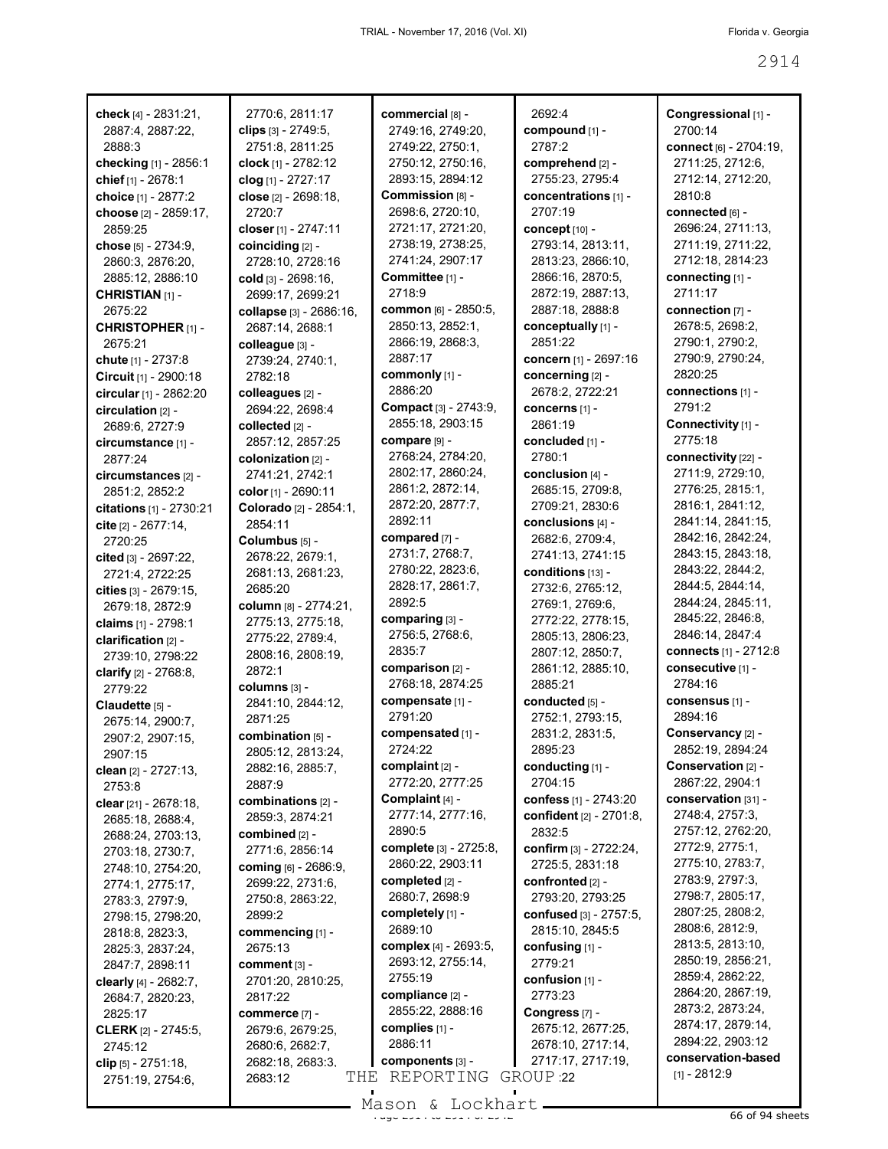| check [4] - 2831:21,                | 2770:6, 2811:17                       | commercial [8] -           | 2692:4                      | Congressional [1] -                    |
|-------------------------------------|---------------------------------------|----------------------------|-----------------------------|----------------------------------------|
| 2887:4, 2887:22,                    | clips $[3] - 2749.5$ ,                | 2749:16, 2749:20,          | compound [1] -              | 2700:14                                |
| 2888:3                              | 2751:8, 2811:25                       | 2749:22, 2750:1,           | 2787:2                      | connect [6] - 2704:19,                 |
| checking [1] - 2856:1               | clock [1] - 2782:12                   | 2750:12, 2750:16,          | comprehend [2] -            | 2711:25, 2712:6,                       |
| chief [1] - 2678:1                  | clog [1] - 2727:17                    | 2893:15, 2894:12           | 2755:23, 2795:4             | 2712:14, 2712:20,                      |
| choice [1] - 2877:2                 | close [2] - 2698:18,                  | Commission [8] -           | concentrations [1] -        | 2810:8                                 |
| choose [2] - 2859:17,               | 2720:7                                | 2698:6, 2720:10,           | 2707:19                     | connected [6] -                        |
| 2859:25                             | closer [1] - 2747:11                  | 2721:17, 2721:20,          | concept [10] -              | 2696:24, 2711:13,                      |
| chose $[5] - 2734:9$ ,              | coinciding [2] -                      | 2738:19, 2738:25,          | 2793:14, 2813:11,           | 2711:19, 2711:22,                      |
| 2860:3, 2876:20,                    | 2728:10, 2728:16                      | 2741:24, 2907:17           | 2813:23, 2866:10,           | 2712:18, 2814:23                       |
| 2885:12, 2886:10                    | cold [3] - 2698:16,                   | Committee [1] -            | 2866:16, 2870:5,            | connecting [1] -                       |
| <b>CHRISTIAN [1] -</b>              | 2699:17, 2699:21                      | 2718:9                     | 2872:19, 2887:13,           | 2711:17                                |
| 2675:22                             | collapse [3] - 2686:16,               | common [6] - 2850:5,       | 2887:18, 2888:8             | connection [7] -                       |
| <b>CHRISTOPHER [1] -</b>            | 2687:14, 2688:1                       | 2850:13, 2852:1,           | conceptually [1] -          | 2678:5, 2698:2,                        |
| 2675:21                             | colleague [3] -                       | 2866:19, 2868:3,           | 2851:22                     | 2790:1, 2790:2,                        |
| chute [1] - 2737:8                  | 2739:24, 2740:1,                      | 2887:17                    | concern [1] - 2697:16       | 2790:9, 2790:24,                       |
| Circuit [1] - 2900:18               | 2782:18                               | commonly [1] -             | concerning [2] -            | 2820:25                                |
| circular [1] - 2862:20              | colleagues [2] -                      | 2886:20                    | 2678:2, 2722:21             | connections [1] -                      |
| circulation [2] -                   | 2694:22, 2698:4                       | Compact [3] - 2743:9,      | concerns [1] -              | 2791:2                                 |
| 2689:6, 2727:9                      | collected [2] -                       | 2855:18, 2903:15           | 2861:19                     | Connectivity [1] -                     |
| circumstance [1] -                  | 2857:12, 2857:25                      | compare [9] -              | concluded [1] -             | 2775:18                                |
| 2877:24                             | colonization [2] -                    | 2768:24, 2784:20,          | 2780:1                      | connectivity [22] -                    |
| circumstances [2] -                 | 2741:21, 2742:1                       | 2802:17, 2860:24,          | conclusion [4] -            | 2711:9, 2729:10,                       |
| 2851:2, 2852:2                      | color [1] - 2690:11                   | 2861:2, 2872:14,           | 2685:15, 2709:8,            | 2776:25, 2815:1,                       |
| citations [1] - 2730:21             | Colorado [2] - 2854:1,                | 2872:20, 2877:7,           | 2709:21, 2830:6             | 2816:1, 2841:12,                       |
| cite [2] - 2677:14,                 | 2854:11                               | 2892:11                    | conclusions [4] -           | 2841:14, 2841:15,                      |
| 2720:25                             | Columbus [5] -                        | compared [7] -             | 2682:6, 2709:4,             | 2842:16, 2842:24,                      |
| cited [3] - 2697:22,                | 2678:22, 2679:1,                      | 2731:7, 2768:7,            | 2741:13, 2741:15            | 2843:15, 2843:18,                      |
| 2721:4, 2722:25                     | 2681:13, 2681:23,                     | 2780:22, 2823:6,           | conditions [13] -           | 2843:22, 2844:2,                       |
| cities [3] - 2679:15,               | 2685:20                               | 2828:17, 2861:7,           | 2732:6, 2765:12,            | 2844:5, 2844:14,                       |
| 2679:18, 2872:9                     | column [8] - 2774:21,                 | 2892:5                     | 2769:1, 2769:6,             | 2844:24, 2845:11,                      |
| claims [1] - 2798:1                 | 2775:13, 2775:18,                     | comparing [3] -            | 2772:22, 2778:15,           | 2845:22, 2846:8,                       |
| clarification [2] -                 | 2775:22, 2789:4,                      | 2756:5, 2768:6,            | 2805:13, 2806:23,           | 2846:14, 2847:4                        |
| 2739:10, 2798:22                    | 2808:16, 2808:19,                     | 2835:7                     | 2807:12, 2850:7,            | connects [1] - 2712:8                  |
| clarify [2] - 2768:8,               | 2872:1                                | comparison [2] -           | 2861:12, 2885:10,           | consecutive [1] -                      |
| 2779:22                             | columns [3] -                         | 2768:18, 2874:25           | 2885:21                     | 2784:16                                |
| Claudette [5] -                     | 2841:10, 2844:12,                     | compensate [1] -           | conducted [5] -             | consensus [1] -                        |
| 2675:14, 2900:7,                    | 2871:25                               | 2791:20                    | 2752:1, 2793:15,            | 2894:16                                |
| 2907:2, 2907:15,                    | combination [5] -                     | compensated [1] -          | 2831:2, 2831:5,             | Conservancy [2] -                      |
| 2907:15                             | 2805:12, 2813:24,                     | 2724:22<br>complaint [2] - | 2895:23                     | 2852:19, 2894:24<br>Conservation [2] - |
| clean [2] - 2727:13,                | 2882:16, 2885:7,                      | 2772:20, 2777:25           | conducting [1] -<br>2704:15 | 2867:22, 2904:1                        |
| 2753:8                              | 2887:9                                | Complaint [4] -            | confess [1] - 2743:20       | conservation [31] -                    |
| clear $[21] - 2678:18$ ,            | combinations [2] -<br>2859:3, 2874:21 | 2777:14, 2777:16,          | confident [2] - 2701:8,     | 2748:4, 2757:3,                        |
| 2685:18, 2688:4,                    | combined [2] -                        | 2890:5                     | 2832:5                      | 2757:12, 2762:20,                      |
| 2688:24, 2703:13,                   | 2771:6, 2856:14                       | complete [3] - 2725:8,     | confirm [3] - 2722:24,      | 2772:9, 2775:1,                        |
| 2703:18, 2730:7,                    | <b>coming</b> [6] - 2686:9,           | 2860:22, 2903:11           | 2725:5, 2831:18             | 2775:10, 2783:7,                       |
| 2748:10, 2754:20,                   | 2699:22, 2731:6,                      | completed [2] -            | confronted [2] -            | 2783:9, 2797:3,                        |
| 2774:1, 2775:17,<br>2783:3, 2797:9, | 2750:8, 2863:22,                      | 2680:7, 2698:9             | 2793:20, 2793:25            | 2798:7, 2805:17,                       |
| 2798:15, 2798:20,                   | 2899:2                                | completely $[1]$ -         | confused [3] - 2757:5,      | 2807:25, 2808:2,                       |
| 2818:8, 2823:3,                     | commencing [1] -                      | 2689:10                    | 2815:10, 2845:5             | 2808:6, 2812:9,                        |
| 2825:3, 2837:24,                    | 2675:13                               | complex [4] - 2693:5,      | confusing [1] -             | 2813:5, 2813:10,                       |
| 2847:7, 2898:11                     | $comment$ $[3] -$                     | 2693:12, 2755:14,          | 2779:21                     | 2850:19, 2856:21,                      |
| clearly [4] - 2682:7,               | 2701:20, 2810:25,                     | 2755:19                    | confusion $[1]$ -           | 2859:4, 2862:22,                       |
| 2684:7, 2820:23,                    | 2817:22                               | compliance [2] -           | 2773:23                     | 2864:20, 2867:19,                      |
| 2825:17                             | commerce [7] -                        | 2855:22, 2888:16           | Congress [7] -              | 2873:2, 2873:24,                       |
| <b>CLERK</b> [2] - 2745:5,          | 2679:6, 2679:25,                      | complies [1] -             | 2675:12, 2677:25,           | 2874:17, 2879:14,                      |
| 2745:12                             | 2680:6, 2682:7,                       | 2886:11                    | 2678:10, 2717:14,           | 2894:22, 2903:12                       |
| clip $[5]$ - 2751:18,               | 2682:18, 2683:3,                      | components [3] -           | 2717:17, 2717:19,           | conservation-based                     |
| 2751:19, 2754:6,                    | THE<br>2683:12                        | REPORTING                  | GROUP 22                    | $[1] - 2812:9$                         |
|                                     |                                       |                            |                             |                                        |

 $\frac{200011}{x}$   $\frac{200011}{x}$  of 24 sheets Mason & Lockhart.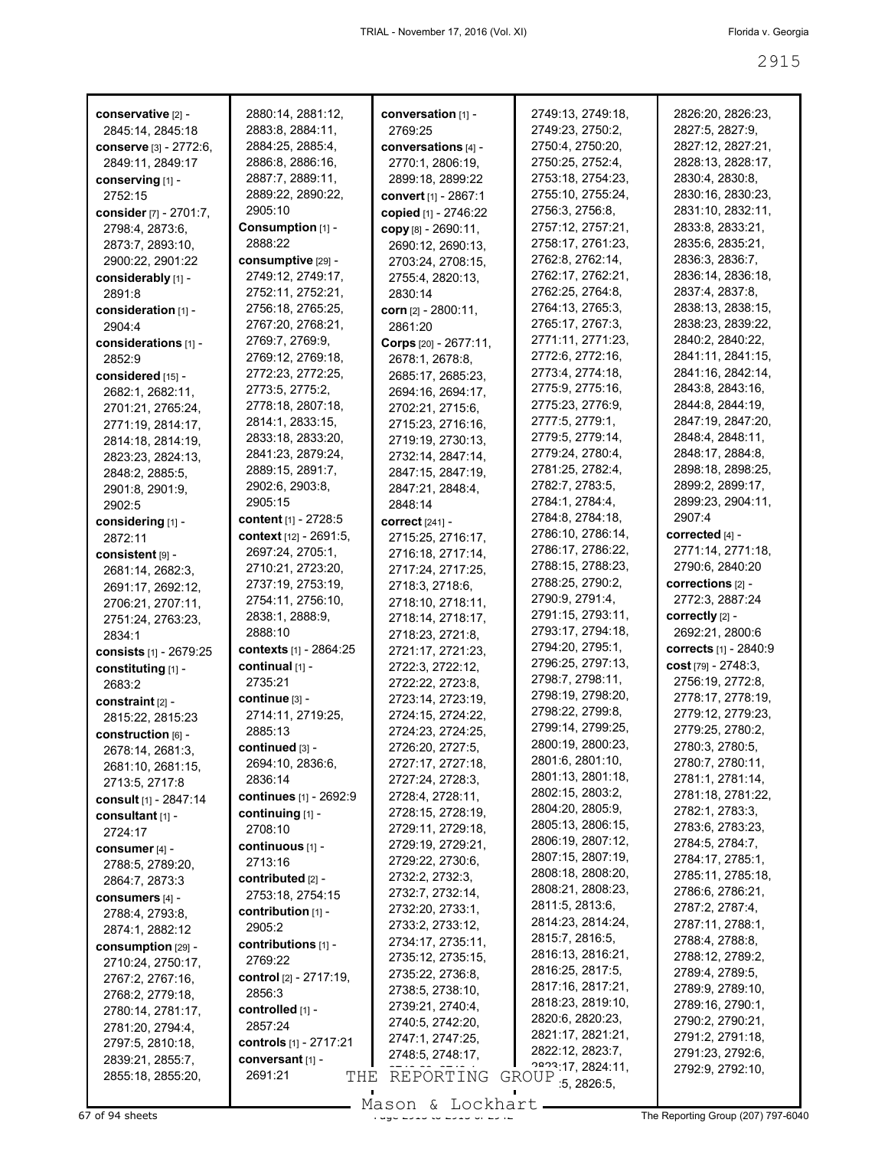| conservative [2] -     |                             |                                       |                                                          |                                       |
|------------------------|-----------------------------|---------------------------------------|----------------------------------------------------------|---------------------------------------|
|                        | 2880:14, 2881:12,           | conversation [1] -                    | 2749:13, 2749:18,                                        | 2826:20, 2826:23,                     |
| 2845:14, 2845:18       | 2883:8, 2884:11,            | 2769:25                               | 2749:23, 2750:2,                                         | 2827:5, 2827:9,                       |
| conserve [3] - 2772:6, | 2884:25, 2885:4,            | conversations [4] -                   | 2750:4, 2750:20,                                         | 2827:12, 2827:21,                     |
| 2849:11, 2849:17       | 2886:8, 2886:16,            | 2770:1, 2806:19,                      | 2750:25, 2752:4,                                         | 2828:13, 2828:17,                     |
| conserving [1] -       | 2887:7, 2889:11,            | 2899:18, 2899:22                      | 2753:18, 2754:23,                                        | 2830:4, 2830:8,                       |
| 2752:15                | 2889:22, 2890:22,           | convert [1] - 2867:1                  | 2755:10, 2755:24,                                        | 2830:16, 2830:23,                     |
| consider [7] - 2701:7, | 2905:10                     | copied [1] - 2746:22                  | 2756:3, 2756:8,                                          | 2831:10, 2832:11,                     |
| 2798:4, 2873:6,        | Consumption [1] -           | copy [8] - 2690:11,                   | 2757:12, 2757:21,                                        | 2833:8, 2833:21,                      |
| 2873:7, 2893:10,       | 2888:22                     | 2690:12, 2690:13,                     | 2758:17, 2761:23,                                        | 2835:6, 2835:21,                      |
| 2900:22, 2901:22       | consumptive [29] -          | 2703:24, 2708:15,                     | 2762:8, 2762:14,                                         | 2836:3, 2836:7,                       |
| considerably [1] -     | 2749:12, 2749:17,           | 2755:4, 2820:13,                      | 2762:17, 2762:21,                                        | 2836:14, 2836:18,                     |
| 2891:8                 | 2752:11, 2752:21,           | 2830:14                               | 2762:25, 2764:8,                                         | 2837:4, 2837:8,                       |
| consideration [1] -    | 2756:18, 2765:25,           | corn $[2] - 2800:11$ ,                | 2764:13, 2765:3,                                         | 2838:13, 2838:15,                     |
| 2904:4                 | 2767:20, 2768:21,           | 2861:20                               | 2765:17, 2767:3,                                         | 2838:23, 2839:22,                     |
| considerations [1] -   | 2769:7, 2769:9,             | Corps [20] - 2677:11,                 | 2771:11, 2771:23,                                        | 2840:2, 2840:22,                      |
| 2852:9                 | 2769:12, 2769:18,           | 2678:1, 2678:8,                       | 2772:6, 2772:16,                                         | 2841:11, 2841:15,                     |
|                        | 2772:23, 2772:25,           |                                       | 2773:4, 2774:18,                                         | 2841:16, 2842:14,                     |
| considered [15] -      | 2773:5, 2775:2,             | 2685:17, 2685:23,                     | 2775:9, 2775:16,                                         | 2843:8, 2843:16,                      |
| 2682:1, 2682:11,       | 2778:18, 2807:18,           | 2694:16, 2694:17,                     | 2775:23, 2776:9,                                         | 2844:8, 2844:19,                      |
| 2701:21, 2765:24,      | 2814:1, 2833:15,            | 2702:21, 2715:6,                      | 2777:5, 2779:1,                                          | 2847:19, 2847:20,                     |
| 2771:19, 2814:17,      | 2833:18, 2833:20,           | 2715:23, 2716:16,                     | 2779:5, 2779:14,                                         | 2848:4, 2848:11,                      |
| 2814:18, 2814:19,      |                             | 2719:19, 2730:13,                     | 2779:24, 2780:4,                                         |                                       |
| 2823:23, 2824:13,      | 2841:23, 2879:24,           | 2732:14, 2847:14,                     | 2781:25, 2782:4,                                         | 2848:17, 2884:8,<br>2898:18, 2898:25, |
| 2848:2, 2885:5,        | 2889:15, 2891:7,            | 2847:15, 2847:19,                     |                                                          |                                       |
| 2901:8, 2901:9,        | 2902:6, 2903:8,             | 2847:21, 2848:4,                      | 2782:7, 2783:5,                                          | 2899:2, 2899:17,                      |
| 2902:5                 | 2905:15                     | 2848:14                               | 2784:1, 2784:4,                                          | 2899:23, 2904:11,                     |
| considering [1] -      | <b>content</b> [1] - 2728:5 | <b>correct</b> [241] -                | 2784:8, 2784:18,                                         | 2907:4                                |
| 2872:11                | context [12] - 2691:5,      | 2715:25, 2716:17,                     | 2786:10, 2786:14,                                        | corrected [4] -                       |
| consistent [9] -       | 2697:24, 2705:1,            | 2716:18, 2717:14,                     | 2786:17, 2786:22,                                        | 2771:14, 2771:18,                     |
| 2681:14, 2682:3,       | 2710:21, 2723:20,           | 2717:24, 2717:25,                     | 2788:15, 2788:23,                                        | 2790:6, 2840:20                       |
| 2691:17, 2692:12,      | 2737:19, 2753:19,           | 2718:3, 2718:6,                       | 2788:25, 2790:2,                                         | corrections [2] -                     |
| 2706:21, 2707:11,      | 2754:11, 2756:10,           | 2718:10, 2718:11,                     | 2790:9, 2791:4,                                          | 2772:3, 2887:24                       |
| 2751:24, 2763:23,      | 2838:1, 2888:9,             | 2718:14, 2718:17,                     | 2791:15, 2793:11,                                        | correctly [2] -                       |
| 2834:1                 | 2888:10                     | 2718:23, 2721:8,                      | 2793:17, 2794:18,                                        | 2692:21, 2800:6                       |
| consists [1] - 2679:25 | contexts [1] - 2864:25      | 2721:17, 2721:23,                     | 2794:20, 2795:1,                                         | corrects [1] - 2840:9                 |
| constituting [1] -     | continual [1] -             | 2722:3, 2722:12,                      | 2796:25, 2797:13,                                        | cost [79] - 2748:3,                   |
|                        |                             |                                       |                                                          |                                       |
|                        | 2735:21                     |                                       | 2798:7, 2798:11,                                         | 2756:19, 2772:8,                      |
| 2683:2                 | continue [3] -              | 2722:22, 2723:8,<br>2723:14, 2723:19, | 2798:19, 2798:20,                                        | 2778:17, 2778:19,                     |
| constraint $[2]$ -     | 2714:11, 2719:25,           |                                       | 2798:22, 2799:8,                                         | 2779:12, 2779:23,                     |
| 2815:22, 2815:23       | 2885:13                     | 2724:15, 2724:22,                     | 2799:14, 2799:25,                                        | 2779:25, 2780:2,                      |
| construction $[6]$ -   |                             | 2724:23, 2724:25,                     | 2800:19, 2800:23,                                        | 2780:3, 2780:5,                       |
| 2678:14, 2681:3,       | continued [3] -             | 2726:20, 2727:5,                      | 2801:6, 2801:10,                                         | 2780:7, 2780:11,                      |
| 2681:10, 2681:15,      | 2694:10, 2836:6,            | 2727:17, 2727:18,                     | 2801:13, 2801:18,                                        |                                       |
| 2713:5, 2717:8         | 2836:14                     | 2727:24, 2728:3,                      | 2802:15, 2803:2,                                         | 2781:1, 2781:14,                      |
| consult [1] - 2847:14  | continues [1] - 2692:9      | 2728:4, 2728:11,                      | 2804:20, 2805:9,                                         | 2781:18, 2781:22,                     |
| consultant [1] -       | continuing [1] -            | 2728:15, 2728:19,                     | 2805:13, 2806:15,                                        | 2782:1, 2783:3,                       |
| 2724:17                | 2708:10                     | 2729:11, 2729:18,                     | 2806:19, 2807:12,                                        | 2783:6, 2783:23,                      |
| consumer [4] -         | continuous [1] -            | 2729:19, 2729:21,                     | 2807:15, 2807:19,                                        | 2784:5, 2784:7,                       |
| 2788:5, 2789:20,       | 2713:16                     | 2729:22, 2730:6,                      |                                                          | 2784:17, 2785:1,                      |
| 2864:7, 2873:3         | contributed [2] -           | 2732:2, 2732:3,                       | 2808:18, 2808:20,                                        | 2785:11, 2785:18,                     |
| consumers [4] -        | 2753:18, 2754:15            | 2732:7, 2732:14,                      | 2808:21, 2808:23,                                        | 2786:6, 2786:21,                      |
| 2788:4, 2793:8,        | contribution [1] -          | 2732:20, 2733:1,                      | 2811:5, 2813:6,<br>2814:23, 2814:24,                     | 2787:2, 2787:4,                       |
| 2874:1, 2882:12        | 2905:2                      | 2733:2, 2733:12,                      |                                                          | 2787:11, 2788:1,                      |
| consumption [29] -     | contributions [1] -         | 2734:17, 2735:11,                     | 2815:7, 2816:5,                                          | 2788:4, 2788:8,                       |
| 2710:24, 2750:17,      | 2769:22                     | 2735:12, 2735:15,                     | 2816:13, 2816:21,                                        | 2788:12, 2789:2,                      |
| 2767:2, 2767:16,       | control [2] - 2717:19,      | 2735:22, 2736:8,                      | 2816:25, 2817:5,                                         | 2789:4, 2789:5,                       |
| 2768:2, 2779:18,       | 2856:3                      | 2738:5, 2738:10,                      | 2817:16, 2817:21,                                        | 2789:9, 2789:10,                      |
| 2780:14, 2781:17,      | controlled [1] -            | 2739:21, 2740:4,                      | 2818:23, 2819:10,                                        | 2789:16, 2790:1,                      |
| 2781:20, 2794:4,       | 2857:24                     | 2740:5, 2742:20,                      | 2820:6, 2820:23,                                         | 2790:2, 2790:21,                      |
| 2797:5, 2810:18,       | controls [1] - 2717:21      | 2747:1, 2747:25,                      | 2821:17, 2821:21,                                        | 2791:2, 2791:18,                      |
| 2839:21, 2855:7,       | conversant [1] -            | 2748:5, 2748:17,                      | 2822:12, 2823:7,                                         | 2791:23, 2792:6,                      |
| 2855:18, 2855:20,      | 2691:21<br>THE              | REPORTING                             | 2922:17, 2824:11,<br>${\tt GROUP}_{\cdot 5, \; 2826:5,}$ | 2792:9, 2792:10,                      |

Mason & Lockhart

 $\overline{67}$  of 94 sheets  $\overline{69}$  The Reporting Group (207) 797-6040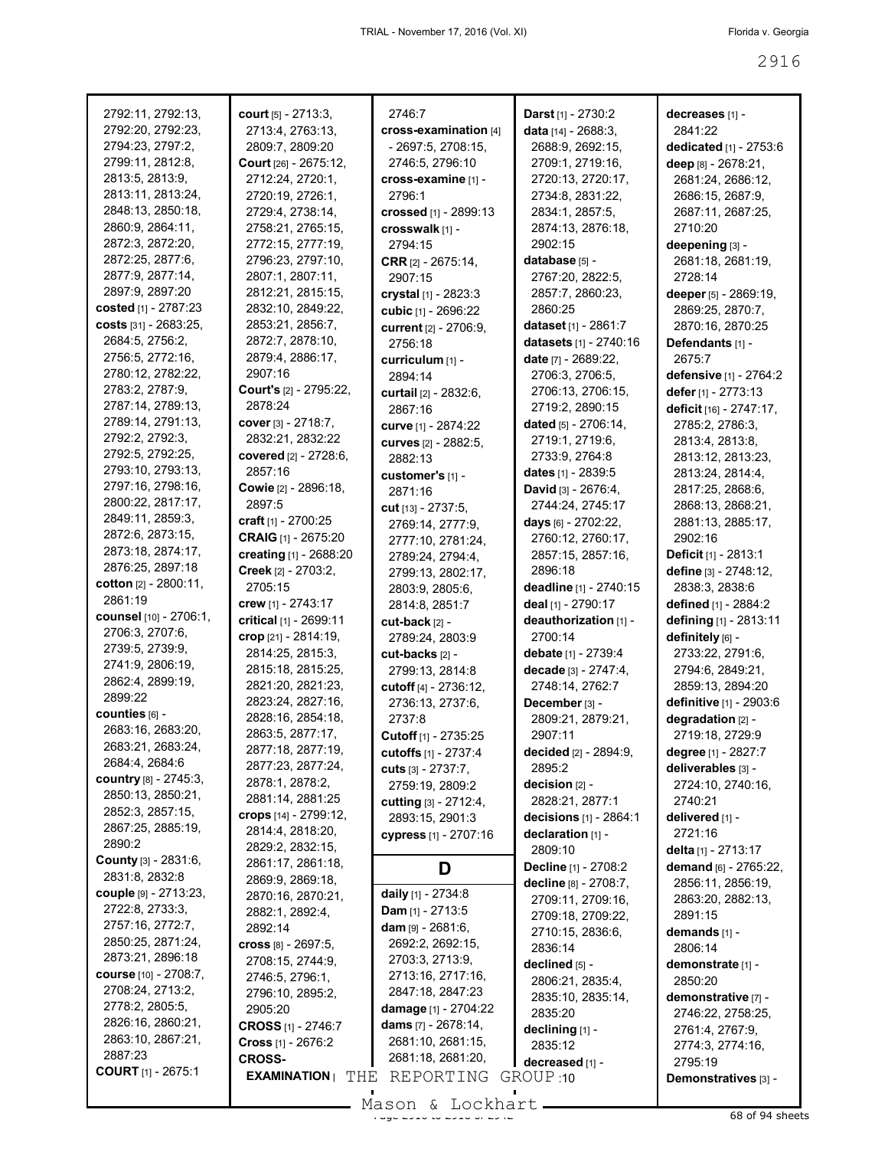| 2792:11, 2792:13,              | court [5] - 2713:3.           | 2746:7                       | <b>Darst</b> [1] - $2730:2$  | decreases [1] -            |
|--------------------------------|-------------------------------|------------------------------|------------------------------|----------------------------|
| 2792:20, 2792:23,              | 2713:4, 2763:13,              | cross-examination [4]        | data [14] - 2688:3,          | 2841:22                    |
| 2794:23, 2797:2,               | 2809:7, 2809:20               | - 2697:5, 2708:15,           | 2688:9, 2692:15,             | dedicated [1] - 2753:6     |
| 2799:11, 2812:8,               | Court [26] - 2675:12,         | 2746:5, 2796:10              | 2709:1, 2719:16,             | deep [8] - 2678:21,        |
| 2813:5, 2813:9,                | 2712:24, 2720:1,              | cross-examine [1] -          | 2720:13, 2720:17,            | 2681:24, 2686:12,          |
| 2813:11, 2813:24,              | 2720:19, 2726:1,              | 2796:1                       | 2734:8, 2831:22,             | 2686:15, 2687:9,           |
| 2848:13, 2850:18,              | 2729:4, 2738:14,              | crossed [1] - 2899:13        | 2834:1, 2857:5,              | 2687:11, 2687:25,          |
| 2860:9, 2864:11,               | 2758:21, 2765:15,             | crosswalk [1] -              | 2874:13, 2876:18,            | 2710:20                    |
| 2872:3, 2872:20,               | 2772:15, 2777:19,             | 2794:15                      | 2902:15                      | deepening [3] -            |
| 2872:25, 2877:6,               | 2796:23, 2797:10,             |                              |                              |                            |
|                                |                               | <b>CRR</b> $[2] - 2675:14$ , | database [5] -               | 2681:18, 2681:19,          |
| 2877:9, 2877:14,               | 2807:1, 2807:11,              | 2907:15                      | 2767:20, 2822:5,             | 2728:14                    |
| 2897:9, 2897:20                | 2812:21, 2815:15,             | crystal [1] - 2823:3         | 2857:7, 2860:23,             | deeper [5] - 2869:19,      |
| costed [1] - 2787:23           | 2832:10, 2849:22,             | cubic [1] - 2696:22          | 2860:25                      | 2869:25, 2870:7,           |
| costs [31] - 2683:25,          | 2853:21, 2856:7,              | current [2] - 2706:9,        | <b>dataset</b> [1] - 2861:7  | 2870:16, 2870:25           |
| 2684:5, 2756:2,                | 2872:7, 2878:10,              | 2756:18                      | datasets [1] - 2740:16       | Defendants [1] -           |
| 2756:5, 2772:16,               | 2879:4, 2886:17,              | curriculum [1] -             | date [7] - 2689:22,          | 2675:7                     |
| 2780:12, 2782:22,              | 2907:16                       | 2894:14                      | 2706:3, 2706:5,              | defensive [1] - 2764:2     |
| 2783:2, 2787:9,                | Court's [2] - 2795:22,        | curtail [2] - 2832:6,        | 2706:13, 2706:15,            | defer [1] - 2773:13        |
| 2787:14, 2789:13,              | 2878:24                       | 2867:16                      | 2719:2, 2890:15              | deficit [16] - 2747:17,    |
| 2789:14, 2791:13,              | <b>cover</b> $[3] - 2718.7$ , |                              | dated [5] - 2706:14,         | 2785:2, 2786:3,            |
| 2792:2, 2792:3,                | 2832:21, 2832:22              | curve [1] - 2874:22          | 2719:1, 2719:6,              |                            |
| 2792:5, 2792:25,               |                               | curves [2] - 2882:5,         |                              | 2813:4, 2813:8,            |
| 2793:10, 2793:13,              | covered [2] - 2728:6,         | 2882:13                      | 2733:9, 2764:8               | 2813:12, 2813:23,          |
|                                | 2857:16                       | customer's [1] -             | <b>dates</b> [1] - 2839:5    | 2813:24, 2814:4,           |
| 2797:16, 2798:16,              | Cowie [2] - 2896:18,          | 2871:16                      | David [3] - 2676:4,          | 2817:25, 2868:6,           |
| 2800:22, 2817:17,              | 2897:5                        | cut $[13] - 2737:5$ ,        | 2744:24, 2745:17             | 2868:13, 2868:21,          |
| 2849:11, 2859:3,               | craft $[1]$ - 2700:25         | 2769:14, 2777:9,             | days [6] - 2702:22,          | 2881:13, 2885:17,          |
| 2872:6, 2873:15,               | CRAIG [1] - 2675:20           | 2777:10, 2781:24,            | 2760:12, 2760:17,            | 2902:16                    |
| 2873:18, 2874:17,              | creating [1] - 2688:20        | 2789:24, 2794:4,             | 2857:15, 2857:16,            | Deficit [1] - 2813:1       |
| 2876:25, 2897:18               | Creek [2] - 2703:2,           | 2799:13, 2802:17,            | 2896:18                      | define [3] - 2748:12,      |
| cotton [2] - 2800:11,          | 2705:15                       | 2803:9, 2805:6,              | deadline [1] - 2740:15       | 2838:3, 2838:6             |
| 2861:19                        | crew [1] - 2743:17            | 2814:8, 2851:7               | deal [1] - 2790:17           | defined [1] - 2884:2       |
| counsel [10] - 2706:1,         | critical [1] - 2699:11        |                              |                              |                            |
| 2706:3, 2707:6,                |                               | $cut-back [2] -$             | deauthorization [1] -        | defining [1] - 2813:11     |
| 2739:5, 2739:9,                | crop [21] - 2814:19,          | 2789:24, 2803:9              | 2700:14                      | definitely [6] -           |
| 2741:9, 2806:19,               | 2814:25, 2815:3,              | cut-backs [2] -              | debate [1] - 2739:4          | 2733:22, 2791:6,           |
|                                | 2815:18, 2815:25,             | 2799:13, 2814:8              | decade [3] - 2747:4,         | 2794:6, 2849:21,           |
| 2862:4, 2899:19,               | 2821:20, 2821:23,             | cutoff [4] - 2736:12,        | 2748:14, 2762:7              | 2859:13, 2894:20           |
| 2899:22                        | 2823:24, 2827:16,             | 2736:13, 2737:6,             | December [3] -               | definitive [1] - 2903:6    |
| counties [6] -                 | 2828:16, 2854:18,             | 2737:8                       | 2809:21, 2879:21,            | degradation [2] -          |
| 2683:16, 2683:20,              | 2863:5, 2877:17,              | Cutoff [1] - 2735:25         | 2907:11                      | 2719:18, 2729:9            |
| 2683:21, 2683:24,              | 2877:18, 2877:19,             | <b>cutoffs</b> [1] - 2737:4  | <b>decided</b> [2] - 2894:9, | <b>degree</b> [1] - 2827:7 |
| 2684:4, 2684:6                 | 2877:23, 2877:24,             | cuts [3] - 2737:7,           | 2895:2                       | deliverables [3] -         |
| country [8] - 2745:3,          | 2878:1, 2878:2,               | 2759:19, 2809:2              | decision [2] -               | 2724:10, 2740:16,          |
| 2850:13, 2850:21,              | 2881:14, 2881:25              |                              | 2828:21, 2877:1              | 2740:21                    |
| 2852:3, 2857:15,               | crops [14] - 2799:12,         | <b>cutting</b> [3] - 2712:4, |                              |                            |
| 2867:25, 2885:19,              | 2814:4, 2818:20,              | 2893:15, 2901:3              | decisions [1] - 2864:1       | delivered [1] -            |
| 2890:2                         |                               | cypress [1] - 2707:16        | declaration [1] -            | 2721:16                    |
| <b>County</b> $[3] - 2831:6$ , | 2829:2, 2832:15,              |                              | 2809:10                      | delta [1] - 2713:17        |
|                                | 2861:17, 2861:18,             | D                            | Decline [1] - 2708:2         | demand [6] - 2765:22,      |
| 2831:8, 2832:8                 | 2869:9, 2869:18,              |                              | decline [8] - 2708:7,        | 2856:11, 2856:19,          |
| couple $[9] - 2713:23$ ,       | 2870:16, 2870:21,             | daily [1] - 2734:8           | 2709:11, 2709:16,            | 2863:20, 2882:13,          |
| 2722:8, 2733:3,                | 2882:1, 2892:4,               | <b>Dam</b> $[1]$ - 2713:5    | 2709:18, 2709:22,            | 2891:15                    |
| 2757:16, 2772:7,               | 2892:14                       | dam [9] - 2681:6.            | 2710:15, 2836:6,             | demands [1] -              |
| 2850:25, 2871:24,              | cross $[8] - 2697:5,$         | 2692:2, 2692:15,             | 2836:14                      | 2806:14                    |
| 2873:21, 2896:18               | 2708:15, 2744:9,              | 2703:3, 2713:9,              | declined [5] -               | demonstrate [1] -          |
| course [10] - 2708:7,          | 2746:5, 2796:1,               | 2713:16, 2717:16,            | 2806:21, 2835:4,             | 2850:20                    |
| 2708:24, 2713:2,               | 2796:10, 2895:2,              | 2847:18, 2847:23             |                              |                            |
| 2778:2, 2805:5,                | 2905:20                       | <b>damage</b> [1] - 2704:22  | 2835:10, 2835:14,            | demonstrative [7] -        |
| 2826:16, 2860:21,              | <b>CROSS</b> [1] - 2746:7     | <b>dams</b> [7] - 2678:14,   | 2835:20                      | 2746:22, 2758:25,          |
| 2863:10, 2867:21,              |                               | 2681:10, 2681:15,            | declining [1] -              | 2761:4, 2767:9,            |
| 2887:23                        | Cross $[1]$ - 2676:2          |                              | 2835:12                      | 2774:3, 2774:16,           |
| <b>COURT</b> $[1]$ - 2675:1    | <b>CROSS-</b>                 | 2681:18, 2681:20,            | decreased [1] -              | 2795:19                    |
|                                | <b>EXAMINATION</b><br>THE     | REPORTING                    | GROUP 10                     | Demonstratives [3] -       |
|                                |                               |                              |                              |                            |

 $\frac{200011}{200011}$   $\frac{200011}{2000}$  of 94 sheets Mason & Lockhart.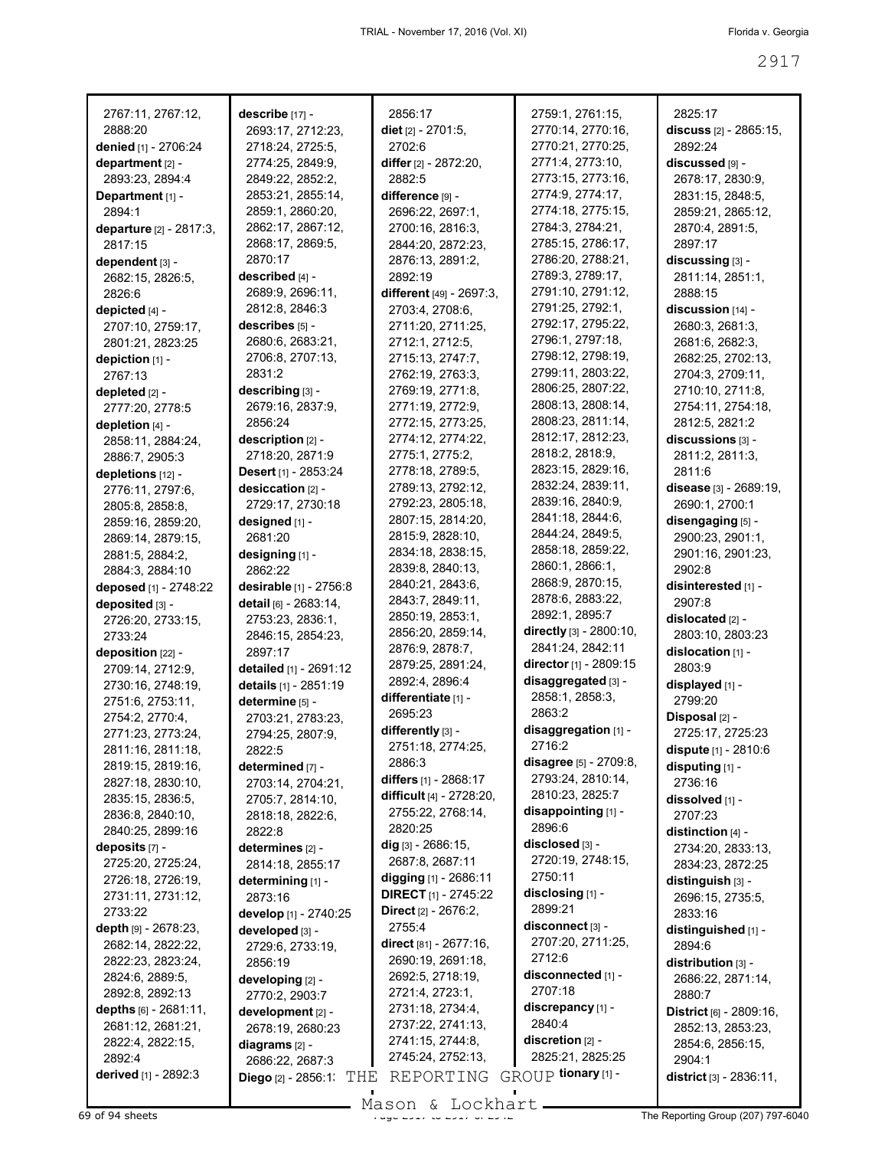| 2767:11, 2767:12,                         | describe [17] -                           | 2856:17                                  | 2759:1, 2761:15,                       | 2825:17                           |
|-------------------------------------------|-------------------------------------------|------------------------------------------|----------------------------------------|-----------------------------------|
| 2888:20                                   | 2693:17, 2712:23,                         | diet $[2] - 2701:5$ ,                    | 2770:14, 2770:16,                      | <b>discuss</b> [2] - 2865:15,     |
| denied [1] - 2706:24                      | 2718:24, 2725:5,                          | 2702:6                                   | 2770:21, 2770:25,                      | 2892:24                           |
| department [2] -                          | 2774:25, 2849:9,                          | differ [2] - 2872:20,                    | 2771:4, 2773:10,                       | discussed [9] -                   |
| 2893:23, 2894:4                           | 2849:22, 2852:2,                          | 2882:5                                   | 2773:15, 2773:16,                      | 2678:17, 2830:9,                  |
| Department [1] -                          | 2853:21, 2855:14,                         | difference [9] -                         | 2774:9, 2774:17,                       | 2831:15, 2848:5,                  |
| 2894:1                                    | 2859:1, 2860:20,                          | 2696:22, 2697:1,                         | 2774:18, 2775:15,                      | 2859:21, 2865:12,                 |
| departure [2] - 2817:3,                   | 2862:17, 2867:12,                         | 2700:16, 2816:3,                         | 2784:3, 2784:21,                       | 2870:4, 2891:5,                   |
| 2817:15                                   | 2868:17, 2869:5,                          | 2844:20, 2872:23,                        | 2785:15, 2786:17,                      | 2897:17                           |
| dependent [3] -                           | 2870:17                                   | 2876:13, 2891:2,                         | 2786:20, 2788:21,                      | discussing [3] -                  |
| 2682:15, 2826:5,                          | described [4] -                           | 2892:19                                  | 2789:3, 2789:17,                       | 2811:14, 2851:1,                  |
| 2826:6                                    | 2689:9, 2696:11,                          | different [49] - 2697:3,                 | 2791:10, 2791:12,                      | 2888:15                           |
| depicted [4] -                            | 2812:8, 2846:3                            | 2703:4, 2708:6,                          | 2791:25, 2792:1,                       | discussion [14] -                 |
| 2707:10, 2759:17,                         | describes [5] -                           | 2711:20, 2711:25,                        | 2792:17, 2795:22,                      | 2680:3, 2681:3,                   |
| 2801:21, 2823:25                          | 2680:6, 2683:21,                          | 2712:1, 2712:5,                          | 2796:1, 2797:18,                       | 2681:6, 2682:3,                   |
| depiction [1] -                           | 2706:8, 2707:13,                          | 2715:13, 2747:7,                         | 2798:12, 2798:19,                      | 2682:25, 2702:13,                 |
| 2767:13                                   | 2831:2                                    | 2762:19, 2763:3,                         | 2799:11, 2803:22,                      | 2704:3, 2709:11,                  |
| depleted [2] -                            | describing [3] -                          | 2769:19, 2771:8,                         | 2806:25, 2807:22,<br>2808:13, 2808:14, | 2710:10, 2711:8,                  |
| 2777:20, 2778:5                           | 2679:16, 2837:9,                          | 2771:19, 2772:9,                         | 2808:23, 2811:14,                      | 2754:11, 2754:18,                 |
| depletion [4] -                           | 2856:24                                   | 2772:15, 2773:25,                        | 2812:17, 2812:23,                      | 2812:5, 2821:2                    |
| 2858:11, 2884:24,                         | description [2] -<br>2718:20, 2871:9      | 2774:12, 2774:22,<br>2775:1, 2775:2,     | 2818:2, 2818:9,                        | discussions [3] -                 |
| 2886:7, 2905:3                            |                                           | 2778:18, 2789:5,                         | 2823:15, 2829:16,                      | 2811:2, 2811:3,<br>2811:6         |
| depletions [12] -                         | Desert [1] - 2853:24<br>desiccation [2] - | 2789:13, 2792:12,                        | 2832:24, 2839:11,                      | disease [3] - 2689:19,            |
| 2776:11, 2797:6,<br>2805:8, 2858:8,       | 2729:17, 2730:18                          | 2792:23, 2805:18,                        | 2839:16, 2840:9,                       | 2690:1, 2700:1                    |
| 2859:16, 2859:20,                         | designed [1] -                            | 2807:15, 2814:20,                        | 2841:18, 2844:6,                       | disengaging [5] -                 |
| 2869:14, 2879:15,                         | 2681:20                                   | 2815:9, 2828:10,                         | 2844:24, 2849:5,                       | 2900:23, 2901:1,                  |
| 2881:5, 2884:2,                           | designing [1] -                           | 2834:18, 2838:15,                        | 2858:18, 2859:22,                      | 2901:16, 2901:23,                 |
| 2884:3, 2884:10                           | 2862:22                                   | 2839:8, 2840:13,                         | 2860:1, 2866:1,                        | 2902:8                            |
| deposed [1] - 2748:22                     | desirable [1] - 2756:8                    | 2840:21, 2843:6,                         | 2868:9, 2870:15,                       | disinterested [1] -               |
| deposited [3] -                           | detail [6] - 2683:14,                     | 2843:7, 2849:11,                         | 2878:6, 2883:22,                       | 2907:8                            |
| 2726:20, 2733:15,                         | 2753:23, 2836:1,                          | 2850:19, 2853:1,                         | 2892:1, 2895:7                         | dislocated [2] -                  |
| 2733:24                                   | 2846:15, 2854:23,                         | 2856:20, 2859:14,                        | directly [3] - 2800:10,                | 2803:10, 2803:23                  |
| deposition [22] -                         | 2897:17                                   | 2876:9, 2878:7,                          | 2841:24, 2842:11                       | dislocation [1] -                 |
| 2709:14, 2712:9,                          | detailed [1] - 2691:12                    | 2879:25, 2891:24,                        | director [1] - 2809:15                 | 2803:9                            |
| 2730:16, 2748:19,                         | details [1] - 2851:19                     | 2892:4, 2896:4                           | disaggregated [3] -                    | displayed [1] -                   |
| 2751:6, 2753:11,                          | determine [5] -                           | differentiate [1] -                      | 2858:1, 2858:3,                        | 2799:20                           |
| 2754:2, 2770:4,                           | 2703:21, 2783:23,                         | 2695:23                                  | 2863:2                                 | Disposal [2] -                    |
| 2771:23, 2773:24,                         | 2794:25, 2807:9,                          | $differently [3] -$                      | disaggregation [1] -                   | 2725:17, 2725:23                  |
| 2811:16, 2811:18,                         | 2822:5                                    | 2751:18, 2774:25,                        | 2716:2                                 | <b>dispute</b> [1] - 2810:6       |
| 2819:15, 2819:16,                         | determined [7] -                          | 2886:3                                   | disagree [5] - 2709:8,                 | disputing [1] -                   |
| 2827:18, 2830:10,                         | 2703:14, 2704:21,                         | differs [1] - 2868:17                    | 2793:24, 2810:14,                      | 2736:16                           |
| 2835:15, 2836:5,                          | 2705:7, 2814:10,                          | difficult [4] - 2728:20,                 | 2810:23, 2825:7                        | dissolved [1] -                   |
| 2836:8, 2840:10,                          | 2818:18, 2822:6,                          | 2755:22, 2768:14,                        | disappointing [1] -<br>2896:6          | 2707:23                           |
| 2840:25, 2899:16                          | 2822:8                                    | 2820:25                                  | disclosed [3] -                        | distinction [4] -                 |
| deposits [7] -                            | determines [2] -                          | dig $[3] - 2686:15$ ,<br>2687:8, 2687:11 | 2720:19, 2748:15,                      | 2734:20, 2833:13,                 |
| 2725:20, 2725:24,                         | 2814:18, 2855:17                          | digging [1] - 2686:11                    | 2750:11                                | 2834:23, 2872:25                  |
| 2726:18, 2726:19,                         | determining [1] -                         | <b>DIRECT</b> [1] - 2745:22              | disclosing [1] -                       | distinguish [3] -                 |
| 2731:11, 2731:12,<br>2733:22              | 2873:16                                   | <b>Direct</b> $[2] - 2676:2$             | 2899:21                                | 2696:15, 2735:5,                  |
|                                           | develop [1] - 2740:25                     | 2755:4                                   | disconnect [3] -                       | 2833:16                           |
| depth [9] - 2678:23,<br>2682:14, 2822:22, | developed [3] -<br>2729:6, 2733:19,       | direct [81] - 2677:16,                   | 2707:20, 2711:25,                      | distinguished [1] -<br>2894:6     |
| 2822:23, 2823:24,                         | 2856:19                                   | 2690:19, 2691:18,                        | 2712:6                                 | distribution [3] -                |
| 2824:6, 2889:5,                           | developing [2] -                          | 2692:5, 2718:19,                         | disconnected [1] -                     | 2686:22, 2871:14,                 |
| 2892:8, 2892:13                           | 2770:2, 2903:7                            | 2721:4, 2723:1,                          | 2707:18                                | 2880:7                            |
| depths $[6] - 2681:11$ ,                  | development [2] -                         | 2731:18, 2734:4,                         | discrepancy [1] -                      | <b>District</b> $[6] - 2809:16$ , |
| 2681:12, 2681:21,                         | 2678:19, 2680:23                          | 2737:22, 2741:13,                        | 2840:4                                 | 2852:13, 2853:23,                 |
| 2822:4, 2822:15,                          | diagrams [2] -                            | 2741:15, 2744:8,                         | discretion [2] -                       | 2854:6, 2856:15,                  |
| 2892:4                                    | 2686:22, 2687:3                           | 2745:24, 2752:13,                        | 2825:21, 2825:25                       | 2904:1                            |
| derived [1] - 2892:3                      | THE<br>Diego [2] - 2856:1                 | REPORTING                                | GROUP tionary [1] -                    | district $[3] - 2836:11$ ,        |
|                                           |                                           | $\blacksquare$                           | $\blacksquare$                         |                                   |

Mason & Lockhart **Page 2017 of 2017 197-6040**<br>
Mason & Lockhart **Communist Communist Communist Communist** The Reporting Group (207) 797-6040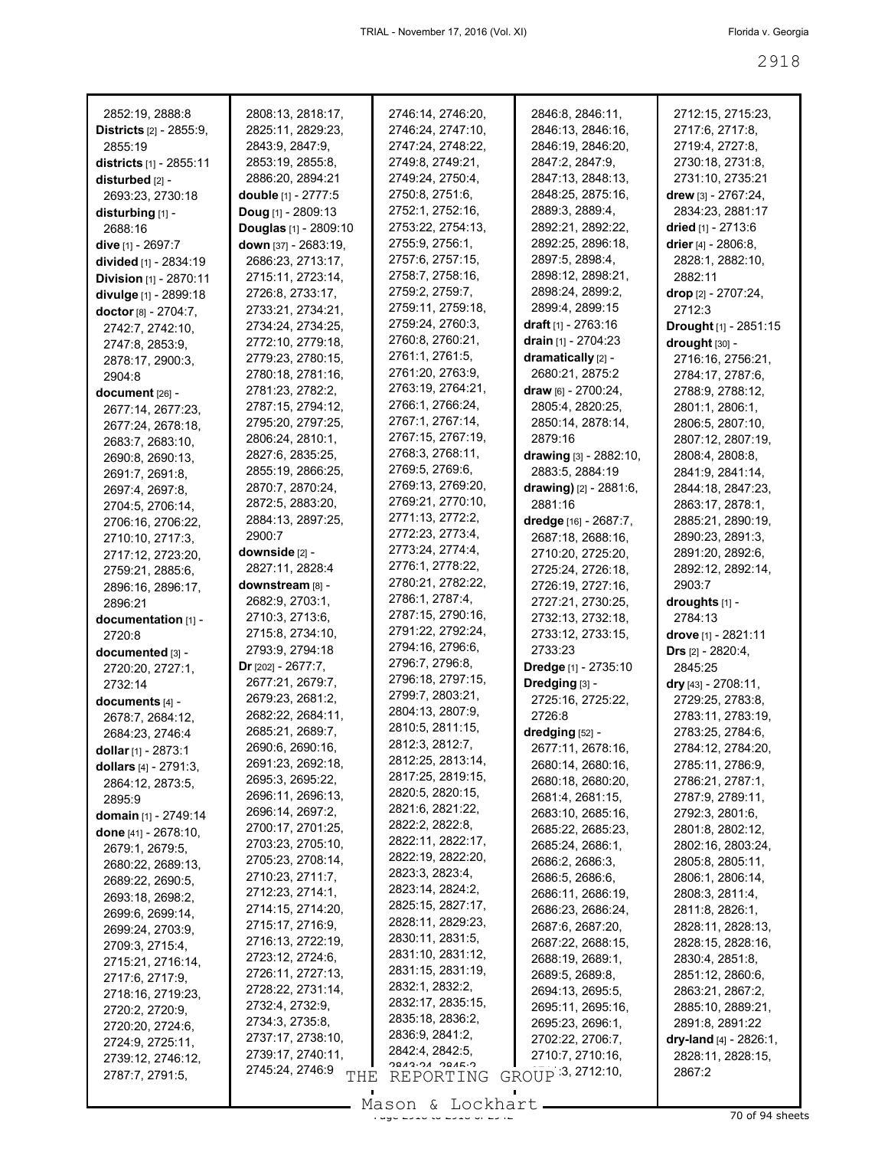| 2852:19, 2888:8                | 2808:13, 2818:17,          | 2746:14, 2746:20,           | 2846:8, 2846:11,           | 2712:15, 2715:23,          |
|--------------------------------|----------------------------|-----------------------------|----------------------------|----------------------------|
| Districts [2] - 2855:9,        | 2825:11, 2829:23,          | 2746:24, 2747:10,           | 2846:13, 2846:16,          | 2717:6, 2717:8,            |
| 2855:19                        | 2843:9, 2847:9,            | 2747:24, 2748:22,           | 2846:19, 2846:20,          | 2719:4, 2727:8,            |
| <b>districts</b> [1] - 2855:11 | 2853:19, 2855:8,           | 2749:8, 2749:21,            | 2847:2, 2847:9,            | 2730:18, 2731:8,           |
| disturbed [2] -                | 2886:20, 2894:21           | 2749:24, 2750:4,            | 2847:13, 2848:13,          | 2731:10, 2735:21           |
| 2693:23, 2730:18               | <b>double</b> [1] - 2777:5 | 2750:8, 2751:6,             | 2848:25, 2875:16,          | <b>drew</b> [3] - 2767:24, |
| disturbing [1] -               | Doug [1] - 2809:13         | 2752:1, 2752:16,            | 2889:3, 2889:4,            | 2834:23, 2881:17           |
| 2688:16                        | Douglas [1] - 2809:10      | 2753:22, 2754:13,           | 2892:21, 2892:22,          | dried [1] - 2713:6         |
| <b>dive</b> [1] - 2697:7       | down [37] - 2683:19,       | 2755:9, 2756:1,             | 2892:25, 2896:18,          | drier [4] - 2806:8,        |
| divided [1] - 2834:19          | 2686:23, 2713:17,          | 2757:6, 2757:15,            | 2897:5, 2898:4,            | 2828:1, 2882:10,           |
| Division [1] - 2870:11         | 2715:11, 2723:14,          | 2758:7, 2758:16,            | 2898:12, 2898:21,          | 2882:11                    |
| divulge [1] - 2899:18          | 2726:8, 2733:17,           | 2759:2, 2759:7,             | 2898:24, 2899:2,           | <b>drop</b> [2] - 2707:24, |
| doctor [8] - 2704:7,           | 2733:21, 2734:21,          | 2759:11, 2759:18,           | 2899:4, 2899:15            | 2712:3                     |
| 2742:7, 2742:10,               | 2734:24, 2734:25,          | 2759:24, 2760:3,            | <b>draft</b> [1] - 2763:16 | Drought [1] - 2851:15      |
| 2747:8, 2853:9,                | 2772:10, 2779:18,          | 2760:8, 2760:21,            | drain $[1]$ - 2704:23      | drought [30] -             |
|                                | 2779:23, 2780:15,          | 2761:1, 2761:5,             | dramatically [2] -         | 2716:16, 2756:21,          |
| 2878:17, 2900:3,               | 2780:18, 2781:16,          | 2761:20, 2763:9,            | 2680:21, 2875:2            | 2784:17, 2787:6,           |
| 2904:8                         | 2781:23, 2782:2,           | 2763:19, 2764:21,           | draw [6] - 2700:24,        | 2788:9, 2788:12,           |
| document [26] -                | 2787:15, 2794:12,          | 2766:1, 2766:24,            | 2805:4, 2820:25,           |                            |
| 2677:14, 2677:23,              |                            | 2767:1, 2767:14,            |                            | 2801:1, 2806:1,            |
| 2677:24, 2678:18,              | 2795:20, 2797:25,          | 2767:15, 2767:19,           | 2850:14, 2878:14,          | 2806:5, 2807:10,           |
| 2683:7, 2683:10,               | 2806:24, 2810:1,           | 2768:3, 2768:11,            | 2879:16                    | 2807:12, 2807:19,          |
| 2690:8, 2690:13,               | 2827:6, 2835:25,           |                             | drawing [3] - 2882:10,     | 2808:4, 2808:8,            |
| 2691:7, 2691:8,                | 2855:19, 2866:25,          | 2769:5, 2769:6,             | 2883:5, 2884:19            | 2841:9, 2841:14,           |
| 2697:4, 2697:8,                | 2870:7, 2870:24,           | 2769:13, 2769:20,           | drawing) [2] - 2881:6,     | 2844:18, 2847:23,          |
| 2704:5, 2706:14,               | 2872:5, 2883:20,           | 2769:21, 2770:10,           | 2881:16                    | 2863:17, 2878:1,           |
| 2706:16, 2706:22,              | 2884:13, 2897:25,          | 2771:13, 2772:2,            | dredge [16] - 2687:7,      | 2885:21, 2890:19,          |
| 2710:10, 2717:3,               | 2900:7                     | 2772:23, 2773:4,            | 2687:18, 2688:16,          | 2890:23, 2891:3,           |
| 2717:12, 2723:20,              | downside [2] -             | 2773:24, 2774:4,            | 2710:20, 2725:20,          | 2891:20, 2892:6,           |
| 2759:21, 2885:6,               | 2827:11, 2828:4            | 2776:1, 2778:22,            | 2725:24, 2726:18,          | 2892:12, 2892:14,          |
| 2896:16, 2896:17,              | downstream [8] -           | 2780:21, 2782:22,           | 2726:19, 2727:16,          | 2903:7                     |
| 2896:21                        | 2682:9, 2703:1,            | 2786:1, 2787:4,             | 2727:21, 2730:25,          | droughts [1] -             |
| documentation [1] -            | 2710:3, 2713:6,            | 2787:15, 2790:16,           | 2732:13, 2732:18,          | 2784:13                    |
| 2720:8                         | 2715:8, 2734:10,           | 2791:22, 2792:24,           | 2733:12, 2733:15,          | drove [1] - 2821:11        |
| documented [3] -               | 2793:9, 2794:18            | 2794:16, 2796:6,            | 2733:23                    | <b>Drs</b> $[2] - 2820:4,$ |
| 2720:20, 2727:1.               | <b>Dr</b> [202] - 2677:7,  | 2796:7, 2796:8,             | Dredge [1] - 2735:10       | 2845:25                    |
| 2732:14                        | 2677:21, 2679:7,           | 2796:18, 2797:15,           | Dredging [3] -             | dry $[43] - 2708:11$ ,     |
| documents [4] -                | 2679:23, 2681:2,           | 2799:7, 2803:21,            | 2725:16, 2725:22,          | 2729:25, 2783:8,           |
| 2678:7, 2684:12,               | 2682:22, 2684:11,          | 2804:13, 2807:9,            | 2726:8                     | 2783:11, 2783:19,          |
| 2684:23, 2746:4                | 2685:21, 2689:7,           | 2810:5, 2811:15,            | dredging [52] -            | 2783:25, 2784:6,           |
|                                | 2690:6, 2690:16,           | 2812:3, 2812:7,             | 2677:11, 2678:16,          | 2784:12, 2784:20,          |
| <b>dollar</b> [1] - 2873:1     | 2691:23, 2692:18,          | 2812:25, 2813:14,           | 2680:14, 2680:16,          | 2785:11, 2786:9,           |
| dollars [4] - 2791:3,          | 2695:3, 2695:22,           | 2817:25, 2819:15,           | 2680:18, 2680:20,          | 2786:21, 2787:1,           |
| 2864:12, 2873:5,               | 2696:11, 2696:13,          | 2820:5, 2820:15,            | 2681:4, 2681:15,           | 2787:9, 2789:11,           |
| 2895:9                         | 2696:14, 2697:2,           | 2821:6, 2821:22,            | 2683:10, 2685:16,          | 2792:3, 2801:6,            |
| <b>domain</b> [1] - 2749:14    | 2700:17, 2701:25,          | 2822:2, 2822:8,             | 2685:22, 2685:23,          |                            |
| done [41] - 2678:10,           | 2703:23, 2705:10,          | 2822:11, 2822:17,           |                            | 2801:8, 2802:12,           |
| 2679:1, 2679:5,                |                            | 2822:19, 2822:20,           | 2685:24, 2686:1,           | 2802:16, 2803:24,          |
| 2680:22, 2689:13,              | 2705:23, 2708:14,          | 2823:3, 2823:4,             | 2686:2, 2686:3,            | 2805:8, 2805:11,           |
| 2689:22, 2690:5,               | 2710:23, 2711:7,           | 2823:14, 2824:2,            | 2686:5, 2686:6,            | 2806:1, 2806:14,           |
| 2693:18, 2698:2,               | 2712:23, 2714:1,           | 2825:15, 2827:17,           | 2686:11, 2686:19,          | 2808:3, 2811:4,            |
| 2699:6, 2699:14,               | 2714:15, 2714:20,          | 2828:11, 2829:23,           | 2686:23, 2686:24,          | 2811:8, 2826:1,            |
| 2699:24, 2703:9,               | 2715:17, 2716:9,           | 2830:11, 2831:5,            | 2687:6, 2687:20,           | 2828:11, 2828:13,          |
| 2709:3, 2715:4,                | 2716:13, 2722:19,          |                             | 2687:22, 2688:15,          | 2828:15, 2828:16,          |
| 2715:21, 2716:14,              | 2723:12, 2724:6,           | 2831:10, 2831:12,           | 2688:19, 2689:1,           | 2830:4, 2851:8,            |
| 2717:6, 2717:9,                | 2726:11, 2727:13,          | 2831:15, 2831:19,           | 2689:5, 2689:8,            | 2851:12, 2860:6,           |
| 2718:16, 2719:23,              | 2728:22, 2731:14,          | 2832:1, 2832:2,             | 2694:13, 2695:5,           | 2863:21, 2867:2,           |
| 2720:2, 2720:9,                | 2732:4, 2732:9,            | 2832:17, 2835:15,           | 2695:11, 2695:16,          | 2885:10, 2889:21,          |
| 2720:20, 2724:6,               | 2734:3, 2735:8,            | 2835:18, 2836:2,            | 2695:23, 2696:1,           | 2891:8, 2891:22            |
|                                |                            |                             |                            |                            |
| 2724:9, 2725:11,               | 2737:17, 2738:10,          | 2836:9, 2841:2,             | 2702:22, 2706:7,           | dry-land [4] - 2826:1,     |
| 2739:12, 2746:12,              | 2739:17, 2740:11,          | 2842:4, 2842:5,             | 2710:7, 2710:16,           | 2828:11, 2828:15,          |
| 2787:7, 2791:5,                | 2745:24, 2746:9<br>THE     | C-ALOC AC-CAOC<br>REPORTING | GROUP 3, 2712:10,          | 2867:2                     |

Mason & Lockhart 2018 2018 2018 2018 70 of 94 sheets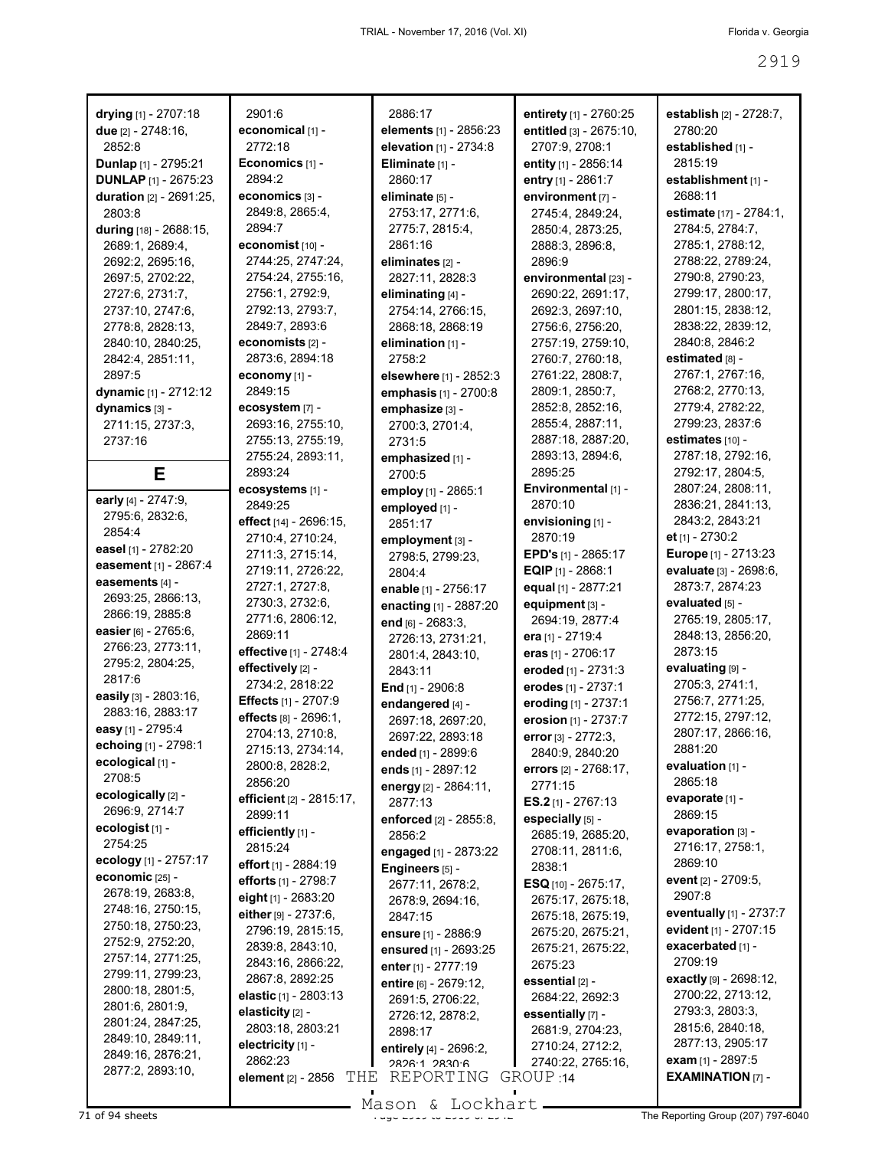| drying [1] - 2707:18<br>due [2] - 2748:16,<br>2852:8<br>Dunlap [1] - 2795:21 | 2901:6<br>economical און -<br>2772:18<br>Economics [1] - |
|------------------------------------------------------------------------------|----------------------------------------------------------|
| <b>DUNLAP</b> [1] - 2675:23                                                  | 2894:2                                                   |
| duration [2] - 2691:25,<br>2803:8                                            | economics [3] -<br>2849:8, 2865:4,                       |
| during [18] - 2688:15,                                                       | 2894:7                                                   |
| 2689:1, 2689:4,                                                              | economist [10] -                                         |
| 2692:2, 2695:16,                                                             | 2744:25, 2747:24,                                        |
| 2697:5, 2702:22,                                                             | 2754:24, 2755:16,                                        |
| 2727:6, 2731:7,<br>2737:10, 2747:6,                                          | 2756:1, 2792:9,<br>2792:13, 2793:7,                      |
| 2778:8, 2828:13,                                                             | 2849:7, 2893:6                                           |
| 2840:10, 2840:25,                                                            | economists [2] -                                         |
| 2842:4, 2851:11,                                                             | 2873:6, 2894:18                                          |
| 2897:5                                                                       | economy [1] -                                            |
| dynamic [1] - 2712:12                                                        | 2849:15                                                  |
| dynamics [3] -                                                               | ecosystem [7] -                                          |
| 2711:15, 2737:3,                                                             | 2693:16, 2755:10,<br>2755:13, 2755:19,                   |
| 2737:16                                                                      | 2755:24, 2893:11,                                        |
| Ε                                                                            | 2893:24                                                  |
|                                                                              | ecosystems [1] -                                         |
| early [4] - 2747:9,                                                          | 2849:25                                                  |
| 2795:6, 2832:6,<br>2854:4                                                    | effect [14] - 2696:15                                    |
| easel [1] - 2782:20                                                          | 2710:4, 2710:24,                                         |
| easement [1] - 2867:4                                                        | 2711:3, 2715:14,<br>2719:11, 2726:22,                    |
| easements [4] -                                                              | 2727:1, 2727:8,                                          |
| 2693:25, 2866:13,                                                            | 2730:3, 2732:6,                                          |
| 2866:19, 2885:8                                                              | 2771:6, 2806:12,                                         |
| easier [6] - 2765:6,                                                         | 2869:11                                                  |
| 2766:23, 2773:11,                                                            | <b>effective</b> [1] - 2748:4                            |
| 2795:2, 2804:25,<br>2817:6                                                   | effectively [2] -                                        |
| easily [3] - 2803:16,                                                        | 2734:2, 2818:22<br><b>Effects</b> [1] - 2707:9           |
| 2883:16, 2883:17                                                             | effects [8] - 2696:1,                                    |
| easy [1] - 2795:4                                                            | 2704:13, 2710:8,                                         |
| echoing [1] - 2798:1                                                         | 2715:13, 2734:14,                                        |
| ecological [1] -<br>2708:5                                                   | 2800:8, 2828:2,                                          |
| ecologically [2] -                                                           | 2856:20                                                  |
| 2696:9, 2714:7                                                               | efficient [2] - 2815:1<br>2899:11                        |
| ecologist [1] -                                                              | efficiently [1] -                                        |
| 2754:25                                                                      | 2815:24                                                  |
| ecology [1] - 2757:17                                                        | effort [1] - 2884:19                                     |
| economic [25] -<br>2678:19, 2683:8,                                          | efforts [1] - 2798:7                                     |
| 2748:16, 2750:15,                                                            | eight [1] - 2683:20                                      |
| 2750:18, 2750:23,                                                            | either [9] - 2737:6,<br>2796:19, 2815:15,                |
| 2752:9, 2752:20,                                                             | 2839:8, 2843:10,                                         |
| 2757:14, 2771:25,                                                            | 2843:16, 2866:22,                                        |
| 2799:11, 2799:23,                                                            | 2867:8, 2892:25                                          |
| 2800:18, 2801:5,                                                             | <b>elastic</b> [1] - 2803:13                             |
| 2801:6, 2801:9,<br>2801:24, 2847:25,                                         | elasticity [2] -                                         |
| 2849:10, 2849:11,                                                            | 2803:18, 2803:21                                         |
| 2849:16, 2876:21,                                                            | electricity [1] -<br>2862:23                             |
| 2877:2, 2893:10,                                                             | <b>element</b> [2] - 2856                                |
|                                                                              |                                                          |

|     | 2886:17                                 |  |  |  |
|-----|-----------------------------------------|--|--|--|
|     | <b>elements</b> [1] - 2856:23           |  |  |  |
|     | elevation [1] - 2734:8                  |  |  |  |
|     | Eliminate [1] -                         |  |  |  |
|     | 2860:17                                 |  |  |  |
|     | eliminate [5] -                         |  |  |  |
|     | 2753:17, 2771:6,                        |  |  |  |
|     | 2775:7, 2815:4,                         |  |  |  |
|     | 2861:16                                 |  |  |  |
|     | eliminates [2] -                        |  |  |  |
| ,   | 2827:11, 2828:3                         |  |  |  |
|     | eliminating [4] -                       |  |  |  |
|     | 2754:14, 2766:15,                       |  |  |  |
|     | 2868:18, 2868:19                        |  |  |  |
|     | elimination [1] -                       |  |  |  |
|     | 2758:2                                  |  |  |  |
|     | <b>elsewhere</b> [1] - 2852:3           |  |  |  |
|     | <b>emphasis</b> [1] - 2700:8            |  |  |  |
|     | emphasize [3] -                         |  |  |  |
| ,   | 2700:3, 2701:4,                         |  |  |  |
| ,   | 2731:5                                  |  |  |  |
| ,   | emphasized [1] -                        |  |  |  |
|     | 2700:5                                  |  |  |  |
|     | employ [1] - 2865:1                     |  |  |  |
|     | employed [1] -                          |  |  |  |
| Ϊ,  | 2851:17                                 |  |  |  |
|     | employment [3] -                        |  |  |  |
|     | 2798:5, 2799:23,                        |  |  |  |
| ,   | 2804:4                                  |  |  |  |
|     | enable [1] - 2756:17                    |  |  |  |
|     | enacting [1] - 2887:20                  |  |  |  |
|     | end [6] - 2683:3,                       |  |  |  |
| 4   | 2726:13, 2731:21,                       |  |  |  |
|     | 2801:4, 2843:10,                        |  |  |  |
|     | 2843:11                                 |  |  |  |
|     | End [1] - 2906:8                        |  |  |  |
|     | endangered [4] -                        |  |  |  |
|     | 2697:18, 2697:20,                       |  |  |  |
|     | 2697:22, 2893:18                        |  |  |  |
| ,   | ended [1] - 2899:6                      |  |  |  |
|     | ends [1] - 2897:12                      |  |  |  |
| 17, | energy [2] - 2864:11,                   |  |  |  |
|     | 2877:13                                 |  |  |  |
|     | <b>enforced</b> [2] - 2855:8,<br>2856:2 |  |  |  |
|     |                                         |  |  |  |
|     | engaged [1] - 2873:22                   |  |  |  |
|     | Engineers [5] -<br>2677:11, 2678:2,     |  |  |  |
|     | 2678:9, 2694:16,                        |  |  |  |
|     | 2847:15                                 |  |  |  |
| ,   | <b>ensure</b> [1] - 2886:9              |  |  |  |
|     | <b>ensured</b> [1] - 2693:25            |  |  |  |
| ,   | enter [1] - 2777:19                     |  |  |  |
|     | entire [6] - 2679:12,                   |  |  |  |
| S   | 2691:5, 2706:22,                        |  |  |  |
|     | 2726:12, 2878:2,                        |  |  |  |
|     | 2898:17                                 |  |  |  |
|     | entirely [4] - 2696:2,                  |  |  |  |
|     | 2826.1 2830.6                           |  |  |  |
| THE | REPORTING                               |  |  |  |

**entirety** [1] - 2760:25 **entitled** [3] - 2675:10, 2707:9, 2708:1 **entity** [1] - 2856:14 **entry** [1] - 2861:7 **environment** [7] - 2745:4, 2849:24, 2850:4, 2873:25, 2888:3, 2896:8, 2896:9 **environmental** [23] - 2690:22, 2691:17, 2692:3, 2697:10, 2756:6, 2756:20, 2757:19, 2759:10, 2760:7, 2760:18, 2761:22, 2808:7, 2809:1, 2850:7, 2852:8, 2852:16, 2855:4, 2887:11, 2887:18, 2887:20, 2893:13, 2894:6, 2895:25 **Environmental** [1] - 2870:10 **envisioning** [1] - 2870:19 **EPD's** [1] - 2865:17 **EQIP** [1] - 2868:1 **equal** [1] - 2877:21 **equipment** [3] - 2694:19, 2877:4 **era** [1] - 2719:4 **eras** [1] - 2706:17 **eroded** [1] - 2731:3 **erodes** [1] - 2737:1 **eroding** [1] - 2737:1 **erosion** [1] - 2737:7 **error** [3] - 2772:3, 2840:9, 2840:20 **errors** [2] - 2768:17, 2771:15 **ES.2** [1] - 2767:13 **especially** [5] - 2685:19, 2685:20, 2708:11, 2811:6, 2838:1 **ESQ** [10] - 2675:17, 2675:17, 2675:18, 2675:18, 2675:19, 2675:20, 2675:21, 2675:21, 2675:22, 2675:23 **essential** [2] - 2684:22, 2692:3 **essentially** [7] - 2681:9, 2704:23, 2710:24, 2712:2, 2740:22, 2765:16, GROUP<sub>:14</sub>

**establish** [2] - 2728:7, 2780:20 **established** [1] - 2815:19 **establishment** [1] - 2688:11 **estimate** [17] - 2784:1, 2784:5, 2784:7, 2785:1, 2788:12, 2788:22, 2789:24, 2790:8, 2790:23, 2799:17, 2800:17, 2801:15, 2838:12, 2838:22, 2839:12, 2840:8, 2846:2 **estimated** [8] - 2767:1, 2767:16, 2768:2, 2770:13, 2779:4, 2782:22, 2799:23, 2837:6 **estimates** [10] - 2787:18, 2792:16, 2792:17, 2804:5, 2807:24, 2808:11, 2836:21, 2841:13, 2843:2, 2843:21 **et** [1] - 2730:2 **Europe** [1] - 2713:23 **evaluate** [3] - 2698:6, 2873:7, 2874:23 **evaluated** [5] - 2765:19, 2805:17, 2848:13, 2856:20, 2873:15 **evaluating** [9] - 2705:3, 2741:1, 2756:7, 2771:25, 2772:15, 2797:12, 2807:17, 2866:16, 2881:20 **evaluation** [1] - 2865:18 **evaporate** [1] - 2869:15 **evaporation** [3] - 2716:17, 2758:1, 2869:10 **event** [2] - 2709:5, 2907:8 **eventually** [1] - 2737:7 **evident** [1] - 2707:15 **exacerbated** [1] - 2709:19 **exactly** [9] - 2698:12, 2700:22, 2713:12, 2793:3, 2803:3, 2815:6, 2840:18, 2877:13, 2905:17 **exam** [1] - 2897:5 **EXAMINATION** [7] -

71 of 94 sheets **Page 2019 of 2019 to 2019 of 2919 to 2019** The Reporting Group (207) 797-6040 Mason & Lockhart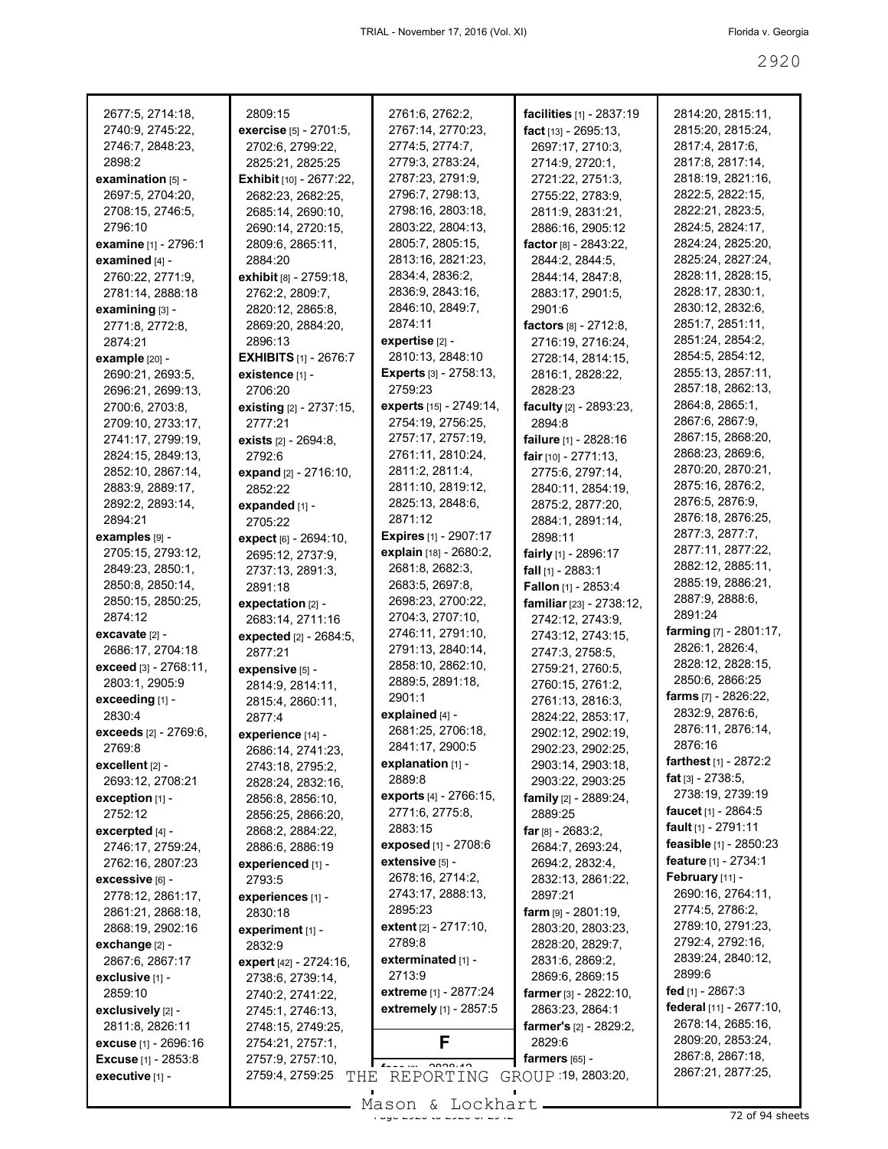| 2677:5, 2714:18,<br>2740:9, 2745:22,<br>2746:7, 2848:23,                | 2809:15<br>exercise [5] - 2701:5,<br>2702:6, 2799:22,                                        | 2761:6, 2762:2,<br>2767:14, 2770:23,<br>2774:5, 2774:7,                       | facilities [1] - 2837:19<br>fact $[13] - 2695:13$ ,<br>2697:17, 2710:3,          | 2814:20, 2815:11,<br>2815:20, 2815:24,<br>2817:4, 2817:6,                       |
|-------------------------------------------------------------------------|----------------------------------------------------------------------------------------------|-------------------------------------------------------------------------------|----------------------------------------------------------------------------------|---------------------------------------------------------------------------------|
| 2898:2<br>examination $[5]$ -<br>2697:5, 2704:20,<br>2708:15, 2746:5,   | 2825:21, 2825:25<br><b>Exhibit</b> [10] - 2677:22,<br>2682:23, 2682:25,<br>2685:14, 2690:10, | 2779:3, 2783:24,<br>2787:23, 2791:9,<br>2796:7, 2798:13,<br>2798:16, 2803:18, | 2714:9, 2720:1,<br>2721:22, 2751:3,<br>2755:22, 2783:9,<br>2811:9, 2831:21,      | 2817:8, 2817:14,<br>2818:19, 2821:16,<br>2822:5, 2822:15,<br>2822:21, 2823:5,   |
| 2796:10<br>examine [1] - 2796:1<br>examined $[4]$ -<br>2760:22, 2771:9, | 2690:14, 2720:15,<br>2809:6, 2865:11,<br>2884:20<br>exhibit [8] - 2759:18,                   | 2803:22, 2804:13,<br>2805:7, 2805:15,<br>2813:16, 2821:23,<br>2834:4, 2836:2, | 2886:16, 2905:12<br>factor [8] - 2843:22,<br>2844:2, 2844:5,<br>2844:14, 2847:8, | 2824:5, 2824:17,<br>2824:24, 2825:20,<br>2825:24, 2827:24,<br>2828:11, 2828:15, |
| 2781:14, 2888:18<br>examining [3] -<br>2771:8, 2772:8,<br>2874:21       | 2762:2, 2809:7,<br>2820:12, 2865:8,<br>2869:20, 2884:20,<br>2896:13                          | 2836:9, 2843:16,<br>2846:10, 2849:7,<br>2874:11<br>expertise $[2]$ -          | 2883:17, 2901:5,<br>2901:6<br>factors [8] - 2712:8,<br>2716:19, 2716:24,         | 2828:17, 2830:1,<br>2830:12, 2832:6,<br>2851:7, 2851:11,<br>2851:24, 2854:2,    |
| example [20] -                                                          | <b>EXHIBITS</b> $[1]$ - 2676:7                                                               | 2810:13, 2848:10                                                              | 2728:14, 2814:15,                                                                | 2854:5, 2854:12,                                                                |
| 2690:21, 2693:5,<br>2696:21, 2699:13,                                   | existence [1] -<br>2706:20                                                                   | <b>Experts</b> [3] - 2758:13,<br>2759:23                                      | 2816:1, 2828:22,<br>2828:23                                                      | 2855:13, 2857:11,<br>2857:18, 2862:13,                                          |
| 2700:6, 2703:8,<br>2709:10, 2733:17,                                    | existing [2] - 2737:15,<br>2777:21                                                           | experts [15] - 2749:14,<br>2754:19, 2756:25,                                  | faculty [2] - 2893:23,<br>2894:8                                                 | 2864:8, 2865:1,<br>2867:6, 2867:9,                                              |
| 2741:17, 2799:19,<br>2824:15, 2849:13,                                  | exists [2] - 2694:8,<br>2792:6                                                               | 2757:17, 2757:19,<br>2761:11, 2810:24,                                        | failure [1] - 2828:16<br>fair $[10] - 2771:13$ ,                                 | 2867:15, 2868:20,<br>2868:23, 2869:6,                                           |
| 2852:10, 2867:14,<br>2883:9, 2889:17,<br>2892:2, 2893:14,               | expand [2] - 2716:10,<br>2852:22                                                             | 2811:2, 2811:4,<br>2811:10, 2819:12,<br>2825:13, 2848:6,                      | 2775:6, 2797:14,<br>2840:11, 2854:19,                                            | 2870:20, 2870:21,<br>2875:16, 2876:2,<br>2876:5, 2876:9,                        |
| 2894:21<br>examples [9] -                                               | expanded [1] -<br>2705:22<br>expect [6] - 2694:10,                                           | 2871:12<br><b>Expires</b> [1] - 2907:17                                       | 2875:2, 2877:20,<br>2884:1, 2891:14,<br>2898:11                                  | 2876:18, 2876:25,<br>2877:3, 2877:7,                                            |
| 2705:15, 2793:12,<br>2849:23, 2850:1,                                   | 2695:12, 2737:9,<br>2737:13, 2891:3,                                                         | explain [18] - 2680:2,<br>2681:8, 2682:3,                                     | fairly [1] - 2896:17<br>fall $[1]$ - 2883:1                                      | 2877:11, 2877:22,<br>2882:12, 2885:11,                                          |
| 2850:8, 2850:14,<br>2850:15, 2850:25,<br>2874:12                        | 2891:18<br>expectation [2] -                                                                 | 2683:5, 2697:8,<br>2698:23, 2700:22,<br>2704:3, 2707:10,                      | Fallon [1] - 2853:4<br>familiar [23] - 2738:12,                                  | 2885:19, 2886:21,<br>2887:9, 2888:6,<br>2891:24                                 |
| $excavate$ [2] -<br>2686:17, 2704:18                                    | 2683:14, 2711:16<br>expected [2] - 2684:5,<br>2877:21                                        | 2746:11, 2791:10,<br>2791:13, 2840:14,                                        | 2742:12, 2743:9,<br>2743:12, 2743:15,<br>2747:3, 2758:5,                         | <b>farming</b> $[7] - 2801:17$ ,<br>2826:1, 2826:4,                             |
| exceed [3] - 2768:11,<br>2803:1, 2905:9                                 | expensive [5] -<br>2814:9, 2814:11,                                                          | 2858:10, 2862:10,<br>2889:5, 2891:18,                                         | 2759:21, 2760:5,<br>2760:15, 2761:2,                                             | 2828:12, 2828:15,<br>2850:6, 2866:25                                            |
| exceeding [1] -<br>2830:4                                               | 2815:4, 2860:11,<br>2877:4                                                                   | 2901:1<br>explained [4] -<br>2681:25, 2706:18,                                | 2761:13, 2816:3,<br>2824:22, 2853:17,                                            | farms [7] - 2826:22,<br>2832:9, 2876:6,<br>2876:11, 2876:14,                    |
| <b>exceeds</b> [2] - 2769:6,<br>2769:8<br>excellent $[2]$ -             | experience [14] -<br>2686:14, 2741:23,<br>2743:18, 2795:2,                                   | 2841:17, 2900:5<br>explanation $[1]$ -                                        | 2902:12, 2902:19,<br>2902:23, 2902:25,<br>2903:14, 2903:18,                      | 2876:16<br><b>farthest</b> $[1]$ - 2872:2                                       |
| 2693:12, 2708:21<br>exception $[1]$ -                                   | 2828:24, 2832:16,<br>2856:8, 2856:10,                                                        | 2889:8<br>exports [4] - 2766:15,                                              | 2903:22, 2903:25<br><b>family</b> $[2] - 2889:24$ ,                              | $fat$ [3] - 2738:5.<br>2738:19, 2739:19                                         |
| 2752:12<br>excerpted [4] -                                              | 2856:25, 2866:20,<br>2868:2, 2884:22,                                                        | 2771:6, 2775:8,<br>2883:15                                                    | 2889:25<br>far $[8] - 2683:2$                                                    | faucet [1] - 2864:5<br>fault [1] - 2791:11                                      |
| 2746:17, 2759:24,<br>2762:16, 2807:23                                   | 2886:6, 2886:19<br>experienced [1] -                                                         | exposed [1] - 2708:6<br>extensive [5] -                                       | 2684:7, 2693:24,<br>2694:2, 2832:4,                                              | feasible [1] - 2850:23<br>feature [1] - 2734:1<br>February [11] -               |
| excessive [6] -<br>2778:12, 2861:17,<br>2861:21, 2868:18,               | 2793:5<br>experiences [1] -<br>2830:18                                                       | 2678:16, 2714:2,<br>2743:17, 2888:13,<br>2895:23                              | 2832:13, 2861:22,<br>2897:21<br><b>farm</b> $[9] - 2801:19$ ,                    | 2690:16, 2764:11,<br>2774:5, 2786:2,                                            |
| 2868:19, 2902:16<br>exchange [2] -                                      | experiment [1] -<br>2832:9                                                                   | extent [2] - 2717:10,<br>2789:8                                               | 2803:20, 2803:23,<br>2828:20, 2829:7,                                            | 2789:10, 2791:23,<br>2792:4, 2792:16,                                           |
| 2867:6, 2867:17<br>$exclusive [1] -$                                    | expert [42] - 2724:16,<br>2738:6, 2739:14,                                                   | exterminated [1] -<br>2713:9                                                  | 2831:6, 2869:2,<br>2869:6, 2869:15                                               | 2839:24, 2840:12,<br>2899:6                                                     |
| 2859:10                                                                 | 2740:2, 2741:22,                                                                             | extreme $[1] - 2877:24$                                                       | <b>farmer</b> [3] - $2822:10$ ,                                                  | fed $[1]$ - 2867:3<br>federal [11] - 2677:10,                                   |
| exclusively [2] -                                                       | 2745:1, 2746:13,                                                                             | extremely [1] - 2857:5                                                        | 2863:23, 2864:1<br><b>farmer's</b> [2] - 2829:2,                                 | 2678:14, 2685:16,                                                               |
| 2811:8, 2826:11<br>excuse $[1] - 2696:16$                               | 2748:15, 2749:25,<br>2754:21, 2757:1,                                                        | F                                                                             | 2829:6                                                                           | 2809:20, 2853:24,                                                               |
| <b>Excuse</b> $[1] - 2853:8$                                            | 2757:9, 2757:10,                                                                             |                                                                               | farmers $[65]$ -                                                                 | 2867:8, 2867:18,                                                                |
| executive [1] -                                                         | 2759:4, 2759:25<br>THE                                                                       | $f_{max} = 2000.40$<br>REPORTING                                              | GROUP 19, 2803:20,                                                               | 2867:21, 2877:25,                                                               |
|                                                                         |                                                                                              | $Məcon$ f. Inchart                                                            |                                                                                  |                                                                                 |

Mason & Lockhart 2020 and 2020 72 of 94 sheets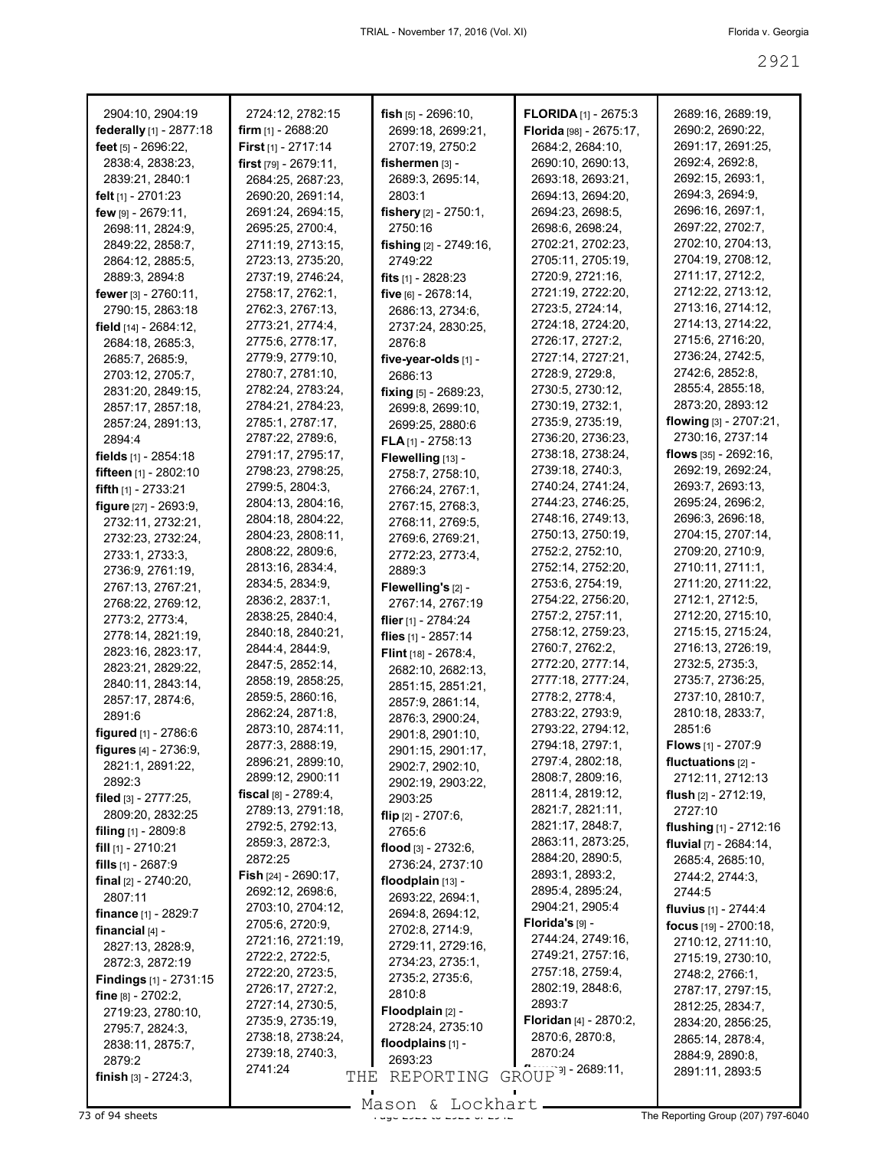| 2904:10, 2904:19                       | 2724:12, 2782:15                    | <b>fish</b> $[5] - 2696:10$ ,         | <b>FLORIDA</b> [1] - 2675:3           | 2689:16, 2689:19,                    |
|----------------------------------------|-------------------------------------|---------------------------------------|---------------------------------------|--------------------------------------|
| federally [1] - 2877:18                | firm $[1]$ - 2688:20                | 2699:18, 2699:21,                     | Florida [98] - 2675:17,               | 2690:2, 2690:22,                     |
| feet $[5] - 2696:22$ ,                 | First [1] - 2717:14                 | 2707:19, 2750:2                       | 2684:2, 2684:10,                      | 2691:17, 2691:25,                    |
| 2838:4, 2838:23,                       | first [79] - 2679:11,               | fishermen $[3]$ -                     | 2690:10, 2690:13,                     | 2692:4, 2692:8,                      |
| 2839:21, 2840:1                        | 2684:25, 2687:23,                   | 2689:3, 2695:14,                      | 2693:18, 2693:21,                     | 2692:15, 2693:1,                     |
| <b>felt</b> $[1]$ - 2701:23            | 2690:20, 2691:14,                   | 2803:1                                | 2694:13, 2694:20,                     | 2694:3, 2694:9,                      |
| few [9] - 2679:11,                     | 2691:24, 2694:15,                   | fishery $[2] - 2750:1$ ,              | 2694:23, 2698:5,                      | 2696:16, 2697:1,                     |
| 2698:11, 2824:9,                       | 2695:25, 2700:4,                    | 2750:16                               | 2698:6, 2698:24,                      | 2697:22, 2702:7,                     |
| 2849:22, 2858:7,                       | 2711:19, 2713:15,                   | <b>fishing</b> $[2] - 2749.16$ ,      | 2702:21, 2702:23,                     | 2702:10, 2704:13,                    |
| 2864:12, 2885:5,                       | 2723:13, 2735:20,                   | 2749:22                               | 2705:11, 2705:19,                     | 2704:19, 2708:12,                    |
| 2889:3, 2894:8                         | 2737:19, 2746:24,                   | <b>fits</b> $[1]$ - 2828:23           | 2720:9, 2721:16,                      | 2711:17, 2712:2,                     |
| fewer $[3] - 2760:11$ ,                | 2758:17, 2762:1,                    | five [6] - 2678:14,                   | 2721:19, 2722:20.                     | 2712:22, 2713:12,                    |
| 2790:15, 2863:18                       | 2762:3, 2767:13,                    | 2686:13, 2734:6,                      | 2723:5, 2724:14,                      | 2713:16, 2714:12,                    |
| field $[14] - 2684:12$ ,               | 2773:21, 2774:4,                    | 2737:24, 2830:25,                     | 2724:18, 2724:20,                     | 2714:13, 2714:22,                    |
| 2684:18, 2685:3,                       | 2775:6, 2778:17,                    | 2876:8                                | 2726:17, 2727:2,                      | 2715:6, 2716:20,                     |
| 2685:7, 2685:9,                        | 2779:9, 2779:10,                    | five-year-olds [1] -                  | 2727:14, 2727:21,                     | 2736:24, 2742:5,                     |
| 2703:12, 2705:7,                       | 2780:7, 2781:10,                    | 2686:13                               | 2728:9, 2729:8,                       | 2742:6, 2852:8,                      |
| 2831:20, 2849:15,                      | 2782:24, 2783:24,                   | fixing [5] - 2689:23,                 | 2730:5, 2730:12,                      | 2855:4, 2855:18,                     |
| 2857:17, 2857:18,                      | 2784:21, 2784:23,                   | 2699:8, 2699:10,                      | 2730:19, 2732:1,                      | 2873:20, 2893:12                     |
| 2857:24, 2891:13,                      | 2785:1, 2787:17,                    | 2699:25, 2880:6                       | 2735:9, 2735:19,                      | flowing $[3] - 2707:21$ ,            |
| 2894:4                                 | 2787:22, 2789:6,                    | $FLA$ <sup>[1]</sup> - 2758:13        | 2736:20, 2736:23,                     | 2730:16, 2737:14                     |
| fields $[1]$ - 2854:18                 | 2791:17, 2795:17,                   | Flewelling [13] -                     | 2738:18, 2738:24,                     | flows $[35] - 2692:16$ ,             |
| fifteen [1] - 2802:10                  | 2798:23, 2798:25,                   | 2758:7, 2758:10,                      | 2739:18, 2740:3,                      | 2692:19, 2692:24,                    |
| fifth $[1]$ - 2733:21                  | 2799:5, 2804:3,                     | 2766:24, 2767:1,                      | 2740:24, 2741:24,                     | 2693:7, 2693:13,                     |
| figure [27] - 2693:9,                  | 2804:13, 2804:16,                   | 2767:15, 2768:3,                      | 2744:23, 2746:25,                     | 2695:24, 2696:2,                     |
| 2732:11, 2732:21,                      | 2804:18, 2804:22,                   | 2768:11, 2769:5,                      | 2748:16, 2749:13,                     | 2696:3, 2696:18,                     |
| 2732:23, 2732:24,                      | 2804:23, 2808:11,                   | 2769:6, 2769:21,                      | 2750:13, 2750:19,                     | 2704:15, 2707:14,                    |
| 2733:1, 2733:3,                        | 2808:22, 2809:6,                    | 2772:23, 2773:4,                      | 2752:2, 2752:10,                      | 2709:20, 2710:9,<br>2710:11, 2711:1, |
| 2736:9, 2761:19,                       | 2813:16, 2834:4,<br>2834:5, 2834:9, | 2889:3                                | 2752:14, 2752:20,<br>2753:6, 2754:19, | 2711:20, 2711:22,                    |
| 2767:13, 2767:21,                      | 2836:2, 2837:1,                     | Flewelling's [2] -                    | 2754:22, 2756:20,                     | 2712:1, 2712:5,                      |
| 2768:22, 2769:12,                      | 2838:25, 2840:4,                    | 2767:14, 2767:19                      | 2757:2, 2757:11,                      | 2712:20, 2715:10,                    |
| 2773:2, 2773:4,                        | 2840:18, 2840:21,                   | flier [1] - 2784:24                   | 2758:12, 2759:23,                     | 2715:15, 2715:24,                    |
| 2778:14, 2821:19,                      | 2844:4, 2844:9,                     | flies [1] - 2857:14                   | 2760:7, 2762:2,                       | 2716:13, 2726:19,                    |
| 2823:16, 2823:17,                      | 2847:5, 2852:14,                    | Flint [18] - 2678:4,                  | 2772:20, 2777:14,                     | 2732:5, 2735:3,                      |
| 2823:21, 2829:22,<br>2840:11, 2843:14, | 2858:19, 2858:25,                   | 2682:10, 2682:13,                     | 2777:18, 2777:24,                     | 2735:7, 2736:25,                     |
| 2857:17, 2874:6,                       | 2859:5, 2860:16,                    | 2851:15, 2851:21,                     | 2778:2, 2778:4,                       | 2737:10, 2810:7,                     |
| 2891:6                                 | 2862:24, 2871:8,                    | 2857:9, 2861:14,                      | 2783:22, 2793:9,                      | 2810:18, 2833:7,                     |
| <b>figured</b> $[1] - 2786:6$          | 2873:10, 2874:11,                   | 2876:3, 2900:24,                      | 2793:22, 2794:12,                     | 2851:6                               |
| figures [4] - 2736:9,                  | 2877:3, 2888:19,                    | 2901:8, 2901:10,<br>2901:15, 2901:17, | 2794:18, 2797:1.                      | Flows [1] - 2707:9                   |
| 2821:1, 2891:22,                       | 2896:21, 2899:10,                   | 2902:7, 2902:10,                      | 2797:4, 2802:18,                      | fluctuations $[2]$ -                 |
| 2892:3                                 | 2899:12, 2900:11                    | 2902:19, 2903:22,                     | 2808:7, 2809:16,                      | 2712:11, 2712:13                     |
| filed [3] - 2777:25,                   | fiscal $[8] - 2789:4,$              | 2903:25                               | 2811:4, 2819:12,                      | flush [2] - 2712:19,                 |
| 2809:20, 2832:25                       | 2789:13, 2791:18,                   | flip $[2] - 2707:6$ ,                 | 2821:7, 2821:11,                      | 2727:10                              |
| <b>filing</b> $[1]$ - 2809:8           | 2792:5, 2792:13,                    | 2765:6                                | 2821:17, 2848:7,                      | flushing [1] - 2712:16               |
| fill $[1]$ - 2710:21                   | 2859:3, 2872:3,                     | flood $[3] - 2732:6$ ,                | 2863:11, 2873:25,                     | fluvial $[7] - 2684:14$ ,            |
| fills [1] - 2687:9                     | 2872:25                             | 2736:24, 2737:10                      | 2884:20, 2890:5,                      | 2685:4, 2685:10,                     |
| final [2] - 2740:20,                   | <b>Fish</b> $[24] - 2690:17$ ,      | floodplain [13] -                     | 2893:1, 2893:2,                       | 2744:2, 2744:3,                      |
| 2807:11                                | 2692:12, 2698:6,                    | 2693:22, 2694:1,                      | 2895:4, 2895:24,                      | 2744:5                               |
| finance [1] - 2829:7                   | 2703:10, 2704:12,                   | 2694:8, 2694:12,                      | 2904:21, 2905:4                       | <b>fluvius</b> [1] - 2744:4          |
| financial $[4]$ -                      | 2705:6, 2720:9,                     | 2702:8, 2714:9,                       | Florida's [9] -                       | focus [19] - 2700:18,                |
| 2827:13, 2828:9,                       | 2721:16, 2721:19,                   | 2729:11, 2729:16,                     | 2744:24, 2749:16,                     | 2710:12, 2711:10,                    |
| 2872:3, 2872:19                        | 2722:2, 2722:5,                     | 2734:23, 2735:1,                      | 2749:21, 2757:16,                     | 2715:19, 2730:10,                    |
| <b>Findings</b> [1] - 2731:15          | 2722:20, 2723:5,                    | 2735:2, 2735:6,                       | 2757:18, 2759:4,                      | 2748:2, 2766:1,                      |
| fine $[8] - 2702:2$ ,                  | 2726:17, 2727:2,                    | 2810:8                                | 2802:19, 2848:6,                      | 2787:17, 2797:15,                    |
| 2719:23, 2780:10,                      | 2727:14, 2730:5,                    | Floodplain [2] -                      | 2893:7                                | 2812:25, 2834:7,                     |
| 2795:7, 2824:3,                        | 2735:9, 2735:19,                    | 2728:24, 2735:10                      | Floridan [4] - 2870:2,                | 2834:20, 2856:25,                    |
| 2838:11, 2875:7,                       | 2738:18, 2738:24,                   | floodplains $[1]$ -                   | 2870:6, 2870:8,                       | 2865:14, 2878:4,                     |
| 2879:2                                 | 2739:18, 2740:3,                    | 2693:23                               | 2870:24                               | 2884:9, 2890:8,                      |
| finish $[3] - 2724:3$ ,                | 2741:24<br>THE.                     | REPORTING                             | $GROUP$ <sup>9]</sup> - 2689:11,      | 2891:11, 2893:5                      |
|                                        |                                     |                                       |                                       |                                      |

Mason & Lockhart **Page 2021 of 94 sheets** Page 207) 797-6040<br>
Mason & Lockhart **Page 2001 of 2001** The Reporting Group (207) 797-6040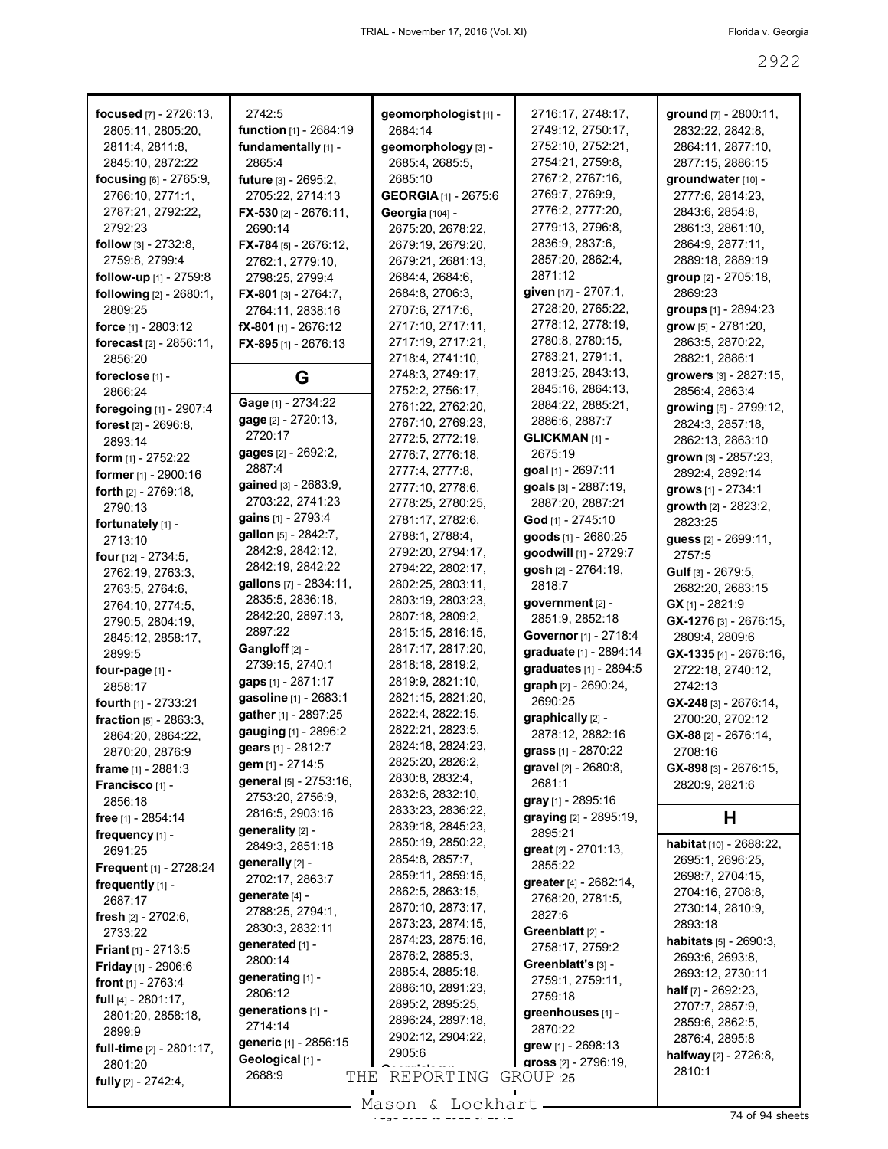| focused [7] - 2726:13,<br>2805:11, 2805:20,<br>2811:4, 2811:8,<br>2845:10, 2872:22<br>focusing [6] - 2765:9,<br>2766:10, 2771:1,<br>2787:21, 2792:22,<br>2792:23<br><b>follow</b> $[3] - 2732:8$<br>2759:8, 2799:4<br>follow-up [1] - 2759:8<br>following [2] - 2680:1,<br>2809:25<br>force $[1] - 2803:12$<br><b>forecast</b> $[2] - 2856:11$ , | 2742:5<br>function [1] - 2684:19<br>fundamentally [1] -<br>2865:4<br>future [3] - 2695:2,<br>2705:22, 2714:13<br><b>FX-530</b> [2] - 2676:11,<br>2690:14<br><b>FX-784</b> [5] - 2676:12,<br>2762:1, 2779:10,<br>2798:25, 2799:4<br><b>FX-801</b> [3] - 2764:7,<br>2764:11, 2838:16<br>$fX-801$ [1] - 2676:12<br>FX-895 $[1]$ - 2676:13 | geomorphologist [1] -<br>2684:14<br>geomorphology [3] -<br>2685:4, 2685:5,<br>2685:10<br><b>GEORGIA</b> [1] - 2675:6<br>Georgia [104] -<br>2675:20, 2678:22,<br>2679:19, 2679:20,<br>2679:21, 2681:13,<br>2684:4, 2684:6,<br>2684:8, 2706:3,<br>2707:6, 2717:6,<br>2717:10, 2717:11,<br>2717:19, 2717:21,<br>2718:4, 2741:10, | 2716:17, 2748:17,<br>2749:12, 2750:17,<br>2752:10, 2752:21,<br>2754:21, 2759:8,<br>2767:2, 2767:16,<br>2769:7, 2769:9,<br>2776:2, 2777:20,<br>2779:13, 2796:8,<br>2836:9, 2837:6,<br>2857:20, 2862:4,<br>2871:12<br>given [17] - 2707:1,<br>2728:20, 2765:22,<br>2778:12, 2778:19,<br>2780:8, 2780:15,<br>2783:21, 2791:1, | ground [7] - 2800:11,<br>2832:22, 2842:8,<br>2864:11, 2877:10,<br>2877:15, 2886:15<br>qroundwater [10] -<br>2777:6, 2814:23,<br>2843:6, 2854:8,<br>2861:3, 2861:10,<br>2864:9, 2877:11,<br>2889:18, 2889:19<br>group [2] - 2705:18,<br>2869:23<br>groups [1] - 2894:23<br>$grow$ [5] - 2781:20,<br>2863:5, 2870:22,<br>2882:1, 2886:1 |
|--------------------------------------------------------------------------------------------------------------------------------------------------------------------------------------------------------------------------------------------------------------------------------------------------------------------------------------------------|----------------------------------------------------------------------------------------------------------------------------------------------------------------------------------------------------------------------------------------------------------------------------------------------------------------------------------------|-------------------------------------------------------------------------------------------------------------------------------------------------------------------------------------------------------------------------------------------------------------------------------------------------------------------------------|----------------------------------------------------------------------------------------------------------------------------------------------------------------------------------------------------------------------------------------------------------------------------------------------------------------------------|---------------------------------------------------------------------------------------------------------------------------------------------------------------------------------------------------------------------------------------------------------------------------------------------------------------------------------------|
| 2856:20<br>foreclose <sub>[1]</sub> -                                                                                                                                                                                                                                                                                                            | G                                                                                                                                                                                                                                                                                                                                      | 2748:3, 2749:17,                                                                                                                                                                                                                                                                                                              | 2813:25, 2843:13,                                                                                                                                                                                                                                                                                                          | growers [3] - 2827:15,                                                                                                                                                                                                                                                                                                                |
| 2866:24                                                                                                                                                                                                                                                                                                                                          |                                                                                                                                                                                                                                                                                                                                        | 2752:2, 2756:17,                                                                                                                                                                                                                                                                                                              | 2845:16, 2864:13,                                                                                                                                                                                                                                                                                                          | 2856:4, 2863:4                                                                                                                                                                                                                                                                                                                        |
| foregoing [1] - 2907:4                                                                                                                                                                                                                                                                                                                           | Gage [1] - 2734:22<br>gage [2] - 2720:13,                                                                                                                                                                                                                                                                                              | 2761:22, 2762:20,<br>2767:10, 2769:23,                                                                                                                                                                                                                                                                                        | 2884:22, 2885:21,<br>2886:6, 2887:7                                                                                                                                                                                                                                                                                        | growing [5] - 2799:12,                                                                                                                                                                                                                                                                                                                |
| forest [2] - 2696:8.<br>2893:14                                                                                                                                                                                                                                                                                                                  | 2720:17                                                                                                                                                                                                                                                                                                                                | 2772:5, 2772:19,                                                                                                                                                                                                                                                                                                              | GLICKMAN <sub>[1]</sub> -                                                                                                                                                                                                                                                                                                  | 2824:3, 2857:18,<br>2862:13, 2863:10                                                                                                                                                                                                                                                                                                  |
| form $[1]$ - 2752:22                                                                                                                                                                                                                                                                                                                             | gages [2] - 2692:2,                                                                                                                                                                                                                                                                                                                    | 2776:7, 2776:18,                                                                                                                                                                                                                                                                                                              | 2675:19                                                                                                                                                                                                                                                                                                                    | grown [3] - 2857:23,                                                                                                                                                                                                                                                                                                                  |
| former [1] - 2900:16                                                                                                                                                                                                                                                                                                                             | 2887:4                                                                                                                                                                                                                                                                                                                                 | 2777:4, 2777:8,                                                                                                                                                                                                                                                                                                               | goal [1] - 2697:11                                                                                                                                                                                                                                                                                                         | 2892:4, 2892:14                                                                                                                                                                                                                                                                                                                       |
| forth [2] - 2769:18.                                                                                                                                                                                                                                                                                                                             | gained [3] - 2683:9,                                                                                                                                                                                                                                                                                                                   | 2777:10, 2778:6,                                                                                                                                                                                                                                                                                                              | goals [3] - 2887:19,                                                                                                                                                                                                                                                                                                       | grows [1] - 2734:1                                                                                                                                                                                                                                                                                                                    |
| 2790:13                                                                                                                                                                                                                                                                                                                                          | 2703:22, 2741:23                                                                                                                                                                                                                                                                                                                       | 2778:25, 2780:25,                                                                                                                                                                                                                                                                                                             | 2887:20, 2887:21                                                                                                                                                                                                                                                                                                           | growth [2] - 2823:2,                                                                                                                                                                                                                                                                                                                  |
| fortunately [1] -                                                                                                                                                                                                                                                                                                                                | gains [1] - 2793:4<br>gallon [5] - 2842:7,                                                                                                                                                                                                                                                                                             | 2781:17, 2782:6,                                                                                                                                                                                                                                                                                                              | God $[1]$ - 2745:10                                                                                                                                                                                                                                                                                                        | 2823:25                                                                                                                                                                                                                                                                                                                               |
| 2713:10                                                                                                                                                                                                                                                                                                                                          | 2842:9, 2842:12,                                                                                                                                                                                                                                                                                                                       | 2788:1, 2788:4,<br>2792:20, 2794:17,                                                                                                                                                                                                                                                                                          | goods [1] - 2680:25<br>goodwill [1] - 2729:7                                                                                                                                                                                                                                                                               | guess [2] - 2699:11,                                                                                                                                                                                                                                                                                                                  |
| <b>four</b> $[12] - 2734:5$ ,                                                                                                                                                                                                                                                                                                                    | 2842:19, 2842:22                                                                                                                                                                                                                                                                                                                       | 2794:22, 2802:17,                                                                                                                                                                                                                                                                                                             | gosh [2] - 2764:19,                                                                                                                                                                                                                                                                                                        | 2757:5                                                                                                                                                                                                                                                                                                                                |
| 2762:19, 2763:3,<br>2763:5, 2764:6,                                                                                                                                                                                                                                                                                                              | gallons [7] - 2834:11,                                                                                                                                                                                                                                                                                                                 | 2802:25, 2803:11,                                                                                                                                                                                                                                                                                                             | 2818.7                                                                                                                                                                                                                                                                                                                     | Gulf [3] - 2679.5,<br>2682:20, 2683:15                                                                                                                                                                                                                                                                                                |
| 2764:10, 2774:5,                                                                                                                                                                                                                                                                                                                                 | 2835:5, 2836:18,                                                                                                                                                                                                                                                                                                                       | 2803:19, 2803:23,                                                                                                                                                                                                                                                                                                             | government [2] -                                                                                                                                                                                                                                                                                                           | $GX [1] - 2821:9$                                                                                                                                                                                                                                                                                                                     |
| 2790:5, 2804:19,                                                                                                                                                                                                                                                                                                                                 | 2842:20, 2897:13,                                                                                                                                                                                                                                                                                                                      | 2807:18, 2809:2,                                                                                                                                                                                                                                                                                                              | 2851:9, 2852:18                                                                                                                                                                                                                                                                                                            | GX-1276 [3] - 2676:15,                                                                                                                                                                                                                                                                                                                |
| 2845:12, 2858:17,                                                                                                                                                                                                                                                                                                                                | 2897:22                                                                                                                                                                                                                                                                                                                                | 2815:15, 2816:15,                                                                                                                                                                                                                                                                                                             | Governor [1] - 2718:4                                                                                                                                                                                                                                                                                                      | 2809:4, 2809:6                                                                                                                                                                                                                                                                                                                        |
| 2899:5                                                                                                                                                                                                                                                                                                                                           | Gangloff <sub>[2]</sub> -                                                                                                                                                                                                                                                                                                              | 2817:17, 2817:20,                                                                                                                                                                                                                                                                                                             | graduate [1] - 2894:14                                                                                                                                                                                                                                                                                                     | $GX-1335$ [4] - 2676:16,                                                                                                                                                                                                                                                                                                              |
| four-page $[1]$ -                                                                                                                                                                                                                                                                                                                                | 2739:15, 2740:1                                                                                                                                                                                                                                                                                                                        | 2818:18, 2819:2,                                                                                                                                                                                                                                                                                                              | graduates [1] - 2894:5                                                                                                                                                                                                                                                                                                     | 2722:18, 2740:12,                                                                                                                                                                                                                                                                                                                     |
| 2858:17                                                                                                                                                                                                                                                                                                                                          | gaps [1] - 2871:17                                                                                                                                                                                                                                                                                                                     | 2819:9, 2821:10,<br>2821:15, 2821:20,                                                                                                                                                                                                                                                                                         | graph [2] - 2690:24,                                                                                                                                                                                                                                                                                                       | 2742:13                                                                                                                                                                                                                                                                                                                               |
| fourth [1] - 2733:21                                                                                                                                                                                                                                                                                                                             | gasoline [1] - 2683:1<br>gather [1] - 2897:25                                                                                                                                                                                                                                                                                          | 2822:4, 2822:15,                                                                                                                                                                                                                                                                                                              | 2690:25                                                                                                                                                                                                                                                                                                                    | $GX-248$ [3] - 2676:14,                                                                                                                                                                                                                                                                                                               |
| <b>fraction</b> $[5] - 2863:3$ ,                                                                                                                                                                                                                                                                                                                 | gauging [1] - 2896:2                                                                                                                                                                                                                                                                                                                   | 2822:21, 2823:5,                                                                                                                                                                                                                                                                                                              | graphically [2] -                                                                                                                                                                                                                                                                                                          | 2700:20, 2702:12                                                                                                                                                                                                                                                                                                                      |
| 2864:20, 2864:22,                                                                                                                                                                                                                                                                                                                                | gears [1] - 2812:7                                                                                                                                                                                                                                                                                                                     | 2824:18, 2824:23,                                                                                                                                                                                                                                                                                                             | 2878:12, 2882:16                                                                                                                                                                                                                                                                                                           | GX-88 [2] - 2676:14,                                                                                                                                                                                                                                                                                                                  |
| 2870:20, 2876:9<br><b>frame</b> $[1] - 2881:3$                                                                                                                                                                                                                                                                                                   | gem [1] - 2714:5                                                                                                                                                                                                                                                                                                                       |                                                                                                                                                                                                                                                                                                                               | <b>grass</b> [1] - $2870:22$                                                                                                                                                                                                                                                                                               |                                                                                                                                                                                                                                                                                                                                       |
|                                                                                                                                                                                                                                                                                                                                                  |                                                                                                                                                                                                                                                                                                                                        | 2825:20, 2826:2,                                                                                                                                                                                                                                                                                                              |                                                                                                                                                                                                                                                                                                                            | 2708:16                                                                                                                                                                                                                                                                                                                               |
|                                                                                                                                                                                                                                                                                                                                                  | general [5] - 2753:16,                                                                                                                                                                                                                                                                                                                 | 2830:8, 2832:4,                                                                                                                                                                                                                                                                                                               | gravel [2] - 2680:8,                                                                                                                                                                                                                                                                                                       | GX-898 [3] - 2676:15,                                                                                                                                                                                                                                                                                                                 |
| Francisco <sup>[1]</sup> -<br>2856:18                                                                                                                                                                                                                                                                                                            | 2753:20, 2756:9,                                                                                                                                                                                                                                                                                                                       | 2832:6, 2832:10,                                                                                                                                                                                                                                                                                                              | 2681:1<br><b>gray</b> [1] - 2895:16                                                                                                                                                                                                                                                                                        | 2820:9, 2821:6                                                                                                                                                                                                                                                                                                                        |
| free [1] - 2854:14                                                                                                                                                                                                                                                                                                                               | 2816:5, 2903:16                                                                                                                                                                                                                                                                                                                        | 2833:23, 2836:22,                                                                                                                                                                                                                                                                                                             | graying [2] - 2895:19,                                                                                                                                                                                                                                                                                                     |                                                                                                                                                                                                                                                                                                                                       |
| frequency [1] -                                                                                                                                                                                                                                                                                                                                  | generality [2] -                                                                                                                                                                                                                                                                                                                       | 2839:18, 2845:23,                                                                                                                                                                                                                                                                                                             | 2895:21                                                                                                                                                                                                                                                                                                                    | H                                                                                                                                                                                                                                                                                                                                     |
| 2691:25                                                                                                                                                                                                                                                                                                                                          | 2849:3, 2851:18                                                                                                                                                                                                                                                                                                                        | 2850:19, 2850:22,                                                                                                                                                                                                                                                                                                             | great [2] - 2701:13,                                                                                                                                                                                                                                                                                                       | habitat [10] - 2688:22,                                                                                                                                                                                                                                                                                                               |
| <b>Frequent</b> [1] - 2728:24                                                                                                                                                                                                                                                                                                                    | generally [2] -                                                                                                                                                                                                                                                                                                                        | 2854:8, 2857:7,                                                                                                                                                                                                                                                                                                               | 2855:22                                                                                                                                                                                                                                                                                                                    | 2695:1, 2696:25,                                                                                                                                                                                                                                                                                                                      |
| frequently [1] -                                                                                                                                                                                                                                                                                                                                 | 2702:17, 2863:7                                                                                                                                                                                                                                                                                                                        | 2859:11, 2859:15,                                                                                                                                                                                                                                                                                                             | greater [4] - 2682:14,                                                                                                                                                                                                                                                                                                     | 2698:7, 2704:15,                                                                                                                                                                                                                                                                                                                      |
| 2687:17                                                                                                                                                                                                                                                                                                                                          | generate [4] -                                                                                                                                                                                                                                                                                                                         | 2862:5, 2863:15,<br>2870:10, 2873:17,                                                                                                                                                                                                                                                                                         | 2768:20, 2781:5,                                                                                                                                                                                                                                                                                                           | 2704:16, 2708:8,<br>2730:14, 2810:9,                                                                                                                                                                                                                                                                                                  |
| fresh $[2] - 2702:6$ ,                                                                                                                                                                                                                                                                                                                           | 2788:25, 2794:1,                                                                                                                                                                                                                                                                                                                       | 2873:23, 2874:15,                                                                                                                                                                                                                                                                                                             | 2827:6                                                                                                                                                                                                                                                                                                                     | 2893:18                                                                                                                                                                                                                                                                                                                               |
| 2733:22                                                                                                                                                                                                                                                                                                                                          | 2830:3, 2832:11<br>generated [1] -                                                                                                                                                                                                                                                                                                     | 2874:23, 2875:16,                                                                                                                                                                                                                                                                                                             | Greenblatt [2] -                                                                                                                                                                                                                                                                                                           | habitats [5] - 2690:3,                                                                                                                                                                                                                                                                                                                |
| <b>Friant</b> $[1]$ - 2713:5                                                                                                                                                                                                                                                                                                                     | 2800:14                                                                                                                                                                                                                                                                                                                                | 2876:2, 2885:3,                                                                                                                                                                                                                                                                                                               | 2758:17, 2759:2<br>Greenblatt's [3] -                                                                                                                                                                                                                                                                                      | 2693:6, 2693:8,                                                                                                                                                                                                                                                                                                                       |
| <b>Friday</b> [1] - 2906:6<br>front $[1] - 2763:4$                                                                                                                                                                                                                                                                                               | generating [1] -                                                                                                                                                                                                                                                                                                                       | 2885:4, 2885:18,                                                                                                                                                                                                                                                                                                              | 2759:1, 2759:11,                                                                                                                                                                                                                                                                                                           | 2693:12, 2730:11                                                                                                                                                                                                                                                                                                                      |
| full $[4] - 2801:17$ ,                                                                                                                                                                                                                                                                                                                           | 2806:12                                                                                                                                                                                                                                                                                                                                | 2886:10, 2891:23,                                                                                                                                                                                                                                                                                                             | 2759:18                                                                                                                                                                                                                                                                                                                    | <b>half</b> $[7] - 2692:23$ ,                                                                                                                                                                                                                                                                                                         |
| 2801:20, 2858:18,                                                                                                                                                                                                                                                                                                                                | generations [1] -                                                                                                                                                                                                                                                                                                                      | 2895:2, 2895:25,                                                                                                                                                                                                                                                                                                              | greenhouses [1] -                                                                                                                                                                                                                                                                                                          | 2707:7, 2857:9,                                                                                                                                                                                                                                                                                                                       |
| 2899:9                                                                                                                                                                                                                                                                                                                                           | 2714:14                                                                                                                                                                                                                                                                                                                                | 2896:24, 2897:18,<br>2902:12, 2904:22,                                                                                                                                                                                                                                                                                        | 2870:22                                                                                                                                                                                                                                                                                                                    | 2859:6, 2862:5,                                                                                                                                                                                                                                                                                                                       |
| full-time [2] - 2801:17,                                                                                                                                                                                                                                                                                                                         | generic [1] - 2856:15                                                                                                                                                                                                                                                                                                                  | 2905:6                                                                                                                                                                                                                                                                                                                        | grew [1] - 2698:13                                                                                                                                                                                                                                                                                                         | 2876:4, 2895:8                                                                                                                                                                                                                                                                                                                        |
| 2801:20<br>fully [2] - 2742:4,                                                                                                                                                                                                                                                                                                                   | Geological [1] -<br>2688:9<br>THE                                                                                                                                                                                                                                                                                                      | REPORTING                                                                                                                                                                                                                                                                                                                     | <b>gross</b> $[2] - 2796:19$ ,<br>GROUP 25                                                                                                                                                                                                                                                                                 | halfway [2] - 2726:8,<br>2810:1                                                                                                                                                                                                                                                                                                       |

Mason & Lockhart 2022 2022 2022 2023 74 of 94 sheets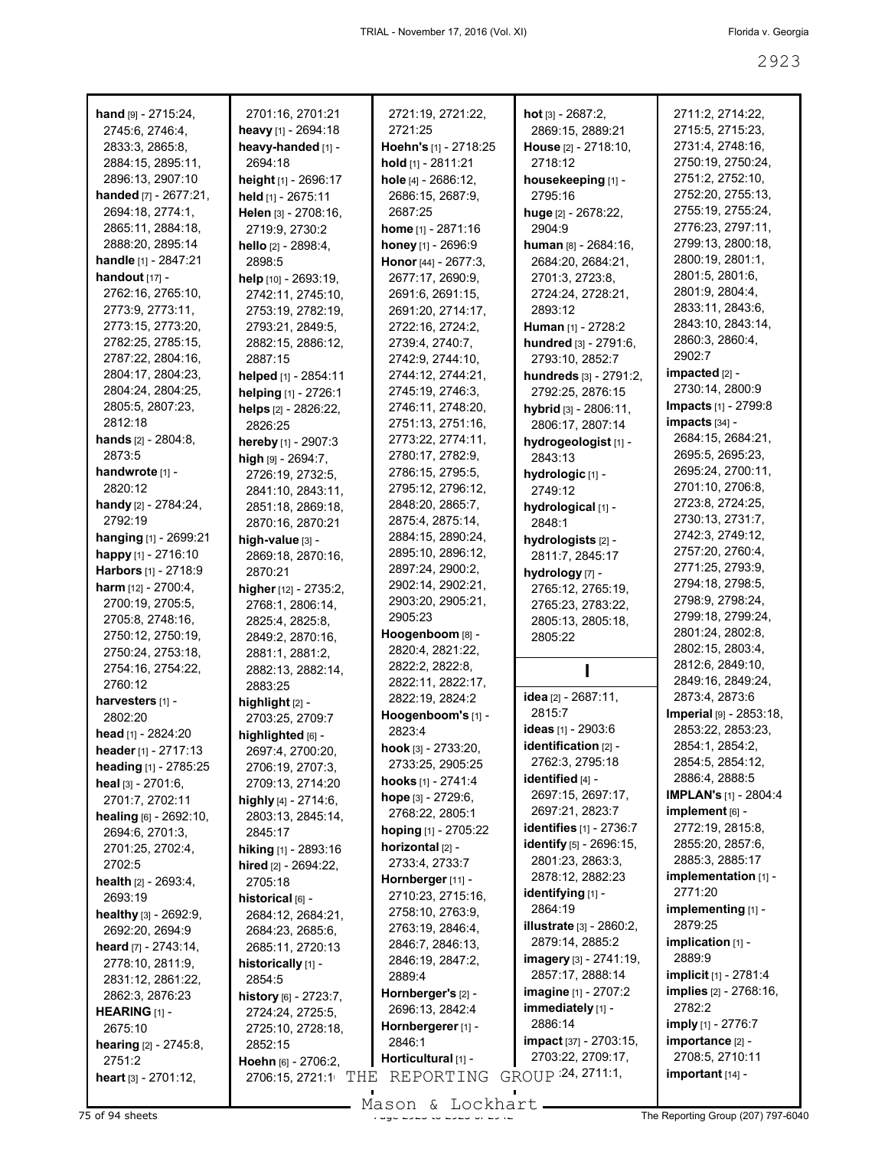| hand [9] - 2715:24,             | 2701:16, 2701:21        | 2721:19, 2721:22,           | $hot$ [3] - 2687:2,             | 2711:2, 2714:22,                     |
|---------------------------------|-------------------------|-----------------------------|---------------------------------|--------------------------------------|
| 2745:6, 2746:4,                 | heavy [1] - 2694:18     | 2721:25                     | 2869:15, 2889:21                | 2715:5, 2715:23,                     |
| 2833:3, 2865:8,                 | heavy-handed [1] -      | Hoehn's [1] - 2718:25       | House [2] - 2718:10,            | 2731:4, 2748:16,                     |
| 2884:15, 2895:11,               | 2694:18                 | hold [1] - 2811:21          | 2718:12                         | 2750:19, 2750:24,                    |
| 2896:13, 2907:10                | height [1] - 2696:17    | hole [4] - 2686:12,         | housekeeping [1] -              | 2751:2, 2752:10,                     |
| handed [7] - 2677:21,           | held [1] - 2675:11      | 2686:15, 2687:9,            | 2795:16                         | 2752:20, 2755:13,                    |
| 2694:18, 2774:1,                | Helen [3] - 2708:16,    | 2687:25                     | huge [2] - 2678:22,             | 2755:19, 2755:24,                    |
| 2865:11, 2884:18,               | 2719:9, 2730:2          | <b>home</b> $[1]$ - 2871:16 | 2904:9                          | 2776:23, 2797:11,                    |
| 2888:20, 2895:14                | hello [2] - 2898:4,     | honey [1] - 2696:9          | human [8] - 2684:16,            | 2799:13, 2800:18,                    |
| handle [1] - 2847:21            | 2898:5                  | Honor [44] - 2677:3,        | 2684:20, 2684:21,               | 2800:19, 2801:1,                     |
| handout $[17]$ -                | help [10] - 2693:19,    | 2677:17, 2690:9,            | 2701:3, 2723:8,                 | 2801:5, 2801:6,                      |
| 2762:16, 2765:10,               | 2742:11, 2745:10,       | 2691:6, 2691:15,            | 2724:24, 2728:21,               | 2801:9, 2804:4,                      |
| 2773:9, 2773:11,                | 2753:19, 2782:19,       | 2691:20, 2714:17,           | 2893:12                         | 2833:11, 2843:6,                     |
| 2773:15, 2773:20,               | 2793:21, 2849:5,        | 2722:16, 2724:2,            | Human [1] - 2728:2              | 2843:10, 2843:14,                    |
| 2782:25, 2785:15,               | 2882:15, 2886:12,       | 2739:4, 2740:7,             | hundred [3] - 2791:6,           | 2860:3, 2860:4,                      |
| 2787:22, 2804:16,               | 2887:15                 | 2742:9, 2744:10,            | 2793:10, 2852:7                 | 2902:7                               |
| 2804:17, 2804:23,               | helped [1] - 2854:11    | 2744:12, 2744:21,           | hundreds [3] - 2791:2,          | impacted $[2]$ -                     |
| 2804:24, 2804:25,               | helping [1] - 2726:1    | 2745:19, 2746:3,            | 2792:25, 2876:15                | 2730:14, 2800:9                      |
| 2805:5, 2807:23,                |                         | 2746:11, 2748:20,           | hybrid [3] - 2806:11,           | Impacts [1] - 2799:8                 |
| 2812:18                         | helps [2] - 2826:22,    | 2751:13, 2751:16,           |                                 | $impacts$ [34] -                     |
| <b>hands</b> [2] - 2804:8,      | 2826:25                 | 2773:22, 2774:11,           | 2806:17, 2807:14                | 2684:15, 2684:21,                    |
| 2873:5                          | hereby [1] - 2907:3     | 2780:17, 2782:9,            | hydrogeologist [1] -            | 2695:5, 2695:23,                     |
| handwrote [1] -                 | high [9] - 2694:7,      | 2786:15, 2795:5,            | 2843:13                         | 2695:24, 2700:11,                    |
|                                 | 2726:19, 2732:5,        |                             | hydrologic [1] -                | 2701:10, 2706:8,                     |
| 2820:12                         | 2841:10, 2843:11,       | 2795:12, 2796:12,           | 2749:12                         | 2723:8, 2724:25,                     |
| handy [2] - 2784:24,            | 2851:18, 2869:18,       | 2848:20, 2865:7,            | hydrological [1] -              | 2730:13, 2731:7,                     |
| 2792:19                         | 2870:16, 2870:21        | 2875:4, 2875:14,            | 2848:1                          | 2742:3, 2749:12,                     |
| hanging [1] - 2699:21           | high-value [3] -        | 2884:15, 2890:24,           | hydrologists [2] -              | 2757:20, 2760:4,                     |
| happy [1] - 2716:10             | 2869:18, 2870:16,       | 2895:10, 2896:12,           | 2811:7, 2845:17                 | 2771:25, 2793:9,                     |
| Harbors [1] - 2718:9            | 2870:21                 | 2897:24, 2900:2,            | hydrology [7] -                 | 2794:18, 2798:5,                     |
| harm $[12] - 2700:4,$           | higher [12] - 2735:2,   | 2902:14, 2902:21,           | 2765:12, 2765:19,               | 2798:9, 2798:24,                     |
| 2700:19, 2705:5,                | 2768:1, 2806:14,        | 2903:20, 2905:21,           | 2765:23, 2783:22,               | 2799:18, 2799:24,                    |
| 2705:8, 2748:16,                | 2825:4, 2825:8,         | 2905:23                     | 2805:13, 2805:18,               |                                      |
| 2750:12, 2750:19,               | 2849:2, 2870:16,        | Hoogenboom [8] -            | 2805:22                         | 2801:24, 2802:8,<br>2802:15, 2803:4, |
| 2750:24, 2753:18,               | 2881:1, 2881:2,         | 2820:4, 2821:22,            |                                 | 2812:6, 2849:10,                     |
| 2754:16, 2754:22,               | 2882:13, 2882:14,       | 2822:2, 2822:8,             |                                 | 2849:16, 2849:24,                    |
| 2760:12                         | 2883:25                 | 2822:11, 2822:17,           | idea [2] - 2687:11,             | 2873:4, 2873:6                       |
| harvesters [1] -                | highlight [2] -         | 2822:19, 2824:2             | 2815:7                          |                                      |
| 2802:20                         | 2703:25, 2709:7         | Hoogenboom's [1] -          |                                 | Imperial [9] - 2853:18,              |
| head [1] - 2824:20              | highlighted [6] -       | 2823:4                      | ideas [1] - 2903:6              | 2853:22, 2853:23,                    |
| header $[1] - 2717:13$          | 2697:4, 2700:20,        | hook $[3] - 2733:20$ ,      | identification [2] -            | 2854:1, 2854:2,                      |
| heading [1] - 2785:25           | 2706:19, 2707:3,        | 2733:25, 2905:25            | 2762:3, 2795:18                 | 2854:5, 2854:12,                     |
| heal $[3] - 2701:6$ ,           | 2709:13, 2714:20        | hooks [1] - 2741:4          | identified $[4]$ -              | 2886:4, 2888:5                       |
| 2701:7, 2702:11                 | highly $[4] - 2714.6$ , | hope [3] - 2729:6,          | 2697:15, 2697:17,               | <b>IMPLAN's [1] - 2804:4</b>         |
| healing [6] - 2692:10,          | 2803:13, 2845:14,       | 2768:22, 2805:1             | 2697:21, 2823:7                 | implement [6] -                      |
| 2694:6, 2701:3,                 | 2845:17                 | hoping [1] - 2705:22        | <b>identifies</b> [1] - 2736:7  | 2772:19, 2815:8,                     |
| 2701:25, 2702:4,                | hiking [1] - 2893:16    | horizontal [2] -            | identify $[5]$ - 2696:15,       | 2855:20, 2857:6,                     |
| 2702:5                          | hired [2] - 2694:22,    | 2733:4, 2733:7              | 2801:23, 2863:3,                | 2885:3, 2885:17                      |
| <b>health</b> $[2] - 2693:4$    | 2705:18                 | Hornberger [11] -           | 2878:12, 2882:23                | implementation [1] -                 |
| 2693:19                         | historical [6] -        | 2710:23, 2715:16,           | identifying [1] -               | 2771:20                              |
| healthy [3] - 2692:9,           | 2684:12, 2684:21,       | 2758:10, 2763:9,            | 2864:19                         | implementing [1] -                   |
| 2692:20, 2694:9                 | 2684:23, 2685:6,        | 2763:19, 2846:4,            | <b>illustrate</b> [3] - 2860:2, | 2879:25                              |
| heard [7] - 2743:14,            | 2685:11, 2720:13        | 2846:7, 2846:13,            | 2879:14, 2885:2                 | implication [1] -                    |
| 2778:10, 2811:9,                | historically [1] -      | 2846:19, 2847:2,            | imagery [3] - 2741:19,          | 2889.9                               |
| 2831:12, 2861:22,               | 2854:5                  | 2889:4                      | 2857:17, 2888:14                | <b>implicit</b> [1] - 2781:4         |
| 2862:3, 2876:23                 | history $[6] - 2723:7,$ | Hornberger's [2] -          | imagine [1] - 2707:2            | <b>implies</b> [2] - 2768:16,        |
| <b>HEARING</b> $[1]$ -          | 2724:24, 2725:5,        | 2696:13, 2842:4             | immediately [1] -               | 2782:2                               |
| 2675:10                         | 2725:10, 2728:18,       | Hornbergerer [1] -          | 2886:14                         | <b>imply</b> [1] - 2776:7            |
| <b>hearing</b> $[2] - 2745.8$ , | 2852:15                 | 2846:1                      | <b>impact</b> [37] - 2703:15,   | $im$ portance $[2]$ -                |
| 2751:2                          | Hoehn [6] - 2706:2,     | Horticultural [1] -         | 2703:22, 2709:17,               | 2708:5, 2710:11                      |
| heart $[3] - 2701:12$ ,         | THE<br>2706:15, 2721:1  | REPORTING                   | GROUP 24, 2711:1,               | $important$ [14] -                   |
|                                 |                         |                             |                                 |                                      |

 $\frac{25}{3}$  of 94 sheets  $\frac{29}{3}$ <br>The Reporting Group (207) 797-6040 Mason & Lockhart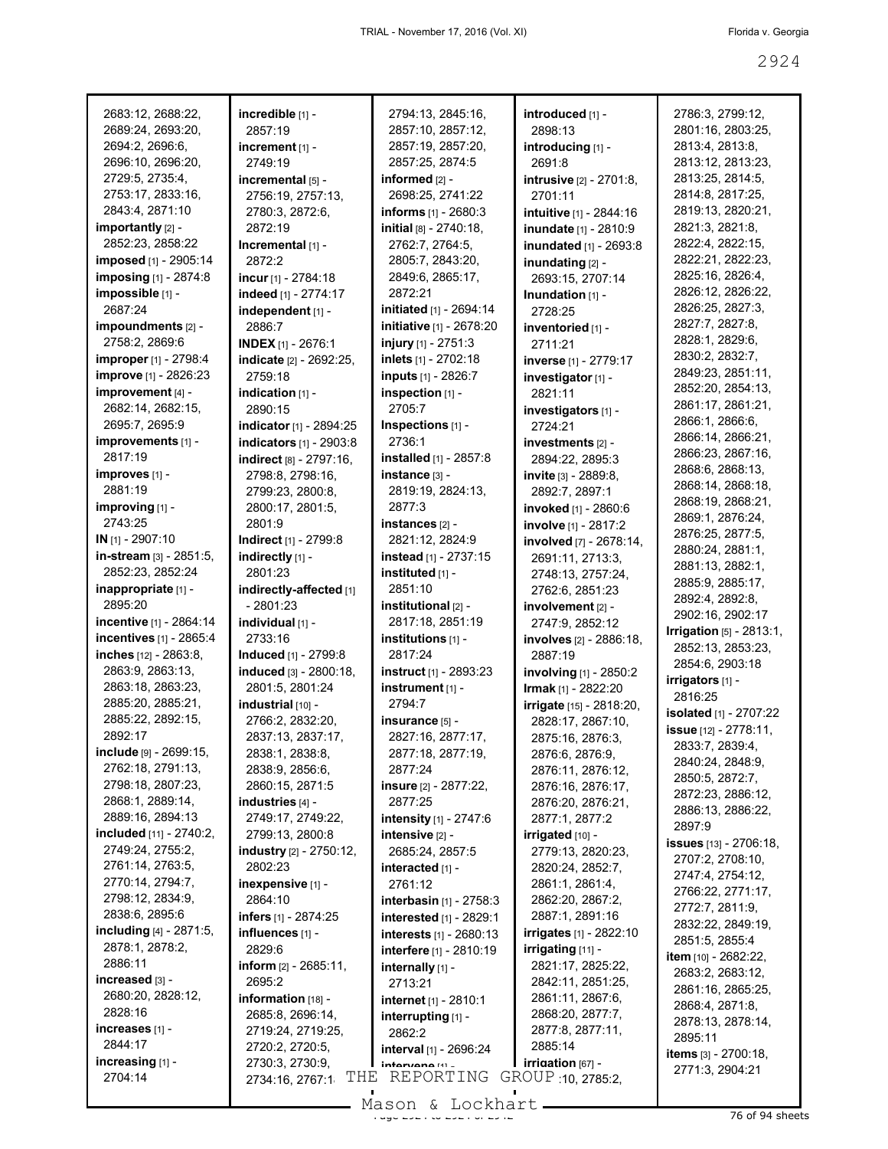| 2683:12, 2688:22,         | incredible [1] -                          | 2794:13, 2845:16,                         | introduced [1] -                                |
|---------------------------|-------------------------------------------|-------------------------------------------|-------------------------------------------------|
| 2689:24, 2693:20,         | 2857:19                                   | 2857:10, 2857:12,                         | 2898:13                                         |
| 2694:2, 2696:6,           | increment [1] -                           | 2857:19, 2857:20,                         | introducing [1] -                               |
| 2696:10, 2696:20,         | 2749:19                                   | 2857:25, 2874:5                           | 2691:8                                          |
| 2729:5, 2735:4,           | incremental [5] -                         | informed $[2]$ -                          | <b>intrusive</b> [2] - 2701:8,                  |
| 2753:17, 2833:16,         |                                           | 2698:25, 2741:22                          |                                                 |
|                           | 2756:19, 2757:13,                         |                                           | 2701:11                                         |
| 2843:4, 2871:10           | 2780:3, 2872:6,                           | informs [1] - 2680:3                      | intuitive [1] - 2844:16                         |
| importantly [2] -         | 2872:19                                   | initial [8] - 2740:18,                    | inundate [1] - 2810:9                           |
| 2852:23, 2858:22          | Incremental [1] -                         | 2762:7, 2764:5,                           | inundated [1] - 2693:8                          |
| imposed [1] - 2905:14     | 2872:2                                    | 2805:7, 2843:20,                          | inundating [2] -                                |
| imposing [1] - 2874:8     | incur [1] - 2784:18                       | 2849:6, 2865:17,                          | 2693:15, 2707:14                                |
| impossible [1] -          | indeed [1] - 2774:17                      | 2872:21                                   | Inundation [1] -                                |
| 2687:24                   | independent [1] -                         | initiated [1] - 2694:14                   | 2728:25                                         |
| impoundments [2] -        | 2886:7                                    | initiative [1] - 2678:20                  | inventoried [1] -                               |
| 2758:2, 2869:6            | <b>INDEX</b> $[1]$ - 2676:1               | injury [1] - 2751:3                       | 2711:21                                         |
|                           |                                           |                                           |                                                 |
| improper [1] - 2798:4     | indicate [2] - 2692:25,                   | inlets [1] - 2702:18                      | inverse [1] - 2779:17                           |
| improve [1] - 2826:23     | 2759:18                                   | <b>inputs</b> [1] - 2826:7                | investigator [1] -                              |
| improvement [4] -         | indication $[1]$ -                        | inspection [1] -                          | 2821:11                                         |
| 2682:14, 2682:15,         | 2890:15                                   | 2705:7                                    | investigators [1] -                             |
| 2695:7, 2695:9            | indicator [1] - 2894:25                   | Inspections [1] -                         | 2724:21                                         |
| improvements [1] -        | indicators [1] - 2903:8                   | 2736:1                                    | investments [2] -                               |
| 2817:19                   | indirect [8] - 2797:16,                   | installed [1] - 2857:8                    | 2894:22, 2895:3                                 |
| improves [1] -            | 2798:8, 2798:16,                          | instance [3] -                            | invite [3] - 2889:8,                            |
| 2881:19                   | 2799:23, 2800:8,                          | 2819:19, 2824:13,                         | 2892:7, 2897:1                                  |
| improving [1] -           | 2800:17, 2801:5,                          | 2877:3                                    | invoked [1] - 2860:6                            |
| 2743:25                   |                                           |                                           |                                                 |
|                           | 2801:9                                    | $ints$ tances $[2] -$                     | involve [1] - 2817:2                            |
| $IN$ [1] - 2907:10        | Indirect [1] - 2799:8                     | 2821:12, 2824:9                           | involved [7] - 2678:14,                         |
| in-stream $[3]$ - 2851:5, | indirectly [1] -                          | instead [1] - 2737:15                     | 2691:11, 2713:3,                                |
| 2852:23, 2852:24          | 2801:23                                   | instituted [1] -                          | 2748:13, 2757:24,                               |
| inappropriate [1] -       | indirectly-affected [1]                   | 2851:10                                   | 2762:6, 2851:23                                 |
|                           |                                           |                                           |                                                 |
| 2895:20                   | - 2801:23                                 | institutional [2] -                       | involvement [2] -                               |
| incentive [1] - 2864:14   | individual [1] -                          | 2817:18, 2851:19                          | 2747:9, 2852:12                                 |
|                           | 2733:16                                   |                                           |                                                 |
| incentives [1] - 2865:4   |                                           | institutions [1] -                        | involves [2] - 2886:18,                         |
| inches [12] - 2863:8,     | Induced [1] - 2799:8                      | 2817:24                                   | 2887:19                                         |
| 2863:9, 2863:13,          | induced [3] - 2800:18,                    | instruct [1] - 2893:23                    | involving [1] - 2850:2                          |
| 2863:18, 2863:23,         | 2801:5, 2801:24                           | instrument [1] -                          | Irmak [1] - 2822:20                             |
| 2885:20, 2885:21,         | industrial [10] -                         | 2794:7                                    | irrigate [15] - 2818:20,                        |
| 2885:22, 2892:15,         | 2766:2, 2832:20,                          | $insurance$ [5] -                         | 2828:17, 2867:10,                               |
| 2892:17                   | 2837:13, 2837:17,                         | 2827:16, 2877:17,                         | 2875:16, 2876:3,                                |
| include [9] - 2699:15,    | 2838:1, 2838:8,                           | 2877:18, 2877:19,                         | 2876:6, 2876:9,                                 |
| 2762:18, 2791:13,         | 2838:9, 2856:6,                           | 2877:24                                   | 2876:11, 2876:12,                               |
| 2798:18, 2807:23,         | 2860:15, 2871:5                           | insure [2] - 2877:22,                     | 2876:16, 2876:17,                               |
| 2868:1, 2889:14,          | industries [4] -                          | 2877:25                                   | 2876:20, 2876:21,                               |
| 2889:16, 2894:13          | 2749:17, 2749:22,                         |                                           | 2877:1, 2877:2                                  |
| included [11] - 2740:2,   | 2799:13, 2800:8                           | intensity [1] - 2747:6<br>intensive [2] - |                                                 |
| 2749:24, 2755:2,          |                                           |                                           | irrigated [10] -                                |
|                           | industry [2] - 2750:12,                   | 2685:24, 2857:5                           | 2779:13, 2820:23,                               |
| 2761:14, 2763:5,          | 2802:23                                   | interacted [1] -                          | 2820:24, 2852:7,                                |
| 2770:14, 2794:7,          | inexpensive [1] -                         | 2761:12                                   | 2861:1, 2861:4,                                 |
| 2798:12, 2834:9,          | 2864:10                                   | interbasin [1] - 2758:3                   | 2862:20, 2867:2,                                |
| 2838:6, 2895:6            | <b>infers</b> [1] - 2874:25               | interested [1] - 2829:1                   | 2887:1, 2891:16                                 |
| including [4] - 2871:5,   | influences [1] -                          | interests [1] - 2680:13                   | irrigates [1] - 2822:10                         |
| 2878:1, 2878:2,           | 2829:6                                    | interfere [1] - 2810:19                   | irrigating [11] -                               |
| 2886:11                   | inform $[2] - 2685:11$ ,                  | internally [1] -                          | 2821:17, 2825:22,                               |
| increased [3] -           | 2695:2                                    | 2713:21                                   | 2842:11, 2851:25,                               |
| 2680:20, 2828:12,         | information [18] -                        | internet [1] - 2810:1                     | 2861:11, 2867:6,                                |
| 2828:16                   | 2685:8, 2696:14,                          |                                           | 2868:20, 2877:7,                                |
| increases [1] -           | 2719:24, 2719:25,                         | interrupting [1] -                        | 2877:8, 2877:11,                                |
| 2844:17                   | 2720:2, 2720:5,                           | 2862:2                                    | 2885:14                                         |
| increasing [1] -          |                                           | interval [1] - 2696:24<br>intervene [1] _ |                                                 |
| 2704:14                   | 2730:3, 2730:9,<br>THE<br>2734:16, 2767:1 | REPORTING                                 | <b>irrigation</b> $[67]$ -<br>GROUP 10, 2785.2, |

2786:3, 2799:12, 2801:16, 2803:25, 2813:4, 2813:8, 2813:12, 2813:23, 2813:25, 2814:5, 2814:8, 2817:25, 2819:13, 2820:21, 2821:3, 2821:8, 2822:4, 2822:15, 2822:21, 2822:23, 2825:16, 2826:4, 2826:12, 2826:22, 2826:25, 2827:3, 2827:7, 2827:8, 2828:1, 2829:6, 2830:2, 2832:7, 2849:23, 2851:11, 2852:20, 2854:13, 2861:17, 2861:21, 2866:1, 2866:6, 2866:14, 2866:21, 2866:23, 2867:16, 2868:6, 2868:13, 2868:14, 2868:18, 2868:19, 2868:21, 2869:1, 2876:24, 2876:25, 2877:5, 2880:24, 2881:1, 2881:13, 2882:1, 2885:9, 2885:17, 2892:4, 2892:8, 2902:16, 2902:17 **Irrigation** [5] - 2813:1, 2852:13, 2853:23, 2854:6, 2903:18 **irrigators** [1] - 2816:25 **isolated** [1] - 2707:22 **issue** [12] - 2778:11, 2833:7, 2839:4, 2840:24, 2848:9, 2850:5, 2872:7, 2872:23, 2886:12, 2886:13, 2886:22, 2897:9 **issues** [13] - 2706:18, 2707:2, 2708:10, 2747:4, 2754:12, 2766:22, 2771:17, 2772:7, 2811:9, 2832:22, 2849:19, 2851:5, 2855:4 **item** [10] - 2682:22, 2683:2, 2683:12, 2861:16, 2865:25, 2868:4, 2871:8, 2878:13, 2878:14, 2895:11 **items** [3] - 2700:18, 2771:3, 2904:21

 $\frac{2}{3}$ Mason & Lockhart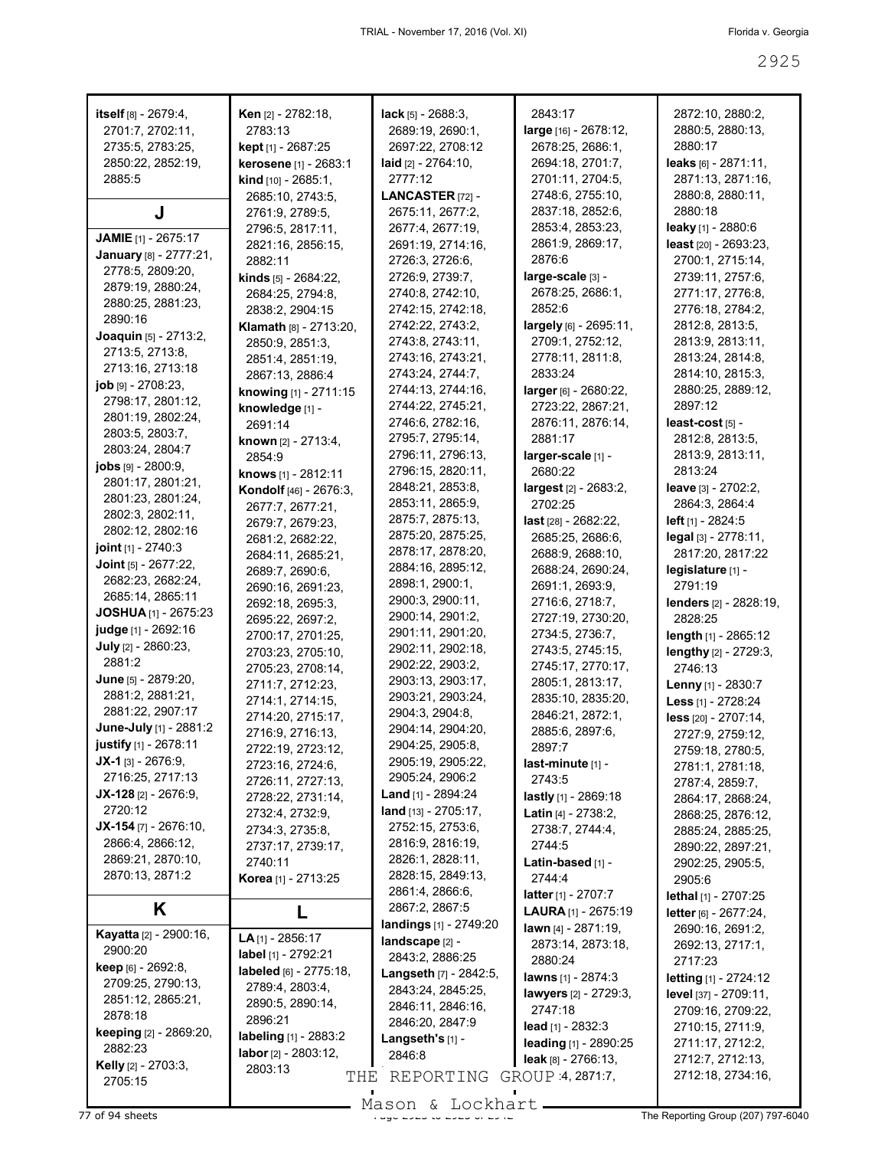| itself [8] - 2679:4,                        | <b>Ken</b> $[2] - 2782:18$ ,          | <b>lack</b> [5] - $2688:3$ ,           | 2843:17                                         | 2872:10, 2880:2,                      |
|---------------------------------------------|---------------------------------------|----------------------------------------|-------------------------------------------------|---------------------------------------|
| 2701:7, 2702:11,                            | 2783:13                               | 2689:19, 2690:1,                       | large [16] - 2678:12,                           | 2880:5, 2880:13,                      |
| 2735:5, 2783:25,                            | kept [1] - 2687:25                    | 2697:22, 2708:12                       | 2678:25, 2686:1,                                | 2880:17                               |
| 2850:22, 2852:19,                           | kerosene [1] - 2683:1                 | laid $[2] - 2764:10,$                  | 2694:18, 2701:7,                                | $leaks$ [6] - 2871:11,                |
| 2885:5                                      | kind [10] - 2685:1,                   | 2777:12                                | 2701:11, 2704:5,                                | 2871:13, 2871:16,                     |
|                                             | 2685:10, 2743:5,                      | LANCASTER [72] -                       | 2748:6, 2755:10,                                | 2880:8, 2880:11,                      |
| J                                           | 2761:9, 2789:5,                       | 2675:11, 2677:2,                       | 2837:18, 2852:6,                                | 2880:18                               |
| <b>JAMIE</b> [1] - 2675:17                  | 2796:5, 2817:11,                      | 2677:4, 2677:19,                       | 2853:4, 2853:23,                                | leaky [1] - 2880:6                    |
| January [8] - 2777:21,                      | 2821:16, 2856:15,                     | 2691:19, 2714:16,                      | 2861:9, 2869:17,                                | least [20] - 2693:23,                 |
| 2778:5, 2809:20,                            | 2882:11                               | 2726:3, 2726:6,                        | 2876:6                                          | 2700:1, 2715:14,                      |
| 2879:19, 2880:24,                           | kinds [5] - 2684:22,                  | 2726:9, 2739:7,                        | large-scale [3] -                               | 2739:11, 2757:6,                      |
| 2880:25, 2881:23,                           | 2684:25, 2794:8,                      | 2740:8, 2742:10,                       | 2678:25, 2686:1,                                | 2771:17, 2776:8,                      |
| 2890:16                                     | 2838:2, 2904:15                       | 2742:15, 2742:18,                      | 2852:6                                          | 2776:18, 2784:2,                      |
| <b>Joaquin</b> [5] - 2713:2,                | Klamath [8] - 2713:20,                | 2742:22, 2743:2,                       | largely [6] - 2695:11,                          | 2812:8, 2813:5,                       |
| 2713:5, 2713:8,                             | 2850:9, 2851:3,                       | 2743:8, 2743:11,                       | 2709:1, 2752:12,                                | 2813:9, 2813:11,                      |
| 2713:16, 2713:18                            | 2851:4, 2851:19,                      | 2743:16, 2743:21,                      | 2778:11, 2811:8,                                | 2813:24, 2814:8,                      |
| $job$ [9] - 2708:23,                        | 2867:13, 2886:4                       | 2743:24, 2744:7,                       | 2833:24                                         | 2814:10, 2815:3,                      |
| 2798:17, 2801:12,                           | knowing [1] - 2711:15                 | 2744:13, 2744:16,                      | $larger_{[6]} - 2680:22,$                       | 2880:25, 2889:12,                     |
| 2801:19, 2802:24,                           | knowledge [1] -                       | 2744:22, 2745:21,                      | 2723:22, 2867:21,                               | 2897:12                               |
| 2803:5, 2803:7,                             | 2691:14                               | 2746:6, 2782:16,                       | 2876:11, 2876:14,                               | least-cost [5] -                      |
| 2803:24, 2804:7                             | known [2] - 2713:4,                   | 2795:7, 2795:14,                       | 2881:17                                         | 2812:8, 2813:5,                       |
| jobs [9] - 2800:9,                          | 2854:9                                | 2796:11, 2796:13,                      | larger-scale [1] -                              | 2813:9, 2813:11,                      |
| 2801:17, 2801:21,                           | knows [1] - 2812:11                   | 2796:15, 2820:11,                      | 2680:22                                         | 2813:24                               |
| 2801:23, 2801:24,                           | Kondolf [46] - 2676:3,                | 2848:21, 2853:8,                       | $largest [2] - 2683:2,$                         | leave $[3] - 2702:2$ ,                |
| 2802:3, 2802:11,                            | 2677:7, 2677:21,                      | 2853:11, 2865:9,<br>2875:7, 2875:13,   | 2702:25                                         | 2864:3, 2864:4                        |
| 2802:12, 2802:16                            | 2679:7, 2679:23,                      |                                        | <b>last</b> [28] - 2682:22,                     | left [1] - 2824:5                     |
| joint [1] - 2740:3                          | 2681:2, 2682:22,                      | 2875:20, 2875:25,                      | 2685:25, 2686:6,                                | legal [3] - 2778:11,                  |
| Joint [5] - 2677:22,                        | 2684:11, 2685:21,                     | 2878:17, 2878:20,<br>2884:16, 2895:12, | 2688:9, 2688:10,                                | 2817:20, 2817:22                      |
| 2682:23, 2682:24,                           | 2689:7, 2690:6,                       | 2898:1, 2900:1,                        | 2688:24, 2690:24,                               | legislature [1] -                     |
| 2685:14, 2865:11                            | 2690:16, 2691:23,                     | 2900:3, 2900:11,                       | 2691:1, 2693:9,                                 | 2791:19                               |
| <b>JOSHUA</b> [1] - 2675:23                 | 2692:18, 2695:3,                      | 2900:14, 2901:2,                       | 2716:6, 2718:7,                                 | <b>lenders</b> [2] - 2828:19,         |
| judge [1] - 2692:16                         | 2695:22, 2697:2,                      | 2901:11, 2901:20,                      | 2727:19, 2730:20,                               | 2828:25                               |
| <b>July</b> [2] - 2860:23,                  | 2700:17, 2701:25,                     | 2902:11, 2902:18,                      | 2734:5, 2736:7,                                 | length [1] - 2865:12                  |
| 2881:2                                      | 2703:23, 2705:10,                     | 2902:22, 2903:2,                       | 2743:5, 2745:15,<br>2745:17, 2770:17,           | lengthy [2] - 2729:3,                 |
| June [5] - 2879:20,                         | 2705:23, 2708:14,                     | 2903:13, 2903:17,                      | 2805:1, 2813:17,                                | 2746:13                               |
| 2881:2, 2881:21,                            | 2711:7, 2712:23,                      | 2903:21, 2903:24,                      | 2835:10, 2835:20,                               | Lenny [1] - 2830:7                    |
| 2881:22, 2907:17                            | 2714:1, 2714:15,                      | 2904:3, 2904:8,                        | 2846:21, 2872:1,                                | <b>Less</b> $[1] - 2728:24$           |
| June-July [1] - 2881:2                      | 2714:20, 2715:17,                     | 2904:14, 2904:20,                      | 2885:6, 2897:6,                                 | less [20] - 2707:14,                  |
| justify [1] - 2678:11                       | 2716:9, 2716:13,                      | 2904:25, 2905:8,                       | 2897:7                                          | 2727:9, 2759:12,                      |
| $JX-1$ [3] - 2676:9,                        | 2722:19, 2723:12,                     | 2905:19, 2905:22,                      | last-minute [1] -                               | 2759:18, 2780:5,                      |
| 2716:25, 2717:13                            | 2723:16, 2724:6,<br>2726:11, 2727:13, | 2905:24, 2906:2                        | 2743:5                                          | 2781:1, 2781:18,                      |
| $JX-128$ [2] - 2676:9,                      | 2728:22, 2731:14,                     | <b>Land</b> [1] - 2894:24              | lastly [1] - 2869:18                            | 2787:4, 2859:7,                       |
| 2720:12                                     |                                       |                                        |                                                 | 2864:17, 2868:24,                     |
|                                             |                                       |                                        |                                                 |                                       |
|                                             | 2732:4, 2732:9,                       | <b>land</b> $[13] - 2705:17$ ,         | <b>Latin</b> $[4] - 2738:2$                     | 2868:25, 2876:12,                     |
| $JX-154$ [7] - 2676:10,<br>2866:4, 2866:12, | 2734:3, 2735:8,                       | 2752:15, 2753:6,<br>2816:9, 2816:19,   | 2738:7, 2744:4,                                 | 2885:24, 2885:25,                     |
|                                             | 2737:17, 2739:17,                     |                                        | 2744:5                                          | 2890:22, 2897:21,                     |
| 2869:21, 2870:10,                           | 2740:11                               | 2826:1, 2828:11,<br>2828:15, 2849:13,  | Latin-based [1] -                               | 2902:25, 2905:5,                      |
| 2870:13, 2871:2                             | Korea [1] - 2713:25                   | 2861:4, 2866:6,                        | 2744:4                                          | 2905:6                                |
|                                             |                                       | 2867:2, 2867:5                         | <b>latter</b> [1] - 2707:7                      | lethal [1] - 2707:25                  |
| Κ                                           |                                       | <b>landings</b> [1] - 2749:20          | <b>LAURA</b> [1] - 2675:19                      | letter [6] - 2677:24,                 |
| <b>Kayatta</b> [2] - 2900:16,               | $LA_{[1]} - 2856:17$                  | landscape [2] -                        | lawn $[4] - 2871:19$ ,                          | 2690:16, 2691:2,                      |
| 2900:20                                     | label [1] - 2792:21                   | 2843:2, 2886:25                        | 2873:14, 2873:18,                               | 2692:13, 2717:1,                      |
| <b>keep</b> [6] - $2692:8$ ,                | labeled [6] - 2775:18,                | Langseth [7] - 2842:5,                 | 2880:24                                         | 2717:23                               |
| 2709:25, 2790:13,                           | 2789:4, 2803:4,                       | 2843:24, 2845:25,                      | <b>lawns</b> [1] - 2874:3                       | letting [1] - 2724:12                 |
| 2851:12, 2865:21,                           | 2890:5, 2890:14,                      | 2846:11, 2846:16,                      | lawyers [2] - 2729:3,                           | level [37] - 2709:11,                 |
| 2878:18                                     | 2896:21                               | 2846:20, 2847:9                        | 2747:18                                         | 2709:16, 2709:22,                     |
| keeping [2] - 2869:20,                      | labeling [1] - 2883:2                 | Langseth's [1] -                       | lead $[1]$ - 2832:3                             | 2710:15, 2711:9,                      |
| 2882:23                                     | labor $[2] - 2803:12$ ,               | 2846:8                                 | leading [1] - 2890:25                           | 2711:17, 2712:2,                      |
| <b>Kelly</b> [2] - 2703:3,<br>2705:15       | 2803:13<br>THE                        | REPORTING                              | <b>leak</b> $[8] - 2766:13$<br>GROUP 4, 2871:7, | 2712:7, 2712:13,<br>2712:18, 2734:16, |

Mason & Lockhart **Page 2025 of 94 sheets** Page 207) 797-6040<br>The Reporting Group (207) 797-6040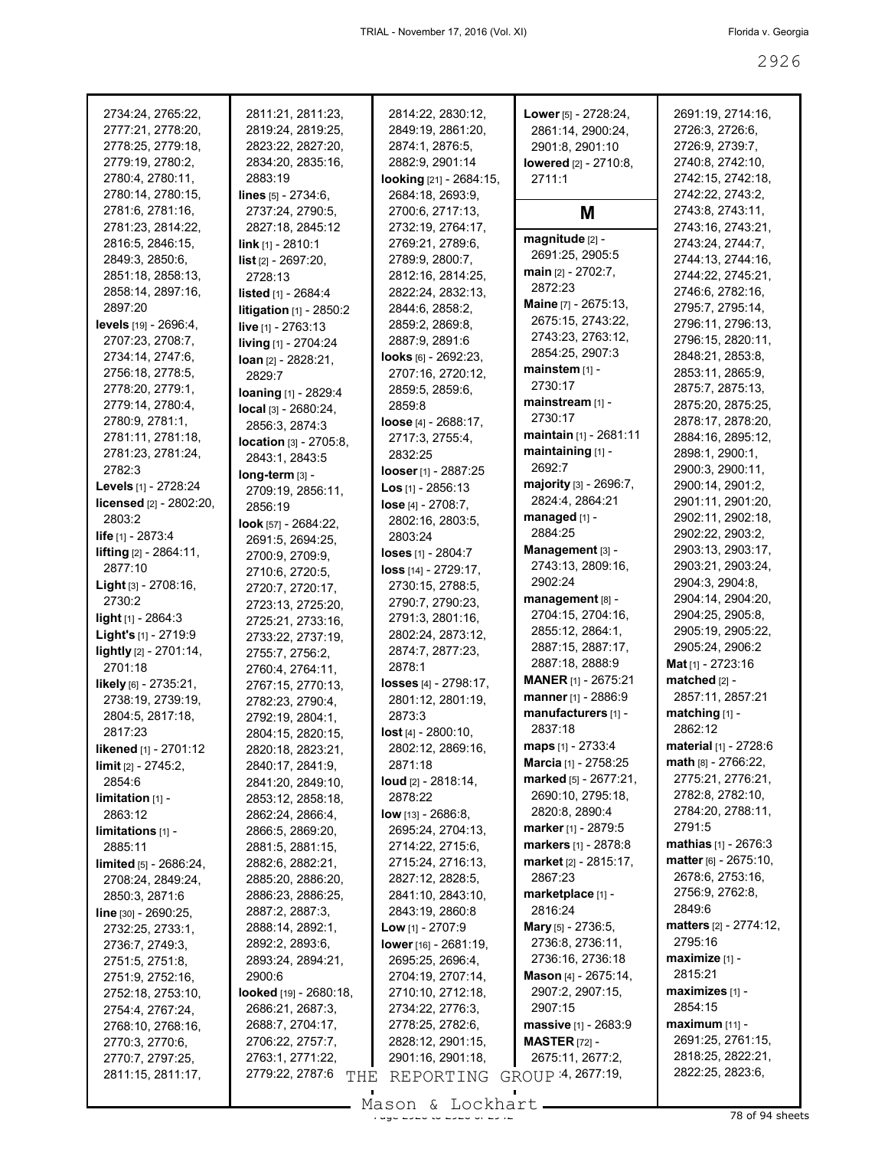| 2734:24, 2765:22,<br>2777:21, 2778:20,<br>2778:25, 2779:18, | 2811:21, 2811:23,<br>2819:24, 2819:25,<br>2823:22, 2827:20, | 2814:22, 2830:12,<br>2849:19, 2861:20,<br>2874:1, 2876:5, | Lower [5] - 2728:24,<br>2861:14, 2900:24,<br>2901:8, 2901:10 | 2691:19, 2714:16,<br>2726:3, 2726:6,<br>2726:9, 2739:7, |
|-------------------------------------------------------------|-------------------------------------------------------------|-----------------------------------------------------------|--------------------------------------------------------------|---------------------------------------------------------|
| 2779:19, 2780:2,                                            | 2834:20, 2835:16,                                           | 2882:9, 2901:14                                           | lowered [2] - 2710:8,                                        | 2740:8, 2742:10,                                        |
| 2780:4, 2780:11,                                            | 2883:19                                                     | looking [21] - 2684:15,                                   | 2711:1                                                       | 2742:15, 2742:18,                                       |
| 2780:14, 2780:15,                                           | lines $[5] - 2734:6,$                                       | 2684:18, 2693:9,                                          |                                                              | 2742:22, 2743:2,                                        |
| 2781:6, 2781:16,                                            | 2737:24, 2790:5,                                            | 2700:6, 2717:13,                                          | Μ                                                            | 2743:8, 2743:11,                                        |
| 2781:23, 2814:22,                                           | 2827:18, 2845:12                                            | 2732:19, 2764:17,                                         |                                                              | 2743:16, 2743:21,                                       |
| 2816:5, 2846:15,                                            | $\lim_{11}$ - 2810:1                                        | 2769:21, 2789:6,                                          | magnitude [2] -                                              | 2743:24, 2744:7,                                        |
| 2849:3, 2850:6,                                             | $list$ [2] - 2697:20,                                       | 2789:9, 2800:7,                                           | 2691:25, 2905:5                                              | 2744:13, 2744:16,                                       |
| 2851:18, 2858:13,                                           | 2728:13                                                     | 2812:16, 2814:25,                                         | main [2] - 2702:7,                                           | 2744:22, 2745:21,                                       |
| 2858:14, 2897:16,                                           | listed [1] - 2684:4                                         | 2822:24, 2832:13,                                         | 2872:23                                                      | 2746:6, 2782:16,                                        |
| 2897:20                                                     | litigation [1] - 2850:2                                     | 2844:6, 2858:2,                                           | Maine [7] - 2675:13,                                         | 2795:7, 2795:14,                                        |
| levels [19] - 2696:4,                                       | live [1] - 2763:13                                          | 2859:2, 2869:8,                                           | 2675:15, 2743:22,<br>2743:23, 2763:12,                       | 2796:11, 2796:13,                                       |
| 2707:23, 2708:7,                                            | living [1] - 2704:24                                        | 2887:9, 2891:6                                            | 2854:25, 2907:3                                              | 2796:15, 2820:11,                                       |
| 2734:14, 2747:6,                                            | <b>loan</b> $[2] - 2828:21$ ,                               | looks $[6] - 2692:23$ ,                                   | mainstem $[1]$ -                                             | 2848:21, 2853:8,                                        |
| 2756:18, 2778:5,<br>2778:20, 2779:1,                        | 2829:7                                                      | 2707:16, 2720:12,                                         | 2730:17                                                      | 2853:11, 2865:9,<br>2875:7, 2875:13,                    |
| 2779:14, 2780:4,                                            | loaning [1] - 2829:4                                        | 2859:5, 2859:6,<br>2859:8                                 | mainstream [1] -                                             | 2875:20, 2875:25,                                       |
| 2780:9, 2781:1,                                             | $local$ [3] - 2680:24,                                      | loose $[4] - 2688.17$ ,                                   | 2730:17                                                      | 2878:17, 2878:20,                                       |
| 2781:11, 2781:18,                                           | 2856:3, 2874:3                                              | 2717:3, 2755:4,                                           | maintain [1] - 2681:11                                       | 2884:16, 2895:12,                                       |
| 2781:23, 2781:24,                                           | location [3] - 2705:8,                                      | 2832:25                                                   | maintaining [1] -                                            | 2898:1, 2900:1,                                         |
| 2782:3                                                      | 2843:1, 2843:5<br>long-term [3] -                           | looser [1] - 2887:25                                      | 2692:7                                                       | 2900:3, 2900:11,                                        |
| Levels [1] - 2728:24                                        | 2709:19, 2856:11,                                           | <b>Los</b> $[1]$ - 2856:13                                | majority [3] - 2696:7,                                       | 2900:14, 2901:2,                                        |
| licensed [2] - 2802:20,                                     | 2856:19                                                     | lose $[4] - 2708:7,$                                      | 2824:4, 2864:21                                              | 2901:11, 2901:20,                                       |
| 2803:2                                                      | look [57] - 2684:22,                                        | 2802:16, 2803:5,                                          | managed [1] -                                                | 2902:11, 2902:18,                                       |
| life [1] - 2873:4                                           | 2691:5, 2694:25,                                            | 2803:24                                                   | 2884:25                                                      | 2902:22, 2903:2,                                        |
| lifting [2] - 2864:11,                                      | 2700:9, 2709:9,                                             | loses [1] - 2804:7                                        | Management [3] -                                             | 2903:13, 2903:17,                                       |
| 2877:10                                                     | 2710:6, 2720:5,                                             | $loss$ [14] - 2729:17,                                    | 2743:13, 2809:16,                                            | 2903:21, 2903:24,                                       |
| Light [3] - 2708:16,                                        | 2720:7, 2720:17,                                            | 2730:15, 2788:5,                                          | 2902:24                                                      | 2904:3, 2904:8,                                         |
| 2730:2                                                      | 2723:13, 2725:20,                                           | 2790:7, 2790:23,                                          | management [8] -                                             | 2904:14, 2904:20,                                       |
| light [1] - 2864:3                                          | 2725:21, 2733:16,                                           | 2791:3, 2801:16,                                          | 2704:15, 2704:16,                                            | 2904:25, 2905:8,                                        |
| Light's [1] - 2719:9                                        | 2733:22, 2737:19,                                           | 2802:24, 2873:12,                                         | 2855:12, 2864:1,                                             | 2905:19, 2905:22,                                       |
| lightly [2] - 2701:14,                                      | 2755:7, 2756:2,                                             | 2874:7, 2877:23,                                          | 2887:15, 2887:17,<br>2887:18, 2888:9                         | 2905:24, 2906:2<br>Mat <sub>[1]</sub> - 2723:16         |
| 2701:18                                                     | 2760:4, 2764:11,                                            | 2878:1                                                    | <b>MANER</b> [1] - 2675:21                                   | matched $[2]$ -                                         |
| likely [6] - 2735:21,                                       | 2767:15, 2770:13,                                           | losses [4] - 2798:17,                                     | manner [1] - 2886:9                                          | 2857:11, 2857:21                                        |
| 2738:19, 2739:19,                                           | 2782:23, 2790:4,                                            | 2801:12, 2801:19,                                         | manufacturers [1] -                                          | matching [1] -                                          |
| 2804:5, 2817:18,<br>2817:23                                 | 2792:19, 2804:1,                                            | 2873:3                                                    | 2837:18                                                      | 2862:12                                                 |
| <b>likened</b> $[1]$ - 2701:12                              | 2804:15, 2820:15,                                           | $lost [4] - 2800:10,$<br>2802:12, 2869:16,                | maps [1] - 2733:4                                            | material [1] - 2728:6                                   |
| <b>limit</b> $[2] - 2745:2$ ,                               | 2820:18, 2823:21,<br>2840:17, 2841:9,                       | 2871:18                                                   | Marcia [1] - 2758:25                                         | math [8] - 2766:22,                                     |
| 2854:6                                                      | 2841:20, 2849:10,                                           | loud $[2] - 2818:14,$                                     | marked [5] - 2677:21,                                        | 2775:21, 2776:21,                                       |
| $limitation[1] -$                                           | 2853:12, 2858:18,                                           | 2878:22                                                   | 2690:10, 2795:18,                                            | 2782:8, 2782:10,                                        |
| 2863:12                                                     | 2862:24, 2866:4,                                            | low [13] - 2686:8.                                        | 2820:8, 2890:4                                               | 2784:20, 2788:11,                                       |
| $limitations [1] -$                                         | 2866:5, 2869:20,                                            | 2695:24, 2704:13,                                         | marker [1] - 2879:5                                          | 2791:5                                                  |
| 2885:11                                                     | 2881:5, 2881:15,                                            | 2714:22, 2715:6,                                          | markers [1] - 2878:8                                         | mathias [1] - 2676:3                                    |
| $\lim$ ited $\frac{5}{15}$ - 2686:24,                       | 2882:6, 2882:21,                                            | 2715:24, 2716:13,                                         | market [2] - 2815:17,                                        | matter [6] - 2675:10,                                   |
| 2708:24, 2849:24,                                           | 2885:20, 2886:20,                                           | 2827:12, 2828:5,                                          | 2867:23                                                      | 2678:6, 2753:16,                                        |
| 2850:3, 2871:6                                              | 2886:23, 2886:25,                                           | 2841:10, 2843:10,                                         | marketplace [1] -                                            | 2756:9, 2762:8,                                         |
| line [30] - 2690:25,                                        | 2887:2, 2887:3,                                             | 2843:19, 2860:8                                           | 2816:24                                                      | 2849:6                                                  |
| 2732:25, 2733:1,                                            | 2888:14, 2892:1,                                            | <b>Low</b> $[1] - 2707:9$                                 | Mary [5] - 2736:5,                                           | matters [2] - 2774:12,                                  |
| 2736:7, 2749:3,                                             | 2892:2, 2893:6,                                             | lower $[16] - 2681:19$ ,                                  | 2736:8, 2736:11,                                             | 2795:16<br>maximize [1] -                               |
| 2751:5, 2751:8,                                             | 2893:24, 2894:21,                                           | 2695:25, 2696:4,                                          | 2736:16, 2736:18                                             | 2815:21                                                 |
| 2751:9, 2752:16,                                            | 2900:6<br>looked [19] - 2680:18,                            | 2704:19, 2707:14,<br>2710:10, 2712:18,                    | Mason [4] - 2675:14,<br>2907:2, 2907:15,                     | maximizes [1] -                                         |
| 2752:18, 2753:10,                                           | 2686:21, 2687:3,                                            | 2734:22, 2776:3,                                          | 2907:15                                                      | 2854:15                                                 |
| 2754:4, 2767:24,<br>2768:10, 2768:16,                       | 2688:7, 2704:17,                                            | 2778:25, 2782:6,                                          | massive [1] - 2683:9                                         | $maximum$ [11] -                                        |
| 2770:3, 2770:6,                                             | 2706:22, 2757:7,                                            | 2828:12, 2901:15,                                         | <b>MASTER [72] -</b>                                         | 2691:25, 2761:15,                                       |
| 2770:7, 2797:25,                                            | 2763:1, 2771:22,                                            | 2901:16, 2901:18,                                         | 2675:11, 2677:2,                                             | 2818:25, 2822:21,                                       |
| 2811:15, 2811:17,                                           | 2779:22, 2787:6<br>THE                                      | REPORTING                                                 | GROUP 4, 2677:19,                                            | 2822:25, 2823:6,                                        |
|                                                             |                                                             | $M2$ con f. Iochbart                                      |                                                              |                                                         |

Mason & Lockhart 2020 2020 2020 2020 78 of 94 sheets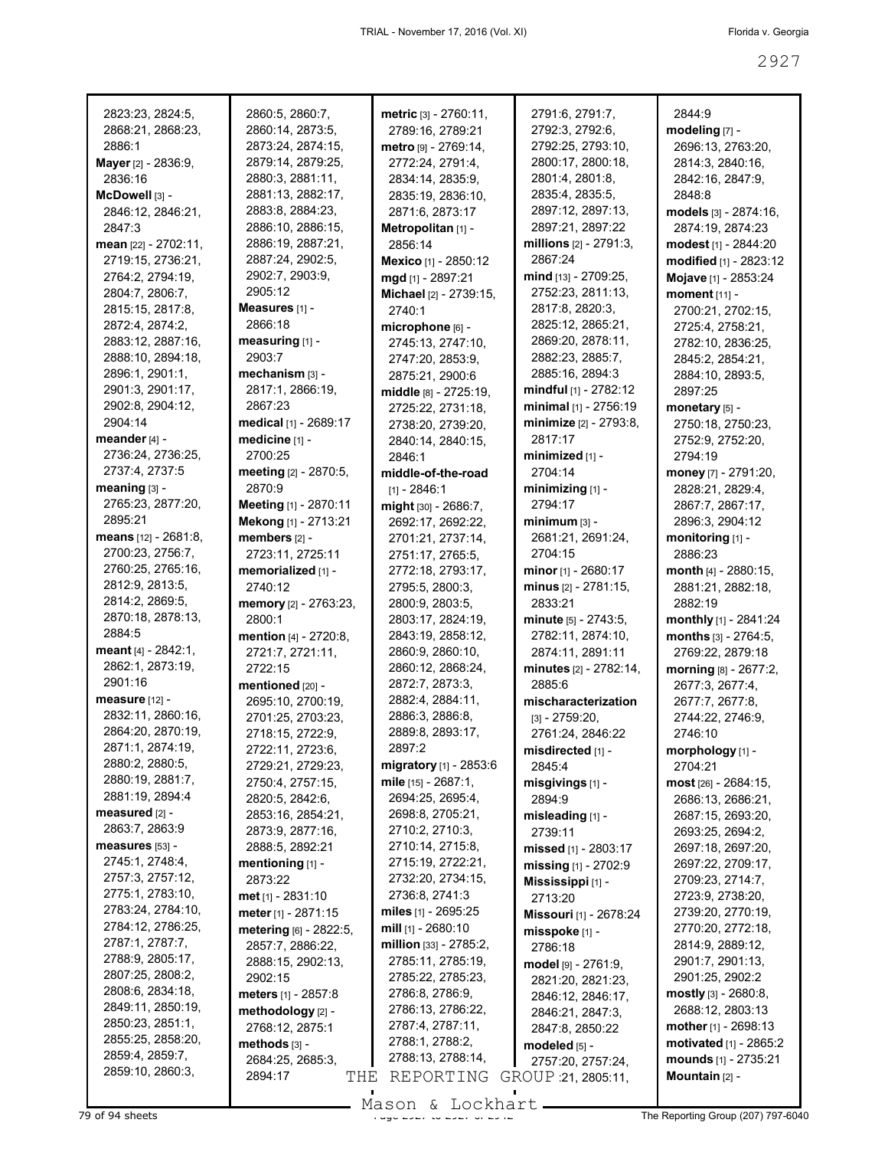| 2823:23, 2824:5,            | 2860:5, 2860:7,        | metric [3] - 2760:11,    | 2791:6, 2791:7,               | 2844:9                 |
|-----------------------------|------------------------|--------------------------|-------------------------------|------------------------|
| 2868:21, 2868:23,           | 2860:14, 2873:5,       | 2789:16, 2789:21         | 2792:3, 2792:6,               | modeling [7] -         |
| 2886:1                      | 2873:24, 2874:15,      | metro [9] - 2769:14,     | 2792:25, 2793:10,             | 2696:13, 2763:20,      |
| Mayer [2] - 2836:9,         | 2879:14, 2879:25,      | 2772:24, 2791:4,         | 2800:17, 2800:18,             | 2814:3, 2840:16,       |
| 2836:16                     | 2880:3, 2881:11,       | 2834:14, 2835:9,         | 2801:4, 2801:8,               | 2842:16, 2847:9,       |
| McDowell [3] -              | 2881:13, 2882:17,      | 2835:19, 2836:10,        | 2835:4, 2835:5,               | 2848:8                 |
| 2846:12, 2846:21,           | 2883:8, 2884:23,       | 2871:6, 2873:17          | 2897:12, 2897:13,             | models [3] - 2874:16,  |
| 2847:3                      | 2886:10, 2886:15,      | Metropolitan [1] -       | 2897:21, 2897:22              | 2874:19, 2874:23       |
| mean [22] - 2702:11,        | 2886:19, 2887:21,      | 2856:14                  | millions [2] - 2791:3,        | modest [1] - 2844:20   |
| 2719:15, 2736:21,           | 2887:24, 2902:5,       | Mexico [1] - 2850:12     | 2867:24                       | modified [1] - 2823:12 |
| 2764:2, 2794:19,            | 2902:7, 2903:9,        | mgd [1] - 2897:21        | mind [13] - 2709:25,          | Mojave [1] - 2853:24   |
| 2804:7, 2806:7,             | 2905:12                | Michael [2] - 2739:15,   | 2752:23, 2811:13,             | moment [11] -          |
| 2815:15, 2817:8,            | Measures $[1]$ -       | 2740:1                   | 2817:8, 2820:3,               | 2700:21, 2702:15,      |
| 2872:4, 2874:2,             | 2866:18                | microphone [6] -         | 2825:12, 2865:21,             | 2725:4, 2758:21,       |
| 2883:12, 2887:16,           | measuring $[1]$ -      | 2745:13, 2747:10,        | 2869:20, 2878:11,             | 2782:10, 2836:25,      |
| 2888:10, 2894:18,           | 2903:7                 | 2747:20, 2853:9,         | 2882:23, 2885:7,              | 2845:2, 2854:21,       |
| 2896:1, 2901:1,             | mechanism [3] -        | 2875:21, 2900:6          | 2885:16, 2894:3               | 2884:10, 2893:5,       |
| 2901:3, 2901:17,            | 2817:1, 2866:19,       | middle [8] - 2725:19,    | mindful [1] - 2782:12         | 2897:25                |
| 2902:8, 2904:12,            | 2867:23                | 2725:22, 2731:18,        | minimal [1] - 2756:19         | monetary [5] -         |
| 2904:14                     | medical [1] - 2689:17  | 2738:20, 2739:20,        | minimize [2] - 2793:8,        | 2750:18, 2750:23,      |
| meander <sub>[4]</sub> -    | medicine [1] -         | 2840:14, 2840:15,        | 2817:17                       | 2752:9, 2752:20,       |
| 2736:24, 2736:25,           | 2700:25                | 2846:1                   | minimized [1] -               | 2794:19                |
| 2737:4, 2737:5              | meeting [2] - 2870:5,  | middle-of-the-road       | 2704:14                       | money [7] - 2791:20,   |
| meaning [3] -               | 2870:9                 | $[1] - 2846:1$           | $minimizing$ [1] -            | 2828:21, 2829:4,       |
| 2765:23, 2877:20,           | Meeting [1] - 2870:11  | might [30] - 2686:7,     | 2794:17                       | 2867:7, 2867:17,       |
| 2895:21                     | Mekong [1] - 2713:21   | 2692:17, 2692:22,        | $minimum$ [3] -               | 2896:3, 2904:12        |
| <b>means</b> [12] - 2681:8, | members [2] -          | 2701:21, 2737:14,        | 2681:21, 2691:24,             | monitoring [1] -       |
| 2700:23, 2756:7,            | 2723:11, 2725:11       | 2751:17, 2765:5,         | 2704:15                       | 2886:23                |
| 2760:25, 2765:16,           | memorialized [1] -     | 2772:18, 2793:17,        | minor $[1]$ - 2680:17         | month [4] - 2880:15,   |
| 2812:9, 2813:5,             | 2740:12                | 2795:5, 2800:3,          | minus [2] - 2781:15,          | 2881:21, 2882:18,      |
| 2814:2, 2869:5,             | memory [2] - 2763:23,  | 2800:9, 2803:5,          | 2833:21                       | 2882:19                |
| 2870:18, 2878:13,           | 2800:1                 | 2803:17, 2824:19,        | minute [5] - 2743:5,          | monthly [1] - 2841:24  |
| 2884:5                      | mention [4] - 2720:8,  | 2843:19, 2858:12,        | 2782:11, 2874:10,             | months [3] - 2764:5,   |
| meant $[4] - 2842:1$ ,      | 2721:7, 2721:11,       | 2860:9, 2860:10,         | 2874:11, 2891:11              | 2769:22, 2879:18       |
| 2862:1, 2873:19,            | 2722:15                | 2860:12, 2868:24,        | minutes [2] - 2782:14,        | morning [8] - 2677:2,  |
| 2901:16                     | mentioned [20] -       | 2872:7, 2873:3,          | 2885:6                        | 2677:3, 2677:4,        |
| measure $[12]$ -            | 2695:10, 2700:19,      | 2882:4, 2884:11,         | mischaracterization           | 2677:7, 2677:8,        |
| 2832:11, 2860:16,           | 2701:25, 2703:23,      | 2886:3, 2886:8,          | $[3] - 2759:20,$              | 2744:22, 2746:9,       |
| 2864:20, 2870:19,           | 2718:15, 2722:9,       | 2889:8, 2893:17,         | 2761:24, 2846:22              | 2746:10                |
| 2871:1, 2874:19,            | 2722:11, 2723:6,       | 2897:2                   | misdirected [1] -             | morphology [1] -       |
| 2880:2, 2880:5,             | 2729:21, 2729:23,      | migratory $[1]$ - 2853:6 | 2845:4                        | 2704:21                |
| 2880:19, 2881:7,            | 2750:4, 2757:15,       | mile $[15] - 2687:1$ ,   | misgivings [1] -              | $most$ [26] - 2684:15, |
| 2881:19, 2894:4             | 2820:5, 2842:6,        | 2694:25, 2695:4,         | 2894:9                        | 2686:13, 2686:21,      |
| measured [2] -              | 2853:16, 2854:21,      | 2698:8, 2705:21,         | misleading [1] -              | 2687:15, 2693:20,      |
| 2863:7, 2863:9              | 2873:9, 2877:16,       | 2710:2, 2710:3,          | 2739:11                       | 2693:25, 2694:2,       |
| <b>measures</b> [53] -      | 2888:5, 2892:21        | 2710:14, 2715:8,         | missed [1] - 2803:17          | 2697:18, 2697:20,      |
| 2745:1, 2748:4,             | mentioning $[1]$ -     | 2715:19, 2722:21,        | missing [1] - 2702:9          | 2697:22, 2709:17,      |
| 2757:3, 2757:12,            | 2873:22                | 2732:20, 2734:15,        | Mississippi [1] -             | 2709:23, 2714:7,       |
| 2775:1, 2783:10,            | met [1] - 2831:10      | 2736:8, 2741:3           | 2713:20                       | 2723:9, 2738:20,       |
| 2783:24, 2784:10,           | meter [1] - 2871:15    | miles $[1]$ - 2695:25    | <b>Missouri</b> [1] - 2678:24 | 2739:20, 2770:19,      |
| 2784:12, 2786:25,           | metering [6] - 2822:5, | mill $[1]$ - 2680:10     | misspoke [1] -                | 2770:20, 2772:18,      |
| 2787:1, 2787:7,             | 2857:7, 2886:22,       | million [33] - 2785:2,   | 2786:18                       | 2814:9, 2889:12,       |
| 2788:9, 2805:17,            | 2888:15, 2902:13,      | 2785:11, 2785:19,        | model [9] - 2761:9,           | 2901:7, 2901:13,       |
| 2807:25, 2808:2,            | 2902:15                | 2785:22, 2785:23,        | 2821:20, 2821:23,             | 2901:25, 2902:2        |
| 2808:6, 2834:18,            | meters [1] - 2857:8    | 2786:8, 2786:9,          | 2846:12, 2846:17,             | mostly $[3]$ - 2680:8, |
| 2849:11, 2850:19,           | methodology [2] -      | 2786:13, 2786:22,        | 2846:21, 2847:3,              | 2688:12, 2803:13       |
| 2850:23, 2851:1,            | 2768:12, 2875:1        | 2787:4, 2787:11,         | 2847:8, 2850:22               | mother $[1]$ - 2698:13 |
| 2855:25, 2858:20,           | methods $[3]$ -        | 2788:1, 2788:2,          | modeled [5] -                 | motivated [1] - 2865:2 |
| 2859:4, 2859:7,             | 2684:25, 2685:3,       | 2788:13, 2788:14,        | 2757:20, 2757:24,             | mounds [1] - 2735:21   |
| 2859:10, 2860:3,            | 2894:17<br>THE         | REPORTING                | GROUP 21, 2805:11,            | Mountain [2] -         |
|                             |                        |                          |                               |                        |

Mason & Lockhart

 $\frac{29}{100}$  of 94 sheets  $\frac{29}{100}$  and  $\frac{29}{100}$  of 94 sheets The Reporting Group (207) 797-6040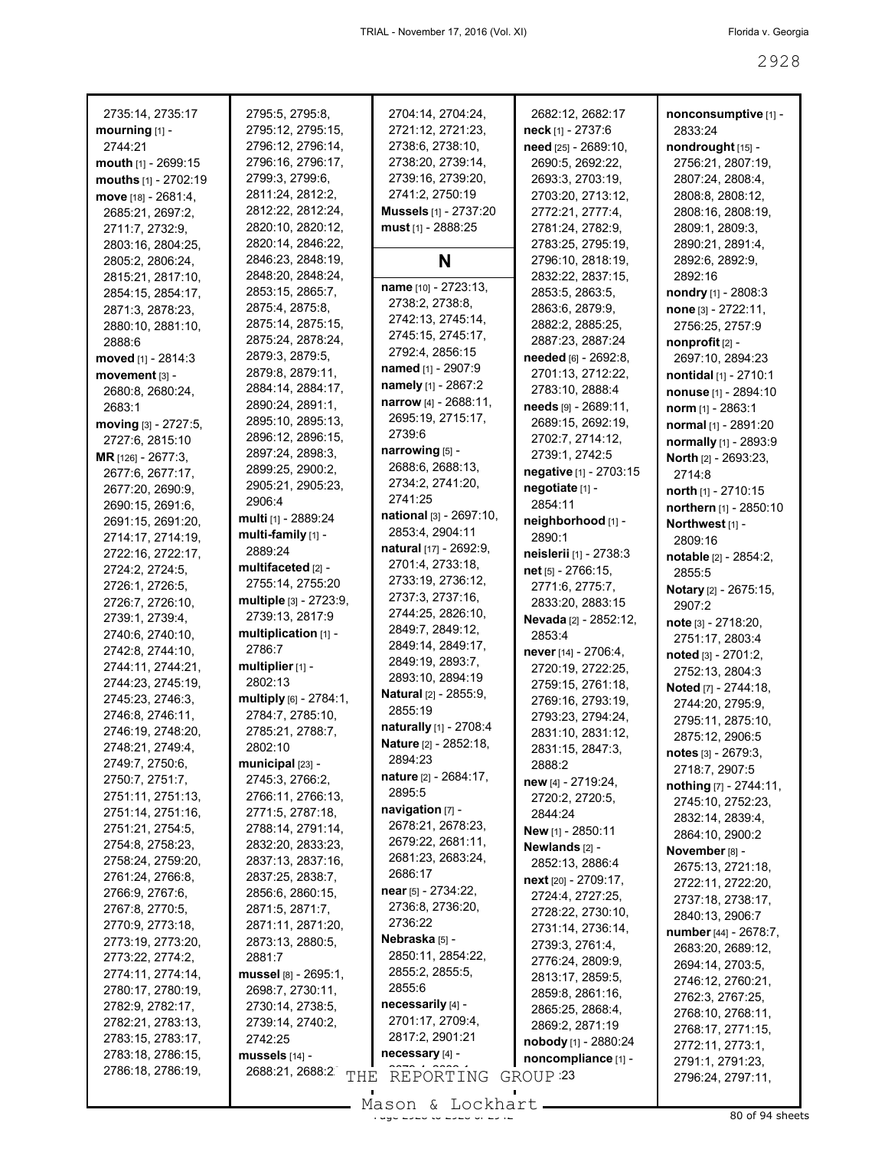| 2735:14, 2735:17     | 2795:5, 2795:8,            | 2704:14, 2704:24,            | 2682:12, 2682:17                     | nonconsumptive [1] -       |
|----------------------|----------------------------|------------------------------|--------------------------------------|----------------------------|
| mourning $[1]$ -     | 2795:12, 2795:15,          | 2721:12, 2721:23,            | neck [1] - 2737:6                    | 2833:24                    |
| 2744:21              | 2796:12, 2796:14,          | 2738:6, 2738:10,             | need [25] - 2689:10,                 | nondrought [15] -          |
| mouth [1] - 2699:15  | 2796:16, 2796:17,          | 2738:20, 2739:14,            | 2690:5, 2692:22,                     | 2756:21, 2807:19,          |
| mouths [1] - 2702:19 | 2799:3, 2799:6,            | 2739:16, 2739:20,            | 2693:3, 2703:19,                     | 2807:24, 2808:4,           |
| move [18] - 2681:4,  | 2811:24, 2812:2,           | 2741:2, 2750:19              | 2703:20, 2713:12,                    | 2808:8, 2808:12,           |
| 2685:21, 2697:2,     | 2812:22, 2812:24,          | <b>Mussels</b> [1] - 2737:20 | 2772:21, 2777:4,                     | 2808:16, 2808:19,          |
| 2711:7, 2732:9,      | 2820:10, 2820:12,          | must [1] - 2888:25           | 2781:24, 2782:9,                     | 2809:1, 2809:3,            |
| 2803:16, 2804:25,    | 2820:14, 2846:22,          |                              | 2783:25, 2795:19,                    | 2890:21, 2891:4,           |
| 2805:2, 2806:24,     | 2846:23, 2848:19,          |                              | 2796:10, 2818:19,                    | 2892:6, 2892:9,            |
|                      | 2848:20, 2848:24,          | N                            | 2832:22, 2837:15,                    | 2892:16                    |
| 2815:21, 2817:10,    |                            | name [10] - 2723:13,         |                                      |                            |
| 2854:15, 2854:17,    | 2853:15, 2865:7,           | 2738:2, 2738:8,              | 2853:5, 2863:5,                      | nondry [1] - 2808:3        |
| 2871:3, 2878:23,     | 2875:4, 2875:8,            | 2742:13, 2745:14,            | 2863:6, 2879:9,                      | $none$ [3] - 2722:11,      |
| 2880:10, 2881:10,    | 2875:14, 2875:15,          | 2745:15, 2745:17,            | 2882:2, 2885:25,                     | 2756:25, 2757:9            |
| 2888:6               | 2875:24, 2878:24,          |                              | 2887:23, 2887:24                     | nonprofit <sub>[2]</sub> - |
| moved [1] - 2814:3   | 2879:3, 2879:5,            | 2792:4, 2856:15              | needed [6] - 2692:8,                 | 2697:10, 2894:23           |
| movement [3] -       | 2879:8, 2879:11,           | named [1] - 2907:9           | 2701:13, 2712:22,                    | nontidal [1] - 2710:1      |
| 2680:8, 2680:24,     | 2884:14, 2884:17,          | namely [1] - 2867:2          | 2783:10, 2888:4                      | nonuse [1] - 2894:10       |
| 2683:1               | 2890:24, 2891:1,           | narrow [4] - 2688:11,        | needs [9] - 2689:11,                 | norm $[1]$ - 2863:1        |
| moving [3] - 2727:5, | 2895:10, 2895:13,          | 2695:19, 2715:17,            | 2689:15, 2692:19,                    | normal [1] - 2891:20       |
| 2727:6, 2815:10      | 2896:12, 2896:15,          | 2739:6                       | 2702:7, 2714:12,                     | normally [1] - 2893:9      |
| MR [126] - 2677:3.   | 2897:24, 2898:3,           | narrowing [5] -              | 2739:1, 2742:5                       | North [2] - 2693:23,       |
| 2677:6, 2677:17,     | 2899:25, 2900:2,           | 2688:6, 2688:13,             | negative [1] - 2703:15               |                            |
| 2677:20, 2690:9,     | 2905:21, 2905:23,          | 2734:2, 2741:20,             | negotiate [1] -                      | 2714:8                     |
|                      | 2906:4                     | 2741:25                      | 2854:11                              | north [1] - 2710:15        |
| 2690:15, 2691:6,     | <b>multi</b> [1] - 2889:24 | national [3] - 2697:10,      |                                      | northern [1] - 2850:10     |
| 2691:15, 2691:20,    | multi-family [1] -         | 2853:4, 2904:11              | neighborhood [1] -                   | Northwest <sub>[1]</sub> - |
| 2714:17, 2714:19,    |                            | natural [17] - 2692:9,       | 2890:1                               | 2809:16                    |
| 2722:16, 2722:17,    | 2889:24                    | 2701:4, 2733:18,             | neislerii [1] - 2738:3               | notable [2] - 2854:2,      |
| 2724:2, 2724:5,      | multifaceted [2] -         |                              | $net_{[5]} - 2766:15,$               | 2855:5                     |
| 2726:1, 2726:5,      | 2755:14, 2755:20           | 2733:19, 2736:12,            | 2771:6, 2775:7,                      | Notary [2] - 2675:15,      |
| 2726:7, 2726:10,     | multiple [3] - 2723:9,     | 2737:3, 2737:16,             | 2833:20, 2883:15                     | 2907:2                     |
| 2739:1, 2739:4,      | 2739:13, 2817:9            | 2744:25, 2826:10,            | Nevada [2] - 2852:12,                | note [3] - 2718:20,        |
| 2740:6, 2740:10,     | multiplication [1] -       | 2849:7, 2849:12,             | 2853:4                               | 2751:17, 2803:4            |
| 2742:8, 2744:10,     | 2786:7                     | 2849:14, 2849:17,            | never [14] - 2706:4,                 | noted [3] - 2701:2,        |
| 2744:11, 2744:21,    | multiplier [1] -           | 2849:19, 2893:7,             | 2720:19, 2722:25,                    | 2752:13, 2804:3            |
| 2744:23, 2745:19,    | 2802:13                    | 2893:10, 2894:19             | 2759:15, 2761:18,                    |                            |
| 2745:23, 2746:3,     | multiply [6] - 2784:1,     | <b>Natural</b> [2] - 2855:9, | 2769:16, 2793:19,                    | Noted [7] - 2744:18,       |
| 2746:8, 2746:11,     | 2784:7, 2785:10,           | 2855:19                      | 2793:23, 2794:24,                    | 2744:20, 2795:9,           |
| 2746:19, 2748:20,    | 2785:21, 2788:7,           | naturally [1] - 2708:4       | 2831:10, 2831:12,                    | 2795:11, 2875:10,          |
| 2748:21, 2749:4,     | 2802:10                    | Nature [2] - 2852:18,        | 2831:15, 2847:3,                     | 2875:12, 2906:5            |
|                      | municipal [23] -           | 2894:23                      |                                      | notes $[3] - 2679:3$ ,     |
| 2749:7, 2750:6,      |                            | <b>nature</b> [2] - 2684:17, | 2888:2                               | 2718:7, 2907:5             |
| 2750:7, 2751:7,      | 2745:3, 2766:2,            | 2895:5                       | new [4] - 2719:24,                   | nothing [7] - 2744:11,     |
| 2751:11, 2751:13,    | 2766:11, 2766:13,          | navigation $[7]$ -           | 2720:2, 2720:5,                      | 2745:10, 2752:23,          |
| 2751:14, 2751:16,    | 2771:5, 2787:18,           |                              | 2844:24                              | 2832:14, 2839:4,           |
| 2751:21, 2754:5,     | 2788:14, 2791:14,          | 2678:21, 2678:23,            | <b>New</b> [1] - 2850:11             | 2864:10, 2900:2            |
| 2754:8, 2758:23,     | 2832:20, 2833:23,          | 2679:22, 2681:11,            | Newlands [2] -                       | November [8] -             |
| 2758:24, 2759:20,    | 2837:13, 2837:16,          | 2681:23, 2683:24,            | 2852:13, 2886:4                      | 2675:13, 2721:18,          |
| 2761:24, 2766:8,     | 2837:25, 2838:7,           | 2686:17                      | next [20] - 2709:17,                 | 2722:11, 2722:20,          |
| 2766:9, 2767:6,      | 2856:6, 2860:15,           | near $[5]$ - 2734:22,        | 2724:4, 2727:25,                     | 2737:18, 2738:17,          |
| 2767:8, 2770:5,      | 2871:5, 2871:7,            | 2736:8, 2736:20,             | 2728:22, 2730:10,                    | 2840:13, 2906:7            |
| 2770:9, 2773:18,     | 2871:11, 2871:20,          | 2736:22                      | 2731:14, 2736:14,                    | number [44] - 2678:7,      |
| 2773:19, 2773:20,    | 2873:13, 2880:5,           | Nebraska [5] -               | 2739:3, 2761:4,                      | 2683:20, 2689:12,          |
| 2773:22, 2774:2,     | 2881:7                     | 2850:11, 2854:22,            | 2776:24, 2809:9,                     |                            |
| 2774:11, 2774:14,    | mussel [8] - 2695:1,       | 2855:2, 2855:5,              | 2813:17, 2859:5,                     | 2694:14, 2703:5,           |
| 2780:17, 2780:19,    | 2698:7, 2730:11,           | 2855:6                       |                                      | 2746:12, 2760:21,          |
| 2782:9, 2782:17,     | 2730:14, 2738:5,           | necessarily [4] -            | 2859:8, 2861:16,<br>2865:25, 2868:4, | 2762:3, 2767:25,           |
| 2782:21, 2783:13,    | 2739:14, 2740:2,           | 2701:17, 2709:4,             |                                      | 2768:10, 2768:11,          |
| 2783:15, 2783:17,    | 2742:25                    | 2817:2, 2901:21              | 2869:2, 2871:19                      | 2768:17, 2771:15,          |
| 2783:18, 2786:15,    | mussels [14] -             | necessary [4] -              | nobody [1] - 2880:24                 | 2772:11, 2773:1,           |
|                      |                            |                              | noncompliance [1] -                  | 2791:1, 2791:23,           |
| 2786:18, 2786:19,    | 2688:21, 2688:2<br>THE     | REPORTING                    | GROUP <sub>23</sub>                  | 2796:24, 2797:11,          |
|                      |                            |                              |                                      |                            |

 $\frac{200011}{x}$  and  $\frac{20001102}{x}$  of 94 sheets - Mason & Lockhart -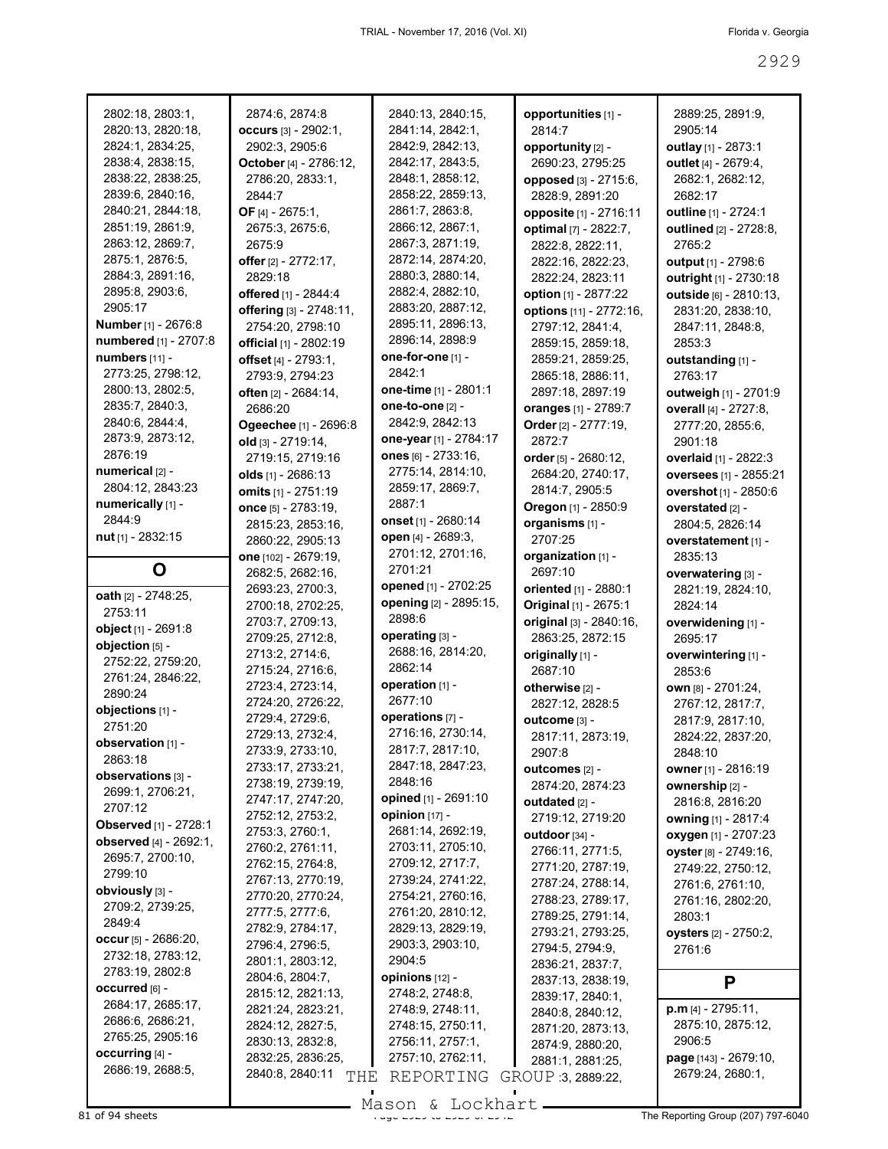| 2802:18, 2803:1,             |                         |                        |                         |                        |
|------------------------------|-------------------------|------------------------|-------------------------|------------------------|
|                              | 2874:6, 2874:8          | 2840:13, 2840:15,      | opportunities [1] -     | 2889:25, 2891:9,       |
| 2820:13, 2820:18,            | occurs $[3] - 2902:1$ , | 2841:14, 2842:1,       | 2814:7                  | 2905:14                |
| 2824:1, 2834:25,             | 2902:3, 2905:6          | 2842:9, 2842:13,       | opportunity [2] -       | outlay [1] - 2873:1    |
| 2838:4, 2838:15,             | October [4] - 2786:12,  | 2842:17, 2843:5,       | 2690:23, 2795:25        | outlet [4] - 2679:4,   |
| 2838:22, 2838:25,            | 2786:20, 2833:1,        | 2848:1, 2858:12,       | opposed [3] - 2715:6,   | 2682:1, 2682:12,       |
| 2839:6, 2840:16,             | 2844:7                  | 2858:22, 2859:13,      | 2828:9, 2891:20         | 2682:17                |
| 2840:21, 2844:18,            |                         | 2861:7, 2863:8,        |                         |                        |
| 2851:19, 2861:9,             | OF [4] - 2675:1,        | 2866:12, 2867:1,       | opposite [1] - 2716:11  | outline [1] - 2724:1   |
|                              | 2675:3, 2675:6,         |                        | optimal [7] - 2822:7,   | outlined [2] - 2728:8, |
| 2863:12, 2869:7,             | 2675:9                  | 2867:3, 2871:19,       | 2822:8, 2822:11,        | 2765:2                 |
| 2875:1, 2876:5,              | offer [2] - 2772:17,    | 2872:14, 2874:20,      | 2822:16, 2822:23,       | output [1] - 2798:6    |
| 2884:3, 2891:16,             | 2829:18                 | 2880:3, 2880:14,       | 2822:24, 2823:11        | outright [1] - 2730:18 |
| 2895:8, 2903:6,              | offered [1] - 2844:4    | 2882:4, 2882:10,       | option [1] - 2877:22    | outside [6] - 2810:13, |
| 2905:17                      | offering [3] - 2748:11, | 2883:20, 2887:12,      | options [11] - 2772:16, | 2831:20, 2838:10,      |
| <b>Number</b> [1] - 2676:8   | 2754:20, 2798:10        | 2895:11, 2896:13,      | 2797:12, 2841:4,        | 2847:11, 2848:8,       |
| numbered [1] - 2707:8        | official [1] - 2802:19  | 2896:14, 2898:9        | 2859:15, 2859:18,       | 2853:3                 |
| numbers [11] -               | offset [4] - 2793:1,    | one-for-one [1] -      | 2859:21, 2859:25,       | outstanding [1] -      |
| 2773:25, 2798:12,            | 2793:9, 2794:23         | 2842:1                 | 2865:18, 2886:11,       | 2763:17                |
| 2800:13, 2802:5,             | often [2] - 2684:14,    | one-time [1] - 2801:1  | 2897:18, 2897:19        |                        |
| 2835:7, 2840:3,              |                         | one-to-one [2] -       |                         | outweigh [1] - 2701:9  |
| 2840:6, 2844:4,              | 2686:20                 | 2842:9, 2842:13        | oranges [1] - 2789:7    | overall [4] - 2727:8,  |
|                              | Ogeechee [1] - 2696:8   |                        | Order [2] - 2777:19,    | 2777:20, 2855:6,       |
| 2873:9, 2873:12,             | old $[3] - 2719:14$ ,   | one-year [1] - 2784:17 | 2872:7                  | 2901:18                |
| 2876:19                      | 2719:15, 2719:16        | ones [6] - 2733:16,    | order [5] - 2680:12,    | overlaid [1] - 2822:3  |
| numerical [2] -              | olds $[1] - 2686:13$    | 2775:14, 2814:10,      | 2684:20, 2740:17,       | oversees [1] - 2855:21 |
| 2804:12, 2843:23             | omits [1] - 2751:19     | 2859:17, 2869:7,       | 2814:7, 2905:5          | overshot [1] - 2850:6  |
| numerically [1] -            | once [5] - 2783:19,     | 2887:1                 | Oregon [1] - 2850:9     | overstated [2] -       |
| 2844:9                       | 2815:23, 2853:16,       | onset [1] - 2680:14    | organisms [1] -         | 2804:5, 2826:14        |
| nut [1] - 2832:15            | 2860:22, 2905:13        | open [4] - 2689:3,     | 2707:25                 | overstatement [1] -    |
|                              | one [102] - 2679:19,    | 2701:12, 2701:16,      | organization [1] -      | 2835:13                |
| O                            | 2682:5, 2682:16,        | 2701:21                | 2697:10                 | overwatering [3] -     |
|                              | 2693:23, 2700:3,        | opened [1] - 2702:25   | oriented [1] - 2880:1   |                        |
| oath [2] - 2748:25,          |                         | opening [2] - 2895:15, |                         | 2821:19, 2824:10,      |
| 2753:11                      | 2700:18, 2702:25,       | 2898:6                 | Original [1] - 2675:1   | 2824:14                |
| object [1] - 2691:8          | 2703:7, 2709:13,        |                        | original [3] - 2840:16, | overwidening [1] -     |
| objection [5] -              | 2709:25, 2712:8,        | operating [3] -        | 2863:25, 2872:15        | 2695:17                |
| 2752:22, 2759:20,            | 2713:2, 2714:6,         | 2688:16, 2814:20,      | originally [1] -        | overwintering [1] -    |
| 2761:24, 2846:22,            | 2715:24, 2716:6,        | 2862:14                | 2687:10                 | 2853:6                 |
| 2890:24                      | 2723:4, 2723:14,        | operation [1] -        | otherwise [2] -         | own [8] - 2701:24,     |
| objections [1] -             | 2724:20, 2726:22,       | 2677:10                | 2827:12, 2828:5         | 2767:12, 2817:7,       |
|                              | 2729:4, 2729:6,         | operations [7] -       |                         |                        |
|                              |                         |                        |                         |                        |
| 2751:20                      | 2729:13, 2732:4,        | 2716:16, 2730:14,      | outcome [3] -           | 2817:9, 2817:10,       |
| observation [1] -            | 2733:9, 2733:10,        | 2817:7, 2817:10,       | 2817:11, 2873:19,       | 2824:22, 2837:20,      |
| 2863:18                      |                         | 2847:18, 2847:23,      | 2907:8                  | 2848:10                |
| observations [3] -           | 2733:17, 2733:21,       | 2848:16                | outcomes [2] -          | owner [1] - 2816:19    |
| 2699:1, 2706:21,             | 2738:19, 2739:19,       |                        | 2874:20, 2874:23        | ownership [2] -        |
| 2707:12                      | 2747:17, 2747:20,       | opined [1] - 2691:10   | outdated [2] -          | 2816:8, 2816:20        |
| <b>Observed</b> [1] - 2728:1 | 2752:12, 2753:2,        | opinion $[17]$ -       | 2719:12, 2719:20        | owning [1] - 2817:4    |
| observed [4] - 2692:1,       | 2753:3, 2760:1,         | 2681:14, 2692:19,      | outdoor [34] -          | oxygen [1] - 2707:23   |
|                              | 2760:2, 2761:11,        | 2703:11, 2705:10,      | 2766:11, 2771:5,        | oyster [8] - 2749:16,  |
| 2695:7, 2700:10,             | 2762:15, 2764:8,        | 2709:12, 2717:7,       | 2771:20, 2787:19,       | 2749:22, 2750:12,      |
| 2799:10                      | 2767:13, 2770:19,       | 2739:24, 2741:22,      | 2787:24, 2788:14,       | 2761:6, 2761:10,       |
| obviously [3] -              | 2770:20, 2770:24,       | 2754:21, 2760:16,      | 2788:23, 2789:17,       | 2761:16, 2802:20,      |
| 2709:2, 2739:25,             | 2777:5, 2777:6,         | 2761:20, 2810:12,      | 2789:25, 2791:14,       | 2803:1                 |
| 2849:4                       | 2782:9, 2784:17,        | 2829:13, 2829:19,      | 2793:21, 2793:25,       | oysters [2] - 2750:2,  |
| occur [5] - 2686:20,         | 2796:4, 2796:5,         | 2903:3, 2903:10,       | 2794:5, 2794:9,         | 2761:6                 |
| 2732:18, 2783:12,            | 2801:1, 2803:12,        | 2904:5                 |                         |                        |
| 2783:19, 2802:8              | 2804:6, 2804:7,         | opinions [12] -        | 2836:21, 2837:7,        |                        |
| occurred [6] -               | 2815:12, 2821:13,       | 2748:2, 2748:8,        | 2837:13, 2838:19,       | P                      |
| 2684:17, 2685:17,            | 2821:24, 2823:21,       | 2748:9, 2748:11,       | 2839:17, 2840:1,        | p.m [4] - 2795:11,     |
| 2686:6, 2686:21,             |                         |                        | 2840:8, 2840:12,        | 2875:10, 2875:12,      |
| 2765:25, 2905:16             | 2824:12, 2827:5,        | 2748:15, 2750:11,      | 2871:20, 2873:13,       |                        |
| occurring [4] -              | 2830:13, 2832:8,        | 2756:11, 2757:1,       | 2874:9, 2880:20,        | 2906:5                 |
| 2686:19, 2688:5,             | 2832:25, 2836:25,       | 2757:10, 2762:11,      | 2881:1, 2881:25,        | page [143] - 2679:10,  |
|                              | 2840:8, 2840:11<br>THE  | REPORTING              | GROUP 3, 2889:22,       | 2679:24, 2680:1,       |

Mason & Lockhart **Page 2029 of 94** sheets Page 207) 797-6040<br>B1 of 94 sheets **Page 207) 797-6040**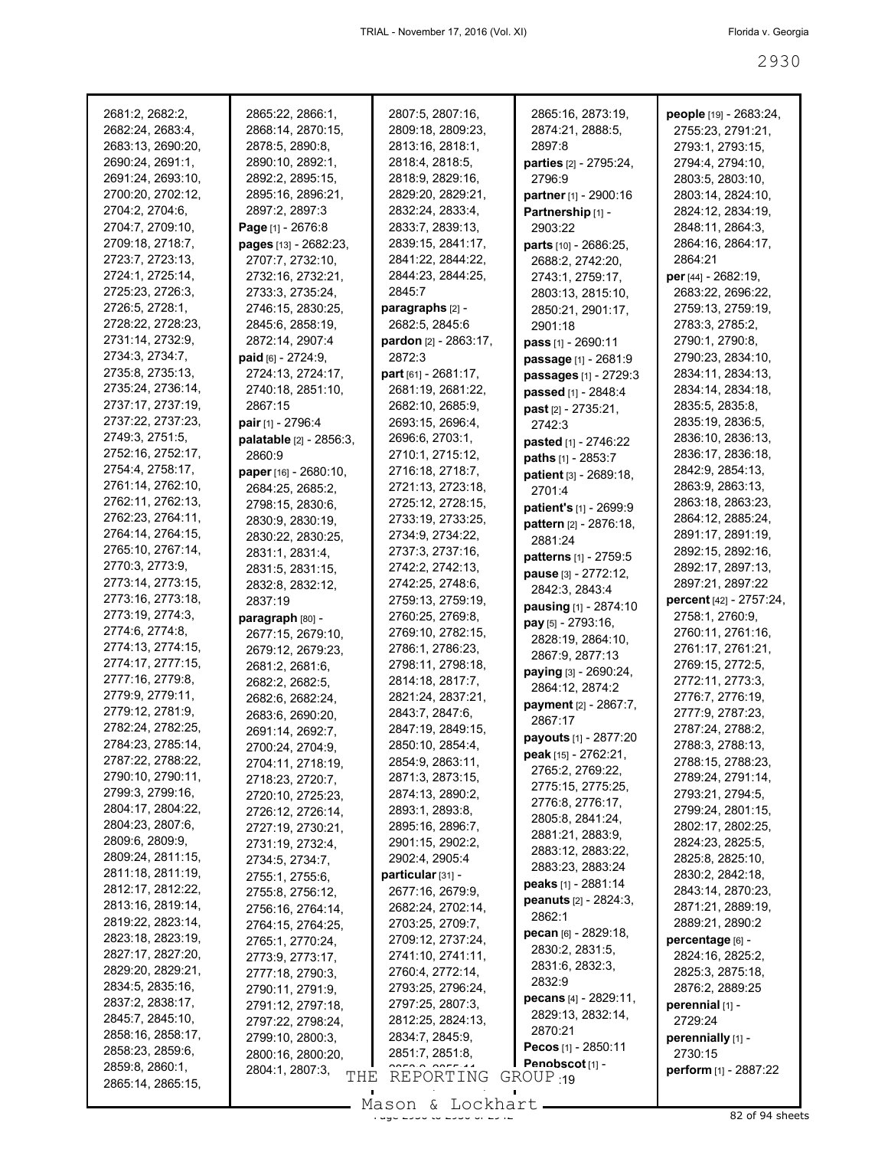| 2681:2, 2682:2,   | 2865:22, 2866:1,        | 2807:5, 2807:16,      | 2865:16, 2873:19,                      | people [19] - 2683:24,  |
|-------------------|-------------------------|-----------------------|----------------------------------------|-------------------------|
| 2682:24, 2683:4,  | 2868:14, 2870:15,       | 2809:18, 2809:23,     | 2874:21, 2888:5,                       | 2755:23, 2791:21,       |
| 2683:13, 2690:20, | 2878:5, 2890:8,         | 2813:16, 2818:1,      | 2897:8                                 | 2793:1, 2793:15,        |
| 2690:24, 2691:1,  | 2890:10, 2892:1,        | 2818:4, 2818:5,       | parties [2] - 2795:24,                 | 2794:4, 2794:10,        |
| 2691:24, 2693:10, | 2892:2, 2895:15,        | 2818:9, 2829:16,      | 2796:9                                 | 2803:5, 2803:10,        |
| 2700:20, 2702:12, |                         | 2829:20, 2829:21,     |                                        |                         |
|                   | 2895:16, 2896:21,       |                       | partner [1] - 2900:16                  | 2803:14, 2824:10,       |
| 2704:2, 2704:6,   | 2897:2, 2897:3          | 2832:24, 2833:4,      | Partnership [1] -                      | 2824:12, 2834:19,       |
| 2704:7, 2709:10,  | Page $[1] - 2676.8$     | 2833:7, 2839:13,      | 2903:22                                | 2848:11, 2864:3,        |
| 2709:18, 2718:7,  | pages [13] - 2682:23,   | 2839:15, 2841:17,     | parts [10] - 2686:25,                  | 2864:16, 2864:17,       |
| 2723:7, 2723:13,  | 2707:7, 2732:10,        | 2841:22, 2844:22,     | 2688:2, 2742:20,                       | 2864:21                 |
| 2724:1, 2725:14,  | 2732:16, 2732:21,       | 2844:23, 2844:25,     | 2743:1, 2759:17,                       | per [44] - 2682:19,     |
| 2725:23, 2726:3,  | 2733:3, 2735:24,        | 2845:7                | 2803:13, 2815:10,                      | 2683:22, 2696:22,       |
| 2726:5, 2728:1,   | 2746:15, 2830:25,       | paragraphs [2] -      | 2850:21, 2901:17,                      | 2759:13, 2759:19,       |
| 2728:22, 2728:23, | 2845:6, 2858:19,        | 2682:5, 2845:6        | 2901:18                                | 2783:3, 2785:2,         |
| 2731:14, 2732:9,  | 2872:14, 2907:4         | pardon [2] - 2863:17, | <b>pass</b> $[1] - 2690:11$            | 2790:1, 2790:8,         |
| 2734:3, 2734:7,   | paid [6] - 2724:9,      | 2872:3                |                                        | 2790:23, 2834:10,       |
| 2735:8, 2735:13,  |                         |                       | passage [1] - 2681:9                   | 2834:11, 2834:13,       |
|                   | 2724:13, 2724:17,       | part [61] - 2681:17,  | passages [1] - 2729:3                  |                         |
| 2735:24, 2736:14, | 2740:18, 2851:10,       | 2681:19, 2681:22,     | passed [1] - 2848:4                    | 2834:14, 2834:18,       |
| 2737:17, 2737:19, | 2867:15                 | 2682:10, 2685:9,      | past [2] - 2735:21,                    | 2835:5, 2835:8,         |
| 2737:22, 2737:23, | pair [1] - 2796:4       | 2693:15, 2696:4,      | 2742:3                                 | 2835:19, 2836:5,        |
| 2749:3, 2751:5,   | palatable [2] - 2856:3, | 2696:6, 2703:1,       | pasted [1] - 2746:22                   | 2836:10, 2836:13,       |
| 2752:16, 2752:17, | 2860:9                  | 2710:1, 2715:12,      | paths [1] - 2853:7                     | 2836:17, 2836:18,       |
| 2754:4, 2758:17,  | paper [16] - 2680:10,   | 2716:18, 2718:7,      | patient [3] - 2689:18,                 | 2842:9, 2854:13,        |
| 2761:14, 2762:10, | 2684:25, 2685:2,        | 2721:13, 2723:18,     | 2701:4                                 | 2863:9, 2863:13,        |
| 2762:11, 2762:13, | 2798:15, 2830:6,        | 2725:12, 2728:15,     | patient's [1] - 2699:9                 | 2863:18, 2863:23,       |
| 2762:23, 2764:11, | 2830:9, 2830:19,        | 2733:19, 2733:25,     | pattern [2] - 2876:18,                 | 2864:12, 2885:24,       |
| 2764:14, 2764:15, | 2830:22, 2830:25,       | 2734:9, 2734:22,      | 2881:24                                | 2891:17, 2891:19,       |
| 2765:10, 2767:14, | 2831:1, 2831:4,         | 2737:3, 2737:16,      |                                        | 2892:15, 2892:16,       |
| 2770:3, 2773:9,   | 2831:5, 2831:15,        | 2742:2, 2742:13,      | patterns [1] - 2759:5                  | 2892:17, 2897:13,       |
| 2773:14, 2773:15, | 2832:8, 2832:12,        | 2742:25, 2748:6,      | pause [3] - 2772:12,                   | 2897:21, 2897:22        |
| 2773:16, 2773:18, | 2837:19                 | 2759:13, 2759:19,     | 2842:3, 2843:4                         | percent [42] - 2757:24, |
| 2773:19, 2774:3,  |                         | 2760:25, 2769:8,      | pausing [1] - 2874:10                  | 2758:1, 2760:9,         |
| 2774:6, 2774:8,   | paragraph [80] -        | 2769:10, 2782:15,     | pay [5] - 2793:16,                     | 2760:11, 2761:16,       |
| 2774:13, 2774:15, | 2677:15, 2679:10,       |                       | 2828:19, 2864:10,                      |                         |
|                   | 2679:12, 2679:23,       | 2786:1, 2786:23,      | 2867:9, 2877:13                        | 2761:17, 2761:21,       |
| 2774:17, 2777:15, | 2681:2, 2681:6,         | 2798:11, 2798:18,     | paying [3] - 2690:24,                  | 2769:15, 2772:5,        |
| 2777:16, 2779:8,  | 2682:2, 2682:5,         | 2814:18, 2817:7,      | 2864:12, 2874:2                        | 2772:11, 2773:3,        |
| 2779:9, 2779:11,  | 2682:6, 2682:24,        | 2821:24, 2837:21,     | payment [2] - 2867:7,                  | 2776:7, 2776:19,        |
| 2779:12, 2781:9,  | 2683:6, 2690:20,        | 2843:7, 2847:6,       | 2867:17                                | 2777:9, 2787:23,        |
| 2782:24, 2782:25, | 2691:14, 2692:7,        | 2847:19, 2849:15,     | payouts [1] - 2877:20                  | 2787:24, 2788:2,        |
| 2784:23, 2785:14, | 2700:24, 2704:9,        | 2850:10, 2854:4,      | peak [15] - 2762:21,                   | 2788:3, 2788:13,        |
| 2787:22, 2788:22, | 2704:11, 2718:19,       | 2854:9, 2863:11,      | 2765:2, 2769:22,                       | 2788:15, 2788:23,       |
| 2790:10, 2790:11, | 2718:23, 2720:7,        | 2871:3, 2873:15,      |                                        | 2789:24, 2791:14,       |
| 2799:3, 2799:16,  | 2720:10, 2725:23,       | 2874:13, 2890:2,      | 2775:15, 2775:25,                      | 2793:21, 2794:5,        |
| 2804:17, 2804:22, | 2726:12, 2726:14,       | 2893:1, 2893:8,       | 2776:8, 2776:17,                       | 2799:24, 2801:15,       |
| 2804:23, 2807:6,  | 2727:19, 2730:21,       | 2895:16, 2896:7,      | 2805:8, 2841:24,                       | 2802:17, 2802:25,       |
| 2809:6, 2809:9,   | 2731:19, 2732:4,        | 2901:15, 2902:2,      | 2881:21, 2883:9,                       | 2824:23, 2825:5,        |
| 2809:24, 2811:15, | 2734:5, 2734:7,         | 2902:4, 2905:4        | 2883:12, 2883:22,                      | 2825:8, 2825:10,        |
| 2811:18, 2811:19, | 2755:1, 2755:6,         | particular [31] -     | 2883:23, 2883:24                       | 2830:2, 2842:18,        |
| 2812:17, 2812:22, | 2755:8, 2756:12,        | 2677:16, 2679:9,      | peaks [1] - 2881:14                    | 2843:14, 2870:23,       |
| 2813:16, 2819:14, |                         | 2682:24, 2702:14,     | peanuts [2] - 2824:3,                  | 2871:21, 2889:19,       |
| 2819:22, 2823:14, | 2756:16, 2764:14,       |                       | 2862:1                                 | 2889:21, 2890:2         |
| 2823:18, 2823:19, | 2764:15, 2764:25,       | 2703:25, 2709:7,      | pecan [6] - 2829:18,                   |                         |
|                   | 2765:1, 2770:24,        | 2709:12, 2737:24,     | 2830:2, 2831:5,                        | percentage [6] -        |
| 2827:17, 2827:20, | 2773:9, 2773:17,        | 2741:10, 2741:11,     | 2831:6, 2832:3,                        | 2824:16, 2825:2,        |
| 2829:20, 2829:21, | 2777:18, 2790:3,        | 2760:4, 2772:14,      | 2832:9                                 | 2825:3, 2875:18,        |
| 2834:5, 2835:16,  | 2790:11, 2791:9,        | 2793:25, 2796:24,     | pecans [4] - 2829:11,                  | 2876:2, 2889:25         |
| 2837:2, 2838:17,  | 2791:12, 2797:18,       | 2797:25, 2807:3,      | 2829:13, 2832:14,                      | perennial [1] -         |
| 2845:7, 2845:10,  | 2797:22, 2798:24,       | 2812:25, 2824:13,     | 2870:21                                | 2729:24                 |
| 2858:16, 2858:17, | 2799:10, 2800:3,        | 2834:7, 2845:9,       |                                        | perennially [1] -       |
| 2858:23, 2859:6,  | 2800:16, 2800:20,       | 2851:7, 2851:8,       | Pecos [1] - 2850:11                    | 2730:15                 |
| 2859:8, 2860:1,   | 2804:1, 2807:3,<br>THE  | REPORTING             | Penobscot <sub>[1]</sub> -<br>GROUP 19 | perform [1] - 2887:22   |
| 2865:14, 2865:15, |                         |                       |                                        |                         |
|                   |                         | Mason & Lockhart      |                                        |                         |

Mason & Lockhart <u>entity</u> 2030 and 2030 82 of 94 sheets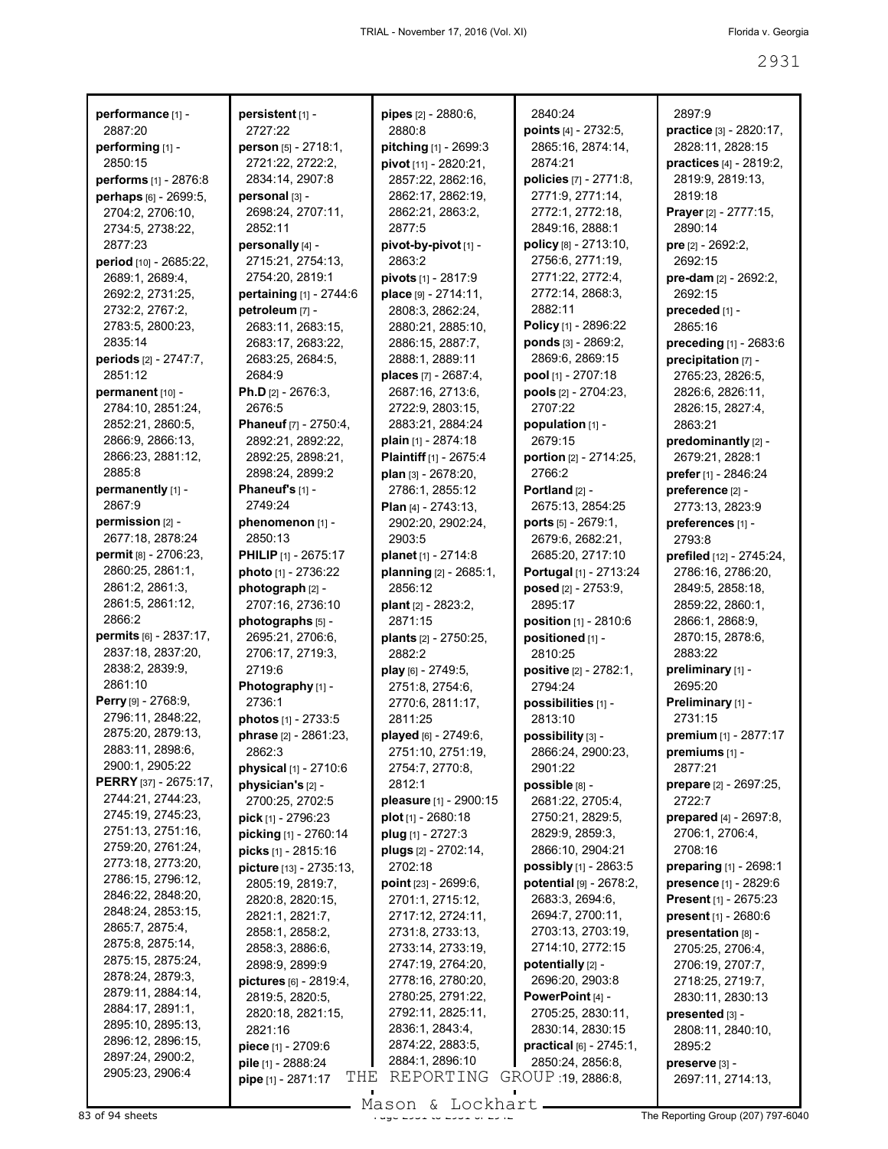|                                        |                                |                               | 2840:24                    | 2897.9                        |
|----------------------------------------|--------------------------------|-------------------------------|----------------------------|-------------------------------|
| performance [1] -<br>2887:20           | persistent [1] -<br>2727:22    | pipes [2] - 2880:6,<br>2880:8 | points $[4] - 2732:5$ ,    | practice [3] - 2820:17,       |
| performing [1] -                       | person [5] - 2718:1,           | pitching [1] - 2699:3         | 2865:16, 2874:14,          | 2828:11, 2828:15              |
| 2850:15                                | 2721:22, 2722:2,               | pivot [11] - 2820:21,         | 2874:21                    | practices [4] - 2819:2,       |
| performs [1] - 2876:8                  | 2834:14, 2907:8                | 2857:22, 2862:16,             | policies [7] - 2771:8,     | 2819:9, 2819:13,              |
| perhaps [6] - 2699:5,                  | personal [3] -                 | 2862:17, 2862:19,             | 2771:9, 2771:14,           | 2819:18                       |
| 2704:2, 2706:10,                       | 2698:24, 2707:11,              | 2862:21, 2863:2,              | 2772:1, 2772:18,           | Prayer [2] - 2777:15,         |
| 2734:5, 2738:22,                       | 2852:11                        | 2877:5                        | 2849:16, 2888:1            | 2890:14                       |
| 2877:23                                | personally [4] -               | pivot-by-pivot [1] -          | policy [8] - 2713:10,      | pre [2] - 2692:2,             |
| period [10] - 2685:22,                 | 2715:21, 2754:13,              | 2863:2                        | 2756:6, 2771:19,           | 2692:15                       |
| 2689:1, 2689:4,                        | 2754:20, 2819:1                | pivots [1] - 2817:9           | 2771:22, 2772:4,           | pre-dam [2] - 2692:2,         |
| 2692:2, 2731:25,                       | pertaining [1] - 2744:6        | place [9] - 2714:11,          | 2772:14, 2868:3,           | 2692:15                       |
| 2732:2, 2767:2,                        | petroleum [7] -                | 2808:3, 2862:24,              | 2882:11                    | preceded [1] -                |
| 2783:5, 2800:23,                       | 2683:11, 2683:15,              | 2880:21, 2885:10,             | Policy [1] - 2896:22       | 2865:16                       |
| 2835:14                                | 2683:17, 2683:22,              | 2886:15, 2887:7,              | ponds $[3] - 2869:2$       | preceding [1] - 2683:6        |
| periods [2] - 2747:7,                  | 2683:25, 2684:5,               | 2888:1, 2889:11               | 2869:6, 2869:15            | precipitation [7] -           |
| 2851:12                                | 2684:9                         | places [7] - 2687:4,          | pool [1] - 2707:18         | 2765:23, 2826:5,              |
| permanent [10] -                       | Ph.D $[2] - 2676:3$ ,          | 2687:16, 2713:6,              | pools [2] - 2704:23,       | 2826:6, 2826:11,              |
| 2784:10, 2851:24,                      | 2676:5                         | 2722:9, 2803:15,              | 2707:22                    | 2826:15, 2827:4,              |
| 2852:21, 2860:5,                       | Phaneuf [7] - 2750:4,          | 2883:21, 2884:24              | population [1] -           | 2863:21                       |
| 2866:9, 2866:13,                       | 2892:21, 2892:22,              | plain $[1]$ - 2874:18         | 2679:15                    | predominantly [2] -           |
| 2866:23, 2881:12,                      | 2892:25, 2898:21,              | Plaintiff [1] - 2675:4        | portion [2] - 2714:25,     | 2679:21, 2828:1               |
| 2885:8                                 | 2898:24, 2899:2                | plan [3] - 2678:20,           | 2766:2                     | prefer [1] - 2846:24          |
| permanently [1] -                      | Phaneuf's [1] -                | 2786:1, 2855:12               | Portland [2] -             | preference [2] -              |
| 2867:9                                 | 2749:24                        | Plan [4] - 2743:13,           | 2675:13, 2854:25           | 2773:13, 2823:9               |
| permission [2] -                       | phenomenon [1] -               | 2902:20, 2902:24,             | ports [5] - 2679:1,        | preferences [1] -             |
| 2677:18, 2878:24                       | 2850:13                        | 2903:5                        | 2679:6, 2682:21,           | 2793:8                        |
| permit [8] - 2706:23,                  | <b>PHILIP</b> [1] - 2675:17    | planet [1] - 2714:8           | 2685:20, 2717:10           | prefiled [12] - 2745:24,      |
| 2860:25, 2861:1,                       | photo [1] - 2736:22            | planning [2] - 2685:1,        | Portugal [1] - 2713:24     | 2786:16, 2786:20,             |
| 2861:2, 2861:3,                        | photograph [2] -               | 2856:12                       | posed [2] - 2753:9,        | 2849:5, 2858:18,              |
| 2861:5, 2861:12,                       | 2707:16, 2736:10               | plant [2] - 2823:2,           | 2895:17                    | 2859:22, 2860:1,              |
| 2866:2                                 | photographs [5] -              | 2871:15                       | position [1] - 2810:6      | 2866:1, 2868:9,               |
| permits [6] - 2837:17,                 | 2695:21, 2706:6,               | plants [2] - 2750:25,         | positioned [1] -           | 2870:15, 2878:6,              |
| 2837:18, 2837:20,                      | 2706:17, 2719:3,               | 2882:2                        | 2810:25                    | 2883:22                       |
| 2838:2, 2839:9,                        | 2719:6                         | play [6] - 2749:5,            | positive [2] - 2782:1,     | preliminary [1] -             |
| 2861:10                                | Photography [1] -              | 2751:8, 2754:6,               | 2794:24                    | 2695:20                       |
| Perry [9] - 2768:9,                    | 2736:1                         | 2770:6, 2811:17,              | possibilities [1] -        | Preliminary [1] -             |
| 2796:11, 2848:22,                      | photos [1] - 2733:5            | 2811:25                       | 2813:10                    | 2731:15                       |
| 2875:20, 2879:13,                      | phrase [2] - 2861:23,          | played [6] - 2749:6,          | possibility [3] -          | premium [1] - 2877:17         |
| 2883:11, 2898:6,                       | 2862:3                         | 2751:10, 2751:19,             | 2866:24, 2900:23,          | premiums [1] -                |
| 2900:1, 2905:22                        | <b>physical</b> $[1] - 2710.6$ | 2754:7, 2770:8,               | 2901:22                    | 2877:21                       |
| <b>PERRY</b> [37] - 2675:17,           | physician's [2] -              | 2812:1                        | possible [8] -             | <b>prepare</b> [2] - 2697:25, |
| 2744:21, 2744:23,                      | 2700:25, 2702:5                | pleasure [1] - 2900:15        | 2681:22, 2705:4,           | 2722:7                        |
| 2745:19, 2745:23,                      | pick [1] - 2796:23             | plot [1] - 2680:18            | 2750:21, 2829:5,           | prepared [4] - 2697:8,        |
| 2751:13, 2751:16,                      | picking [1] - 2760:14          | plug $[1] - 2727:3$           | 2829:9, 2859:3,            | 2706:1, 2706:4,               |
| 2759:20, 2761:24,                      | picks [1] - 2815:16            | plugs [2] - 2702:14,          | 2866:10, 2904:21           | 2708:16                       |
| 2773:18, 2773:20,                      | picture [13] - 2735:13,        | 2702:18                       | possibly [1] - 2863:5      | <b>preparing</b> [1] - 2698:1 |
| 2786:15, 2796:12,                      | 2805:19, 2819:7,               | point $[23] - 2699.6$ ,       | potential $[9] - 2678:2$ , | <b>presence</b> [1] - 2829:6  |
| 2846:22, 2848:20,                      | 2820:8, 2820:15,               | 2701:1, 2715:12,              | 2683:3, 2694:6,            | Present [1] - 2675:23         |
| 2848:24, 2853:15,                      | 2821:1, 2821:7,                | 2717:12, 2724:11,             | 2694:7, 2700:11,           | present [1] - 2680:6          |
| 2865:7, 2875:4,                        | 2858:1, 2858:2,                | 2731:8, 2733:13,              | 2703:13, 2703:19,          | presentation [8] -            |
| 2875:8, 2875:14,                       | 2858:3, 2886:6,                | 2733:14, 2733:19,             | 2714:10, 2772:15           | 2705:25, 2706:4,              |
| 2875:15, 2875:24,                      | 2898:9, 2899:9                 | 2747:19, 2764:20,             | potentially [2] -          | 2706:19, 2707:7,              |
| 2878:24, 2879:3,                       | pictures [6] - 2819:4,         | 2778:16, 2780:20,             | 2696:20, 2903:8            | 2718:25, 2719:7,              |
| 2879:11, 2884:14,                      | 2819:5, 2820:5,                | 2780:25, 2791:22,             | PowerPoint [4] -           | 2830:11, 2830:13              |
| 2884:17, 2891:1,                       | 2820:18, 2821:15,              | 2792:11, 2825:11,             | 2705:25, 2830:11,          | presented [3] -               |
| 2895:10, 2895:13,<br>2896:12, 2896:15, | 2821:16                        | 2836:1, 2843:4,               | 2830:14, 2830:15           | 2808:11, 2840:10,             |
| 2897:24, 2900:2,                       | piece [1] - 2709:6             | 2874:22, 2883:5,              | practical [6] - 2745:1,    | 2895:2                        |
| 2905:23, 2906:4                        | pile [1] - 2888:24             | 2884:1, 2896:10               | 2850:24, 2856:8,           | preserve [3] -                |
|                                        | THE<br>pipe [1] - 2871:17      | REPORTING                     | GROUP 19, 2886 8,          | 2697:11, 2714:13,             |
|                                        |                                |                               |                            |                               |

Mason & Lockhart **Page 2031 of 94 sheets** Page 207) 797-6040<br>B3 of 94 sheets **Page 207) 797-6040**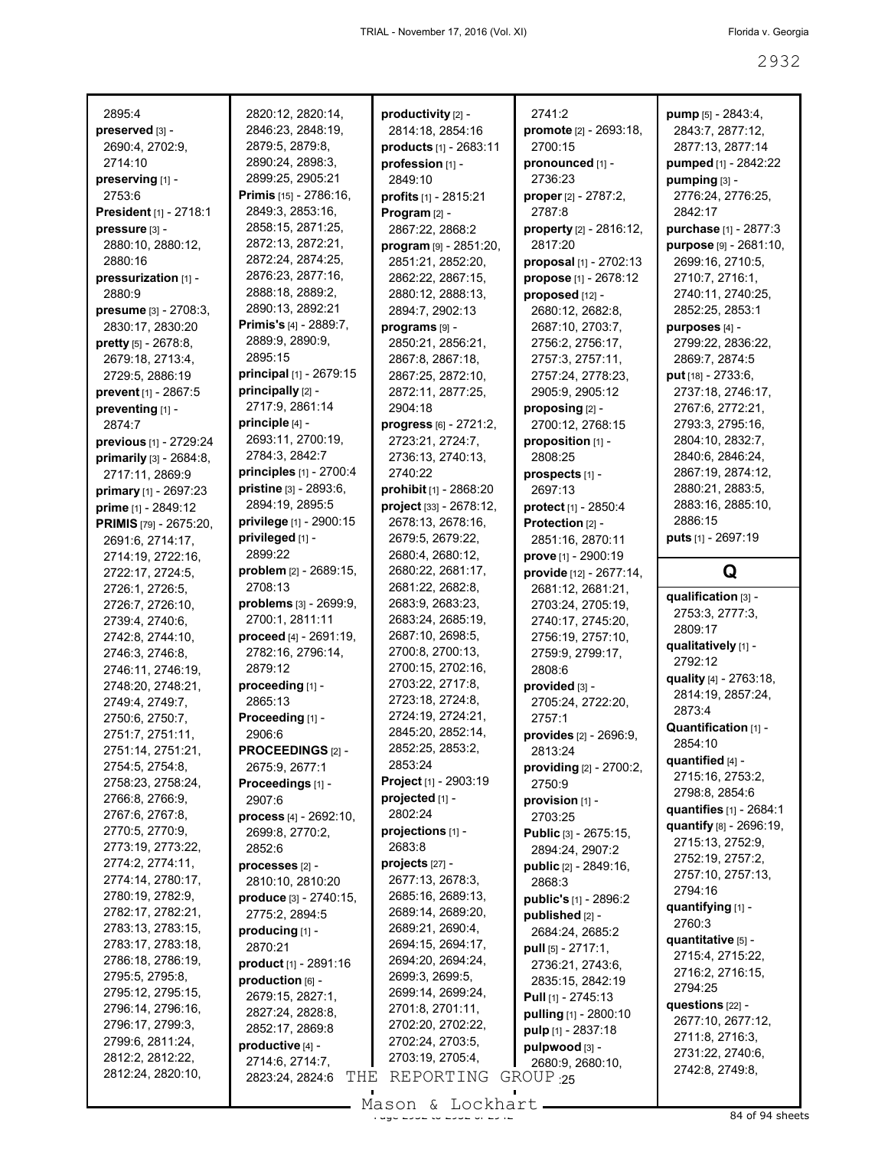| 2895:4                                 | 2820:12, 2820:14,                           | productivity [2] -      | 2741:2                                   | pump [5] - 2843:4,      |
|----------------------------------------|---------------------------------------------|-------------------------|------------------------------------------|-------------------------|
| preserved [3] -                        | 2846:23, 2848:19,                           | 2814:18, 2854:16        | promote [2] - 2693:18,                   | 2843:7, 2877:12,        |
| 2690:4, 2702:9,                        | 2879:5, 2879:8,                             | products [1] - 2683:11  | 2700:15                                  | 2877:13, 2877:14        |
| 2714:10                                | 2890:24, 2898:3,                            | profession [1] -        | pronounced [1] -                         | pumped [1] - 2842:22    |
| preserving [1] -                       | 2899:25, 2905:21                            | 2849:10                 | 2736:23                                  | pumping [3] -           |
| 2753:6                                 | Primis [15] - 2786:16,                      | profits [1] - 2815:21   | <b>proper</b> $[2] - 2787:2$ ,           | 2776:24, 2776:25,       |
| <b>President</b> [1] - 2718:1          | 2849:3, 2853:16,                            | Program [2] -           | 2787:8                                   | 2842:17                 |
| pressure [3] -                         | 2858:15, 2871:25,                           | 2867:22, 2868:2         | property [2] - 2816:12,                  | purchase [1] - 2877:3   |
| 2880:10, 2880:12,                      | 2872:13, 2872:21,                           | program [9] - 2851:20,  | 2817:20                                  | purpose [9] - 2681:10,  |
| 2880:16                                | 2872:24, 2874:25,                           | 2851:21, 2852:20,       | proposal [1] - 2702:13                   | 2699:16, 2710:5,        |
| pressurization [1] -                   | 2876:23, 2877:16,                           | 2862:22, 2867:15,       | propose [1] - 2678:12                    | 2710:7, 2716:1,         |
| 2880:9                                 | 2888:18, 2889:2,                            | 2880:12, 2888:13,       | proposed [12] -                          | 2740:11, 2740:25,       |
| presume [3] - 2708:3,                  | 2890:13, 2892:21                            | 2894:7, 2902:13         | 2680:12, 2682:8,                         | 2852:25, 2853:1         |
| 2830:17, 2830:20                       | <b>Primis's [4] - 2889:7,</b>               | programs [9] -          | 2687:10, 2703:7,                         | purposes [4] -          |
| pretty [5] - 2678:8,                   | 2889:9, 2890:9,                             | 2850:21, 2856:21,       | 2756:2, 2756:17,                         | 2799:22, 2836:22,       |
| 2679:18, 2713:4,                       | 2895:15                                     | 2867:8, 2867:18,        | 2757:3, 2757:11,                         | 2869:7, 2874:5          |
| 2729:5, 2886:19                        | principal [1] - 2679:15                     | 2867:25, 2872:10,       | 2757:24, 2778:23,                        | put [18] - 2733:6,      |
| prevent [1] - 2867:5                   | principally [2] -                           | 2872:11, 2877:25,       | 2905:9, 2905:12                          | 2737:18, 2746:17,       |
| preventing [1] -                       | 2717:9, 2861:14                             | 2904:18                 | proposing [2] -                          | 2767:6, 2772:21,        |
| 2874:7                                 | principle [4] -                             | progress [6] - 2721:2,  | 2700:12, 2768:15                         | 2793:3, 2795:16,        |
| previous [1] - 2729:24                 | 2693:11, 2700:19,                           | 2723:21, 2724:7,        | proposition [1] -                        | 2804:10, 2832:7,        |
| primarily [3] - 2684:8,                | 2784:3, 2842:7                              | 2736:13, 2740:13,       | 2808:25                                  | 2840:6, 2846:24,        |
| 2717:11, 2869:9                        | principles [1] - 2700:4                     | 2740:22                 | prospects [1] -                          | 2867:19, 2874:12,       |
| primary [1] - 2697:23                  | pristine [3] - 2893:6,                      | prohibit [1] - 2868:20  | 2697:13                                  | 2880:21, 2883:5,        |
| prime [1] - 2849:12                    | 2894:19, 2895:5                             | project [33] - 2678:12, | protect [1] - 2850:4                     | 2883:16, 2885:10,       |
| PRIMIS [79] - 2675:20,                 | privilege [1] - 2900:15                     | 2678:13, 2678:16,       | Protection [2] -                         | 2886:15                 |
| 2691:6, 2714:17,                       | privileged [1] -                            | 2679:5, 2679:22,        | 2851:16, 2870:11                         | puts [1] - 2697:19      |
| 2714:19, 2722:16,                      | 2899:22                                     | 2680:4, 2680:12,        | prove [1] - 2900:19                      |                         |
| 2722:17, 2724:5,                       | problem [2] - 2689:15,                      | 2680:22, 2681:17,       | provide [12] - 2677:14,                  | Q                       |
| 2726:1, 2726:5,                        | 2708:13                                     | 2681:22, 2682:8,        | 2681:12, 2681:21,                        |                         |
|                                        |                                             |                         |                                          |                         |
|                                        | problems [3] - 2699:9,                      | 2683:9, 2683:23,        |                                          | qualification [3] -     |
| 2726:7, 2726:10,                       | 2700:1, 2811:11                             | 2683:24, 2685:19,       | 2703:24, 2705:19,                        | 2753:3, 2777:3,         |
| 2739:4, 2740:6,                        |                                             | 2687:10, 2698:5,        | 2740:17, 2745:20,                        | 2809:17                 |
| 2742:8, 2744:10,<br>2746:3, 2746:8,    | proceed [4] - 2691:19,<br>2782:16, 2796:14, | 2700:8, 2700:13,        | 2756:19, 2757:10,                        | qualitatively [1] -     |
|                                        | 2879:12                                     | 2700:15, 2702:16,       | 2759:9, 2799:17,<br>2808:6               | 2792:12                 |
| 2746:11, 2746:19,<br>2748:20, 2748:21, |                                             | 2703:22, 2717:8,        |                                          | quality [4] - 2763:18,  |
|                                        | proceeding [1] -<br>2865:13                 | 2723:18, 2724:8,        | provided [3] -                           | 2814:19, 2857:24,       |
| 2749:4, 2749:7,                        |                                             | 2724:19, 2724:21,       | 2705:24, 2722:20,<br>2757:1              | 2873:4                  |
| 2750:6, 2750:7,                        | Proceeding [1] -<br>2906:6                  | 2845:20, 2852:14,       |                                          | Quantification [1] -    |
| 2751:7, 2751:11,<br>2751:14, 2751:21,  |                                             | 2852:25, 2853:2,        | provides [2] - 2696:9,                   | 2854:10                 |
| 2754:5, 2754:8,                        | <b>PROCEEDINGS [2] -</b><br>2675:9, 2677:1  | 2853:24                 | 2813:24                                  | quantified $[4]$ -      |
| 2758:23, 2758:24,                      |                                             | Project [1] - 2903:19   | providing [2] - 2700:2,<br>2750:9        | 2715:16, 2753:2,        |
| 2766:8, 2766:9,                        | Proceedings [1] -<br>2907:6                 | projected [1] -         | provision [1] -                          | 2798:8, 2854:6          |
| 2767:6, 2767:8,                        | process [4] - 2692:10,                      | 2802:24                 | 2703:25                                  | quantifies [1] - 2684:1 |
| 2770:5, 2770:9,                        | 2699:8, 2770:2,                             | projections [1] -       |                                          | quantify [8] - 2696:19, |
| 2773:19, 2773:22,                      | 2852:6                                      | 2683:8                  | Public [3] - 2675:15,                    | 2715:13, 2752:9,        |
| 2774:2, 2774:11,                       | processes [2] -                             | projects [27] -         | 2894:24, 2907:2<br>public [2] - 2849:16, | 2752:19, 2757:2,        |
| 2774:14, 2780:17,                      | 2810:10, 2810:20                            | 2677:13, 2678:3,        | 2868:3                                   | 2757:10, 2757:13,       |
| 2780:19, 2782:9,                       |                                             | 2685:16, 2689:13,       |                                          | 2794:16                 |
| 2782:17, 2782:21,                      | produce [3] - 2740:15,<br>2775:2, 2894:5    | 2689:14, 2689:20,       | public's [1] - 2896:2                    | quantifying [1] -       |
| 2783:13, 2783:15,                      | producing [1] -                             | 2689:21, 2690:4,        | published [2] -<br>2684:24, 2685:2       | 2760:3                  |
| 2783:17, 2783:18,                      | 2870:21                                     | 2694:15, 2694:17,       |                                          | quantitative [5] -      |
| 2786:18, 2786:19,                      |                                             | 2694:20, 2694:24,       | pull [5] - 2717:1,                       | 2715:4, 2715:22,        |
| 2795:5, 2795:8,                        | product [1] - 2891:16<br>production [6] -   | 2699:3, 2699:5,         | 2736:21, 2743:6,<br>2835:15, 2842:19     | 2716:2, 2716:15,        |
| 2795:12, 2795:15,                      |                                             | 2699:14, 2699:24,       |                                          | 2794:25                 |
| 2796:14, 2796:16,                      | 2679:15, 2827:1,                            | 2701:8, 2701:11,        | <b>Pull</b> $[1]$ - 2745:13              | questions [22] -        |
| 2796:17, 2799:3,                       | 2827:24, 2828:8,<br>2852:17, 2869:8         | 2702:20, 2702:22,       | pulling [1] - 2800:10                    | 2677:10, 2677:12,       |
| 2799:6, 2811:24,                       | productive [4] -                            | 2702:24, 2703:5,        | pulp [1] - 2837:18                       | 2711:8, 2716:3,         |
| 2812:2, 2812:22,                       | 2714:6, 2714:7,                             | 2703:19, 2705:4,        | pulpwood [3] -                           | 2731:22, 2740:6,        |
| 2812:24, 2820:10,                      | THE<br>2823:24, 2824:6                      | REPORTING               | 2680:9, 2680:10,<br>GROUP <sub>25</sub>  | 2742:8, 2749:8,         |

 $\frac{200001}{2000000}$  and  $\frac{200001}{2000}$  of 94 sheets Mason & Lockhart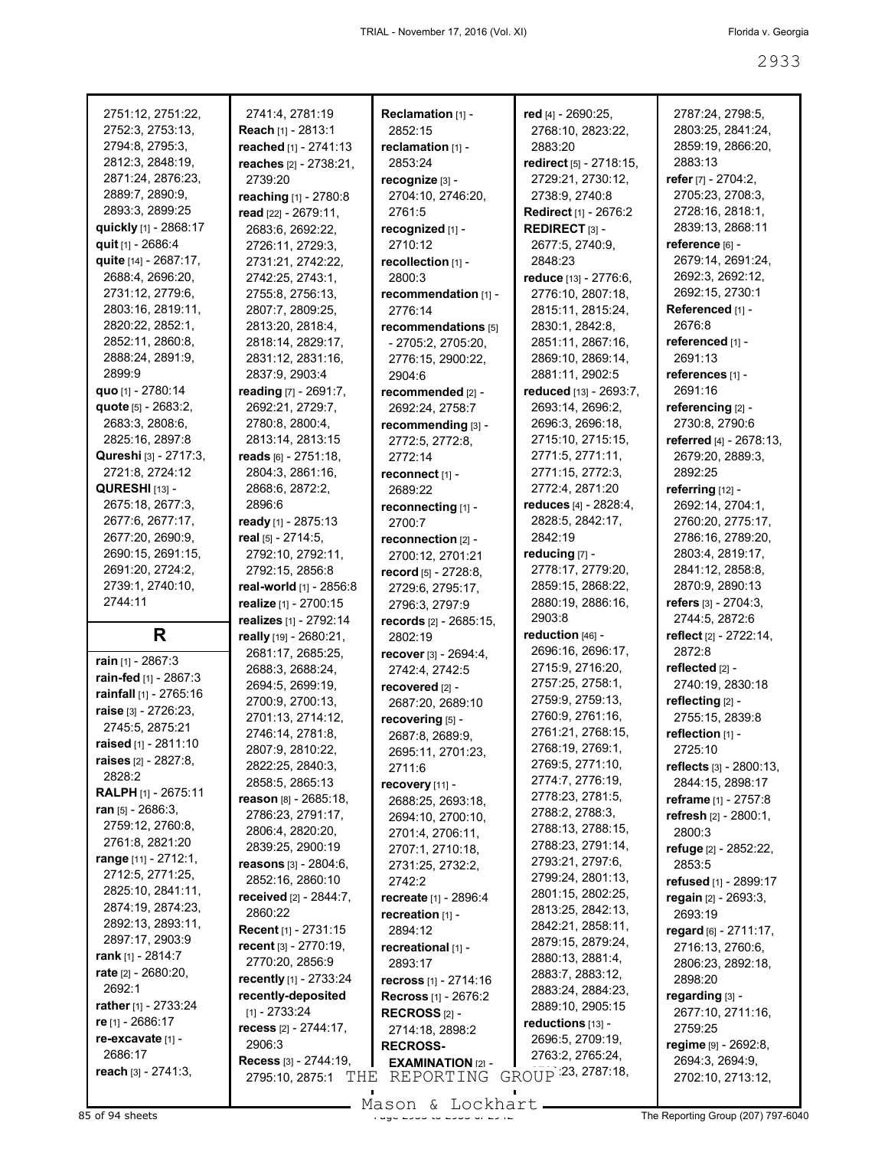| 2751:12, 2751:22,              | 2741:4, 2781:19               | Reclamation [1] -                       | red [4] - 2690:25,           | 2787:24, 2798:5,           |
|--------------------------------|-------------------------------|-----------------------------------------|------------------------------|----------------------------|
| 2752:3, 2753:13,               | Reach [1] - 2813:1            | 2852:15                                 | 2768:10, 2823:22,            | 2803:25, 2841:24,          |
| 2794:8, 2795:3,                | reached [1] - 2741:13         | reclamation [1] -                       | 2883:20                      | 2859:19, 2866:20,          |
| 2812:3, 2848:19,               | reaches [2] - 2738:21,        | 2853:24                                 | redirect [5] - 2718:15,      | 2883:13                    |
| 2871:24, 2876:23,              | 2739:20                       | recognize [3] -                         | 2729:21, 2730:12,            | refer [7] - 2704:2.        |
| 2889:7, 2890:9,                | reaching [1] - 2780:8         | 2704:10, 2746:20,                       | 2738:9, 2740:8               | 2705:23, 2708:3,           |
| 2893:3, 2899:25                | read [22] - 2679:11,          | 2761:5                                  | <b>Redirect</b> [1] - 2676:2 | 2728:16, 2818:1,           |
| quickly [1] - 2868:17          | 2683:6, 2692:22,              | recognized [1] -                        | <b>REDIRECT</b> $[3]$ -      | 2839:13, 2868:11           |
| quit [1] - 2686:4              | 2726:11, 2729:3,              | 2710:12                                 | 2677:5, 2740:9,              | reference <sub>[6]</sub> - |
| quite [14] - 2687:17,          | 2731:21, 2742:22,             | recollection [1] -                      | 2848:23                      | 2679:14, 2691:24,          |
| 2688:4, 2696:20,               | 2742:25, 2743:1,              | 2800:3                                  | reduce [13] - 2776:6,        | 2692:3, 2692:12,           |
| 2731:12, 2779:6,               | 2755:8, 2756:13,              | recommendation [1] -                    | 2776:10, 2807:18,            | 2692:15, 2730:1            |
| 2803:16, 2819:11,              | 2807:7, 2809:25,              | 2776:14                                 | 2815:11, 2815:24,            | Referenced [1] -           |
| 2820:22, 2852:1,               | 2813:20, 2818:4,              | recommendations [5]                     | 2830:1, 2842:8,              | 2676:8                     |
| 2852:11, 2860:8,               | 2818:14, 2829:17,             | - 2705:2, 2705:20,                      | 2851:11, 2867:16,            | referenced [1] -           |
| 2888:24, 2891:9,               | 2831:12, 2831:16,             | 2776:15, 2900:22,                       | 2869:10, 2869:14,            | 2691:13                    |
| 2899:9                         | 2837:9, 2903:4                | 2904:6                                  | 2881:11, 2902:5              | references [1] -           |
| quo [1] - 2780:14              | reading [7] - 2691:7,         | recommended [2] -                       | reduced [13] - 2693:7,       | 2691:16                    |
| quote $[5] - 2683:2$ ,         | 2692:21, 2729:7,              | 2692:24, 2758:7                         | 2693:14, 2696:2,             | referencing [2] -          |
| 2683:3, 2808:6,                | 2780:8, 2800:4,               | recommending [3] -                      | 2696:3, 2696:18,             | 2730:8, 2790:6             |
| 2825:16, 2897:8                | 2813:14, 2813:15              | 2772:5, 2772:8,                         | 2715:10, 2715:15,            | referred [4] - 2678:13,    |
| Qureshi [3] - 2717:3,          | reads $[6] - 2751:18$ ,       |                                         | 2771:5, 2771:11,             | 2679:20, 2889:3,           |
| 2721:8, 2724:12                | 2804:3, 2861:16,              | 2772:14                                 | 2771:15, 2772:3,             |                            |
|                                |                               | reconnect [1] -                         |                              | 2892:25                    |
| QURESHI <sub>[13]</sub> -      | 2868:6, 2872:2,               | 2689:22                                 | 2772:4, 2871:20              | referring [12] -           |
| 2675:18, 2677:3,               | 2896:6                        | reconnecting [1] -                      | reduces [4] - 2828:4,        | 2692:14, 2704:1,           |
| 2677:6, 2677:17,               | ready [1] - 2875:13           | 2700:7                                  | 2828:5, 2842:17,             | 2760:20, 2775:17,          |
| 2677:20, 2690:9,               | real $[5] - 2714.5$ ,         | reconnection [2] -                      | 2842:19                      | 2786:16, 2789:20,          |
| 2690:15, 2691:15,              | 2792:10, 2792:11,             | 2700:12, 2701:21                        | reducing [7] -               | 2803:4, 2819:17,           |
| 2691:20, 2724:2,               | 2792:15, 2856:8               | record $[5] - 2728.8$ ,                 | 2778:17, 2779:20,            | 2841:12, 2858:8,           |
| 2739:1, 2740:10,               | real-world [1] - 2856:8       | 2729:6, 2795:17,                        | 2859:15, 2868:22,            | 2870:9, 2890:13            |
|                                |                               |                                         |                              |                            |
| 2744:11                        | realize [1] - 2700:15         | 2796:3, 2797:9                          | 2880:19, 2886:16,            | refers $[3] - 2704:3$ ,    |
|                                | realizes [1] - 2792:14        | records [2] - 2685:15,                  | 2903:8                       | 2744:5, 2872:6             |
| R                              | really [19] - 2680:21,        | 2802:19                                 | reduction [46] -             | reflect [2] - 2722:14,     |
|                                | 2681:17, 2685:25,             |                                         | 2696:16, 2696:17,            | 2872:8                     |
| rain [1] - 2867:3              | 2688:3, 2688:24,              | recover [3] - 2694:4,<br>2742:4, 2742:5 | 2715:9, 2716:20,             | reflected [2] -            |
| rain-fed [1] - 2867:3          | 2694:5, 2699:19,              |                                         | 2757:25, 2758:1,             | 2740:19, 2830:18           |
| rainfall [1] - 2765:16         |                               | recovered [2] -                         | 2759:9, 2759:13,             | reflecting [2] -           |
| raise [3] - 2726:23,           | 2700:9, 2700:13,              | 2687:20, 2689:10                        | 2760:9, 2761:16,             | 2755:15, 2839:8            |
| 2745:5, 2875:21                | 2701:13, 2714:12,             | recovering [5] -                        | 2761:21, 2768:15,            | reflection [1] -           |
| raised [1] - 2811:10           | 2746:14, 2781:8,              | 2687:8, 2689:9,                         |                              |                            |
| <b>raises</b> $[2] - 2827:8$ , | 2807:9, 2810:22,              | 2695:11, 2701:23,                       | 2768:19, 2769:1,             | 2725:10                    |
| 2828:2                         | 2822:25, 2840:3,              | 2711:6                                  | 2769:5, 2771:10,             | reflects $[3] - 2800:13$ , |
| <b>RALPH</b> [1] - 2675:11     | 2858:5, 2865:13               | recovery [11] -                         | 2774:7, 2776:19,             | 2844:15, 2898:17           |
| ran $[5] - 2686:3$ ,           | reason $[8] - 2685:18$ ,      | 2688:25, 2693:18,                       | 2778:23, 2781:5,             | reframe [1] - 2757:8       |
| 2759:12, 2760:8,               | 2786:23, 2791:17,             | 2694:10, 2700:10,                       | 2788:2, 2788:3,              | refresh [2] - 2800:1,      |
| 2761:8, 2821:20                | 2806:4, 2820:20,              | 2701:4, 2706:11,                        | 2788:13, 2788:15,            | 2800:3                     |
|                                | 2839:25, 2900:19              | 2707:1, 2710:18,                        | 2788:23, 2791:14,            | refuge [2] - 2852:22,      |
| range $[11] - 2712:1$ ,        | reasons [3] - 2804:6,         | 2731:25, 2732:2,                        | 2793:21, 2797:6,             | 2853:5                     |
| 2712:5, 2771:25,               | 2852:16, 2860:10              | 2742:2                                  | 2799:24, 2801:13,            | refused [1] - 2899:17      |
| 2825:10, 2841:11,              | received [2] - 2844:7,        | recreate [1] - 2896:4                   | 2801:15, 2802:25,            | regain [2] - 2693:3,       |
| 2874:19, 2874:23,              | 2860:22                       | recreation [1] -                        | 2813:25, 2842:13,            | 2693:19                    |
| 2892:13, 2893:11,              | <b>Recent</b> [1] - 2731:15   | 2894:12                                 | 2842:21, 2858:11,            | regard [6] - 2711:17,      |
| 2897:17, 2903:9                | recent $[3] - 2770:19$ ,      | recreational [1] -                      | 2879:15, 2879:24,            | 2716:13, 2760:6,           |
| <b>rank</b> [1] - 2814:7       | 2770:20, 2856:9               | 2893:17                                 | 2880:13, 2881:4,             | 2806:23, 2892:18,          |
| rate $[2] - 2680:20,$          | <b>recently</b> [1] - 2733:24 | recross $[1] - 2714:16$                 | 2883:7, 2883:12,             | 2898:20                    |
| 2692:1                         | recently-deposited            | <b>Recross</b> [1] - 2676:2             | 2883:24, 2884:23,            | regarding [3] -            |
| rather [1] - 2733:24           | $[1] - 2733.24$               | $RECROSS$ [2] -                         | 2889:10, 2905:15             | 2677:10, 2711:16,          |
| re $[1]$ - 2686:17             | recess [2] - 2744:17,         | 2714:18, 2898:2                         | reductions $[13]$ -          | 2759:25                    |
| re-excavate $[1]$ -            | 2906:3                        | <b>RECROSS-</b>                         | 2696:5, 2709:19,             | regime [9] - 2692:8,       |
| 2686:17                        | Recess [3] - 2744:19,         | <b>EXAMINATION [2] -</b>                | 2763:2, 2765:24,             | 2694:3, 2694:9,            |
| reach [3] - 2741:3,            | 2795:10, 2875:1               | THE REPORTING                           | GROUP 23, 2787:18,           | 2702:10, 2713:12,          |

 $85$  of 94 sheets  $\frac{33}{2}$  of 94 sheets  $\frac{33}{2}$  or  $\frac{33}{2}$  or  $\frac{33}{2}$  or  $\frac{33}{2}$  or  $\frac{33}{2}$  or  $\frac{33}{2}$  or  $\frac{33}{2}$  or  $\frac{33}{2}$  or  $\frac{33}{2}$  or  $\frac{33}{2}$  The Reporting Group (207) 797-6040  $-$  Mason & Lockhart  $-$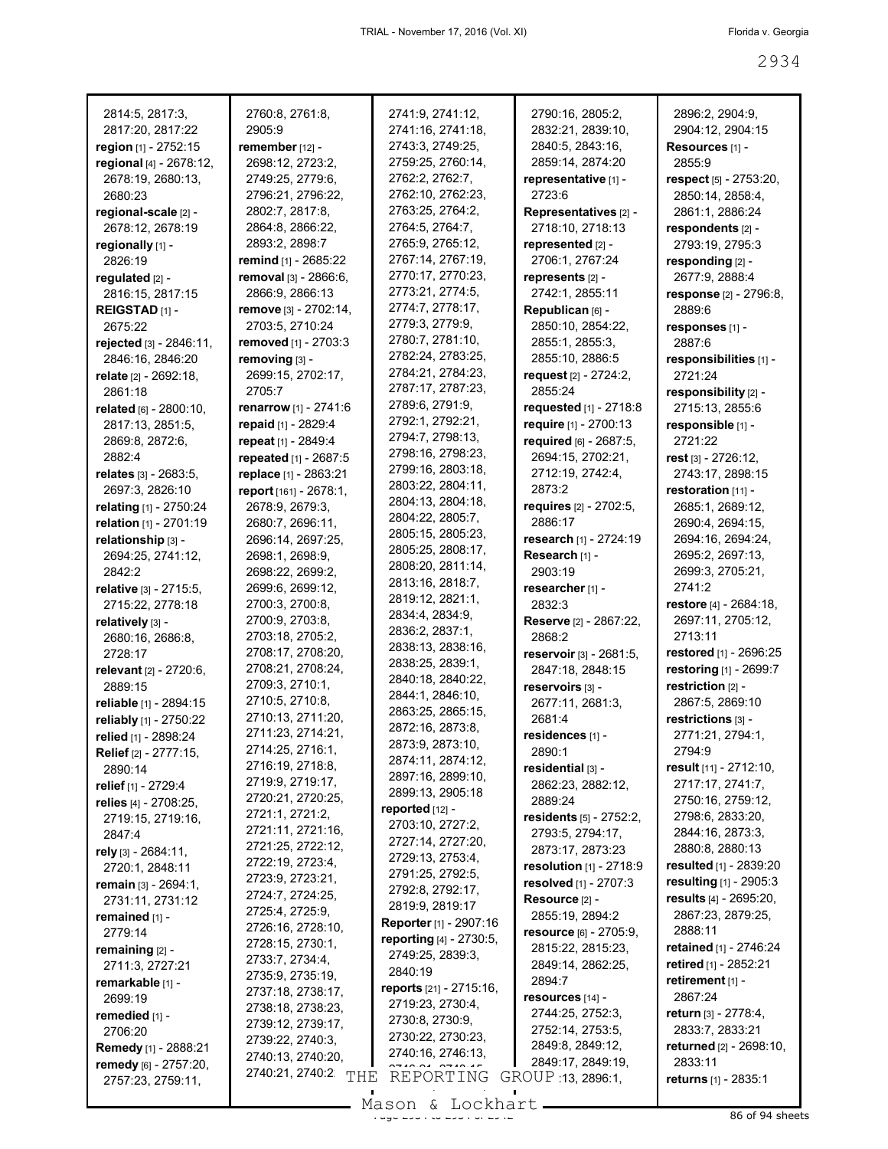| 2814:5, 2817:3,              |                                      | 2741:9, 2741:12,               |                                       | 2896:2, 2904:9,                    |
|------------------------------|--------------------------------------|--------------------------------|---------------------------------------|------------------------------------|
| 2817:20, 2817:22             | 2760:8, 2761:8,<br>2905:9            | 2741:16, 2741:18,              | 2790:16, 2805:2,<br>2832:21, 2839:10, | 2904:12, 2904:15                   |
| region [1] - 2752:15         | remember [12] -                      | 2743:3, 2749:25,               | 2840:5, 2843:16,                      | Resources [1] -                    |
| regional [4] - 2678:12,      | 2698:12, 2723:2,                     | 2759:25, 2760:14,              | 2859:14, 2874:20                      | 2855:9                             |
| 2678:19, 2680:13,            | 2749:25, 2779:6,                     | 2762:2, 2762:7,                | representative [1] -                  | respect [5] - 2753:20,             |
| 2680:23                      | 2796:21, 2796:22,                    | 2762:10, 2762:23,              | 2723:6                                | 2850:14, 2858:4,                   |
| regional-scale [2] -         | 2802:7, 2817:8,                      | 2763:25, 2764:2,               | Representatives [2] -                 | 2861:1, 2886:24                    |
| 2678:12, 2678:19             | 2864:8, 2866:22,                     | 2764:5, 2764:7,                | 2718:10, 2718:13                      | respondents [2] -                  |
|                              | 2893:2, 2898:7                       | 2765:9, 2765:12,               | represented [2] -                     |                                    |
| regionally [1] -<br>2826:19  | remind [1] - 2685:22                 | 2767:14, 2767:19,              | 2706:1, 2767:24                       | 2793:19, 2795:3                    |
|                              | removal [3] - 2866:6,                | 2770:17, 2770:23,              | represents [2] -                      | responding [2] -<br>2677:9, 2888:4 |
| regulated [2] -              | 2866:9, 2866:13                      | 2773:21, 2774:5,               |                                       |                                    |
| 2816:15, 2817:15             | remove [3] - 2702:14,                | 2774:7, 2778:17,               | 2742:1, 2855:11                       | response [2] - 2796:8,<br>2889:6   |
| REIGSTAD [1] -               | 2703:5, 2710:24                      | 2779:3, 2779:9,                | Republican [6] -                      |                                    |
| 2675:22                      | removed [1] - 2703:3                 | 2780:7, 2781:10,               | 2850:10, 2854:22,<br>2855:1, 2855:3,  | responses [1] -<br>2887:6          |
| rejected [3] - 2846:11,      |                                      | 2782:24, 2783:25,              |                                       |                                    |
| 2846:16, 2846:20             | removing [3] -                       | 2784:21, 2784:23,              | 2855:10, 2886:5                       | responsibilities [1] -             |
| relate [2] - 2692:18,        | 2699:15, 2702:17,                    | 2787:17, 2787:23,              | request [2] - 2724:2,<br>2855:24      | 2721:24                            |
| 2861:18                      | 2705:7                               | 2789:6, 2791:9,                |                                       | responsibility [2] -               |
| related [6] - 2800:10,       | renarrow [1] - 2741:6                | 2792:1, 2792:21,               | requested [1] - 2718:8                | 2715:13, 2855:6                    |
| 2817:13, 2851:5,             | repaid [1] - 2829:4                  | 2794:7, 2798:13,               | require [1] - 2700:13                 | responsible [1] -                  |
| 2869:8, 2872:6,              | repeat [1] - 2849:4                  | 2798:16, 2798:23,              | required [6] - 2687:5,                | 2721:22                            |
| 2882:4                       | repeated [1] - 2687:5                | 2799:16, 2803:18,              | 2694:15, 2702:21,                     | rest $[3] - 2726:12$ ,             |
| relates [3] - 2683:5,        | replace [1] - 2863:21                | 2803:22, 2804:11,              | 2712:19, 2742:4,                      | 2743:17, 2898:15                   |
| 2697:3, 2826:10              | report [161] - 2678:1,               | 2804:13, 2804:18,              | 2873:2                                | restoration [11] -                 |
| relating [1] - 2750:24       | 2678:9, 2679:3,                      | 2804:22, 2805:7,               | requires [2] - 2702:5,                | 2685:1, 2689:12,                   |
| relation [1] - 2701:19       | 2680:7, 2696:11,                     | 2805:15, 2805:23,              | 2886:17                               | 2690:4, 2694:15,                   |
| relationship [3] -           | 2696:14, 2697:25,                    | 2805:25, 2808:17,              | research [1] - 2724:19                | 2694:16, 2694:24,                  |
| 2694:25, 2741:12,            | 2698:1, 2698:9,                      | 2808:20, 2811:14,              | Research [1] -                        | 2695:2, 2697:13,                   |
| 2842:2                       | 2698:22, 2699:2,                     | 2813:16, 2818:7,               | 2903:19                               | 2699:3, 2705:21,                   |
| relative [3] - 2715:5,       | 2699:6, 2699:12,                     | 2819:12, 2821:1,               | researcher [1] -                      | 2741:2                             |
| 2715:22, 2778:18             | 2700:3, 2700:8,                      | 2834:4, 2834:9,                | 2832:3                                | restore [4] - 2684:18,             |
| relatively [3] -             | 2700:9, 2703:8,                      | 2836:2, 2837:1,                | <b>Reserve</b> [2] - 2867:22,         | 2697:11, 2705:12,                  |
| 2680:16, 2686:8,             | 2703:18, 2705:2,                     | 2838:13, 2838:16,              | 2868:2                                | 2713:11                            |
| 2728:17                      | 2708:17, 2708:20,                    | 2838:25, 2839:1,               | reservoir [3] - 2681:5,               | restored [1] - 2696:25             |
| relevant [2] - 2720:6,       | 2708:21, 2708:24,                    | 2840:18, 2840:22,              | 2847:18, 2848:15                      | restoring [1] - 2699:7             |
| 2889:15                      | 2709:3, 2710:1,                      | 2844:1, 2846:10,               | reservoirs [3] -                      | restriction [2] -                  |
| reliable [1] - 2894:15       | 2710:5, 2710:8,                      | 2863:25, 2865:15,              | 2677:11, 2681:3,                      | 2867:5, 2869:10                    |
| reliably [1] - 2750:22       | 2710:13, 2711:20,                    | 2872:16, 2873:8,               | 2681:4                                | restrictions [3] -                 |
| relied [1] - 2898:24         | 2711:23, 2714:21,                    | 2873:9, 2873:10,               | residences [1] -                      | 2771:21, 2794:1,                   |
| <b>Relief</b> [2] - 2777:15, | 2714:25, 2716:1,                     | 2874:11, 2874:12,              | 2890:1                                | 2794:9                             |
| 2890:14                      | 2716:19, 2718:8,                     | 2897:16, 2899:10,              | residential [3] -                     | result [11] - 2712:10,             |
| relief [1] - 2729:4          | 2719:9, 2719:17,                     | 2899:13, 2905:18               | 2862:23, 2882:12,                     | 2717:17, 2741:7,                   |
| relies [4] - 2708:25,        | 2720:21, 2720:25,                    | reported [12] -                | 2889:24                               | 2750:16, 2759:12,                  |
| 2719:15, 2719:16,            | 2721:1, 2721:2,                      | 2703:10, 2727:2,               | residents [5] - 2752:2,               | 2798:6, 2833:20,                   |
| 2847:4                       | 2721:11, 2721:16,                    | 2727:14, 2727:20,              | 2793:5, 2794:17,                      | 2844:16, 2873:3,                   |
| rely [3] - 2684:11,          | 2721:25, 2722:12,                    | 2729:13, 2753:4,               | 2873:17, 2873:23                      | 2880:8, 2880:13                    |
| 2720:1, 2848:11              | 2722:19, 2723:4,<br>2723:9, 2723:21, | 2791:25, 2792:5,               | resolution [1] - 2718:9               | <b>resulted</b> [1] - 2839:20      |
| remain [3] - 2694:1,         | 2724:7, 2724:25,                     | 2792:8, 2792:17,               | resolved [1] - 2707:3                 | resulting $[1] - 2905:3$           |
| 2731:11, 2731:12             | 2725:4, 2725:9,                      | 2819:9, 2819:17                | Resource [2] -                        | results [4] - 2695:20,             |
| remained [1] -               | 2726:16, 2728:10,                    | <b>Reporter</b> [1] - 2907:16  | 2855:19, 2894:2                       | 2867:23, 2879:25,                  |
| 2779:14                      |                                      | reporting [4] - 2730:5,        | resource [6] - 2705:9,                | 2888:11                            |
| remaining [2] -              | 2728:15, 2730:1,<br>2733:7, 2734:4,  | 2749:25, 2839:3,               | 2815:22, 2815:23,                     | <b>retained</b> [1] - 2746:24      |
| 2711:3, 2727:21              | 2735:9, 2735:19,                     | 2840:19                        | 2849:14, 2862:25,                     | retired [1] - 2852:21              |
| remarkable [1] -             | 2737:18, 2738:17,                    | <b>reports</b> [21] - 2715:16, | 2894:7                                | retirement [1] -                   |
| 2699:19                      | 2738:18, 2738:23,                    | 2719:23, 2730:4,               | resources [14] -                      | 2867:24                            |
| remedied [1] -               | 2739:12, 2739:17,                    | 2730:8, 2730:9,                | 2744:25, 2752:3,                      | return $[3] - 2778:4,$             |
| 2706:20                      | 2739:22, 2740:3,                     | 2730:22, 2730:23,              | 2752:14, 2753:5,                      | 2833:7, 2833:21                    |
| Remedy [1] - 2888:21         | 2740:13, 2740:20,                    | 2740:16, 2746:13,              | 2849:8, 2849:12,                      | <b>returned</b> [2] - 2698:10,     |
| remedy [6] - 2757:20,        | 2740:21, 2740:2                      |                                | 2849:17, 2849:19,                     | 2833:11                            |
| 2757:23, 2759:11,            | THE                                  | REPORTING                      | GROUP 13, 2896:1,                     | returns [1] - 2835:1               |
|                              |                                      |                                |                                       |                                    |

Mason & Lockhart <u>examed and the 2034 sheets</u>

 $\mathcal{L}_{\mathcal{A}}$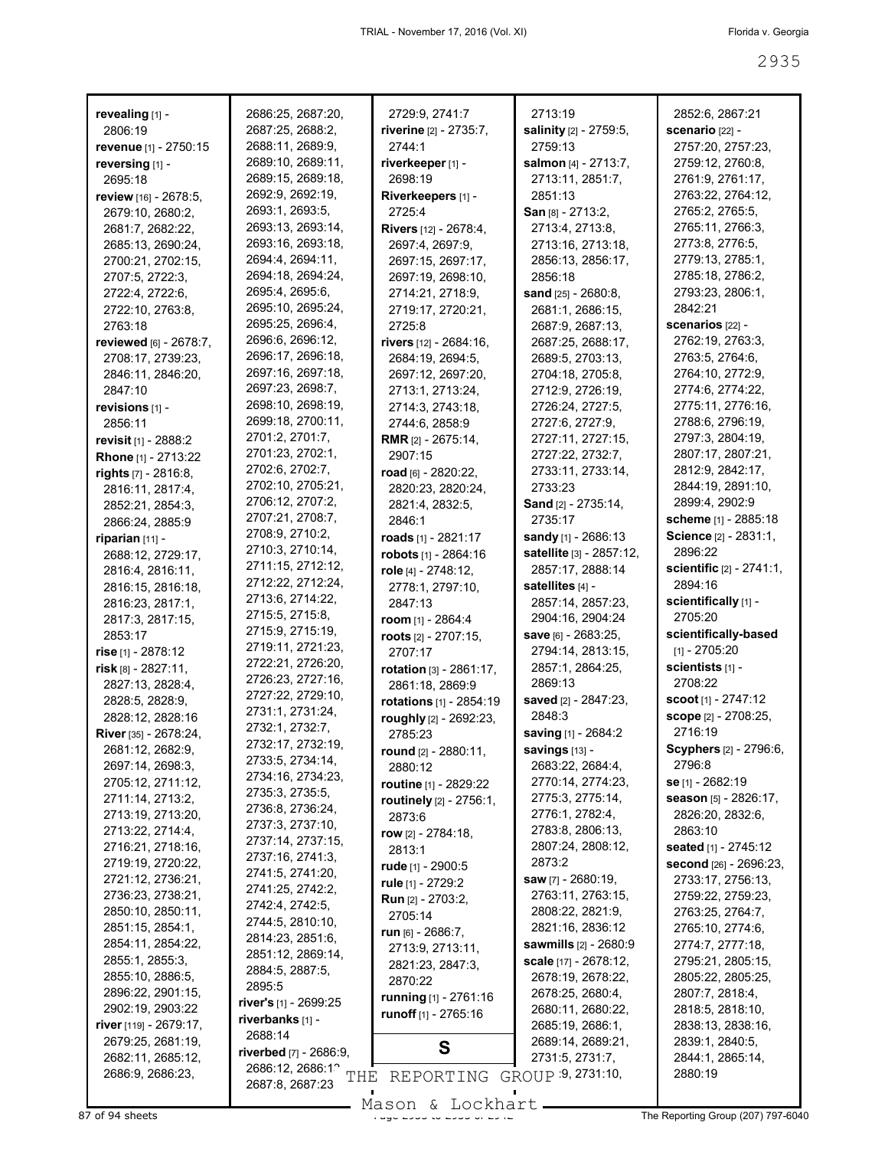| revealing [1] -                       | 2686:25, 2687:20,                     | 2729:9, 2741:7                              | 2713:19                        | 2852:6, 2867:21                       |
|---------------------------------------|---------------------------------------|---------------------------------------------|--------------------------------|---------------------------------------|
| 2806:19                               | 2687:25, 2688:2,                      | riverine [2] - 2735:7,                      | salinity [2] - 2759:5,         | scenario [22] -                       |
| revenue [1] - 2750:15                 | 2688:11, 2689:9,                      | 2744:1                                      | 2759:13                        | 2757:20, 2757:23,                     |
| reversing [1] -                       | 2689:10, 2689:11,                     | riverkeeper [1] -                           | salmon [4] - 2713:7,           | 2759:12, 2760:8,                      |
| 2695:18                               | 2689:15, 2689:18,                     | 2698:19                                     | 2713:11, 2851:7,               | 2761:9, 2761:17,                      |
| review [16] - 2678:5,                 | 2692:9, 2692:19,                      | Riverkeepers [1] -                          | 2851:13                        | 2763:22, 2764:12,                     |
| 2679:10, 2680:2,                      | 2693:1, 2693:5,                       | 2725:4                                      | <b>San</b> $[8] - 2713:2$      | 2765:2, 2765:5,                       |
| 2681:7, 2682:22,                      | 2693:13, 2693:14,                     | <b>Rivers</b> [12] - 2678:4,                | 2713:4, 2713:8,                | 2765:11, 2766:3,                      |
| 2685:13, 2690:24,                     | 2693:16, 2693:18,                     | 2697:4, 2697:9,                             | 2713:16, 2713:18,              | 2773:8, 2776:5,                       |
| 2700:21, 2702:15,                     | 2694:4, 2694:11,                      | 2697:15, 2697:17,                           | 2856:13, 2856:17,              | 2779:13, 2785:1,                      |
| 2707:5, 2722:3,                       | 2694:18, 2694:24,                     | 2697:19, 2698:10,                           | 2856:18                        | 2785:18, 2786:2,                      |
| 2722:4, 2722:6,                       | 2695:4, 2695:6,                       | 2714:21, 2718:9,                            | sand [25] - 2680:8,            | 2793:23, 2806:1,                      |
| 2722:10, 2763:8,                      | 2695:10, 2695:24,                     | 2719:17, 2720:21,                           | 2681:1, 2686:15,               | 2842:21                               |
| 2763:18                               | 2695:25, 2696:4,                      | 2725:8                                      | 2687:9, 2687:13,               | scenarios [22] -                      |
| reviewed [6] - 2678:7,                | 2696:6, 2696:12,                      | rivers [12] - 2684:16,                      | 2687:25, 2688:17,              | 2762:19, 2763:3,                      |
| 2708:17, 2739:23,                     | 2696:17, 2696:18,                     | 2684:19, 2694:5,                            | 2689:5, 2703:13,               | 2763:5, 2764:6,                       |
| 2846:11, 2846:20,                     | 2697:16, 2697:18,                     | 2697:12, 2697:20,                           | 2704:18, 2705:8,               | 2764:10, 2772:9,                      |
| 2847:10                               | 2697:23, 2698:7,<br>2698:10, 2698:19, | 2713:1, 2713:24,                            | 2712:9, 2726:19,               | 2774:6, 2774:22,                      |
| revisions [1] -                       |                                       | 2714:3, 2743:18,                            | 2726:24, 2727:5,               | 2775:11, 2776:16,                     |
| 2856:11                               | 2699:18, 2700:11,<br>2701:2, 2701:7,  | 2744:6, 2858:9                              | 2727:6, 2727:9,                | 2788:6, 2796:19,                      |
| revisit [1] - 2888:2                  | 2701:23, 2702:1,                      | <b>RMR</b> $[2] - 2675:14$ ,                | 2727:11, 2727:15,              | 2797:3, 2804:19,                      |
| Rhone [1] - 2713:22                   | 2702:6, 2702:7,                       | 2907:15                                     | 2727:22, 2732:7,               | 2807:17, 2807:21,<br>2812:9, 2842:17, |
| rights [7] - 2816:8,                  | 2702:10, 2705:21,                     | road [6] - 2820:22,                         | 2733:11, 2733:14,<br>2733:23   | 2844:19, 2891:10,                     |
| 2816:11, 2817:4,                      | 2706:12, 2707:2,                      | 2820:23, 2820:24,                           |                                | 2899:4, 2902:9                        |
| 2852:21, 2854:3,                      | 2707:21, 2708:7,                      | 2821:4, 2832:5,<br>2846:1                   | Sand [2] - 2735:14,<br>2735:17 | scheme [1] - 2885:18                  |
| 2866:24, 2885:9                       | 2708:9, 2710:2,                       | roads $[1] - 2821:17$                       | sandy [1] - 2686:13            | Science [2] - 2831:1,                 |
| riparian [11] -                       | 2710:3, 2710:14,                      |                                             | satellite [3] - 2857:12,       | 2896:22                               |
| 2688:12, 2729:17,                     | 2711:15, 2712:12,                     | robots [1] - 2864:16<br>role [4] - 2748:12, | 2857:17, 2888:14               | <b>scientific</b> $[2] - 2741:1$ ,    |
| 2816:4, 2816:11,<br>2816:15, 2816:18, | 2712:22, 2712:24,                     | 2778:1, 2797:10,                            | satellites [4] -               | 2894:16                               |
| 2816:23, 2817:1,                      | 2713:6, 2714:22,                      | 2847:13                                     | 2857:14, 2857:23,              | scientifically [1] -                  |
| 2817:3, 2817:15,                      | 2715:5, 2715:8,                       | room [1] - 2864:4                           | 2904:16, 2904:24               | 2705:20                               |
| 2853:17                               | 2715:9, 2715:19,                      | roots [2] - 2707:15,                        | save [6] - 2683:25,            | scientifically-based                  |
| rise [1] - 2878:12                    | 2719:11, 2721:23,                     | 2707:17                                     | 2794:14, 2813:15,              | $[1] - 2705:20$                       |
| risk $[8] - 2827:11$ ,                | 2722:21, 2726:20,                     | rotation [3] - 2861:17,                     | 2857:1, 2864:25,               | scientists [1] -                      |
| 2827:13, 2828:4,                      | 2726:23, 2727:16,                     | 2861:18, 2869:9                             | 2869:13                        | 2708:22                               |
| 2828:5, 2828:9,                       | 2727:22, 2729:10,                     | rotations [1] - 2854:19                     | saved [2] - 2847:23,           | scoot [1] - 2747:12                   |
| 2828:12, 2828:16                      | 2731:1, 2731:24,                      | roughly [2] - 2692:23,                      | 2848:3                         | scope [2] - 2708:25,                  |
| River [35] - 2678:24,                 | 2732:1, 2732:7,                       | 2785:23                                     | saving [1] - 2684:2            | 2716:19                               |
| 2681:12, 2682:9,                      | 2732:17, 2732:19,                     | round $[2] - 2880:11$ ,                     | <b>savings</b> [13] -          | Scyphers [2] - 2796:6,                |
| 2697:14, 2698:3,                      | 2733:5, 2734:14,                      | 2880:12                                     | 2683:22, 2684:4,               | 2796:8                                |
| 2705:12, 2711:12,                     | 2734:16, 2734:23,                     | <b>routine</b> [1] - 2829:22                | 2770:14, 2774:23,              | se [1] - 2682:19                      |
| 2711:14, 2713:2,                      | 2735:3, 2735:5,                       | routinely [2] - 2756:1,                     | 2775:3, 2775:14,               | season [5] - 2826:17,                 |
| 2713:19, 2713:20,                     | 2736:8, 2736:24,                      | 2873:6                                      | 2776:1, 2782:4,                | 2826:20, 2832:6,                      |
| 2713:22, 2714:4,                      | 2737:3, 2737:10,                      | row $[2] - 2784:18$ ,                       | 2783:8, 2806:13,               | 2863:10                               |
| 2716:21, 2718:16,                     | 2737:14, 2737:15,                     | 2813:1                                      | 2807:24, 2808:12,              | seated [1] - 2745:12                  |
| 2719:19, 2720:22,                     | 2737:16, 2741:3,                      | rude [1] - 2900:5                           | 2873:2                         | second [26] - 2696:23,                |
| 2721:12, 2736:21,                     | 2741:5, 2741:20,                      | rule [1] - 2729:2                           | <b>saw</b> [7] - 2680:19,      | 2733:17, 2756:13,                     |
| 2736:23, 2738:21,                     | 2741:25, 2742:2,                      | <b>Run</b> [2] - 2703:2,                    | 2763:11, 2763:15,              | 2759:22, 2759:23,                     |
| 2850:10, 2850:11,                     | 2742:4, 2742:5,                       | 2705:14                                     | 2808:22, 2821:9,               | 2763:25, 2764:7,                      |
| 2851:15, 2854:1,                      | 2744:5, 2810:10,                      | run $[6] - 2686:7$ ,                        | 2821:16, 2836:12               | 2765:10, 2774:6,                      |
| 2854:11, 2854:22,                     | 2814:23, 2851:6,<br>2851:12, 2869:14, | 2713:9, 2713:11,                            | <b>sawmills</b> $[2] - 2680:9$ | 2774:7, 2777:18,                      |
| 2855:1, 2855:3,                       | 2884:5, 2887:5,                       | 2821:23, 2847:3,                            | scale [17] - 2678:12,          | 2795:21, 2805:15,                     |
| 2855:10, 2886:5,                      | 2895:5                                | 2870:22                                     | 2678:19, 2678:22,              | 2805:22, 2805:25,                     |
| 2896:22, 2901:15,                     | <b>river's</b> [1] - 2699:25          | running [1] - 2761:16                       | 2678:25, 2680:4,               | 2807:7, 2818:4,                       |
| 2902:19, 2903:22                      | riverbanks [1] -                      | runoff [1] - 2765:16                        | 2680:11, 2680:22,              | 2818:5, 2818:10,                      |
| river [119] - 2679:17,                | 2688:14                               |                                             | 2685:19, 2686:1,               | 2838:13, 2838:16,                     |
| 2679:25, 2681:19,                     | riverbed [7] - 2686:9,                | S                                           | 2689:14, 2689:21,              | 2839:1, 2840:5,                       |
| 2682:11, 2685:12,                     | 2686:12, 2686:12                      |                                             | 2731:5, 2731:7,                | 2844:1, 2865:14,                      |
| 2686:9, 2686:23,                      | THE<br>2687:8, 2687:23                | REPORTING                                   | GROUP 9, 2731:10,              | 2880:19                               |
|                                       |                                       |                                             |                                |                                       |

Mason & Lockhart **Page 2035 of 94 sheets**<br>B7 of 94 sheets and the Reporting Group (207) 797-6040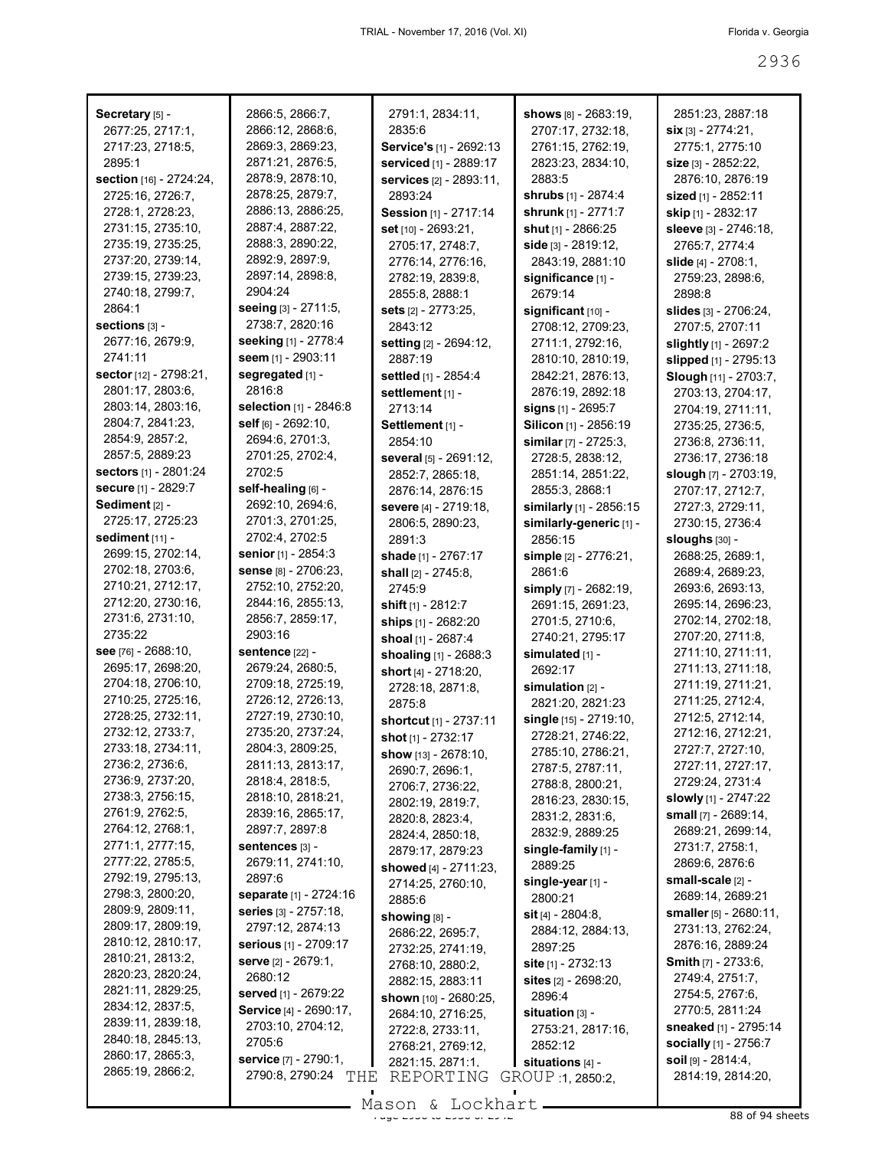| Secretary [5] -                       | 2866:5, 2866:7,                                  | 2791:1, 2834:11,               | shows [8] - 2683:19,                   | 2851:23, 2887:18                   |
|---------------------------------------|--------------------------------------------------|--------------------------------|----------------------------------------|------------------------------------|
| 2677:25, 2717:1,                      | 2866:12, 2868:6,                                 | 2835:6                         | 2707:17, 2732:18,                      | $\sin$ [3] - 2774:21,              |
| 2717:23, 2718:5,                      | 2869:3, 2869:23,                                 | Service's [1] - 2692:13        | 2761:15, 2762:19,                      | 2775:1, 2775:10                    |
| 2895:1                                | 2871:21, 2876:5,                                 | serviced [1] - 2889:17         | 2823:23, 2834:10,                      | <b>size</b> [3] - 2852:22,         |
| section [16] - 2724:24,               | 2878:9, 2878:10,                                 | <b>services</b> [2] - 2893:11, | 2883:5                                 | 2876:10, 2876:19                   |
| 2725:16, 2726:7,                      | 2878:25, 2879:7,                                 | 2893:24                        | shrubs [1] - 2874:4                    | sized [1] - 2852:11                |
| 2728:1, 2728:23,                      | 2886:13, 2886:25,                                | Session [1] - 2717:14          | <b>shrunk</b> [1] - 2771:7             | <b>skip</b> [1] - 2832:17          |
| 2731:15, 2735:10,                     | 2887:4, 2887:22,                                 | set $[10] - 2693.21$ ,         | shut [1] - 2866:25                     | sleeve [3] - 2746:18,              |
| 2735:19, 2735:25,                     | 2888:3, 2890:22,                                 | 2705:17, 2748:7,               | side [3] - 2819:12,                    | 2765:7, 2774:4                     |
| 2737:20, 2739:14,                     | 2892:9, 2897:9,                                  | 2776:14, 2776:16,              | 2843:19, 2881:10                       | slide [4] - 2708:1,                |
| 2739:15, 2739:23,                     | 2897:14, 2898:8,                                 | 2782:19, 2839:8,               | significance [1] -                     | 2759:23, 2898:6,                   |
| 2740:18, 2799:7,                      | 2904:24                                          | 2855:8, 2888:1                 | 2679:14                                | 2898:8                             |
| 2864:1                                | <b>seeing</b> [3] - 2711:5,                      | sets [2] - 2773:25,            | significant [10] -                     | slides $[3] - 2706:24$ ,           |
| sections [3] -                        | 2738:7, 2820:16                                  | 2843:12                        | 2708:12, 2709:23,                      | 2707:5, 2707:11                    |
| 2677:16, 2679:9,                      | seeking [1] - 2778:4                             | setting [2] - 2694:12,         | 2711:1, 2792:16,                       | slightly [1] - 2697:2              |
| 2741:11                               | seem [1] - 2903:11                               | 2887:19                        | 2810:10, 2810:19,                      | slipped [1] - 2795:13              |
| sector [12] - 2798:21,                | segregated [1] -                                 | settled [1] - 2854:4           | 2842:21, 2876:13,                      | Slough [11] - 2703:7,              |
| 2801:17, 2803:6,                      | 2816:8                                           | settlement [1] -               | 2876:19, 2892:18                       | 2703:13, 2704:17,                  |
| 2803:14, 2803:16,                     | selection [1] - 2846:8                           | 2713:14                        | signs $[1]$ - 2695:7                   | 2704:19, 2711:11,                  |
| 2804:7, 2841:23,                      | self [6] - 2692:10,                              | Settlement [1] -               | Silicon [1] - 2856:19                  | 2735:25, 2736:5,                   |
| 2854:9, 2857:2,                       | 2694:6, 2701:3,                                  | 2854:10                        | similar $[7] - 2725.3$ ,               | 2736:8, 2736:11,                   |
| 2857:5, 2889:23                       | 2701:25, 2702:4,                                 | several [5] - 2691:12,         | 2728:5, 2838:12,                       | 2736:17, 2736:18                   |
| sectors [1] - 2801:24                 | 2702:5                                           | 2852:7, 2865:18,               | 2851:14, 2851:22,                      | <b>slough</b> [7] - 2703:19,       |
| secure [1] - 2829:7                   | self-healing [6] -                               | 2876:14, 2876:15               | 2855:3, 2868:1                         | 2707:17, 2712:7,                   |
| Sediment [2] -                        | 2692:10, 2694:6,                                 | severe [4] - 2719:18,          | similarly [1] - 2856:15                | 2727:3, 2729:11,                   |
| 2725:17, 2725:23                      | 2701:3, 2701:25,                                 | 2806:5, 2890:23,               | similarly-generic [1] -                | 2730:15, 2736:4                    |
| sediment [11] -                       | 2702:4, 2702:5                                   | 2891:3                         | 2856:15                                | sloughs $[30]$ -                   |
| 2699:15, 2702:14,                     | senior [1] - 2854:3                              | shade [1] - 2767:17            | simple [2] - 2776:21,                  | 2688:25, 2689:1,                   |
| 2702:18, 2703:6,                      | sense [8] - 2706:23,                             | shall [2] - 2745:8,            | 2861:6                                 | 2689:4, 2689:23,                   |
| 2710:21, 2712:17,                     | 2752:10, 2752:20,                                | 2745:9                         | simply [7] - 2682:19,                  | 2693:6, 2693:13,                   |
| 2712:20, 2730:16,                     | 2844:16, 2855:13,                                | shift $[1]$ - 2812:7           | 2691:15, 2691:23,                      | 2695:14, 2696:23,                  |
| 2731:6, 2731:10,                      | 2856:7, 2859:17,                                 | ships [1] - 2682:20            | 2701:5, 2710:6,                        | 2702:14, 2702:18,                  |
| 2735:22                               | 2903:16                                          | shoal [1] - 2687:4             | 2740:21, 2795:17                       | 2707:20, 2711:8,                   |
| see $[76] - 2688:10,$                 | sentence [22] -                                  | shoaling [1] - 2688:3          | simulated $[1]$ -                      | 2711:10, 2711:11,                  |
| 2695:17, 2698:20,                     | 2679:24, 2680:5,                                 | short [4] - 2718:20,           | 2692:17                                | 2711:13, 2711:18,                  |
| 2704:18, 2706:10,                     | 2709:18, 2725:19,                                | 2728:18, 2871:8,               | simulation [2] -                       | 2711:19, 2711:21,                  |
| 2710:25, 2725:16,                     | 2726:12, 2726:13,                                | 2875:8                         | 2821:20, 2821:23                       | 2711:25, 2712:4,                   |
| 2728:25, 2732:11,                     | 2727:19, 2730:10,                                | <b>shortcut</b> [1] - 2737:11  | single [15] - 2719:10,                 | 2712:5, 2712:14,                   |
| 2732:12, 2733:7,                      | 2735:20, 2737:24,                                | shot [1] - 2732:17             | 2728:21, 2746:22,                      | 2712:16, 2712:21,                  |
| 2733:18, 2734:11,                     | 2804:3, 2809:25,                                 | show $[13] - 2678:10$ ,        | 2785:10, 2786:21,                      | 2727:7, 2727:10,                   |
| 2736:2, 2736:6,                       | 2811:13, 2813:17,                                | 2690:7, 2696:1,                | 2787:5, 2787:11,                       | 2727:11, 2727:17,                  |
| 2736:9, 2737:20,                      | 2818:4, 2818:5,                                  | 2706:7, 2736:22,               | 2788:8, 2800:21,                       | 2729:24, 2731:4                    |
| 2738:3, 2756:15,                      | 2818:10, 2818:21,                                | 2802:19, 2819:7,               | 2816:23, 2830:15,                      | <b>slowly</b> [1] - 2747:22        |
| 2761:9, 2762:5,                       | 2839:16, 2865:17,                                | 2820:8, 2823:4,                | 2831:2, 2831:6,                        | <b>small</b> [7] - 2689:14,        |
| 2764:12, 2768:1,                      | 2897:7, 2897:8                                   | 2824:4, 2850:18,               | 2832:9, 2889:25                        | 2689:21, 2699:14,                  |
| 2771:1, 2777:15,                      | sentences [3] -                                  | 2879:17, 2879:23               | single-family $[1]$ -                  | 2731:7, 2758:1,                    |
| 2777:22, 2785:5,                      | 2679:11, 2741:10,<br>2897:6                      | showed $[4]$ - 2711:23,        | 2889:25                                | 2869:6, 2876:6                     |
| 2792:19, 2795:13,<br>2798:3, 2800:20, |                                                  | 2714:25, 2760:10,              | single-year [1] -                      | small-scale [2] -                  |
| 2809:9, 2809:11,                      | separate [1] - 2724:16                           | 2885:6                         | 2800:21                                | 2689:14, 2689:21                   |
| 2809:17, 2809:19,                     | <b>series</b> [3] - 2757:18,<br>2797:12, 2874:13 | showing [8] -                  | <b>sit</b> [4] $- 2804:8,$             | smaller [5] - 2680:11,             |
| 2810:12, 2810:17,                     | <b>serious</b> [1] - 2709:17                     | 2686:22, 2695:7,               | 2884:12, 2884:13,                      | 2731:13, 2762:24,                  |
| 2810:21, 2813:2,                      | <b>serve</b> $[2] - 2679:1$ ,                    | 2732:25, 2741:19,              | 2897:25                                | 2876:16, 2889:24                   |
| 2820:23, 2820:24,                     | 2680:12                                          | 2768:10, 2880:2,               | site [1] - 2732:13                     | <b>Smith</b> א - 2733:6,           |
| 2821:11, 2829:25,                     | <b>served</b> [1] - 2679:22                      | 2882:15, 2883:11               | <b>sites</b> [2] - 2698:20,            | 2749:4, 2751:7,                    |
| 2834:12, 2837:5,                      | Service [4] - 2690:17,                           | <b>shown</b> $[10] - 2680:25$  | 2896:4                                 | 2754:5, 2767:6,<br>2770:5, 2811:24 |
| 2839:11, 2839:18,                     | 2703:10, 2704:12,                                | 2684:10, 2716:25,              | situation [3] -                        | <b>sneaked</b> [1] - 2795:14       |
| 2840:18, 2845:13,                     | 2705:6                                           | 2722:8, 2733:11,               | 2753:21, 2817:16,                      | socially [1] - 2756:7              |
| 2860:17, 2865:3,                      | service [7] - 2790:1,                            | 2768:21, 2769:12,              | 2852:12                                | soil [9] - 2814:4,                 |
| 2865:19, 2866:2,                      | 2790:8, 2790:24<br>THE                           | 2821:15, 2871:1,<br>REPORTING  | situations $[4]$ -<br>GROUP 1, 2850:2, | 2814:19, 2814:20,                  |
|                                       |                                                  |                                |                                        |                                    |
|                                       |                                                  | Mason & Lockhart               |                                        |                                    |

Mason & Lockhart <u>entity</u> 2036 of 94 sheets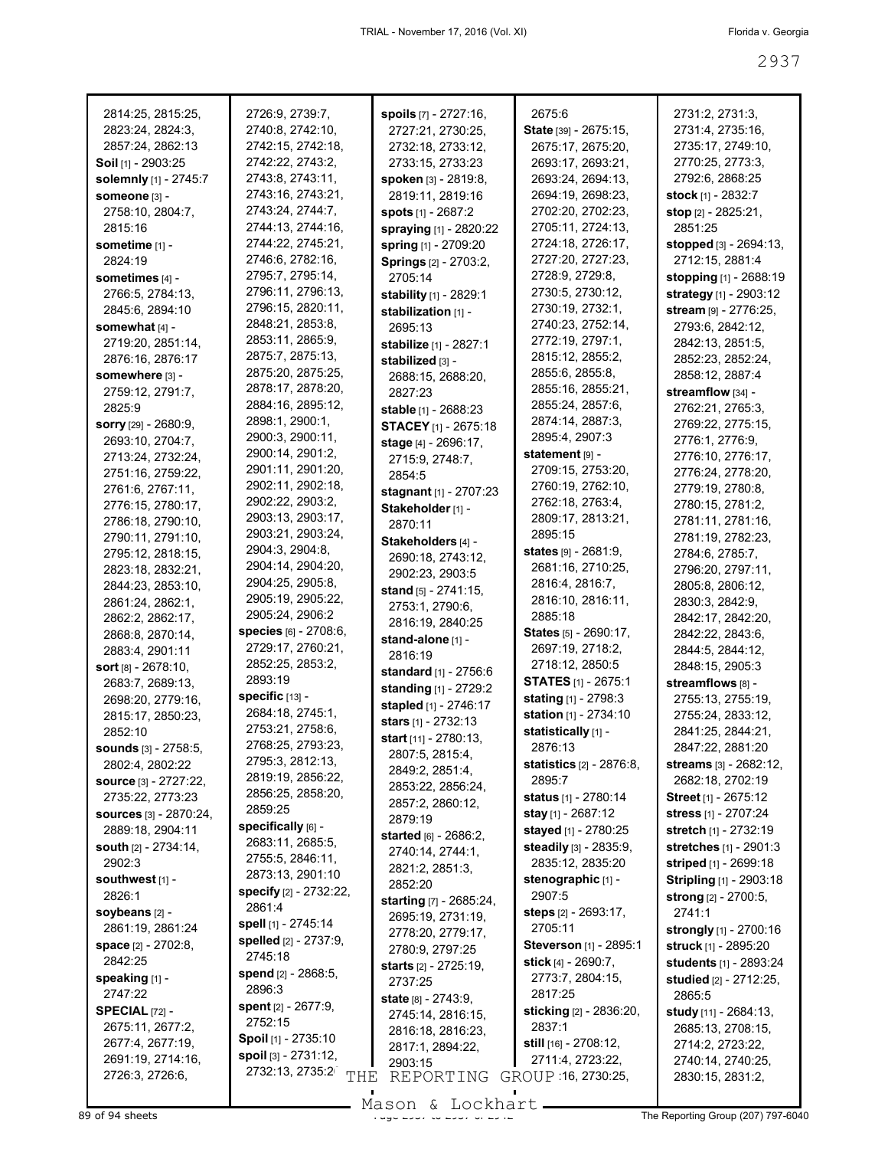| 2814:25, 2815:25,               | 2726:9, 2739:7,              | spoils [7] - 2727:16,        | 2675:6                             | 2731:2, 2731:3,                |
|---------------------------------|------------------------------|------------------------------|------------------------------------|--------------------------------|
| 2823:24, 2824:3,                | 2740:8, 2742:10,             | 2727:21, 2730:25,            | State [39] - 2675:15,              | 2731:4, 2735:16,               |
| 2857:24, 2862:13                | 2742:15, 2742:18,            | 2732:18, 2733:12,            | 2675:17, 2675:20,                  | 2735:17, 2749:10,              |
| <b>Soil</b> [1] - 2903:25       | 2742:22, 2743:2,             | 2733:15, 2733:23             | 2693:17, 2693:21,                  | 2770:25, 2773:3,               |
| solemnly [1] - 2745:7           | 2743:8, 2743:11,             | spoken [3] - 2819:8,         | 2693:24, 2694:13,                  | 2792:6, 2868:25                |
| someone [3] -                   | 2743:16, 2743:21,            | 2819:11, 2819:16             | 2694:19, 2698:23,                  | stock $[1]$ - 2832:7           |
|                                 | 2743:24, 2744:7,             |                              | 2702:20, 2702:23,                  | stop $[2] - 2825:21$ ,         |
| 2758:10, 2804:7,                | 2744:13, 2744:16,            | <b>spots</b> $[1] - 2687:2$  |                                    |                                |
| 2815:16                         |                              | spraying [1] - 2820:22       | 2705:11, 2724:13,                  | 2851:25                        |
| sometime [1] -                  | 2744:22, 2745:21,            | <b>spring [1] - 2709:20</b>  | 2724:18, 2726:17,                  | stopped [3] - 2694:13,         |
| 2824:19                         | 2746:6, 2782:16,             | <b>Springs</b> [2] - 2703:2, | 2727:20, 2727:23,                  | 2712:15, 2881:4                |
| Sometimes [4] -                 | 2795:7, 2795:14,             | 2705:14                      | 2728:9, 2729:8,                    | stopping [1] - 2688:19         |
| 2766:5, 2784:13,                | 2796:11, 2796:13,            | stability [1] - 2829:1       | 2730:5, 2730:12,                   | strategy [1] - 2903:12         |
| 2845:6, 2894:10                 | 2796:15, 2820:11,            | stabilization [1] -          | 2730:19, 2732:1,                   | stream [9] - 2776:25,          |
| somewhat [4] -                  | 2848:21, 2853:8,             | 2695:13                      | 2740:23, 2752:14,                  | 2793:6, 2842:12,               |
| 2719:20, 2851:14,               | 2853:11, 2865:9,             | stabilize [1] - 2827:1       | 2772:19, 2797:1,                   | 2842:13, 2851:5,               |
| 2876:16, 2876:17                | 2875:7, 2875:13,             | stabilized [3] -             | 2815:12, 2855:2,                   | 2852:23, 2852:24,              |
| somewhere [3] -                 | 2875:20, 2875:25,            | 2688:15, 2688:20,            | 2855:6, 2855:8,                    | 2858:12, 2887:4                |
| 2759:12, 2791:7,                | 2878:17, 2878:20,            | 2827:23                      | 2855:16, 2855:21,                  | streamflow [34] -              |
| 2825:9                          | 2884:16, 2895:12,            |                              | 2855:24, 2857:6,                   | 2762:21, 2765:3,               |
|                                 | 2898:1, 2900:1,              | stable [1] - 2688:23         | 2874:14, 2887:3,                   |                                |
| <b>sorry</b> [29] - 2680:9,     | 2900:3, 2900:11,             | <b>STACEY</b> [1] - 2675:18  | 2895:4, 2907:3                     | 2769:22, 2775:15,              |
| 2693:10, 2704:7,                | 2900:14, 2901:2,             | stage [4] - 2696:17,         |                                    | 2776:1, 2776:9,                |
| 2713:24, 2732:24,               |                              | 2715:9, 2748:7,              | statement [9] -                    | 2776:10, 2776:17,              |
| 2751:16, 2759:22,               | 2901:11, 2901:20,            | 2854:5                       | 2709:15, 2753:20,                  | 2776:24, 2778:20,              |
| 2761:6, 2767:11,                | 2902:11, 2902:18,            | stagnant [1] - 2707:23       | 2760:19, 2762:10,                  | 2779:19, 2780:8,               |
| 2776:15, 2780:17,               | 2902:22, 2903:2,             | Stakeholder [1] -            | 2762:18, 2763:4,                   | 2780:15, 2781:2,               |
| 2786:18, 2790:10,               | 2903:13, 2903:17,            | 2870:11                      | 2809:17, 2813:21,                  | 2781:11, 2781:16,              |
| 2790:11, 2791:10,               | 2903:21, 2903:24,            | Stakeholders [4] -           | 2895:15                            | 2781:19, 2782:23,              |
| 2795:12, 2818:15,               | 2904:3, 2904:8,              | 2690:18, 2743:12,            | <b>states</b> $[9] - 2681:9$ ,     | 2784:6, 2785:7,                |
| 2823:18, 2832:21,               | 2904:14, 2904:20,            | 2902:23, 2903:5              | 2681:16, 2710:25,                  | 2796:20, 2797:11,              |
| 2844:23, 2853:10,               | 2904:25, 2905:8,             |                              | 2816:4, 2816:7,                    | 2805:8, 2806:12,               |
| 2861:24, 2862:1,                | 2905:19, 2905:22,            | stand [5] - 2741:15,         | 2816:10, 2816:11,                  | 2830:3, 2842:9,                |
| 2862:2, 2862:17,                | 2905:24, 2906:2              | 2753:1, 2790:6,              | 2885:18                            | 2842:17, 2842:20,              |
| 2868:8, 2870:14,                | species [6] - 2708:6,        | 2816:19, 2840:25             | <b>States</b> [5] - 2690:17,       | 2842:22, 2843:6,               |
| 2883:4, 2901:11                 | 2729:17, 2760:21,            | stand-alone [1] -            | 2697:19, 2718:2,                   | 2844:5, 2844:12,               |
|                                 | 2852:25, 2853:2,             | 2816:19                      | 2718:12, 2850:5                    |                                |
| <b>sort</b> $[8] - 2678:10$ ,   | 2893:19                      | <b>standard</b> [1] - 2756:6 |                                    | 2848:15, 2905:3                |
| 2683:7, 2689:13,                |                              | <b>standing</b> [1] - 2729:2 | <b>STATES</b> [1] - 2675:1         | streamflows [8] -              |
| 2698:20, 2779:16,               | specific [13] -              | stapled [1] - 2746:17        | <b>stating</b> [1] - 2798:3        | 2755:13, 2755:19,              |
| 2815:17, 2850:23,               | 2684:18, 2745:1,             | stars [1] - 2732:13          | station [1] - 2734:10              | 2755:24, 2833:12,              |
| 2852:10                         | 2753:21, 2758:6,             | start [11] - 2780:13,        | statistically [1] -                | 2841:25, 2844:21,              |
| <b>sounds</b> $[3] - 2758:5$ ,  | 2768:25, 2793:23,            | 2807:5, 2815:4,              | 2876:13                            | 2847:22, 2881:20               |
| 2802:4, 2802:22                 | 2795:3, 2812:13,             | 2849:2, 2851:4,              | <b>statistics</b> $[2] - 2876:8$ , | streams [3] - 2682:12,         |
| <b>source</b> $[3] - 2727:22$ , | 2819:19, 2856:22,            | 2853:22, 2856:24,            | 2895.7                             | 2682:18, 2702:19               |
| 2735:22, 2773:23                | 2856:25, 2858:20,            | 2857:2, 2860:12,             | <b>status</b> [1] - 2780:14        | <b>Street</b> [1] - 2675:12    |
| <b>sources</b> [3] - 2870:24,   | 2859:25                      | 2879:19                      | <b>stay</b> [1] - 2687:12          | <b>stress</b> [1] - 2707:24    |
| 2889:18, 2904:11                | specifically [6] -           |                              | stayed [1] - 2780:25               | stretch [1] - 2732:19          |
| <b>south</b> [2] - 2734:14,     | 2683:11, 2685:5,             | started [6] - 2686:2,        | steadily [3] - 2835:9,             | stretches [1] - 2901:3         |
| 2902:3                          | 2755:5, 2846:11,             | 2740:14, 2744:1,             | 2835:12, 2835:20                   | striped [1] - 2699:18          |
| southwest [1] -                 | 2873:13, 2901:10             | 2821:2, 2851:3,              | stenographic [1] -                 | <b>Stripling</b> [1] - 2903:18 |
|                                 | specify [2] - 2732:22,       | 2852:20                      |                                    |                                |
| 2826:1                          | 2861:4                       | starting [7] - 2685:24,      | 2907:5                             | <b>strong</b> [2] - 2700:5,    |
| soybeans [2] -                  | <b>spell</b> [1] - 2745:14   | 2695:19, 2731:19,            | steps $[2] - 2693:17$ ,            | 2741:1                         |
| 2861:19, 2861:24                | spelled [2] - 2737:9,        | 2778:20, 2779:17,            | 2705:11                            | <b>strongly</b> [1] - 2700:16  |
| <b>space</b> [2] - 2702:8,      |                              | 2780:9, 2797:25              | Steverson [1] - 2895:1             | struck [1] - 2895:20           |
| 2842:25                         | 2745:18                      | <b>starts</b> [2] - 2725:19, | stick [4] - 2690:7,                | students [1] - 2893:24         |
| speaking [1] -                  | spend [2] - 2868:5,          | 2737:25                      | 2773:7, 2804:15,                   | studied [2] - 2712:25,         |
| 2747:22                         | 2896:3                       | <b>state</b> [8] - 2743:9,   | 2817:25                            | 2865:5                         |
| <b>SPECIAL [72] -</b>           | spent $[2] - 2677:9,$        | 2745:14, 2816:15,            | sticking [2] - 2836:20,            | study [11] - 2684:13,          |
| 2675:11, 2677:2,                | 2752:15                      | 2816:18, 2816:23,            | 2837:1                             | 2685:13, 2708:15,              |
| 2677:4, 2677:19,                | Spoil [1] - 2735:10          | 2817:1, 2894:22,             | <b>still</b> $[16] - 2708:12$ ,    | 2714:2, 2723:22,               |
| 2691:19, 2714:16,               | <b>spoil</b> $[3] - 2731:12$ | 2903:15                      | 2711:4, 2723:22,                   | 2740:14, 2740:25,              |
| 2726:3, 2726:6,                 | 2732:13, 2735:2<br>THE       | REPORTING                    | GROUP 16, 2730:25,                 | 2830:15, 2831:2,               |
|                                 |                              |                              |                                    |                                |

Mason & Lockhart

89 of 94 sheets Page 2937 to 2937 of 2942 The Reporting Group (207) 797-6040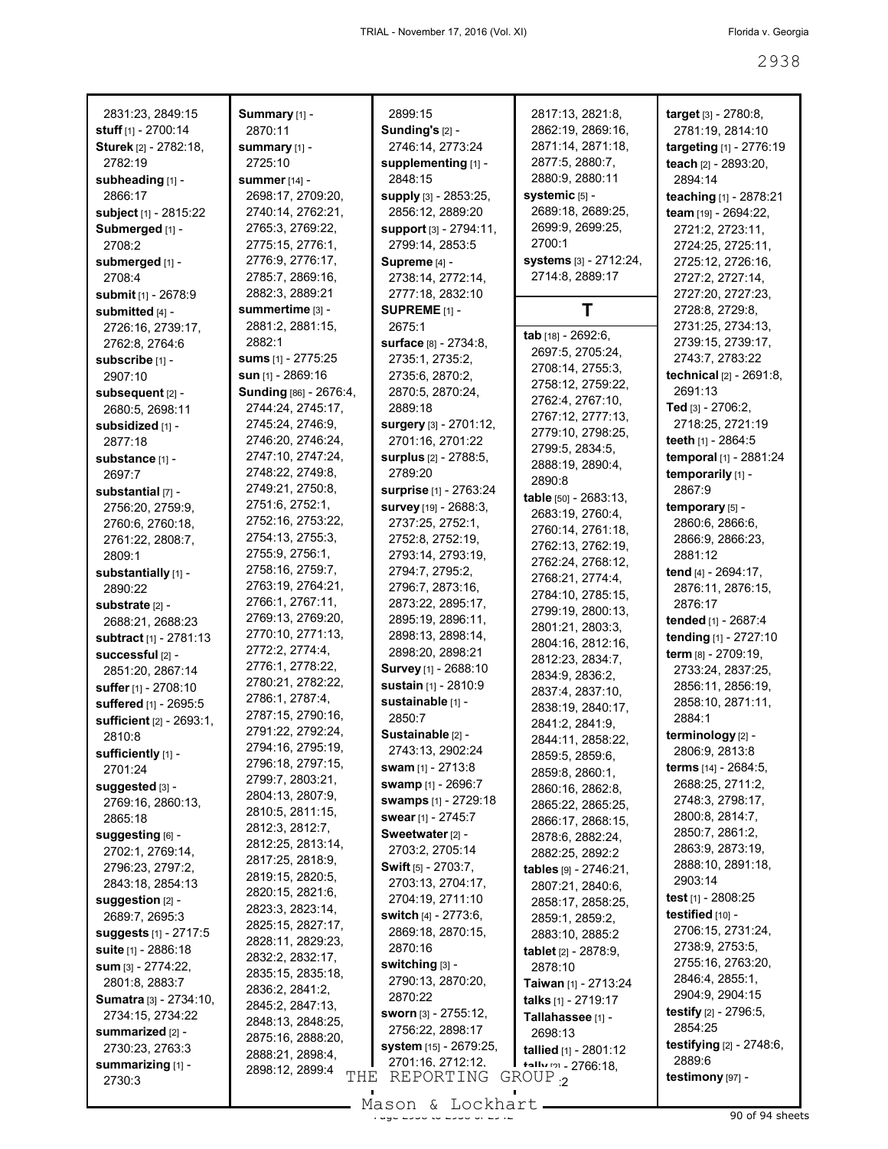| 2831:23, 2849:15<br>stuff [1] - 2700:14<br><b>Sturek</b> [2] - 2782:18,<br>2782:19<br>subheading [1] -<br>2866:17<br>subject [1] - 2815:22<br>Submerged [1] -<br>2708:2<br>submerged [1] -<br>2708:4<br>submit [1] - 2678:9 | Summary [1] -<br>2870:11<br>summary [1] -<br>2725:10<br><b>Summer</b> [14] -<br>2698:17, 2709:20,<br>2740:14, 2762:21,<br>2765:3, 2769:22,<br>2775:15, 2776:1,<br>2776:9, 2776:17,<br>2785:7, 2869:16,<br>2882:3, 2889:21 | 2899:15<br>Sunding's [2] -<br>2746:14, 2773:24<br>supplementing [1] -<br>2848:15<br>supply [3] - 2853:25,<br>2856:12, 2889:20<br><b>support</b> [3] - 2794:11,<br>2799:14, 2853:5<br>Supreme [4] -<br>2738:14, 2772:14,<br>2777:18, 2832:10 | 2817:13, 2821:8,<br>2862:19, 2869:16,<br>2871:14, 2871:18,<br>2877:5, 2880:7,<br>2880:9, 2880:11<br>systemic [5] -<br>2689:18, 2689:25,<br>2699:9, 2699:25,<br>2700:1<br>systems [3] - 2712:24,<br>2714:8, 2889:17 | target [3] - 2780:8,<br>2781:19, 2814:10<br>targeting [1] - 2776:19<br>teach [2] - 2893:20,<br>2894:14<br>teaching [1] - 2878:21<br>team [19] - 2694:22,<br>2721:2, 2723:11,<br>2724:25, 2725:11,<br>2725:12, 2726:16,<br>2727:2, 2727:14,<br>2727:20, 2727:23, |
|-----------------------------------------------------------------------------------------------------------------------------------------------------------------------------------------------------------------------------|---------------------------------------------------------------------------------------------------------------------------------------------------------------------------------------------------------------------------|---------------------------------------------------------------------------------------------------------------------------------------------------------------------------------------------------------------------------------------------|--------------------------------------------------------------------------------------------------------------------------------------------------------------------------------------------------------------------|-----------------------------------------------------------------------------------------------------------------------------------------------------------------------------------------------------------------------------------------------------------------|
| submitted [4] -                                                                                                                                                                                                             | summertime [3] -                                                                                                                                                                                                          | SUPREME <sub>[1]</sub> -                                                                                                                                                                                                                    | Т                                                                                                                                                                                                                  | 2728:8, 2729:8,                                                                                                                                                                                                                                                 |
| 2726:16, 2739:17,                                                                                                                                                                                                           | 2881:2, 2881:15,                                                                                                                                                                                                          | 2675:1                                                                                                                                                                                                                                      | tab [18] - 2692:6,                                                                                                                                                                                                 | 2731:25, 2734:13,                                                                                                                                                                                                                                               |
| 2762:8, 2764:6                                                                                                                                                                                                              | 2882:1                                                                                                                                                                                                                    | surface [8] - 2734:8,                                                                                                                                                                                                                       | 2697:5, 2705:24,                                                                                                                                                                                                   | 2739:15, 2739:17,<br>2743.7, 2783:22                                                                                                                                                                                                                            |
| subscribe [1] -<br>2907:10                                                                                                                                                                                                  | sums $[1] - 2775:25$<br>sun $[1] - 2869:16$                                                                                                                                                                               | 2735:1, 2735:2,<br>2735:6, 2870:2,                                                                                                                                                                                                          | 2708:14, 2755:3,                                                                                                                                                                                                   | technical [2] - 2691:8,                                                                                                                                                                                                                                         |
| subsequent [2] -                                                                                                                                                                                                            | Sunding [86] - 2676:4,                                                                                                                                                                                                    | 2870:5, 2870:24,                                                                                                                                                                                                                            | 2758:12, 2759:22,                                                                                                                                                                                                  | 2691:13                                                                                                                                                                                                                                                         |
| 2680:5, 2698:11                                                                                                                                                                                                             | 2744:24, 2745:17,                                                                                                                                                                                                         | 2889:18                                                                                                                                                                                                                                     | 2762:4, 2767:10,                                                                                                                                                                                                   | Ted $[3] - 2706:2$ ,                                                                                                                                                                                                                                            |
| subsidized [1] -                                                                                                                                                                                                            | 2745:24, 2746:9,                                                                                                                                                                                                          | surgery [3] - 2701:12,                                                                                                                                                                                                                      | 2767:12, 2777:13,<br>2779:10, 2798:25,                                                                                                                                                                             | 2718:25, 2721:19                                                                                                                                                                                                                                                |
| 2877:18                                                                                                                                                                                                                     | 2746:20, 2746:24,                                                                                                                                                                                                         | 2701:16, 2701:22                                                                                                                                                                                                                            | 2799:5, 2834:5,                                                                                                                                                                                                    | teeth [1] - 2864:5                                                                                                                                                                                                                                              |
| substance [1] -                                                                                                                                                                                                             | 2747:10, 2747:24,                                                                                                                                                                                                         | surplus [2] - 2788:5,                                                                                                                                                                                                                       | 2888:19, 2890:4,                                                                                                                                                                                                   | temporal [1] - 2881:24                                                                                                                                                                                                                                          |
| 2697:7                                                                                                                                                                                                                      | 2748:22, 2749:8,                                                                                                                                                                                                          | 2789:20                                                                                                                                                                                                                                     | 2890:8                                                                                                                                                                                                             | temporarily [1] -                                                                                                                                                                                                                                               |
| substantial [7] -                                                                                                                                                                                                           | 2749:21, 2750:8,                                                                                                                                                                                                          | surprise [1] - 2763:24                                                                                                                                                                                                                      | table [50] - 2683:13,                                                                                                                                                                                              | 2867.9                                                                                                                                                                                                                                                          |
| 2756:20, 2759:9,                                                                                                                                                                                                            | 2751:6, 2752:1,                                                                                                                                                                                                           | survey [19] - 2688:3,                                                                                                                                                                                                                       | 2683:19, 2760:4,                                                                                                                                                                                                   | temporary [5] -                                                                                                                                                                                                                                                 |
| 2760:6, 2760:18,                                                                                                                                                                                                            | 2752:16, 2753:22,                                                                                                                                                                                                         | 2737:25, 2752:1,                                                                                                                                                                                                                            | 2760:14, 2761:18,                                                                                                                                                                                                  | 2860:6, 2866:6,                                                                                                                                                                                                                                                 |
| 2761:22, 2808:7,                                                                                                                                                                                                            | 2754:13, 2755:3,<br>2755:9, 2756:1,                                                                                                                                                                                       | 2752:8, 2752:19,                                                                                                                                                                                                                            | 2762:13, 2762:19,                                                                                                                                                                                                  | 2866:9, 2866:23,<br>2881:12                                                                                                                                                                                                                                     |
| 2809:1                                                                                                                                                                                                                      | 2758:16, 2759:7,                                                                                                                                                                                                          | 2793:14, 2793:19,<br>2794:7, 2795:2,                                                                                                                                                                                                        | 2762:24, 2768:12,                                                                                                                                                                                                  | tend [4] - 2694:17,                                                                                                                                                                                                                                             |
| substantially [1] -<br>2890:22                                                                                                                                                                                              | 2763:19, 2764:21,                                                                                                                                                                                                         | 2796:7, 2873:16,                                                                                                                                                                                                                            | 2768:21, 2774:4,                                                                                                                                                                                                   | 2876:11, 2876:15,                                                                                                                                                                                                                                               |
| substrate [2] -                                                                                                                                                                                                             | 2766:1, 2767:11,                                                                                                                                                                                                          | 2873:22, 2895:17,                                                                                                                                                                                                                           | 2784:10, 2785:15,                                                                                                                                                                                                  | 2876:17                                                                                                                                                                                                                                                         |
| 2688:21, 2688:23                                                                                                                                                                                                            | 2769:13, 2769:20,                                                                                                                                                                                                         | 2895:19, 2896:11,                                                                                                                                                                                                                           | 2799:19, 2800:13,                                                                                                                                                                                                  | tended [1] - 2687:4                                                                                                                                                                                                                                             |
| subtract [1] - 2781:13                                                                                                                                                                                                      | 2770:10, 2771:13,                                                                                                                                                                                                         | 2898:13, 2898:14,                                                                                                                                                                                                                           | 2801:21, 2803:3,                                                                                                                                                                                                   | tending [1] - 2727:10                                                                                                                                                                                                                                           |
| successful [2] -                                                                                                                                                                                                            | 2772:2, 2774:4,                                                                                                                                                                                                           | 2898:20, 2898:21                                                                                                                                                                                                                            | 2804:16, 2812:16,                                                                                                                                                                                                  | term [8] - 2709:19,                                                                                                                                                                                                                                             |
| 2851:20, 2867:14                                                                                                                                                                                                            | 2776:1, 2778:22,                                                                                                                                                                                                          | Survey [1] - 2688:10                                                                                                                                                                                                                        | 2812:23, 2834:7,                                                                                                                                                                                                   | 2733:24, 2837:25,                                                                                                                                                                                                                                               |
| suffer [1] - 2708:10                                                                                                                                                                                                        | 2780:21, 2782:22,                                                                                                                                                                                                         | sustain [1] - 2810:9                                                                                                                                                                                                                        | 2834:9, 2836:2,                                                                                                                                                                                                    | 2856:11, 2856:19,                                                                                                                                                                                                                                               |
| suffered [1] - 2695:5                                                                                                                                                                                                       | 2786:1, 2787:4,                                                                                                                                                                                                           | sustainable [1] -                                                                                                                                                                                                                           | 2837:4, 2837:10,<br>2838:19, 2840:17,                                                                                                                                                                              | 2858:10, 2871:11,                                                                                                                                                                                                                                               |
| <b>sufficient</b> [2] - 2693:1,                                                                                                                                                                                             | 2787:15, 2790:16,                                                                                                                                                                                                         | 2850:7                                                                                                                                                                                                                                      | 2841:2, 2841:9,                                                                                                                                                                                                    | 2884:1                                                                                                                                                                                                                                                          |
| 2810:8                                                                                                                                                                                                                      | 2791:22, 2792:24,                                                                                                                                                                                                         | Sustainable [2] -                                                                                                                                                                                                                           | 2844:11, 2858:22,                                                                                                                                                                                                  | terminology [2] -                                                                                                                                                                                                                                               |
| sufficiently [1] -                                                                                                                                                                                                          | 2794:16, 2795:19,                                                                                                                                                                                                         | 2743:13, 2902:24                                                                                                                                                                                                                            | 2859:5, 2859:6,                                                                                                                                                                                                    | 2806:9, 2813:8                                                                                                                                                                                                                                                  |
| 2701:24                                                                                                                                                                                                                     | 2796:18, 2797:15,                                                                                                                                                                                                         | swam $[1] - 2713.8$                                                                                                                                                                                                                         | 2859:8, 2860:1,                                                                                                                                                                                                    | <b>terms</b> $[14] - 2684:5$ ,                                                                                                                                                                                                                                  |
| suggested [3] -                                                                                                                                                                                                             | 2799:7, 2803:21,                                                                                                                                                                                                          | swamp [1] - 2696:7                                                                                                                                                                                                                          | 2860:16, 2862:8,                                                                                                                                                                                                   | 2688:25, 2711:2,                                                                                                                                                                                                                                                |
| 2769:16, 2860:13,                                                                                                                                                                                                           | 2804:13, 2807:9,                                                                                                                                                                                                          | swamps [1] - 2729:18                                                                                                                                                                                                                        | 2865:22, 2865:25,                                                                                                                                                                                                  | 2748:3, 2798:17,                                                                                                                                                                                                                                                |
| 2865:18                                                                                                                                                                                                                     | 2810:5, 2811:15,<br>2812:3, 2812:7,                                                                                                                                                                                       | swear [1] - 2745:7                                                                                                                                                                                                                          | 2866:17, 2868:15,                                                                                                                                                                                                  | 2800:8, 2814:7,                                                                                                                                                                                                                                                 |
| suggesting [6] -                                                                                                                                                                                                            | 2812:25, 2813:14,                                                                                                                                                                                                         | Sweetwater <sub>[2]</sub> -                                                                                                                                                                                                                 | 2878:6, 2882:24,                                                                                                                                                                                                   | 2850:7, 2861:2,                                                                                                                                                                                                                                                 |
| 2702:1, 2769:14,                                                                                                                                                                                                            | 2817:25, 2818:9,                                                                                                                                                                                                          | 2703:2, 2705:14                                                                                                                                                                                                                             | 2882:25, 2892:2                                                                                                                                                                                                    | 2863:9, 2873:19,                                                                                                                                                                                                                                                |
| 2796:23, 2797:2,                                                                                                                                                                                                            | 2819:15, 2820:5,                                                                                                                                                                                                          | <b>Swift</b> $[5] - 2703:7$ ,                                                                                                                                                                                                               | tables $[9] - 2746:21$ ,                                                                                                                                                                                           | 2888:10, 2891:18,                                                                                                                                                                                                                                               |
| 2843:18, 2854:13                                                                                                                                                                                                            | 2820:15, 2821:6,                                                                                                                                                                                                          | 2703:13, 2704:17,                                                                                                                                                                                                                           | 2807:21, 2840:6,                                                                                                                                                                                                   | 2903:14<br>test [1] - 2808:25                                                                                                                                                                                                                                   |
| suggestion $[2]$ -                                                                                                                                                                                                          | 2823:3, 2823:14,                                                                                                                                                                                                          | 2704:19, 2711:10<br>switch [4] - 2773:6,                                                                                                                                                                                                    | 2858:17, 2858:25,                                                                                                                                                                                                  | testified [10] -                                                                                                                                                                                                                                                |
| 2689:7, 2695:3                                                                                                                                                                                                              | 2825:15, 2827:17,                                                                                                                                                                                                         | 2869:18, 2870:15,                                                                                                                                                                                                                           | 2859:1, 2859:2,                                                                                                                                                                                                    | 2706:15, 2731:24,                                                                                                                                                                                                                                               |
| suggests [1] - 2717:5<br><b>suite [1] - 2886:18</b>                                                                                                                                                                         | 2828:11, 2829:23,                                                                                                                                                                                                         | 2870:16                                                                                                                                                                                                                                     | 2883:10, 2885:2                                                                                                                                                                                                    | 2738:9, 2753:5,                                                                                                                                                                                                                                                 |
| sum [3] - 2774:22,                                                                                                                                                                                                          | 2832:2, 2832:17,                                                                                                                                                                                                          | switching [3] -                                                                                                                                                                                                                             | <b>tablet</b> $[2] - 2878:9$ ,<br>2878:10                                                                                                                                                                          | 2755:16, 2763:20,                                                                                                                                                                                                                                               |
| 2801:8, 2883:7                                                                                                                                                                                                              | 2835:15, 2835:18,                                                                                                                                                                                                         | 2790:13, 2870:20,                                                                                                                                                                                                                           | Taiwan [1] - 2713:24                                                                                                                                                                                               | 2846:4, 2855:1,                                                                                                                                                                                                                                                 |
| <b>Sumatra</b> [3] - 2734:10,                                                                                                                                                                                               | 2836:2, 2841:2,                                                                                                                                                                                                           | 2870:22                                                                                                                                                                                                                                     | talks [1] - 2719:17                                                                                                                                                                                                | 2904:9, 2904:15                                                                                                                                                                                                                                                 |
| 2734:15, 2734:22                                                                                                                                                                                                            | 2845:2, 2847:13,                                                                                                                                                                                                          | <b>sworn</b> [3] - 2755:12,                                                                                                                                                                                                                 | Tallahassee [1] -                                                                                                                                                                                                  | testify [2] - 2796:5,                                                                                                                                                                                                                                           |
| summarized [2] -                                                                                                                                                                                                            | 2848:13, 2848:25,                                                                                                                                                                                                         | 2756:22, 2898:17                                                                                                                                                                                                                            | 2698:13                                                                                                                                                                                                            | 2854:25                                                                                                                                                                                                                                                         |
| 2730:23, 2763:3                                                                                                                                                                                                             | 2875:16, 2888:20,                                                                                                                                                                                                         | system [15] - 2679:25,                                                                                                                                                                                                                      | tallied $[1]$ - 2801:12                                                                                                                                                                                            | testifying [2] - 2748:6,                                                                                                                                                                                                                                        |
| summarizing [1] -                                                                                                                                                                                                           | 2888:21, 2898:4,<br>2898:12, 2899:4                                                                                                                                                                                       | 2701:16, 2712:12,                                                                                                                                                                                                                           | $t$ ally m - 2766:18,                                                                                                                                                                                              | 2889:6                                                                                                                                                                                                                                                          |
| 2730:3                                                                                                                                                                                                                      |                                                                                                                                                                                                                           | THE REPORTING                                                                                                                                                                                                                               | GROUP <sub>2</sub>                                                                                                                                                                                                 | testimony [97] -                                                                                                                                                                                                                                                |
|                                                                                                                                                                                                                             |                                                                                                                                                                                                                           |                                                                                                                                                                                                                                             |                                                                                                                                                                                                                    |                                                                                                                                                                                                                                                                 |

Mason & Lockhart <u>entity</u> 2038 of 94 sheets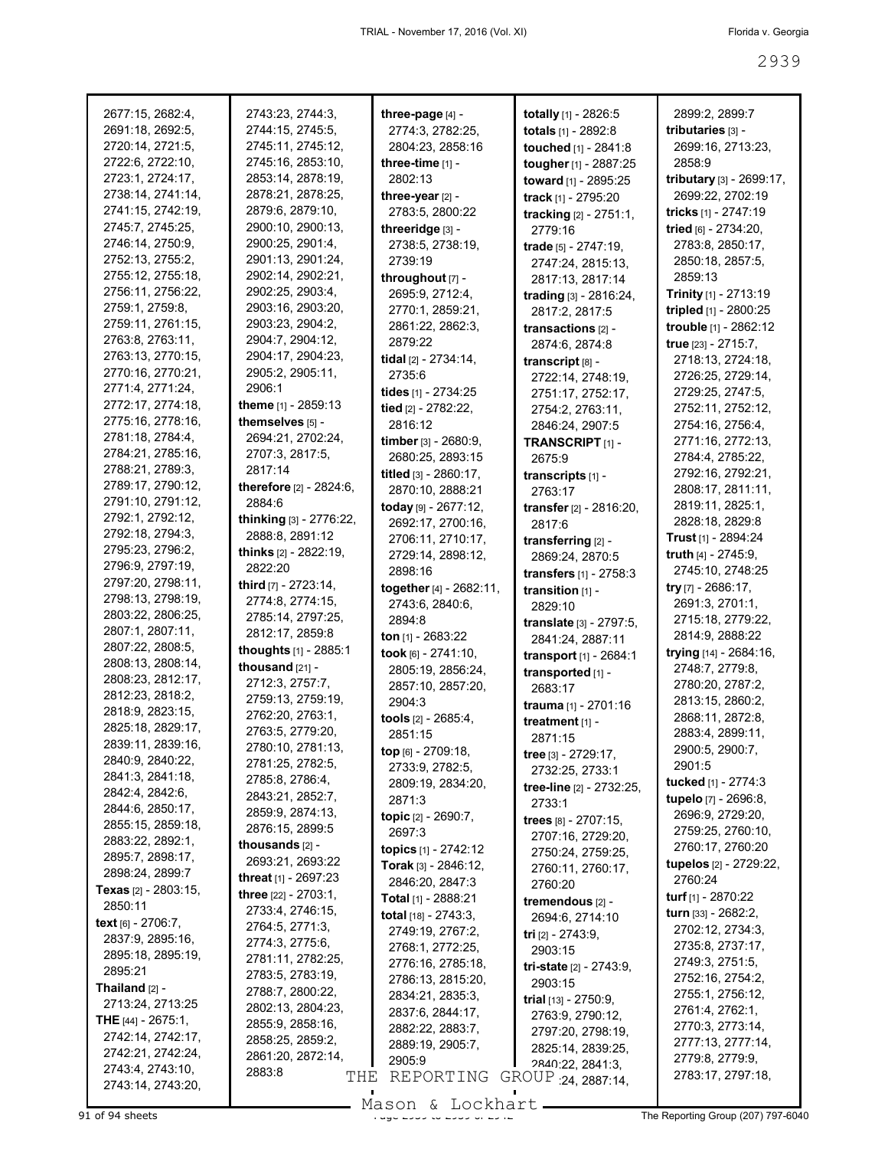| 2677:15, 2682:4,        | 2743:23, 2744:3,                 | three-page $[4]$ -             | totally [1] - 2826:5              | 2899:2, 2899:7                        |
|-------------------------|----------------------------------|--------------------------------|-----------------------------------|---------------------------------------|
| 2691:18, 2692:5,        | 2744:15, 2745:5,                 | 2774:3, 2782:25,               | totals [1] - 2892:8               | tributaries [3] -                     |
| 2720:14, 2721:5,        | 2745:11, 2745:12,                | 2804:23, 2858:16               | touched [1] - 2841:8              | 2699:16, 2713:23,                     |
| 2722:6, 2722:10,        | 2745:16, 2853:10,                | three-time [1] -               | tougher [1] - 2887:25             | 2858:9                                |
| 2723:1, 2724:17,        | 2853:14, 2878:19,                | 2802:13                        | toward [1] - 2895:25              | tributary [3] - 2699:17,              |
| 2738:14, 2741:14,       | 2878:21, 2878:25,                | three-year [2] -               | track [1] - 2795:20               | 2699:22, 2702:19                      |
| 2741:15, 2742:19,       | 2879:6, 2879:10,                 | 2783:5, 2800:22                | tracking [2] - 2751:1,            | tricks [1] - 2747:19                  |
| 2745:7, 2745:25,        | 2900:10, 2900:13,                | threeridge [3] -               | 2779:16                           | tried $[6] - 2734:20$ ,               |
| 2746:14, 2750:9,        | 2900:25, 2901:4,                 | 2738:5, 2738:19,               | trade [5] - 2747:19,              | 2783:8, 2850:17,                      |
| 2752:13, 2755:2,        | 2901:13, 2901:24,                | 2739:19                        | 2747:24, 2815:13,                 | 2850:18, 2857:5,                      |
| 2755:12, 2755:18,       | 2902:14, 2902:21,                | throughout [7] -               | 2817:13, 2817:14                  | 2859:13                               |
| 2756:11, 2756:22,       | 2902:25, 2903:4,                 | 2695:9, 2712:4,                | trading [3] - 2816:24,            | Trinity [1] - 2713:19                 |
| 2759:1, 2759:8,         | 2903:16, 2903:20,                | 2770:1, 2859:21,               | 2817:2, 2817:5                    | tripled [1] - 2800:25                 |
| 2759:11, 2761:15,       | 2903:23, 2904:2,                 | 2861:22, 2862:3,               | transactions [2] -                | trouble [1] - 2862:12                 |
| 2763:8, 2763:11,        | 2904:7, 2904:12,                 | 2879:22                        | 2874:6, 2874:8                    | true [23] - 2715:7,                   |
| 2763:13, 2770:15,       | 2904:17, 2904:23,                | tidal [2] - 2734:14,           | transcript [8] -                  | 2718:13, 2724:18,                     |
| 2770:16, 2770:21,       | 2905:2, 2905:11,                 | 2735:6                         | 2722:14, 2748:19,                 | 2726:25, 2729:14,                     |
| 2771:4, 2771:24,        | 2906:1                           | tides [1] - 2734:25            | 2751:17, 2752:17,                 | 2729:25, 2747:5,                      |
| 2772:17, 2774:18,       | theme [1] - 2859:13              | tied [2] - 2782:22,            | 2754:2, 2763:11,                  | 2752:11, 2752:12,                     |
| 2775:16, 2778:16,       | themselves [5] -                 | 2816:12                        |                                   | 2754:16, 2756:4,                      |
| 2781:18, 2784:4,        | 2694:21, 2702:24,                |                                | 2846:24, 2907:5                   |                                       |
| 2784:21, 2785:16,       | 2707:3, 2817:5,                  | timber [3] - 2680:9,           | TRANSCRIPT <sub>[1]</sub> -       | 2771:16, 2772:13,<br>2784:4, 2785:22, |
| 2788:21, 2789:3,        | 2817:14                          | 2680:25, 2893:15               | 2675:9                            |                                       |
| 2789:17, 2790:12,       | therefore [2] - 2824:6,          | titled $[3] - 2860:17$ ,       | transcripts [1] -                 | 2792:16, 2792:21,                     |
| 2791:10, 2791:12,       | 2884:6                           | 2870:10, 2888:21               | 2763:17                           | 2808:17, 2811:11,                     |
| 2792:1, 2792:12,        | thinking [3] - 2776:22,          | today $[9] - 2677:12$ ,        | <b>transfer</b> [2] - 2816:20,    | 2819:11, 2825:1,                      |
| 2792:18, 2794:3,        | 2888:8, 2891:12                  | 2692:17, 2700:16,              | 2817:6                            | 2828:18, 2829:8                       |
| 2795:23, 2796:2,        |                                  | 2706:11, 2710:17,              | transferring [2] -                | <b>Trust</b> [1] - 2894:24            |
| 2796:9, 2797:19,        | thinks [2] - 2822:19,<br>2822:20 | 2729:14, 2898:12,              | 2869:24, 2870:5                   | truth [4] - 2745:9,                   |
| 2797:20, 2798:11,       |                                  | 2898:16                        | <b>transfers</b> $[1] - 2758:3$   | 2745:10, 2748:25                      |
| 2798:13, 2798:19,       | third [7] - 2723:14,             | together [4] - 2682:11,        | transition $[1]$ -                | try [7] - 2686:17,                    |
| 2803:22, 2806:25,       | 2774:8, 2774:15,                 | 2743:6, 2840:6,                | 2829:10                           | 2691:3, 2701:1,                       |
| 2807:1, 2807:11,        | 2785:14, 2797:25,                | 2894:8                         | translate [3] - 2797:5,           | 2715:18, 2779:22,                     |
| 2807:22, 2808:5,        | 2812:17, 2859:8                  | ton $[1] - 2683:22$            | 2841:24, 2887:11                  | 2814:9, 2888:22                       |
| 2808:13, 2808:14,       | thoughts [1] - 2885:1            | took [6] - 2741:10,            | transport [1] - 2684:1            | trying [14] - 2684:16,                |
| 2808:23, 2812:17,       | thousand $[21]$ -                | 2805:19, 2856:24,              | transported [1] -                 | 2748:7, 2779:8,                       |
|                         | 2712:3, 2757:7,                  | 2857:10, 2857:20,              | 2683:17                           | 2780:20, 2787:2,                      |
| 2812:23, 2818:2,        | 2759:13, 2759:19,                | 2904:3                         | trauma [1] - 2701:16              | 2813:15, 2860:2,                      |
| 2818:9, 2823:15,        | 2762:20, 2763:1,                 | tools [2] - 2685:4,            | treatment [1] -                   | 2868:11, 2872:8,                      |
| 2825:18, 2829:17,       | 2763:5, 2779:20,                 | 2851:15                        | 2871:15                           | 2883:4, 2899:11,                      |
| 2839:11, 2839:16,       | 2780:10, 2781:13,                | top [6] - 2709:18,             | tree [3] - 2729:17,               | 2900:5, 2900:7,                       |
| 2840:9, 2840:22,        | 2781:25, 2782:5,                 | 2733:9, 2782:5,                | 2732:25, 2733:1                   | 2901:5                                |
| 2841:3, 2841:18,        | 2785:8, 2786:4,                  | 2809:19, 2834:20,              | tree-line [2] - 2732:25,          | tucked [1] - 2774:3                   |
| 2842:4, 2842:6,         | 2843:21, 2852:7,                 | 2871:3                         | 2733:1                            | tupelo [7] - 2696:8,                  |
| 2844:6, 2850:17,        | 2859:9, 2874:13,                 | topic [2] - 2690:7,            | trees $[8] - 2707:15$ ,           | 2696:9, 2729:20,                      |
| 2855:15, 2859:18,       | 2876:15, 2899:5                  | 2697:3                         | 2707:16, 2729:20,                 | 2759:25, 2760:10,                     |
| 2883:22, 2892:1,        | thousands [2] -                  | topics [1] - 2742:12           | 2750:24, 2759:25,                 | 2760:17, 2760:20                      |
| 2895:7, 2898:17,        | 2693:21, 2693:22                 | <b>Torak</b> [3] - $2846:12$ , | 2760:11, 2760:17,                 | tupelos [2] - 2729:22,                |
| 2898:24, 2899:7         | <b>threat</b> $[1]$ - 2697:23    | 2846:20, 2847:3                | 2760:20                           | 2760:24                               |
| Texas [2] - 2803:15,    | three [22] - 2703:1,             | <b>Total</b> [1] - 2888:21     | tremendous [2] -                  | turf [1] - 2870:22                    |
| 2850:11                 | 2733:4, 2746:15,                 | total [18] - 2743:3.           | 2694:6, 2714:10                   | turn [33] - 2682:2,                   |
| text $[6] - 2706:7$ ,   | 2764:5, 2771:3,                  | 2749:19, 2767:2,               | tri $[2] - 2743.9$ ,              | 2702:12, 2734:3,                      |
| 2837:9, 2895:16,        | 2774:3, 2775:6,                  | 2768:1, 2772:25,               | 2903:15                           | 2735:8, 2737:17,                      |
| 2895:18, 2895:19,       | 2781:11, 2782:25,                | 2776:16, 2785:18,              |                                   | 2749:3, 2751:5,                       |
| 2895:21                 | 2783:5, 2783:19,                 | 2786:13, 2815:20,              | <b>tri-state</b> $[2] - 2743.9$ , | 2752:16, 2754:2,                      |
| <b>Thailand</b> $[2]$ - | 2788:7, 2800:22,                 | 2834:21, 2835:3,               | 2903:15                           | 2755:1, 2756:12,                      |
| 2713:24, 2713:25        | 2802:13, 2804:23,                | 2837:6, 2844:17,               | trial $[13] - 2750.9$ ,           | 2761:4, 2762:1,                       |
| THE $[44] - 2675:1$ ,   | 2855:9, 2858:16,                 | 2882:22, 2883:7,               | 2763:9, 2790:12,                  | 2770:3, 2773:14,                      |
| 2742:14, 2742:17,       | 2858:25, 2859:2,                 | 2889:19, 2905:7,               | 2797:20, 2798:19,                 | 2777:13, 2777:14,                     |
| 2742:21, 2742:24,       | 2861:20, 2872:14,                | 2905:9                         | 2825:14, 2839:25,                 | 2779:8, 2779:9,                       |
| 2743:4, 2743:10,        | 2883:8                           | REPORTING                      | 2840:22, 2841:3,                  | 2783:17, 2797:18,                     |
| 2743:14, 2743:20,       | THE                              |                                | GROUP 24, 2887:14,                |                                       |
|                         |                                  |                                |                                   |                                       |

Mason & Lockhart **Page 2039 of 94 sheets** Page 207) 797-6040<br>Page 2039 to 2009 of 2009 to 2009 of 2009 of 2009 The Reporting Group (207) 797-6040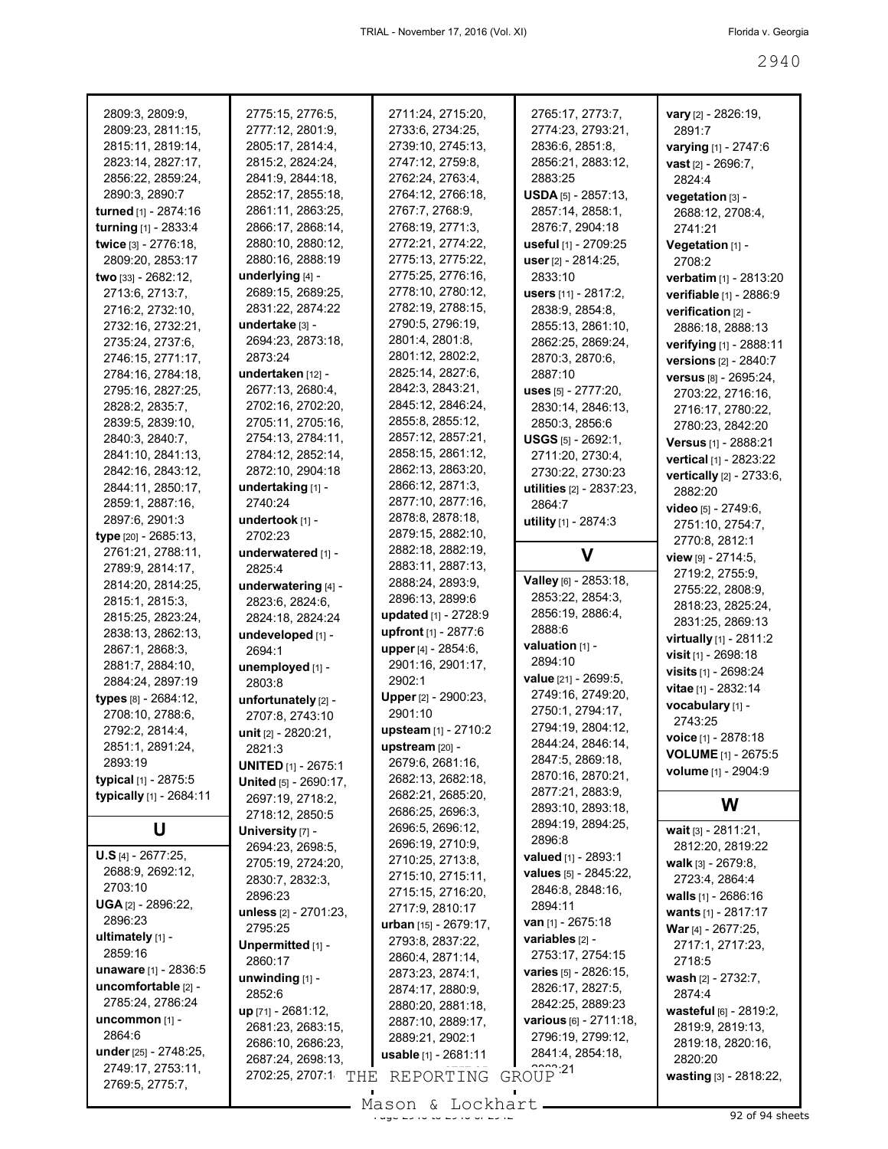| 2809:3, 2809:9,              | 2775:15, 2776:5,           | 2711:24, 2715:20,                      | 2765:17, 2773:7,                 | vary [2] - 2826:19,          |
|------------------------------|----------------------------|----------------------------------------|----------------------------------|------------------------------|
| 2809:23, 2811:15,            | 2777:12, 2801:9,           | 2733:6, 2734:25,                       | 2774:23, 2793:21,                | 2891:7                       |
| 2815:11, 2819:14,            | 2805:17, 2814:4,           | 2739:10, 2745:13,                      | 2836:6, 2851:8,                  | varying [1] - 2747:6         |
| 2823:14, 2827:17,            | 2815:2, 2824:24,           | 2747:12, 2759:8,                       | 2856:21, 2883:12,                | <b>vast</b> $[2] - 2696:7$ , |
| 2856:22, 2859:24,            | 2841:9, 2844:18,           | 2762:24, 2763:4,                       | 2883:25                          | 2824:4                       |
| 2890:3, 2890:7               | 2852:17, 2855:18,          | 2764:12, 2766:18,                      | <b>USDA</b> [5] - 2857:13,       | vegetation [3] -             |
| turned [1] - 2874:16         | 2861:11, 2863:25,          | 2767:7, 2768:9,                        | 2857:14, 2858:1,                 | 2688:12, 2708:4,             |
| turning [1] - 2833:4         | 2866:17, 2868:14,          | 2768:19, 2771:3,                       | 2876:7, 2904:18                  | 2741:21                      |
| twice [3] - 2776:18,         | 2880:10, 2880:12,          | 2772:21, 2774:22,                      | useful [1] - 2709:25             | Vegetation [1] -             |
| 2809:20, 2853:17             | 2880:16, 2888:19           | 2775:13, 2775:22,                      | user $[2] - 2814:25$ ,           | 2708:2                       |
| two [33] - 2682:12,          | underlying [4] -           | 2775:25, 2776:16,                      | 2833:10                          | verbatim [1] - 2813:20       |
| 2713:6, 2713:7,              | 2689:15, 2689:25,          | 2778:10, 2780:12,                      | users [11] - 2817:2,             | verifiable [1] - 2886:9      |
| 2716:2, 2732:10,             | 2831:22, 2874:22           | 2782:19, 2788:15,                      | 2838:9, 2854:8,                  | verification [2] -           |
| 2732:16, 2732:21,            | undertake [3] -            | 2790:5, 2796:19,                       | 2855:13, 2861:10,                | 2886:18, 2888:13             |
| 2735:24, 2737:6,             | 2694:23, 2873:18,          | 2801:4, 2801:8,                        | 2862:25, 2869:24,                | verifying [1] - 2888:11      |
| 2746:15, 2771:17,            | 2873:24                    | 2801:12, 2802:2,                       | 2870:3, 2870:6,                  | versions [2] - 2840:7        |
| 2784:16, 2784:18,            | undertaken [12] -          | 2825:14, 2827:6,                       | 2887:10                          | versus [8] - 2695:24,        |
| 2795:16, 2827:25,            | 2677:13, 2680:4,           | 2842:3, 2843:21,                       | uses $[5] - 2777:20,$            | 2703:22, 2716:16,            |
| 2828:2, 2835:7,              | 2702:16, 2702:20,          | 2845:12, 2846:24,                      | 2830:14, 2846:13,                | 2716:17, 2780:22,            |
| 2839:5, 2839:10,             | 2705:11, 2705:16,          | 2855:8, 2855:12,                       | 2850:3, 2856:6                   | 2780:23, 2842:20             |
| 2840:3, 2840:7,              | 2754:13, 2784:11,          | 2857:12, 2857:21,                      | <b>USGS</b> [5] - 2692:1,        | Versus [1] - 2888:21         |
| 2841:10, 2841:13,            | 2784:12, 2852:14,          | 2858:15, 2861:12,                      | 2711:20, 2730:4,                 | vertical [1] - 2823:22       |
| 2842:16, 2843:12,            | 2872:10, 2904:18           | 2862:13, 2863:20,                      | 2730:22, 2730:23                 | vertically [2] - 2733:6,     |
| 2844:11, 2850:17,            | undertaking [1] -          | 2866:12, 2871:3,                       | utilities [2] - 2837:23,         | 2882:20                      |
| 2859:1, 2887:16,             | 2740:24                    | 2877:10, 2877:16,                      | 2864.7                           | video [5] - 2749:6,          |
| 2897:6, 2901:3               | undertook [1] -            | 2878:8, 2878:18,                       | utility [1] - 2874:3             | 2751:10, 2754:7,             |
| type [20] - 2685:13,         | 2702:23                    | 2879:15, 2882:10,                      |                                  | 2770:8, 2812:1               |
| 2761:21, 2788:11,            | underwatered [1] -         | 2882:18, 2882:19,<br>2883:11, 2887:13, | V                                | view $[9] - 2714:5$ ,        |
| 2789:9, 2814:17,             | 2825:4                     | 2888:24, 2893:9,                       | Valley [6] - 2853:18,            | 2719:2, 2755:9,              |
| 2814:20, 2814:25,            | underwatering [4] -        | 2896:13, 2899:6                        | 2853:22, 2854:3,                 | 2755:22, 2808:9,             |
| 2815:1, 2815:3,              | 2823:6, 2824:6,            |                                        | 2856:19, 2886:4,                 | 2818:23, 2825:24,            |
| 2815:25, 2823:24,            | 2824:18, 2824:24           | updated [1] - 2728:9                   | 2888.6                           | 2831:25, 2869:13             |
| 2838:13, 2862:13,            | undeveloped [1] -          | upfront [1] - 2877:6                   | valuation [1] -                  | virtually [1] - 2811:2       |
| 2867:1, 2868:3,              | 2694:1                     | upper [4] - 2854:6,                    | 2894:10                          | visit [1] - 2698:18          |
| 2881:7, 2884:10,             | unemployed [1] -           | 2901:16, 2901:17,<br>2902:1            | value [21] - 2699:5,             | visits [1] - 2698:24         |
| 2884:24, 2897:19             | 2803:8                     |                                        | 2749:16, 2749:20,                | vitae [1] - 2832:14          |
| types [8] - 2684:12,         | unfortunately [2] -        | Upper [2] - 2900:23,<br>2901:10        | 2750:1, 2794:17,                 | vocabulary [1] -             |
| 2708:10, 2788:6,             | 2707:8, 2743:10            |                                        | 2794:19, 2804:12,                | 2743:25                      |
| 2792:2, 2814:4,              | unit [2] - 2820:21,        | upsteam [1] - 2710:2                   | 2844:24, 2846:14,                | voice [1] - 2878:18          |
| 2851:1, 2891:24,<br>2893:19  | 2821:3                     | upstream [20] -                        | 2847:5, 2869:18,                 | <b>VOLUME</b> [1] - 2675:5   |
|                              | <b>UNITED</b> [1] - 2675:1 | 2679:6, 2681:16,                       | 2870:16, 2870:21,                | volume [1] - 2904:9          |
| typical [1] - 2875:5         | United [5] - 2690:17,      | 2682:13, 2682:18,                      | 2877:21, 2883:9,                 |                              |
| typically [1] - 2684:11      | 2697:19, 2718:2,           | 2682:21, 2685:20,                      | 2893:10, 2893:18,                | W                            |
|                              | 2718:12, 2850:5            | 2686:25, 2696:3,                       | 2894:19, 2894:25,                |                              |
| U                            | University [7] -           | 2696:5, 2696:12,<br>2696:19, 2710:9,   | 2896:8                           | wait [3] - 2811:21,          |
| $U.S [4] - 2677:25,$         | 2694:23, 2698:5,           | 2710:25, 2713:8,                       | valued [1] - 2893:1              | 2812:20, 2819:22             |
| 2688:9, 2692:12,             | 2705:19, 2724:20,          | 2715:10, 2715:11,                      | values [5] - 2845:22,            | walk $[3] - 2679:8$ ,        |
| 2703:10                      | 2830:7, 2832:3,            | 2715:15, 2716:20,                      | 2846:8, 2848:16,                 | 2723:4, 2864:4               |
| <b>UGA</b> $[2] - 2896:22$ , | 2896:23                    | 2717:9, 2810:17                        | 2894:11                          | walls $[1] - 2686:16$        |
| 2896:23                      | unless [2] - 2701:23,      | urban [15] - 2679:17,                  | <b>van</b> [1] - 2675:18         | wants [1] - 2817:17          |
| ultimately [1] -             | 2795:25                    | 2793:8, 2837:22,                       | variables [2] -                  | <b>War</b> [4] - 2677:25,    |
| 2859:16                      | Unpermitted [1] -          | 2860:4, 2871:14,                       | 2753:17, 2754:15                 | 2717:1, 2717:23,             |
| <b>unaware</b> [1] - 2836:5  | 2860:17                    | 2873:23, 2874:1,                       | <b>varies</b> [5] - 2826:15,     | 2718:5                       |
| uncomfortable $[2]$ -        | unwinding [1] -            | 2874:17, 2880:9,                       | 2826:17, 2827:5,                 | wash [2] - 2732:7,           |
| 2785:24, 2786:24             | 2852:6                     | 2880:20, 2881:18,                      | 2842:25, 2889:23                 | 2874.4                       |
| uncommon [1] -               | up [71] - 2681:12,         | 2887:10, 2889:17,                      | <b>various</b> $[6] - 2711:18$ , | wasteful [6] - 2819:2,       |
| 2864:6                       | 2681:23, 2683:15,          | 2889:21, 2902:1                        | 2796:19, 2799:12,                | 2819:9, 2819:13,             |
| under [25] - 2748:25,        | 2686:10, 2686:23,          | usable [1] - 2681:11                   | 2841:4, 2854:18,                 | 2819:18, 2820:16,            |
| 2749:17, 2753:11,            | 2687:24, 2698:13,          |                                        | ີີ <b>ຼ</b> າ                    | 2820:20                      |
| 2769:5, 2775:7,              | 2702:25, 2707:1<br>THE     | REPORTING                              | GROUP                            | wasting [3] - 2818:22,       |
|                              |                            |                                        |                                  |                              |

 $\frac{200001}{2000000}$  of 94 sheets Mason & Lockhart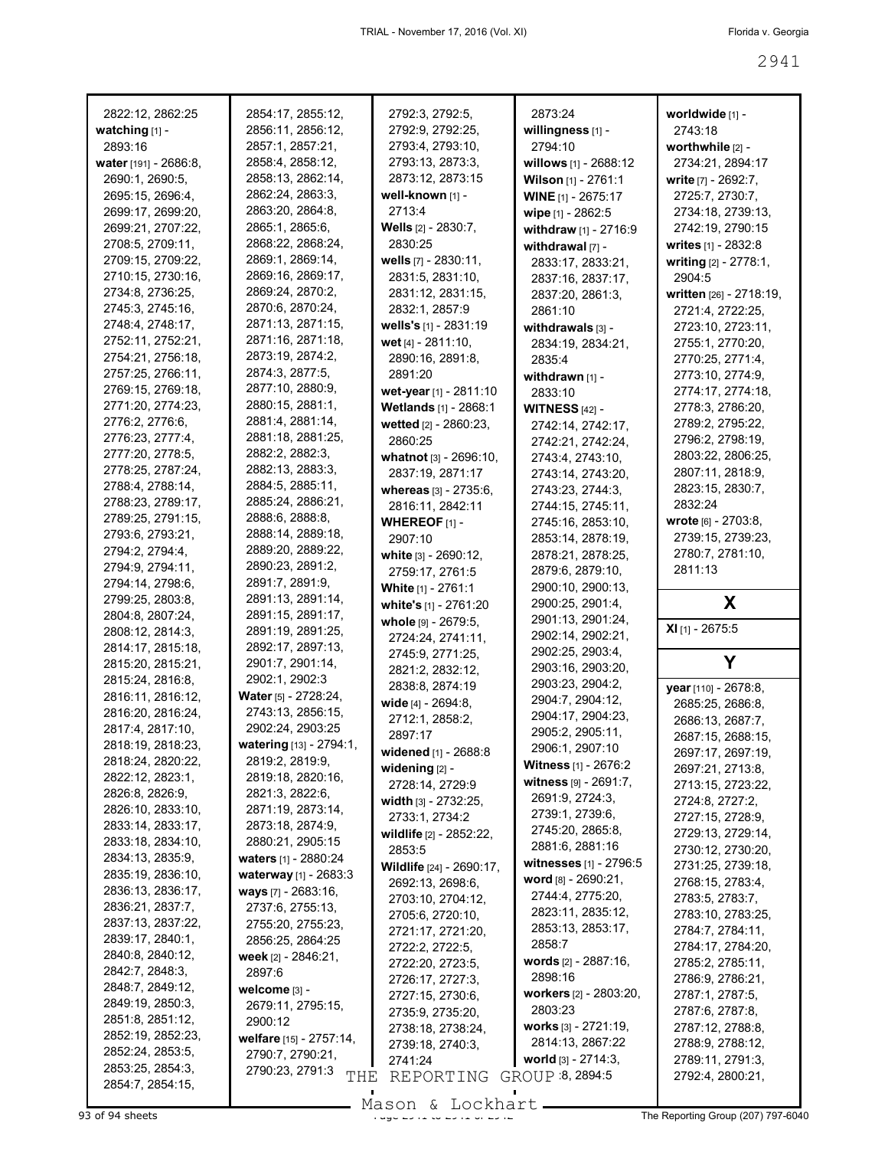| 2822:12, 2862:25                       | 2854:17, 2855:12,       | 2792:3, 2792:5,                            | 2873:24                      | worldwide [1] -                       |
|----------------------------------------|-------------------------|--------------------------------------------|------------------------------|---------------------------------------|
| watching $[1]$ -                       | 2856:11, 2856:12,       | 2792:9, 2792:25,                           | willingness $[1]$ -          | 2743:18                               |
| 2893:16                                | 2857:1, 2857:21,        | 2793:4, 2793:10,                           | 2794:10                      | worthwhile [2] -                      |
| water [191] - 2686:8,                  | 2858:4, 2858:12,        | 2793:13, 2873:3,                           | willows [1] - 2688:12        | 2734:21, 2894:17                      |
| 2690:1, 2690:5,                        | 2858:13, 2862:14,       | 2873:12, 2873:15                           | <b>Wilson</b> [1] - $2761:1$ | write [7] - 2692:7,                   |
| 2695:15, 2696:4,                       | 2862:24, 2863:3,        | well-known [1] -                           | <b>WINE</b> [1] - 2675:17    | 2725:7, 2730:7,                       |
| 2699:17, 2699:20,                      | 2863:20, 2864:8,        | 2713:4                                     |                              | 2734:18, 2739:13,                     |
| 2699:21, 2707:22,                      | 2865:1, 2865:6,         | Wells [2] - 2830:7,                        | wipe [1] - 2862:5            | 2742:19, 2790:15                      |
| 2708:5, 2709:11,                       | 2868:22, 2868:24,       | 2830:25                                    | withdraw [1] - 2716:9        |                                       |
| 2709:15, 2709:22,                      | 2869:1, 2869:14,        | wells [7] - 2830:11,                       | withdrawal [7] -             | <b>writes</b> $[1] - 2832:8$          |
| 2710:15, 2730:16,                      | 2869:16, 2869:17,       | 2831:5, 2831:10,                           | 2833:17, 2833:21,            | writing [2] - 2778:1,                 |
| 2734:8, 2736:25,                       | 2869:24, 2870:2,        |                                            | 2837:16, 2837:17,            | 2904:5                                |
| 2745:3, 2745:16,                       | 2870:6, 2870:24,        | 2831:12, 2831:15,<br>2832:1, 2857:9        | 2837:20, 2861:3,             | <b>written</b> [26] - 2718:19,        |
| 2748:4, 2748:17,                       | 2871:13, 2871:15,       |                                            | 2861:10                      | 2721:4, 2722:25,                      |
|                                        | 2871:16, 2871:18,       | wells's [1] - 2831:19                      | withdrawals [3] -            | 2723:10, 2723:11,                     |
| 2752:11, 2752:21,<br>2754:21, 2756:18, | 2873:19, 2874:2,        | wet [4] - 2811:10,                         | 2834:19, 2834:21,            | 2755:1, 2770:20,                      |
|                                        | 2874:3, 2877:5,         | 2890:16, 2891:8,                           | 2835:4                       | 2770:25, 2771:4,                      |
| 2757:25, 2766:11,<br>2769:15, 2769:18, | 2877:10, 2880:9,        | 2891:20                                    | withdrawn [1] -              | 2773:10, 2774:9,                      |
|                                        | 2880:15, 2881:1,        | wet-year [1] - 2811:10                     | 2833:10                      | 2774:17, 2774:18,                     |
| 2771:20, 2774:23,                      | 2881:4, 2881:14,        | Wetlands [1] - 2868:1                      | <b>WITNESS [42] -</b>        | 2778:3, 2786:20,                      |
| 2776:2, 2776:6,                        |                         | wetted [2] - 2860:23,                      | 2742:14, 2742:17,            | 2789:2, 2795:22,                      |
| 2776:23, 2777:4,                       | 2881:18, 2881:25,       | 2860:25                                    | 2742:21, 2742:24,            | 2796:2, 2798:19,                      |
| 2777:20, 2778:5,                       | 2882:2, 2882:3,         | whatnot [3] - 2696:10,                     | 2743:4, 2743:10,             | 2803:22, 2806:25,                     |
| 2778:25, 2787:24,                      | 2882:13, 2883:3,        | 2837:19, 2871:17                           | 2743:14, 2743:20,            | 2807:11, 2818:9,                      |
| 2788:4, 2788:14,                       | 2884:5, 2885:11,        | whereas $[3] - 2735.6$ ,                   | 2743:23, 2744:3,             | 2823:15, 2830:7,                      |
| 2788:23, 2789:17,                      | 2885:24, 2886:21,       | 2816:11, 2842:11                           | 2744:15, 2745:11,            | 2832:24                               |
| 2789:25, 2791:15,                      | 2888:6, 2888:8,         | WHEREOF $[1]$ -                            | 2745:16, 2853:10,            | <b>wrote</b> $[6] - 2703:8$ ,         |
| 2793:6, 2793:21,                       | 2888:14, 2889:18,       | 2907:10                                    | 2853:14, 2878:19,            | 2739:15, 2739:23,                     |
| 2794:2, 2794:4,                        | 2889:20, 2889:22,       | white [3] - 2690:12,                       | 2878:21, 2878:25,            | 2780:7, 2781:10,                      |
| 2794:9, 2794:11,                       | 2890:23, 2891:2,        | 2759:17, 2761:5                            | 2879:6, 2879:10,             | 2811:13                               |
| 2794:14, 2798:6,                       | 2891:7, 2891:9,         | White [1] - 2761:1                         | 2900:10, 2900:13,            |                                       |
|                                        |                         |                                            |                              |                                       |
| 2799:25, 2803:8,                       | 2891:13, 2891:14,       | white's [1] - 2761:20                      | 2900:25, 2901:4,             | X                                     |
| 2804:8, 2807:24,                       | 2891:15, 2891:17,       | whole [9] - 2679:5,                        | 2901:13, 2901:24,            |                                       |
| 2808:12, 2814:3,                       | 2891:19, 2891:25,       | 2724:24, 2741:11,                          | 2902:14, 2902:21,            | <b>XI</b> [1] - 2675:5                |
| 2814:17, 2815:18,                      | 2892:17, 2897:13,       | 2745:9, 2771:25,                           | 2902:25, 2903:4,             |                                       |
| 2815:20, 2815:21,                      | 2901:7, 2901:14,        | 2821:2, 2832:12,                           | 2903:16, 2903:20,            | Y                                     |
| 2815:24, 2816:8,                       | 2902:1, 2902:3          | 2838:8, 2874:19                            | 2903:23, 2904:2,             |                                       |
| 2816:11, 2816:12,                      | Water [5] - 2728:24,    | wide [4] - 2694:8,                         | 2904:7, 2904:12,             | year [110] - 2678:8,                  |
| 2816:20, 2816:24,                      | 2743:13, 2856:15,       | 2712:1, 2858:2,                            | 2904:17, 2904:23,            | 2685:25, 2686:8,<br>2686:13, 2687:7,  |
| 2817:4, 2817:10,                       | 2902:24, 2903:25        | 2897:17                                    | 2905:2, 2905:11,             | 2687:15, 2688:15,                     |
| 2818:19, 2818:23,                      | watering [13] - 2794:1, | widened [1] - 2688:8                       | 2906:1, 2907:10              | 2697:17, 2697:19,                     |
| 2818:24, 2820:22,                      | 2819:2, 2819:9,         | widening [2] -                             | <b>Witness</b> [1] - 2676:2  |                                       |
| 2822:12, 2823:1,                       | 2819:18, 2820:16,       |                                            | witness $[9] - 2691:7$ ,     | 2697:21, 2713:8,                      |
| 2826:8, 2826:9,                        | 2821:3, 2822:6,         | 2728:14, 2729:9<br>width $[3] - 2732:25$ , | 2691:9, 2724:3,              | 2713:15, 2723:22,<br>2724:8, 2727:2,  |
| 2826:10, 2833:10,                      | 2871:19, 2873:14,       | 2733:1, 2734:2                             | 2739:1, 2739:6,              | 2727:15, 2728:9,                      |
| 2833:14, 2833:17,                      | 2873:18, 2874:9,        | wildlife [2] - 2852:22,                    | 2745:20, 2865:8,             | 2729:13, 2729:14,                     |
| 2833:18, 2834:10,                      | 2880:21, 2905:15        | 2853:5                                     | 2881:6, 2881:16              | 2730:12, 2730:20,                     |
| 2834:13, 2835:9,                       | waters [1] - 2880:24    | Wildlife [24] - 2690:17,                   | witnesses [1] - 2796:5       | 2731:25, 2739:18,                     |
| 2835:19, 2836:10,                      | waterway [1] - 2683:3   |                                            | word [8] - 2690:21,          | 2768:15, 2783:4,                      |
| 2836:13, 2836:17,                      | ways [7] - 2683:16,     | 2692:13, 2698:6,                           | 2744:4, 2775:20,             | 2783:5, 2783:7,                       |
| 2836:21, 2837:7,                       | 2737:6, 2755:13,        | 2703:10, 2704:12,<br>2705:6, 2720:10,      | 2823:11, 2835:12,            | 2783:10, 2783:25,                     |
| 2837:13, 2837:22,                      | 2755:20, 2755:23,       |                                            | 2853:13, 2853:17,            |                                       |
| 2839:17, 2840:1,                       | 2856:25, 2864:25        | 2721:17, 2721:20,<br>2722:2, 2722:5,       | 2858:7                       | 2784:7, 2784:11,<br>2784:17, 2784:20, |
| 2840:8, 2840:12,                       | week [2] - 2846:21,     |                                            | words [2] - 2887:16,         | 2785:2, 2785:11,                      |
| 2842:7, 2848:3,                        | 2897:6                  | 2722:20, 2723:5,                           | 2898:16                      | 2786:9, 2786:21,                      |
| 2848:7, 2849:12,                       | welcome [3] -           | 2726:17, 2727:3,                           | workers [2] - 2803:20,       | 2787:1, 2787:5,                       |
| 2849:19, 2850:3,                       | 2679:11, 2795:15,       | 2727:15, 2730:6,<br>2735:9, 2735:20,       | 2803:23                      | 2787:6, 2787:8,                       |
| 2851:8, 2851:12,                       | 2900:12                 |                                            | works $[3] - 2721:19$ ,      | 2787:12, 2788:8,                      |
| 2852:19, 2852:23,                      | welfare [15] - 2757:14, | 2738:18, 2738:24,                          | 2814:13, 2867:22             | 2788:9, 2788:12,                      |
| 2852:24, 2853:5,                       | 2790:7, 2790:21,        | 2739:18, 2740:3,                           | world $[3] - 2714:3$ ,       | 2789:11, 2791:3,                      |
| 2853:25, 2854:3,<br>2854:7, 2854:15,   | 2790:23, 2791:3<br>THE  | 2741:24<br>REPORTING                       | GROUP 8, 2894:5              | 2792:4, 2800:21,                      |

Mason & Lockhart